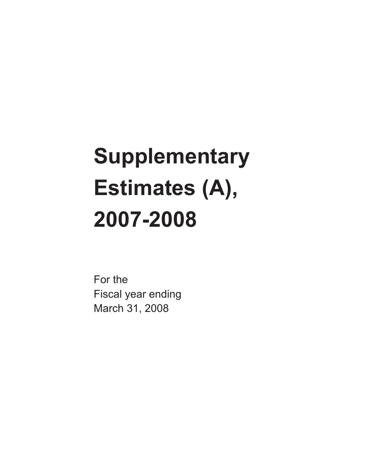# **Supplementary Estimates (A), 2007-2008**

For the Fiscal year ending March 31, 2008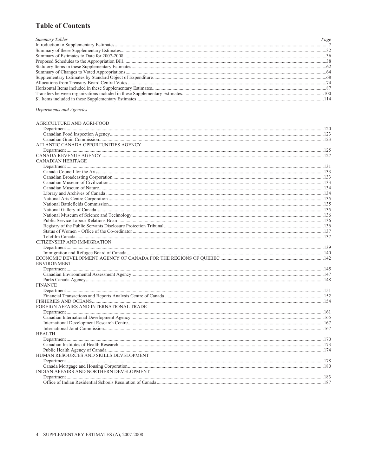## **Table of Contents**

| Summary Tables | Page |
|----------------|------|
|                |      |
|                |      |
|                |      |
|                |      |
|                |      |
|                |      |
|                |      |
|                |      |
|                |      |
|                |      |
|                |      |

## Departments and Agencies

| AGRICULTURE AND AGRI-FOOD               |  |
|-----------------------------------------|--|
|                                         |  |
|                                         |  |
|                                         |  |
| ATLANTIC CANADA OPPORTUNITIES AGENCY    |  |
|                                         |  |
|                                         |  |
| <b>CANADIAN HERITAGE</b>                |  |
|                                         |  |
|                                         |  |
|                                         |  |
|                                         |  |
|                                         |  |
|                                         |  |
|                                         |  |
|                                         |  |
|                                         |  |
|                                         |  |
|                                         |  |
|                                         |  |
|                                         |  |
|                                         |  |
| CITIZENSHIP AND IMMIGRATION             |  |
|                                         |  |
|                                         |  |
|                                         |  |
| <b>ENVIRONMENT</b>                      |  |
|                                         |  |
|                                         |  |
|                                         |  |
| <b>FINANCE</b>                          |  |
|                                         |  |
|                                         |  |
|                                         |  |
| FOREIGN AFFAIRS AND INTERNATIONAL TRADE |  |
|                                         |  |
|                                         |  |
|                                         |  |
|                                         |  |
| <b>HEALTH</b>                           |  |
|                                         |  |
|                                         |  |
|                                         |  |
| HUMAN RESOURCES AND SKILLS DEVELOPMENT  |  |
|                                         |  |
|                                         |  |
| INDIAN AFFAIRS AND NORTHERN DEVELOPMENT |  |
|                                         |  |
|                                         |  |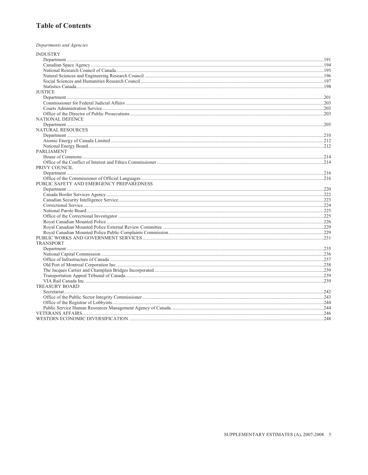## **Table of Contents**

Departments and Agencies

| <b>INDUSTRY</b>                          |  |
|------------------------------------------|--|
|                                          |  |
|                                          |  |
|                                          |  |
|                                          |  |
|                                          |  |
|                                          |  |
| <b>JUSTICE</b>                           |  |
|                                          |  |
|                                          |  |
|                                          |  |
|                                          |  |
| NATIONAL DEFENCE                         |  |
|                                          |  |
| NATURAL RESOURCES                        |  |
|                                          |  |
|                                          |  |
|                                          |  |
| <b>PARLIAMENT</b>                        |  |
|                                          |  |
|                                          |  |
| PRIVY COUNCIL                            |  |
|                                          |  |
|                                          |  |
| PUBLIC SAFETY AND EMERGENCY PREPAREDNESS |  |
|                                          |  |
|                                          |  |
|                                          |  |
|                                          |  |
|                                          |  |
|                                          |  |
|                                          |  |
|                                          |  |
|                                          |  |
|                                          |  |
| <b>TRANSPORT</b>                         |  |
|                                          |  |
|                                          |  |
|                                          |  |
|                                          |  |
|                                          |  |
|                                          |  |
|                                          |  |
| <b>TREASURY BOARD</b>                    |  |
|                                          |  |
|                                          |  |
|                                          |  |
|                                          |  |
|                                          |  |
|                                          |  |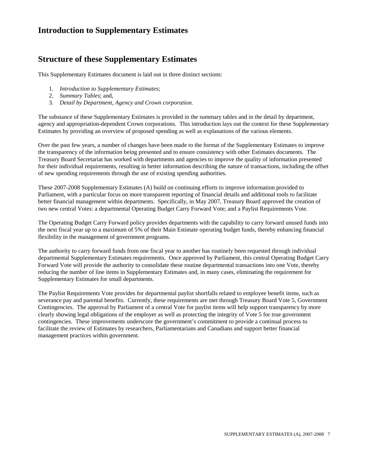## <span id="page-3-0"></span>**Structure of these Supplementary Estimates**

This Supplementary Estimates document is laid out in three distinct sections:

- 1. *Introduction to Supplementary Estimates*;
- 2. *Summary Tables*; and,
- 3. *Detail by Department, Agency and Crown corporation.*

The substance of these Supplementary Estimates is provided in the summary tables and in the detail by department, agency and appropriation-dependent Crown corporations. This introduction lays out the context for these Supplementary Estimates by providing an overview of proposed spending as well as explanations of the various elements.

Over the past few years, a number of changes have been made to the format of the Supplementary Estimates to improve the transparency of the information being presented and to ensure consistency with other Estimates documents. The Treasury Board Secretariat has worked with departments and agencies to improve the quality of information presented for their individual requirements, resulting in better information describing the nature of transactions, including the offset of new spending requirements through the use of existing spending authorities.

These 2007-2008 Supplementary Estimates (A) build on continuing efforts to improve information provided to Parliament, with a particular focus on more transparent reporting of financial details and additional tools to facilitate better financial management within departments. Specifically, in May 2007, Treasury Board approved the creation of two new central Votes: a departmental Operating Budget Carry Forward Vote; and a Paylist Requirements Vote.

The Operating Budget Carry Forward policy provides departments with the capability to carry forward unused funds into the next fiscal year up to a maximum of 5% of their Main Estimate operating budget funds, thereby enhancing financial flexibility in the management of government programs.

The authority to carry forward funds from one fiscal year to another has routinely been requested through individual departmental Supplementary Estimates requirements. Once approved by Parliament, this central Operating Budget Carry Forward Vote will provide the authority to consolidate these routine departmental transactions into one Vote, thereby reducing the number of line items in Supplementary Estimates and, in many cases, eliminating the requirement for Supplementary Estimates for small departments.

The Paylist Requirements Vote provides for departmental paylist shortfalls related to employee benefit items, such as severance pay and parental benefits. Currently, these requirements are met through Treasury Board Vote 5, Government Contingencies. The approval by Parliament of a central Vote for paylist items will help support transparency by more clearly showing legal obligations of the employer as well as protecting the integrity of Vote 5 for true government contingencies. These improvements underscore the government's commitment to provide a continual process to facilitate the review of Estimates by researchers, Parliamentarians and Canadians and support better financial management practices within government.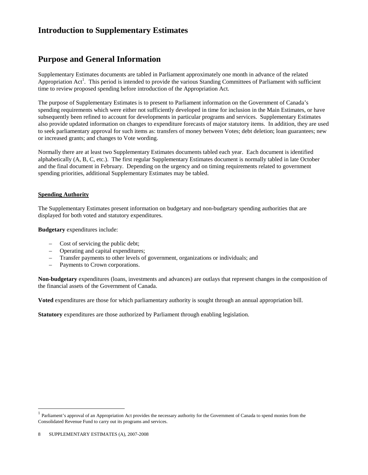## **Purpose and General Information**

Supplementary Estimates documents are tabled in Parliament approximately one month in advance of the related Appropriation  $Act^1$ . This period is intended to provide the various Standing Committees of Parliament with sufficient time to review proposed spending before introduction of the Appropriation Act.

The purpose of Supplementary Estimates is to present to Parliament information on the Government of Canada's spending requirements which were either not sufficiently developed in time for inclusion in the Main Estimates, or have subsequently been refined to account for developments in particular programs and services. Supplementary Estimates also provide updated information on changes to expenditure forecasts of major statutory items. In addition, they are used to seek parliamentary approval for such items as: transfers of money between Votes; debt deletion; loan guarantees; new or increased grants; and changes to Vote wording.

Normally there are at least two Supplementary Estimates documents tabled each year. Each document is identified alphabetically (A, B, C, etc.). The first regular Supplementary Estimates document is normally tabled in late October and the final document in February. Depending on the urgency and on timing requirements related to government spending priorities, additional Supplementary Estimates may be tabled.

## **Spending Authority**

The Supplementary Estimates present information on budgetary and non-budgetary spending authorities that are displayed for both voted and statutory expenditures.

**Budgetary** expenditures include:

- Cost of servicing the public debt;
- Operating and capital expenditures;
- Transfer payments to other levels of government, organizations or individuals; and
- Payments to Crown corporations.

**Non-budgetary** expenditures (loans, investments and advances) are outlays that represent changes in the composition of the financial assets of the Government of Canada.

**Voted** expenditures are those for which parliamentary authority is sought through an annual appropriation bill.

**Statutory** expenditures are those authorized by Parliament through enabling legislation.

 $\overline{a}$ 

 $<sup>1</sup>$  Parliament's approval of an Appropriation Act provides the necessary authority for the Government of Canada to spend monies from the</sup> Consolidated Revenue Fund to carry out its programs and services.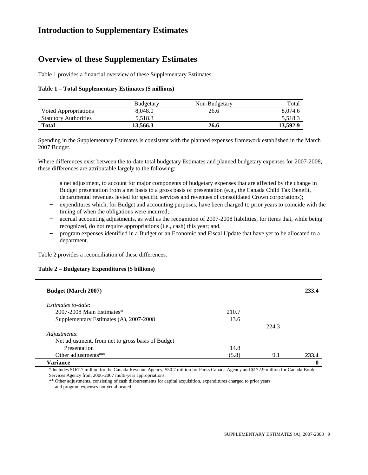## **Overview of these Supplementary Estimates**

Table 1 provides a financial overview of these Supplementary Estimates.

## **Table 1 – Total Supplementary Estimates (\$ millions)**

|                              | <b>Budgetary</b> | Non-Budgetary | Total    |
|------------------------------|------------------|---------------|----------|
| <b>Voted Appropriations</b>  | 8.048.0          | 26.6          | 8.074.6  |
| <b>Statutory Authorities</b> | 5.518.3          |               | 5,518.3  |
| Total                        | 13.566.3         | 26.6          | 13.592.9 |

Spending in the Supplementary Estimates is consistent with the planned expenses framework established in the March 2007 Budget.

Where differences exist between the to-date total budgetary Estimates and planned budgetary expenses for 2007-2008, these differences are attributable largely to the following:

- a net adjustment, to account for major components of budgetary expenses that are affected by the change in Budget presentation from a net basis to a gross basis of presentation (e.g., the Canada Child Tax Benefit, departmental revenues levied for specific services and revenues of consolidated Crown corporations);
- expenditures which, for Budget and accounting purposes, have been charged to prior years to coincide with the timing of when the obligations were incurred;
- accrual accounting adjustments, as well as the recognition of 2007-2008 liabilities, for items that, while being recognized, do not require appropriations (i.e., cash) this year; and,
- − program expenses identified in a Budget or an Economic and Fiscal Update that have yet to be allocated to a department.

Table 2 provides a reconciliation of these differences.

#### **Table 2 – Budgetary Expenditures (\$ billions)**

| <b>Budget (March 2007)</b>                        |       |       | 233.4            |
|---------------------------------------------------|-------|-------|------------------|
| Estimates to-date:                                |       |       |                  |
| $2007 - 2008$ Main Estimates*                     | 210.7 |       |                  |
| Supplementary Estimates (A), 2007-2008            | 13.6  |       |                  |
|                                                   |       | 224.3 |                  |
| Adjustments:                                      |       |       |                  |
| Net adjustment, from net to gross basis of Budget |       |       |                  |
| Presentation                                      | 14.8  |       |                  |
| Other adjustments**                               | (5.8) | 9.1   | 233.4            |
| Variance                                          |       |       | $\boldsymbol{0}$ |

\* Includes \$167.7 million for the Canada Revenue Agency, \$50.7 million for Parks Canada Agency and \$172.9 million for Canada Border Services Agency from 2006-2007 multi-year appropriations.

\*\* Other adjustments, consisting of cash disbursements for capital acquisition, expenditures charged to prior years and program expenses not yet allocated.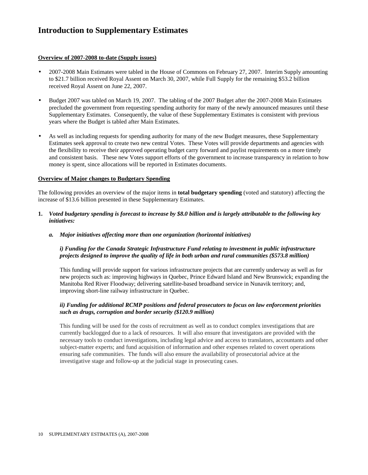## **Overview of 2007-2008 to-date (Supply issues)**

- 2007-2008 Main Estimates were tabled in the House of Commons on February 27, 2007. Interim Supply amounting to \$21.7 billion received Royal Assent on March 30, 2007, while Full Supply for the remaining \$53.2 billion received Royal Assent on June 22, 2007.
- Budget 2007 was tabled on March 19, 2007. The tabling of the 2007 Budget after the 2007-2008 Main Estimates precluded the government from requesting spending authority for many of the newly announced measures until these Supplementary Estimates. Consequently, the value of these Supplementary Estimates is consistent with previous years where the Budget is tabled after Main Estimates.
- As well as including requests for spending authority for many of the new Budget measures, these Supplementary Estimates seek approval to create two new central Votes. These Votes will provide departments and agencies with the flexibility to receive their approved operating budget carry forward and paylist requirements on a more timely and consistent basis. These new Votes support efforts of the government to increase transparency in relation to how money is spent, since allocations will be reported in Estimates documents.

#### **Overview of Major changes to Budgetary Spending**

The following provides an overview of the major items in **total budgetary spending** (voted and statutory) affecting the increase of \$13.6 billion presented in these Supplementary Estimates.

- **1.** *Voted budgetary spending is forecast to increase by \$8.0 billion and is largely attributable to the following key initiatives:* 
	- *a. Major initiatives affecting more than one organization (horizontal initiatives)*

## *i) Funding for the Canada Strategic Infrastructure Fund relating to investment in public infrastructure projects designed to improve the quality of life in both urban and rural communities (\$573.8 million)*

This funding will provide support for various infrastructure projects that are currently underway as well as for new projects such as: improving highways in Quebec, Prince Edward Island and New Brunswick; expanding the Manitoba Red River Floodway; delivering satellite-based broadband service in Nunavik territory; and, improving short-line railway infrastructure in Quebec.

## *ii) Funding for additional RCMP positions and federal prosecutors to focus on law enforcement priorities such as drugs, corruption and border security (\$120.9 million)*

This funding will be used for the costs of recruitment as well as to conduct complex investigations that are currently backlogged due to a lack of resources. It will also ensure that investigators are provided with the necessary tools to conduct investigations, including legal advice and access to translators, accountants and other subject-matter experts; and fund acquisition of information and other expenses related to covert operations ensuring safe communities. The funds will also ensure the availability of prosecutorial advice at the investigative stage and follow-up at the judicial stage in prosecuting cases.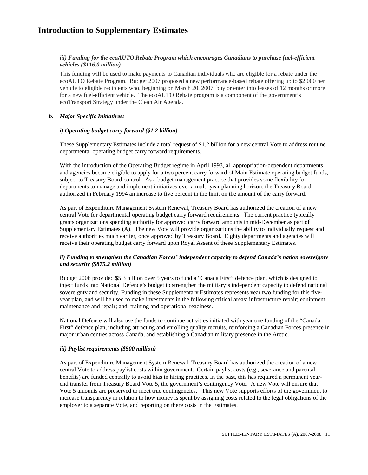## *iii) Funding for the ecoAUTO Rebate Program which encourages Canadians to purchase fuel-efficient vehicles (\$116.0 million)*

This funding will be used to make payments to Canadian individuals who are eligible for a rebate under the ecoAUTO Rebate Program. Budget 2007 proposed a new performance-based rebate offering up to \$2,000 per vehicle to eligible recipients who, beginning on March 20, 2007, buy or enter into leases of 12 months or more for a new fuel-efficient vehicle. The ecoAUTO Rebate program is a component of the government's ecoTransport Strategy under the Clean Air Agenda.

## *b. Major Specific Initiatives:*

#### *i) Operating budget carry forward (\$1.2 billion)*

These Supplementary Estimates include a total request of \$1.2 billion for a new central Vote to address routine departmental operating budget carry forward requirements.

With the introduction of the Operating Budget regime in April 1993, all appropriation-dependent departments and agencies became eligible to apply for a two percent carry forward of Main Estimate operating budget funds, subject to Treasury Board control. As a budget management practice that provides some flexibility for departments to manage and implement initiatives over a multi-year planning horizon, the Treasury Board authorized in February 1994 an increase to five percent in the limit on the amount of the carry forward.

As part of Expenditure Management System Renewal, Treasury Board has authorized the creation of a new central Vote for departmental operating budget carry forward requirements. The current practice typically grants organizations spending authority for approved carry forward amounts in mid-December as part of Supplementary Estimates (A). The new Vote will provide organizations the ability to individually request and receive authorities much earlier, once approved by Treasury Board. Eighty departments and agencies will receive their operating budget carry forward upon Royal Assent of these Supplementary Estimates.

## *ii) Funding to strengthen the Canadian Forces' independent capacity to defend Canada's nation sovereignty and security (\$875.2 million)*

Budget 2006 provided \$5.3 billion over 5 years to fund a "Canada First" defence plan, which is designed to inject funds into National Defence's budget to strengthen the military's independent capacity to defend national sovereignty and security. Funding in these Supplementary Estimates represents year two funding for this fiveyear plan, and will be used to make investments in the following critical areas: infrastructure repair; equipment maintenance and repair; and, training and operational readiness.

National Defence will also use the funds to continue activities initiated with year one funding of the "Canada First" defence plan, including attracting and enrolling quality recruits, reinforcing a Canadian Forces presence in major urban centres across Canada, and establishing a Canadian military presence in the Arctic.

#### *iii) Paylist requirements (\$500 million)*

As part of Expenditure Management System Renewal, Treasury Board has authorized the creation of a new central Vote to address paylist costs within government. Certain paylist costs (e.g., severance and parental benefits) are funded centrally to avoid bias in hiring practices. In the past, this has required a permanent yearend transfer from Treasury Board Vote 5, the government's contingency Vote. A new Vote will ensure that Vote 5 amounts are preserved to meet true contingencies. This new Vote supports efforts of the government to increase transparency in relation to how money is spent by assigning costs related to the legal obligations of the employer to a separate Vote, and reporting on there costs in the Estimates.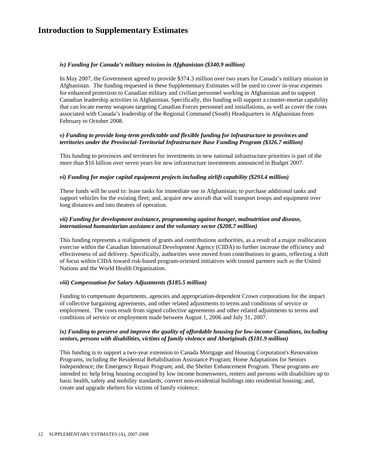## *iv) Funding for Canada's military mission in Afghanistan (\$340.9 million)*

In May 2007, the Government agreed to provide \$374.3 million over two years for Canada's military mission in Afghanistan. The funding requested in these Supplementary Estimates will be used to cover in-year expenses for enhanced protection to Canadian military and civilian personnel working in Afghanistan and to support Canadian leadership activities in Afghanistan. Specifically, this funding will support a counter-mortar capability that can locate enemy weapons targeting Canadian Forces personnel and installations, as well as cover the costs associated with Canada's leadership of the Regional Command (South) Headquarters in Afghanistan from February to October 2008.

## *v) Funding to provide long-term predictable and flexible funding for infrastructure to provinces and territories under the Provincial-Territorial Infrastructure Base Funding Program (\$326.7 million)*

This funding to provinces and territories for investments in new national infrastructure priorities is part of the more than \$16 billion over seven years for new infrastructure investments announced in Budget 2007.

#### *vi) Funding for major capital equipment projects including airlift capability (\$293.4 million)*

These funds will be used to: lease tanks for immediate use in Afghanistan; to purchase additional tanks and support vehicles for the existing fleet; and, acquire new aircraft that will transport troops and equipment over long distances and into theatres of operation.

#### *vii) Funding for development assistance, programming against hunger, malnutrition and disease, international humanitarian assistance and the voluntary sector (\$208.7 million)*

This funding represents a realignment of grants and contributions authorities, as a result of a major reallocation exercise within the Canadian International Development Agency (CIDA) to further increase the efficiency and effectiveness of aid delivery. Specifically, authorities were moved from contributions to grants, reflecting a shift of focus within CIDA toward risk-based program-oriented initiatives with trusted partners such as the United Nations and the World Health Organization.

#### *viii) Compensation for Salary Adjustments (\$185.5 million)*

Funding to compensate departments, agencies and appropriation-dependent Crown corporations for the impact of collective bargaining agreements, and other related adjustments to terms and conditions of service or employment. The costs result from signed collective agreements and other related adjustments to terms and conditions of service or employment made between August 1, 2006 and July 31, 2007.

#### *ix) Funding to preserve and improve the quality of affordable housing for low-income Canadians, including seniors, persons with disabilities, victims of family violence and Aboriginals (\$181.9 million)*

This funding is to support a two-year extension to Canada Mortgage and Housing Corporation's Renovation Programs, including the Residential Rehabilitation Assistance Program; Home Adaptations for Seniors Independence; the Emergency Repair Program; and, the Shelter Enhancement Program. These programs are intended to: help bring housing occupied by low income homeowners, renters and persons with disabilities up to basic health, safety and mobility standards; convert non-residential buildings into residential housing; and, create and upgrade shelters for victims of family violence.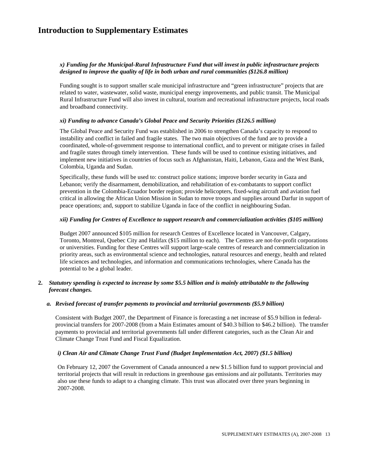## *x) Funding for the Municipal-Rural Infrastructure Fund that will invest in public infrastructure projects designed to improve the quality of life in both urban and rural communities (\$126.8 million)*

Funding sought is to support smaller scale municipal infrastructure and "green infrastructure" projects that are related to water, wastewater, solid waste, municipal energy improvements, and public transit. The Municipal Rural Infrastructure Fund will also invest in cultural, tourism and recreational infrastructure projects, local roads and broadband connectivity.

## *xi) Funding to advance Canada's Global Peace and Security Priorities (\$126.5 million)*

The Global Peace and Security Fund was established in 2006 to strengthen Canada's capacity to respond to instability and conflict in failed and fragile states. The two main objectives of the fund are to provide a coordinated, whole-of-government response to international conflict, and to prevent or mitigate crises in failed and fragile states through timely intervention. These funds will be used to continue existing initiatives, and implement new initiatives in countries of focus such as Afghanistan, Haiti, Lebanon, Gaza and the West Bank, Colombia, Uganda and Sudan.

Specifically, these funds will be used to: construct police stations; improve border security in Gaza and Lebanon; verify the disarmament, demobilization, and rehabilitation of ex-combatants to support conflict prevention in the Colombia-Ecuador border region; provide helicopters, fixed-wing aircraft and aviation fuel critical in allowing the African Union Mission in Sudan to move troops and supplies around Darfur in support of peace operations; and, support to stabilize Uganda in face of the conflict in neighbouring Sudan.

#### *xii) Funding for Centres of Excellence to support research and commercialization activities (\$105 million)*

Budget 2007 announced \$105 million for research Centres of Excellence located in Vancouver, Calgary, Toronto, Montreal, Quebec City and Halifax (\$15 million to each). The Centres are not-for-profit corporations or universities. Funding for these Centres will support large-scale centres of research and commercialization in priority areas, such as environmental science and technologies, natural resources and energy, health and related life sciences and technologies, and information and communications technologies, where Canada has the potential to be a global leader.

## **2.** *Statutory spending is expected to increase by some \$5.5 billion and is mainly attributable to the following forecast changes.*

#### *a. Revised forecast of transfer payments to provincial and territorial governments (\$5.9 billion)*

Consistent with Budget 2007, the Department of Finance is forecasting a net increase of \$5.9 billion in federalprovincial transfers for 2007-2008 (from a Main Estimates amount of \$40.3 billion to \$46.2 billion). The transfer payments to provincial and territorial governments fall under different categories, such as the Clean Air and Climate Change Trust Fund and Fiscal Equalization.

#### *i) Clean Air and Climate Change Trust Fund (Budget Implementation Act, 2007) (\$1.5 billion)*

On February 12, 2007 the Government of Canada announced a new \$1.5 billion fund to support provincial and territorial projects that will result in reductions in greenhouse gas emissions and air pollutants. Territories may also use these funds to adapt to a changing climate. This trust was allocated over three years beginning in 2007-2008.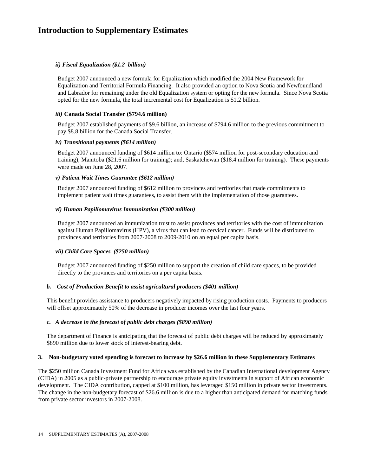#### *ii) Fiscal Equalization (\$1.2 billion)*

Budget 2007 announced a new formula for Equalization which modified the 2004 New Framework for Equalization and Territorial Formula Financing. It also provided an option to Nova Scotia and Newfoundland and Labrador for remaining under the old Equalization system or opting for the new formula. Since Nova Scotia opted for the new formula, the total incremental cost for Equalization is \$1.2 billion.

#### *iii)* **Canada Social Transfer (\$794.6 million)**

Budget 2007 established payments of \$9.6 billion, an increase of \$794.6 million to the previous commitment to pay \$8.8 billion for the Canada Social Transfer.

#### *iv) Transitional payments (\$614 million)*

Budget 2007 announced funding of \$614 million to: Ontario (\$574 million for post-secondary education and training); Manitoba (\$21.6 million for training); and, Saskatchewan (\$18.4 million for training). These payments were made on June 28, 2007.

#### *v) Patient Wait Times Guarantee (\$612 million)*

Budget 2007 announced funding of \$612 million to provinces and territories that made commitments to implement patient wait times guarantees, to assist them with the implementation of those guarantees.

#### *vi) Human Papillomavirus Immunization (\$300 million)*

Budget 2007 announced an immunization trust to assist provinces and territories with the cost of immunization against Human Papillomavirus (HPV), a virus that can lead to cervical cancer. Funds will be distributed to provinces and territories from 2007-2008 to 2009-2010 on an equal per capita basis.

## *vii) Child Care Spaces (\$250 million)*

Budget 2007 announced funding of \$250 million to support the creation of child care spaces, to be provided directly to the provinces and territories on a per capita basis.

## *b. Cost of Production Benefit to assist agricultural producers (\$401 million)*

This benefit provides assistance to producers negatively impacted by rising production costs. Payments to producers will offset approximately 50% of the decrease in producer incomes over the last four years.

## *c. A decrease in the forecast of public debt charges (\$890 million)*

The department of Finance is anticipating that the forecast of public debt charges will be reduced by approximately \$890 million due to lower stock of interest-bearing debt.

## **3. Non-budgetary voted spending is forecast to increase by \$26.6 million in these Supplementary Estimates**

The \$250 million Canada Investment Fund for Africa was established by the Canadian International development Agency (CIDA) in 2005 as a public-private partnership to encourage private equity investments in support of African economic development. The CIDA contribution, capped at \$100 million, has leveraged \$150 million in private sector investments. The change in the non-budgetary forecast of \$26.6 million is due to a higher than anticipated demand for matching funds from private sector investors in 2007-2008.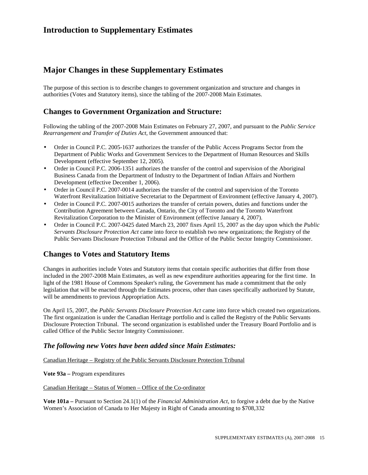## **Major Changes in these Supplementary Estimates**

The purpose of this section is to describe changes to government organization and structure and changes in authorities (Votes and Statutory items), since the tabling of the 2007-2008 Main Estimates.

## **Changes to Government Organization and Structure:**

Following the tabling of the 2007-2008 Main Estimates on February 27, 2007, and pursuant to the *Public Service Rearrangement and Transfer of Duties Act,* the Government announced that:

- Order in Council P.C. 2005-1637 authorizes the transfer of the Public Access Programs Sector from the Department of Public Works and Government Services to the Department of Human Resources and Skills Development (effective September 12, 2005).
- Order in Council P.C. 2006-1351 authorizes the transfer of the control and supervision of the Aboriginal Business Canada from the Department of Industry to the Department of Indian Affairs and Northern Development (effective December 1, 2006).
- Order in Council P.C. 2007-0014 authorizes the transfer of the control and supervision of the Toronto Waterfront Revitalization Initiative Secretariat to the Department of Environment (effective January 4, 2007).
- Order in Council P.C. 2007-0015 authorizes the transfer of certain powers, duties and functions under the Contribution Agreement between Canada, Ontario, the City of Toronto and the Toronto Waterfront Revitalization Corporation to the Minister of Environment (effective January 4, 2007).
- Order in Council P.C. 2007-0425 dated March 23, 2007 fixes April 15, 2007 as the day upon which the *Public Servants Disclosure Protection Act* came into force to establish two new organizations; the Registry of the Public Servants Disclosure Protection Tribunal and the Office of the Public Sector Integrity Commissioner.

## **Changes to Votes and Statutory Items**

Changes in authorities include Votes and Statutory items that contain specific authorities that differ from those included in the 2007-2008 Main Estimates, as well as new expenditure authorities appearing for the first time. In light of the 1981 House of Commons Speaker's ruling, the Government has made a commitment that the only legislation that will be enacted through the Estimates process, other than cases specifically authorized by Statute, will be amendments to previous Appropriation Acts.

On April 15, 2007, the *Public Servants Disclosure Protection Act* came into force which created two organizations. The first organization is under the Canadian Heritage portfolio and is called the Registry of the Public Servants Disclosure Protection Tribunal. The second organization is established under the Treasury Board Portfolio and is called Office of the Public Sector Integrity Commissioner.

## *The following new Votes have been added since Main Estimates:*

Canadian Heritage – Registry of the Public Servants Disclosure Protection Tribunal

**Vote 93a –** Program expenditures

Canadian Heritage – Status of Women – Office of the Co-ordinator

**Vote 101a –** Pursuant to Section 24.1(1) of the *Financial Administration Act*, to forgive a debt due by the Native Women's Association of Canada to Her Majesty in Right of Canada amounting to \$708,332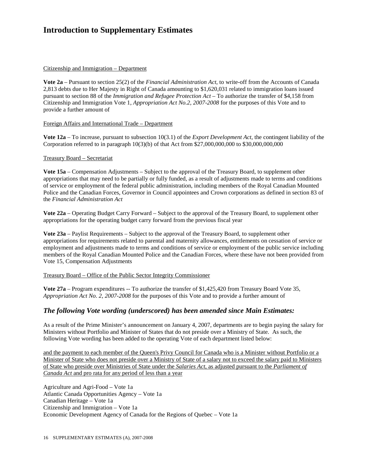#### Citizenship and Immigration – Department

**Vote 2a** – Pursuant to section 25(2) of the *Financial Administration Act*, to write-off from the Accounts of Canada 2,813 debts due to Her Majesty in Right of Canada amounting to \$1,620,031 related to immigration loans issued pursuant to section 88 of the *Immigration and Refugee Protection Act* – To authorize the transfer of \$4,158 from Citizenship and Immigration Vote 1, *Appropriation Act No.2, 2007-2008* for the purposes of this Vote and to provide a further amount of

#### Foreign Affairs and International Trade – Department

**Vote 12a** – To increase, pursuant to subsection 10(3.1) of the *Export Development Act*, the contingent liability of the Corporation referred to in paragraph 10(3)(b) of that Act from \$27,000,000,000 to \$30,000,000,000

## Treasury Board – Secretariat

**Vote 15a** – Compensation Adjustments – Subject to the approval of the Treasury Board, to supplement other appropriations that may need to be partially or fully funded, as a result of adjustments made to terms and conditions of service or employment of the federal public administration, including members of the Royal Canadian Mounted Police and the Canadian Forces, Governor in Council appointees and Crown corporations as defined in section 83 of the *Financial Administration Act* 

**Vote 22a** – Operating Budget Carry Forward – Subject to the approval of the Treasury Board, to supplement other appropriations for the operating budget carry forward from the previous fiscal year

**Vote 23a** – Paylist Requirements – Subject to the approval of the Treasury Board, to supplement other appropriations for requirements related to parental and maternity allowances, entitlements on cessation of service or employment and adjustments made to terms and conditions of service or employment of the public service including members of the Royal Canadian Mounted Police and the Canadian Forces, where these have not been provided from Vote 15, Compensation Adjustments

Treasury Board – Office of the Public Sector Integrity Commissioner

**Vote 27a** – Program expenditures -- To authorize the transfer of \$1,425,420 from Treasury Board Vote 35, *Appropriation Act No. 2, 2007-2008* for the purposes of this Vote and to provide a further amount of

## *The following Vote wording (underscored) has been amended since Main Estimates:*

As a result of the Prime Minister's announcement on January 4, 2007, departments are to begin paying the salary for Ministers without Portfolio and Minister of States that do not preside over a Ministry of State. As such, the following Vote wording has been added to the operating Vote of each department listed below:

and the payment to each member of the Queen's Privy Council for Canada who is a Minister without Portfolio or a Minister of State who does not preside over a Ministry of State of a salary not to exceed the salary paid to Ministers of State who preside over Ministries of State under the *Salaries Act*, as adjusted pursuant to the *Parliament of Canada Act* and pro rata for any period of less than a year

Agriculture and Agri-Food – Vote 1a Atlantic Canada Opportunities Agency – Vote 1a Canadian Heritage – Vote 1a Citizenship and Immigration – Vote 1a Economic Development Agency of Canada for the Regions of Quebec – Vote 1a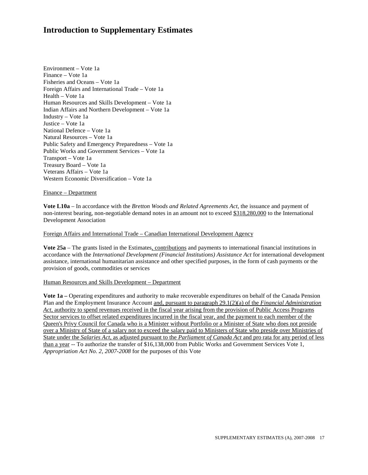Environment – Vote 1a Finance – Vote 1a Fisheries and Oceans – Vote 1a Foreign Affairs and International Trade – Vote 1a Health – Vote 1a Human Resources and Skills Development – Vote 1a Indian Affairs and Northern Development – Vote 1a Industry – Vote 1a Justice – Vote 1a National Defence – Vote 1a Natural Resources – Vote 1a Public Safety and Emergency Preparedness – Vote 1a Public Works and Government Services – Vote 1a Transport – Vote 1a Treasury Board – Vote 1a Veterans Affairs – Vote 1a Western Economic Diversification – Vote 1a

#### Finance – Department

**Vote L10a** – In accordance with the *Bretton Woods and Related Agreements Act*, the issuance and payment of non-interest bearing, non-negotiable demand notes in an amount not to exceed \$318,280,000 to the International Development Association

#### Foreign Affairs and International Trade – Canadian International Development Agency

**Vote 25a** – The grants listed in the Estimates, contributions and payments to international financial institutions in accordance with the *International Development (Financial Institutions) Assistance Act* for international development assistance, international humanitarian assistance and other specified purposes, in the form of cash payments or the provision of goods, commodities or services

#### Human Resources and Skills Development – Department

**Vote 1a** – Operating expenditures and authority to make recoverable expenditures on behalf of the Canada Pension Plan and the Employment Insurance Account and, pursuant to paragraph 29.1(2)(a) of the *Financial Administration Act*, authority to spend revenues received in the fiscal year arising from the provision of Public Access Programs Sector services to offset related expenditures incurred in the fiscal year, and the payment to each member of the Queen's Privy Council for Canada who is a Minister without Portfolio or a Minister of State who does not preside over a Ministry of State of a salary not to exceed the salary paid to Ministers of State who preside over Ministries of State under the *Salaries Act*, as adjusted pursuant to the *Parliament of Canada Act* and pro rata for any period of less than a year -- To authorize the transfer of \$16,138,000 from Public Works and Government Services Vote 1, *Appropriation Act No. 2, 2007-2008* for the purposes of this Vote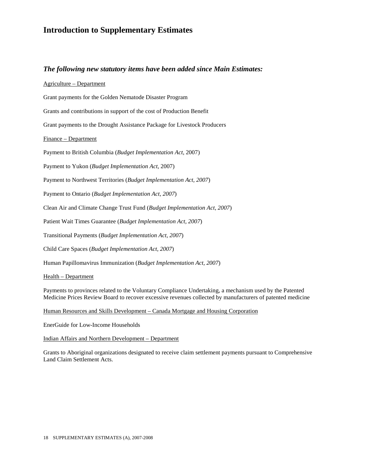## *The following new statutory items have been added since Main Estimates:*

#### Agriculture – Department

Grant payments for the Golden Nematode Disaster Program

Grants and contributions in support of the cost of Production Benefit

Grant payments to the Drought Assistance Package for Livestock Producers

#### Finance – Department

Payment to British Columbia (*Budget Implementation Act*, 2007)

Payment to Yukon (*Budget Implementation Act*, 2007)

Payment to Northwest Territories (*Budget Implementation Act, 2007*)

Payment to Ontario (*Budget Implementation Act, 2007*)

Clean Air and Climate Change Trust Fund (*Budget Implementation Act, 2007*)

Patient Wait Times Guarantee (*Budget Implementation Act, 2007*)

Transitional Payments (*Budget Implementation Act, 2007*)

Child Care Spaces (*Budget Implementation Act, 2007*)

Human Papillomavirus Immunization (*Budget Implementation Act, 2007*)

Health – Department

Payments to provinces related to the Voluntary Compliance Undertaking, a mechanism used by the Patented Medicine Prices Review Board to recover excessive revenues collected by manufacturers of patented medicine

Human Resources and Skills Development – Canada Mortgage and Housing Corporation

EnerGuide for Low-Income Households

Indian Affairs and Northern Development – Department

Grants to Aboriginal organizations designated to receive claim settlement payments pursuant to Comprehensive Land Claim Settlement Acts.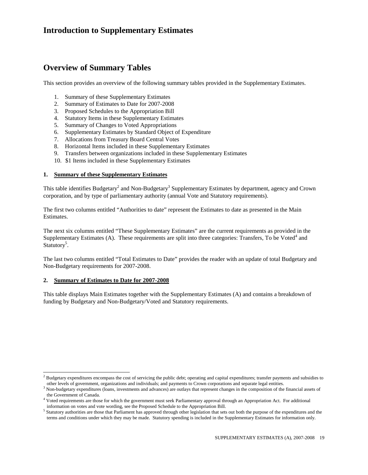## **Overview of Summary Tables**

This section provides an overview of the following summary tables provided in the Supplementary Estimates.

- 1. Summary of these Supplementary Estimates
- 2. Summary of Estimates to Date for 2007-2008
- 3. Proposed Schedules to the Appropriation Bill
- 4. Statutory Items in these Supplementary Estimates
- 5. Summary of Changes to Voted Appropriations
- 6. Supplementary Estimates by Standard Object of Expenditure
- 7. Allocations from Treasury Board Central Votes
- 8. Horizontal Items included in these Supplementary Estimates
- 9. Transfers between organizations included in these Supplementary Estimates
- 10. \$1 Items included in these Supplementary Estimates

## **1. Summary of these Supplementary Estimates**

This table identifies Budgetary<sup>2</sup> and Non-Budgetary<sup>3</sup> Supplementary Estimates by department, agency and Crown corporation, and by type of parliamentary authority (annual Vote and Statutory requirements).

The first two columns entitled "Authorities to date" represent the Estimates to date as presented in the Main Estimates.

The next six columns entitled "These Supplementary Estimates" are the current requirements as provided in the Supplementary Estimates (A). These requirements are split into three categories: Transfers, To be Voted<sup>4</sup> and Statutory<sup>5</sup>.

The last two columns entitled "Total Estimates to Date" provides the reader with an update of total Budgetary and Non-Budgetary requirements for 2007-2008.

## **2. Summary of Estimates to Date for 2007-2008**

This table displays Main Estimates together with the Supplementary Estimates (A) and contains a breakdown of funding by Budgetary and Non-Budgetary/Voted and Statutory requirements.

 $\overline{a}$ <sup>2</sup> Budgetary expenditures encompass the cost of servicing the public debt; operating and capital expenditures; transfer payments and subsidies to other levels of government, organizations and individuals; and payments to Crown corporations and separate legal entities. 3

<sup>&</sup>lt;sup>3</sup> Non-budgetary expenditures (loans, investments and advances) are outlays that represent changes in the composition of the financial assets of the Government of Canada.

<sup>&</sup>lt;sup>4</sup> Voted requirements are those for which the government must seek Parliamentary approval through an Appropriation Act. For additional information on votes and vote wording, see the Proposed Schedule to the Appropriation Bill.

<sup>&</sup>lt;sup>5</sup> Statutory authorities are those that Parliament has approved through other legislation that sets out both the purpose of the expenditures and the terms and conditions under which they may be made. Statutory spending is included in the Supplementary Estimates for information only.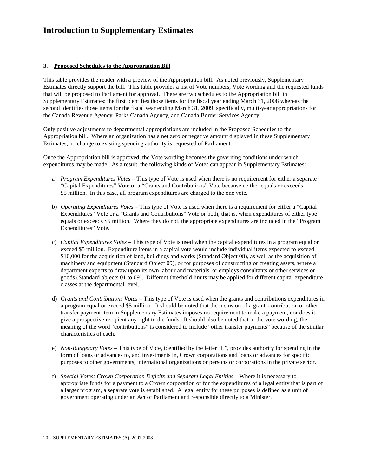## **3. Proposed Schedules to the Appropriation Bill**

This table provides the reader with a preview of the Appropriation bill. As noted previously, Supplementary Estimates directly support the bill. This table provides a list of Vote numbers, Vote wording and the requested funds that will be proposed to Parliament for approval. There are two schedules to the Appropriation bill in Supplementary Estimates: the first identifies those items for the fiscal year ending March 31, 2008 whereas the second identifies those items for the fiscal year ending March 31, 2009, specifically, multi-year appropriations for the Canada Revenue Agency, Parks Canada Agency, and Canada Border Services Agency.

Only positive adjustments to departmental appropriations are included in the Proposed Schedules to the Appropriation bill. Where an organization has a net zero or negative amount displayed in these Supplementary Estimates, no change to existing spending authority is requested of Parliament.

Once the Appropriation bill is approved, the Vote wording becomes the governing conditions under which expenditures may be made. As a result, the following kinds of Votes can appear in Supplementary Estimates:

- a) *Program Expenditures Votes* This type of Vote is used when there is no requirement for either a separate "Capital Expenditures" Vote or a "Grants and Contributions" Vote because neither equals or exceeds \$5 million. In this case, all program expenditures are charged to the one vote.
- b) *Operating Expenditures Votes* This type of Vote is used when there is a requirement for either a "Capital Expenditures" Vote or a "Grants and Contributions" Vote or both; that is, when expenditures of either type equals or exceeds \$5 million. Where they do not, the appropriate expenditures are included in the "Program Expenditures" Vote.
- c) *Capital Expenditures Votes*  This type of Vote is used when the capital expenditures in a program equal or exceed \$5 million. Expenditure items in a capital vote would include individual items expected to exceed \$10,000 for the acquisition of land, buildings and works (Standard Object 08), as well as the acquisition of machinery and equipment (Standard Object 09), or for purposes of constructing or creating assets, where a department expects to draw upon its own labour and materials, or employs consultants or other services or goods (Standard objects 01 to 09). Different threshold limits may be applied for different capital expenditure classes at the departmental level.
- d) *Grants and Contributions Votes* This type of Vote is used when the grants and contributions expenditures in a program equal or exceed \$5 million. It should be noted that the inclusion of a grant, contribution or other transfer payment item in Supplementary Estimates imposes no requirement to make a payment, nor does it give a prospective recipient any right to the funds. It should also be noted that in the vote wording, the meaning of the word "contributions" is considered to include "other transfer payments" because of the similar characteristics of each.
- e) *Non-Budgetary Votes* This type of Vote, identified by the letter "L", provides authority for spending in the form of loans or advances to, and investments in, Crown corporations and loans or advances for specific purposes to other governments, international organizations or persons or corporations in the private sector.
- f) *Special Votes: Crown Corporation Deficits and Separate Legal Entities –* Where it is necessary to appropriate funds for a payment to a Crown corporation or for the expenditures of a legal entity that is part of a larger program, a separate vote is established. A legal entity for these purposes is defined as a unit of government operating under an Act of Parliament and responsible directly to a Minister.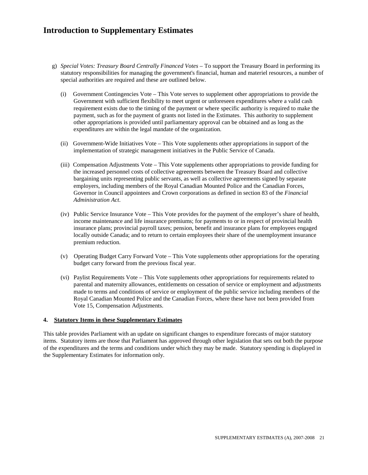- g) *Special Votes: Treasury Board Centrally Financed Votes* To support the Treasury Board in performing its statutory responsibilities for managing the government's financial, human and materiel resources, a number of special authorities are required and these are outlined below.
	- (i) Government Contingencies Vote This Vote serves to supplement other appropriations to provide the Government with sufficient flexibility to meet urgent or unforeseen expenditures where a valid cash requirement exists due to the timing of the payment or where specific authority is required to make the payment, such as for the payment of grants not listed in the Estimates. This authority to supplement other appropriations is provided until parliamentary approval can be obtained and as long as the expenditures are within the legal mandate of the organization.
	- (ii) Government-Wide Initiatives Vote This Vote supplements other appropriations in support of the implementation of strategic management initiatives in the Public Service of Canada.
	- (iii) Compensation Adjustments Vote This Vote supplements other appropriations to provide funding for the increased personnel costs of collective agreements between the Treasury Board and collective bargaining units representing public servants, as well as collective agreements signed by separate employers, including members of the Royal Canadian Mounted Police and the Canadian Forces, Governor in Council appointees and Crown corporations as defined in section 83 of the *Financial Administration Act*.
	- (iv) Public Service Insurance Vote This Vote provides for the payment of the employer's share of health, income maintenance and life insurance premiums; for payments to or in respect of provincial health insurance plans; provincial payroll taxes; pension, benefit and insurance plans for employees engaged locally outside Canada; and to return to certain employees their share of the unemployment insurance premium reduction.
	- (v) Operating Budget Carry Forward Vote This Vote supplements other appropriations for the operating budget carry forward from the previous fiscal year.
	- (vi) Paylist Requirements Vote This Vote supplements other appropriations for requirements related to parental and maternity allowances, entitlements on cessation of service or employment and adjustments made to terms and conditions of service or employment of the public service including members of the Royal Canadian Mounted Police and the Canadian Forces, where these have not been provided from Vote 15, Compensation Adjustments.

## **4. Statutory Items in these Supplementary Estimates**

This table provides Parliament with an update on significant changes to expenditure forecasts of major statutory items. Statutory items are those that Parliament has approved through other legislation that sets out both the purpose of the expenditures and the terms and conditions under which they may be made. Statutory spending is displayed in the Supplementary Estimates for information only.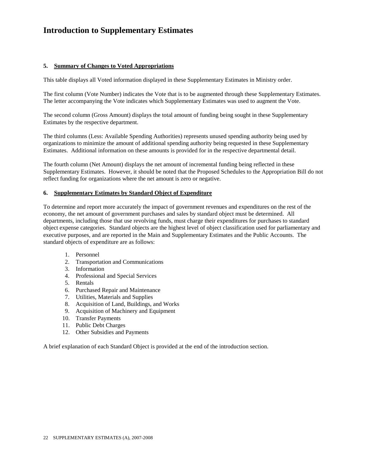## **5. Summary of Changes to Voted Appropriations**

This table displays all Voted information displayed in these Supplementary Estimates in Ministry order.

The first column (Vote Number) indicates the Vote that is to be augmented through these Supplementary Estimates. The letter accompanying the Vote indicates which Supplementary Estimates was used to augment the Vote.

The second column (Gross Amount) displays the total amount of funding being sought in these Supplementary Estimates by the respective department.

The third columns (Less: Available Spending Authorities) represents unused spending authority being used by organizations to minimize the amount of additional spending authority being requested in these Supplementary Estimates. Additional information on these amounts is provided for in the respective departmental detail.

The fourth column (Net Amount) displays the net amount of incremental funding being reflected in these Supplementary Estimates. However, it should be noted that the Proposed Schedules to the Appropriation Bill do not reflect funding for organizations where the net amount is zero or negative.

#### **6. Supplementary Estimates by Standard Object of Expenditure**

To determine and report more accurately the impact of government revenues and expenditures on the rest of the economy, the net amount of government purchases and sales by standard object must be determined. All departments, including those that use revolving funds, must charge their expenditures for purchases to standard object expense categories. Standard objects are the highest level of object classification used for parliamentary and executive purposes, and are reported in the Main and Supplementary Estimates and the Public Accounts. The standard objects of expenditure are as follows:

- 1. Personnel
- 2. Transportation and Communications
- 3. Information
- 4. Professional and Special Services
- 5. Rentals
- 6. Purchased Repair and Maintenance
- 7. Utilities, Materials and Supplies
- 8. Acquisition of Land, Buildings, and Works
- 9. Acquisition of Machinery and Equipment
- 10. Transfer Payments
- 11. Public Debt Charges
- 12. Other Subsidies and Payments

A brief explanation of each Standard Object is provided at the end of the introduction section.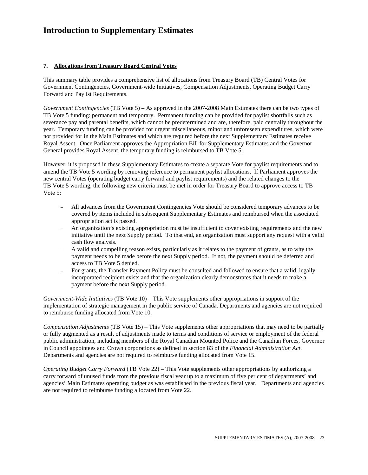## **7. Allocations from Treasury Board Central Votes**

This summary table provides a comprehensive list of allocations from Treasury Board (TB) Central Votes for Government Contingencies, Government-wide Initiatives, Compensation Adjustments, Operating Budget Carry Forward and Paylist Requirements.

*Government Contingencies* (TB Vote 5) – As approved in the 2007-2008 Main Estimates there can be two types of TB Vote 5 funding: permanent and temporary. Permanent funding can be provided for paylist shortfalls such as severance pay and parental benefits, which cannot be predetermined and are, therefore, paid centrally throughout the year. Temporary funding can be provided for urgent miscellaneous, minor and unforeseen expenditures, which were not provided for in the Main Estimates and which are required before the next Supplementary Estimates receive Royal Assent. Once Parliament approves the Appropriation Bill for Supplementary Estimates and the Governor General provides Royal Assent, the temporary funding is reimbursed to TB Vote 5.

However, it is proposed in these Supplementary Estimates to create a separate Vote for paylist requirements and to amend the TB Vote 5 wording by removing reference to permanent paylist allocations. If Parliament approves the new central Votes (operating budget carry forward and paylist requirements) and the related changes to the TB Vote 5 wording, the following new criteria must be met in order for Treasury Board to approve access to TB Vote 5:

- All advances from the Government Contingencies Vote should be considered temporary advances to be covered by items included in subsequent Supplementary Estimates and reimbursed when the associated appropriation act is passed.
- An organization's existing appropriation must be insufficient to cover existing requirements and the new initiative until the next Supply period. To that end, an organization must support any request with a valid cash flow analysis.
- A valid and compelling reason exists, particularly as it relates to the payment of grants, as to why the payment needs to be made before the next Supply period. If not, the payment should be deferred and access to TB Vote 5 denied.
- For grants, the Transfer Payment Policy must be consulted and followed to ensure that a valid, legally incorporated recipient exists and that the organization clearly demonstrates that it needs to make a payment before the next Supply period.

*Government-Wide Initiatives* (TB Vote 10) – This Vote supplements other appropriations in support of the implementation of strategic management in the public service of Canada. Departments and agencies are not required to reimburse funding allocated from Vote 10.

*Compensation Adjustments* (TB Vote 15) – This Vote supplements other appropriations that may need to be partially or fully augmented as a result of adjustments made to terms and conditions of service or employment of the federal public administration, including members of the Royal Canadian Mounted Police and the Canadian Forces, Governor in Council appointees and Crown corporations as defined in section 83 of the *Financial Administration Act*. Departments and agencies are not required to reimburse funding allocated from Vote 15.

*Operating Budget Carry Forward* (TB Vote 22) – This Vote supplements other appropriations by authorizing a carry forward of unused funds from the previous fiscal year up to a maximum of five per cent of departments' and agencies' Main Estimates operating budget as was established in the previous fiscal year. Departments and agencies are not required to reimburse funding allocated from Vote 22.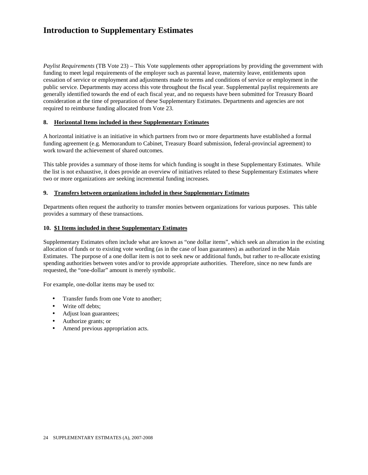*Paylist Requirements* (TB Vote 23) – This Vote supplements other appropriations by providing the government with funding to meet legal requirements of the employer such as parental leave, maternity leave, entitlements upon cessation of service or employment and adjustments made to terms and conditions of service or employment in the public service. Departments may access this vote throughout the fiscal year. Supplemental paylist requirements are generally identified towards the end of each fiscal year, and no requests have been submitted for Treasury Board consideration at the time of preparation of these Supplementary Estimates. Departments and agencies are not required to reimburse funding allocated from Vote 23.

## **8. Horizontal Items included in these Supplementary Estimates**

A horizontal initiative is an initiative in which partners from two or more departments have established a formal funding agreement (e.g. Memorandum to Cabinet, Treasury Board submission, federal-provincial agreement) to work toward the achievement of shared outcomes.

This table provides a summary of those items for which funding is sought in these Supplementary Estimates. While the list is not exhaustive, it does provide an overview of initiatives related to these Supplementary Estimates where two or more organizations are seeking incremental funding increases.

## **9. Transfers between organizations included in these Supplementary Estimates**

Departments often request the authority to transfer monies between organizations for various purposes. This table provides a summary of these transactions.

#### **10. \$1 Items included in these Supplementary Estimates**

Supplementary Estimates often include what are known as "one dollar items", which seek an alteration in the existing allocation of funds or to existing vote wording (as in the case of loan guarantees) as authorized in the Main Estimates. The purpose of a one dollar item is not to seek new or additional funds, but rather to re-allocate existing spending authorities between votes and/or to provide appropriate authorities. Therefore, since no new funds are requested, the "one-dollar" amount is merely symbolic.

For example, one-dollar items may be used to:

- Transfer funds from one Vote to another;
- Write off debts:
- Adjust loan guarantees;
- Authorize grants; or
- Amend previous appropriation acts.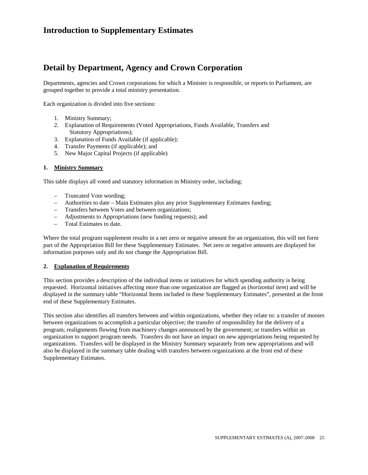## **Detail by Department, Agency and Crown Corporation**

Departments, agencies and Crown corporations for which a Minister is responsible, or reports to Parliament, are grouped together to provide a total ministry presentation.

Each organization is divided into five sections:

- 1. Ministry Summary;
- 2. Explanation of Requirements (Voted Appropriations, Funds Available, Transfers and Statutory Appropriations);
- 3. Explanation of Funds Available (if applicable);
- 4. Transfer Payments (if applicable); and
- 5. New Major Capital Projects (if applicable)

#### **1. Ministry Summary**

This table displays all voted and statutory information in Ministry order, including:

- Truncated Vote wording;
- Authorities to date Main Estimates plus any prior Supplementary Estimates funding;
- Transfers between Votes and between organizations;
- Adjustments to Appropriations (new funding requests); and
- Total Estimates to date.

Where the total program supplement results in a net zero or negative amount for an organization, this will not form part of the Appropriation Bill for these Supplementary Estimates. Net zero or negative amounts are displayed for information purposes only and do not change the Appropriation Bill.

## **2. Explanation of Requirements**

This section provides a description of the individual items or initiatives for which spending authority is being requested. Horizontal initiatives affecting more than one organization are flagged as (*horizontal item*) and will be displayed in the summary table "Horizontal Items included in these Supplementary Estimates", presented at the front end of these Supplementary Estimates.

This section also identifies all transfers between and within organizations, whether they relate to: a transfer of monies between organizations to accomplish a particular objective; the transfer of responsibility for the delivery of a program; realignments flowing from machinery changes announced by the government; or transfers within an organization to support program needs. Transfers do not have an impact on new appropriations being requested by organizations. Transfers will be displayed in the Ministry Summary separately from new appropriations and will also be displayed in the summary table dealing with transfers between organizations at the front end of these Supplementary Estimates.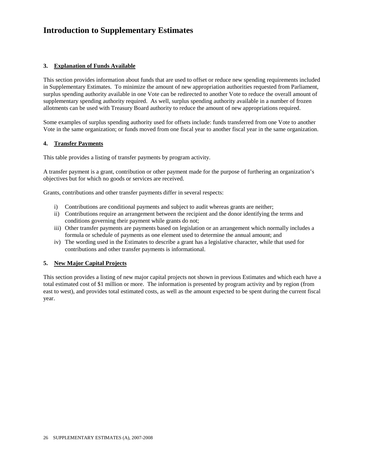## **3. Explanation of Funds Available**

This section provides information about funds that are used to offset or reduce new spending requirements included in Supplementary Estimates. To minimize the amount of new appropriation authorities requested from Parliament, surplus spending authority available in one Vote can be redirected to another Vote to reduce the overall amount of supplementary spending authority required. As well, surplus spending authority available in a number of frozen allotments can be used with Treasury Board authority to reduce the amount of new appropriations required.

Some examples of surplus spending authority used for offsets include: funds transferred from one Vote to another Vote in the same organization; or funds moved from one fiscal year to another fiscal year in the same organization.

#### **4. Transfer Payments**

This table provides a listing of transfer payments by program activity.

A transfer payment is a grant, contribution or other payment made for the purpose of furthering an organization's objectives but for which no goods or services are received.

Grants, contributions and other transfer payments differ in several respects:

- i) Contributions are conditional payments and subject to audit whereas grants are neither;
- ii) Contributions require an arrangement between the recipient and the donor identifying the terms and conditions governing their payment while grants do not;
- iii) Other transfer payments are payments based on legislation or an arrangement which normally includes a formula or schedule of payments as one element used to determine the annual amount; and
- iv) The wording used in the Estimates to describe a grant has a legislative character, while that used for contributions and other transfer payments is informational.

## **5. New Major Capital Projects**

This section provides a listing of new major capital projects not shown in previous Estimates and which each have a total estimated cost of \$1 million or more. The information is presented by program activity and by region (from east to west), and provides total estimated costs, as well as the amount expected to be spent during the current fiscal year.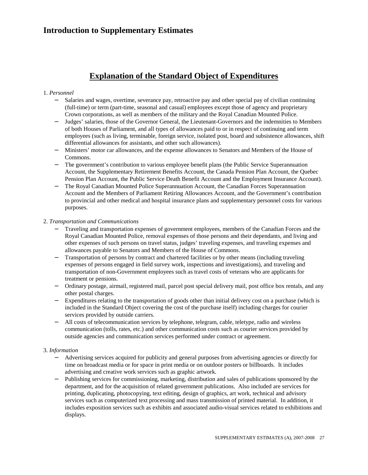## **Explanation of the Standard Object of Expenditures**

## 1. *Personnel*

- Salaries and wages, overtime, severance pay, retroactive pay and other special pay of civilian continuing (full-time) or term (part-time, seasonal and casual) employees except those of agency and proprietary Crown corporations, as well as members of the military and the Royal Canadian Mounted Police.
- − Judges' salaries, those of the Governor General, the Lieutenant-Governors and the indemnities to Members of both Houses of Parliament, and all types of allowances paid to or in respect of continuing and term employees (such as living, terminable, foreign service, isolated post, board and subsistence allowances, shift differential allowances for assistants, and other such allowances).
- Ministers' motor car allowances, and the expense allowances to Senators and Members of the House of Commons.
- The government's contribution to various employee benefit plans (the Public Service Superannuation Account, the Supplementary Retirement Benefits Account, the Canada Pension Plan Account, the Quebec Pension Plan Account, the Public Service Death Benefit Account and the Employment Insurance Account).
- The Royal Canadian Mounted Police Superannuation Account, the Canadian Forces Superannuation Account and the Members of Parliament Retiring Allowances Account, and the Government's contribution to provincial and other medical and hospital insurance plans and supplementary personnel costs for various purposes.

## 2. *Transportation and Communications*

- Traveling and transportation expenses of government employees, members of the Canadian Forces and the Royal Canadian Mounted Police, removal expenses of those persons and their dependants, and living and other expenses of such persons on travel status, judges' traveling expenses, and traveling expenses and allowances payable to Senators and Members of the House of Commons.
- Transportation of persons by contract and chartered facilities or by other means (including traveling expenses of persons engaged in field survey work, inspections and investigations), and traveling and transportation of non-Government employees such as travel costs of veterans who are applicants for treatment or pensions.
- − Ordinary postage, airmail, registered mail, parcel post special delivery mail, post office box rentals, and any other postal charges.
- Expenditures relating to the transportation of goods other than initial delivery cost on a purchase (which is included in the Standard Object covering the cost of the purchase itself) including charges for courier services provided by outside carriers.
- − All costs of telecommunication services by telephone, telegram, cable, teletype, radio and wireless communication (tolls, rates, etc.) and other communication costs such as courier services provided by outside agencies and communication services performed under contract or agreement.

## 3. *Information*

- − Advertising services acquired for publicity and general purposes from advertising agencies or directly for time on broadcast media or for space in print media or on outdoor posters or billboards. It includes advertising and creative work services such as graphic artwork.
- − Publishing services for commissioning, marketing, distribution and sales of publications sponsored by the department, and for the acquisition of related government publications. Also included are services for printing, duplicating, photocopying, text editing, design of graphics, art work, technical and advisory services such as computerized text processing and mass transmission of printed material. In addition, it includes exposition services such as exhibits and associated audio-visual services related to exhibitions and displays.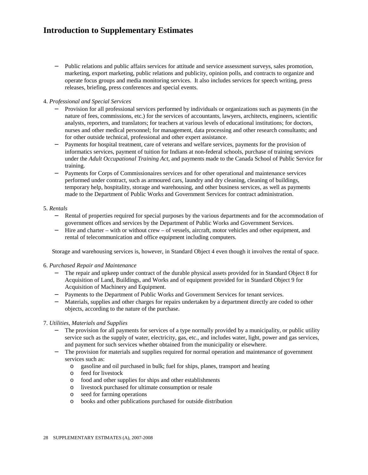Public relations and public affairs services for attitude and service assessment surveys, sales promotion, marketing, export marketing, public relations and publicity, opinion polls, and contracts to organize and operate focus groups and media monitoring services. It also includes services for speech writing, press releases, briefing, press conferences and special events.

## 4. *Professional and Special Services*

- Provision for all professional services performed by individuals or organizations such as payments (in the nature of fees, commissions, etc.) for the services of accountants, lawyers, architects, engineers, scientific analysts, reporters, and translators; for teachers at various levels of educational institutions; for doctors, nurses and other medical personnel; for management, data processing and other research consultants; and for other outside technical, professional and other expert assistance.
- Payments for hospital treatment, care of veterans and welfare services, payments for the provision of informatics services, payment of tuition for Indians at non-federal schools, purchase of training services under the *Adult Occupational Training Act*, and payments made to the Canada School of Public Service for training.
- − Payments for Corps of Commissionaires services and for other operational and maintenance services performed under contract, such as armoured cars, laundry and dry cleaning, cleaning of buildings, temporary help, hospitality, storage and warehousing, and other business services, as well as payments made to the Department of Public Works and Government Services for contract administration.

## 5. *Rentals*

- Rental of properties required for special purposes by the various departments and for the accommodation of government offices and services by the Department of Public Works and Government Services.
- − Hire and charter with or without crew of vessels, aircraft, motor vehicles and other equipment, and rental of telecommunication and office equipment including computers.

Storage and warehousing services is, however, in Standard Object 4 even though it involves the rental of space.

#### 6. *Purchased Repair and Maintenance*

- The repair and upkeep under contract of the durable physical assets provided for in Standard Object 8 for Acquisition of Land, Buildings, and Works and of equipment provided for in Standard Object 9 for Acquisition of Machinery and Equipment.
- − Payments to the Department of Public Works and Government Services for tenant services.
- − Materials, supplies and other charges for repairs undertaken by a department directly are coded to other objects, according to the nature of the purchase.

## 7. *Utilities, Materials and Supplies*

- − The provision for all payments for services of a type normally provided by a municipality, or public utility service such as the supply of water, electricity, gas, etc., and includes water, light, power and gas services, and payment for such services whether obtained from the municipality or elsewhere.
- The provision for materials and supplies required for normal operation and maintenance of government services such as:
	- o gasoline and oil purchased in bulk; fuel for ships, planes, transport and heating
	- o feed for livestock
	- o food and other supplies for ships and other establishments
	- o livestock purchased for ultimate consumption or resale
	- o seed for farming operations
	- o books and other publications purchased for outside distribution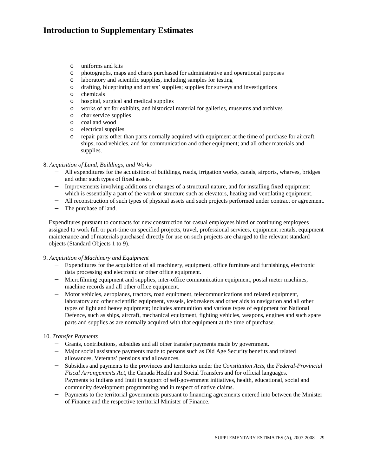- o uniforms and kits
- o photographs, maps and charts purchased for administrative and operational purposes
- o laboratory and scientific supplies, including samples for testing
- o drafting, blueprinting and artists' supplies; supplies for surveys and investigations
- o chemicals
- o hospital, surgical and medical supplies
- o works of art for exhibits, and historical material for galleries, museums and archives
- o char service supplies
- o coal and wood
- o electrical supplies
- o repair parts other than parts normally acquired with equipment at the time of purchase for aircraft, ships, road vehicles, and for communication and other equipment; and all other materials and supplies.

#### 8. *Acquisition of Land, Buildings, and Works*

- − All expenditures for the acquisition of buildings, roads, irrigation works, canals, airports, wharves, bridges and other such types of fixed assets.
- − Improvements involving additions or changes of a structural nature, and for installing fixed equipment which is essentially a part of the work or structure such as elevators, heating and ventilating equipment.
- − All reconstruction of such types of physical assets and such projects performed under contract or agreement.
- − The purchase of land.

Expenditures pursuant to contracts for new construction for casual employees hired or continuing employees assigned to work full or part-time on specified projects, travel, professional services, equipment rentals, equipment maintenance and of materials purchased directly for use on such projects are charged to the relevant standard objects (Standard Objects 1 to 9).

#### 9. *Acquisition of Machinery and Equipment*

- Expenditures for the acquisition of all machinery, equipment, office furniture and furnishings, electronic data processing and electronic or other office equipment.
- − Microfilming equipment and supplies, inter-office communication equipment, postal meter machines, machine records and all other office equipment.
- − Motor vehicles, aeroplanes, tractors, road equipment, telecommunications and related equipment, laboratory and other scientific equipment, vessels, icebreakers and other aids to navigation and all other types of light and heavy equipment; includes ammunition and various types of equipment for National Defence, such as ships, aircraft, mechanical equipment, fighting vehicles, weapons, engines and such spare parts and supplies as are normally acquired with that equipment at the time of purchase.

## 10. *Transfer Payments*

- − Grants, contributions, subsidies and all other transfer payments made by government.
- − Major social assistance payments made to persons such as Old Age Security benefits and related allowances, Veterans' pensions and allowances.
- − Subsidies and payments to the provinces and territories under the *Constitution Acts*, the *Federal-Provincial Fiscal Arrangements Act*, the Canada Health and Social Transfers and for official languages.
- − Payments to Indians and Inuit in support of self-government initiatives, health, educational, social and community development programming and in respect of native claims.
- Payments to the territorial governments pursuant to financing agreements entered into between the Minister of Finance and the respective territorial Minister of Finance.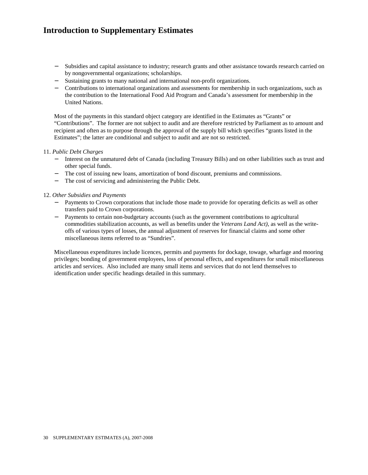- Subsidies and capital assistance to industry; research grants and other assistance towards research carried on by nongovernmental organizations; scholarships.
- − Sustaining grants to many national and international non-profit organizations.
- − Contributions to international organizations and assessments for membership in such organizations, such as the contribution to the International Food Aid Program and Canada's assessment for membership in the United Nations.

Most of the payments in this standard object category are identified in the Estimates as "Grants" or "Contributions". The former are not subject to audit and are therefore restricted by Parliament as to amount and recipient and often as to purpose through the approval of the supply bill which specifies "grants listed in the Estimates"; the latter are conditional and subject to audit and are not so restricted.

#### 11. *Public Debt Charges*

- − Interest on the unmatured debt of Canada (including Treasury Bills) and on other liabilities such as trust and other special funds.
- The cost of issuing new loans, amortization of bond discount, premiums and commissions.
- − The cost of servicing and administering the Public Debt.

## 12. *Other Subsidies and Payments*

- − Payments to Crown corporations that include those made to provide for operating deficits as well as other transfers paid to Crown corporations.
- − Payments to certain non-budgetary accounts (such as the government contributions to agricultural commodities stabilization accounts, as well as benefits under the *Veterans Land Act),* as well as the writeoffs of various types of losses, the annual adjustment of reserves for financial claims and some other miscellaneous items referred to as "Sundries".

Miscellaneous expenditures include licences, permits and payments for dockage, towage, wharfage and mooring privileges; bonding of government employees, loss of personal effects, and expenditures for small miscellaneous articles and services. Also included are many small items and services that do not lend themselves to identification under specific headings detailed in this summary.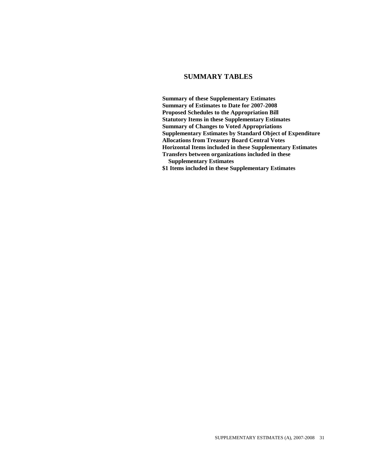## **SUMMARY TABLES**

**Summary of these Supplementary Estimates Summary of Estimates to Date for 2007-2008 Proposed Schedules to the Appropriation Bill Statutory Items in these Supplementary Estimates Summary of Changes to Voted Appropriations Supplementary Estimates by Standard Object of Expenditure Allocations from Treasury Board Central Votes Horizontal Items included in these Supplementary Estimates Transfers between organizations included in these Supplementary Estimates \$1 Items included in these Supplementary Estimates**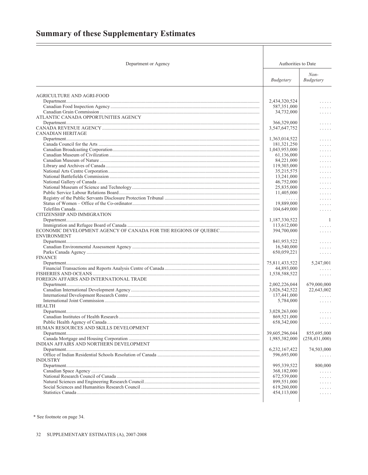# <span id="page-28-0"></span>**Summary of these Supplementary Estimates**

| Department or Agency                    | Authorities to Date            |                                            |
|-----------------------------------------|--------------------------------|--------------------------------------------|
|                                         | Budgetary                      | $Non-$<br>Budgetary                        |
| AGRICULTURE AND AGRI-FOOD               |                                |                                            |
|                                         | 2,434,320,524                  | .                                          |
|                                         | 587, 351, 000                  | .                                          |
|                                         | 34,732,000                     | .                                          |
| ATLANTIC CANADA OPPORTUNITIES AGENCY    |                                |                                            |
|                                         | 366,329,000<br>3,547,647,752   | .                                          |
| CANADIAN HERITAGE                       |                                | .                                          |
|                                         | 1,363,014,522                  | .                                          |
|                                         | 181, 321, 250                  | .                                          |
|                                         | 1,043,953,000                  | .                                          |
|                                         | 61,136,000                     | .                                          |
|                                         | 84,221,000                     | .                                          |
|                                         | 119,303,000                    | .                                          |
|                                         | 35, 215, 575                   | .                                          |
|                                         | 13,241,000                     | .                                          |
|                                         | 46,752,000<br>25,835,000       | .                                          |
|                                         | 11,405,000                     | .<br>.                                     |
|                                         | $\alpha$ , $\alpha$ , $\alpha$ | .                                          |
|                                         | 19,889,000                     | .                                          |
|                                         | 104,649,000                    | .                                          |
| CITIZENSHIP AND IMMIGRATION             |                                |                                            |
|                                         | 1,187,330,522                  | 1                                          |
|                                         | 113,612,000                    | .                                          |
| <b>ENVIRONMENT</b>                      | 394,700,000                    | .                                          |
|                                         | 841, 953, 522                  | .                                          |
|                                         | 16,540,000                     | 1.1.1.1                                    |
|                                         | 650,059,221                    | $\alpha$ is a set                          |
| <b>FINANCE</b>                          |                                |                                            |
|                                         | 75,811,433,522<br>44,893,000   | 5,247,001<br>.                             |
|                                         | 1,538,588,522                  | $\mathbb{Z}^2$ . The set of $\mathbb{Z}^2$ |
| FOREIGN AFFAIRS AND INTERNATIONAL TRADE |                                |                                            |
|                                         | 2,002,226,044                  | 679,000,000                                |
|                                         | 3,026,542,522                  | 22,643,002                                 |
|                                         | 137,441,000                    |                                            |
|                                         | 5,784,000                      | $\mathbb{Z}^2$ . The set of $\mathbb{Z}^2$ |
| <b>HEALTH</b>                           |                                |                                            |
|                                         | 3,028,263,000                  | $\ldots$                                   |
|                                         | 869,521,000                    | .                                          |
| HUMAN RESOURCES AND SKILLS DEVELOPMENT  | 658, 342, 000                  | .                                          |
|                                         | 39,605,296,044                 | 855,695,000                                |
|                                         | 1,985,382,000                  | (258, 431, 000)                            |
| INDIAN AFFAIRS AND NORTHERN DEVELOPMENT |                                |                                            |
|                                         | 6, 232, 167, 422               | 74,503,000                                 |
| <b>INDUSTRY</b>                         | 596,693,000                    |                                            |
|                                         | 995, 339, 522                  | 800,000                                    |
|                                         | 368,182,000                    | .                                          |
|                                         | 672,539,000                    | $\ldots$ .                                 |
|                                         | 899,551,000                    | $\ldots$ .                                 |
|                                         | 619,260,000                    | $\ldots$ .                                 |
|                                         | 454,113,000                    |                                            |

 $\equiv$ 

\* See footnote on page 34.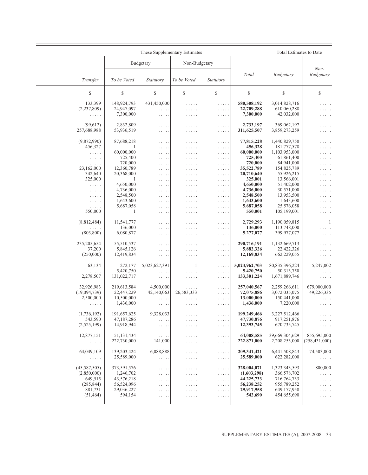|                                        | These Supplementary Estimates |                                     |                                                                    | Total Estimates to Date |                          |                              |                             |
|----------------------------------------|-------------------------------|-------------------------------------|--------------------------------------------------------------------|-------------------------|--------------------------|------------------------------|-----------------------------|
|                                        |                               | Budgetary                           | Non-Budgetary                                                      |                         |                          |                              | $Non-$                      |
| Transfer                               | To be Voted                   | <i>Statutory</i>                    | To be Voted                                                        | Statutory               | Total                    | Budgetary                    | Budgetary                   |
| \$                                     | \$                            | \$                                  | \$                                                                 | \$                      | \$                       | \$                           | \$                          |
| 133,399                                | 148,924,793                   | 431,450,000                         | $\mathbb{Z}^2$ . $\mathbb{Z}^2$ , $\mathbb{Z}^2$                   | .                       | 580,508,192              | 3,014,828,716                | .                           |
| (2, 237, 809)                          | 24,947,097                    | $\alpha$ , $\alpha$ , $\alpha$      | $\mathbb{Z}^2$ . The set of $\mathbb{Z}^2$                         | .                       | 22,709,288               | 610,060,288                  | .                           |
| .                                      | 7,300,000                     | $\ldots$                            | $\ldots$                                                           | .                       | 7,300,000                | 42,032,000                   | .                           |
| (99,612)                               | 2,832,809                     | .                                   | $\ldots$                                                           | $\ldots$                | 2,733,197                | 369,062,197                  | .                           |
| 257,688,988                            | 53,936,519                    | .                                   | $\alpha$ is a second                                               | .                       | 311,625,507              | 3,859,273,259                | .                           |
|                                        |                               |                                     |                                                                    |                         |                          |                              |                             |
| (9,872,990)<br>456,327                 | 87,688,218                    | .<br>$\alpha$ , $\alpha$ , $\alpha$ | $\alpha$ is a second<br>$\ldots$                                   | .<br>.                  | 77,815,228<br>456,328    | 1,440,829,750<br>181,777,578 | .<br>.                      |
| $\mathbb{Z}^2$ . In the $\mathbb{Z}^2$ | 60,000,000                    | $\ldots$                            | $\alpha$ is a second                                               | .                       | 60,000,000               | 1,103,953,000                | .                           |
| .                                      | 725,400                       | .                                   | $\alpha$ is a second                                               | .                       | 725,400                  | 61,861,400                   | .                           |
| .                                      | 720,000                       | $\ldots$                            | $\alpha$ is a second                                               | .                       | 720,000                  | 84,941,000                   | .                           |
| 23,162,000                             | 12,360,789                    | .                                   | $\mathbb{Z}^2$ . The set of $\mathbb{Z}^2$                         | .                       | 35,522,789               | 154,825,789                  | .                           |
| 342,640                                | 20,368,000                    | .                                   | $\alpha$ is a second                                               | .                       | 20,710,640               | 55,926,215                   | .                           |
| 325,000                                | 1                             | $\ldots$                            | $\alpha$ is a second                                               | .                       | 325,001                  | 13,566,001                   | .                           |
| $\ldots$                               | 4,650,000                     | $\ldots$                            | $\alpha$ is a second                                               | .                       | 4,650,000                | 51,402,000                   | .                           |
| $\alpha$ , $\alpha$ , $\alpha$         | 4,736,000                     | $\ldots$                            | $\alpha$ is a second                                               | .                       | 4,736,000                | 30,571,000                   | .                           |
| .                                      | 2,548,500                     | $\ldots$                            | $\alpha$ is a second                                               | .                       | 2,548,500                | 13,953,500                   | .                           |
| .                                      | 1,643,600                     | .                                   | $\alpha$ is a second                                               | .                       | 1,643,600                | 1,643,600                    | .                           |
| $\ldots$<br>550,000                    | 5,687,058<br>1                | .                                   | $\alpha$ is a second                                               | .                       | 5,687,058<br>550,001     | 25,576,058<br>105,199,001    | .                           |
|                                        |                               | .                                   | $\alpha$ is a second                                               | .                       |                          |                              | .                           |
| (8,812,484)                            | 11,541,777                    | .                                   | $\alpha$ is a second                                               | .                       | 2,729,293                | 1,190,059,815                | $\mathbf{1}$                |
| .                                      | 136,000                       | $\ldots$                            | $\alpha$ is a second                                               | .                       | 136,000                  | 113,748,000                  | .                           |
| (803, 800)                             | 6,080,877                     | .                                   | $\ldots$                                                           | .                       | 5,277,077                | 399,977,077                  | .                           |
|                                        |                               |                                     |                                                                    |                         |                          | 1,132,669,713                |                             |
| 235, 205, 654<br>37,200                | 55,510,537<br>5,845,126       | .                                   | $\alpha$ is a second                                               | .                       | 290,716,191<br>5,882,326 | 22,422,326                   | .                           |
| (250,000)                              | 12,419,834                    | $\ldots$<br>$\alpha$ is a set       | $\alpha$ is a second<br>$\mathbb{Z}^2$ . The set of $\mathbb{Z}^2$ | .<br>$\ldots$           | 12,169,834               | 662,229,055                  | .<br>.                      |
|                                        |                               |                                     |                                                                    |                         |                          |                              |                             |
| 63,134                                 | 272,177                       | 5,023,627,391                       | 1                                                                  | .                       | 5,023,962,703            | 80,835,396,224               | 5,247,002                   |
| .                                      | 5,420,750                     | $\alpha$ , $\alpha$ , $\alpha$      | $\mathbb{Z}^2$ . The set of $\mathbb{Z}^2$                         | .                       | 5,420,750                | 50, 313, 750                 | .                           |
| 2,278,507                              | 131,022,717                   | $\epsilon$ is a set                 | $\mathbb{Z}^2$ . The set of $\mathbb{Z}^2$                         | .                       | 133,301,224              | 1,671,889,746                | .                           |
| 32,926,983                             | 219,613,584                   | 4,500,000                           | $\ldots$                                                           | .                       | 257,040,567              | 2,259,266,611                | 679,000,000                 |
| (19,094,739)                           | 22,447,229                    | 42,140,063                          | 26,583,333                                                         | .                       | 72,075,886               | 3,072,035,075                | 49,226,335                  |
| 2,500,000                              | 10,500,000                    | $\alpha$ , $\alpha$ , $\alpha$      | $\ldots$                                                           | .                       | 13,000,000               | 150,441,000                  | .                           |
| $\ldots$                               | 1,436,000                     | $\alpha$ , $\alpha$ , $\alpha$      | $\ldots$                                                           | .                       | 1,436,000                | 7,220,000                    | .                           |
|                                        |                               |                                     |                                                                    |                         |                          |                              |                             |
| (1,736,192)                            | 191,657,625                   | 9,328,033                           | $\ldots$                                                           | $\ldots$                | 199,249,466              | 3,227,512,466                | .                           |
| 543,590<br>(2,525,199)                 | 47,187,286                    |                                     | $\ldots$                                                           | .                       | 47,730,876               | 917,251,876<br>670,735,745   | .                           |
|                                        | 14,918,944                    | .                                   | .                                                                  | .                       | 12,393,745               |                              | $\sim$ $\sim$ $\sim$ $\sim$ |
| 12,877,151                             | 51,131,434                    | .                                   | .                                                                  | .                       | 64,008,585               | 39,669,304,629               | 855,695,000                 |
| .                                      | 222,730,000                   | 141,000                             | .                                                                  | $\ldots$                | 222,871,000              | 2,208,253,000                | (258, 431, 000)             |
|                                        |                               |                                     |                                                                    |                         |                          |                              |                             |
| 64,049,109                             | 139,203,424                   | 6,088,888                           | .                                                                  | $\ldots$                | 209,341,421              | 6,441,508,843                | 74,503,000                  |
| .                                      | 25,589,000                    | $\ldots$                            | .                                                                  | $\ldots$                | 25,589,000               | 622,282,000                  |                             |
| (45,587,505)                           | 373,591,576                   | .                                   | $\ldots$                                                           | .                       | 328,004,071              | 1,323,343,593                | 800,000                     |
| (2,850,000)                            | 1,246,702                     |                                     | $\cdots$                                                           | .                       | (1,603,298)              | 366,578,702                  | .                           |
| 649,515                                | 43,576,218                    |                                     | .                                                                  | .                       | 44,225,733               | 716,764,733                  | .                           |
| (285, 844)                             | 56,524,096                    |                                     | $\ldots$                                                           | .                       | 56,238,252               | 955,789,252                  | .                           |
| 881,731                                | 29,036,227                    | $\ldots$                            | $\alpha$ is a second                                               | .                       | 29,917,958               | 649,177,958                  | $\ldots$ .                  |
| (51, 464)                              | 594,154                       |                                     | $\ldots$                                                           | .                       | 542,690                  | 454,655,690                  | $\ldots$ .                  |
|                                        |                               |                                     |                                                                    |                         |                          |                              |                             |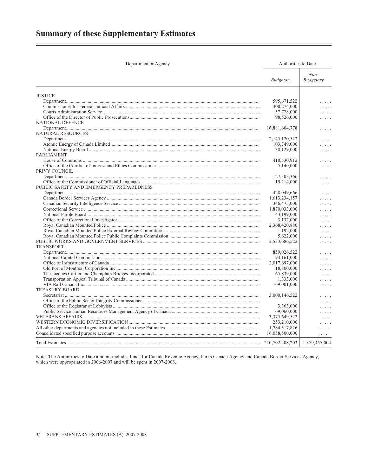## **Summary of these Supplementary Estimates**

| Department or Agency                     | Authorities to Date     |                     |
|------------------------------------------|-------------------------|---------------------|
|                                          | Budgetary               | $Non-$<br>Budgetary |
| <b>JUSTICE</b>                           |                         |                     |
|                                          | 595,671,522             | .                   |
|                                          | 400,274,000             | .                   |
|                                          | 57,728,000              | .                   |
|                                          | 98,526,000              | .                   |
| NATIONAL DEFENCE                         |                         |                     |
|                                          | 16,881,604,778          | .                   |
| <b>NATURAL RESOURCES</b>                 |                         |                     |
|                                          | 2,145,120,522           | .                   |
|                                          | 103,749,000             | .                   |
|                                          | 38,129,000              | .                   |
| <b>PARLIAMENT</b>                        |                         |                     |
|                                          | 410,530,912             | .                   |
|                                          | 5,140,000               | .                   |
| PRIVY COUNCIL                            |                         |                     |
|                                          | 127, 303, 366           | .                   |
|                                          | 19,214,000              | .                   |
| PUBLIC SAFETY AND EMERGENCY PREPAREDNESS |                         |                     |
|                                          | 428,049,666             | .                   |
|                                          | 1,613,234,157           | .                   |
|                                          | 346,475,000             | .                   |
|                                          | 1,870,033,000           | .                   |
|                                          | 43,199,000              | .                   |
|                                          | 3,132,000               | .                   |
|                                          | 2,368,420,880           | .                   |
|                                          | 1,192,000               | .                   |
|                                          | 5,622,000               | .                   |
|                                          | 2,533,686,522           | .                   |
| <b>TRANSPORT</b>                         |                         |                     |
|                                          | 859,026,522             | .                   |
|                                          | 94, 161, 000            | .                   |
|                                          | 2,017,697,000           | .                   |
|                                          | 18,800,000              | .                   |
|                                          | 65,839,000<br>1,333,000 | .                   |
|                                          | 169,001,000             | .                   |
| <b>TREASURY BOARD</b>                    |                         | .                   |
|                                          | 3,000,146,522           | .                   |
|                                          |                         | .                   |
|                                          | 3,363,000               | .                   |
|                                          | 69,060,000              | .                   |
|                                          | 3, 375, 649, 522        | .                   |
|                                          | 253,210,000             | .                   |
|                                          | 1,784,317,826           | .                   |
|                                          | 16,058,500,000          | $\ldots$            |
|                                          | 210,702,208,203         | 1,379,457,004       |

Note: The Authorities to Date amount includes funds for Canada Revenue Agency, Parks Canada Agency and Canada Border Services Agency, which were appropriated in 2006-2007 and will be spent in 2007-2008.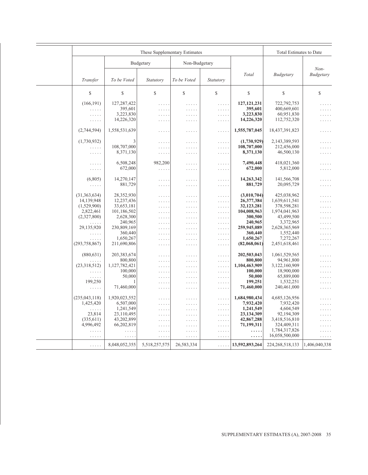| These Supplementary Estimates                                        |                                                            |                    |                                            | Total Estimates to Date        |                                                                           |                                                              |                                                       |
|----------------------------------------------------------------------|------------------------------------------------------------|--------------------|--------------------------------------------|--------------------------------|---------------------------------------------------------------------------|--------------------------------------------------------------|-------------------------------------------------------|
| Transfer                                                             | Budgetary<br>To be Voted<br>Statutory                      |                    | Non-Budgetary<br>To be Voted               | Statutory                      | Total                                                                     | Budgetary                                                    | Non-<br>Budgetary                                     |
| \$                                                                   | \$                                                         | \$                 | \$                                         | \$                             | \$                                                                        | \$                                                           | \$                                                    |
| (166, 191)<br>.<br>$\mathbb{R}^n$ . In the $\mathbb{R}^n$<br>.       | 127,287,422<br>395,601<br>3,223,830<br>14,226,320          | .<br>.<br>.<br>.   | .<br>.<br>$\ldots$<br>.                    | $\cdots$<br>.<br>$\ldots$<br>. | 127, 121, 231<br>395,601<br>3,223,830<br>14,226,320                       | 722,792,753<br>400,669,601<br>60,951,830<br>112,752,320      | .<br>.<br>.                                           |
| (2,744,594)                                                          | 1,558,531,639                                              | .                  | $\mathbb{Z}^2$ . The set of $\mathbb{Z}^2$ | .                              | 1,555,787,045                                                             | 18,437,391,823                                               | .                                                     |
| (1,730,932)<br>$\ldots$<br>.                                         | 108,707,000<br>8,371,130                                   | $\ldots$<br>.<br>. | $\ldots$<br>.<br>$\cdots$                  | $\ldots$<br>.<br>.             | (1,730,929)<br>108,707,000<br>8,371,130                                   | 2,143,389,593<br>212,456,000<br>46,500,130                   | .<br>.<br>$\cdots$                                    |
| .<br>.                                                               | 6,508,248<br>672,000                                       | 982,200<br>.       | .<br>.                                     | .<br>.                         | 7,490,448<br>672,000                                                      | 418,021,360<br>5,812,000                                     | .<br>.                                                |
| (6,805)<br>.                                                         | 14,270,147<br>881,729                                      | .<br>.             | $\ldots$<br>.                              | $\ldots$<br>.                  | 14,263,342<br>881,729                                                     | 141,566,708<br>20,095,729                                    | .<br>.                                                |
| (31,363,634)<br>14,139,948<br>(1,529,900)<br>2,822,461               | 28,352,930<br>12,237,436<br>33,653,181                     | .<br>.<br>.        | .<br>.<br>.                                | .<br>.<br>.                    | (3,010,704)<br>26,377,384<br>32,123,281<br>104,008,963                    | 425,038,962<br>1,639,611,541<br>378,598,281<br>1,974,041,963 | .<br>.                                                |
| (2,327,800)<br>.                                                     | 101,186,502<br>2,628,300<br>240,965                        | 1.1.1.1<br>.<br>.  | .<br>$\ldots$<br>.                         | .<br>.<br>.                    | 300,500<br>240,965<br>259,945,089<br>360,440<br>1,650,267<br>(82,068,061) | 43,499,500<br>3,372,965                                      | .<br>.<br>.                                           |
| 29,135,920<br>.                                                      | 230,809,169<br>360,440<br>1,650,267                        | .<br>.             | .<br>.                                     | .<br>.                         |                                                                           | 2,628,365,969<br>1,552,440<br>7,272,267                      | .<br>.                                                |
| .<br>(293,758,867)                                                   | 211,690,806                                                | .<br>.             | .<br>.                                     | .<br>.                         |                                                                           | 2,451,618,461                                                | .<br>.                                                |
| (880, 631)<br>(23,318,512)                                           | 203,383,674<br>800,800<br>1,127,782,421                    | .<br>.<br>.        | .<br>.<br>.                                | .<br>.<br>.                    | 202,503,043<br>800,800<br>1,104,463,909                                   | 1,061,529,565<br>94,961,800<br>3,122,160,909                 | .<br>.<br>.                                           |
| .<br>.                                                               | 100,000<br>50,000                                          | .<br>.             | $\cdots$<br>.                              | .<br>.                         | 100,000<br>50,000                                                         | 18,900,000<br>65,889,000                                     | .<br>.                                                |
| 199,250<br>$\mathbb{Z}^2$ . $\mathbb{Z}^2$ , $\mathbb{Z}^2$          | 1<br>71,460,000                                            | .<br>.             | .<br>.                                     | $\ldots$<br>.                  | 199,251<br>71,460,000                                                     | 1,532,251<br>240,461,000                                     | .<br>$\mathbb{R}^2$ . $\mathbb{R}^2$ , $\mathbb{R}^2$ |
| (235,043,118)<br>1,425,420<br>.<br>23,814                            | 1,920,023,552<br>6,507,000<br>1,241,549<br>23,110,495      | .<br>.<br>.<br>.   | .<br>.<br>.<br>.                           | .<br>.<br>.<br>.               | 1,684,980,434<br>7,932,420<br>1,241,549<br>23,134,309                     | 4,685,126,956<br>7,932,420<br>4,604,549<br>92,194,309        | .<br>.<br>.<br>.                                      |
| (335,611)<br>4,996,492<br>$\mathbb{Z}^2$ . The set of $\mathbb{Z}^2$ | 43,202,899<br>66,202,819<br>$\alpha$ , $\alpha$ , $\alpha$ | .<br>.<br>.        | .<br>$\ldots$<br>.                         | .<br>.<br>.                    | 42,867,288<br>71,199,311<br>.                                             | 3,418,516,810<br>324,409,311<br>1,784,317,826                | .<br>$\mathbb{R}^n$ . In the $\mathbb{R}^n$<br>.      |
| $\ldots \ldots$<br>.                                                 | $\sim$ $\sim$ $\sim$<br>8,048,052,355                      | .<br>5,518,257,575 | $\alpha$ is a second<br>26,583,334         | .<br>$\ldots$                  | $\cdots$<br>13,592,893,264                                                | 16,058,500,000<br>224, 268, 518, 133                         | $\alpha$ , $\alpha$ , $\alpha$<br>1,406,040,338       |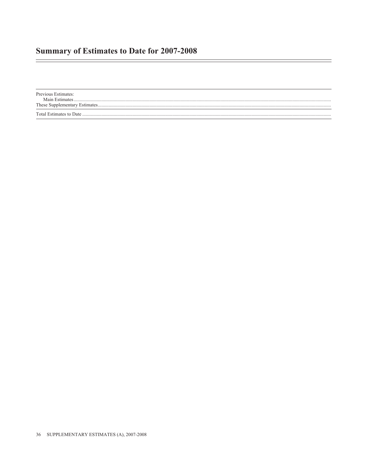# <span id="page-32-0"></span>**Summary of Estimates to Date for 2007-2008**

Previous Estimates: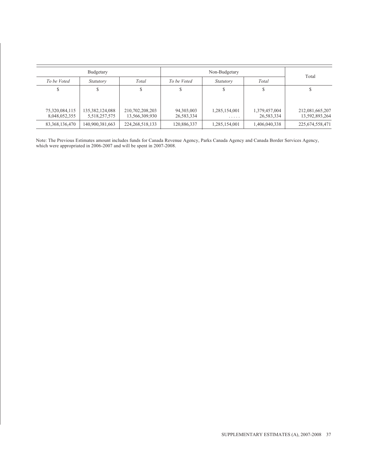|                                 | Budgetary                           |                                   |                          | Non-Budgetary      |                             |                                   |  |
|---------------------------------|-------------------------------------|-----------------------------------|--------------------------|--------------------|-----------------------------|-----------------------------------|--|
| To be Voted                     | Statutory                           | Total                             | To be Voted              | Statutory          | Total                       | Total                             |  |
|                                 |                                     | \$                                | \$                       |                    |                             |                                   |  |
|                                 |                                     |                                   |                          |                    |                             |                                   |  |
| 75,320,084,115<br>8,048,052,355 | 135, 382, 124, 088<br>5,518,257,575 | 210,702,208,203<br>13,566,309,930 | 94,303,003<br>26,583,334 | 1,285,154,001<br>. | 1,379,457,004<br>26,583,334 | 212,081,665,207<br>13,592,893,264 |  |
| 83, 368, 136, 470               | 140,900,381,663                     | 224, 268, 518, 133                | 120,886,337              | 1,285,154,001      | 1,406,040,338               | 225, 674, 558, 471                |  |

Note: The Previous Estimates amount includes funds for Canada Revenue Agency, Parks Canada Agency and Canada Border Services Agency, which were appropriated in 2006-2007 and will be spent in 2007-2008.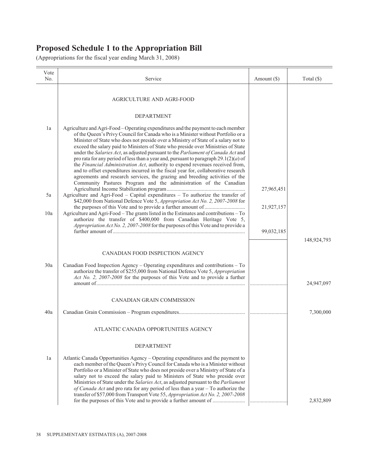# <span id="page-34-0"></span>**Proposed Schedule 1 to the Appropriation Bill**

(Appropriations for the fiscal year ending March 31, 2008)

| Vote<br>No. | Service                                                                                                                                                                                                                                                                                                                                                                                                                                                                                                                                                                                                                                                                                                                                                                                                                                                    | Amount (\$)              | Total $(\$)$ |
|-------------|------------------------------------------------------------------------------------------------------------------------------------------------------------------------------------------------------------------------------------------------------------------------------------------------------------------------------------------------------------------------------------------------------------------------------------------------------------------------------------------------------------------------------------------------------------------------------------------------------------------------------------------------------------------------------------------------------------------------------------------------------------------------------------------------------------------------------------------------------------|--------------------------|--------------|
|             | AGRICULTURE AND AGRI-FOOD                                                                                                                                                                                                                                                                                                                                                                                                                                                                                                                                                                                                                                                                                                                                                                                                                                  |                          |              |
|             | <b>DEPARTMENT</b>                                                                                                                                                                                                                                                                                                                                                                                                                                                                                                                                                                                                                                                                                                                                                                                                                                          |                          |              |
| 1a          | Agriculture and Agri-Food – Operating expenditures and the payment to each member<br>of the Queen's Privy Council for Canada who is a Minister without Portfolio or a<br>Minister of State who does not preside over a Ministry of State of a salary not to<br>exceed the salary paid to Ministers of State who preside over Ministries of State<br>under the Salaries Act, as adjusted pursuant to the Parliament of Canada Act and<br>pro rata for any period of less than a year and, pursuant to paragraph $29.1(2)(a)$ of<br>the Financial Administration Act, authority to expend revenues received from,<br>and to offset expenditures incurred in the fiscal year for, collaborative research<br>agreements and research services, the grazing and breeding activities of the<br>Community Pastures Program and the administration of the Canadian |                          |              |
| 5a          | Agriculture and Agri-Food - Capital expenditures - To authorize the transfer of<br>\$42,000 from National Defence Vote 5, Appropriation Act No. 2, 2007-2008 for                                                                                                                                                                                                                                                                                                                                                                                                                                                                                                                                                                                                                                                                                           | 27,965,451               |              |
| 10a         | Agriculture and Agri-Food - The grants listed in the Estimates and contributions - To<br>authorize the transfer of \$400,000 from Canadian Heritage Vote 5,<br>Appropriation Act No. 2, 2007-2008 for the purposes of this Vote and to provide a                                                                                                                                                                                                                                                                                                                                                                                                                                                                                                                                                                                                           | 21,927,157<br>99,032,185 |              |
|             |                                                                                                                                                                                                                                                                                                                                                                                                                                                                                                                                                                                                                                                                                                                                                                                                                                                            |                          | 148,924,793  |
|             | CANADIAN FOOD INSPECTION AGENCY                                                                                                                                                                                                                                                                                                                                                                                                                                                                                                                                                                                                                                                                                                                                                                                                                            |                          |              |
| 30a         | Canadian Food Inspection Agency - Operating expenditures and contributions - To<br>authorize the transfer of \$255,000 from National Defence Vote 5, Appropriation<br>Act No. 2, 2007-2008 for the purposes of this Vote and to provide a further                                                                                                                                                                                                                                                                                                                                                                                                                                                                                                                                                                                                          |                          | 24,947,097   |
|             | CANADIAN GRAIN COMMISSION                                                                                                                                                                                                                                                                                                                                                                                                                                                                                                                                                                                                                                                                                                                                                                                                                                  |                          |              |
| 40a         |                                                                                                                                                                                                                                                                                                                                                                                                                                                                                                                                                                                                                                                                                                                                                                                                                                                            |                          | 7,300,000    |
|             | ATLANTIC CANADA OPPORTUNITIES AGENCY                                                                                                                                                                                                                                                                                                                                                                                                                                                                                                                                                                                                                                                                                                                                                                                                                       |                          |              |
|             | DEPARTMENT                                                                                                                                                                                                                                                                                                                                                                                                                                                                                                                                                                                                                                                                                                                                                                                                                                                 |                          |              |
| 1a          | Atlantic Canada Opportunities Agency – Operating expenditures and the payment to<br>each member of the Queen's Privy Council for Canada who is a Minister without<br>Portfolio or a Minister of State who does not preside over a Ministry of State of a<br>salary not to exceed the salary paid to Ministers of State who preside over<br>Ministries of State under the Salaries Act, as adjusted pursuant to the Parliament<br>of Canada Act and pro rata for any period of less than a year $-$ To authorize the<br>transfer of \$57,000 from Transport Vote 55, Appropriation Act No. 2, 2007-2008                                                                                                                                                                                                                                                     |                          | 2,832,809    |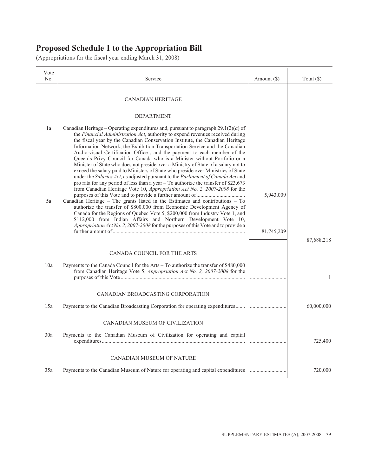# **Proposed Schedule 1 to the Appropriation Bill**

(Appropriations for the fiscal year ending March 31, 2008)

| Vote<br>No. | Service                                                                                                                                                                                                                                                                                                                                                                                                                                                                                                                                                                                                                                                                                                                                                                                                                                                                                                                                               | Amount (\$) | Total $(\$)$ |
|-------------|-------------------------------------------------------------------------------------------------------------------------------------------------------------------------------------------------------------------------------------------------------------------------------------------------------------------------------------------------------------------------------------------------------------------------------------------------------------------------------------------------------------------------------------------------------------------------------------------------------------------------------------------------------------------------------------------------------------------------------------------------------------------------------------------------------------------------------------------------------------------------------------------------------------------------------------------------------|-------------|--------------|
|             | <b>CANADIAN HERITAGE</b>                                                                                                                                                                                                                                                                                                                                                                                                                                                                                                                                                                                                                                                                                                                                                                                                                                                                                                                              |             |              |
|             | <b>DEPARTMENT</b>                                                                                                                                                                                                                                                                                                                                                                                                                                                                                                                                                                                                                                                                                                                                                                                                                                                                                                                                     |             |              |
| 1a<br>5a    | Canadian Heritage – Operating expenditures and, pursuant to paragraph $29.1(2)(a)$ of<br>the Financial Administration Act, authority to expend revenues received during<br>the fiscal year by the Canadian Conservation Institute, the Canadian Heritage<br>Information Network, the Exhibition Transportation Service and the Canadian<br>Audio-visual Certification Office, and the payment to each member of the<br>Queen's Privy Council for Canada who is a Minister without Portfolio or a<br>Minister of State who does not preside over a Ministry of State of a salary not to<br>exceed the salary paid to Ministers of State who preside over Ministries of State<br>under the <i>Salaries Act</i> , as adjusted pursuant to the <i>Parliament of Canada Act</i> and<br>pro rata for any period of less than a year $-$ To authorize the transfer of \$23,673<br>from Canadian Heritage Vote 10, Appropriation Act No. 2, 2007-2008 for the | 5,943,009   |              |
|             | Canadian Heritage – The grants listed in the Estimates and contributions – To<br>authorize the transfer of \$800,000 from Economic Development Agency of<br>Canada for the Regions of Quebec Vote 5, \$200,000 from Industry Vote 1, and<br>\$112,000 from Indian Affairs and Northern Development Vote 10,<br>Appropriation Act No. 2, 2007-2008 for the purposes of this Vote and to provide a                                                                                                                                                                                                                                                                                                                                                                                                                                                                                                                                                      | 81,745,209  |              |
|             | CANADA COUNCIL FOR THE ARTS                                                                                                                                                                                                                                                                                                                                                                                                                                                                                                                                                                                                                                                                                                                                                                                                                                                                                                                           |             | 87,688,218   |
| 10a         | Payments to the Canada Council for the Arts – To authorize the transfer of \$480,000<br>from Canadian Heritage Vote 5, Appropriation Act No. 2, 2007-2008 for the                                                                                                                                                                                                                                                                                                                                                                                                                                                                                                                                                                                                                                                                                                                                                                                     |             | $\mathbf{1}$ |
|             | CANADIAN BROADCASTING CORPORATION                                                                                                                                                                                                                                                                                                                                                                                                                                                                                                                                                                                                                                                                                                                                                                                                                                                                                                                     |             |              |
| 15a         | Payments to the Canadian Broadcasting Corporation for operating expenditures                                                                                                                                                                                                                                                                                                                                                                                                                                                                                                                                                                                                                                                                                                                                                                                                                                                                          |             | 60,000,000   |
|             | CANADIAN MUSEUM OF CIVILIZATION                                                                                                                                                                                                                                                                                                                                                                                                                                                                                                                                                                                                                                                                                                                                                                                                                                                                                                                       |             |              |
| 30a         | Payments to the Canadian Museum of Civilization for operating and capital                                                                                                                                                                                                                                                                                                                                                                                                                                                                                                                                                                                                                                                                                                                                                                                                                                                                             |             | 725,400      |
|             | CANADIAN MUSEUM OF NATURE                                                                                                                                                                                                                                                                                                                                                                                                                                                                                                                                                                                                                                                                                                                                                                                                                                                                                                                             |             |              |
| 35a         | Payments to the Canadian Museum of Nature for operating and capital expenditures                                                                                                                                                                                                                                                                                                                                                                                                                                                                                                                                                                                                                                                                                                                                                                                                                                                                      |             | 720,000      |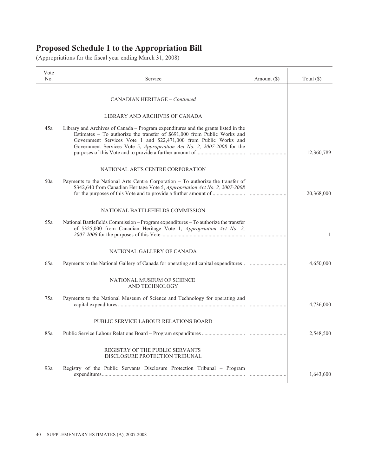| Vote |                                                                                                                                                                                                                                                                                                               |               |            |
|------|---------------------------------------------------------------------------------------------------------------------------------------------------------------------------------------------------------------------------------------------------------------------------------------------------------------|---------------|------------|
| No.  | Service                                                                                                                                                                                                                                                                                                       | Amount $(\$)$ | Total (\$) |
|      | CANADIAN HERITAGE - Continued                                                                                                                                                                                                                                                                                 |               |            |
|      | LIBRARY AND ARCHIVES OF CANADA                                                                                                                                                                                                                                                                                |               |            |
| 45a  | Library and Archives of Canada – Program expenditures and the grants listed in the<br>Estimates - To authorize the transfer of \$691,000 from Public Works and<br>Government Services Vote 1 and \$22,471,000 from Public Works and<br>Government Services Vote 5, Appropriation Act No. 2, 2007-2008 for the |               | 12,360,789 |
|      | NATIONAL ARTS CENTRE CORPORATION                                                                                                                                                                                                                                                                              |               |            |
| 50a  | Payments to the National Arts Centre Corporation – To authorize the transfer of<br>\$342,640 from Canadian Heritage Vote 5, Appropriation Act No. 2, 2007-2008                                                                                                                                                |               | 20,368,000 |
|      | NATIONAL BATTLEFIELDS COMMISSION                                                                                                                                                                                                                                                                              |               |            |
| 55a  | National Battlefields Commission - Program expenditures - To authorize the transfer<br>of \$325,000 from Canadian Heritage Vote 1, Appropriation Act No. 2,                                                                                                                                                   |               | 1          |
|      | NATIONAL GALLERY OF CANADA                                                                                                                                                                                                                                                                                    |               |            |
| 65a  | Payments to the National Gallery of Canada for operating and capital expenditures                                                                                                                                                                                                                             |               | 4,650,000  |
|      | NATIONAL MUSEUM OF SCIENCE<br>AND TECHNOLOGY                                                                                                                                                                                                                                                                  |               |            |
| 75a  | Payments to the National Museum of Science and Technology for operating and                                                                                                                                                                                                                                   |               | 4,736,000  |
|      | PUBLIC SERVICE LABOUR RELATIONS BOARD                                                                                                                                                                                                                                                                         |               |            |
| 85a  |                                                                                                                                                                                                                                                                                                               |               | 2,548,500  |
|      | REGISTRY OF THE PUBLIC SERVANTS<br>DISCLOSURE PROTECTION TRIBUNAL                                                                                                                                                                                                                                             |               |            |
| 93a  | Registry of the Public Servants Disclosure Protection Tribunal – Program                                                                                                                                                                                                                                      |               | 1,643,600  |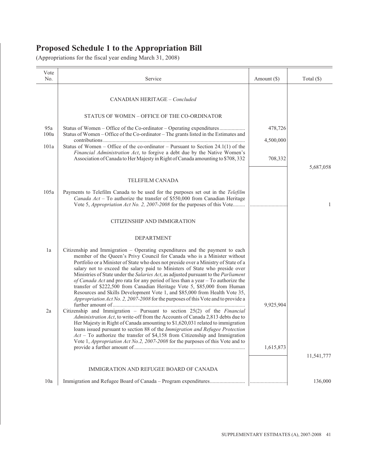| Vote |                                                                                                                                                                                                                                                                                                                                                                                                                                                                                                                                                                                                                                                                                                                                                           |               |              |
|------|-----------------------------------------------------------------------------------------------------------------------------------------------------------------------------------------------------------------------------------------------------------------------------------------------------------------------------------------------------------------------------------------------------------------------------------------------------------------------------------------------------------------------------------------------------------------------------------------------------------------------------------------------------------------------------------------------------------------------------------------------------------|---------------|--------------|
| No.  | Service                                                                                                                                                                                                                                                                                                                                                                                                                                                                                                                                                                                                                                                                                                                                                   | Amount $(\$)$ | Total $(\$)$ |
|      | CANADIAN HERITAGE - Concluded                                                                                                                                                                                                                                                                                                                                                                                                                                                                                                                                                                                                                                                                                                                             |               |              |
|      | STATUS OF WOMEN - OFFICE OF THE CO-ORDINATOR                                                                                                                                                                                                                                                                                                                                                                                                                                                                                                                                                                                                                                                                                                              |               |              |
| 95a  |                                                                                                                                                                                                                                                                                                                                                                                                                                                                                                                                                                                                                                                                                                                                                           | 478,726       |              |
| 100a | Status of Women - Office of the Co-ordinator - The grants listed in the Estimates and                                                                                                                                                                                                                                                                                                                                                                                                                                                                                                                                                                                                                                                                     | 4,500,000     |              |
| 101a | Status of Women – Office of the co-ordinator – Pursuant to Section 24.1(1) of the<br>Financial Administration Act, to forgive a debt due by the Native Women's                                                                                                                                                                                                                                                                                                                                                                                                                                                                                                                                                                                            |               |              |
|      | Association of Canada to Her Majesty in Right of Canada amounting to \$708, 332                                                                                                                                                                                                                                                                                                                                                                                                                                                                                                                                                                                                                                                                           | 708,332       |              |
|      |                                                                                                                                                                                                                                                                                                                                                                                                                                                                                                                                                                                                                                                                                                                                                           |               | 5,687,058    |
|      | <b>TELEFILM CANADA</b>                                                                                                                                                                                                                                                                                                                                                                                                                                                                                                                                                                                                                                                                                                                                    |               |              |
| 105a | Payments to Telefilm Canada to be used for the purposes set out in the Telefilm<br><i>Canada Act</i> – To authorize the transfer of \$550,000 from Canadian Heritage<br>Vote 5, Appropriation Act No. 2, 2007-2008 for the purposes of this Vote                                                                                                                                                                                                                                                                                                                                                                                                                                                                                                          |               | 1            |
|      | CITIZENSHIP AND IMMIGRATION                                                                                                                                                                                                                                                                                                                                                                                                                                                                                                                                                                                                                                                                                                                               |               |              |
|      | DEPARTMENT                                                                                                                                                                                                                                                                                                                                                                                                                                                                                                                                                                                                                                                                                                                                                |               |              |
| 1a   | Citizenship and Immigration - Operating expenditures and the payment to each<br>member of the Queen's Privy Council for Canada who is a Minister without<br>Portfolio or a Minister of State who does not preside over a Ministry of State of a<br>salary not to exceed the salary paid to Ministers of State who preside over<br>Ministries of State under the Salaries Act, as adjusted pursuant to the Parliament<br>of Canada Act and pro rata for any period of less than a year $-$ To authorize the<br>transfer of \$222,500 from Canadian Heritage Vote 5, \$85,000 from Human<br>Resources and Skills Development Vote 1, and \$85,000 from Health Vote 35,<br>Appropriation Act No. 2, 2007-2008 for the purposes of this Vote and to provide a |               |              |
| 2a   | Citizenship and Immigration - Pursuant to section $25(2)$ of the Financial                                                                                                                                                                                                                                                                                                                                                                                                                                                                                                                                                                                                                                                                                | 9,925,904     |              |
|      | Administration Act, to write-off from the Accounts of Canada 2,813 debts due to<br>Her Majesty in Right of Canada amounting to \$1,620,031 related to immigration<br>loans issued pursuant to section 88 of the Immigration and Refugee Protection<br>$Act$ – To authorize the transfer of \$4,158 from Citizenship and Immigration<br>Vote 1, Appropriation Act No.2, 2007-2008 for the purposes of this Vote and to                                                                                                                                                                                                                                                                                                                                     |               |              |
|      |                                                                                                                                                                                                                                                                                                                                                                                                                                                                                                                                                                                                                                                                                                                                                           | 1,615,873     |              |
|      |                                                                                                                                                                                                                                                                                                                                                                                                                                                                                                                                                                                                                                                                                                                                                           |               | 11,541,777   |
|      | IMMIGRATION AND REFUGEE BOARD OF CANADA                                                                                                                                                                                                                                                                                                                                                                                                                                                                                                                                                                                                                                                                                                                   |               |              |
| 10a  |                                                                                                                                                                                                                                                                                                                                                                                                                                                                                                                                                                                                                                                                                                                                                           |               | 136,000      |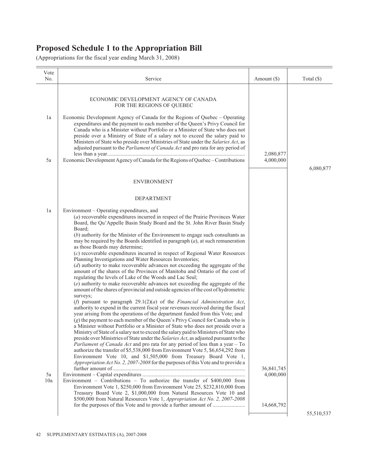| Vote<br>No.     | Service                                                                                                                                                                                                                                                                                                                                                                                                                                                                                                                                                                                                                                                                                                                                                                                                                                                                                                                                                                                                                                                                                                                                                                                                                                                                                                                                                                                                                                                                                                                                                                                                                                                                                                                                                                                                                                                                                                                                                                                                                                                                                                                                                                                                                                                                            | Amount $(\$)$           | Total $(\$)$ |
|-----------------|------------------------------------------------------------------------------------------------------------------------------------------------------------------------------------------------------------------------------------------------------------------------------------------------------------------------------------------------------------------------------------------------------------------------------------------------------------------------------------------------------------------------------------------------------------------------------------------------------------------------------------------------------------------------------------------------------------------------------------------------------------------------------------------------------------------------------------------------------------------------------------------------------------------------------------------------------------------------------------------------------------------------------------------------------------------------------------------------------------------------------------------------------------------------------------------------------------------------------------------------------------------------------------------------------------------------------------------------------------------------------------------------------------------------------------------------------------------------------------------------------------------------------------------------------------------------------------------------------------------------------------------------------------------------------------------------------------------------------------------------------------------------------------------------------------------------------------------------------------------------------------------------------------------------------------------------------------------------------------------------------------------------------------------------------------------------------------------------------------------------------------------------------------------------------------------------------------------------------------------------------------------------------------|-------------------------|--------------|
| 1a<br>5a        | ECONOMIC DEVELOPMENT AGENCY OF CANADA<br>FOR THE REGIONS OF QUEBEC<br>Economic Development Agency of Canada for the Regions of Quebec – Operating<br>expenditures and the payment to each member of the Queen's Privy Council for<br>Canada who is a Minister without Portfolio or a Minister of State who does not<br>preside over a Ministry of State of a salary not to exceed the salary paid to<br>Ministers of State who preside over Ministries of State under the Salaries Act, as<br>adjusted pursuant to the Parliament of Canada Act and pro rata for any period of<br>Economic Development Agency of Canada for the Regions of Quebec - Contributions                                                                                                                                                                                                                                                                                                                                                                                                                                                                                                                                                                                                                                                                                                                                                                                                                                                                                                                                                                                                                                                                                                                                                                                                                                                                                                                                                                                                                                                                                                                                                                                                                  | 2,080,877<br>4,000,000  |              |
|                 | <b>ENVIRONMENT</b>                                                                                                                                                                                                                                                                                                                                                                                                                                                                                                                                                                                                                                                                                                                                                                                                                                                                                                                                                                                                                                                                                                                                                                                                                                                                                                                                                                                                                                                                                                                                                                                                                                                                                                                                                                                                                                                                                                                                                                                                                                                                                                                                                                                                                                                                 |                         | 6,080,877    |
| 1a<br>5a<br>10a | <b>DEPARTMENT</b><br>Environment – Operating expenditures, and<br>$(a)$ recoverable expenditures incurred in respect of the Prairie Provinces Water<br>Board, the Qu'Appelle Basin Study Board and the St. John River Basin Study<br>Board:<br>$(b)$ authority for the Minister of the Environment to engage such consultants as<br>may be required by the Boards identified in paragraph $(a)$ , at such remuneration<br>as those Boards may determine;<br>(c) recoverable expenditures incurred in respect of Regional Water Resources<br>Planning Investigations and Water Resources Inventories;<br>$(d)$ authority to make recoverable advances not exceeding the aggregate of the<br>amount of the shares of the Provinces of Manitoba and Ontario of the cost of<br>regulating the levels of Lake of the Woods and Lac Seul;<br>(e) authority to make recoverable advances not exceeding the aggregate of the<br>amount of the shares of provincial and outside agencies of the cost of hydrometric<br>surveys;<br>(f) pursuant to paragraph $29.1(2)(a)$ of the Financial Administration Act,<br>authority to expend in the current fiscal year revenues received during the fiscal<br>year arising from the operations of the department funded from this Vote; and<br>(g) the payment to each member of the Queen's Privy Council for Canada who is<br>a Minister without Portfolio or a Minister of State who does not preside over a<br>Ministry of State of a salary not to exceed the salary paid to Ministers of State who<br>preside over Ministries of State under the Salaries Act, as adjusted pursuant to the<br>Parliament of Canada Act and pro rata for any period of less than a year - To<br>authorize the transfer of \$5,538,000 from Environment Vote 5, \$6,654,292 from<br>Environment Vote 10, and \$1,505,000 from Treasury Board Vote 1,<br>Appropriation Act No. 2, 2007-2008 for the purposes of this Vote and to provide a<br>Environment - Contributions - To authorize the transfer of $$400,000$ from<br>Environment Vote 1, \$250,000 from Environment Vote 25, \$232,810,000 from<br>Treasury Board Vote 2, \$1,000,000 from Natural Resources Vote 10 and<br>\$500,000 from Natural Resources Vote 1, Appropriation Act No. 2, 2007-2008 | 36,841,745<br>4,000,000 |              |
|                 |                                                                                                                                                                                                                                                                                                                                                                                                                                                                                                                                                                                                                                                                                                                                                                                                                                                                                                                                                                                                                                                                                                                                                                                                                                                                                                                                                                                                                                                                                                                                                                                                                                                                                                                                                                                                                                                                                                                                                                                                                                                                                                                                                                                                                                                                                    | 14,668,792              | 55,510,537   |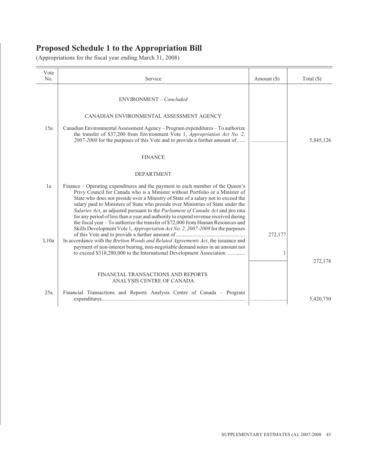| Vote<br>No. | Service                                                                                                                                                                                                                                                                                                                                                                                                                                                                                                                                                                                                                                                                                 | Amount $(\$)$ | Total $(\$)$ |
|-------------|-----------------------------------------------------------------------------------------------------------------------------------------------------------------------------------------------------------------------------------------------------------------------------------------------------------------------------------------------------------------------------------------------------------------------------------------------------------------------------------------------------------------------------------------------------------------------------------------------------------------------------------------------------------------------------------------|---------------|--------------|
|             | ENVIRONMENT - Concluded                                                                                                                                                                                                                                                                                                                                                                                                                                                                                                                                                                                                                                                                 |               |              |
|             | CANADIAN ENVIRONMENTAL ASSESSMENT AGENCY                                                                                                                                                                                                                                                                                                                                                                                                                                                                                                                                                                                                                                                |               |              |
| 15a         | Canadian Environmental Assessment Agency – Program expenditures – To authorize<br>the transfer of \$37,200 from Environment Vote 1, Appropriation Act No. 2,<br>2007-2008 for the purposes of this Vote and to provide a further amount of                                                                                                                                                                                                                                                                                                                                                                                                                                              |               | 5,845,126    |
|             | <b>FINANCE</b>                                                                                                                                                                                                                                                                                                                                                                                                                                                                                                                                                                                                                                                                          |               |              |
|             | <b>DEPARTMENT</b>                                                                                                                                                                                                                                                                                                                                                                                                                                                                                                                                                                                                                                                                       |               |              |
| 1a          | Finance – Operating expenditures and the payment to each member of the Queen's<br>Privy Council for Canada who is a Minister without Portfolio or a Minister of<br>State who does not preside over a Ministry of State of a salary not to exceed the<br>salary paid to Ministers of State who preside over Ministries of State under the<br>Salaries Act, as adjusted pursuant to the Parliament of Canada Act and pro rata<br>for any period of less than a year and authority to expend revenue received during<br>the fiscal year - To authorize the transfer of \$72,000 from Human Resources and<br>Skills Development Vote 1, Appropriation Act No. 2, 2007-2008 for the purposes |               |              |
| L10a        | In accordance with the Bretton Woods and Related Agreements Act, the issuance and                                                                                                                                                                                                                                                                                                                                                                                                                                                                                                                                                                                                       | 272,177       |              |
|             | payment of non-interest bearing, non-negotiable demand notes in an amount not<br>to exceed \$318,280,000 to the International Development Association                                                                                                                                                                                                                                                                                                                                                                                                                                                                                                                                   | 1             | 272,178      |
|             | FINANCIAL TRANSACTIONS AND REPORTS<br>ANALYSIS CENTRE OF CANADA                                                                                                                                                                                                                                                                                                                                                                                                                                                                                                                                                                                                                         |               |              |
| 25a         | Financial Transactions and Reports Analysis Centre of Canada – Program                                                                                                                                                                                                                                                                                                                                                                                                                                                                                                                                                                                                                  |               | 5,420,750    |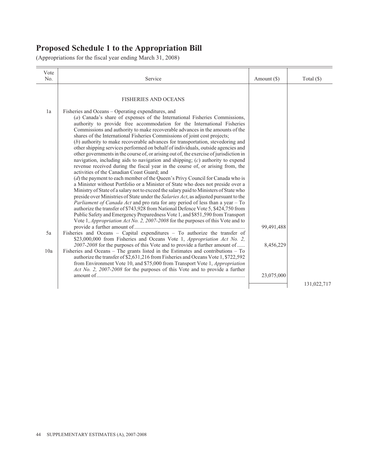| Vote<br>No. | Service                                                                                                                                                                                                                                                                                                                                                                                                                                                                                                                                                                                                                                                                                                                                                                                                                                                                                                                                                                                                                                                                                                                                                                                                                                                                                                                                                                                                                                                                                                                                                         | Amount (\$) | Total $(\$)$ |
|-------------|-----------------------------------------------------------------------------------------------------------------------------------------------------------------------------------------------------------------------------------------------------------------------------------------------------------------------------------------------------------------------------------------------------------------------------------------------------------------------------------------------------------------------------------------------------------------------------------------------------------------------------------------------------------------------------------------------------------------------------------------------------------------------------------------------------------------------------------------------------------------------------------------------------------------------------------------------------------------------------------------------------------------------------------------------------------------------------------------------------------------------------------------------------------------------------------------------------------------------------------------------------------------------------------------------------------------------------------------------------------------------------------------------------------------------------------------------------------------------------------------------------------------------------------------------------------------|-------------|--------------|
|             | <b>FISHERIES AND OCEANS</b>                                                                                                                                                                                                                                                                                                                                                                                                                                                                                                                                                                                                                                                                                                                                                                                                                                                                                                                                                                                                                                                                                                                                                                                                                                                                                                                                                                                                                                                                                                                                     |             |              |
| 1a          | Fisheries and Oceans - Operating expenditures, and<br>(a) Canada's share of expenses of the International Fisheries Commissions,<br>authority to provide free accommodation for the International Fisheries<br>Commissions and authority to make recoverable advances in the amounts of the<br>shares of the International Fisheries Commissions of joint cost projects;<br>$(b)$ authority to make recoverable advances for transportation, stevedoring and<br>other shipping services performed on behalf of individuals, outside agencies and<br>other governments in the course of, or arising out of, the exercise of jurisdiction in<br>navigation, including aids to navigation and shipping; $(c)$ authority to expend<br>revenue received during the fiscal year in the course of, or arising from, the<br>activities of the Canadian Coast Guard; and<br>$(d)$ the payment to each member of the Queen's Privy Council for Canada who is<br>a Minister without Portfolio or a Minister of State who does not preside over a<br>Ministry of State of a salary not to exceed the salary paid to Ministers of State who<br>preside over Ministries of State under the Salaries Act, as adjusted pursuant to the<br>Parliament of Canada Act and pro rata for any period of less than a year - To<br>authorize the transfer of \$743,928 from National Defence Vote 5, \$424,750 from<br>Public Safety and Emergency Preparedness Vote 1, and \$851,590 from Transport<br>Vote 1, Appropriation Act No. 2, 2007-2008 for the purposes of this Vote and to |             |              |
| 5a          | Fisheries and Oceans $-$ Capital expenditures $-$ To authorize the transfer of<br>\$23,000,000 from Fisheries and Oceans Vote 1, Appropriation Act No. 2,                                                                                                                                                                                                                                                                                                                                                                                                                                                                                                                                                                                                                                                                                                                                                                                                                                                                                                                                                                                                                                                                                                                                                                                                                                                                                                                                                                                                       | 99,491,488  |              |
|             | 2007-2008 for the purposes of this Vote and to provide a further amount of                                                                                                                                                                                                                                                                                                                                                                                                                                                                                                                                                                                                                                                                                                                                                                                                                                                                                                                                                                                                                                                                                                                                                                                                                                                                                                                                                                                                                                                                                      | 8,456,229   |              |
| 10a         | Fisheries and Oceans $-$ The grants listed in the Estimates and contributions $-$ To<br>authorize the transfer of \$2,631,216 from Fisheries and Oceans Vote 1, \$722,592<br>from Environment Vote 10, and \$75,000 from Transport Vote 1, Appropriation<br>Act No. 2, 2007-2008 for the purposes of this Vote and to provide a further                                                                                                                                                                                                                                                                                                                                                                                                                                                                                                                                                                                                                                                                                                                                                                                                                                                                                                                                                                                                                                                                                                                                                                                                                         | 23,075,000  |              |
|             |                                                                                                                                                                                                                                                                                                                                                                                                                                                                                                                                                                                                                                                                                                                                                                                                                                                                                                                                                                                                                                                                                                                                                                                                                                                                                                                                                                                                                                                                                                                                                                 |             | 131,022,717  |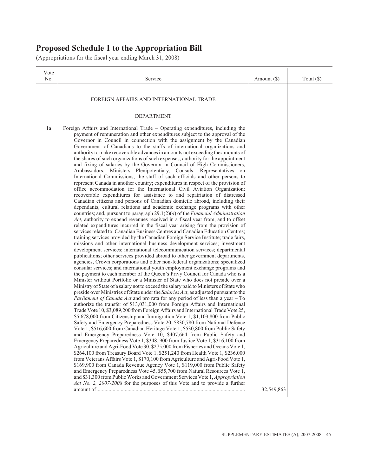| Vote<br>No. | Service                                                                                                                                                                                                                                                                                                                                                                                                                                                                                                                                                                                                                                                                                                                                                                                                                                                                                                                                                                                                                                                                                                                                                                                                                                                                                                                                                                                                                                                                                                                                                                                                                                                                                                                                                                                                                                                                                                                                                                                                                                                                                                                                                                                                                                                                                                                                                                                                                                                                                                                                                                                                                                                                                                                                                                                                                                                                                                                                                                                                                                                                                                                                                                                                                                                                 | Amount $(\$)$ | Total $(\$)$ |
|-------------|-------------------------------------------------------------------------------------------------------------------------------------------------------------------------------------------------------------------------------------------------------------------------------------------------------------------------------------------------------------------------------------------------------------------------------------------------------------------------------------------------------------------------------------------------------------------------------------------------------------------------------------------------------------------------------------------------------------------------------------------------------------------------------------------------------------------------------------------------------------------------------------------------------------------------------------------------------------------------------------------------------------------------------------------------------------------------------------------------------------------------------------------------------------------------------------------------------------------------------------------------------------------------------------------------------------------------------------------------------------------------------------------------------------------------------------------------------------------------------------------------------------------------------------------------------------------------------------------------------------------------------------------------------------------------------------------------------------------------------------------------------------------------------------------------------------------------------------------------------------------------------------------------------------------------------------------------------------------------------------------------------------------------------------------------------------------------------------------------------------------------------------------------------------------------------------------------------------------------------------------------------------------------------------------------------------------------------------------------------------------------------------------------------------------------------------------------------------------------------------------------------------------------------------------------------------------------------------------------------------------------------------------------------------------------------------------------------------------------------------------------------------------------------------------------------------------------------------------------------------------------------------------------------------------------------------------------------------------------------------------------------------------------------------------------------------------------------------------------------------------------------------------------------------------------------------------------------------------------------------------------------------------------|---------------|--------------|
|             | FOREIGN AFFAIRS AND INTERNATIONAL TRADE                                                                                                                                                                                                                                                                                                                                                                                                                                                                                                                                                                                                                                                                                                                                                                                                                                                                                                                                                                                                                                                                                                                                                                                                                                                                                                                                                                                                                                                                                                                                                                                                                                                                                                                                                                                                                                                                                                                                                                                                                                                                                                                                                                                                                                                                                                                                                                                                                                                                                                                                                                                                                                                                                                                                                                                                                                                                                                                                                                                                                                                                                                                                                                                                                                 |               |              |
|             | <b>DEPARTMENT</b>                                                                                                                                                                                                                                                                                                                                                                                                                                                                                                                                                                                                                                                                                                                                                                                                                                                                                                                                                                                                                                                                                                                                                                                                                                                                                                                                                                                                                                                                                                                                                                                                                                                                                                                                                                                                                                                                                                                                                                                                                                                                                                                                                                                                                                                                                                                                                                                                                                                                                                                                                                                                                                                                                                                                                                                                                                                                                                                                                                                                                                                                                                                                                                                                                                                       |               |              |
| 1a          | Foreign Affairs and International Trade – Operating expenditures, including the<br>payment of remuneration and other expenditures subject to the approval of the<br>Governor in Council in connection with the assignment by the Canadian<br>Government of Canadians to the staffs of international organizations and<br>authority to make recoverable advances in amounts not exceeding the amounts of<br>the shares of such organizations of such expenses; authority for the appointment<br>and fixing of salaries by the Governor in Council of High Commissioners,<br>Ambassadors, Ministers Plenipotentiary, Consuls, Representatives on<br>International Commissions, the staff of such officials and other persons to<br>represent Canada in another country; expenditures in respect of the provision of<br>office accommodation for the International Civil Aviation Organization;<br>recoverable expenditures for assistance to and repatriation of distressed<br>Canadian citizens and persons of Canadian domicile abroad, including their<br>dependants; cultural relations and academic exchange programs with other<br>countries; and, pursuant to paragraph $29.1(2)(a)$ of the <i>Financial Administration</i><br>Act, authority to expend revenues received in a fiscal year from, and to offset<br>related expenditures incurred in the fiscal year arising from the provision of<br>services related to: Canadian Business Centres and Canadian Education Centres;<br>training services provided by the Canadian Foreign Service Institute; trade fairs,<br>missions and other international business development services; investment<br>development services; international telecommunication services; departmental<br>publications; other services provided abroad to other government departments,<br>agencies, Crown corporations and other non-federal organizations; specialized<br>consular services; and international youth employment exchange programs and<br>the payment to each member of the Queen's Privy Council for Canada who is a<br>Minister without Portfolio or a Minister of State who does not preside over a<br>Ministry of State of a salary not to exceed the salary paid to Ministers of State who<br>preside over Ministries of State under the Salaries Act, as adjusted pursuant to the<br><i>Parliament of Canada Act</i> and pro rata for any period of less than a year – To<br>authorize the transfer of \$13,031,000 from Foreign Affairs and International<br>Trade Vote 10, \$3,089,200 from Foreign Affairs and International Trade Vote 25,<br>\$5,678,000 from Citizenship and Immigration Vote 1, \$1,103,800 from Public<br>Safety and Emergency Preparedness Vote 20, \$830,780 from National Defence<br>Vote 1, \$516,600 from Canadian Heritage Vote 1, \$530,800 from Public Safety<br>and Emergency Preparedness Vote 10, \$407,664 from Public Safety and<br>Emergency Preparedness Vote 1, \$348, 900 from Justice Vote 1, \$316,100 from<br>Agriculture and Agri-Food Vote 30, \$275,000 from Fisheries and Oceans Vote 1,<br>\$264,100 from Treasury Board Vote 1, \$251,240 from Health Vote 1, \$236,000<br>from Veterans Affairs Vote 1, \$170,100 from Agriculture and Agri-Food Vote 1, |               |              |
|             | \$169,900 from Canada Revenue Agency Vote 1, \$119,000 from Public Safety<br>and Emergency Preparedness Vote 45, \$55,700 from Natural Resources Vote 1,<br>and \$31,300 from Public Works and Government Services Vote 1, Appropriation<br>Act No. 2, 2007-2008 for the purposes of this Vote and to provide a further                                                                                                                                                                                                                                                                                                                                                                                                                                                                                                                                                                                                                                                                                                                                                                                                                                                                                                                                                                                                                                                                                                                                                                                                                                                                                                                                                                                                                                                                                                                                                                                                                                                                                                                                                                                                                                                                                                                                                                                                                                                                                                                                                                                                                                                                                                                                                                                                                                                                                                                                                                                                                                                                                                                                                                                                                                                                                                                                                 | 32,549,863    |              |
|             |                                                                                                                                                                                                                                                                                                                                                                                                                                                                                                                                                                                                                                                                                                                                                                                                                                                                                                                                                                                                                                                                                                                                                                                                                                                                                                                                                                                                                                                                                                                                                                                                                                                                                                                                                                                                                                                                                                                                                                                                                                                                                                                                                                                                                                                                                                                                                                                                                                                                                                                                                                                                                                                                                                                                                                                                                                                                                                                                                                                                                                                                                                                                                                                                                                                                         |               |              |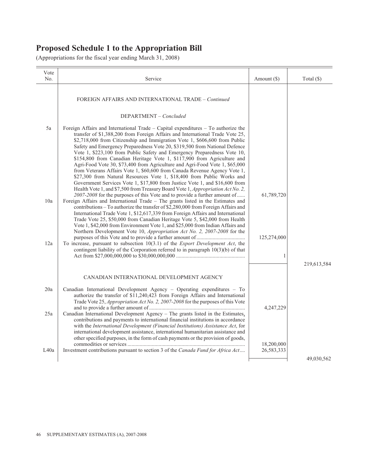| Vote<br>No. | Service                                                                                                                                                                                                                                                                                                                                                                                                                                                                                                                                                                                                                                                                                                                                                                                                                                                                                       | Amount $(\$)$               | Total $(S)$ |
|-------------|-----------------------------------------------------------------------------------------------------------------------------------------------------------------------------------------------------------------------------------------------------------------------------------------------------------------------------------------------------------------------------------------------------------------------------------------------------------------------------------------------------------------------------------------------------------------------------------------------------------------------------------------------------------------------------------------------------------------------------------------------------------------------------------------------------------------------------------------------------------------------------------------------|-----------------------------|-------------|
|             | <b>FOREIGN AFFAIRS AND INTERNATIONAL TRADE – Continued</b>                                                                                                                                                                                                                                                                                                                                                                                                                                                                                                                                                                                                                                                                                                                                                                                                                                    |                             |             |
|             | DEPARTMENT - Concluded                                                                                                                                                                                                                                                                                                                                                                                                                                                                                                                                                                                                                                                                                                                                                                                                                                                                        |                             |             |
| 5a          | Foreign Affairs and International Trade – Capital expenditures – To authorize the<br>transfer of \$1,388,200 from Foreign Affairs and International Trade Vote 25,<br>\$2,718,000 from Citizenship and Immigration Vote 1, \$606,600 from Public<br>Safety and Emergency Preparedness Vote 20, \$319,500 from National Defence<br>Vote 1, \$223,100 from Public Safety and Emergency Preparedness Vote 10,<br>\$154,800 from Canadian Heritage Vote 1, \$117,900 from Agriculture and<br>Agri-Food Vote 30, \$73,400 from Agriculture and Agri-Food Vote 1, \$65,000<br>from Veterans Affairs Vote 1, \$60,600 from Canada Revenue Agency Vote 1,<br>\$27,300 from Natural Resources Vote 1, \$18,400 from Public Works and<br>Government Services Vote 1, \$17,800 from Justice Vote 1, and \$16,600 from<br>Health Vote 1, and \$7,500 from Treasury Board Vote 1, Appropriation Act No. 2, |                             |             |
| 10a         | 2007-2008 for the purposes of this Vote and to provide a further amount of<br>Foreign Affairs and International Trade - The grants listed in the Estimates and<br>contributions – To authorize the transfer of \$2,280,000 from Foreign Affairs and<br>International Trade Vote 1, \$12,617,339 from Foreign Affairs and International<br>Trade Vote 25, \$50,000 from Canadian Heritage Vote 5, \$42,000 from Health<br>Vote 1, \$42,000 from Environment Vote 1, and \$25,000 from Indian Affairs and<br>Northern Development Vote 10, Appropriation Act No. 2, 2007-2008 for the                                                                                                                                                                                                                                                                                                           | 61,789,720                  |             |
| 12a         | To increase, pursuant to subsection 10(3.1) of the Export Development Act, the<br>contingent liability of the Corporation referred to in paragraph $10(3)(b)$ of that                                                                                                                                                                                                                                                                                                                                                                                                                                                                                                                                                                                                                                                                                                                         | 125,274,000<br>$\mathbf{1}$ | 219,613,584 |
|             | CANADIAN INTERNATIONAL DEVELOPMENT AGENCY                                                                                                                                                                                                                                                                                                                                                                                                                                                                                                                                                                                                                                                                                                                                                                                                                                                     |                             |             |
| 20a         | Canadian International Development Agency – Operating expenditures – To<br>authorize the transfer of \$11,240,423 from Foreign Affairs and International<br>Trade Vote 25, <i>Appropriation Act No. 2, 2007-2008</i> for the purposes of this Vote                                                                                                                                                                                                                                                                                                                                                                                                                                                                                                                                                                                                                                            | 4,247,229                   |             |
| 25a         | Canadian International Development Agency - The grants listed in the Estimates,<br>contributions and payments to international financial institutions in accordance<br>with the International Development (Financial Institutions) Assistance Act, for<br>international development assistance, international humanitarian assistance and<br>other specified purposes, in the form of cash payments or the provision of goods,                                                                                                                                                                                                                                                                                                                                                                                                                                                                |                             |             |
| L40a        | Investment contributions pursuant to section 3 of the <i>Canada Fund for Africa Act</i>                                                                                                                                                                                                                                                                                                                                                                                                                                                                                                                                                                                                                                                                                                                                                                                                       | 18,200,000<br>26,583,333    |             |
|             |                                                                                                                                                                                                                                                                                                                                                                                                                                                                                                                                                                                                                                                                                                                                                                                                                                                                                               |                             | 49,030,562  |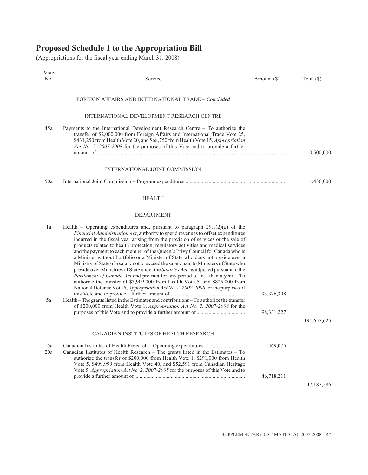| Vote<br>No. | Service                                                                                                                                                                                                                                                                                                                                                                                                                                                                                                                                                                                                                                                                                                                                                                                                                                                                                                                                               | Amount $(\$)$ | Total (\$)  |
|-------------|-------------------------------------------------------------------------------------------------------------------------------------------------------------------------------------------------------------------------------------------------------------------------------------------------------------------------------------------------------------------------------------------------------------------------------------------------------------------------------------------------------------------------------------------------------------------------------------------------------------------------------------------------------------------------------------------------------------------------------------------------------------------------------------------------------------------------------------------------------------------------------------------------------------------------------------------------------|---------------|-------------|
|             | <b>FOREIGN AFFAIRS AND INTERNATIONAL TRADE – Concluded</b>                                                                                                                                                                                                                                                                                                                                                                                                                                                                                                                                                                                                                                                                                                                                                                                                                                                                                            |               |             |
|             | INTERNATIONAL DEVELOPMENT RESEARCH CENTRE                                                                                                                                                                                                                                                                                                                                                                                                                                                                                                                                                                                                                                                                                                                                                                                                                                                                                                             |               |             |
| 45a         | Payments to the International Development Research Centre - To authorize the<br>transfer of \$2,000,000 from Foreign Affairs and International Trade Vote 25,<br>\$431,250 from Health Vote 20, and \$68,750 from Health Vote 15, Appropriation<br>Act No. 2, 2007-2008 for the purposes of this Vote and to provide a further                                                                                                                                                                                                                                                                                                                                                                                                                                                                                                                                                                                                                        |               | 10,500,000  |
|             | INTERNATIONAL JOINT COMMISSION                                                                                                                                                                                                                                                                                                                                                                                                                                                                                                                                                                                                                                                                                                                                                                                                                                                                                                                        |               |             |
| 50a         |                                                                                                                                                                                                                                                                                                                                                                                                                                                                                                                                                                                                                                                                                                                                                                                                                                                                                                                                                       |               | 1,436,000   |
|             | <b>HEALTH</b>                                                                                                                                                                                                                                                                                                                                                                                                                                                                                                                                                                                                                                                                                                                                                                                                                                                                                                                                         |               |             |
|             | <b>DEPARTMENT</b>                                                                                                                                                                                                                                                                                                                                                                                                                                                                                                                                                                                                                                                                                                                                                                                                                                                                                                                                     |               |             |
| 1a          | Health – Operating expenditures and, pursuant to paragraph $29.1(2)(a)$ of the<br>Financial Administration Act, authority to spend revenues to offset expenditures<br>incurred in the fiscal year arising from the provision of services or the sale of<br>products related to health protection, regulatory activities and medical services<br>and the payment to each member of the Queen's Privy Council for Canada who is<br>a Minister without Portfolio or a Minister of State who does not preside over a<br>Ministry of State of a salary not to exceed the salary paid to Ministers of State who<br>preside over Ministries of State under the Salaries Act, as adjusted pursuant to the<br>Parliament of Canada Act and pro rata for any period of less than a year - To<br>authorize the transfer of \$3,909,000 from Health Vote 5, and \$825,000 from<br>National Defence Vote 5, Appropriation Act No. 2, 2007-2008 for the purposes of |               |             |
| 5a          | Health – The grants listed in the Estimates and contributions – To authorize the transfer                                                                                                                                                                                                                                                                                                                                                                                                                                                                                                                                                                                                                                                                                                                                                                                                                                                             | 93,326,398    |             |
|             | of \$200,000 from Health Vote 1, Appropriation Act No. 2, 2007-2008 for the                                                                                                                                                                                                                                                                                                                                                                                                                                                                                                                                                                                                                                                                                                                                                                                                                                                                           | 98, 331, 227  |             |
|             | CANADIAN INSTITUTES OF HEALTH RESEARCH                                                                                                                                                                                                                                                                                                                                                                                                                                                                                                                                                                                                                                                                                                                                                                                                                                                                                                                |               | 191,657,625 |
| 15a<br>20a  | Canadian Institutes of Health Research - The grants listed in the Estimates - To<br>authorize the transfer of \$200,000 from Health Vote 1, \$291,000 from Health                                                                                                                                                                                                                                                                                                                                                                                                                                                                                                                                                                                                                                                                                                                                                                                     | 469,075       |             |
|             | Vote 5, \$499,999 from Health Vote 40, and \$52,591 from Canadian Heritage<br>Vote 5, Appropriation Act No. 2, 2007-2008 for the purposes of this Vote and to                                                                                                                                                                                                                                                                                                                                                                                                                                                                                                                                                                                                                                                                                                                                                                                         | 46,718,211    |             |
|             |                                                                                                                                                                                                                                                                                                                                                                                                                                                                                                                                                                                                                                                                                                                                                                                                                                                                                                                                                       |               | 47,187,286  |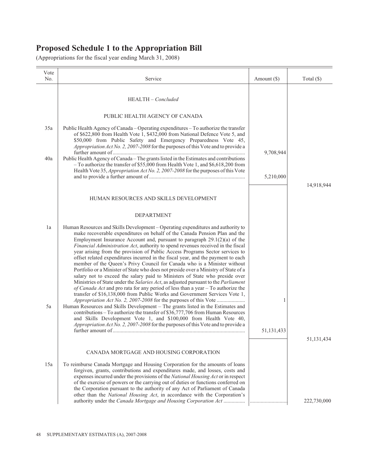| Vote<br>No. | Service                                                                                                                                                                                                                                                                                                                                                                                                                                                                                                                                                                                                                                                                                                                                                                                                                                                                                                                                                                                                                                                                                                                                                                                                                                                                                                                                          | Amount $(\$)$          | Total $(\$)$ |
|-------------|--------------------------------------------------------------------------------------------------------------------------------------------------------------------------------------------------------------------------------------------------------------------------------------------------------------------------------------------------------------------------------------------------------------------------------------------------------------------------------------------------------------------------------------------------------------------------------------------------------------------------------------------------------------------------------------------------------------------------------------------------------------------------------------------------------------------------------------------------------------------------------------------------------------------------------------------------------------------------------------------------------------------------------------------------------------------------------------------------------------------------------------------------------------------------------------------------------------------------------------------------------------------------------------------------------------------------------------------------|------------------------|--------------|
| 35a<br>40a  | HEALTH - Concluded<br>PUBLIC HEALTH AGENCY OF CANADA<br>Public Health Agency of Canada - Operating expenditures - To authorize the transfer<br>of \$622,800 from Health Vote 1, \$432,000 from National Defence Vote 5, and<br>\$50,000 from Public Safety and Emergency Preparedness Vote 45,<br>Appropriation Act No. 2, 2007-2008 for the purposes of this Vote and to provide a<br>Public Health Agency of Canada - The grants listed in the Estimates and contributions<br>- To authorize the transfer of \$55,000 from Health Vote 1, and \$6,618,200 from<br>Health Vote 35, Appropriation Act No. 2, 2007-2008 for the purposes of this Vote                                                                                                                                                                                                                                                                                                                                                                                                                                                                                                                                                                                                                                                                                             | 9,708,944<br>5,210,000 |              |
|             | HUMAN RESOURCES AND SKILLS DEVELOPMENT<br><b>DEPARTMENT</b>                                                                                                                                                                                                                                                                                                                                                                                                                                                                                                                                                                                                                                                                                                                                                                                                                                                                                                                                                                                                                                                                                                                                                                                                                                                                                      |                        | 14,918,944   |
| 1a<br>5a    | Human Resources and Skills Development – Operating expenditures and authority to<br>make recoverable expenditures on behalf of the Canada Pension Plan and the<br>Employment Insurance Account and, pursuant to paragraph $29.1(2)(a)$ of the<br>Financial Administration Act, authority to spend revenues received in the fiscal<br>year arising from the provision of Public Access Programs Sector services to<br>offset related expenditures incurred in the fiscal year, and the payment to each<br>member of the Queen's Privy Council for Canada who is a Minister without<br>Portfolio or a Minister of State who does not preside over a Ministry of State of a<br>salary not to exceed the salary paid to Ministers of State who preside over<br>Ministries of State under the Salaries Act, as adjusted pursuant to the Parliament<br>of Canada Act and pro rata for any period of less than a year $-$ To authorize the<br>transfer of \$16,138,000 from Public Works and Government Services Vote 1,<br>Human Resources and Skills Development - The grants listed in the Estimates and<br>contributions - To authorize the transfer of \$36,777,706 from Human Resources<br>and Skills Development Vote 1, and \$100,000 from Health Vote 40,<br>Appropriation Act No. 2, 2007-2008 for the purposes of this Vote and to provide a | 1                      |              |
|             | CANADA MORTGAGE AND HOUSING CORPORATION                                                                                                                                                                                                                                                                                                                                                                                                                                                                                                                                                                                                                                                                                                                                                                                                                                                                                                                                                                                                                                                                                                                                                                                                                                                                                                          | 51, 131, 433           | 51,131,434   |
| 15a         | To reimburse Canada Mortgage and Housing Corporation for the amounts of loans<br>forgiven, grants, contributions and expenditures made, and losses, costs and<br>expenses incurred under the provisions of the National Housing Act or in respect<br>of the exercise of powers or the carrying out of duties or functions conferred on<br>the Corporation pursuant to the authority of any Act of Parliament of Canada<br>other than the National Housing Act, in accordance with the Corporation's<br>authority under the Canada Mortgage and Housing Corporation Act                                                                                                                                                                                                                                                                                                                                                                                                                                                                                                                                                                                                                                                                                                                                                                           |                        | 222,730,000  |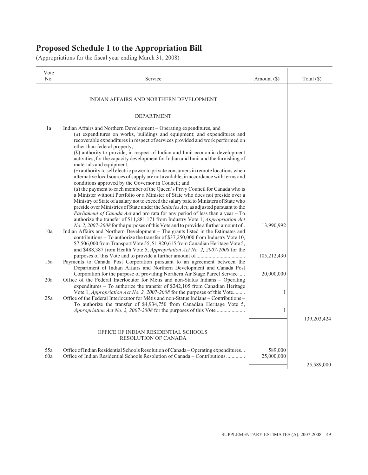| Vote<br>No. | Service                                                                                                                                                                                                                                                                                                                                                                                                                                                                                                                                                                                                                                                                                                                                                                                                                                                                                                                                                                                                                                                                | Amount $(\$)$                | Total $(\$)$ |
|-------------|------------------------------------------------------------------------------------------------------------------------------------------------------------------------------------------------------------------------------------------------------------------------------------------------------------------------------------------------------------------------------------------------------------------------------------------------------------------------------------------------------------------------------------------------------------------------------------------------------------------------------------------------------------------------------------------------------------------------------------------------------------------------------------------------------------------------------------------------------------------------------------------------------------------------------------------------------------------------------------------------------------------------------------------------------------------------|------------------------------|--------------|
|             | INDIAN AFFAIRS AND NORTHERN DEVELOPMENT                                                                                                                                                                                                                                                                                                                                                                                                                                                                                                                                                                                                                                                                                                                                                                                                                                                                                                                                                                                                                                |                              |              |
|             | <b>DEPARTMENT</b>                                                                                                                                                                                                                                                                                                                                                                                                                                                                                                                                                                                                                                                                                                                                                                                                                                                                                                                                                                                                                                                      |                              |              |
| 1a          | Indian Affairs and Northern Development – Operating expenditures, and<br>(a) expenditures on works, buildings and equipment; and expenditures and<br>recoverable expenditures in respect of services provided and work performed on<br>other than federal property;<br>$(b)$ authority to provide, in respect of Indian and Inuit economic development<br>activities, for the capacity development for Indian and Inuit and the furnishing of<br>materials and equipment;<br>$(c)$ authority to sell electric power to private consumers in remote locations when<br>alternative local sources of supply are not available, in accordance with terms and<br>conditions approved by the Governor in Council; and<br>$(d)$ the payment to each member of the Queen's Privy Council for Canada who is<br>a Minister without Portfolio or a Minister of State who does not preside over a<br>Ministry of State of a salary not to exceed the salary paid to Ministers of State who<br>preside over Ministries of State under the Salaries Act, as adjusted pursuant to the |                              |              |
| 10a         | Parliament of Canada Act and pro rata for any period of less than a year - To<br>authorize the transfer of \$11,881,171 from Industry Vote 1, Appropriation Act<br>No. 2, 2007-2008 for the purposes of this Vote and to provide a further amount of.<br>Indian Affairs and Northern Development - The grants listed in the Estimates and<br>contributions – To authorize the transfer of \$37,250,000 from Industry Vote 10,<br>\$7,506,000 from Transport Vote 55, \$1,920,615 from Canadian Heritage Vote 5,<br>and \$488,387 from Health Vote 5, Appropriation Act No. 2, 2007-2008 for the                                                                                                                                                                                                                                                                                                                                                                                                                                                                        | 13,990,992                   |              |
| 15a         | Payments to Canada Post Corporation pursuant to an agreement between the<br>Department of Indian Affairs and Northern Development and Canada Post                                                                                                                                                                                                                                                                                                                                                                                                                                                                                                                                                                                                                                                                                                                                                                                                                                                                                                                      | 105,212,430                  |              |
| 20a         | Corporation for the purpose of providing Northern Air Stage Parcel Service<br>Office of the Federal Interlocutor for Métis and non-Status Indians - Operating<br>expenditures - To authorize the transfer of \$242,105 from Canadian Heritage                                                                                                                                                                                                                                                                                                                                                                                                                                                                                                                                                                                                                                                                                                                                                                                                                          | 20,000,000                   |              |
| 25a         | Vote 1, Appropriation Act No. 2, 2007-2008 for the purposes of this Vote<br>Office of the Federal Interlocutor for Métis and non-Status Indians – Contributions –<br>To authorize the transfer of \$4,934,750 from Canadian Heritage Vote 5,<br>Appropriation Act No. 2, 2007-2008 for the purposes of this Vote                                                                                                                                                                                                                                                                                                                                                                                                                                                                                                                                                                                                                                                                                                                                                       | $\mathbf{1}$<br>$\mathbf{1}$ |              |
|             |                                                                                                                                                                                                                                                                                                                                                                                                                                                                                                                                                                                                                                                                                                                                                                                                                                                                                                                                                                                                                                                                        |                              | 139,203,424  |
|             | OFFICE OF INDIAN RESIDENTIAL SCHOOLS<br><b>RESOLUTION OF CANADA</b>                                                                                                                                                                                                                                                                                                                                                                                                                                                                                                                                                                                                                                                                                                                                                                                                                                                                                                                                                                                                    |                              |              |
| 55a<br>60a  | Office of Indian Residential Schools Resolution of Canada – Operating expenditures<br>Office of Indian Residential Schools Resolution of Canada – Contributions                                                                                                                                                                                                                                                                                                                                                                                                                                                                                                                                                                                                                                                                                                                                                                                                                                                                                                        | 589,000<br>25,000,000        |              |
|             |                                                                                                                                                                                                                                                                                                                                                                                                                                                                                                                                                                                                                                                                                                                                                                                                                                                                                                                                                                                                                                                                        |                              | 25,589,000   |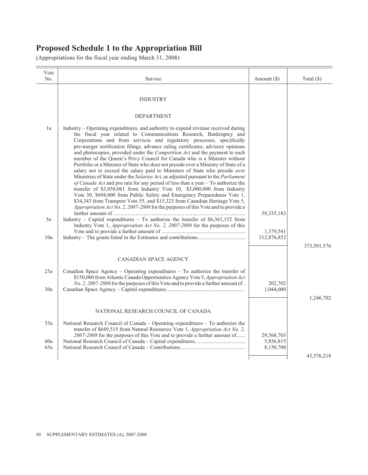| Vote<br>No.       | Service                                                                                                                                                                                                                                                                                                                                                                                                                                                                                                                                                                                                                                                                                                                                                                                                                                                                                                                                                                                                                                                                                                                                                                                                                                            | Amount $(\$)$                        | Total $(\$)$ |
|-------------------|----------------------------------------------------------------------------------------------------------------------------------------------------------------------------------------------------------------------------------------------------------------------------------------------------------------------------------------------------------------------------------------------------------------------------------------------------------------------------------------------------------------------------------------------------------------------------------------------------------------------------------------------------------------------------------------------------------------------------------------------------------------------------------------------------------------------------------------------------------------------------------------------------------------------------------------------------------------------------------------------------------------------------------------------------------------------------------------------------------------------------------------------------------------------------------------------------------------------------------------------------|--------------------------------------|--------------|
|                   | <b>INDUSTRY</b>                                                                                                                                                                                                                                                                                                                                                                                                                                                                                                                                                                                                                                                                                                                                                                                                                                                                                                                                                                                                                                                                                                                                                                                                                                    |                                      |              |
|                   | <b>DEPARTMENT</b>                                                                                                                                                                                                                                                                                                                                                                                                                                                                                                                                                                                                                                                                                                                                                                                                                                                                                                                                                                                                                                                                                                                                                                                                                                  |                                      |              |
| 1a<br>5a          | Industry – Operating expenditures, and authority to expend revenue received during<br>the fiscal year related to Communications Research, Bankruptcy and<br>Corporations and from services and regulatory processes, specifically<br>pre-merger notification filings, advance ruling certificates, advisory opinions<br>and photocopies, provided under the Competition Act and the payment to each<br>member of the Queen's Privy Council for Canada who is a Minister without<br>Portfolio or a Minister of State who does not preside over a Ministry of State of a<br>salary not to exceed the salary paid to Ministers of State who preside over<br>Ministries of State under the Salaries Act, as adjusted pursuant to the Parliament<br>of Canada Act and pro rata for any period of less than a year $-$ To authorize the<br>transfer of \$3,058,061 from Industry Vote 10, \$3,000,000 from Industry<br>Vote 30, \$694,000 from Public Safety and Emergency Preparedness Vote 1,<br>\$34,343 from Transport Vote 55, and \$15,323 from Canadian Heritage Vote 5,<br>Appropriation Act No. 2, 2007-2008 for the purposes of this Vote and to provide a<br>Industry – Capital expenditures – To authorize the transfer of $$6,361,152$ from | 59, 335, 183                         |              |
| 10a               | Industry Vote 1, Appropriation Act No. 2, 2007-2008 for the purposes of this                                                                                                                                                                                                                                                                                                                                                                                                                                                                                                                                                                                                                                                                                                                                                                                                                                                                                                                                                                                                                                                                                                                                                                       | 1,379,541<br>312,876,852             |              |
|                   |                                                                                                                                                                                                                                                                                                                                                                                                                                                                                                                                                                                                                                                                                                                                                                                                                                                                                                                                                                                                                                                                                                                                                                                                                                                    |                                      | 373,591,576  |
|                   | <b>CANADIAN SPACE AGENCY</b>                                                                                                                                                                                                                                                                                                                                                                                                                                                                                                                                                                                                                                                                                                                                                                                                                                                                                                                                                                                                                                                                                                                                                                                                                       |                                      |              |
| 25a<br>30a        | Canadian Space Agency - Operating expenditures - To authorize the transfer of<br>\$150,000 from Atlantic Canada Opportunities Agency Vote 5, Appropriation Act<br>No. 2, 2007-2008 for the purposes of this Vote and to provide a further amount of.                                                                                                                                                                                                                                                                                                                                                                                                                                                                                                                                                                                                                                                                                                                                                                                                                                                                                                                                                                                               | 202,702<br>1,044,000                 |              |
|                   |                                                                                                                                                                                                                                                                                                                                                                                                                                                                                                                                                                                                                                                                                                                                                                                                                                                                                                                                                                                                                                                                                                                                                                                                                                                    |                                      | 1,246,702    |
|                   | NATIONAL RESEARCH COUNCIL OF CANADA                                                                                                                                                                                                                                                                                                                                                                                                                                                                                                                                                                                                                                                                                                                                                                                                                                                                                                                                                                                                                                                                                                                                                                                                                |                                      |              |
| 55a<br>60a<br>65a | National Research Council of Canada - Operating expenditures - To authorize the<br>transfer of \$649,515 from Natural Resources Vote 1, Appropriation Act No. 2,<br>2007-2008 for the purposes of this Vote and to provide a further amount of                                                                                                                                                                                                                                                                                                                                                                                                                                                                                                                                                                                                                                                                                                                                                                                                                                                                                                                                                                                                     | 29,568,703<br>5,856,815<br>8,150,700 |              |
|                   |                                                                                                                                                                                                                                                                                                                                                                                                                                                                                                                                                                                                                                                                                                                                                                                                                                                                                                                                                                                                                                                                                                                                                                                                                                                    |                                      | 43,576,218   |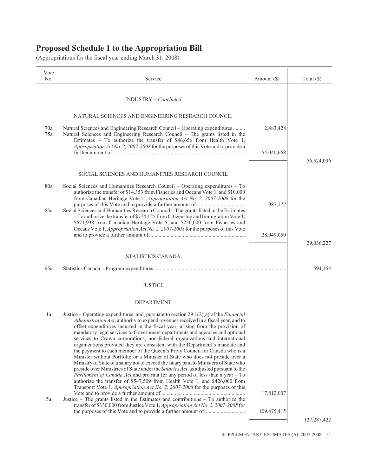(Appropriations for the fiscal year ending March 31, 2008)

| Vote<br>No. | Service                                                                                                                                                                                                                                                                                                                                                                                                                                                                                                                                                                                                                                                                                                                                                                                                                                                                                                                                                                                                                                       | Amount $(\$)$             | Total $(\$)$ |
|-------------|-----------------------------------------------------------------------------------------------------------------------------------------------------------------------------------------------------------------------------------------------------------------------------------------------------------------------------------------------------------------------------------------------------------------------------------------------------------------------------------------------------------------------------------------------------------------------------------------------------------------------------------------------------------------------------------------------------------------------------------------------------------------------------------------------------------------------------------------------------------------------------------------------------------------------------------------------------------------------------------------------------------------------------------------------|---------------------------|--------------|
|             | INDUSTRY – Concluded                                                                                                                                                                                                                                                                                                                                                                                                                                                                                                                                                                                                                                                                                                                                                                                                                                                                                                                                                                                                                          |                           |              |
|             | NATURAL SCIENCES AND ENGINEERING RESEARCH COUNCIL                                                                                                                                                                                                                                                                                                                                                                                                                                                                                                                                                                                                                                                                                                                                                                                                                                                                                                                                                                                             |                           |              |
| 70a<br>75a  | Natural Sciences and Engineering Research Council - Operating expenditures<br>Natural Sciences and Engineering Research Council - The grants listed in the<br>Estimates - To authorize the transfer of $$46,656$ from Health Vote 1,                                                                                                                                                                                                                                                                                                                                                                                                                                                                                                                                                                                                                                                                                                                                                                                                          | 2,483,428                 |              |
|             | Appropriation Act No. 2, 2007-2008 for the purposes of this Vote and to provide a                                                                                                                                                                                                                                                                                                                                                                                                                                                                                                                                                                                                                                                                                                                                                                                                                                                                                                                                                             | 54,040,668                |              |
|             |                                                                                                                                                                                                                                                                                                                                                                                                                                                                                                                                                                                                                                                                                                                                                                                                                                                                                                                                                                                                                                               |                           | 56,524,096   |
|             | SOCIAL SCIENCES AND HUMANITIES RESEARCH COUNCIL                                                                                                                                                                                                                                                                                                                                                                                                                                                                                                                                                                                                                                                                                                                                                                                                                                                                                                                                                                                               |                           |              |
| 80a<br>85a  | Social Sciences and Humanities Research Council – Operating expenditures – To<br>authorize the transfer of \$14,353 from Fisheries and Oceans Vote 1, and \$10,000<br>from Canadian Heritage Vote 1, Appropriation Act No. 2, 2007-2008 for the<br>Social Sciences and Humanities Research Council - The grants listed in the Estimates                                                                                                                                                                                                                                                                                                                                                                                                                                                                                                                                                                                                                                                                                                       | 987,177                   |              |
|             | - To authorize the transfer of \$774,125 from Citizenship and Immigration Vote 1,<br>\$671,938 from Canadian Heritage Vote 5, and \$250,000 from Fisheries and<br>Oceans Vote 1, Appropriation Act No. 2, 2007-2008 for the purposes of this Vote                                                                                                                                                                                                                                                                                                                                                                                                                                                                                                                                                                                                                                                                                                                                                                                             |                           |              |
|             |                                                                                                                                                                                                                                                                                                                                                                                                                                                                                                                                                                                                                                                                                                                                                                                                                                                                                                                                                                                                                                               | 28,049,050                | 29,036,227   |
|             | <b>STATISTICS CANADA</b>                                                                                                                                                                                                                                                                                                                                                                                                                                                                                                                                                                                                                                                                                                                                                                                                                                                                                                                                                                                                                      |                           |              |
| 95a         |                                                                                                                                                                                                                                                                                                                                                                                                                                                                                                                                                                                                                                                                                                                                                                                                                                                                                                                                                                                                                                               |                           | 594,154      |
|             |                                                                                                                                                                                                                                                                                                                                                                                                                                                                                                                                                                                                                                                                                                                                                                                                                                                                                                                                                                                                                                               |                           |              |
|             | <b>JUSTICE</b>                                                                                                                                                                                                                                                                                                                                                                                                                                                                                                                                                                                                                                                                                                                                                                                                                                                                                                                                                                                                                                |                           |              |
|             | DEPARTMENT                                                                                                                                                                                                                                                                                                                                                                                                                                                                                                                                                                                                                                                                                                                                                                                                                                                                                                                                                                                                                                    |                           |              |
| 1a          | Justice – Operating expenditures, and, pursuant to section $29.1(2)(a)$ of the <i>Financial</i><br>Administration Act, authority to expend revenues received in a fiscal year, and to<br>offset expenditures incurred in the fiscal year, arising from the provision of<br>mandatory legal services to Government departments and agencies and optional<br>services to Crown corporations, non-federal organizations and international<br>organizations provided they are consistent with the Department's mandate and<br>the payment to each member of the Queen's Privy Council for Canada who is a<br>Minister without Portfolio or a Minister of State who does not preside over a<br>Ministry of State of a salary not to exceed the salary paid to Ministers of State who<br>preside over Ministries of State under the Salaries Act, as adjusted pursuant to the<br><i>Parliament of Canada Act</i> and pro rata for any period of less than a year – To<br>authorize the transfer of \$547,509 from Health Vote 1, and \$426,000 from |                           |              |
| 5a          | Transport Vote 1, Appropriation Act No. 2, 2007-2008 for the purposes of this<br>Justice $-$ The grants listed in the Estimates and contributions $-$ To authorize the<br>transfer of \$330,000 from Justice Vote 1, Appropriation Act No. 2, 2007-2008 for                                                                                                                                                                                                                                                                                                                                                                                                                                                                                                                                                                                                                                                                                                                                                                                   | 17,812,007<br>109,475,415 |              |
|             |                                                                                                                                                                                                                                                                                                                                                                                                                                                                                                                                                                                                                                                                                                                                                                                                                                                                                                                                                                                                                                               |                           | 127,287,422  |

SUPPLEMENTARY ESTIMATES (A), 2007-2008 51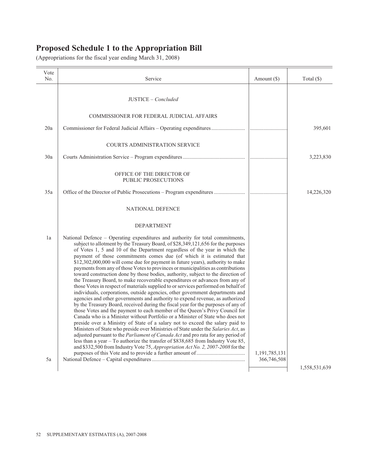| Vote<br>No. | Service                                                                                                                                                                                                                                                                                                                                                                                                                                                                                                                                                                                                                                                                                                                                                                                                                                                                                                                                                                                                                                                                                                                                                                                                                                                                                                                                                                                                                                                                                                                                                                                                                    | Amount $(\$)$ | Total $(\$)$  |
|-------------|----------------------------------------------------------------------------------------------------------------------------------------------------------------------------------------------------------------------------------------------------------------------------------------------------------------------------------------------------------------------------------------------------------------------------------------------------------------------------------------------------------------------------------------------------------------------------------------------------------------------------------------------------------------------------------------------------------------------------------------------------------------------------------------------------------------------------------------------------------------------------------------------------------------------------------------------------------------------------------------------------------------------------------------------------------------------------------------------------------------------------------------------------------------------------------------------------------------------------------------------------------------------------------------------------------------------------------------------------------------------------------------------------------------------------------------------------------------------------------------------------------------------------------------------------------------------------------------------------------------------------|---------------|---------------|
|             | JUSTICE – Concluded                                                                                                                                                                                                                                                                                                                                                                                                                                                                                                                                                                                                                                                                                                                                                                                                                                                                                                                                                                                                                                                                                                                                                                                                                                                                                                                                                                                                                                                                                                                                                                                                        |               |               |
|             | COMMISSIONER FOR FEDERAL JUDICIAL AFFAIRS                                                                                                                                                                                                                                                                                                                                                                                                                                                                                                                                                                                                                                                                                                                                                                                                                                                                                                                                                                                                                                                                                                                                                                                                                                                                                                                                                                                                                                                                                                                                                                                  |               |               |
| 20a         |                                                                                                                                                                                                                                                                                                                                                                                                                                                                                                                                                                                                                                                                                                                                                                                                                                                                                                                                                                                                                                                                                                                                                                                                                                                                                                                                                                                                                                                                                                                                                                                                                            |               | 395,601       |
|             | <b>COURTS ADMINISTRATION SERVICE</b>                                                                                                                                                                                                                                                                                                                                                                                                                                                                                                                                                                                                                                                                                                                                                                                                                                                                                                                                                                                                                                                                                                                                                                                                                                                                                                                                                                                                                                                                                                                                                                                       |               |               |
| 30a         |                                                                                                                                                                                                                                                                                                                                                                                                                                                                                                                                                                                                                                                                                                                                                                                                                                                                                                                                                                                                                                                                                                                                                                                                                                                                                                                                                                                                                                                                                                                                                                                                                            |               | 3,223,830     |
|             | OFFICE OF THE DIRECTOR OF<br><b>PUBLIC PROSECUTIONS</b>                                                                                                                                                                                                                                                                                                                                                                                                                                                                                                                                                                                                                                                                                                                                                                                                                                                                                                                                                                                                                                                                                                                                                                                                                                                                                                                                                                                                                                                                                                                                                                    |               |               |
| 35a         |                                                                                                                                                                                                                                                                                                                                                                                                                                                                                                                                                                                                                                                                                                                                                                                                                                                                                                                                                                                                                                                                                                                                                                                                                                                                                                                                                                                                                                                                                                                                                                                                                            |               | 14,226,320    |
|             | <b>NATIONAL DEFENCE</b>                                                                                                                                                                                                                                                                                                                                                                                                                                                                                                                                                                                                                                                                                                                                                                                                                                                                                                                                                                                                                                                                                                                                                                                                                                                                                                                                                                                                                                                                                                                                                                                                    |               |               |
|             | <b>DEPARTMENT</b>                                                                                                                                                                                                                                                                                                                                                                                                                                                                                                                                                                                                                                                                                                                                                                                                                                                                                                                                                                                                                                                                                                                                                                                                                                                                                                                                                                                                                                                                                                                                                                                                          |               |               |
| 1a          | National Defence – Operating expenditures and authority for total commitments,<br>subject to allotment by the Treasury Board, of \$28,349,121,656 for the purposes<br>of Votes 1, 5 and 10 of the Department regardless of the year in which the<br>payment of those commitments comes due (of which it is estimated that<br>\$12,302,000,000 will come due for payment in future years), authority to make<br>payments from any of those Votes to provinces or municipalities as contributions<br>toward construction done by those bodies, authority, subject to the direction of<br>the Treasury Board, to make recoverable expenditures or advances from any of<br>those Votes in respect of materials supplied to or services performed on behalf of<br>individuals, corporations, outside agencies, other government departments and<br>agencies and other governments and authority to expend revenue, as authorized<br>by the Treasury Board, received during the fiscal year for the purposes of any of<br>those Votes and the payment to each member of the Queen's Privy Council for<br>Canada who is a Minister without Portfolio or a Minister of State who does not<br>preside over a Ministry of State of a salary not to exceed the salary paid to<br>Ministers of State who preside over Ministries of State under the Salaries Act, as<br>adjusted pursuant to the <i>Parliament of Canada Act</i> and pro rata for any period of<br>less than a year – To authorize the transfer of \$838,685 from Industry Vote 85,<br>and \$332,500 from Industry Vote 75, Appropriation Act No. 2, 2007-2008 for the | 1,191,785,131 |               |
| 5a          |                                                                                                                                                                                                                                                                                                                                                                                                                                                                                                                                                                                                                                                                                                                                                                                                                                                                                                                                                                                                                                                                                                                                                                                                                                                                                                                                                                                                                                                                                                                                                                                                                            | 366,746,508   | 1,558,531,639 |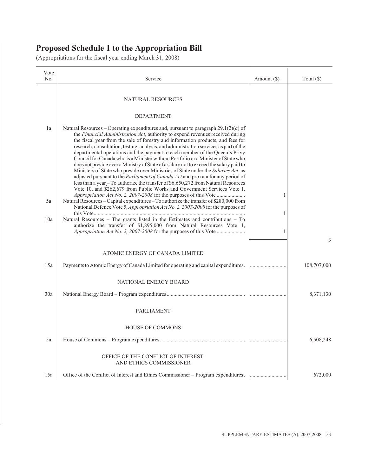| Vote<br>No. | Service                                                                                                                                                                                                                                                                                                                                                                                                                                                                                                                                                                                                                                                                                                                                                                                                                                                                                                                                                        | Amount $(\$)$ | Total $(\$)$ |
|-------------|----------------------------------------------------------------------------------------------------------------------------------------------------------------------------------------------------------------------------------------------------------------------------------------------------------------------------------------------------------------------------------------------------------------------------------------------------------------------------------------------------------------------------------------------------------------------------------------------------------------------------------------------------------------------------------------------------------------------------------------------------------------------------------------------------------------------------------------------------------------------------------------------------------------------------------------------------------------|---------------|--------------|
|             | NATURAL RESOURCES                                                                                                                                                                                                                                                                                                                                                                                                                                                                                                                                                                                                                                                                                                                                                                                                                                                                                                                                              |               |              |
|             | <b>DEPARTMENT</b>                                                                                                                                                                                                                                                                                                                                                                                                                                                                                                                                                                                                                                                                                                                                                                                                                                                                                                                                              |               |              |
| 1a          | Natural Resources – Operating expenditures and, pursuant to paragraph $29.1(2)(a)$ of<br>the Financial Administration Act, authority to expend revenues received during<br>the fiscal year from the sale of forestry and information products, and fees for<br>research, consultation, testing, analysis, and administration services as part of the<br>departmental operations and the payment to each member of the Queen's Privy<br>Council for Canada who is a Minister without Portfolio or a Minister of State who<br>does not preside over a Ministry of State of a salary not to exceed the salary paid to<br>Ministers of State who preside over Ministries of State under the Salaries Act, as<br>adjusted pursuant to the Parliament of Canada Act and pro rata for any period of<br>less than a year - To authorize the transfer of \$6,650,272 from Natural Resources<br>Vote 10, and \$262,679 from Public Works and Government Services Vote 1, | 1             |              |
| 5a          | Natural Resources - Capital expenditures - To authorize the transfer of \$280,000 from<br>National Defence Vote 5, Appropriation Act No. 2, 2007-2008 for the purposes of                                                                                                                                                                                                                                                                                                                                                                                                                                                                                                                                                                                                                                                                                                                                                                                      |               |              |
| 10a         | Natural Resources - The grants listed in the Estimates and contributions - To                                                                                                                                                                                                                                                                                                                                                                                                                                                                                                                                                                                                                                                                                                                                                                                                                                                                                  | 1             |              |
|             | authorize the transfer of \$1,895,000 from Natural Resources Vote 1,                                                                                                                                                                                                                                                                                                                                                                                                                                                                                                                                                                                                                                                                                                                                                                                                                                                                                           | 1             |              |
|             |                                                                                                                                                                                                                                                                                                                                                                                                                                                                                                                                                                                                                                                                                                                                                                                                                                                                                                                                                                |               | 3            |
|             | ATOMIC ENERGY OF CANADA LIMITED                                                                                                                                                                                                                                                                                                                                                                                                                                                                                                                                                                                                                                                                                                                                                                                                                                                                                                                                |               |              |
| 15a         | Payments to Atomic Energy of Canada Limited for operating and capital expenditures.                                                                                                                                                                                                                                                                                                                                                                                                                                                                                                                                                                                                                                                                                                                                                                                                                                                                            |               | 108,707,000  |
|             | NATIONAL ENERGY BOARD                                                                                                                                                                                                                                                                                                                                                                                                                                                                                                                                                                                                                                                                                                                                                                                                                                                                                                                                          |               |              |
| 30a         |                                                                                                                                                                                                                                                                                                                                                                                                                                                                                                                                                                                                                                                                                                                                                                                                                                                                                                                                                                |               | 8,371,130    |
|             | <b>PARLIAMENT</b>                                                                                                                                                                                                                                                                                                                                                                                                                                                                                                                                                                                                                                                                                                                                                                                                                                                                                                                                              |               |              |
|             | <b>HOUSE OF COMMONS</b>                                                                                                                                                                                                                                                                                                                                                                                                                                                                                                                                                                                                                                                                                                                                                                                                                                                                                                                                        |               |              |
| 5a          |                                                                                                                                                                                                                                                                                                                                                                                                                                                                                                                                                                                                                                                                                                                                                                                                                                                                                                                                                                |               | 6,508,248    |
|             | OFFICE OF THE CONFLICT OF INTEREST<br>AND ETHICS COMMISSIONER                                                                                                                                                                                                                                                                                                                                                                                                                                                                                                                                                                                                                                                                                                                                                                                                                                                                                                  |               |              |
| 15a         | Office of the Conflict of Interest and Ethics Commissioner – Program expenditures.                                                                                                                                                                                                                                                                                                                                                                                                                                                                                                                                                                                                                                                                                                                                                                                                                                                                             |               | 672,000      |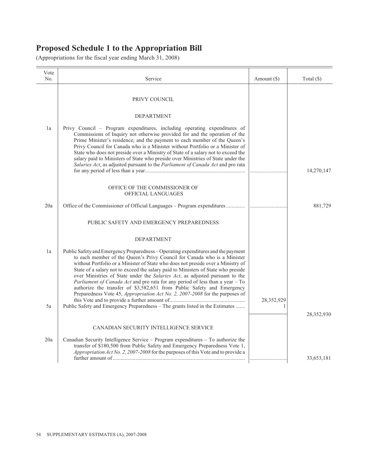| Vote<br>No. | Service                                                                                                                                                                                                                                                                                                                                                                                                                                                                                                                                                                                                                                                                  | Amount (\$) | Total $(\$)$ |
|-------------|--------------------------------------------------------------------------------------------------------------------------------------------------------------------------------------------------------------------------------------------------------------------------------------------------------------------------------------------------------------------------------------------------------------------------------------------------------------------------------------------------------------------------------------------------------------------------------------------------------------------------------------------------------------------------|-------------|--------------|
|             | PRIVY COUNCIL                                                                                                                                                                                                                                                                                                                                                                                                                                                                                                                                                                                                                                                            |             |              |
|             | <b>DEPARTMENT</b>                                                                                                                                                                                                                                                                                                                                                                                                                                                                                                                                                                                                                                                        |             |              |
| 1a          | Privy Council – Program expenditures, including operating expenditures of<br>Commissions of Inquiry not otherwise provided for and the operation of the<br>Prime Minister's residence; and the payment to each member of the Queen's<br>Privy Council for Canada who is a Minister without Portfolio or a Minister of<br>State who does not preside over a Ministry of State of a salary not to exceed the<br>salary paid to Ministers of State who preside over Ministries of State under the<br>Salaries Act, as adjusted pursuant to the Parliament of Canada Act and pro rata                                                                                        |             |              |
|             |                                                                                                                                                                                                                                                                                                                                                                                                                                                                                                                                                                                                                                                                          |             | 14,270,147   |
|             | OFFICE OF THE COMMISSIONER OF<br>OFFICIAL LANGUAGES                                                                                                                                                                                                                                                                                                                                                                                                                                                                                                                                                                                                                      |             |              |
| 20a         | Office of the Commissioner of Official Languages - Program expenditures                                                                                                                                                                                                                                                                                                                                                                                                                                                                                                                                                                                                  |             | 881,729      |
|             | PUBLIC SAFETY AND EMERGENCY PREPAREDNESS                                                                                                                                                                                                                                                                                                                                                                                                                                                                                                                                                                                                                                 |             |              |
|             | <b>DEPARTMENT</b>                                                                                                                                                                                                                                                                                                                                                                                                                                                                                                                                                                                                                                                        |             |              |
| 1a          | Public Safety and Emergency Preparedness – Operating expenditures and the payment<br>to each member of the Queen's Privy Council for Canada who is a Minister<br>without Portfolio or a Minister of State who does not preside over a Ministry of<br>State of a salary not to exceed the salary paid to Ministers of State who preside<br>over Ministries of State under the Salaries Act, as adjusted pursuant to the<br><i>Parliament of Canada Act</i> and pro rata for any period of less than a year – To<br>authorize the transfer of \$3,582,651 from Public Safety and Emergency<br>Preparedness Vote 45, Appropriation Act No. 2, 2007-2008 for the purposes of | 28,352,929  |              |
| 5a          | Public Safety and Emergency Preparedness – The grants listed in the Estimates                                                                                                                                                                                                                                                                                                                                                                                                                                                                                                                                                                                            | 1           | 28,352,930   |
|             | CANADIAN SECURITY INTELLIGENCE SERVICE                                                                                                                                                                                                                                                                                                                                                                                                                                                                                                                                                                                                                                   |             |              |
| 20a         | Canadian Security Intelligence Service – Program expenditures – To authorize the<br>transfer of \$180,500 from Public Safety and Emergency Preparedness Vote 1,<br>Appropriation Act No. 2, 2007-2008 for the purposes of this Vote and to provide a                                                                                                                                                                                                                                                                                                                                                                                                                     |             | 33,653,181   |
|             |                                                                                                                                                                                                                                                                                                                                                                                                                                                                                                                                                                                                                                                                          |             |              |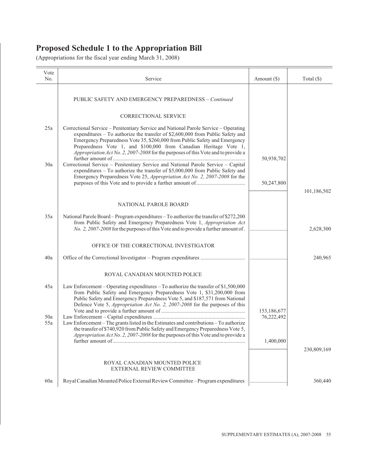| Vote<br>No. | Service                                                                                                                                                                                                                                                                                                                                                                                                       | Amount $(\$)$ | Total $(\$)$ |
|-------------|---------------------------------------------------------------------------------------------------------------------------------------------------------------------------------------------------------------------------------------------------------------------------------------------------------------------------------------------------------------------------------------------------------------|---------------|--------------|
|             | PUBLIC SAFETY AND EMERGENCY PREPAREDNESS - Continued                                                                                                                                                                                                                                                                                                                                                          |               |              |
|             | <b>CORRECTIONAL SERVICE</b>                                                                                                                                                                                                                                                                                                                                                                                   |               |              |
| 25a         | Correctional Service - Penitentiary Service and National Parole Service - Operating<br>expenditures - To authorize the transfer of \$2,600,000 from Public Safety and<br>Emergency Preparedness Vote 35, \$260,000 from Public Safety and Emergency<br>Preparedness Vote 1, and \$100,000 from Canadian Heritage Vote 1,<br>Appropriation Act No. 2, 2007-2008 for the purposes of this Vote and to provide a | 50,938,702    |              |
| 30a         | Correctional Service - Penitentiary Service and National Parole Service - Capital<br>expenditures - To authorize the transfer of \$5,000,000 from Public Safety and                                                                                                                                                                                                                                           |               |              |
|             | Emergency Preparedness Vote 25, Appropriation Act No. 2, 2007-2008 for the                                                                                                                                                                                                                                                                                                                                    | 50,247,800    |              |
|             |                                                                                                                                                                                                                                                                                                                                                                                                               |               | 101,186,502  |
|             | NATIONAL PAROLE BOARD                                                                                                                                                                                                                                                                                                                                                                                         |               |              |
| 35a         | National Parole Board – Program expenditures – To authorize the transfer of \$272,200<br>from Public Safety and Emergency Preparedness Vote 1, Appropriation Act<br>No. 2, 2007-2008 for the purposes of this Vote and to provide a further amount of.                                                                                                                                                        |               | 2,628,300    |
|             | OFFICE OF THE CORRECTIONAL INVESTIGATOR                                                                                                                                                                                                                                                                                                                                                                       |               |              |
| 40a         |                                                                                                                                                                                                                                                                                                                                                                                                               |               | 240,965      |
|             | ROYAL CANADIAN MOUNTED POLICE                                                                                                                                                                                                                                                                                                                                                                                 |               |              |
| 45a         | Law Enforcement – Operating expenditures – To authorize the transfer of \$1,500,000<br>from Public Safety and Emergency Preparedness Vote 1, \$31,200,000 from<br>Public Safety and Emergency Preparedness Vote 5, and \$187,571 from National<br>Defence Vote 5, Appropriation Act No. 2, 2007-2008 for the purposes of this                                                                                 | 153,186,677   |              |
| 50a<br>55a  | Law Enforcement - The grants listed in the Estimates and contributions - To authorize<br>the transfer of \$740,920 from Public Safety and Emergency Preparedness Vote 5,                                                                                                                                                                                                                                      | 76,222,492    |              |
|             | <i>Appropriation Act No. 2, 2007-2008</i> for the purposes of this Vote and to provide a                                                                                                                                                                                                                                                                                                                      | 1,400,000     | 230,809,169  |
|             | ROYAL CANADIAN MOUNTED POLICE<br>EXTERNAL REVIEW COMMITTEE                                                                                                                                                                                                                                                                                                                                                    |               |              |
| 60a         | Royal Canadian Mounted Police External Review Committee - Program expenditures                                                                                                                                                                                                                                                                                                                                |               | 360,440      |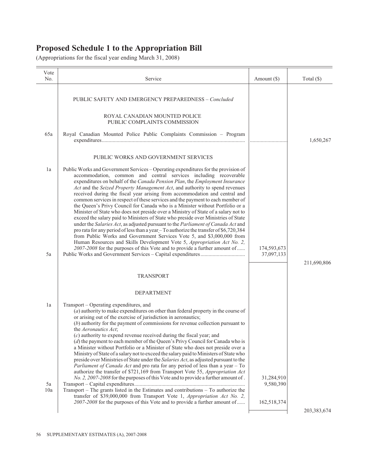| Vote<br>No. | Service                                                                                                                                                                                                                                                                                                                                                                                                                                                                                                                                                                                                                                                                                                                                                                                                                                                                                                                                                                                                                                                                                                                                                                                                   | Amount (\$)               | Total $(\$)$  |
|-------------|-----------------------------------------------------------------------------------------------------------------------------------------------------------------------------------------------------------------------------------------------------------------------------------------------------------------------------------------------------------------------------------------------------------------------------------------------------------------------------------------------------------------------------------------------------------------------------------------------------------------------------------------------------------------------------------------------------------------------------------------------------------------------------------------------------------------------------------------------------------------------------------------------------------------------------------------------------------------------------------------------------------------------------------------------------------------------------------------------------------------------------------------------------------------------------------------------------------|---------------------------|---------------|
|             | PUBLIC SAFETY AND EMERGENCY PREPAREDNESS - Concluded<br>ROYAL CANADIAN MOUNTED POLICE<br>PUBLIC COMPLAINTS COMMISSION                                                                                                                                                                                                                                                                                                                                                                                                                                                                                                                                                                                                                                                                                                                                                                                                                                                                                                                                                                                                                                                                                     |                           |               |
| 65a         | Royal Canadian Mounted Police Public Complaints Commission - Program                                                                                                                                                                                                                                                                                                                                                                                                                                                                                                                                                                                                                                                                                                                                                                                                                                                                                                                                                                                                                                                                                                                                      |                           | 1,650,267     |
| 1a<br>5a    | PUBLIC WORKS AND GOVERNMENT SERVICES<br>Public Works and Government Services – Operating expenditures for the provision of<br>accommodation, common and central services including recoverable<br>expenditures on behalf of the Canada Pension Plan, the Employment Insurance<br>Act and the Seized Property Management Act, and authority to spend revenues<br>received during the fiscal year arising from accommodation and central and<br>common services in respect of these services and the payment to each member of<br>the Queen's Privy Council for Canada who is a Minister without Portfolio or a<br>Minister of State who does not preside over a Ministry of State of a salary not to<br>exceed the salary paid to Ministers of State who preside over Ministries of State<br>under the Salaries Act, as adjusted pursuant to the Parliament of Canada Act and<br>pro rata for any period of less than a year - To authorize the transfer of \$6,720,384<br>from Public Works and Government Services Vote 5, and \$3,000,000 from<br>Human Resources and Skills Development Vote 5, Appropriation Act No. 2,<br>2007-2008 for the purposes of this Vote and to provide a further amount of | 174,593,673<br>37,097,133 |               |
|             | <b>TRANSPORT</b><br>DEPARTMENT                                                                                                                                                                                                                                                                                                                                                                                                                                                                                                                                                                                                                                                                                                                                                                                                                                                                                                                                                                                                                                                                                                                                                                            |                           | 211,690,806   |
| 1a<br>5a    | Transport – Operating expenditures, and<br>$(a)$ authority to make expenditures on other than federal property in the course of<br>or arising out of the exercise of jurisdiction in aeronautics;<br>$(b)$ authority for the payment of commissions for revenue collection pursuant to<br>the Aeronautics Act;<br>$(c)$ authority to expend revenue received during the fiscal year; and<br>$(d)$ the payment to each member of the Queen's Privy Council for Canada who is<br>a Minister without Portfolio or a Minister of State who does not preside over a<br>Ministry of State of a salary not to exceed the salary paid to Ministers of State who<br>preside over Ministries of State under the Salaries Act, as adjusted pursuant to the<br>Parliament of Canada Act and pro rata for any period of less than a year - To<br>authorize the transfer of \$721,169 from Transport Vote 55, Appropriation Act<br>No. 2, 2007-2008 for the purposes of this Vote and to provide a further amount of.                                                                                                                                                                                                   | 31,284,910<br>9,580,390   |               |
| 10a         | Transport – The grants listed in the Estimates and contributions – To authorize the<br>transfer of \$39,000,000 from Transport Vote 1, Appropriation Act No. 2,<br>2007-2008 for the purposes of this Vote and to provide a further amount of                                                                                                                                                                                                                                                                                                                                                                                                                                                                                                                                                                                                                                                                                                                                                                                                                                                                                                                                                             | 162,518,374               | 203, 383, 674 |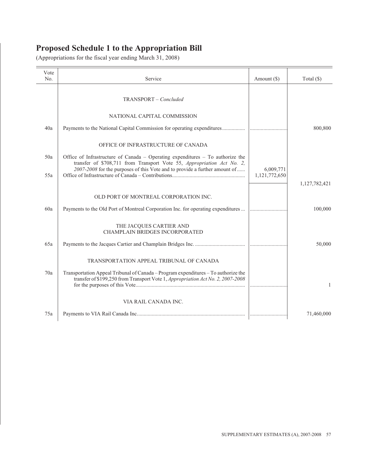| Vote<br>No. | Service                                                                                                                                                                                                                                | Amount (\$)   | Total $(\$)$  |
|-------------|----------------------------------------------------------------------------------------------------------------------------------------------------------------------------------------------------------------------------------------|---------------|---------------|
|             | TRANSPORT - Concluded                                                                                                                                                                                                                  |               |               |
|             | NATIONAL CAPITAL COMMISSION                                                                                                                                                                                                            |               |               |
| 40a         |                                                                                                                                                                                                                                        |               | 800,800       |
|             | OFFICE OF INFRASTRUCTURE OF CANADA                                                                                                                                                                                                     |               |               |
| 50a<br>55a  | Office of Infrastructure of Canada – Operating expenditures – To authorize the<br>transfer of \$708,711 from Transport Vote 55, Appropriation Act No. 2,<br>2007-2008 for the purposes of this Vote and to provide a further amount of | 6,009,771     |               |
|             |                                                                                                                                                                                                                                        | 1,121,772,650 | 1,127,782,421 |
|             | OLD PORT OF MONTREAL CORPORATION INC.                                                                                                                                                                                                  |               |               |
| 60a         |                                                                                                                                                                                                                                        |               | 100,000       |
|             | THE JACQUES CARTIER AND<br>CHAMPLAIN BRIDGES INCORPORATED                                                                                                                                                                              |               |               |
| 65a         |                                                                                                                                                                                                                                        |               | 50,000        |
|             | TRANSPORTATION APPEAL TRIBUNAL OF CANADA                                                                                                                                                                                               |               |               |
| 70a         | Transportation Appeal Tribunal of Canada - Program expenditures - To authorize the<br>transfer of \$199,250 from Transport Vote 1, Appropriation Act No. 2, 2007-2008                                                                  |               | $\mathbf{1}$  |
|             | VIA RAIL CANADA INC.                                                                                                                                                                                                                   |               |               |
| 75a         |                                                                                                                                                                                                                                        |               | 71,460,000    |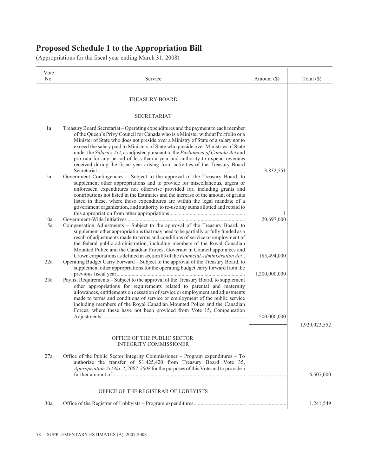| Vote<br>No. | Service                                                                                                                                                                                                                                                                                                                                                                                                                                                                                                                                                                                                | Amount $(\$)$ | Total $(\$)$  |
|-------------|--------------------------------------------------------------------------------------------------------------------------------------------------------------------------------------------------------------------------------------------------------------------------------------------------------------------------------------------------------------------------------------------------------------------------------------------------------------------------------------------------------------------------------------------------------------------------------------------------------|---------------|---------------|
|             | <b>TREASURY BOARD</b>                                                                                                                                                                                                                                                                                                                                                                                                                                                                                                                                                                                  |               |               |
|             | <b>SECRETARIAT</b>                                                                                                                                                                                                                                                                                                                                                                                                                                                                                                                                                                                     |               |               |
| 1a          | Treasury Board Secretariat – Operating expenditures and the payment to each member<br>of the Queen's Privy Council for Canada who is a Minister without Portfolio or a<br>Minister of State who does not preside over a Ministry of State of a salary not to<br>exceed the salary paid to Ministers of State who preside over Ministries of State<br>under the Salaries Act, as adjusted pursuant to the Parliament of Canada Act and<br>pro rata for any period of less than a year and authority to expend revenues<br>received during the fiscal year arising from activities of the Treasury Board | 13,832,551    |               |
| 5a          | Government Contingencies - Subject to the approval of the Treasury Board, to<br>supplement other appropriations and to provide for miscellaneous, urgent or<br>unforeseen expenditures not otherwise provided for, including grants and<br>contributions not listed in the Estimates and the increase of the amount of grants<br>listed in these, where those expenditures are within the legal mandate of a<br>government organization, and authority to re-use any sums allotted and repaid to                                                                                                       |               |               |
| 10a<br>15a  | Compensation Adjustments - Subject to the approval of the Treasury Board, to<br>supplement other appropriations that may need to be partially or fully funded as a<br>result of adjustments made to terms and conditions of service or employment of<br>the federal public administration, including members of the Royal Canadian<br>Mounted Police and the Canadian Forces, Governor in Council appointees and                                                                                                                                                                                       | 20,697,000    |               |
| 22a         | Crown corporations as defined in section 83 of the Financial Administration Act<br>Operating Budget Carry Forward - Subject to the approval of the Treasury Board, to<br>supplement other appropriations for the operating budget carry forward from the                                                                                                                                                                                                                                                                                                                                               | 185,494,000   |               |
| 23a         | Paylist Requirements - Subject to the approval of the Treasury Board, to supplement<br>other appropriations for requirements related to parental and maternity<br>allowances, entitlements on cessation of service or employment and adjustments<br>made to terms and conditions of service or employment of the public service<br>including members of the Royal Canadian Mounted Police and the Canadian<br>Forces, where these have not been provided from Vote 15, Compensation                                                                                                                    | 1,200,000,000 |               |
|             |                                                                                                                                                                                                                                                                                                                                                                                                                                                                                                                                                                                                        | 500,000,000   | 1,920,023,552 |
|             | OFFICE OF THE PUBLIC SECTOR<br><b>INTEGRITY COMMISSIONER</b>                                                                                                                                                                                                                                                                                                                                                                                                                                                                                                                                           |               |               |
| 27a         | Office of the Public Sector Integrity Commissioner - Program expenditures - To<br>authorize the transfer of \$1,425,420 from Treasury Board Vote 35,<br>Appropriation Act No. 2, 2007-2008 for the purposes of this Vote and to provide a                                                                                                                                                                                                                                                                                                                                                              |               | 6,507,000     |
|             | OFFICE OF THE REGISTRAR OF LOBBYISTS                                                                                                                                                                                                                                                                                                                                                                                                                                                                                                                                                                   |               |               |
| 30a         |                                                                                                                                                                                                                                                                                                                                                                                                                                                                                                                                                                                                        |               | 1,241,549     |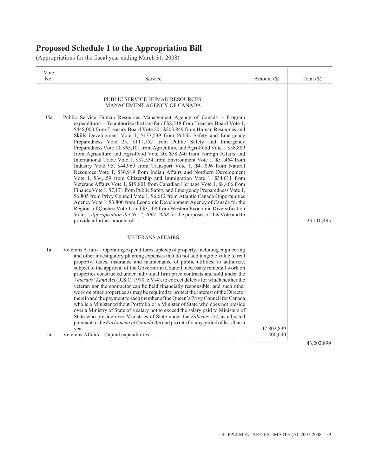| Vote<br>N <sub>o</sub> | Service                                                                                                                                                                                                                                                                                                                                                                                                                                                                                                                                                                                                                                                                                                                                                                                                                                                                                                                                                                                                                                                                                                                                                                                                                                                                                                                                                                                                                                    | Amount $(\$)$         | Total $(\$)$ |
|------------------------|--------------------------------------------------------------------------------------------------------------------------------------------------------------------------------------------------------------------------------------------------------------------------------------------------------------------------------------------------------------------------------------------------------------------------------------------------------------------------------------------------------------------------------------------------------------------------------------------------------------------------------------------------------------------------------------------------------------------------------------------------------------------------------------------------------------------------------------------------------------------------------------------------------------------------------------------------------------------------------------------------------------------------------------------------------------------------------------------------------------------------------------------------------------------------------------------------------------------------------------------------------------------------------------------------------------------------------------------------------------------------------------------------------------------------------------------|-----------------------|--------------|
| 35a                    | PUBLIC SERVICE HUMAN RESOURCES<br>MANAGEMENT AGENCY OF CANADA<br>Public Service Human Resources Management Agency of Canada – Program<br>expenditures - To authorize the transfer of \$8,518 from Treasury Board Vote 1,<br>\$448,000 from Treasury Board Vote 20, \$203,849 from Human Resources and<br>Skills Development Vote 1, \$137,539 from Public Safety and Emergency<br>Preparedness Vote 25, \$111,152 from Public Safety and Emergency<br>Preparedness Vote 10, \$65,101 from Agriculture and Agri-Food Vote 1, \$58,809<br>from Agriculture and Agri-Food Vote 30, \$58,240 from Foreign Affairs and<br>International Trade Vote 1, \$57,554 from Environment Vote 1, \$51,464 from<br>Industry Vote 95, \$44,960 from Transport Vote 1, \$41,096 from Natural<br>Resources Vote 1, \$36,919 from Indian Affairs and Northern Development<br>Vote 1, \$34,859 from Citizenship and Immigration Vote 1, \$34,611 from<br>Veterans Affairs Vote 1, \$19,801 from Canadian Heritage Vote 1, \$8,866 from<br>Finance Vote 1, \$7,171 from Public Safety and Emergency Preparedness Vote 1,<br>\$6,805 from Privy Council Vote 1, \$6,612 from Atlantic Canada Opportunities<br>Agency Vote 1, \$3,800 from Economic Development Agency of Canada for the<br>Regions of Quebec Vote 1, and \$3,508 from Western Economic Diversification<br>Vote 1, <i>Appropriation Act No. 2, 2007-2008</i> for the purposes of this Vote and to |                       | 23,110,495   |
| 1a<br>5a               | <b>VETERANS AFFAIRS</b><br>Veterans Affairs – Operating expenditures, upkeep of property, including engineering<br>and other investigatory planning expenses that do not add tangible value to real<br>property, taxes, insurance and maintenance of public utilities; to authorize,<br>subject to the approval of the Governor in Council, necessary remedial work on<br>properties constructed under individual firm price contracts and sold under the<br>Veterans' Land Act (R.S.C. 1970, c.V-4), to correct defects for which neither the<br>veteran nor the contractor can be held financially responsible, and such other<br>work on other properties as may be required to protect the interest of the Director<br>therein and the payment to each member of the Queen's Privy Council for Canada<br>who is a Minister without Portfolio or a Minister of State who does not preside<br>over a Ministry of State of a salary not to exceed the salary paid to Ministers of<br>State who preside over Ministries of State under the Salaries Act, as adjusted<br>pursuant to the <i>Parliament of Canada Act</i> and pro rata for any period of less than a                                                                                                                                                                                                                                                                         | 42,802,899<br>400,000 |              |
|                        |                                                                                                                                                                                                                                                                                                                                                                                                                                                                                                                                                                                                                                                                                                                                                                                                                                                                                                                                                                                                                                                                                                                                                                                                                                                                                                                                                                                                                                            |                       | 43,202,899   |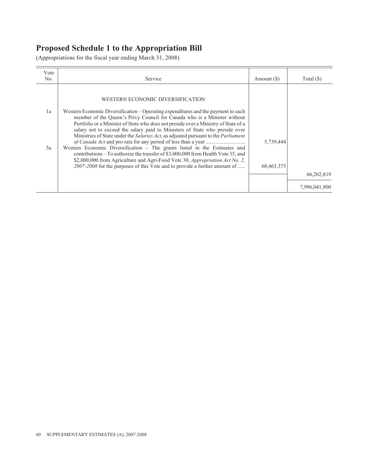| Vote<br>No. | Service                                                                                                                                                                                                                                                                                                                              | Amount $(\$)$           | Total $(\$)$  |
|-------------|--------------------------------------------------------------------------------------------------------------------------------------------------------------------------------------------------------------------------------------------------------------------------------------------------------------------------------------|-------------------------|---------------|
| 1a          | WESTERN ECONOMIC DIVERSIFICATION<br>Western Economic Diversification – Operating expenditures and the payment to each                                                                                                                                                                                                                |                         |               |
|             | member of the Queen's Privy Council for Canada who is a Minister without<br>Portfolio or a Minister of State who does not preside over a Ministry of State of a<br>salary not to exceed the salary paid to Ministers of State who preside over<br>Ministries of State under the Salaries Act, as adjusted pursuant to the Parliament |                         |               |
| 5a          | Western Economic Diversification - The grants listed in the Estimates and<br>contributions – To authorize the transfer of \$3,000,000 from Health Vote 35, and<br>\$2,000,000 from Agriculture and Agri-Food Vote 30, Appropriation Act No. 2,<br>2007-2008 for the purposes of this Vote and to provide a further amount of         | 5,739,444<br>60,463,375 |               |
|             |                                                                                                                                                                                                                                                                                                                                      |                         | 66,202,819    |
|             |                                                                                                                                                                                                                                                                                                                                      |                         | 7,996,041,900 |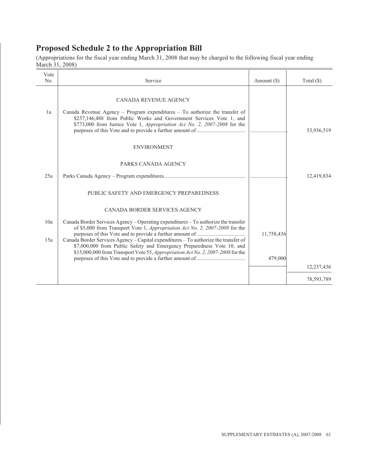(Appropriations for the fiscal year ending March 31, 2008 that may be charged to the following fiscal year ending March 31, 2008)

| Vote<br>No. | Service                                                                                                                                                                                                                                                         | Amount $(\$)$ | Total $(\$)$ |
|-------------|-----------------------------------------------------------------------------------------------------------------------------------------------------------------------------------------------------------------------------------------------------------------|---------------|--------------|
| 1a          | <b>CANADA REVENUE AGENCY</b><br>Canada Revenue Agency – Program expenditures – To authorize the transfer of<br>\$257,146,488 from Public Works and Government Services Vote 1, and<br>\$773,000 from Justice Vote 1, Appropriation Act No. 2, 2007-2008 for the |               | 53,936,519   |
|             | <b>ENVIRONMENT</b>                                                                                                                                                                                                                                              |               |              |
| 25a         | PARKS CANADA AGENCY                                                                                                                                                                                                                                             |               | 12,419,834   |
|             | PUBLIC SAFETY AND EMERGENCY PREPAREDNESS                                                                                                                                                                                                                        |               |              |
|             | CANADA BORDER SERVICES AGENCY                                                                                                                                                                                                                                   |               |              |
| 10a<br>15a  | Canada Border Services Agency – Operating expenditures – To authorize the transfer<br>of \$5,000 from Transport Vote 1, Appropriation Act No. 2, 2007-2008 for the<br>Canada Border Services Agency – Capital expenditures – To authorize the transfer of       | 11,758,436    |              |
|             | \$7,000,000 from Public Safety and Emergency Preparedness Vote 10, and<br>\$15,000,000 from Transport Vote 55, Appropriation Act No. 2, 2007-2008 for the                                                                                                       | 479,000       |              |
|             |                                                                                                                                                                                                                                                                 |               | 12,237,436   |
|             |                                                                                                                                                                                                                                                                 |               | 78,593,789   |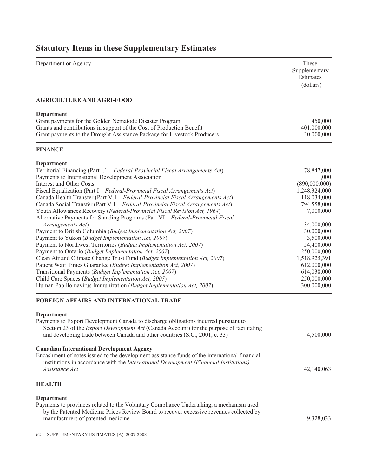| <b>AGRICULTURE AND AGRI-FOOD</b><br><b>Department</b><br>450,000<br>Grants and contributions in support of the Cost of Production Benefit<br>401,000,000<br>30,000,000<br><b>Department</b><br>78,847,000<br>Payments to International Development Association<br>1,000<br>(890,000,000)<br>Interest and Other Costs<br>Fiscal Equalization (Part I – Federal-Provincial Fiscal Arrangements Act)<br>1,248,324,000<br>Canada Health Transfer (Part V.1 - Federal-Provincial Fiscal Arrangements Act)<br>118,034,000<br>Canada Social Transfer (Part V.1 - Federal-Provincial Fiscal Arrangements Act)<br>794,558,000<br>Youth Allowances Recovery (Federal-Provincial Fiscal Revision Act, 1964)<br>Alternative Payments for Standing Programs (Part VI - Federal-Provincial Fiscal<br>Arrangements Act)<br>34,000,000<br>30,000,000<br>Payment to British Columbia (Budget Implementation Act, 2007)<br>Payment to Yukon (Budget Implementation Act, 2007)<br>3,500,000<br>Payment to Northwest Territories (Budget Implementation Act, 2007)<br>54,400,000<br>Payment to Ontario (Budget Implementation Act, 2007)<br>250,000,000<br>1,518,925,391<br>612,000,000<br>614,038,000<br>Child Care Spaces (Budget Implementation Act, 2007)<br>250,000,000<br>Human Papillomavirus Immunization (Budget Implementation Act, 2007)<br>300,000,000<br>FOREIGN AFFAIRS AND INTERNATIONAL TRADE<br>Department<br>Section 23 of the <i>Export Development Act</i> (Canada Account) for the purpose of facilitating<br>and developing trade between Canada and other countries (S.C., 2001, c. 33)<br>4,500,000<br><b>Canadian International Development Agency</b><br>Encashment of notes issued to the development assistance funds of the international financial<br>institutions in accordance with the <i>International Development (Financial Institutions)</i><br>Assistance Act<br>42,140,063<br><b>Department</b><br>Payments to provinces related to the Voluntary Compliance Undertaking, a mechanism used<br>by the Patented Medicine Prices Review Board to recover excessive revenues collected by<br>manufacturers of patented medicine<br>9,328,033 | Department or Agency                                                                | These<br>Supplementary<br>Estimates<br>(dollars) |
|-------------------------------------------------------------------------------------------------------------------------------------------------------------------------------------------------------------------------------------------------------------------------------------------------------------------------------------------------------------------------------------------------------------------------------------------------------------------------------------------------------------------------------------------------------------------------------------------------------------------------------------------------------------------------------------------------------------------------------------------------------------------------------------------------------------------------------------------------------------------------------------------------------------------------------------------------------------------------------------------------------------------------------------------------------------------------------------------------------------------------------------------------------------------------------------------------------------------------------------------------------------------------------------------------------------------------------------------------------------------------------------------------------------------------------------------------------------------------------------------------------------------------------------------------------------------------------------------------------------------------------------------------------------------------------------------------------------------------------------------------------------------------------------------------------------------------------------------------------------------------------------------------------------------------------------------------------------------------------------------------------------------------------------------------------------------------------------------------------------------------------------------------------------|-------------------------------------------------------------------------------------|--------------------------------------------------|
|                                                                                                                                                                                                                                                                                                                                                                                                                                                                                                                                                                                                                                                                                                                                                                                                                                                                                                                                                                                                                                                                                                                                                                                                                                                                                                                                                                                                                                                                                                                                                                                                                                                                                                                                                                                                                                                                                                                                                                                                                                                                                                                                                             |                                                                                     |                                                  |
| 7,000,000                                                                                                                                                                                                                                                                                                                                                                                                                                                                                                                                                                                                                                                                                                                                                                                                                                                                                                                                                                                                                                                                                                                                                                                                                                                                                                                                                                                                                                                                                                                                                                                                                                                                                                                                                                                                                                                                                                                                                                                                                                                                                                                                                   |                                                                                     |                                                  |
|                                                                                                                                                                                                                                                                                                                                                                                                                                                                                                                                                                                                                                                                                                                                                                                                                                                                                                                                                                                                                                                                                                                                                                                                                                                                                                                                                                                                                                                                                                                                                                                                                                                                                                                                                                                                                                                                                                                                                                                                                                                                                                                                                             | Grant payments for the Golden Nematode Disaster Program                             |                                                  |
|                                                                                                                                                                                                                                                                                                                                                                                                                                                                                                                                                                                                                                                                                                                                                                                                                                                                                                                                                                                                                                                                                                                                                                                                                                                                                                                                                                                                                                                                                                                                                                                                                                                                                                                                                                                                                                                                                                                                                                                                                                                                                                                                                             |                                                                                     |                                                  |
|                                                                                                                                                                                                                                                                                                                                                                                                                                                                                                                                                                                                                                                                                                                                                                                                                                                                                                                                                                                                                                                                                                                                                                                                                                                                                                                                                                                                                                                                                                                                                                                                                                                                                                                                                                                                                                                                                                                                                                                                                                                                                                                                                             | Grant payments to the Drought Assistance Package for Livestock Producers            |                                                  |
|                                                                                                                                                                                                                                                                                                                                                                                                                                                                                                                                                                                                                                                                                                                                                                                                                                                                                                                                                                                                                                                                                                                                                                                                                                                                                                                                                                                                                                                                                                                                                                                                                                                                                                                                                                                                                                                                                                                                                                                                                                                                                                                                                             | <b>FINANCE</b>                                                                      |                                                  |
|                                                                                                                                                                                                                                                                                                                                                                                                                                                                                                                                                                                                                                                                                                                                                                                                                                                                                                                                                                                                                                                                                                                                                                                                                                                                                                                                                                                                                                                                                                                                                                                                                                                                                                                                                                                                                                                                                                                                                                                                                                                                                                                                                             |                                                                                     |                                                  |
|                                                                                                                                                                                                                                                                                                                                                                                                                                                                                                                                                                                                                                                                                                                                                                                                                                                                                                                                                                                                                                                                                                                                                                                                                                                                                                                                                                                                                                                                                                                                                                                                                                                                                                                                                                                                                                                                                                                                                                                                                                                                                                                                                             | Territorial Financing (Part I.1 – Federal-Provincial Fiscal Arrangements Act)       |                                                  |
|                                                                                                                                                                                                                                                                                                                                                                                                                                                                                                                                                                                                                                                                                                                                                                                                                                                                                                                                                                                                                                                                                                                                                                                                                                                                                                                                                                                                                                                                                                                                                                                                                                                                                                                                                                                                                                                                                                                                                                                                                                                                                                                                                             |                                                                                     |                                                  |
|                                                                                                                                                                                                                                                                                                                                                                                                                                                                                                                                                                                                                                                                                                                                                                                                                                                                                                                                                                                                                                                                                                                                                                                                                                                                                                                                                                                                                                                                                                                                                                                                                                                                                                                                                                                                                                                                                                                                                                                                                                                                                                                                                             |                                                                                     |                                                  |
|                                                                                                                                                                                                                                                                                                                                                                                                                                                                                                                                                                                                                                                                                                                                                                                                                                                                                                                                                                                                                                                                                                                                                                                                                                                                                                                                                                                                                                                                                                                                                                                                                                                                                                                                                                                                                                                                                                                                                                                                                                                                                                                                                             |                                                                                     |                                                  |
|                                                                                                                                                                                                                                                                                                                                                                                                                                                                                                                                                                                                                                                                                                                                                                                                                                                                                                                                                                                                                                                                                                                                                                                                                                                                                                                                                                                                                                                                                                                                                                                                                                                                                                                                                                                                                                                                                                                                                                                                                                                                                                                                                             |                                                                                     |                                                  |
|                                                                                                                                                                                                                                                                                                                                                                                                                                                                                                                                                                                                                                                                                                                                                                                                                                                                                                                                                                                                                                                                                                                                                                                                                                                                                                                                                                                                                                                                                                                                                                                                                                                                                                                                                                                                                                                                                                                                                                                                                                                                                                                                                             |                                                                                     |                                                  |
|                                                                                                                                                                                                                                                                                                                                                                                                                                                                                                                                                                                                                                                                                                                                                                                                                                                                                                                                                                                                                                                                                                                                                                                                                                                                                                                                                                                                                                                                                                                                                                                                                                                                                                                                                                                                                                                                                                                                                                                                                                                                                                                                                             |                                                                                     |                                                  |
|                                                                                                                                                                                                                                                                                                                                                                                                                                                                                                                                                                                                                                                                                                                                                                                                                                                                                                                                                                                                                                                                                                                                                                                                                                                                                                                                                                                                                                                                                                                                                                                                                                                                                                                                                                                                                                                                                                                                                                                                                                                                                                                                                             |                                                                                     |                                                  |
|                                                                                                                                                                                                                                                                                                                                                                                                                                                                                                                                                                                                                                                                                                                                                                                                                                                                                                                                                                                                                                                                                                                                                                                                                                                                                                                                                                                                                                                                                                                                                                                                                                                                                                                                                                                                                                                                                                                                                                                                                                                                                                                                                             |                                                                                     |                                                  |
|                                                                                                                                                                                                                                                                                                                                                                                                                                                                                                                                                                                                                                                                                                                                                                                                                                                                                                                                                                                                                                                                                                                                                                                                                                                                                                                                                                                                                                                                                                                                                                                                                                                                                                                                                                                                                                                                                                                                                                                                                                                                                                                                                             |                                                                                     |                                                  |
|                                                                                                                                                                                                                                                                                                                                                                                                                                                                                                                                                                                                                                                                                                                                                                                                                                                                                                                                                                                                                                                                                                                                                                                                                                                                                                                                                                                                                                                                                                                                                                                                                                                                                                                                                                                                                                                                                                                                                                                                                                                                                                                                                             |                                                                                     |                                                  |
|                                                                                                                                                                                                                                                                                                                                                                                                                                                                                                                                                                                                                                                                                                                                                                                                                                                                                                                                                                                                                                                                                                                                                                                                                                                                                                                                                                                                                                                                                                                                                                                                                                                                                                                                                                                                                                                                                                                                                                                                                                                                                                                                                             |                                                                                     |                                                  |
|                                                                                                                                                                                                                                                                                                                                                                                                                                                                                                                                                                                                                                                                                                                                                                                                                                                                                                                                                                                                                                                                                                                                                                                                                                                                                                                                                                                                                                                                                                                                                                                                                                                                                                                                                                                                                                                                                                                                                                                                                                                                                                                                                             | Clean Air and Climate Change Trust Fund (Budget Implementation Act, 2007)           |                                                  |
|                                                                                                                                                                                                                                                                                                                                                                                                                                                                                                                                                                                                                                                                                                                                                                                                                                                                                                                                                                                                                                                                                                                                                                                                                                                                                                                                                                                                                                                                                                                                                                                                                                                                                                                                                                                                                                                                                                                                                                                                                                                                                                                                                             | Patient Wait Times Guarantee (Budget Implementation Act, 2007)                      |                                                  |
|                                                                                                                                                                                                                                                                                                                                                                                                                                                                                                                                                                                                                                                                                                                                                                                                                                                                                                                                                                                                                                                                                                                                                                                                                                                                                                                                                                                                                                                                                                                                                                                                                                                                                                                                                                                                                                                                                                                                                                                                                                                                                                                                                             | Transitional Payments (Budget Implementation Act, 2007)                             |                                                  |
|                                                                                                                                                                                                                                                                                                                                                                                                                                                                                                                                                                                                                                                                                                                                                                                                                                                                                                                                                                                                                                                                                                                                                                                                                                                                                                                                                                                                                                                                                                                                                                                                                                                                                                                                                                                                                                                                                                                                                                                                                                                                                                                                                             |                                                                                     |                                                  |
|                                                                                                                                                                                                                                                                                                                                                                                                                                                                                                                                                                                                                                                                                                                                                                                                                                                                                                                                                                                                                                                                                                                                                                                                                                                                                                                                                                                                                                                                                                                                                                                                                                                                                                                                                                                                                                                                                                                                                                                                                                                                                                                                                             |                                                                                     |                                                  |
|                                                                                                                                                                                                                                                                                                                                                                                                                                                                                                                                                                                                                                                                                                                                                                                                                                                                                                                                                                                                                                                                                                                                                                                                                                                                                                                                                                                                                                                                                                                                                                                                                                                                                                                                                                                                                                                                                                                                                                                                                                                                                                                                                             |                                                                                     |                                                  |
|                                                                                                                                                                                                                                                                                                                                                                                                                                                                                                                                                                                                                                                                                                                                                                                                                                                                                                                                                                                                                                                                                                                                                                                                                                                                                                                                                                                                                                                                                                                                                                                                                                                                                                                                                                                                                                                                                                                                                                                                                                                                                                                                                             |                                                                                     |                                                  |
|                                                                                                                                                                                                                                                                                                                                                                                                                                                                                                                                                                                                                                                                                                                                                                                                                                                                                                                                                                                                                                                                                                                                                                                                                                                                                                                                                                                                                                                                                                                                                                                                                                                                                                                                                                                                                                                                                                                                                                                                                                                                                                                                                             | Payments to Export Development Canada to discharge obligations incurred pursuant to |                                                  |
|                                                                                                                                                                                                                                                                                                                                                                                                                                                                                                                                                                                                                                                                                                                                                                                                                                                                                                                                                                                                                                                                                                                                                                                                                                                                                                                                                                                                                                                                                                                                                                                                                                                                                                                                                                                                                                                                                                                                                                                                                                                                                                                                                             |                                                                                     |                                                  |
|                                                                                                                                                                                                                                                                                                                                                                                                                                                                                                                                                                                                                                                                                                                                                                                                                                                                                                                                                                                                                                                                                                                                                                                                                                                                                                                                                                                                                                                                                                                                                                                                                                                                                                                                                                                                                                                                                                                                                                                                                                                                                                                                                             |                                                                                     |                                                  |
|                                                                                                                                                                                                                                                                                                                                                                                                                                                                                                                                                                                                                                                                                                                                                                                                                                                                                                                                                                                                                                                                                                                                                                                                                                                                                                                                                                                                                                                                                                                                                                                                                                                                                                                                                                                                                                                                                                                                                                                                                                                                                                                                                             |                                                                                     |                                                  |
|                                                                                                                                                                                                                                                                                                                                                                                                                                                                                                                                                                                                                                                                                                                                                                                                                                                                                                                                                                                                                                                                                                                                                                                                                                                                                                                                                                                                                                                                                                                                                                                                                                                                                                                                                                                                                                                                                                                                                                                                                                                                                                                                                             |                                                                                     |                                                  |
|                                                                                                                                                                                                                                                                                                                                                                                                                                                                                                                                                                                                                                                                                                                                                                                                                                                                                                                                                                                                                                                                                                                                                                                                                                                                                                                                                                                                                                                                                                                                                                                                                                                                                                                                                                                                                                                                                                                                                                                                                                                                                                                                                             |                                                                                     |                                                  |
|                                                                                                                                                                                                                                                                                                                                                                                                                                                                                                                                                                                                                                                                                                                                                                                                                                                                                                                                                                                                                                                                                                                                                                                                                                                                                                                                                                                                                                                                                                                                                                                                                                                                                                                                                                                                                                                                                                                                                                                                                                                                                                                                                             |                                                                                     |                                                  |
|                                                                                                                                                                                                                                                                                                                                                                                                                                                                                                                                                                                                                                                                                                                                                                                                                                                                                                                                                                                                                                                                                                                                                                                                                                                                                                                                                                                                                                                                                                                                                                                                                                                                                                                                                                                                                                                                                                                                                                                                                                                                                                                                                             | <b>HEALTH</b>                                                                       |                                                  |
|                                                                                                                                                                                                                                                                                                                                                                                                                                                                                                                                                                                                                                                                                                                                                                                                                                                                                                                                                                                                                                                                                                                                                                                                                                                                                                                                                                                                                                                                                                                                                                                                                                                                                                                                                                                                                                                                                                                                                                                                                                                                                                                                                             |                                                                                     |                                                  |
|                                                                                                                                                                                                                                                                                                                                                                                                                                                                                                                                                                                                                                                                                                                                                                                                                                                                                                                                                                                                                                                                                                                                                                                                                                                                                                                                                                                                                                                                                                                                                                                                                                                                                                                                                                                                                                                                                                                                                                                                                                                                                                                                                             |                                                                                     |                                                  |
|                                                                                                                                                                                                                                                                                                                                                                                                                                                                                                                                                                                                                                                                                                                                                                                                                                                                                                                                                                                                                                                                                                                                                                                                                                                                                                                                                                                                                                                                                                                                                                                                                                                                                                                                                                                                                                                                                                                                                                                                                                                                                                                                                             |                                                                                     |                                                  |
|                                                                                                                                                                                                                                                                                                                                                                                                                                                                                                                                                                                                                                                                                                                                                                                                                                                                                                                                                                                                                                                                                                                                                                                                                                                                                                                                                                                                                                                                                                                                                                                                                                                                                                                                                                                                                                                                                                                                                                                                                                                                                                                                                             |                                                                                     |                                                  |

# **Statutory Items in these Supplementary Estimates**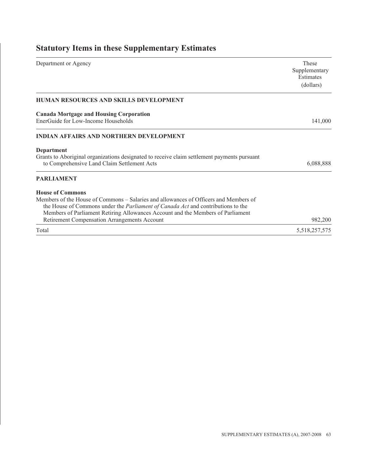# **Statutory Items in these Supplementary Estimates**

| Department or Agency                                                                                                                       | <b>These</b><br>Supplementary |
|--------------------------------------------------------------------------------------------------------------------------------------------|-------------------------------|
|                                                                                                                                            | Estimates                     |
|                                                                                                                                            | (dollars)                     |
| <b>HUMAN RESOURCES AND SKILLS DEVELOPMENT</b>                                                                                              |                               |
| <b>Canada Mortgage and Housing Corporation</b>                                                                                             |                               |
| EnerGuide for Low-Income Households                                                                                                        | 141,000                       |
| <b>INDIAN AFFAIRS AND NORTHERN DEVELOPMENT</b>                                                                                             |                               |
| Department                                                                                                                                 |                               |
| Grants to Aboriginal organizations designated to receive claim settlement payments pursuant<br>to Comprehensive Land Claim Settlement Acts | 6,088,888                     |
| <b>PARLIAMENT</b>                                                                                                                          |                               |
| <b>House of Commons</b>                                                                                                                    |                               |
| Members of the House of Commons – Salaries and allowances of Officers and Members of                                                       |                               |
| the House of Commons under the <i>Parliament of Canada Act</i> and contributions to the                                                    |                               |
| Members of Parliament Retiring Allowances Account and the Members of Parliament<br>Retirement Compensation Arrangements Account            | 982,200                       |
|                                                                                                                                            |                               |
| Total                                                                                                                                      | 5,518,257,575                 |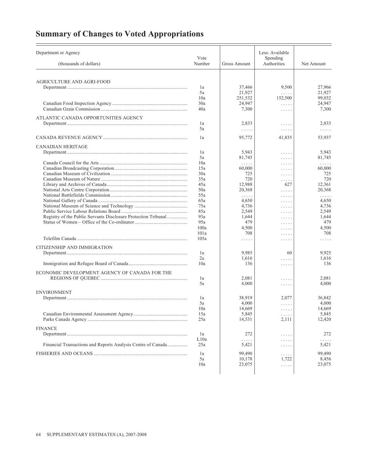# **Summary of Changes to Voted Appropriations**

| Department or Agency                                           |                |                                                  | Less: Available                                  |                                           |
|----------------------------------------------------------------|----------------|--------------------------------------------------|--------------------------------------------------|-------------------------------------------|
| (thousands of dollars)                                         | Vote<br>Number | <b>Gross Amount</b>                              | Spending<br>Authorities                          | Net Amount                                |
| AGRICULTURE AND AGRI-FOOD                                      |                |                                                  |                                                  |                                           |
|                                                                | 1a             | 37,466                                           | 9,500                                            | 27,966                                    |
|                                                                | 5a             | 21,927                                           |                                                  | 21,927                                    |
|                                                                | 10a            | 251,532                                          | 152,500                                          | 99,032                                    |
|                                                                | 30a            | 24,947                                           | .                                                | 24,947                                    |
|                                                                | 40a            | 7,300                                            | .                                                | 7,300                                     |
| ATLANTIC CANADA OPPORTUNITIES AGENCY                           |                |                                                  |                                                  |                                           |
|                                                                | 1a             | 2,833                                            | .                                                | 2,833                                     |
|                                                                | 5a             | .                                                | .                                                | .                                         |
|                                                                | 1a             | 95,772                                           | 41,835                                           | 53,937                                    |
| <b>CANADIAN HERITAGE</b>                                       |                |                                                  |                                                  |                                           |
|                                                                | 1a             | 5,943                                            | .                                                | 5,943                                     |
|                                                                | 5a             | 81,745                                           | .                                                | 81,745                                    |
|                                                                | 10a            | $\mathbb{Z}^2$ , $\mathbb{Z}^2$ , $\mathbb{Z}^2$ | .                                                | $\alpha$ , $\alpha$ , $\alpha$ , $\alpha$ |
|                                                                | 15a            | 60,000                                           | 1.1.1.1                                          | 60,000                                    |
|                                                                | 30a<br>35a     | 725<br>720                                       | $\ldots \ldots$                                  | 725<br>720                                |
|                                                                | 45a            | 12,988                                           | $\alpha$ , $\alpha$ , $\alpha$ , $\alpha$<br>627 | 12,361                                    |
|                                                                | 50a            | 20,368                                           | $\alpha$ , $\alpha$ , $\alpha$                   | 20,368                                    |
|                                                                | 55a            | .                                                | .                                                | .                                         |
|                                                                | 65a            | 4,650                                            | $\ldots$                                         | 4,650                                     |
|                                                                | 75a            | 4,736                                            | .                                                | 4,736                                     |
|                                                                | 85a            | 2,549                                            | .                                                | 2,549                                     |
| Registry of the Public Servants Disclosure Protection Tribunal | 93a            | 1,644                                            | .                                                | 1,644                                     |
|                                                                | 95a            | 479                                              | .                                                | 479                                       |
|                                                                | 100a           | 4,500                                            | .                                                | 4,500                                     |
|                                                                | 101a           | 708                                              | .                                                | 708                                       |
|                                                                | 105a           | .                                                | .                                                | .                                         |
| CITIZENSHIP AND IMMIGRATION                                    |                |                                                  |                                                  |                                           |
|                                                                | 1a             | 9,985                                            | 60                                               | 9,925                                     |
|                                                                | 2a             | 1,616                                            | .                                                | 1,616                                     |
|                                                                | 10a            | 136                                              | .                                                | 136                                       |
| ECONOMIC DEVELOPMENT AGENCY OF CANADA FOR THE                  |                |                                                  |                                                  |                                           |
|                                                                | 1a             | 2,081                                            | .                                                | 2,081                                     |
|                                                                | 5a             | 4,000                                            | .                                                | 4,000                                     |
| <b>ENVIRONMENT</b>                                             |                |                                                  |                                                  |                                           |
|                                                                | 1a             | 38,919                                           | 2,077                                            | 36,842                                    |
|                                                                | 5a             | 4,000                                            | .                                                | 4,000                                     |
|                                                                | 10a            | 14,669                                           | .                                                | 14,669                                    |
|                                                                | 15a<br>25a     | 5,845<br>14,531                                  | $\ldots$<br>2,111                                | 5,845<br>12,420                           |
| <b>FINANCE</b>                                                 |                |                                                  |                                                  |                                           |
|                                                                | 1a             | 272                                              |                                                  | 272                                       |
|                                                                | L10a           | .                                                | .<br>.                                           |                                           |
| Financial Transactions and Reports Analysis Centre of Canada   | 25a            | 5,421                                            | .                                                | 5,421                                     |
|                                                                |                |                                                  |                                                  |                                           |
|                                                                | 1a             | 99,490                                           | .                                                | 99,490                                    |
|                                                                | 5a             | 10,178                                           | 1,722                                            | 8,456                                     |
|                                                                | 10a            | 23,075                                           | .                                                | 23,075                                    |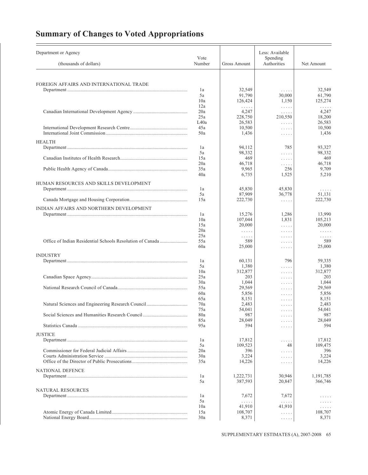# **Summary of Changes to Voted Appropriations**

| Department or Agency                                      | Vote        |                                | Less: Available<br>Spending                |                                        |
|-----------------------------------------------------------|-------------|--------------------------------|--------------------------------------------|----------------------------------------|
| (thousands of dollars)                                    | Number      | Gross Amount                   | Authorities                                | Net Amount                             |
|                                                           |             |                                |                                            |                                        |
| FOREIGN AFFAIRS AND INTERNATIONAL TRADE                   | 1a          | 32,549                         |                                            | 32,549                                 |
|                                                           | 5a          | 91,790                         | .<br>30,000                                | 61,790                                 |
|                                                           | 10a         | 126,424                        | 1,150                                      | 125,274                                |
|                                                           | 12a         | $\alpha$ , $\alpha$ , $\alpha$ | $\alpha$ , $\alpha$ , $\alpha$             | $\cdots$                               |
|                                                           | 20a         | 4,247                          | $\ldots$                                   | 4,247                                  |
|                                                           | 25a         | 228,750                        | 210,550                                    | 18,200                                 |
|                                                           | L40a<br>45a | 26,583                         | $\alpha$ , $\alpha$ , $\alpha$             | 26.583                                 |
|                                                           | 50a         | 10,500<br>1,436                | $\alpha$ , $\alpha$ , $\alpha$<br>$\ldots$ | 10,500<br>1,436                        |
| <b>HEALTH</b>                                             |             |                                |                                            |                                        |
|                                                           | 1a          | 94,112                         | 785                                        | 93,327                                 |
|                                                           | 5a          | 98,332                         | $\alpha$ , $\alpha$ , $\alpha$ , $\alpha$  | 98,332                                 |
|                                                           | 15a         | 469                            | $\alpha$ , $\alpha$ , $\alpha$             | 469                                    |
|                                                           | 20a         | 46,718                         | $\alpha$ , $\alpha$ , $\alpha$             | 46,718                                 |
|                                                           | 35a         | 9,965                          | 256                                        | 9,709                                  |
|                                                           | 40a         | 6,735                          | 1,525                                      | 5,210                                  |
| HUMAN RESOURCES AND SKILLS DEVELOPMENT                    |             |                                |                                            |                                        |
|                                                           | 1a<br>5a    | 45,830<br>87,909               | 45,830<br>36,778                           | $\ldots$<br>51.131                     |
|                                                           | 15a         | 222,730                        | $\alpha$ , $\alpha$ , $\alpha$             | 222,730                                |
| INDIAN AFFAIRS AND NORTHERN DEVELOPMENT                   |             |                                |                                            |                                        |
|                                                           | 1a          | 15,276                         | 1,286                                      | 13,990                                 |
|                                                           | 10a         | 107,044                        | 1,831                                      | 105,213                                |
|                                                           | 15a         | 20,000                         | $\alpha$ , $\alpha$ , $\alpha$             | 20,000                                 |
|                                                           | 20a         | $\ldots$                       | $\ldots$                                   | $\ldots$                               |
|                                                           | 25a         | $\alpha$ is a second .         | $\ldots$                                   | $\mathbb{R}^n$ . In the $\mathbb{R}^n$ |
| Office of Indian Residential Schools Resolution of Canada | 55a<br>60a  | 589<br>25,000                  | $\ldots$<br>.                              | 589<br>25,000                          |
| <b>INDUSTRY</b>                                           |             |                                |                                            |                                        |
|                                                           | 1a          | 60,131                         | 796                                        | 59,335                                 |
|                                                           | 5a          | 1,380                          | .                                          | 1,380                                  |
|                                                           | 10a<br>25a  | 312,877<br>203                 | $\cdots$                                   | 312,877<br>203                         |
|                                                           | 30a         | 1,044                          | $\ldots$                                   | 1,044                                  |
|                                                           | 55a         | 29,569                         | $\ldots$<br>$\dots$                        | 29,569                                 |
|                                                           | 60a         | 5,856                          | $\cdots$                                   | 5,856                                  |
|                                                           | 65a         | 8,151                          | $\dots$                                    | 8,151                                  |
|                                                           | 70a         | 2,483                          | $\cdots$                                   | 2,483                                  |
|                                                           | 75a         | 54,041                         | .                                          | 54,041                                 |
|                                                           | 80a         | 987                            | .                                          | 987                                    |
|                                                           | 85a<br>95a  | 28,049<br>594                  | .<br>.                                     | 28,049<br>594                          |
| <b>JUSTICE</b>                                            |             |                                |                                            |                                        |
|                                                           | 1a          | 17,812                         | .                                          | 17,812                                 |
|                                                           | 5a          | 109,523                        | 48                                         | 109,475                                |
|                                                           | 20a         | 396                            | .                                          | 396                                    |
|                                                           | 30a         | 3,224                          | .                                          | 3,224                                  |
|                                                           | 35a         | 14,226                         | .                                          | 14,226                                 |
| NATIONAL DEFENCE                                          |             |                                |                                            |                                        |
|                                                           | 1a<br>5a    | 1,222,731<br>387,593           | 30,946<br>20,847                           | 1,191,785<br>366,746                   |
| NATURAL RESOURCES                                         |             |                                |                                            |                                        |
|                                                           | 1a          | 7,672                          | 7,672                                      | .                                      |
|                                                           | 5a          | $\ldots$                       | $\cdots$                                   | .                                      |
|                                                           | 10a         | 41,910                         | 41,910                                     | .                                      |
|                                                           | 15a         | 108,707                        | $\sim$ $\sim$ $\sim$ $\sim$ $\sim$         | 108,707                                |
|                                                           | 30a         | 8,371                          | .                                          | 8,371                                  |

SUPPLEMENTARY ESTIMATES (A), 2007-2008 65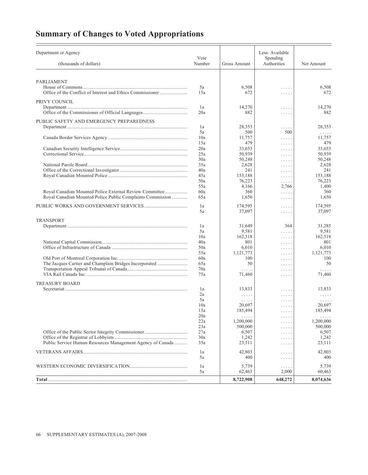# **Summary of Changes to Voted Appropriations**

| Department or Agency                                       | Vote       |                     | Less: Available<br>Spending                |                                           |
|------------------------------------------------------------|------------|---------------------|--------------------------------------------|-------------------------------------------|
| (thousands of dollars)                                     | Number     | <b>Gross Amount</b> | Authorities                                | Net Amount                                |
| PARLIAMENT                                                 |            |                     |                                            |                                           |
|                                                            | 5a         | 6,508               | .                                          | 6,508                                     |
|                                                            | 15a        | 672                 | .                                          | 672                                       |
| PRIVY COUNCIL                                              |            |                     |                                            |                                           |
|                                                            | 1a         | 14,270              | .                                          | 14,270                                    |
|                                                            | 20a        | 882                 | .                                          | 882                                       |
| PUBLIC SAFETY AND EMERGENCY PREPAREDNESS                   |            |                     |                                            |                                           |
|                                                            | 1a         | 28,353              | .                                          | 28,353                                    |
|                                                            | 5a         | 500                 | 500                                        | $\alpha$ , $\alpha$ , $\alpha$ , $\alpha$ |
|                                                            | 10a        | 11,757              | $\ldots \ldots$                            | 11,757                                    |
|                                                            | 15a        | 479                 | .                                          | 479                                       |
|                                                            | 20a        | 33,653              | $\ldots \ldots$                            | 33,653                                    |
|                                                            | 25a        | 50,939              | .                                          | 50,939                                    |
|                                                            | 30a<br>35a | 50,248<br>2,628     | $\ldots \ldots$                            | 50,248<br>2,628                           |
|                                                            | 40a        | 241                 | $\ldots \ldots$<br>$\ldots \ldots$         | 241                                       |
|                                                            | 45a        | 153,188             | .                                          | 153,188                                   |
|                                                            | 50a        | 76,223              | .                                          | 76,223                                    |
|                                                            | 55a        | 4,166               | 2,766                                      | 1,400                                     |
| Royal Canadian Mounted Police External Review Committee    | 60a        | 360                 | .                                          | 360                                       |
| Royal Canadian Mounted Police Public Complaints Commission | 65a        | 1,650               | .                                          | 1,650                                     |
|                                                            | 1a         | 174,595             | .                                          | 174,595                                   |
|                                                            | 5a         | 37,097              | $\alpha$ is a second                       | 37,097                                    |
| <b>TRANSPORT</b>                                           |            |                     |                                            |                                           |
|                                                            | 1a         | 31,649              | 364                                        | 31,285                                    |
|                                                            | 5a         | 9,581               | .                                          | 9,581                                     |
|                                                            | 10a        | 162,518             | .                                          | 162,518                                   |
|                                                            | 40a        | 801                 | $\mathbb{Z}^2$ . The set of $\mathbb{Z}^2$ | 801                                       |
|                                                            | 50a        | 6,010               | .                                          | 6,010                                     |
|                                                            | 55a        | 1,121,773           | .                                          | 1,121,773                                 |
|                                                            | 60a<br>65a | 100<br>50           | .                                          | 100<br>50                                 |
|                                                            | 70a        | $\ldots$            | .<br>.                                     | .                                         |
|                                                            | 75a        | 71,460              | $\mathbb{Z}^n$ . In the $\mathbb{Z}^n$     | 71,460                                    |
|                                                            |            |                     |                                            |                                           |
| <b>TREASURY BOARD</b>                                      | 1a         | 13,833              |                                            | 13,833                                    |
|                                                            | 2a         | $\ldots$            | $\cdots$<br>.                              | .                                         |
|                                                            | 5a         | $\ldots$            | .                                          | $\ldots$                                  |
|                                                            | 10a        | 20,697              | .                                          | 20,697                                    |
|                                                            | 15a        | 185,494             | $\mathbb{Z}^n$ . In the $\mathbb{Z}^n$     | 185,494                                   |
|                                                            | 20a        | .                   | .                                          | .                                         |
|                                                            | 22a        | 1,200,000           | .                                          | 1,200,000                                 |
|                                                            | 23a        | 500,000             | .                                          | 500,000                                   |
|                                                            | 27a<br>30a | 6,507<br>1,242      | .                                          | 6,507<br>1,242                            |
| Public Service Human Resources Management Agency of Canada | 35a        | 23,111              | .<br>.                                     | 23,111                                    |
|                                                            |            |                     |                                            |                                           |
|                                                            | 1a         | 42,803              | .                                          | 42,803                                    |
|                                                            | 5a         | 400                 | .                                          | 400                                       |
|                                                            | 1a         | 5,739               | .                                          | 5,739                                     |
|                                                            | 5a         | 62,463              | 2,000                                      | 60,463                                    |
|                                                            |            | 8,722,908           | 648,272                                    | 8,074,636                                 |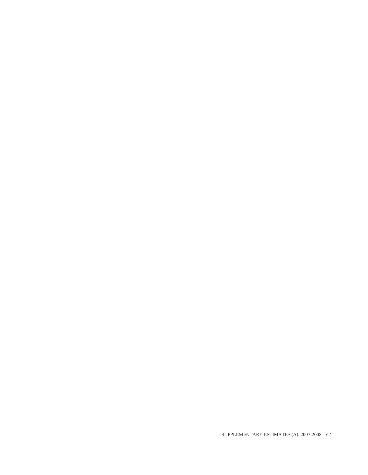SUPPLEMENTARY ESTIMATES (A), 2007-2008 67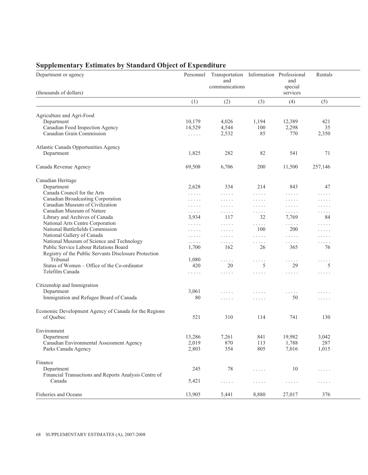| Department or agency                                                    | Personnel  | Transportation Information Professional<br>and<br>communications |                                    | and<br>special                     | Rentals  |  |
|-------------------------------------------------------------------------|------------|------------------------------------------------------------------|------------------------------------|------------------------------------|----------|--|
| (thousands of dollars)                                                  |            |                                                                  |                                    | services                           |          |  |
|                                                                         | (1)        | (2)                                                              | (3)                                | (4)                                | (5)      |  |
| Agriculture and Agri-Food                                               |            |                                                                  |                                    |                                    |          |  |
| Department                                                              | 10,179     | 4,026                                                            | 1,194                              | 12,389                             | 421      |  |
| Canadian Food Inspection Agency                                         | 14,529     | 4,544                                                            | 100                                | 2,298                              | 35       |  |
| Canadian Grain Commission                                               | .          | 2,532                                                            | 85                                 | 770                                | 2,350    |  |
| Atlantic Canada Opportunities Agency                                    |            |                                                                  |                                    |                                    |          |  |
| Department                                                              | 1,825      | 282                                                              | 82                                 | 541                                | 71       |  |
| Canada Revenue Agency                                                   | 69,508     | 6,706                                                            | 200                                | 11,500                             | 257,146  |  |
| Canadian Heritage                                                       |            |                                                                  |                                    |                                    |          |  |
| Department                                                              | 2,628      | 334                                                              | 214                                | 843                                | 47       |  |
| Canada Council for the Arts                                             | .          | $\sim$ $\sim$ $\sim$ $\sim$ $\sim$                               | $\cdots$                           | .                                  | .        |  |
| Canadian Broadcasting Corporation                                       | .          | $\sim$ $\sim$ $\sim$ $\sim$ $\sim$                               | $\cdots$                           | .                                  | .        |  |
| Canadian Museum of Civilization                                         | .          | $\alpha$ , $\alpha$ , $\alpha$ , $\alpha$                        | $\cdots$                           | $\cdots$                           | $\cdots$ |  |
| Canadian Museum of Nature                                               | .          | $\alpha$ , $\alpha$ , $\alpha$ , $\alpha$                        | $\ldots$                           | .                                  | .        |  |
| Library and Archives of Canada                                          | 3,934      | 117                                                              | 32                                 | 7,769                              | 84       |  |
| National Arts Centre Corporation                                        | .          | $\mathbb{Z}^n$ . In the $\mathbb{Z}^n$                           | $\ldots$                           | .                                  | .        |  |
| National Battlefields Commission                                        | .          | $\alpha$ , $\alpha$ , $\alpha$ , $\alpha$                        | 100                                | 200                                | $\cdots$ |  |
| National Gallery of Canada<br>National Museum of Science and Technology | .          | $\ldots$                                                         | $\sim$ $\sim$ $\sim$ $\sim$ $\sim$ | $\sim$ $\sim$ $\sim$ $\sim$ $\sim$ | .        |  |
| Public Service Labour Relations Board                                   | .<br>1,700 | $\cdots$<br>162                                                  | .<br>26                            | 1.1.1.1<br>365                     | .<br>76  |  |
| Registry of the Public Servants Disclosure Protection                   |            |                                                                  |                                    |                                    |          |  |
| Tribunal                                                                | 1,080      |                                                                  |                                    |                                    |          |  |
| Status of Women - Office of the Co-ordinator                            | 420        | $\sim$ $\sim$ $\sim$ $\sim$ $\sim$<br>20                         | .<br>5                             | .<br>29                            | .<br>5   |  |
| Telefilm Canada                                                         | .          | $\mathbb{Z}^2$ . $\mathbb{Z}^2$ , $\mathbb{Z}^2$                 | $\ldots$                           | $\sim$ $\sim$ $\sim$ $\sim$ $\sim$ | .        |  |
| Citizenship and Immigration                                             |            |                                                                  |                                    |                                    |          |  |
| Department                                                              | 3,061      | .                                                                | $\cdots$                           | .                                  | .        |  |
| Immigration and Refugee Board of Canada                                 | 80         | $\alpha$ , $\alpha$ , $\alpha$ , $\alpha$                        | $\cdots$                           | 50                                 | .        |  |
|                                                                         |            |                                                                  |                                    |                                    |          |  |
| Economic Development Agency of Canada for the Regions                   |            |                                                                  |                                    |                                    |          |  |
| of Quebec                                                               | 521        | 310                                                              | 114                                | 741                                | 130      |  |
| Environment                                                             |            |                                                                  |                                    |                                    |          |  |
| Department                                                              | 13,286     | 7,261                                                            | 841                                | 19,982                             | 3,042    |  |
| Canadian Environmental Assessment Agency                                | 2,019      | 870                                                              | 113                                | 1,788                              | 287      |  |
| Parks Canada Agency                                                     | 2,803      | 354                                                              | 805                                | 7,016                              | 1,015    |  |
| Finance                                                                 |            |                                                                  |                                    |                                    |          |  |
| Department                                                              | 245        | 78                                                               | $\ldots$                           | 10                                 | .        |  |
| Financial Transactions and Reports Analysis Centre of                   |            |                                                                  |                                    |                                    |          |  |
| Canada                                                                  | 5,421      | $\sim$ $\sim$ $\sim$ $\sim$ $\sim$                               | .                                  | .                                  | .        |  |
| Fisheries and Oceans                                                    | 13,905     | 5,441                                                            | 8,880                              | 27,017                             | 376      |  |

#### **Supplementary Estimates by Standard Object of Expenditure**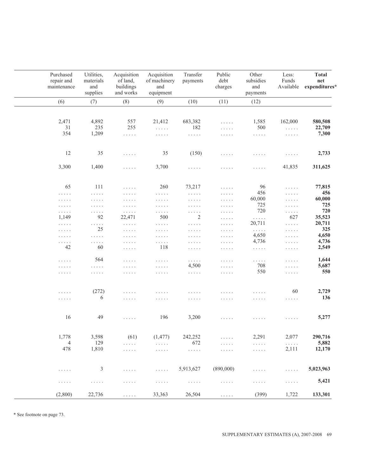| Purchased<br>repair and<br>maintenance | Utilities,<br>materials<br>and<br>supplies | Acquisition<br>of land,<br>buildings<br>and works | Acquisition<br>of machinery<br>and<br>equipment | Transfer<br>payments               | Public<br>debt<br>charges          | Other<br>subsidies<br>and<br>payments | Less:<br>Funds<br>Available                                  | <b>Total</b><br>net<br>expenditures* |
|----------------------------------------|--------------------------------------------|---------------------------------------------------|-------------------------------------------------|------------------------------------|------------------------------------|---------------------------------------|--------------------------------------------------------------|--------------------------------------|
| (6)                                    | (7)                                        | (8)                                               | (9)                                             | (10)                               | (11)                               | (12)                                  |                                                              |                                      |
|                                        |                                            |                                                   |                                                 |                                    |                                    |                                       |                                                              |                                      |
| 2,471                                  | 4,892                                      | 557                                               | 21,412                                          | 683,382                            |                                    | 1,585                                 | 162,000                                                      | 580,508                              |
| 31                                     | 235                                        | 255                                               | $\ldots$                                        | 182                                | .                                  | 500                                   |                                                              | 22,709                               |
| 354                                    | 1,209                                      | .                                                 |                                                 |                                    | $\ldots$                           |                                       | $\mathbb{Z}^2$ . $\mathbb{Z}^2$ , $\mathbb{Z}^2$<br>$\ldots$ | 7,300                                |
|                                        |                                            |                                                   | $\sim$ $\sim$ $\sim$ $\sim$ $\sim$              | .                                  | $\sim$ $\sim$ $\sim$ $\sim$ $\sim$ | $\sim$ $\sim$ $\sim$ $\sim$           |                                                              |                                      |
| 12                                     | 35                                         | .                                                 | 35                                              | (150)                              | .                                  | .                                     | $\sim$ $\sim$ $\sim$ $\sim$ $\sim$                           | 2,733                                |
| 3,300                                  | 1,400                                      | .                                                 | 3,700                                           | $\ldots$                           | .                                  | $\cdots$                              | 41,835                                                       | 311,625                              |
|                                        |                                            |                                                   |                                                 |                                    |                                    |                                       |                                                              |                                      |
| 65                                     | 111                                        | $\ldots$                                          | 260                                             | 73,217                             | $\ldots$                           | 96                                    | $\alpha$ is a set of                                         | 77,815                               |
| .                                      | .                                          | .                                                 | .                                               | $\sim$ $\sim$ $\sim$ $\sim$ $\sim$ | $\sim$ $\sim$ $\sim$ $\sim$ $\sim$ | 456                                   | $\sim$ $\sim$ $\sim$ $\sim$ $\sim$                           | 456                                  |
| .                                      | $\sim$ $\sim$ $\sim$ $\sim$ $\sim$         | $\sim$ $\sim$ $\sim$ $\sim$ $\sim$                | $\sim$ $\sim$ $\sim$ $\sim$ $\sim$              | $\sim$ $\sim$ $\sim$ $\sim$ $\sim$ | $\sim$ $\sim$ $\sim$ $\sim$ $\sim$ | 60,000                                | .                                                            | 60,000                               |
| $\ldots$                               | $\sim$ $\sim$ $\sim$ $\sim$ $\sim$         | $\sim$ $\sim$ $\sim$ $\sim$ $\sim$                | $\sim$ $\sim$ $\sim$ $\sim$ $\sim$              | $\sim$ $\sim$ $\sim$ $\sim$ $\sim$ | $\sim$ $\sim$ $\sim$ $\sim$ $\sim$ | 725                                   | $\ldots$                                                     | 725                                  |
| $\sim$ $\sim$ $\sim$ $\sim$ $\sim$     | $\ldots$                                   | $\alpha$ , $\alpha$ , $\alpha$                    | $\sim$ $\sim$ $\sim$ $\sim$ $\sim$              | $\sim$ $\sim$ $\sim$ $\sim$ $\sim$ | $\ldots$                           | 720                                   | $\alpha$ is a set of                                         | 720                                  |
| 1,149                                  | 92                                         | 22,471                                            | 500                                             | 2                                  | .                                  | $\alpha$ is a set of                  | 627                                                          | 35,523                               |
| $\sim$ $\sim$ $\sim$ $\sim$ $\sim$     | .                                          | $\ldots$                                          | .                                               | $\ldots$                           | 1.1.1.1                            | 20,711                                | $\alpha$ is a set of                                         | 20,711                               |
| $\sim$ $\sim$ $\sim$ $\sim$ $\sim$     | 25                                         | $\sim$ $\sim$ $\sim$ $\sim$ $\sim$                | $\sim$ $\sim$ $\sim$ $\sim$ $\sim$              | $\ldots$                           | $\ldots$                           | $\ldots$                              | $\sim$ $\sim$ $\sim$ $\sim$ $\sim$                           | 325                                  |
| $\sim$ $\sim$ $\sim$ $\sim$ $\sim$     | $\ldots$                                   | $\sim$ $\sim$ $\sim$ $\sim$ $\sim$                | $\sim$ $\sim$ $\sim$ $\sim$ $\sim$              | $\cdots\cdots\cdots$               | $\sim$ $\sim$ $\sim$ $\sim$ $\sim$ | 4,650                                 | $\mathbb{Z}^2$ . $\mathbb{Z}^2$ , $\mathbb{Z}^2$             | 4,650                                |
| .                                      | .                                          | .                                                 | .                                               | $\cdots\cdots\cdots$               | $\sim$ $\sim$ $\sim$ $\sim$ $\sim$ | 4,736                                 | $\ldots$                                                     | 4,736                                |
| 42                                     | 60                                         | .                                                 | 118                                             | .                                  | .                                  | $\alpha$ is a set of                  | $\cdots$                                                     | 2,549                                |
| .                                      | 564                                        | .                                                 | .                                               | .                                  | $\sim$ $\sim$ $\sim$ $\sim$ $\sim$ | .                                     | $\cdots$                                                     | 1,644                                |
| $\cdots$                               | $\sim$ $\sim$ $\sim$ $\sim$                | .                                                 | $\cdots$                                        | 4,500                              | .                                  | 708                                   | $\cdots$                                                     | 5,687                                |
| .                                      | $\sim$ $\sim$ $\sim$ $\sim$ $\sim$         | .                                                 | $\sim$ $\sim$ $\sim$ $\sim$ $\sim$              | $\sim$ $\sim$ $\sim$ $\sim$ $\sim$ | $\ldots$                           | 550                                   | $\sim$ $\sim$ $\sim$ $\sim$ $\sim$                           | 550                                  |
|                                        |                                            |                                                   |                                                 |                                    |                                    |                                       |                                                              |                                      |
| $\sim$ $\sim$ $\sim$ $\sim$ $\sim$     | (272)                                      | .                                                 | .                                               | .                                  | .                                  | .                                     | 60                                                           | 2,729                                |
| $\sim$ $\sim$ $\sim$ $\sim$ $\sim$     | 6                                          | $\ldots$                                          | $\sim$ $\sim$ $\sim$ $\sim$ $\sim$              | .                                  | .                                  | $\cdots$                              | .                                                            | 136                                  |
| 16                                     | 49                                         | .                                                 | 196                                             | 3,200                              | .                                  | .                                     | .                                                            | 5,277                                |
| 1,778                                  | 3,598                                      | (61)                                              | (1, 477)                                        | 242,252                            |                                    | 2,291                                 | 2,077                                                        | 290,716                              |
| $\overline{4}$                         | 129                                        |                                                   |                                                 | 672                                |                                    |                                       |                                                              | 5,882                                |
| 478                                    | 1,810                                      | $\ldots$                                          | $\mathbb{Z}^n$ . In the $\mathbb{Z}^n$          |                                    | $\sim$ $\sim$ $\sim$ $\sim$ $\sim$ | $\ldots$<br>.                         | $\ldots$<br>2,111                                            | 12,170                               |
|                                        |                                            | .                                                 | .                                               | $\ldots$                           | .                                  |                                       |                                                              |                                      |
| $\sim$ $\sim$ $\sim$ $\sim$ $\sim$     | 3                                          | $\ldots$                                          | $\ldots$                                        | 5,913,627                          | (890,000)                          | $\cdots$                              | $\ldots$                                                     | 5,023,963                            |
| .                                      | $\ldots$                                   | .                                                 | $\mathbb{Z}^n$ . In the $\mathbb{Z}^n$          | $\sim$ $\sim$ $\sim$ $\sim$ $\sim$ | $\sim$ $\sim$ $\sim$ $\sim$ $\sim$ | .                                     | $\ldots$                                                     | 5,421                                |
| (2,800)                                | 22,736                                     | $\alpha$ , $\alpha$ , $\alpha$                    | 33,363                                          | 26,504                             | $\alpha$ is a set of               | (399)                                 | 1,722                                                        | 133,301                              |

\* See footnote on page 73.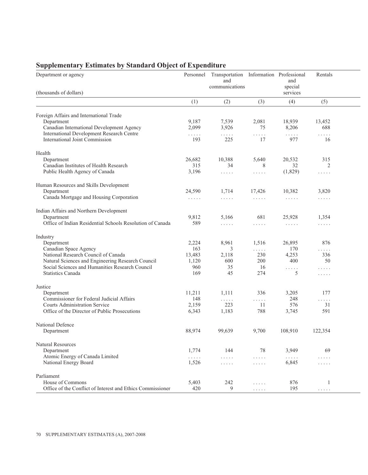| Department or agency                                       | Personnel    | Transportation Information Professional<br>and<br>communications |                             | and<br>special | Rentals        |  |
|------------------------------------------------------------|--------------|------------------------------------------------------------------|-----------------------------|----------------|----------------|--|
| (thousands of dollars)                                     |              |                                                                  |                             | services       |                |  |
|                                                            | (1)          | (2)                                                              | (3)                         | (4)            | (5)            |  |
| Foreign Affairs and International Trade                    |              |                                                                  |                             |                |                |  |
| Department                                                 | 9,187        | 7,539                                                            | 2,081                       | 18,939         | 13,452         |  |
| Canadian International Development Agency                  | 2,099        | 3,926                                                            | 75                          | 8,206          | 688            |  |
| <b>International Development Research Centre</b>           | .            | .                                                                | .                           | .              | .              |  |
| International Joint Commission                             | 193          | 225                                                              | 17                          | 977            | 16             |  |
| Health                                                     |              |                                                                  |                             |                |                |  |
| Department                                                 | 26,682       | 10,388                                                           | 5,640                       | 20,532         | 315            |  |
| Canadian Institutes of Health Research                     | 315          | 34                                                               | 8                           | 32             | 2              |  |
| Public Health Agency of Canada                             | 3,196        | $\mathbb{Z}^2$ . The set of $\mathbb{Z}^2$                       | $\ldots$                    | (1,829)        | .              |  |
| Human Resources and Skills Development                     |              |                                                                  |                             |                |                |  |
| Department                                                 | 24,590       | 1,714                                                            | 17,426                      | 10,382         | 3,820          |  |
| Canada Mortgage and Housing Corporation                    | $\ldots$     | $\ldots$                                                         | $\ldots$                    | .              | .              |  |
| Indian Affairs and Northern Development                    |              |                                                                  |                             |                |                |  |
| Department                                                 | 9,812        | 5,166                                                            | 681                         | 25,928         | 1,354          |  |
| Office of Indian Residential Schools Resolution of Canada  | 589          | $\ldots$                                                         | $\cdots$                    | .              | .              |  |
| Industry                                                   |              |                                                                  |                             |                |                |  |
| Department                                                 | 2,224        | 8,961                                                            | 1,516                       | 26,895         | 876            |  |
| Canadian Space Agency                                      | 163          | 3                                                                | 1.1.1.1                     | 170            | .              |  |
| National Research Council of Canada                        | 13,483       | 2,118                                                            | 230                         | 4,253          | 336            |  |
| Natural Sciences and Engineering Research Council          | 1,120        | 600                                                              | 200                         | 400            | 50             |  |
| Social Sciences and Humanities Research Council            | 960          | 35                                                               | 16                          | .              | .              |  |
| <b>Statistics Canada</b>                                   | 169          | 45                                                               | 274                         | 5              | .              |  |
| Justice                                                    |              |                                                                  |                             |                |                |  |
| Department                                                 | 11,211       | 1,111                                                            | 336                         | 3,205          | 177            |  |
| Commissioner for Federal Judicial Affairs                  | 148          | $\ldots$                                                         | 1.1.1.1                     | 248            | .              |  |
| <b>Courts Administration Service</b>                       | 2,159        | 223                                                              | 11                          | 576            | 31             |  |
| Office of the Director of Public Prosecutions              | 6,343        | 1,183                                                            | 788                         | 3,745          | 591            |  |
| National Defence                                           |              |                                                                  |                             |                |                |  |
| Department                                                 | 88,974       | 99,639                                                           | 9,700                       | 108,910        | 122,354        |  |
| <b>Natural Resources</b>                                   |              |                                                                  |                             |                |                |  |
| Department                                                 | 1,774        | 144                                                              | 78                          | 3,949          | 69             |  |
| Atomic Energy of Canada Limited<br>National Energy Board   | .<br>1,526   | .<br>$\sim$ $\sim$ $\sim$ $\sim$ $\sim$                          | .<br>$\cdots$               | .<br>6,845     | .<br>.         |  |
|                                                            |              |                                                                  |                             |                |                |  |
| Parliament<br>House of Commons                             |              |                                                                  |                             | 876            |                |  |
| Office of the Conflict of Interest and Ethics Commissioner | 5,403<br>420 | 242<br>9                                                         | $\sim$ $\sim$ $\sim$ $\sim$ | 195            | 1              |  |
|                                                            |              |                                                                  | $\dots$                     |                | $\cdots\cdots$ |  |

#### **Supplementary Estimates by Standard Object of Expenditure**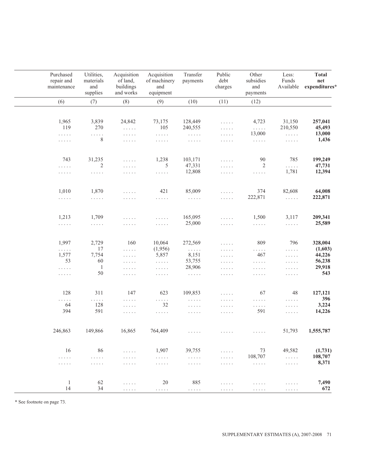| Purchased<br>repair and<br>maintenance  | Utilities,<br>materials<br>and<br>supplies                               | Acquisition<br>of land,<br>buildings<br>and works                 | Acquisition<br>of machinery<br>and<br>equipment                          | Transfer<br>payments                                                     | Public<br>debt<br>charges                        | Other<br>subsidies<br>and<br>payments  | Less:<br>Funds<br>Available                                      | <b>Total</b><br>$\mathbf{net}$<br>expenditures* |
|-----------------------------------------|--------------------------------------------------------------------------|-------------------------------------------------------------------|--------------------------------------------------------------------------|--------------------------------------------------------------------------|--------------------------------------------------|----------------------------------------|------------------------------------------------------------------|-------------------------------------------------|
| (6)                                     | (7)                                                                      | (8)                                                               | (9)                                                                      | (10)                                                                     | (11)                                             | (12)                                   |                                                                  |                                                 |
|                                         |                                                                          |                                                                   |                                                                          |                                                                          |                                                  |                                        |                                                                  |                                                 |
| 1,965<br>119                            | 3,839<br>270                                                             | 24,842<br>$\mathbb{Z}^2$ . In the $\mathbb{Z}^2$                  | 73,175<br>105                                                            | 128,449<br>240,555                                                       | .<br>$\cdots$                                    | 4,723<br>.                             | 31,150<br>210,550                                                | 257,041<br>45,493                               |
| $\sim$ $\sim$ $\sim$ $\sim$ $\sim$      | $\cdots$                                                                 | $\ldots$                                                          | $\ldots$                                                                 | $\ldots$                                                                 | 1.1.1.1                                          | 13,000                                 | $\mathbb{Z}^2$ . $\mathbb{Z}^2$ , $\mathbb{Z}^2$                 | 13,000                                          |
| $\sim$ $\sim$ $\sim$ $\sim$ $\sim$      | 8                                                                        | $\mathbb{Z}^n$ . $\mathbb{Z}^n$ , $\mathbb{Z}^n$ , $\mathbb{Z}^n$ | $\ldots$                                                                 | $\alpha$ , $\alpha$ , $\alpha$                                           | $\ldots$                                         | $\alpha$ , $\alpha$ , $\alpha$         | $\mathbb{Z}^2$ . $\mathbb{Z}^2$ , $\mathbb{Z}^2$                 | 1,436                                           |
| 743                                     | 31,235                                                                   | $\ldots$                                                          | 1,238                                                                    | 103,171                                                                  | $\cdots$                                         | $90\,$                                 | 785                                                              | 199,249                                         |
| $\ldots$                                | 2                                                                        | $\mathbb{Z}^n$ . The set of $\mathbb{Z}^n$                        | 5                                                                        | 47,331                                                                   | $\ldots$                                         | $\overline{2}$                         | .                                                                | 47,731                                          |
| $\sim$ $\sim$ $\sim$ $\sim$ $\sim$      | $\sim$ $\sim$ $\sim$ $\sim$ $\sim$                                       | $\sim$ $\sim$ $\sim$ $\sim$ $\sim$                                | .                                                                        | 12,808                                                                   | $\ldots$                                         | $\ldots$                               | 1,781                                                            | 12,394                                          |
|                                         |                                                                          |                                                                   |                                                                          |                                                                          |                                                  |                                        |                                                                  |                                                 |
| 1,010                                   | 1,870                                                                    | $\ldots$                                                          | 421                                                                      | 85,009                                                                   | .                                                | 374                                    | 82,608                                                           | 64,008                                          |
| $\alpha$ , $\alpha$ , $\alpha$          | $\alpha$ is a set of                                                     | $\sim$ $\sim$ $\sim$ $\sim$ $\sim$                                | .                                                                        | $\ldots$                                                                 | $\mathbb{Z}^2$ . $\mathbb{Z}^2$ , $\mathbb{Z}^2$ | 222,871                                | $\ldots$                                                         | 222,871                                         |
| 1,213                                   | 1,709                                                                    | $\sim$ $\sim$ $\sim$ $\sim$ $\sim$                                | .                                                                        | 165,095                                                                  | .                                                | 1,500                                  | 3,117                                                            | 209,341                                         |
| $\sim$ $\sim$ $\sim$ $\sim$             | $\ldots$                                                                 | .                                                                 | $\cdots$                                                                 | 25,000                                                                   | $\cdots$                                         | $\ldots$                               | .                                                                | 25,589                                          |
| 1,997                                   | 2,729                                                                    | 160                                                               | 10,064                                                                   | 272,569                                                                  | .                                                | 809                                    | 796                                                              | 328,004                                         |
| $\sim$ $\sim$ $\sim$ $\sim$ $\sim$      | 17                                                                       | $\ldots$                                                          | (1,956)                                                                  | $\ldots$                                                                 | .                                                | .                                      | .                                                                | (1,603)                                         |
| 1,577                                   | 7,754                                                                    | $\mathbb{Z}^2$ . In the $\mathbb{Z}^2$                            | 5,857                                                                    | 8,151                                                                    | $\cdots$                                         | 467                                    | $\mathbb{Z}^n$ . In the $\mathbb{Z}^n$                           | 44,226                                          |
| 53                                      | 60                                                                       | $\ldots$                                                          | .                                                                        | 53,755                                                                   | .                                                | $\cdots$                               | $\mathbb{Z}^n$ . In the $\mathbb{Z}^n$                           | 56,238                                          |
| $\sim$ $\sim$ $\sim$ $\sim$ $\sim$      | $\mathbf{1}$                                                             | $\ldots$                                                          | $\ldots$                                                                 | 28,906                                                                   | $\sim$ $\sim$ $\sim$ $\sim$ $\sim$               | .                                      | .                                                                | 29,918                                          |
| $\cdots$                                | 50                                                                       | $\sim$ $\sim$ $\sim$ $\sim$ $\sim$                                | $\sim$ $\sim$ $\sim$ $\sim$ $\sim$                                       | $\alpha$ , $\alpha$ , $\alpha$                                           | $\cdots$                                         | .                                      | $\sim$ $\sim$ $\sim$ $\sim$ $\sim$                               | 543                                             |
| 128                                     | 311                                                                      | 147                                                               | 623                                                                      | 109,853                                                                  | .                                                | 67                                     | 48                                                               | 127,121                                         |
| $\cdots$                                | .                                                                        | $\ldots$                                                          | .                                                                        | $\sim$ $\sim$ $\sim$ $\sim$ $\sim$                                       | .                                                | .                                      | .                                                                | 396                                             |
| 64                                      | 128                                                                      | $\mathbb{Z}^2$ . In the $\mathbb{Z}^2$                            | 32                                                                       | $\ldots$                                                                 | $\sim$ $\sim$ $\sim$ $\sim$ $\sim$               | $\ldots$                               | $\sim$ $\sim$ $\sim$ $\sim$                                      | 3,224                                           |
| 394                                     | 591                                                                      | $\mathbb{Z}^n$ . $\mathbb{Z}^n$ , $\mathbb{Z}^n$ , $\mathbb{Z}^n$ | $\ldots$                                                                 | .                                                                        | $\sim$ $\sim$ $\sim$ $\sim$ $\sim$               | 591                                    | .                                                                | 14,226                                          |
| 246,863                                 | 149,866                                                                  | 16,865                                                            | 764,409                                                                  | .                                                                        | .                                                | $\cdots$                               | 51,793                                                           | 1,555,787                                       |
|                                         |                                                                          |                                                                   |                                                                          |                                                                          |                                                  |                                        |                                                                  |                                                 |
| 16                                      | 86                                                                       | .                                                                 | 1,907                                                                    | 39,755                                                                   | .                                                | 73<br>108,707                          | 49,582                                                           | (1,731)<br>108,707                              |
| .<br>$\sim$ $\sim$ $\sim$ $\sim$ $\sim$ | $\sim$ $\sim$ $\sim$ $\sim$ $\sim$<br>$\sim$ $\sim$ $\sim$ $\sim$ $\sim$ | $\cdots$<br>$\sim$ $\sim$ $\sim$ $\sim$ $\sim$                    | $\sim$ $\sim$ $\sim$ $\sim$ $\sim$<br>$\sim$ $\sim$ $\sim$ $\sim$ $\sim$ | $\sim$ $\sim$ $\sim$ $\sim$ $\sim$<br>$\sim$ $\sim$ $\sim$ $\sim$ $\sim$ | .<br>$\sim$ $\sim$ $\sim$ $\sim$ $\sim$          | $\epsilon$ , $\epsilon$ , $\epsilon$ , | $\alpha$ , $\alpha$ , $\alpha$<br>$\alpha$ , $\alpha$ , $\alpha$ | 8,371                                           |
|                                         |                                                                          |                                                                   |                                                                          |                                                                          |                                                  |                                        |                                                                  |                                                 |
| $\mathbf{1}$                            | 62                                                                       | $\ldots$                                                          | 20                                                                       | 885                                                                      | $\sim$ $\sim$ $\sim$ $\sim$ $\sim$               | $\cdots\cdots\cdots$                   | $\cdots\cdots\cdots$                                             | 7,490                                           |
| 14                                      | 34                                                                       | $\sim$ $\sim$ $\sim$ $\sim$ $\sim$                                | $\sim$ $\sim$ $\sim$ $\sim$ $\sim$                                       | .                                                                        | .                                                | .                                      | $\sim$ $\sim$ $\sim$ $\sim$ $\sim$                               | 672                                             |

\* See footnote on page 73.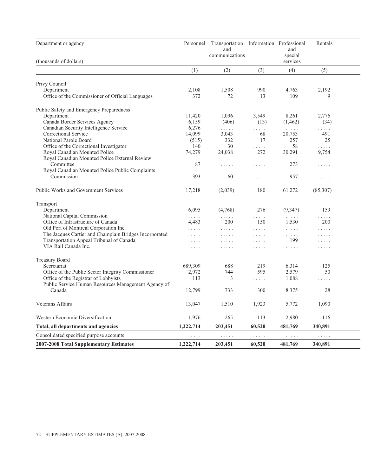| Department or agency                                   | Personnel                          | Transportation Information Professional<br>and<br>communications |                                        | and<br>special              | Rentals  |
|--------------------------------------------------------|------------------------------------|------------------------------------------------------------------|----------------------------------------|-----------------------------|----------|
| (thousands of dollars)                                 |                                    |                                                                  |                                        | services                    |          |
|                                                        | (1)                                | (2)                                                              | (3)                                    | (4)                         | (5)      |
| Privy Council                                          |                                    |                                                                  |                                        |                             |          |
| Department                                             | 2,108                              | 1,508                                                            | 990                                    | 4,763                       | 2,192    |
| Office of the Commissioner of Official Languages       | 372                                | 72                                                               | 13                                     | 109                         | 9        |
| Public Safety and Emergency Preparedness               |                                    |                                                                  |                                        |                             |          |
| Department                                             | 11,420                             | 1,096                                                            | 3,549                                  | 8,261                       | 2,776    |
| Canada Border Services Agency                          | 6.159                              | (406)                                                            | (13)                                   | (1, 462)                    | (34)     |
| Canadian Security Intelligence Service                 | 6,276                              | 1.1.1.1                                                          | $\ldots$ .                             | $\ldots$                    | .        |
| Correctional Service                                   | 14,099                             | 3,043                                                            | 68                                     | 20,753                      | 491      |
| National Parole Board                                  | (515)                              | 332                                                              | 17                                     | 257                         | 25       |
| Office of the Correctional Investigator                | 140                                | 30                                                               | $\ldots$                               | 58                          | .        |
| Royal Canadian Mounted Police                          | 74,279                             | 24,038                                                           | 272                                    | 30,291                      | 9,754    |
| Royal Canadian Mounted Police External Review          |                                    |                                                                  |                                        |                             |          |
| Committee                                              | 87                                 | $\mathbb{R}^n$ . In the $\mathbb{R}^n$                           | $\mathbb{Z}^n$ . In the $\mathbb{Z}^n$ | 273                         | .        |
| Royal Canadian Mounted Police Public Complaints        |                                    |                                                                  |                                        |                             |          |
| Commission                                             | 393                                | 60                                                               | $\mathbb{Z}^n$ . In the $\mathbb{Z}^n$ | 957                         | $\cdots$ |
| <b>Public Works and Government Services</b>            | 17,218                             | (2,039)                                                          | 180                                    | 61,272                      | (85,307) |
| Transport                                              |                                    |                                                                  |                                        |                             |          |
| Department                                             | 6,095                              | (4,768)                                                          | 276                                    | (9,347)                     | 159      |
| National Capital Commission                            | .                                  | $\mathbb{Z}^2$ . $\mathbb{Z}^2$ , $\mathbb{Z}^2$                 | $\ldots$                               | $\mathbb{Z}^2$ . The same   | $\ldots$ |
| Office of Infrastructure of Canada                     | 4,483                              | 200                                                              | 150                                    | 1,530                       | 200      |
| Old Port of Montreal Corporation Inc.                  | .                                  | $\mathbb{Z}^n$ . In the $\mathbb{Z}^n$                           | .                                      | .                           | .        |
| The Jacques Cartier and Champlain Bridges Incorporated | .                                  | 1.1.1.1                                                          | .                                      | $\sim$ $\sim$ $\sim$ $\sim$ | .        |
| Transportation Appeal Tribunal of Canada               | .                                  | .                                                                | $\mathbb{Z}^2$ . In the $\mathbb{Z}^2$ | 199                         | .        |
| VIA Rail Canada Inc.                                   | $\sim$ $\sim$ $\sim$ $\sim$ $\sim$ | .                                                                | $\sim$ $\sim$ $\sim$ $\sim$ $\sim$     | .                           | $\cdots$ |
| <b>Treasury Board</b>                                  |                                    |                                                                  |                                        |                             |          |
| Secretariat                                            | 689,309                            | 688                                                              | 219                                    | 6,314                       | 125      |
| Office of the Public Sector Integrity Commissioner     | 2,972                              | 744                                                              | 595                                    | 2,579                       | 50       |
| Office of the Registrar of Lobbyists                   | 113                                | 3                                                                | $\ldots$                               | 1,088                       | .        |
| Public Service Human Resources Management Agency of    |                                    |                                                                  |                                        |                             |          |
| Canada                                                 | 12,799                             | 733                                                              | 300                                    | 8,375                       | 28       |
| Veterans Affairs                                       | 13,047                             | 1,510                                                            | 1,923                                  | 5,772                       | 1,090    |
| Western Economic Diversification                       | 1,976                              | 265                                                              | 113                                    | 2,980                       | 116      |
| Total, all departments and agencies                    | 1,222,714                          | 203,451                                                          | 60,520                                 | 481,769                     | 340,891  |
| Consolidated specified purpose accounts                | $\cdots$                           | $\Box$                                                           | .                                      | $\ldots$                    | .        |
| 2007-2008 Total Supplementary Estimates                | 1,222,714                          | 203,451                                                          | 60,520                                 | 481,769                     | 340,891  |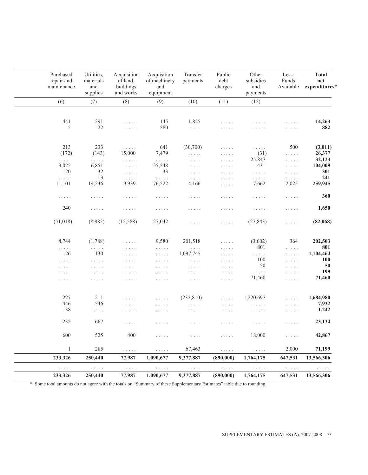| Purchased<br>repair and<br>maintenance | Utilities,<br>materials<br>and<br>supplies | Acquisition<br>of land,<br>buildings<br>and works | Acquisition<br>of machinery<br>and<br>equipment | Transfer<br>payments | Public<br>debt<br>charges | Other<br>subsidies<br>and<br>payments | Less:<br>Funds<br>Available | <b>Total</b><br>net<br>expenditures* |
|----------------------------------------|--------------------------------------------|---------------------------------------------------|-------------------------------------------------|----------------------|---------------------------|---------------------------------------|-----------------------------|--------------------------------------|
| (6)                                    | (7)                                        | (8)                                               | (9)                                             | (10)                 | (11)                      | (12)                                  |                             |                                      |
|                                        |                                            |                                                   |                                                 |                      |                           |                                       |                             |                                      |
| 441                                    | 291                                        | .                                                 | 145                                             | 1,825                |                           |                                       |                             | 14,263                               |
| 5                                      | 22                                         | .                                                 | 280                                             | .                    | .<br>.                    | .<br>.                                | .<br>.                      | 882                                  |
|                                        |                                            |                                                   |                                                 |                      |                           |                                       |                             |                                      |
| 213                                    | 233                                        | .                                                 | 641                                             | (30,700)             | .                         | .                                     | 500                         | (3,011)                              |
| (172)                                  | (143)                                      | 15,000                                            | 7,479                                           | .                    | .                         | (31)                                  | $\ldots$                    | 26,377                               |
| .                                      | .                                          | $\ldots$                                          | $\ldots$                                        | .                    | .                         | 25,847                                | .                           | 32,123                               |
| 3,025                                  | 6,851                                      | .                                                 | 55,248                                          | .                    | .                         | 431                                   | .                           | 104,009                              |
| 120                                    | 32                                         | $\ldots$                                          | 33                                              | .                    | .                         | .                                     | .                           | 301                                  |
| $\ldots$ .                             | 13                                         | .                                                 | $\ldots$                                        | .                    | .                         | .                                     | .                           | 241                                  |
| 11,101                                 | 14,246                                     | 9,939                                             | 76,222                                          | 4,166                | .                         | 7,662                                 | 2,025                       | 259,945                              |
| $\ldots$                               | .                                          | .                                                 | .                                               | .                    | .                         | .                                     | .                           | 360                                  |
| 240                                    | .                                          | .                                                 | .                                               | .                    | .                         | .                                     | .                           | 1,650                                |
| (51, 018)                              | (8,985)                                    | (12, 588)                                         | 27,042                                          | .                    | .                         | (27, 843)                             | .                           | (82,068)                             |
| 4,744                                  | (1,788)                                    | .                                                 | 9,580                                           | 201,518              | .                         | (3,602)                               | 364                         | 202,503                              |
| $\ldots$                               | .                                          | .                                                 | .                                               | .                    | .                         | 801                                   | .                           | 801                                  |
| 26                                     | 130                                        | .                                                 | .                                               | 1,097,745            | .                         | .                                     | .                           | 1,104,464                            |
| $\ldots$                               | .                                          | .                                                 | .                                               | .                    | .                         | 100                                   | .                           | <b>100</b>                           |
| .                                      | .                                          | .                                                 | .                                               | .                    | .                         | 50                                    | .                           | 50                                   |
| $\cdots$                               | $\cdots$                                   | .                                                 | .                                               | .                    | .                         | .                                     | .                           | 199                                  |
| $\ldots$                               | .                                          | .                                                 | .                                               | .                    | .                         | 71,460                                | .                           | 71,460                               |
|                                        |                                            |                                                   |                                                 |                      |                           |                                       |                             |                                      |
| 227                                    | 211                                        | .                                                 | .                                               | (232, 810)           | .                         | 1,220,697                             | .                           | 1,684,980                            |
| 446                                    | 546                                        | .                                                 | .                                               | .                    | .                         | .                                     | .                           | 7,932                                |
| 38                                     | .                                          | .                                                 | .                                               | .                    | .                         | .                                     | .                           | 1,242                                |
| 232                                    | 667                                        | .                                                 | .                                               | .                    | .                         | .                                     | .                           | 23,134                               |
| 600                                    | 525                                        | 400                                               | .                                               | .                    | .                         | 18,000                                | .                           | 42,867                               |
| 1                                      | 285                                        | .                                                 | .                                               | 67,463               | .                         | $\dots$                               | 2,000                       | 71,199                               |
| 233,326                                | 250,440                                    | 77,987                                            | 1,090,677                                       | 9,377,887            | (890,000)                 | 1,764,175                             | 647,531                     | 13,566,306                           |
| $\sim$ $\sim$ $\sim$ $\sim$ $\sim$     | $\sim$ $\sim$ $\sim$ $\sim$ $\sim$         | $\sim$ $\sim$ $\sim$ $\sim$ $\sim$                | $\cdots\cdots\cdots$                            | .                    | .                         | .                                     | .                           |                                      |
| 233,326                                | 250,440                                    | 77,987                                            | 1,090,677                                       | 9,377,887            | (890,000)                 | 1,764,175                             | 647,531                     | 13,566,306                           |

\* Some total amounts do not agree with the totals on "Summary of these Supplementary Estimates" table due to rounding.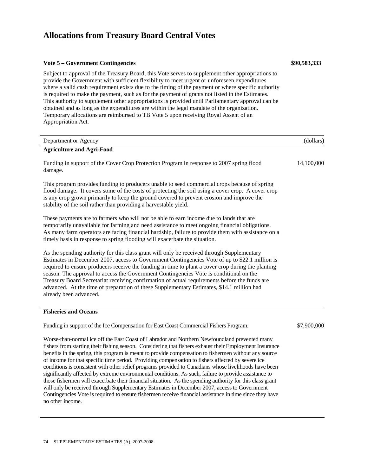#### **Allocations from Treasury Board Central Votes**

#### **Vote 5 – Government Contingencies \$90,583,333**

Subject to approval of the Treasury Board, this Vote serves to supplement other appropriations to provide the Government with sufficient flexibility to meet urgent or unforeseen expenditures where a valid cash requirement exists due to the timing of the payment or where specific authority is required to make the payment, such as for the payment of grants not listed in the Estimates. This authority to supplement other appropriations is provided until Parliamentary approval can be obtained and as long as the expenditures are within the legal mandate of the organization. Temporary allocations are reimbursed to TB Vote 5 upon receiving Royal Assent of an Appropriation Act.

| Department or Agency                                                                                                                                                                                                                                                                                                                                                                                                                                                                                                                                                                                                                                                                                                                                                                                                                                  | (dollars)   |
|-------------------------------------------------------------------------------------------------------------------------------------------------------------------------------------------------------------------------------------------------------------------------------------------------------------------------------------------------------------------------------------------------------------------------------------------------------------------------------------------------------------------------------------------------------------------------------------------------------------------------------------------------------------------------------------------------------------------------------------------------------------------------------------------------------------------------------------------------------|-------------|
| <b>Agriculture and Agri-Food</b>                                                                                                                                                                                                                                                                                                                                                                                                                                                                                                                                                                                                                                                                                                                                                                                                                      |             |
| Funding in support of the Cover Crop Protection Program in response to 2007 spring flood<br>damage.                                                                                                                                                                                                                                                                                                                                                                                                                                                                                                                                                                                                                                                                                                                                                   | 14,100,000  |
| This program provides funding to producers unable to seed commercial crops because of spring<br>flood damage. It covers some of the costs of protecting the soil using a cover crop. A cover crop<br>is any crop grown primarily to keep the ground covered to prevent erosion and improve the<br>stability of the soil rather than providing a harvestable yield.                                                                                                                                                                                                                                                                                                                                                                                                                                                                                    |             |
| These payments are to farmers who will not be able to earn income due to lands that are<br>temporarily unavailable for farming and need assistance to meet ongoing financial obligations.<br>As many farm operators are facing financial hardship, failure to provide them with assistance on a<br>timely basis in response to spring flooding will exacerbate the situation.                                                                                                                                                                                                                                                                                                                                                                                                                                                                         |             |
| As the spending authority for this class grant will only be received through Supplementary<br>Estimates in December 2007, access to Government Contingencies Vote of up to \$22.1 million is<br>required to ensure producers receive the funding in time to plant a cover crop during the planting<br>season. The approval to access the Government Contingencies Vote is conditional on the<br>Treasury Board Secretariat receiving confirmation of actual requirements before the funds are<br>advanced. At the time of preparation of these Supplementary Estimates, \$14.1 million had<br>already been advanced.                                                                                                                                                                                                                                  |             |
| <b>Fisheries and Oceans</b>                                                                                                                                                                                                                                                                                                                                                                                                                                                                                                                                                                                                                                                                                                                                                                                                                           |             |
| Funding in support of the Ice Compensation for East Coast Commercial Fishers Program.                                                                                                                                                                                                                                                                                                                                                                                                                                                                                                                                                                                                                                                                                                                                                                 | \$7,900,000 |
| Worse-than-normal ice off the East Coast of Labrador and Northern Newfoundland prevented many<br>fishers from starting their fishing season. Considering that fishers exhaust their Employment Insurance<br>benefits in the spring, this program is meant to provide compensation to fishermen without any source<br>of income for that specific time period. Providing compensation to fishers affected by severe ice<br>conditions is consistent with other relief programs provided to Canadians whose livelihoods have been<br>significantly affected by extreme environmental conditions. As such, failure to provide assistance to<br>those fishermen will exacerbate their financial situation. As the spending authority for this class grant<br>will only be received through Supplementary Estimates in December 2007, access to Government |             |

Contingencies Vote is required to ensure fishermen receive financial assistance in time since they have

no other income.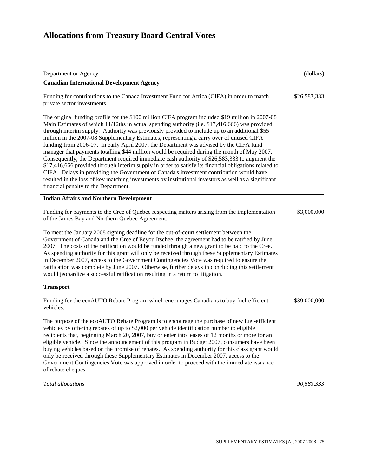# **Allocations from Treasury Board Central Votes**

| Department or Agency                                                                                                                                                                                                                                                                                                                                                                                                                                                                                                                                                                                                                                                                                                                                                                                                                                                                                                                                                                                                                           | (dollars)    |
|------------------------------------------------------------------------------------------------------------------------------------------------------------------------------------------------------------------------------------------------------------------------------------------------------------------------------------------------------------------------------------------------------------------------------------------------------------------------------------------------------------------------------------------------------------------------------------------------------------------------------------------------------------------------------------------------------------------------------------------------------------------------------------------------------------------------------------------------------------------------------------------------------------------------------------------------------------------------------------------------------------------------------------------------|--------------|
| <b>Canadian International Development Agency</b>                                                                                                                                                                                                                                                                                                                                                                                                                                                                                                                                                                                                                                                                                                                                                                                                                                                                                                                                                                                               |              |
| Funding for contributions to the Canada Investment Fund for Africa (CIFA) in order to match<br>private sector investments.                                                                                                                                                                                                                                                                                                                                                                                                                                                                                                                                                                                                                                                                                                                                                                                                                                                                                                                     | \$26,583,333 |
| The original funding profile for the \$100 million CIFA program included \$19 million in 2007-08<br>Main Estimates of which 11/12ths in actual spending authority (i.e. \$17,416,666) was provided<br>through interim supply. Authority was previously provided to include up to an additional \$55<br>million in the 2007-08 Supplementary Estimates, representing a carry over of unused CIFA<br>funding from 2006-07. In early April 2007, the Department was advised by the CIFA fund<br>manager that payments totalling \$44 million would be required during the month of May 2007.<br>Consequently, the Department required immediate cash authority of \$26,583,333 to augment the<br>\$17,416,666 provided through interim supply in order to satisfy its financial obligations related to<br>CIFA. Delays in providing the Government of Canada's investment contribution would have<br>resulted in the loss of key matching investments by institutional investors as well as a significant<br>financial penalty to the Department. |              |
| <b>Indian Affairs and Northern Development</b>                                                                                                                                                                                                                                                                                                                                                                                                                                                                                                                                                                                                                                                                                                                                                                                                                                                                                                                                                                                                 |              |
| Funding for payments to the Cree of Quebec respecting matters arising from the implementation<br>of the James Bay and Northern Quebec Agreement.                                                                                                                                                                                                                                                                                                                                                                                                                                                                                                                                                                                                                                                                                                                                                                                                                                                                                               | \$3,000,000  |
| To meet the January 2008 signing deadline for the out-of-court settlement between the<br>Government of Canada and the Cree of Eeyou Itschee, the agreement had to be ratified by June<br>2007. The costs of the ratification would be funded through a new grant to be paid to the Cree.<br>As spending authority for this grant will only be received through these Supplementary Estimates<br>in December 2007, access to the Government Contingencies Vote was required to ensure the<br>ratification was complete by June 2007. Otherwise, further delays in concluding this settlement<br>would jeopardize a successful ratification resulting in a return to litigation.                                                                                                                                                                                                                                                                                                                                                                 |              |
| <b>Transport</b>                                                                                                                                                                                                                                                                                                                                                                                                                                                                                                                                                                                                                                                                                                                                                                                                                                                                                                                                                                                                                               |              |
| Funding for the ecoAUTO Rebate Program which encourages Canadians to buy fuel-efficient<br>vehicles.                                                                                                                                                                                                                                                                                                                                                                                                                                                                                                                                                                                                                                                                                                                                                                                                                                                                                                                                           | \$39,000,000 |
| The purpose of the ecoAUTO Rebate Program is to encourage the purchase of new fuel-efficient<br>vehicles by offering rebates of up to \$2,000 per vehicle identification number to eligible<br>recipients that, beginning March 20, 2007, buy or enter into leases of 12 months or more for an<br>eligible vehicle. Since the announcement of this program in Budget 2007, consumers have been<br>buying vehicles based on the promise of rebates. As spending authority for this class grant would<br>only be received through these Supplementary Estimates in December 2007, access to the<br>Government Contingencies Vote was approved in order to proceed with the immediate issuance<br>of rebate cheques.                                                                                                                                                                                                                                                                                                                              |              |
| Total allocations                                                                                                                                                                                                                                                                                                                                                                                                                                                                                                                                                                                                                                                                                                                                                                                                                                                                                                                                                                                                                              | 90,583,333   |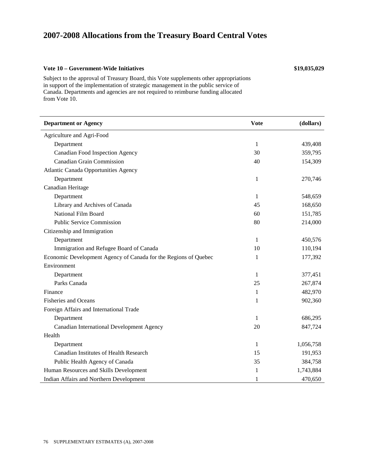## **2007-2008 Allocations from the Treasury Board Central Votes**

#### **Vote 10 – Government-Wide Initiatives \$19,035,029**

Subject to the approval of Treasury Board, this Vote supplements other appropriations in support of the implementation of strategic management in the public service of Canada. Departments and agencies are not required to reimburse funding allocated from Vote 10.

| <b>Department or Agency</b>                                     | <b>Vote</b> | (dollars) |
|-----------------------------------------------------------------|-------------|-----------|
| Agriculture and Agri-Food                                       |             |           |
| Department                                                      | 1           | 439,408   |
| <b>Canadian Food Inspection Agency</b>                          | 30          | 359,795   |
| <b>Canadian Grain Commission</b>                                | 40          | 154,309   |
| Atlantic Canada Opportunities Agency                            |             |           |
| Department                                                      | 1           | 270,746   |
| Canadian Heritage                                               |             |           |
| Department                                                      | 1           | 548,659   |
| Library and Archives of Canada                                  | 45          | 168,650   |
| National Film Board                                             | 60          | 151,785   |
| <b>Public Service Commission</b>                                | 80          | 214,000   |
| Citizenship and Immigration                                     |             |           |
| Department                                                      | 1           | 450,576   |
| Immigration and Refugee Board of Canada                         | 10          | 110,194   |
| Economic Development Agency of Canada for the Regions of Quebec | 1           | 177,392   |
| Environment                                                     |             |           |
| Department                                                      | 1           | 377,451   |
| Parks Canada                                                    | 25          | 267,874   |
| Finance                                                         | 1           | 482,970   |
| <b>Fisheries and Oceans</b>                                     | 1           | 902,360   |
| Foreign Affairs and International Trade                         |             |           |
| Department                                                      | 1           | 686,295   |
| Canadian International Development Agency                       | 20          | 847,724   |
| Health                                                          |             |           |
| Department                                                      | 1           | 1,056,758 |
| <b>Canadian Institutes of Health Research</b>                   | 15          | 191,953   |
| Public Health Agency of Canada                                  | 35          | 384,758   |
| Human Resources and Skills Development                          | 1           | 1,743,884 |
| Indian Affairs and Northern Development                         | 1           | 470,650   |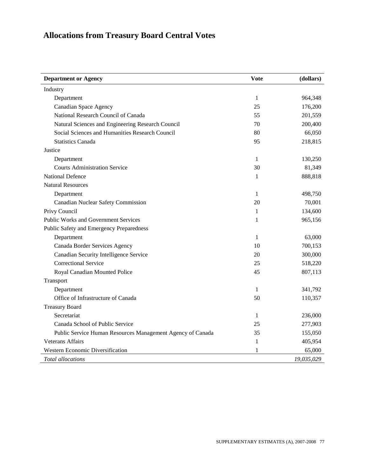# **Allocations from Treasury Board Central Votes**

| <b>Department or Agency</b>                                | <b>Vote</b>  | (dollars)  |
|------------------------------------------------------------|--------------|------------|
| Industry                                                   |              |            |
| Department                                                 | $\mathbf{1}$ | 964,348    |
| <b>Canadian Space Agency</b>                               | 25           | 176,200    |
| National Research Council of Canada                        | 55           | 201,559    |
| Natural Sciences and Engineering Research Council          | 70           | 200,400    |
| Social Sciences and Humanities Research Council            | 80           | 66,050     |
| <b>Statistics Canada</b>                                   | 95           | 218,815    |
| Justice                                                    |              |            |
| Department                                                 | 1            | 130,250    |
| <b>Courts Administration Service</b>                       | 30           | 81,349     |
| <b>National Defence</b>                                    | 1            | 888,818    |
| <b>Natural Resources</b>                                   |              |            |
| Department                                                 | $\mathbf{1}$ | 498,750    |
| Canadian Nuclear Safety Commission                         | 20           | 70,001     |
| Privy Council                                              | $\mathbf{1}$ | 134,600    |
| <b>Public Works and Government Services</b>                | 1            | 965,156    |
| Public Safety and Emergency Preparedness                   |              |            |
| Department                                                 | $\mathbf{1}$ | 63,000     |
| Canada Border Services Agency                              | 10           | 700,153    |
| Canadian Security Intelligence Service                     | 20           | 300,000    |
| <b>Correctional Service</b>                                | 25           | 518,220    |
| Royal Canadian Mounted Police                              | 45           | 807,113    |
| Transport                                                  |              |            |
| Department                                                 | $\mathbf{1}$ | 341,792    |
| Office of Infrastructure of Canada                         | 50           | 110,357    |
| <b>Treasury Board</b>                                      |              |            |
| Secretariat                                                | 1            | 236,000    |
| Canada School of Public Service                            | 25           | 277,903    |
| Public Service Human Resources Management Agency of Canada | 35           | 155,050    |
| <b>Veterans Affairs</b>                                    | $\mathbf{1}$ | 405,954    |
| Western Economic Diversification                           | 1            | 65,000     |
| Total allocations                                          |              | 19,035,029 |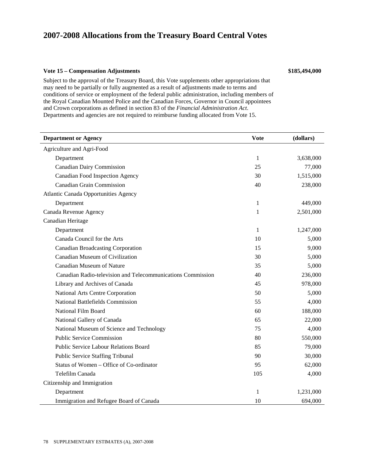### **2007-2008 Allocations from the Treasury Board Central Votes**

#### **Vote 15 – Compensation Adjustments \$185,494,000**

Subject to the approval of the Treasury Board, this Vote supplements other appropriations that may need to be partially or fully augmented as a result of adjustments made to terms and conditions of service or employment of the federal public administration, including members of the Royal Canadian Mounted Police and the Canadian Forces, Governor in Council appointees and Crown corporations as defined in section 83 of the *Financial Administration Act*. Departments and agencies are not required to reimburse funding allocated from Vote 15.

| <b>Department or Agency</b>                                 | <b>Vote</b> | (dollars) |
|-------------------------------------------------------------|-------------|-----------|
| Agriculture and Agri-Food                                   |             |           |
| Department                                                  | 1           | 3,638,000 |
| <b>Canadian Dairy Commission</b>                            | 25          | 77,000    |
| <b>Canadian Food Inspection Agency</b>                      | 30          | 1,515,000 |
| <b>Canadian Grain Commission</b>                            | 40          | 238,000   |
| <b>Atlantic Canada Opportunities Agency</b>                 |             |           |
| Department                                                  | 1           | 449,000   |
| Canada Revenue Agency                                       | 1           | 2,501,000 |
| Canadian Heritage                                           |             |           |
| Department                                                  | 1           | 1,247,000 |
| Canada Council for the Arts                                 | 10          | 5,000     |
| <b>Canadian Broadcasting Corporation</b>                    | 15          | 9,000     |
| Canadian Museum of Civilization                             | 30          | 5,000     |
| Canadian Museum of Nature                                   | 35          | 5,000     |
| Canadian Radio-television and Telecommunications Commission | 40          | 236,000   |
| Library and Archives of Canada                              | 45          | 978,000   |
| National Arts Centre Corporation                            | 50          | 5,000     |
| National Battlefields Commission                            | 55          | 4,000     |
| National Film Board                                         | 60          | 188,000   |
| National Gallery of Canada                                  | 65          | 22,000    |
| National Museum of Science and Technology                   | 75          | 4,000     |
| <b>Public Service Commission</b>                            | 80          | 550,000   |
| <b>Public Service Labour Relations Board</b>                | 85          | 79,000    |
| Public Service Staffing Tribunal                            | 90          | 30,000    |
| Status of Women - Office of Co-ordinator                    | 95          | 62,000    |
| Telefilm Canada                                             | 105         | 4,000     |
| Citizenship and Immigration                                 |             |           |
| Department                                                  | 1           | 1,231,000 |
| Immigration and Refugee Board of Canada                     | 10          | 694,000   |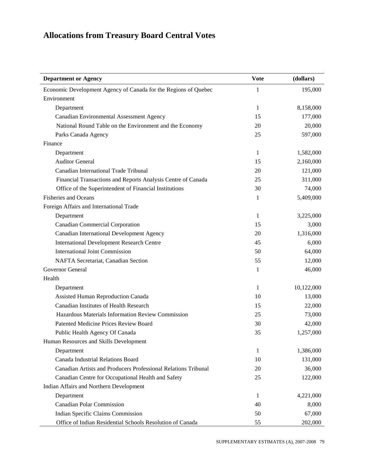# **Allocations from Treasury Board Central Votes**

| <b>Department or Agency</b>                                     | <b>Vote</b> | (dollars)  |
|-----------------------------------------------------------------|-------------|------------|
| Economic Development Agency of Canada for the Regions of Quebec | 1           | 195,000    |
| Environment                                                     |             |            |
| Department                                                      | 1           | 8,158,000  |
| Canadian Environmental Assessment Agency                        | 15          | 177,000    |
| National Round Table on the Environment and the Economy         | 20          | 20,000     |
| Parks Canada Agency                                             | 25          | 597,000    |
| Finance                                                         |             |            |
| Department                                                      | 1           | 1,582,000  |
| <b>Auditor General</b>                                          | 15          | 2,160,000  |
| Canadian International Trade Tribunal                           | 20          | 121,000    |
| Financial Transactions and Reports Analysis Centre of Canada    | 25          | 311,000    |
| Office of the Superintendent of Financial Institutions          | 30          | 74,000     |
| <b>Fisheries and Oceans</b>                                     | 1           | 5,409,000  |
| Foreign Affairs and International Trade                         |             |            |
| Department                                                      | 1           | 3,225,000  |
| <b>Canadian Commercial Corporation</b>                          | 15          | 3,000      |
| Canadian International Development Agency                       | 20          | 1,316,000  |
| <b>International Development Research Centre</b>                | 45          | 6,000      |
| <b>International Joint Commission</b>                           | 50          | 64,000     |
| NAFTA Secretariat, Canadian Section                             | 55          | 12,000     |
| Governor General                                                | 1           | 46,000     |
| Health                                                          |             |            |
| Department                                                      | 1           | 10,122,000 |
| Assisted Human Reproduction Canada                              | 10          | 13,000     |
| <b>Canadian Institutes of Health Research</b>                   | 15          | 22,000     |
| Hazardous Materials Information Review Commission               | 25          | 73,000     |
| Patented Medicine Prices Review Board                           | 30          | 42,000     |
| Public Health Agency Of Canada                                  | 35          | 1,257,000  |
| Human Resources and Skills Development                          |             |            |
| Department                                                      | 1           | 1,386,000  |
| Canada Industrial Relations Board                               | 10          | 131,000    |
| Canadian Artists and Producers Professional Relations Tribunal  | 20          | 36,000     |
| Canadian Centre for Occupational Health and Safety              | 25          | 122,000    |
| Indian Affairs and Northern Development                         |             |            |
| Department                                                      | 1           | 4,221,000  |
| <b>Canadian Polar Commission</b>                                | 40          | 8,000      |
| Indian Specific Claims Commission                               | 50          | 67,000     |
| Office of Indian Residential Schools Resolution of Canada       | 55          | 202,000    |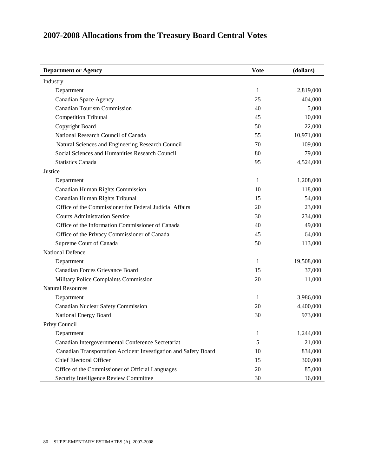# **2007-2008 Allocations from the Treasury Board Central Votes**

| <b>Department or Agency</b>                                     | <b>Vote</b> | (dollars)  |
|-----------------------------------------------------------------|-------------|------------|
| Industry                                                        |             |            |
| Department                                                      | 1           | 2,819,000  |
| Canadian Space Agency                                           | 25          | 404,000    |
| <b>Canadian Tourism Commission</b>                              | 40          | 5,000      |
| <b>Competition Tribunal</b>                                     | 45          | 10,000     |
| Copyright Board                                                 | 50          | 22,000     |
| National Research Council of Canada                             | 55          | 10,971,000 |
| Natural Sciences and Engineering Research Council               | 70          | 109,000    |
| Social Sciences and Humanities Research Council                 | 80          | 79,000     |
| <b>Statistics Canada</b>                                        | 95          | 4,524,000  |
| Justice                                                         |             |            |
| Department                                                      | 1           | 1,208,000  |
| Canadian Human Rights Commission                                | 10          | 118,000    |
| Canadian Human Rights Tribunal                                  | 15          | 54,000     |
| Office of the Commissioner for Federal Judicial Affairs         | 20          | 23,000     |
| <b>Courts Administration Service</b>                            | 30          | 234,000    |
| Office of the Information Commissioner of Canada                | 40          | 49,000     |
| Office of the Privacy Commissioner of Canada                    | 45          | 64,000     |
| Supreme Court of Canada                                         | 50          | 113,000    |
| <b>National Defence</b>                                         |             |            |
| Department                                                      | 1           | 19,508,000 |
| Canadian Forces Grievance Board                                 | 15          | 37,000     |
| Military Police Complaints Commission                           | 20          | 11,000     |
| <b>Natural Resources</b>                                        |             |            |
| Department                                                      | 1           | 3,986,000  |
| Canadian Nuclear Safety Commission                              | 20          | 4,400,000  |
| National Energy Board                                           | 30          | 973,000    |
| Privy Council                                                   |             |            |
| Department                                                      | 1           | 1,244,000  |
| Canadian Intergovernmental Conference Secretariat               | 5           | 21,000     |
| Canadian Transportation Accident Investigation and Safety Board | 10          | 834,000    |
| <b>Chief Electoral Officer</b>                                  | 15          | 300,000    |
| Office of the Commissioner of Official Languages                | 20          | 85,000     |
| Security Intelligence Review Committee                          | 30          | 16,000     |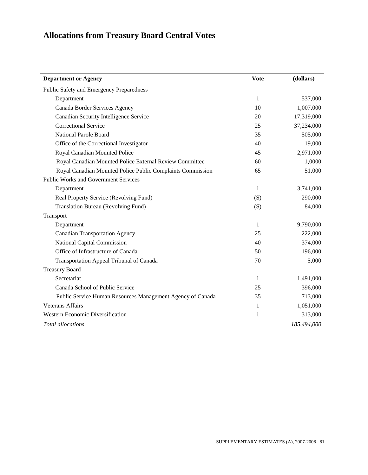# **Allocations from Treasury Board Central Votes**

| <b>Department or Agency</b>                                | <b>Vote</b> | (dollars)   |
|------------------------------------------------------------|-------------|-------------|
| Public Safety and Emergency Preparedness                   |             |             |
| Department                                                 | 1           | 537,000     |
| Canada Border Services Agency                              | 10          | 1,007,000   |
| Canadian Security Intelligence Service                     | 20          | 17,319,000  |
| <b>Correctional Service</b>                                | 25          | 37,234,000  |
| National Parole Board                                      | 35          | 505,000     |
| Office of the Correctional Investigator                    | 40          | 19,000      |
| Royal Canadian Mounted Police                              | 45          | 2,971,000   |
| Royal Canadian Mounted Police External Review Committee    | 60          | 1,0000      |
| Royal Canadian Mounted Police Public Complaints Commission | 65          | 51,000      |
| <b>Public Works and Government Services</b>                |             |             |
| Department                                                 | 1           | 3,741,000   |
| Real Property Service (Revolving Fund)                     | (S)         | 290,000     |
| <b>Translation Bureau (Revolving Fund)</b>                 | (S)         | 84,000      |
| Transport                                                  |             |             |
| Department                                                 | 1           | 9,790,000   |
| <b>Canadian Transportation Agency</b>                      | 25          | 222,000     |
| National Capital Commission                                | 40          | 374,000     |
| Office of Infrastructure of Canada                         | 50          | 196,000     |
| Transportation Appeal Tribunal of Canada                   | 70          | 5,000       |
| <b>Treasury Board</b>                                      |             |             |
| Secretariat                                                | 1           | 1,491,000   |
| Canada School of Public Service                            | 25          | 396,000     |
| Public Service Human Resources Management Agency of Canada | 35          | 713,000     |
| <b>Veterans Affairs</b>                                    | 1           | 1,051,000   |
| Western Economic Diversification                           | 1           | 313,000     |
| Total allocations                                          |             | 185,494,000 |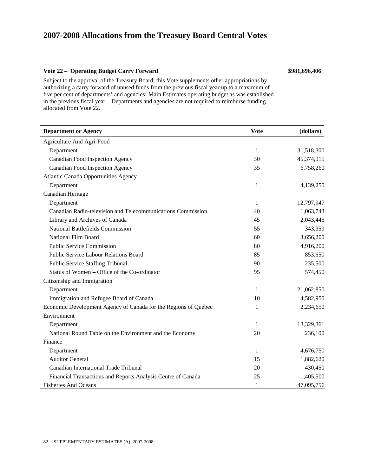## **2007-2008 Allocations from the Treasury Board Central Votes**

### Vote 22 – Operating Budget Carry Forward **\$981,696,406 \$981,696,406**

Subject to the approval of the Treasury Board, this Vote supplements other appropriations by authorizing a carry forward of unused funds from the previous fiscal year up to a maximum of five per cent of departments' and agencies' Main Estimates operating budget as was established in the previous fiscal year. Departments and agencies are not required to reimburse funding allocated from Vote 22.

| <b>Department or Agency</b>                                     | <b>Vote</b>  | (dollars)  |
|-----------------------------------------------------------------|--------------|------------|
| Agriculture And Agri-Food                                       |              |            |
| Department                                                      | $\mathbf{1}$ | 31,518,300 |
| <b>Canadian Food Inspection Agency</b>                          | 30           | 45,374,915 |
| <b>Canadian Food Inspection Agency</b>                          | 35           | 6,758,260  |
| Atlantic Canada Opportunities Agency                            |              |            |
| Department                                                      | $\mathbf{1}$ | 4,139,250  |
| Canadian Heritage                                               |              |            |
| Department                                                      | 1            | 12,797,947 |
| Canadian Radio-television and Telecommunications Commission     | 40           | 1,063,743  |
| Library and Archives of Canada                                  | 45           | 2,043,445  |
| National Battlefields Commission                                | 55           | 343,359    |
| National Film Board                                             | 60           | 3,656,200  |
| <b>Public Service Commission</b>                                | 80           | 4,916,200  |
| Public Service Labour Relations Board                           | 85           | 853,650    |
| Public Service Staffing Tribunal                                | 90           | 235,500    |
| Status of Women – Office of the Co-ordinator                    | 95           | 574,450    |
| Citizenship and Immigration                                     |              |            |
| Department                                                      | 1            | 21,062,850 |
| Immigration and Refugee Board of Canada                         | 10           | 4,582,950  |
| Economic Development Agency of Canada for the Regions of Québec | 1            | 2,234,650  |
| Environment                                                     |              |            |
| Department                                                      | 1            | 13,329,361 |
| National Round Table on the Environment and the Economy         | 20           | 236,100    |
| Finance                                                         |              |            |
| Department                                                      | 1            | 4,676,750  |
| <b>Auditor General</b>                                          | 15           | 1,882,620  |
| Canadian International Trade Tribunal                           | 20           | 430,450    |
| Financial Transactions and Reports Analysis Centre of Canada    | 25           | 1,405,500  |
| <b>Fisheries And Oceans</b>                                     | $\mathbf{1}$ | 47,095,756 |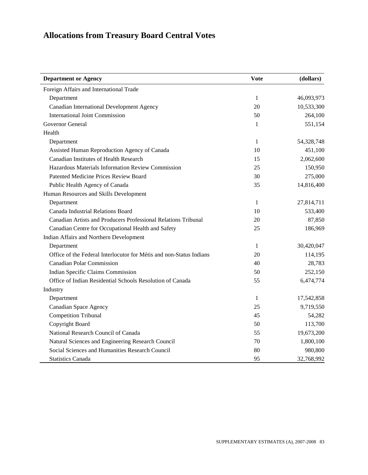# **Allocations from Treasury Board Central Votes**

| <b>Department or Agency</b>                                         | <b>Vote</b>  | (dollars)  |
|---------------------------------------------------------------------|--------------|------------|
| Foreign Affairs and International Trade                             |              |            |
| Department                                                          | $\mathbf{1}$ | 46,093,973 |
| Canadian International Development Agency                           | 20           | 10,533,300 |
| <b>International Joint Commission</b>                               | 50           | 264,100    |
| Governor General                                                    | $\mathbf{1}$ | 551,154    |
| Health                                                              |              |            |
| Department                                                          | 1            | 54,328,748 |
| Assisted Human Reproduction Agency of Canada                        | 10           | 451,100    |
| <b>Canadian Institutes of Health Research</b>                       | 15           | 2,062,600  |
| Hazardous Materials Information Review Commission                   | 25           | 150,950    |
| Patented Medicine Prices Review Board                               | 30           | 275,000    |
| Public Health Agency of Canada                                      | 35           | 14,816,400 |
| Human Resources and Skills Development                              |              |            |
| Department                                                          | $\mathbf{1}$ | 27,814,711 |
| Canada Industrial Relations Board                                   | 10           | 533,400    |
| Canadian Artists and Producers Professional Relations Tribunal      | 20           | 87,850     |
| Canadian Centre for Occupational Health and Safety                  | 25           | 186,969    |
| Indian Affairs and Northern Development                             |              |            |
| Department                                                          | $\mathbf{1}$ | 30,420,047 |
| Office of the Federal Interlocutor for Métis and non-Status Indians | 20           | 114,195    |
| <b>Canadian Polar Commission</b>                                    | 40           | 28,783     |
| Indian Specific Claims Commission                                   | 50           | 252,150    |
| Office of Indian Residential Schools Resolution of Canada           | 55           | 6,474,774  |
| Industry                                                            |              |            |
| Department                                                          | 1            | 17,542,858 |
| Canadian Space Agency                                               | 25           | 9,719,550  |
| <b>Competition Tribunal</b>                                         | 45           | 54,282     |
| Copyright Board                                                     | 50           | 113,700    |
| National Research Council of Canada                                 | 55           | 19,673,200 |
| Natural Sciences and Engineering Research Council                   | 70           | 1,800,100  |
| Social Sciences and Humanities Research Council                     | 80           | 980,800    |
| <b>Statistics Canada</b>                                            | 95           | 32,768,992 |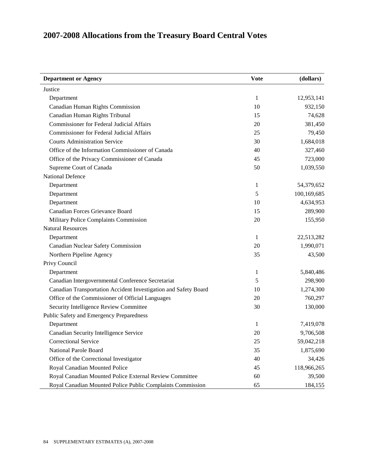# **2007-2008 Allocations from the Treasury Board Central Votes**

| <b>Department or Agency</b>                                     | <b>Vote</b> | (dollars)   |
|-----------------------------------------------------------------|-------------|-------------|
| Justice                                                         |             |             |
| Department                                                      | 1           | 12,953,141  |
| Canadian Human Rights Commission                                | 10          | 932,150     |
| Canadian Human Rights Tribunal                                  | 15          | 74,628      |
| <b>Commissioner for Federal Judicial Affairs</b>                | 20          | 381,450     |
| <b>Commissioner for Federal Judicial Affairs</b>                | 25          | 79,450      |
| <b>Courts Administration Service</b>                            | 30          | 1,684,018   |
| Office of the Information Commissioner of Canada                | 40          | 327,460     |
| Office of the Privacy Commissioner of Canada                    | 45          | 723,000     |
| Supreme Court of Canada                                         | 50          | 1,039,550   |
| <b>National Defence</b>                                         |             |             |
| Department                                                      | 1           | 54,379,652  |
| Department                                                      | 5           | 100,169,685 |
| Department                                                      | 10          | 4,634,953   |
| Canadian Forces Grievance Board                                 | 15          | 289,900     |
| Military Police Complaints Commission                           | 20          | 155,950     |
| <b>Natural Resources</b>                                        |             |             |
| Department                                                      | 1           | 22,513,282  |
| Canadian Nuclear Safety Commission                              | 20          | 1,990,071   |
| Northern Pipeline Agency                                        | 35          | 43,500      |
| Privy Council                                                   |             |             |
| Department                                                      | 1           | 5,840,486   |
| Canadian Intergovernmental Conference Secretariat               | 5           | 298,900     |
| Canadian Transportation Accident Investigation and Safety Board | 10          | 1,274,300   |
| Office of the Commissioner of Official Languages                | 20          | 760,297     |
| Security Intelligence Review Committee                          | 30          | 130,000     |
| Public Safety and Emergency Preparedness                        |             |             |
| Department                                                      | 1           | 7,419,078   |
| Canadian Security Intelligence Service                          | 20          | 9,706,508   |
| Correctional Service                                            | 25          | 59,042,218  |
| National Parole Board                                           | 35          | 1,875,690   |
| Office of the Correctional Investigator                         | 40          | 34,426      |
| Royal Canadian Mounted Police                                   | 45          | 118,966,265 |
| Royal Canadian Mounted Police External Review Committee         | 60          | 39,500      |
| Royal Canadian Mounted Police Public Complaints Commission      | 65          | 184,155     |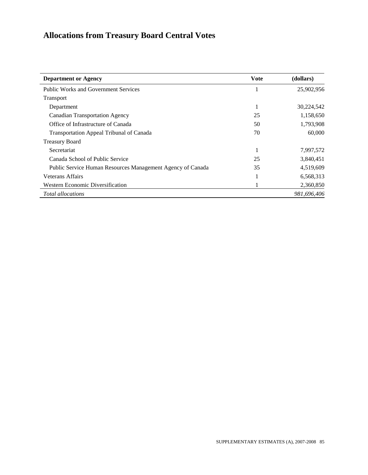# **Allocations from Treasury Board Central Votes**

| <b>Department or Agency</b>                                | <b>Vote</b> | (dollars)   |
|------------------------------------------------------------|-------------|-------------|
| <b>Public Works and Government Services</b>                |             | 25,902,956  |
| <b>Transport</b>                                           |             |             |
| Department                                                 | 1           | 30,224,542  |
| <b>Canadian Transportation Agency</b>                      | 25          | 1,158,650   |
| Office of Infrastructure of Canada                         | 50          | 1,793,908   |
| Transportation Appeal Tribunal of Canada                   | 70          | 60,000      |
| <b>Treasury Board</b>                                      |             |             |
| Secretariat                                                | 1           | 7,997,572   |
| Canada School of Public Service                            | 25          | 3,840,451   |
| Public Service Human Resources Management Agency of Canada | 35          | 4,519,609   |
| Veterans Affairs                                           | 1           | 6,568,313   |
| <b>Western Economic Diversification</b>                    |             | 2,360,850   |
| <i>Total allocations</i>                                   |             | 981,696,406 |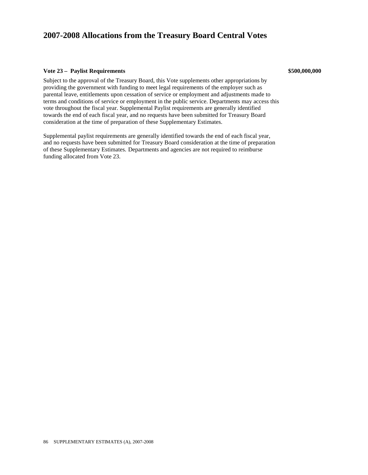### **2007-2008 Allocations from the Treasury Board Central Votes**

#### **Vote 23 – Paylist Requirements \$500,000,000**

Subject to the approval of the Treasury Board, this Vote supplements other appropriations by providing the government with funding to meet legal requirements of the employer such as parental leave, entitlements upon cessation of service or employment and adjustments made to terms and conditions of service or employment in the public service. Departments may access this vote throughout the fiscal year. Supplemental Paylist requirements are generally identified towards the end of each fiscal year, and no requests have been submitted for Treasury Board consideration at the time of preparation of these Supplementary Estimates.

Supplemental paylist requirements are generally identified towards the end of each fiscal year, and no requests have been submitted for Treasury Board consideration at the time of preparation of these Supplementary Estimates. Departments and agencies are not required to reimburse funding allocated from Vote 23.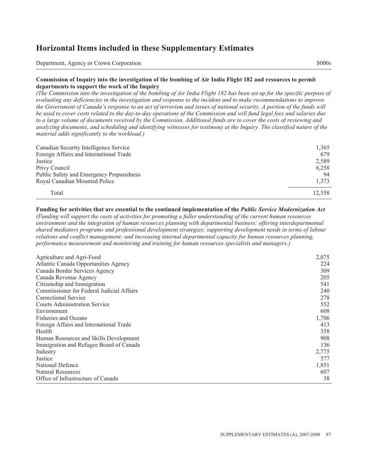Department, Agency or Crown Corporation \$000s

#### **Commission of Inquiry into the investigation of the bombing of Air India Flight 182 and resources to permit departments to support the work of the Inquiry**

*(The Commission into the investigation of the bombing of Air India Flight 182 has been set up for the specific purpose of evaluating any deficiencies in the investigation and response to the incident and to make recommendations to improve the Government of Canada's response to an act of terrorism and issues of national security. A portion of the funds will be used to cover costs related to the day-to-day operations of the Commission and will fund legal fees and salaries due to a large volume of documents received by the Commission. Additional funds are to cover the costs of reviewing and analyzing documents, and scheduling and identifying witnesses for testimony at the Inquiry. The classified nature of the material adds significantly to the workload.)*

| Canadian Security Intelligence Service   | 1,365  |
|------------------------------------------|--------|
| Foreign Affairs and International Trade  | 679    |
| Justice                                  | 2.589  |
| Privy Council                            | 6.258  |
| Public Safety and Emergency Preparedness | 94     |
| Royal Canadian Mounted Police            | 1.373  |
| Total                                    | 12.358 |

#### **Funding for activities that are essential to the continued implementation of the** *Public Service Modernization Act*

*(Funding will support the costs of activities for promoting a fuller understanding of the current human resources environment and the integration of human resources planning with departmental business; offering interdepartmental shared mediators programs and professional development strategies; supporting development needs in terms of labour relations and conflict management; and increasing internal departmental capacity for human resources planning, performance measurement and monitoring and training for human resources specialists and managers.)*

| Agriculture and Agri-Food                 | 2,075 |
|-------------------------------------------|-------|
| Atlantic Canada Opportunities Agency      | 224   |
| Canada Border Services Agency             | 309   |
| Canada Revenue Agency                     | 205   |
| Citizenship and Immigration               | 541   |
| Commissioner for Federal Judicial Affairs | 240   |
| Correctional Service                      | 278   |
| <b>Courts Administration Service</b>      | 552   |
| Environment                               | 608   |
| <b>Fisheries and Oceans</b>               | 1,706 |
| Foreign Affairs and International Trade   | 413   |
| Health                                    | 358   |
| Human Resources and Skills Development    | 908   |
| Immigration and Refugee Board of Canada   | 136   |
| Industry                                  | 2,775 |
| Justice                                   | 577   |
| National Defence                          | 1,851 |
| <b>Natural Resources</b>                  | 607   |
| Office of Infrastructure of Canada        | 38    |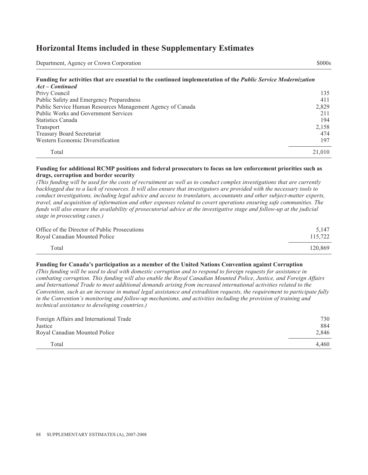Department, Agency or Crown Corporation \$000s

| Funding for activities that are essential to the continued implementation of the Public Service Modernization |        |
|---------------------------------------------------------------------------------------------------------------|--------|
| Act – Continued                                                                                               |        |
| Privy Council                                                                                                 | 135    |
| Public Safety and Emergency Preparedness                                                                      | 411    |
| Public Service Human Resources Management Agency of Canada                                                    | 2.829  |
| <b>Public Works and Government Services</b>                                                                   | 211    |
| Statistics Canada                                                                                             | 194    |
| Transport                                                                                                     | 2,158  |
| <b>Treasury Board Secretariat</b>                                                                             | 474    |
| Western Economic Diversification                                                                              | 197    |
| Total                                                                                                         | 21,010 |

#### **Funding for additional RCMP positions and federal prosecutors to focus on law enforcement priorities such as drugs, corruption and border security**

*(This funding will be used for the costs of recruitment as well as to conduct complex investigations that are currently backlogged due to a lack of resources. It will also ensure that investigators are provided with the necessary tools to conduct investigations, including legal advice and access to translators, accountants and other subject-matter experts, travel, and acquisition of information and other expenses related to covert operations ensuring safe communities. The funds will also ensure the availability of prosecutorial advice at the investigative stage and follow-up at the judicial stage in prosecuting cases.)*

| Office of the Director of Public Prosecutions | 5.147   |
|-----------------------------------------------|---------|
| Royal Canadian Mounted Police                 | 115.722 |
| Total                                         | 120.869 |

#### **Funding for Canada's participation as a member of the United Nations Convention against Corruption**

*(This funding will be used to deal with domestic corruption and to respond to foreign requests for assistance in combating corruption. This funding will also enable the Royal Canadian Mounted Police, Justice, and Foreign Affairs and International Trade to meet additional demands arising from increased international activities related to the Convention, such as an increase in mutual legal assistance and extradition requests, the requirement to participate fully in the Convention's monitoring and follow-up mechanisms, and activities including the provision of training and technical assistance to developing countries.)*

| Foreign Affairs and International Trade | 730   |
|-----------------------------------------|-------|
| Justice                                 | 884   |
| Royal Canadian Mounted Police           | 2.846 |
| Total                                   | 4.460 |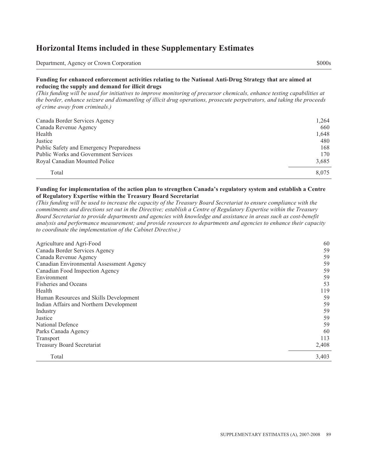Department, Agency or Crown Corporation \$000s

#### **Funding for enhanced enforcement activities relating to the National Anti-Drug Strategy that are aimed at reducing the supply and demand for illicit drugs**

*(This funding will be used for initiatives to improve monitoring of precursor chemicals, enhance testing capabilities at the border, enhance seizure and dismantling of illicit drug operations, prosecute perpetrators, and taking the proceeds of crime away from criminals.)*

| Canada Border Services Agency            | 1.264 |
|------------------------------------------|-------|
| Canada Revenue Agency                    | 660   |
| Health                                   | 1,648 |
| Justice                                  | 480   |
| Public Safety and Emergency Preparedness | 168   |
| Public Works and Government Services     | 170   |
| Royal Canadian Mounted Police            | 3,685 |
| Total                                    | 8.075 |

#### **Funding for implementation of the action plan to strengthen Canada's regulatory system and establish a Centre of Regulatory Expertise within the Treasury Board Secretariat**

*(This funding will be used to increase the capacity of the Treasury Board Secretariat to ensure compliance with the commitments and directions set out in the Directive; establish a Centre of Regulatory Expertise within the Treasury Board Secretariat to provide departments and agencies with knowledge and assistance in areas such as cost-benefit analysis and performance measurement; and provide resources to departments and agencies to enhance their capacity to coordinate the implementation of the Cabinet Directive.)*

| Agriculture and Agri-Food                | 60    |
|------------------------------------------|-------|
| Canada Border Services Agency            | 59    |
| Canada Revenue Agency                    | 59    |
| Canadian Environmental Assessment Agency | 59    |
| Canadian Food Inspection Agency          | 59    |
| Environment                              | 59    |
| <b>Fisheries and Oceans</b>              | 53    |
| Health                                   | 119   |
| Human Resources and Skills Development   | 59    |
| Indian Affairs and Northern Development  | 59    |
| Industry                                 | 59    |
| Justice                                  | 59    |
| National Defence                         | 59    |
| Parks Canada Agency                      | 60    |
| Transport                                | 113   |
| <b>Treasury Board Secretariat</b>        | 2,408 |
| Total                                    | 3,403 |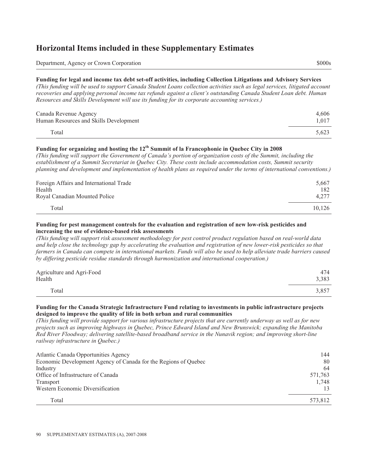Department, Agency or Crown Corporation \$000s

#### **Funding for legal and income tax debt set-off activities, including Collection Litigations and Advisory Services**

*(This funding will be used to support Canada Student Loans collection activities such as legal services, litigated account recoveries and applying personal income tax refunds against a client's outstanding Canada Student Loan debt. Human Resources and Skills Development will use its funding for its corporate accounting services.)*

| Canada Revenue Agency                  | 4.606 |
|----------------------------------------|-------|
| Human Resources and Skills Development | 1.017 |
| Total                                  | 5.623 |

### **Funding for organizing and hosting the 12th Summit of la Francophonie in Quebec City in 2008**

*(This funding will support the Government of Canada's portion of organization costs of the Summit, including the establishment of a Summit Secretariat in Quebec City. These costs include accommodation costs, Summit security planning and development and implementation of health plans as required under the terms of international conventions.)*

| Foreign Affairs and International Trade | 5.667  |
|-----------------------------------------|--------|
| Health                                  | 182    |
| Royal Canadian Mounted Police           | 4.277  |
| Total                                   | 10.126 |

#### **Funding for pest management controls for the evaluation and registration of new low-risk pesticides and increasing the use of evidence-based risk assessments**

*(This funding will support risk assessment methodology for pest control product regulation based on real-world data and help close the technology gap by accelerating the evaluation and registration of new lower-risk pesticides so that farmers in Canada can compete in international markets. Funds will also be used to help alleviate trade barriers caused by differing pesticide residue standards through harmonization and international cooperation.)*

| Agriculture and Agri-Food | 474   |
|---------------------------|-------|
| Health                    | 3,383 |
| Total                     | 3,857 |

#### **Funding for the Canada Strategic Infrastructure Fund relating to investments in public infrastructure projects designed to improve the quality of life in both urban and rural communities**

*(This funding will provide support for various infrastructure projects that are currently underway as well as for new projects such as improving highways in Quebec, Prince Edward Island and New Brunswick; expanding the Manitoba Red River Floodway; delivering satellite-based broadband service in the Nunavik region; and improving short-line railway infrastructure in Quebec.)*

| Atlantic Canada Opportunities Agency                            | 144     |
|-----------------------------------------------------------------|---------|
| Economic Development Agency of Canada for the Regions of Quebec | 80      |
| Industry                                                        | 64      |
| Office of Infrastructure of Canada                              | 571,763 |
| Transport                                                       | 1.748   |
| Western Economic Diversification                                |         |
| Total                                                           | 573.812 |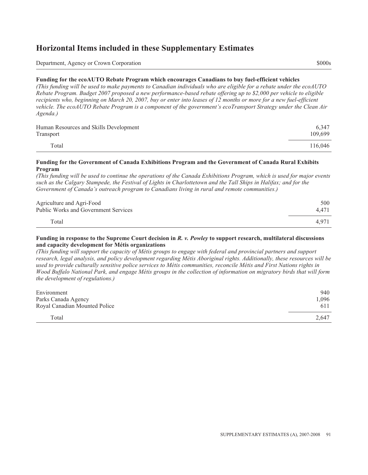Department, Agency or Crown Corporation \$000s

#### **Funding for the ecoAUTO Rebate Program which encourages Canadians to buy fuel-efficient vehicles**

*(This funding will be used to make payments to Canadian individuals who are eligible for a rebate under the ecoAUTO Rebate Program. Budget 2007 proposed a new performance-based rebate offering up to \$2,000 per vehicle to eligible recipients who, beginning on March 20, 2007, buy or enter into leases of 12 months or more for a new fuel-efficient vehicle. The ecoAUTO Rebate Program is a component of the government's ecoTransport Strategy under the Clean Air Agenda.)*

Human Resources and Skills Development 6,347 Transport 109,699

Total 116,046

#### **Funding for the Government of Canada Exhibitions Program and the Government of Canada Rural Exhibits Program**

*(This funding will be used to continue the operations of the Canada Exhibitions Program, which is used for major events such as the Calgary Stampede, the Festival of Lights in Charlottetown and the Tall Ships in Halifax; and for the Government of Canada's outreach program to Canadians living in rural and remote communities.)*

| Agriculture and Agri-Food                   | 500   |  |
|---------------------------------------------|-------|--|
| <b>Public Works and Government Services</b> | 4.471 |  |
| Total                                       | 4.971 |  |

#### **Funding in response to the Supreme Court decision in** *R. v. Powley* **to support research, multilateral discussions and capacity development for Métis organizations**

*(This funding will support the capacity of Métis groups to engage with federal and provincial partners and support research, legal analysis, and policy development regarding Métis Aboriginal rights. Additionally, these resources will be used to provide culturally sensitive police services to Métis communities, reconcile Métis and First Nations rights in Wood Buffalo National Park, and engage Métis groups in the collection of information on migratory birds that will form the development of regulations.)*

| Environment                   | 940   |
|-------------------------------|-------|
| Parks Canada Agency           | 1.096 |
| Royal Canadian Mounted Police | 611   |
| Total                         | 2,647 |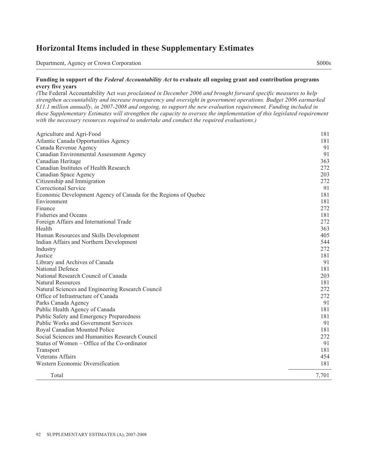Department, Agency or Crown Corporation \$000s

#### **Funding in support of the** *Federal Accountability Act* **to evaluate all ongoing grant and contribution programs every five years**

*(*The Federal Accountability Act *was proclaimed in December 2006 and brought forward specific measures to help strengthen accountability and increase transparency and oversight in government operations. Budget 2006 earmarked \$11.1 million annually, in 2007-2008 and ongoing, to support the new evaluation requirement. Funding included in these Supplementary Estimates will strengthen the capacity to oversee the implementation of this legislated requirement with the necessary resources required to undertake and conduct the required evaluations.)*

| Agriculture and Agri-Food                                       | 181   |
|-----------------------------------------------------------------|-------|
| Atlantic Canada Opportunities Agency                            | 181   |
| Canada Revenue Agency                                           | 91    |
| Canadian Environmental Assessment Agency                        | 91    |
| Canadian Heritage                                               | 363   |
| Canadian Institutes of Health Research                          | 272   |
| Canadian Space Agency                                           | 203   |
| Citizenship and Immigration                                     | 272   |
| Correctional Service                                            | 91    |
| Economic Development Agency of Canada for the Regions of Quebec | 181   |
| Environment                                                     | 181   |
| Finance                                                         | 272   |
| <b>Fisheries and Oceans</b>                                     | 181   |
| Foreign Affairs and International Trade                         | 272   |
| Health                                                          | 363   |
| Human Resources and Skills Development                          | 405   |
| Indian Affairs and Northern Development                         | 544   |
| Industry                                                        | 272   |
| Justice                                                         | 181   |
| Library and Archives of Canada                                  | 91    |
| <b>National Defence</b>                                         | 181   |
| National Research Council of Canada                             | 203   |
| <b>Natural Resources</b>                                        | 181   |
| Natural Sciences and Engineering Research Council               | 272   |
| Office of Infrastructure of Canada                              | 272   |
| Parks Canada Agency                                             | 91    |
| Public Health Agency of Canada                                  | 181   |
| Public Safety and Emergency Preparedness                        | 181   |
| <b>Public Works and Government Services</b>                     | 91    |
| Royal Canadian Mounted Police                                   | 181   |
| Social Sciences and Humanities Research Council                 | 272   |
| Status of Women - Office of the Co-ordinator                    | 91    |
| Transport                                                       | 181   |
| Veterans Affairs                                                | 454   |
| Western Economic Diversification                                | 181   |
| Total                                                           | 7,701 |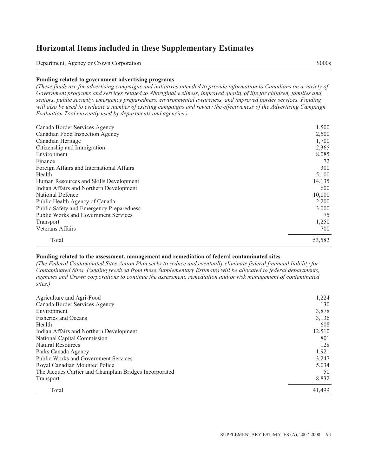Department, Agency or Crown Corporation \$000s

#### **Funding related to government advertising programs**

*(These funds are for advertising campaigns and initiatives intended to provide information to Canadians on a variety of Government programs and services related to Aboriginal wellness, improved quality of life for children, families and seniors, public security, emergency preparedness, environmental awareness, and improved border services. Funding will also be used to evaluate a number of existing campaigns and review the effectiveness of the Advertising Campaign Evaluation Tool currently used by departments and agencies.)*

| Canada Border Services Agency               | 1,500  |
|---------------------------------------------|--------|
| Canadian Food Inspection Agency             | 2,500  |
| Canadian Heritage                           | 1,700  |
| Citizenship and Immigration                 | 2,365  |
| Environment                                 | 8,085  |
| Finance                                     | 72     |
| Foreign Affairs and International Affairs   | 300    |
| Health                                      | 5,100  |
| Human Resources and Skills Development      | 14,135 |
| Indian Affairs and Northern Development     | 600    |
| National Defence                            | 10,000 |
| Public Health Agency of Canada              | 2,200  |
| Public Safety and Emergency Preparedness    | 3,000  |
| <b>Public Works and Government Services</b> | 75     |
| <b>Transport</b>                            | 1,250  |
| Veterans Affairs                            | 700    |
| Total                                       | 53,582 |

### **Funding related to the assessment, management and remediation of federal contaminated sites**

*(The Federal Contaminated Sites Action Plan seeks to reduce and eventually eliminate federal financial liability for Contaminated Sites. Funding received from these Supplementary Estimates will be allocated to federal departments, agencies and Crown corporations to continue the assessment, remediation and/or risk management of contaminated sites.)*

| Agriculture and Agri-Food                              | 1,224  |
|--------------------------------------------------------|--------|
| Canada Border Services Agency                          | 130    |
| Environment                                            | 3,878  |
| <b>Fisheries and Oceans</b>                            | 3,136  |
| Health                                                 | 608    |
| Indian Affairs and Northern Development                | 12,510 |
| National Capital Commission                            | 801    |
| <b>Natural Resources</b>                               | 128    |
| Parks Canada Agency                                    | 1,921  |
| <b>Public Works and Government Services</b>            | 3.247  |
| Royal Canadian Mounted Police                          | 5,034  |
| The Jacques Cartier and Champlain Bridges Incorporated | 50     |
| Transport                                              | 8.832  |
| Total                                                  | 41.499 |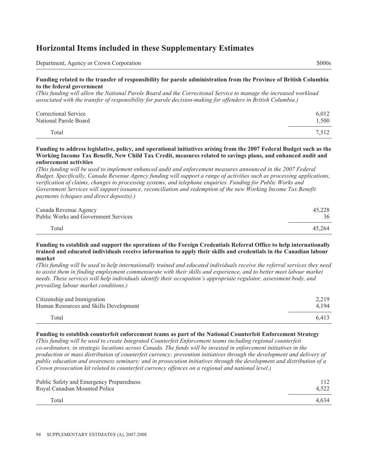Department, Agency or Crown Corporation \$000s

#### **Funding related to the transfer of responsibility for parole administration from the Province of British Columbia to the federal government**

*(This funding will allow the National Parole Board and the Correctional Service to manage the increased workload associated with the transfer of responsibility for parole decision-making for offenders in British Columbia.)*

| Correctional Service  | 6.012 |
|-----------------------|-------|
| National Parole Board | 1,500 |
| Total                 | 7.512 |

#### **Funding to address legislative, policy, and operational initiatives arising from the 2007 Federal Budget such as the Working Income Tax Benefit, New Child Tax Credit, measures related to savings plans, and enhanced audit and enforcement activities**

*(This funding will be used to implement enhanced audit and enforcement measures announced in the 2007 Federal Budget. Specifically, Canada Revenue Agency funding will support a range of activities such as processing applications, verification of claims, changes to processing systems, and telephone enquiries. Funding for Public Works and Government Services will support issuance, reconciliation and redemption of the new Working Income Tax Benefit payments (cheques and direct deposits).)*

| Canada Revenue Agency                       | 45.228 |
|---------------------------------------------|--------|
| <b>Public Works and Government Services</b> | 36     |
| Total                                       | 45.264 |

#### **Funding to establish and support the operations of the Foreign Credentials Referral Office to help internationally trained and educated individuals receive information to apply their skills and credentials in the Canadian labour market**

*(This funding will be used to help internationally trained and educated individuals receive the referral services they need to assist them in finding employment commensurate with their skills and experience, and to better meet labour market needs. These services will help individuals identify their occupation's appropriate regulator, assessment body, and prevailing labour market conditions.)*

| Citizenship and Immigration<br>Human Resources and Skills Development | 2.219 |
|-----------------------------------------------------------------------|-------|
|                                                                       | 4.194 |
| Total                                                                 | 6.413 |

#### **Funding to establish counterfeit enforcement teams as part of the National Counterfeit Enforcement Strategy**

*(This funding will be used to create Integrated Counterfeit Enforcement teams including regional counterfeit co-ordinators, in strategic locations across Canada. The funds will be invested in enforcement initiatives in the production or mass distribution of counterfeit currency; prevention initiatives through the development and delivery of public education and awareness seminars; and in prosecution initiatives through the development and distribution of a Crown prosecution kit related to counterfeit currency offences on a regional and national level.)*

| Public Safety and Emergency Preparedness<br>Royal Canadian Mounted Police | 4.522 |
|---------------------------------------------------------------------------|-------|
| Total                                                                     | 4.634 |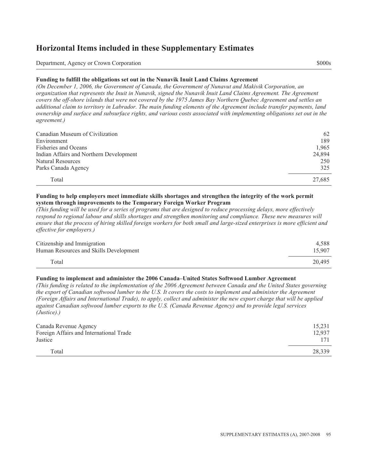Department, Agency or Crown Corporation \$000s

#### **Funding to fulfill the obligations set out in the Nunavik Inuit Land Claims Agreement**

*(On December 1, 2006, the Government of Canada, the Government of Nunavut and Makivik Corporation, an organization that represents the Inuit in Nunavik, signed the Nunavik Inuit Land Claims Agreement. The Agreement covers the off-shore islands that were not covered by the 1975 James Bay Northern Quebec Agreement and settles an additional claim to territory in Labrador. The main funding elements of the Agreement include transfer payments, land ownership and surface and subsurface rights, and various costs associated with implementing obligations set out in the agreement.)*

| Canadian Museum of Civilization         | 62     |
|-----------------------------------------|--------|
| Environment                             | 189    |
| <b>Fisheries and Oceans</b>             | 1,965  |
| Indian Affairs and Northern Development | 24,894 |
| Natural Resources                       | 250    |
| Parks Canada Agency                     | 325    |
| Total                                   | 27,685 |

#### **Funding to help employers meet immediate skills shortages and strengthen the integrity of the work permit system through improvements to the Temporary Foreign Worker Program**

*(This funding will be used for a series of programs that are designed to reduce processing delays, more effectively respond to regional labour and skills shortages and strengthen monitoring and compliance. These new measures will ensure that the process of hiring skilled foreign workers for both small and large-sized enterprises is more efficient and effective for employers.)*

| Citizenship and Immigration            | 4.588  |
|----------------------------------------|--------|
| Human Resources and Skills Development | 15.907 |
| Total                                  | 20.495 |

#### **Funding to implement and administer the 2006 Canada–United States Softwood Lumber Agreement**

*(This funding is related to the implementation of the 2006 Agreement between Canada and the United States governing the export of Canadian softwood lumber to the U.S. It covers the costs to implement and administer the Agreement (Foreign Affairs and International Trade), to apply, collect and administer the new export charge that will be applied against Canadian softwood lumber exports to the U.S. (Canada Revenue Agency) and to provide legal services (Justice).)*

| Canada Revenue Agency                   | 15.231 |
|-----------------------------------------|--------|
| Foreign Affairs and International Trade | 12.937 |
| Justice                                 |        |
| Total                                   | 28.339 |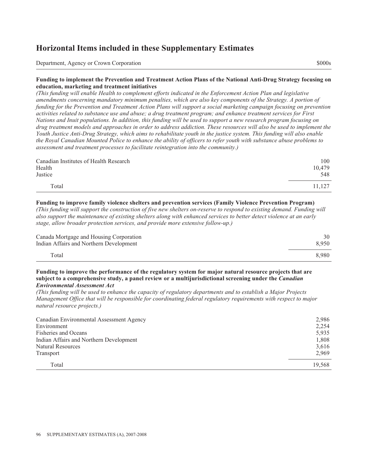Department, Agency or Crown Corporation \$000s

#### **Funding to implement the Prevention and Treatment Action Plans of the National Anti-Drug Strategy focusing on education, marketing and treatment initiatives**

*(This funding will enable Health to complement efforts indicated in the Enforcement Action Plan and legislative amendments concerning mandatory minimum penalties, which are also key components of the Strategy. A portion of funding for the Prevention and Treatment Action Plans will support a social marketing campaign focusing on prevention activities related to substance use and abuse; a drug treatment program; and enhance treatment services for First Nations and Inuit populations. In addition, this funding will be used to support a new research program focusing on drug treatment models and approaches in order to address addiction. These resources will also be used to implement the Youth Justice Anti-Drug Strategy, which aims to rehabilitate youth in the justice system. This funding will also enable the Royal Canadian Mounted Police to enhance the ability of officers to refer youth with substance abuse problems to assessment and treatment processes to facilitate reintegration into the community.)*

| Canadian Institutes of Health Research | 100    |
|----------------------------------------|--------|
| Health                                 | 10.479 |
| Justice                                | 548    |
| Total                                  | 11,127 |

#### **Funding to improve family violence shelters and prevention services (Family Violence Prevention Program)**

*(This funding will support the construction of five new shelters on-reserve to respond to existing demand. Funding will also support the maintenance of existing shelters along with enhanced services to better detect violence at an early stage, allow broader protection services, and provide more extensive follow-up.)*

| Canada Mortgage and Housing Corporation | 30    |
|-----------------------------------------|-------|
| Indian Affairs and Northern Development | 8.950 |
| Total                                   | 8.980 |

#### **Funding to improve the performance of the regulatory system for major natural resource projects that are subject to a comprehensive study, a panel review or a multijurisdictional screening under the** *Canadian Environmental Assessment Act*

*(This funding will be used to enhance the capacity of regulatory departments and to establish a Major Projects Management Office that will be responsible for coordinating federal regulatory requirements with respect to major natural resource projects.)*

| Canadian Environmental Assessment Agency | 2,986  |
|------------------------------------------|--------|
| Environment                              | 2,254  |
| <b>Fisheries and Oceans</b>              | 5,935  |
| Indian Affairs and Northern Development  | 1,808  |
| Natural Resources                        | 3.616  |
| Transport                                | 2,969  |
| Total                                    | 19.568 |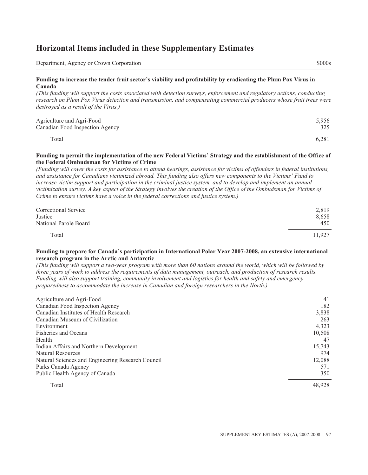Department, Agency or Crown Corporation \$000s

#### **Funding to increase the tender fruit sector's viability and profitability by eradicating the Plum Pox Virus in Canada**

*(This funding will support the costs associated with detection surveys, enforcement and regulatory actions, conducting research on Plum Pox Virus detection and transmission, and compensating commercial producers whose fruit trees were destroyed as a result of the Virus.)*

| Agriculture and Agri-Food<br>Canadian Food Inspection Agency | 5.956 |
|--------------------------------------------------------------|-------|
| Total                                                        | 6.281 |

#### **Funding to permit the implementation of the new Federal Victims' Strategy and the establishment of the Office of the Federal Ombudsman for Victims of Crime**

*(Funding will cover the costs for assistance to attend hearings, assistance for victims of offenders in federal institutions, and assistance for Canadians victimized abroad. This funding also offers new components to the Victims' Fund to increase victim support and participation in the criminal justice system, and to develop and implement an annual victimization survey. A key aspect of the Strategy involves the creation of the Office of the Ombudsman for Victims of Crime to ensure victims have a voice in the federal corrections and justice system.)*

| Correctional Service  | 2,819  |
|-----------------------|--------|
| Justice               | 8.658  |
| National Parole Board | 450    |
| Total                 | 11.927 |

#### **Funding to prepare for Canada's participation in International Polar Year 2007-2008, an extensive international research program in the Arctic and Antarctic**

*(This funding will support a two-year program with more than 60 nations around the world, which will be followed by three years of work to address the requirements of data management, outreach, and production of research results. Funding will also support training, community involvement and logistics for health and safety and emergency preparedness to accommodate the increase in Canadian and foreign researchers in the North.)*

| Agriculture and Agri-Food                         | 41     |
|---------------------------------------------------|--------|
| Canadian Food Inspection Agency                   | 182    |
| Canadian Institutes of Health Research            | 3,838  |
| Canadian Museum of Civilization                   | 263    |
| Environment                                       | 4,323  |
| <b>Fisheries and Oceans</b>                       | 10,508 |
| Health                                            | 47     |
| Indian Affairs and Northern Development           | 15,743 |
| <b>Natural Resources</b>                          | 974    |
| Natural Sciences and Engineering Research Council | 12,088 |
| Parks Canada Agency                               | 571    |
| Public Health Agency of Canada                    | 350    |
| Total                                             | 48.928 |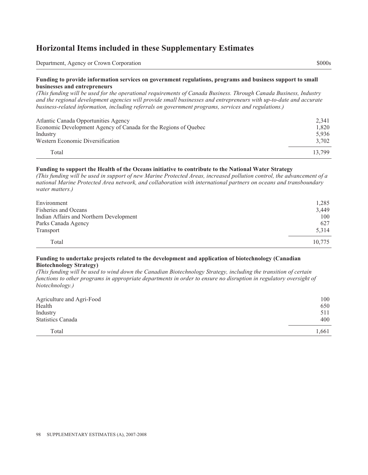Department, Agency or Crown Corporation \$000s

#### **Funding to provide information services on government regulations, programs and business support to small businesses and entrepreneurs**

*(This funding will be used for the operational requirements of Canada Business. Through Canada Business, Industry and the regional development agencies will provide small businesses and entrepreneurs with up-to-date and accurate business-related information, including referrals on government programs, services and regulations.)*

| Atlantic Canada Opportunities Agency                            | 2.341  |
|-----------------------------------------------------------------|--------|
| Economic Development Agency of Canada for the Regions of Quebec | 1.820  |
| Industry                                                        | 5.936  |
| Western Economic Diversification                                | 3.702  |
| Total                                                           | 13.799 |

#### **Funding to support the Health of the Oceans initiative to contribute to the National Water Strategy**

*(This funding will be used in support of new Marine Protected Areas, increased pollution control, the advancement of a national Marine Protected Area network, and collaboration with international partners on oceans and transboundary water matters.)*

| Environment                             | 1,285  |
|-----------------------------------------|--------|
| <b>Fisheries and Oceans</b>             | 3,449  |
| Indian Affairs and Northern Development | 100    |
| Parks Canada Agency                     | 627    |
| Transport                               | 5,314  |
| Total                                   | 10.775 |

#### **Funding to undertake projects related to the development and application of biotechnology (Canadian Biotechnology Strategy)**

*(This funding will be used to wind down the Canadian Biotechnology Strategy, including the transition of certain functions to other programs in appropriate departments in order to ensure no disruption in regulatory oversight of biotechnology.)*

| Agriculture and Agri-Food<br>Health | 100<br>650 |
|-------------------------------------|------------|
| Industry                            | 511        |
| <b>Statistics Canada</b>            | 400        |
| Total                               | 1,661      |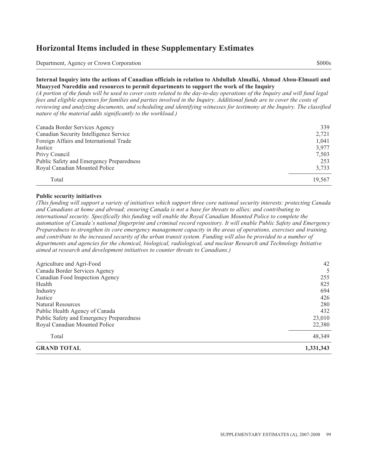Department, Agency or Crown Corporation \$000s

#### **Internal Inquiry into the actions of Canadian officials in relation to Abdullah Almalki, Ahmad Abou-Elmaati and Muayyed Nureddin and resources to permit departments to support the work of the Inquiry**

*(A portion of the funds will be used to cover costs related to the day-to-day operations of the Inquiry and will fund legal fees and eligible expenses for families and parties involved in the Inquiry. Additional funds are to cover the costs of reviewing and analyzing documents, and scheduling and identifying witnesses for testimony at the Inquiry. The classified nature of the material adds significantly to the workload.)*

| Canada Border Services Agency            | 339    |
|------------------------------------------|--------|
| Canadian Security Intelligence Service   | 2,721  |
| Foreign Affairs and International Trade  | 1.041  |
| Justice                                  | 3,977  |
| Privy Council                            | 7,503  |
| Public Safety and Emergency Preparedness | 253    |
| Royal Canadian Mounted Police            | 3,733  |
| Total                                    | 19.567 |

#### **Public security initiatives**

*(This funding will support a variety of initiatives which support three core national security interests: protecting Canada and Canadians at home and abroad; ensuring Canada is not a base for threats to allies; and contributing to international security. Specifically this funding will enable the Royal Canadian Mounted Police to complete the automation of Canada's national fingerprint and criminal record repository. It will enable Public Safety and Emergency Preparedness to strengthen its core emergency management capacity in the areas of operations, exercises and training, and contribute to the increased security of the urban transit system. Funding will also be provided to a number of departments and agencies for the chemical, biological, radiological, and nuclear Research and Technology Initiative aimed at research and development initiatives to counter threats to Canadians.)*

| Agriculture and Agri-Food                | 42        |
|------------------------------------------|-----------|
| Canada Border Services Agency            | 5         |
| Canadian Food Inspection Agency          | 255       |
| Health                                   | 825       |
| Industry                                 | 694       |
| Justice                                  | 426       |
| <b>Natural Resources</b>                 | 280       |
| Public Health Agency of Canada           | 432       |
| Public Safety and Emergency Preparedness | 23,010    |
| Royal Canadian Mounted Police            | 22,380    |
| Total                                    | 48,349    |
| <b>GRAND TOTAL</b>                       | 1,331,343 |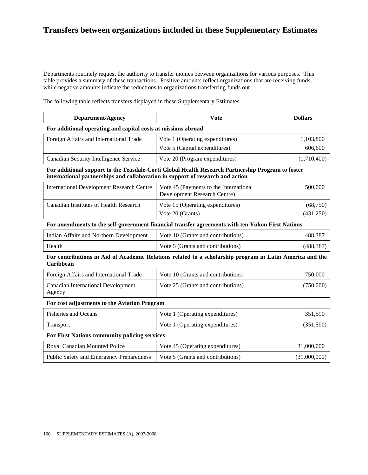Departments routinely request the authority to transfer monies between organizations for various purposes. This table provides a summary of these transactions. Positive amounts reflect organizations that are receiving funds, while negative amounts indicate the reductions to organizations transferring funds out.

The following table reflects transfers displayed in these Supplementary Estimates.

| Department/Agency                                             | Vote                            | <b>Dollars</b> |  |
|---------------------------------------------------------------|---------------------------------|----------------|--|
| For additional operating and capital costs at missions abroad |                                 |                |  |
| Foreign Affairs and International Trade                       | Vote 1 (Operating expenditures) | 1,103,800      |  |
|                                                               | Vote 5 (Capital expenditures)   | 606,600        |  |
| Canadian Security Intelligence Service                        | Vote 20 (Program expenditures)  | (1,710,400)    |  |

**For additional support to the Teasdale-Corti Global Health Research Partnership Program to foster international partnerships and collaboration in support of research and action** 

| International Development Research Centre | Vote 45 (Payments to the International<br>Development Research Centre) | 500,000               |
|-------------------------------------------|------------------------------------------------------------------------|-----------------------|
| Canadian Institutes of Health Research    | Vote 15 (Operating expenditures)<br>Vote 20 (Grants)                   | (68,750)<br>(431,250) |

#### **For amendments to the self-government financial transfer agreements with ten Yukon First Nations**

| Indian Affairs and Northern Development | Vote 10 (Grants and contributions) | 488.387  |
|-----------------------------------------|------------------------------------|----------|
| Health                                  | Vote 5 (Grants and contributions)  | (488.387 |

#### **For contributions in Aid of Academic Relations related to a scholarship program in Latin America and the Caribbean**

| Foreign Affairs and International Trade      | Vote 10 (Grants and contributions) | 750,000   |
|----------------------------------------------|------------------------------------|-----------|
| Canadian International Development<br>Agency | Vote 25 (Grants and contributions) | (750,000) |

#### **For cost adjustments to the Aviation Program**

| <b>Fisheries and Oceans</b> | Vote 1 (Operating expenditures) | 351.590   |
|-----------------------------|---------------------------------|-----------|
| Transport                   | Vote 1 (Operating expenditures) | (351,590) |

#### **For First Nations community policing services**

| Roval Canadian Mounted Police            | Vote 45 (Operating expenditures)  | 31,000,000   |
|------------------------------------------|-----------------------------------|--------------|
| Public Safety and Emergency Preparedness | Vote 5 (Grants and contributions) | (31,000,000) |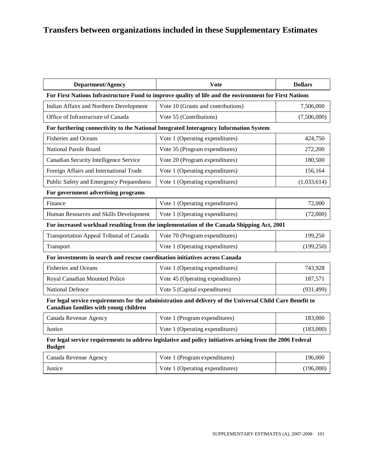| <b>Department/Agency</b>                                                                                                                           | <b>Vote</b>                                                                                            | <b>Dollars</b> |
|----------------------------------------------------------------------------------------------------------------------------------------------------|--------------------------------------------------------------------------------------------------------|----------------|
|                                                                                                                                                    | For First Nations Infrastructure Fund to improve quality of life and the environment for First Nations |                |
| Indian Affairs and Northern Development                                                                                                            | Vote 10 (Grants and contributions)                                                                     | 7,506,000      |
| Office of Infrastructure of Canada                                                                                                                 | Vote 55 (Contributions)                                                                                | (7,506,000)    |
|                                                                                                                                                    | For furthering connectivity to the National Integrated Interagency Information System                  |                |
| <b>Fisheries and Oceans</b>                                                                                                                        | Vote 1 (Operating expenditures)                                                                        | 424,750        |
| National Parole Board                                                                                                                              | Vote 35 (Program expenditures)                                                                         | 272,200        |
| Canadian Security Intelligence Service                                                                                                             | Vote 20 (Program expenditures)                                                                         | 180,500        |
| Foreign Affairs and International Trade                                                                                                            | Vote 1 (Operating expenditures)                                                                        | 156,164        |
| Public Safety and Emergency Preparedness                                                                                                           | Vote 1 (Operating expenditures)                                                                        | (1,033,614)    |
| For government advertising programs                                                                                                                |                                                                                                        |                |
| Finance                                                                                                                                            | Vote 1 (Operating expenditures)                                                                        | 72,000         |
| Human Resources and Skills Development                                                                                                             | Vote 1 (Operating expenditures)                                                                        | (72,000)       |
|                                                                                                                                                    | For increased workload resulting from the implementation of the Canada Shipping Act, 2001              |                |
| Transportation Appeal Tribunal of Canada                                                                                                           | Vote 70 (Program expenditures)                                                                         | 199,250        |
| Transport                                                                                                                                          | Vote 1 (Operating expenditures)                                                                        | (199, 250)     |
| For investments in search and rescue coordination initiatives across Canada                                                                        |                                                                                                        |                |
| <b>Fisheries and Oceans</b>                                                                                                                        | Vote 1 (Operating expenditures)                                                                        | 743,928        |
| Royal Canadian Mounted Police                                                                                                                      | Vote 45 (Operating expenditures)                                                                       | 187,571        |
| <b>National Defence</b>                                                                                                                            | Vote 5 (Capital expenditures)                                                                          | (931, 499)     |
| For legal service requirements for the administration and delivery of the Universal Child Care Benefit to<br>Canadian families with young children |                                                                                                        |                |
| Canada Revenue Agency                                                                                                                              | Vote 1 (Program expenditures)                                                                          | 183,000        |
| Justice                                                                                                                                            | Vote 1 (Operating expenditures)                                                                        | (183,000)      |

**For legal service requirements to address legislative and policy initiatives arising from the 2006 Federal Budget** 

| Canada Revenue Agency | Vote 1 (Program expenditures)   | 196.000   |
|-----------------------|---------------------------------|-----------|
| Justice               | Vote 1 (Operating expenditures) | (196,000) |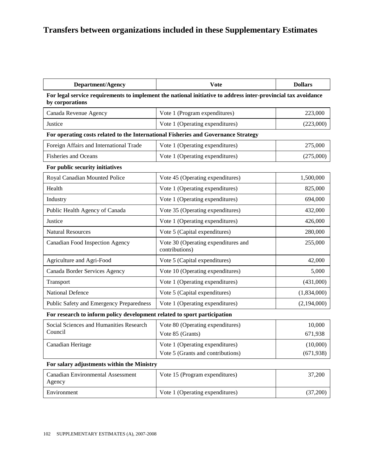| Department/Agency                                                                                                                | <b>Vote</b>                                           | <b>Dollars</b>    |  |
|----------------------------------------------------------------------------------------------------------------------------------|-------------------------------------------------------|-------------------|--|
| For legal service requirements to implement the national initiative to address inter-provincial tax avoidance<br>by corporations |                                                       |                   |  |
| Canada Revenue Agency                                                                                                            | Vote 1 (Program expenditures)                         | 223,000           |  |
| Justice                                                                                                                          | Vote 1 (Operating expenditures)                       | (223,000)         |  |
| For operating costs related to the International Fisheries and Governance Strategy                                               |                                                       |                   |  |
| Foreign Affairs and International Trade                                                                                          | Vote 1 (Operating expenditures)                       | 275,000           |  |
| <b>Fisheries and Oceans</b>                                                                                                      | Vote 1 (Operating expenditures)                       | (275,000)         |  |
| For public security initiatives                                                                                                  |                                                       |                   |  |
| Royal Canadian Mounted Police                                                                                                    | Vote 45 (Operating expenditures)                      | 1,500,000         |  |
| Health                                                                                                                           | Vote 1 (Operating expenditures)                       | 825,000           |  |
| Industry                                                                                                                         | Vote 1 (Operating expenditures)                       | 694,000           |  |
| Public Health Agency of Canada                                                                                                   | Vote 35 (Operating expenditures)                      | 432,000           |  |
| Justice                                                                                                                          | Vote 1 (Operating expenditures)                       | 426,000           |  |
| <b>Natural Resources</b>                                                                                                         | Vote 5 (Capital expenditures)                         | 280,000           |  |
| Canadian Food Inspection Agency                                                                                                  | Vote 30 (Operating expenditures and<br>contributions) | 255,000           |  |
| Agriculture and Agri-Food                                                                                                        | Vote 5 (Capital expenditures)                         | 42,000            |  |
| Canada Border Services Agency                                                                                                    | Vote 10 (Operating expenditures)                      | 5,000             |  |
| Transport                                                                                                                        | Vote 1 (Operating expenditures)                       | (431,000)         |  |
| <b>National Defence</b>                                                                                                          | Vote 5 (Capital expenditures)                         | (1,834,000)       |  |
| Public Safety and Emergency Preparedness                                                                                         | Vote 1 (Operating expenditures)                       | (2,194,000)       |  |
| For research to inform policy development related to sport participation                                                         |                                                       |                   |  |
| <b>Social Sciences and Humanities Research</b><br>Council                                                                        | Vote 80 (Operating expenditures)<br>Vote 85 (Grants)  | 10,000<br>671,938 |  |
| Canadian Heritage                                                                                                                | Vote 1 (Operating expenditures)                       | (10,000)          |  |
|                                                                                                                                  | Vote 5 (Grants and contributions)                     | (671,938)         |  |
| For salary adjustments within the Ministry                                                                                       |                                                       |                   |  |
| <b>Canadian Environmental Assessment</b><br>Agency                                                                               | Vote 15 (Program expenditures)                        | 37,200            |  |
| Environment                                                                                                                      | Vote 1 (Operating expenditures)                       | (37,200)          |  |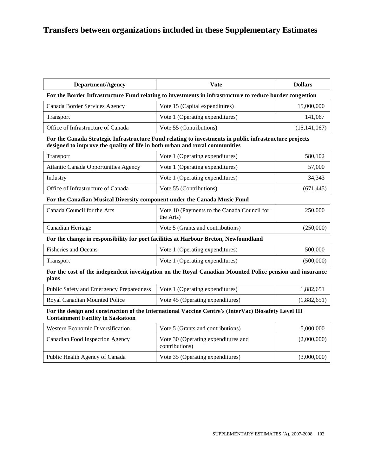| Department/Agency                                                                                        | Vote                            | <b>Dollars</b> |
|----------------------------------------------------------------------------------------------------------|---------------------------------|----------------|
| For the Border Infrastructure Fund relating to investments in infrastructure to reduce border congestion |                                 |                |
| Canada Border Services Agency                                                                            | Vote 15 (Capital expenditures)  | 15,000,000     |
| Transport                                                                                                | Vote 1 (Operating expenditures) | 141.067        |

Office of Infrastructure of Canada Vote 55 (Contributions) (15,141,067)

#### **For the Canada Strategic Infrastructure Fund relating to investments in public infrastructure projects designed to improve the quality of life in both urban and rural communities**

| Transport                                   | Vote 1 (Operating expenditures) | 580.102    |
|---------------------------------------------|---------------------------------|------------|
| <b>Atlantic Canada Opportunities Agency</b> | Vote 1 (Operating expenditures) | 57,000     |
| Industry                                    | Vote 1 (Operating expenditures) | 34.343     |
| Office of Infrastructure of Canada          | Vote 55 (Contributions)         | (671, 445) |

#### **For the Canadian Musical Diversity component under the Canada Music Fund**

| Canada Council for the Arts | Vote 10 (Payments to the Canada Council for<br>the Arts) | 250,000   |
|-----------------------------|----------------------------------------------------------|-----------|
| Canadian Heritage           | Vote 5 (Grants and contributions)                        | (250,000) |

#### **For the change in responsibility for port facilities at Harbour Breton, Newfoundland**

| <b>Fisheries and Oceans</b> | Vote 1 (Operating expenditures) | 500,000   |
|-----------------------------|---------------------------------|-----------|
| <b>Transport</b>            | Vote 1 (Operating expenditures) | (500.000) |

### **For the cost of the independent investigation on the Royal Canadian Mounted Police pension and insurance plans**

| Public Safety and Emergency Preparedness | Vote 1 (Operating expenditures)  | 1,882,651   |
|------------------------------------------|----------------------------------|-------------|
| Royal Canadian Mounted Police            | Vote 45 (Operating expenditures) | (1,882,651) |

**For the design and construction of the International Vaccine Centre's (InterVac) Biosafety Level III Containment Facility in Saskatoon** 

| <b>Western Economic Diversification</b> | Vote 5 (Grants and contributions)                     | 5,000,000   |
|-----------------------------------------|-------------------------------------------------------|-------------|
| Canadian Food Inspection Agency         | Vote 30 (Operating expenditures and<br>contributions) | (2,000,000) |
| Public Health Agency of Canada          | Vote 35 (Operating expenditures)                      | (3,000,000) |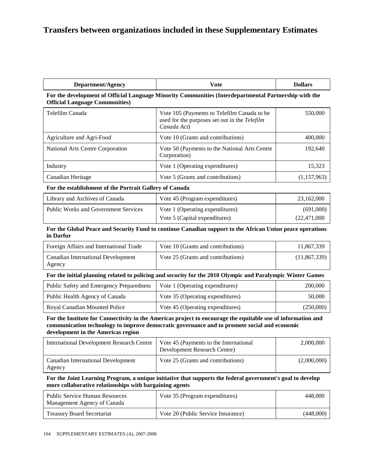| Department/Agency | ′ot€ | <b>Dollars</b> |
|-------------------|------|----------------|
|                   |      |                |

**For the development of Official Language Minority Communities (Interdepartmental Partnership with the Official Language Communities)** 

| Telefilm Canada                  | Vote 105 (Payments to Telefilm Canada to be<br>used for the purposes set out in the Telefilm<br>Canada Act) | 550,000     |
|----------------------------------|-------------------------------------------------------------------------------------------------------------|-------------|
| Agriculture and Agri-Food        | Vote 10 (Grants and contributions)                                                                          | 400,000     |
| National Arts Centre Corporation | Vote 50 (Payments to the National Arts Centre<br>Corporation)                                               | 192.640     |
| Industry                         | Vote 1 (Operating expenditures)                                                                             | 15,323      |
| Canadian Heritage                | Vote 5 (Grants and contributions)                                                                           | (1,157,963) |

### **For the establishment of the Portrait Gallery of Canada**

| Library and Archives of Canada              | Vote 45 (Program expenditures)  | 23.162.000   |
|---------------------------------------------|---------------------------------|--------------|
| <b>Public Works and Government Services</b> | Vote 1 (Operating expenditures) | (691,000)    |
|                                             | Vote 5 (Capital expenditures)   | (22.471.000) |

#### **For the Global Peace and Security Fund to continue Canadian support to the African Union peace operations in Darfur**

| Foreign Affairs and International Trade      | Vote 10 (Grants and contributions) | 11.867.339   |
|----------------------------------------------|------------------------------------|--------------|
| Canadian International Development<br>Agency | Vote 25 (Grants and contributions) | (11,867,339) |

### **For the initial planning related to policing and security for the 2010 Olympic and Paralympic Winter Games**

| Public Safety and Emergency Preparedness | Vote 1 (Operating expenditures)  | 200,000   |
|------------------------------------------|----------------------------------|-----------|
| Public Health Agency of Canada           | Vote 35 (Operating expenditures) | 50,000    |
| Royal Canadian Mounted Police            | Vote 45 (Operating expenditures) | (250,000) |

#### **For the Institute for Connectivity in the Americas project to encourage the equitable use of information and communication technology to improve democratic governance and to promote social and economic development in the Americas region**

| International Development Research Centre    | Vote 45 (Payments to the International<br>Development Research Centre) | 2,000,000   |
|----------------------------------------------|------------------------------------------------------------------------|-------------|
| Canadian International Development<br>Agency | Vote 25 (Grants and contributions)                                     | (2,000,000) |

#### **For the Joint Learning Program, a unique initiative that supports the federal government's goal to develop more collaborative relationships with bargaining agents**

| <b>Public Service Human Resources</b><br>Management Agency of Canada | Vote 35 (Program expenditures)     | 448,000   |
|----------------------------------------------------------------------|------------------------------------|-----------|
| <b>Treasury Board Secretariat</b>                                    | Vote 20 (Public Service Insurance) | (448,000) |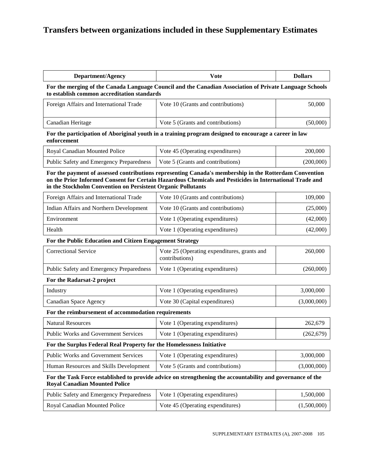| 0.0300<br>. Je-<br>-une<br>-<br>ิบ | ⁄ ote | $\sim$<br>----<br>lai 5 |
|------------------------------------|-------|-------------------------|
|                                    |       |                         |

**For the merging of the Canada Language Council and the Canadian Association of Private Language Schools to establish common accreditation standards** 

| Foreign Affairs and International Trade | Vote 10 (Grants and contributions) | 50,000   |
|-----------------------------------------|------------------------------------|----------|
| Canadian Heritage                       | Vote 5 (Grants and contributions)  | (50,000) |

**For the participation of Aboriginal youth in a training program designed to encourage a career in law enforcement** 

| Royal Canadian Mounted Police                                                | Vote 45 (Operating expenditures) | 200,000   |
|------------------------------------------------------------------------------|----------------------------------|-----------|
| Public Safety and Emergency Preparedness   Vote 5 (Grants and contributions) |                                  | (200.000) |

**For the payment of assessed contributions representing Canada's membership in the Rotterdam Convention on the Prior Informed Consent for Certain Hazardous Chemicals and Pesticides in International Trade and in the Stockholm Convention on Persistent Organic Pollutants** 

| Foreign Affairs and International Trade | Vote 10 (Grants and contributions) | 109,000  |
|-----------------------------------------|------------------------------------|----------|
| Indian Affairs and Northern Development | Vote 10 (Grants and contributions) | (25,000) |
| Environment                             | Vote 1 (Operating expenditures)    | (42,000) |
| Health                                  | Vote 1 (Operating expenditures)    | (42,000) |

#### **For the Public Education and Citizen Engagement Strategy**

| Correctional Service                     | Vote 25 (Operating expenditures, grants and<br>contributions) | 260,000   |
|------------------------------------------|---------------------------------------------------------------|-----------|
| Public Safety and Emergency Preparedness | Vote 1 (Operating expenditures)                               | (260,000) |

#### **For the Radarsat-2 project**

| Industry              | Vote 1 (Operating expenditures) | 3,000,000   |
|-----------------------|---------------------------------|-------------|
| Canadian Space Agency | Vote 30 (Capital expenditures)  | (3,000,000) |

#### **For the reimbursement of accommodation requirements**

| Natural Resources                           | Vote 1 (Operating expenditures) | 262.679   |
|---------------------------------------------|---------------------------------|-----------|
| <b>Public Works and Government Services</b> | Vote 1 (Operating expenditures) | (262,679) |

#### **For the Surplus Federal Real Property for the Homelessness Initiative**

| <b>Public Works and Government Services</b> | Vote 1 (Operating expenditures)   | 3,000,000   |
|---------------------------------------------|-----------------------------------|-------------|
| Human Resources and Skills Development      | Vote 5 (Grants and contributions) | (3,000,000) |

#### **For the Task Force established to provide advice on strengthening the accountability and governance of the Royal Canadian Mounted Police**

| Public Safety and Emergency Preparedness | Vote 1 (Operating expenditures)  | 1.500.000   |
|------------------------------------------|----------------------------------|-------------|
| Royal Canadian Mounted Police            | Vote 45 (Operating expenditures) | (1,500,000) |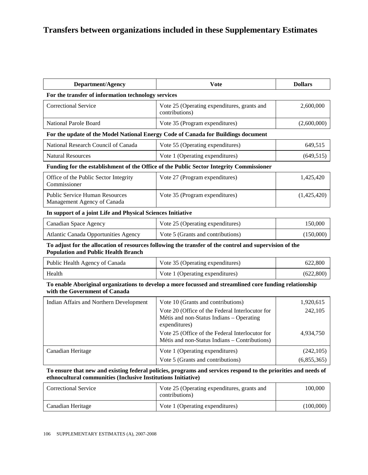| Department/Agency                                                    | <b>Vote</b>                                                                                                    | <b>Dollars</b> |  |
|----------------------------------------------------------------------|----------------------------------------------------------------------------------------------------------------|----------------|--|
| For the transfer of information technology services                  |                                                                                                                |                |  |
| <b>Correctional Service</b>                                          | Vote 25 (Operating expenditures, grants and<br>contributions)                                                  | 2,600,000      |  |
| <b>National Parole Board</b>                                         | Vote 35 (Program expenditures)                                                                                 | (2,600,000)    |  |
|                                                                      | For the update of the Model National Energy Code of Canada for Buildings document                              |                |  |
| National Research Council of Canada                                  | Vote 55 (Operating expenditures)                                                                               | 649,515        |  |
| <b>Natural Resources</b>                                             | Vote 1 (Operating expenditures)                                                                                | (649, 515)     |  |
|                                                                      | Funding for the establishment of the Office of the Public Sector Integrity Commissioner                        |                |  |
| Office of the Public Sector Integrity<br>Commissioner                | Vote 27 (Program expenditures)                                                                                 | 1,425,420      |  |
| <b>Public Service Human Resources</b><br>Management Agency of Canada | Vote 35 (Program expenditures)                                                                                 | (1,425,420)    |  |
| In support of a joint Life and Physical Sciences Initiative          |                                                                                                                |                |  |
| <b>Canadian Space Agency</b>                                         | Vote 25 (Operating expenditures)                                                                               | 150,000        |  |
| Atlantic Canada Opportunities Agency                                 | Vote 5 (Grants and contributions)                                                                              | (150,000)      |  |
| <b>Population and Public Health Branch</b>                           | To adjust for the allocation of resources following the transfer of the control and supervision of the         |                |  |
| Public Health Agency of Canada                                       | Vote 35 (Operating expenditures)                                                                               | 622,800        |  |
| Health                                                               | Vote 1 (Operating expenditures)                                                                                | (622, 800)     |  |
| with the Government of Canada                                        | To enable Aboriginal organizations to develop a more focussed and streamlined core funding relationship        |                |  |
| Indian Affairs and Northern Development                              | Vote 10 (Grants and contributions)                                                                             | 1,920,615      |  |
|                                                                      | Vote 20 (Office of the Federal Interlocutor for<br>Métis and non-Status Indians - Operating<br>expenditures)   | 242,105        |  |
|                                                                      | Vote 25 (Office of the Federal Interlocutor for<br>Métis and non-Status Indians - Contributions)               | 4,934,750      |  |
| Canadian Heritage                                                    | Vote 1 (Operating expenditures)                                                                                | (242, 105)     |  |
|                                                                      | Vote 5 (Grants and contributions)                                                                              | (6,855,365)    |  |
| ethnocultural communities (Inclusive Institutions Initiative)        | To ensure that new and existing federal policies, programs and services respond to the priorities and needs of |                |  |
| <b>Correctional Service</b>                                          | Vote 25 (Operating expenditures, grants and                                                                    | 100,000        |  |

| Correctional Service | Vote 25 (Operating expenditures, grants and<br>contributions) | 100.000   |
|----------------------|---------------------------------------------------------------|-----------|
| Canadian Heritage    | Vote 1 (Operating expenditures)                               | (100.000) |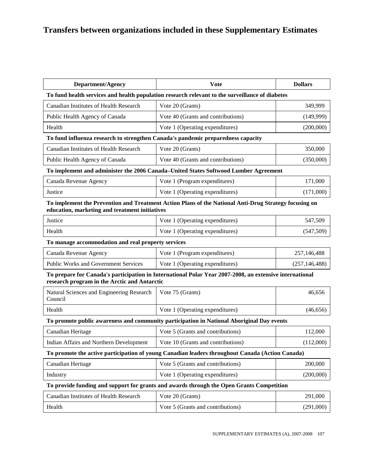| <b>Department/Agency</b>                                                                        | <b>V</b> ote                                                                                            | <b>Dollars</b>  |  |
|-------------------------------------------------------------------------------------------------|---------------------------------------------------------------------------------------------------------|-----------------|--|
| To fund health services and health population research relevant to the surveillance of diabetes |                                                                                                         |                 |  |
| Canadian Institutes of Health Research                                                          | Vote 20 (Grants)                                                                                        | 349,999         |  |
| Public Health Agency of Canada                                                                  | Vote 40 (Grants and contributions)                                                                      | (149,999)       |  |
| Health                                                                                          | Vote 1 (Operating expenditures)                                                                         | (200,000)       |  |
| To fund influenza research to strengthen Canada's pandemic preparedness capacity                |                                                                                                         |                 |  |
| Canadian Institutes of Health Research                                                          | Vote 20 (Grants)                                                                                        | 350,000         |  |
| Public Health Agency of Canada                                                                  | Vote 40 (Grants and contributions)                                                                      | (350,000)       |  |
|                                                                                                 | To implement and administer the 2006 Canada-United States Softwood Lumber Agreement                     |                 |  |
| Canada Revenue Agency                                                                           | Vote 1 (Program expenditures)                                                                           | 171,000         |  |
| Justice                                                                                         | Vote 1 (Operating expenditures)                                                                         | (171,000)       |  |
| education, marketing and treatment initiatives                                                  | To implement the Prevention and Treatment Action Plans of the National Anti-Drug Strategy focusing on   |                 |  |
| Justice                                                                                         | Vote 1 (Operating expenditures)                                                                         | 547,509         |  |
| Health                                                                                          | Vote 1 (Operating expenditures)                                                                         | (547,509)       |  |
| To manage accommodation and real property services                                              |                                                                                                         |                 |  |
| Canada Revenue Agency                                                                           | Vote 1 (Program expenditures)                                                                           | 257,146,488     |  |
| <b>Public Works and Government Services</b>                                                     | Vote 1 (Operating expenditures)                                                                         | (257, 146, 488) |  |
| research program in the Arctic and Antarctic                                                    | To prepare for Canada's participation in International Polar Year 2007-2008, an extensive international |                 |  |
| Natural Sciences and Engineering Research<br>Council                                            | Vote 75 (Grants)                                                                                        | 46,656          |  |
| Health                                                                                          | Vote 1 (Operating expenditures)                                                                         | (46, 656)       |  |
|                                                                                                 | To promote public awareness and community participation in National Aboriginal Day events               |                 |  |
| Canadian Heritage                                                                               | Vote 5 (Grants and contributions)                                                                       | 112,000         |  |
| Indian Affairs and Northern Development                                                         | Vote 10 (Grants and contributions)                                                                      | (112,000)       |  |
|                                                                                                 | To promote the active participation of young Canadian leaders throughout Canada (Action Canada)         |                 |  |
| Canadian Heritage                                                                               | Vote 5 (Grants and contributions)                                                                       | 200,000         |  |
| Industry                                                                                        | Vote 1 (Operating expenditures)                                                                         | (200,000)       |  |
|                                                                                                 | To provide funding and support for grants and awards through the Open Grants Competition                |                 |  |
| Canadian Institutes of Health Research                                                          | Vote 20 (Grants)                                                                                        | 291,000         |  |
| Health                                                                                          | Vote 5 (Grants and contributions)                                                                       | (291,000)       |  |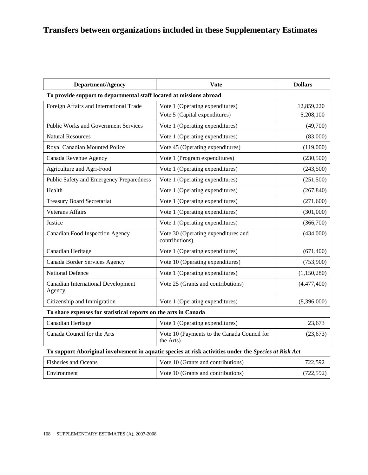| <b>Department/Agency</b>                                            | <b>Vote</b>                                                      | <b>Dollars</b>          |
|---------------------------------------------------------------------|------------------------------------------------------------------|-------------------------|
| To provide support to departmental staff located at missions abroad |                                                                  |                         |
| Foreign Affairs and International Trade                             | Vote 1 (Operating expenditures)<br>Vote 5 (Capital expenditures) | 12,859,220<br>5,208,100 |
| <b>Public Works and Government Services</b>                         | Vote 1 (Operating expenditures)                                  | (49,700)                |
| <b>Natural Resources</b>                                            | Vote 1 (Operating expenditures)                                  | (83,000)                |
| Royal Canadian Mounted Police                                       | Vote 45 (Operating expenditures)                                 | (119,000)               |
| Canada Revenue Agency                                               | Vote 1 (Program expenditures)                                    | (230,500)               |
| Agriculture and Agri-Food                                           | Vote 1 (Operating expenditures)                                  | (243,500)               |
| Public Safety and Emergency Preparedness                            | Vote 1 (Operating expenditures)                                  | (251,500)               |
| Health                                                              | Vote 1 (Operating expenditures)                                  | (267, 840)              |
| <b>Treasury Board Secretariat</b>                                   | Vote 1 (Operating expenditures)                                  | (271,600)               |
| <b>Veterans Affairs</b>                                             | Vote 1 (Operating expenditures)                                  | (301,000)               |
| Justice                                                             | Vote 1 (Operating expenditures)                                  | (366,700)               |
| Canadian Food Inspection Agency                                     | Vote 30 (Operating expenditures and<br>contributions)            | (434,000)               |
| Canadian Heritage                                                   | Vote 1 (Operating expenditures)                                  | (671, 400)              |
| Canada Border Services Agency                                       | Vote 10 (Operating expenditures)                                 | (753,900)               |
| <b>National Defence</b>                                             | Vote 1 (Operating expenditures)                                  | (1,150,280)             |
| <b>Canadian International Development</b><br>Agency                 | Vote 25 (Grants and contributions)                               | (4,477,400)             |
| Citizenship and Immigration                                         | Vote 1 (Operating expenditures)                                  | (8,396,000)             |

### **To share expenses for statistical reports on the arts in Canada**

| Canadian Heritage           | Vote 1 (Operating expenditures)                          | 23,673    |
|-----------------------------|----------------------------------------------------------|-----------|
| Canada Council for the Arts | Vote 10 (Payments to the Canada Council for<br>the Arts) | (23, 673) |

### **To support Aboriginal involvement in aquatic species at risk activities under the** *Species at Risk Act*

| <b>Fisheries and Oceans</b> | Vote 10 (Grants and contributions) | 722.592    |
|-----------------------------|------------------------------------|------------|
| Environment                 | Vote 10 (Grants and contributions) | (722, 592) |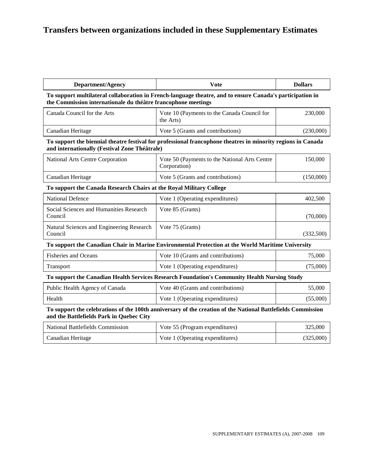| Department/Agency | vu | ollars |
|-------------------|----|--------|
|                   |    |        |

**To support multilateral collaboration in French-language theatre, and to ensure Canada's participation in the Commission internationale du théâtre francophone meetings** 

| Canada Council for the Arts | Vote 10 (Payments to the Canada Council for<br>the Arts) | 230.000   |
|-----------------------------|----------------------------------------------------------|-----------|
| Canadian Heritage           | Vote 5 (Grants and contributions)                        | (230,000) |

**To support the biennial theatre festival for professional francophone theatres in minority regions in Canada and internationally (Festival Zone Théâtrale)** 

| National Arts Centre Corporation | Vote 50 (Payments to the National Arts Centre<br>Corporation) | 150.000   |
|----------------------------------|---------------------------------------------------------------|-----------|
| Canadian Heritage                | Vote 5 (Grants and contributions)                             | (150,000) |

**To support the Canada Research Chairs at the Royal Military College** 

| <b>National Defence</b>                              | Vote 1 (Operating expenditures) | 402,500   |
|------------------------------------------------------|---------------------------------|-----------|
| Social Sciences and Humanities Research<br>Council   | Vote 85 (Grants)                | (70,000)  |
| Natural Sciences and Engineering Research<br>Council | Vote 75 (Grants)                | (332,500) |

#### **To support the Canadian Chair in Marine Environmental Protection at the World Maritime University**

| <b>Fisheries and Oceans</b> | Vote 10 (Grants and contributions) | 75,000   |
|-----------------------------|------------------------------------|----------|
| <b>Transport</b>            | Vote 1 (Operating expenditures)    | (75,000) |

### **To support the Canadian Health Services Research Foundation's Community Health Nursing Study**

| Public Health Agency of Canada | Vote 40 (Grants and contributions) | 55.000   |
|--------------------------------|------------------------------------|----------|
| Health                         | Vote 1 (Operating expenditures)    | (55,000) |

**To support the celebrations of the 100th anniversary of the creation of the National Battlefields Commission and the Battlefields Park in Quebec City** 

| National Battlefields Commission | Vote 55 (Program expenditures)  | 325,000   |
|----------------------------------|---------------------------------|-----------|
| Canadian Heritage                | Vote 1 (Operating expenditures) | (325,000) |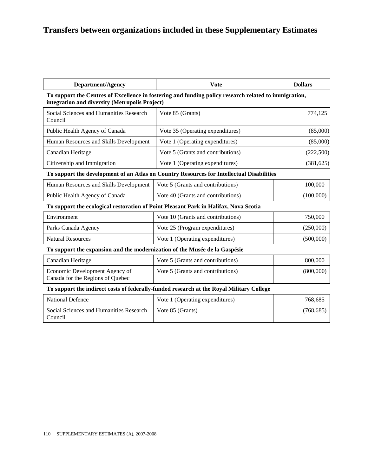| Department/Agency | √ote | Dollars |
|-------------------|------|---------|
|-------------------|------|---------|

#### **To support the Centres of Excellence in fostering and funding policy research related to immigration, integration and diversity (Metropolis Project)**

| Social Sciences and Humanities Research<br>Council | Vote 85 (Grants)                  | 774,125    |
|----------------------------------------------------|-----------------------------------|------------|
| Public Health Agency of Canada                     | Vote 35 (Operating expenditures)  | (85,000)   |
| Human Resources and Skills Development             | Vote 1 (Operating expenditures)   | (85,000)   |
| Canadian Heritage                                  | Vote 5 (Grants and contributions) | (222,500)  |
| Citizenship and Immigration                        | Vote 1 (Operating expenditures)   | (381, 625) |

#### **To support the development of an Atlas on Country Resources for Intellectual Disabilities**

| Human Resources and Skills Development | Vote 5 (Grants and contributions)  | 100.000   |
|----------------------------------------|------------------------------------|-----------|
| Public Health Agency of Canada         | Vote 40 (Grants and contributions) | (100,000) |

### **To support the ecological restoration of Point Pleasant Park in Halifax, Nova Scotia**

| Environment              | Vote 10 (Grants and contributions) | 750,000   |
|--------------------------|------------------------------------|-----------|
| Parks Canada Agency      | Vote 25 (Program expenditures)     | (250,000) |
| <b>Natural Resources</b> | Vote 1 (Operating expenditures)    | (500,000) |

#### **To support the expansion and the modernization of the Musée de la Gaspésie**

| Canadian Heritage                                                  | Vote 5 (Grants and contributions) | 800,000   |
|--------------------------------------------------------------------|-----------------------------------|-----------|
| Economic Development Agency of<br>Canada for the Regions of Quebec | Vote 5 (Grants and contributions) | (800,000) |

### **To support the indirect costs of federally-funded research at the Royal Military College**

| National Defence                                   | Vote 1 (Operating expenditures) | 768,685    |
|----------------------------------------------------|---------------------------------|------------|
| Social Sciences and Humanities Research<br>Council | Vote 85 (Grants)                | (768, 685) |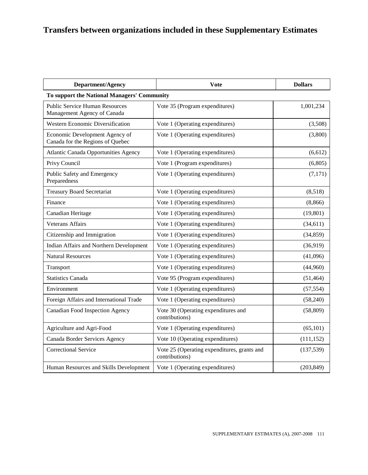| <b>Department/Agency</b>                                             | Vote                                                          | <b>Dollars</b> |
|----------------------------------------------------------------------|---------------------------------------------------------------|----------------|
| To support the National Managers' Community                          |                                                               |                |
| <b>Public Service Human Resources</b><br>Management Agency of Canada | Vote 35 (Program expenditures)                                | 1,001,234      |
| <b>Western Economic Diversification</b>                              | Vote 1 (Operating expenditures)                               | (3,508)        |
| Economic Development Agency of<br>Canada for the Regions of Quebec   | Vote 1 (Operating expenditures)                               | (3,800)        |
| <b>Atlantic Canada Opportunities Agency</b>                          | Vote 1 (Operating expenditures)                               | (6,612)        |
| Privy Council                                                        | Vote 1 (Program expenditures)                                 | (6,805)        |
| Public Safety and Emergency<br>Preparedness                          | Vote 1 (Operating expenditures)                               | (7,171)        |
| <b>Treasury Board Secretariat</b>                                    | Vote 1 (Operating expenditures)                               | (8,518)        |
| Finance                                                              | Vote 1 (Operating expenditures)                               | (8, 866)       |
| Canadian Heritage                                                    | Vote 1 (Operating expenditures)                               | (19, 801)      |
| <b>Veterans Affairs</b>                                              | Vote 1 (Operating expenditures)                               | (34, 611)      |
| Citizenship and Immigration                                          | Vote 1 (Operating expenditures)                               | (34, 859)      |
| Indian Affairs and Northern Development                              | Vote 1 (Operating expenditures)                               | (36,919)       |
| <b>Natural Resources</b>                                             | Vote 1 (Operating expenditures)                               | (41,096)       |
| Transport                                                            | Vote 1 (Operating expenditures)                               | (44,960)       |
| <b>Statistics Canada</b>                                             | Vote 95 (Program expenditures)                                | (51, 464)      |
| Environment                                                          | Vote 1 (Operating expenditures)                               | (57, 554)      |
| Foreign Affairs and International Trade                              | Vote 1 (Operating expenditures)                               | (58,240)       |
| <b>Canadian Food Inspection Agency</b>                               | Vote 30 (Operating expenditures and<br>contributions)         | (58, 809)      |
| Agriculture and Agri-Food                                            | Vote 1 (Operating expenditures)                               | (65, 101)      |
| Canada Border Services Agency                                        | Vote 10 (Operating expenditures)                              | (111, 152)     |
| <b>Correctional Service</b>                                          | Vote 25 (Operating expenditures, grants and<br>contributions) | (137, 539)     |
| Human Resources and Skills Development                               | Vote 1 (Operating expenditures)                               | (203, 849)     |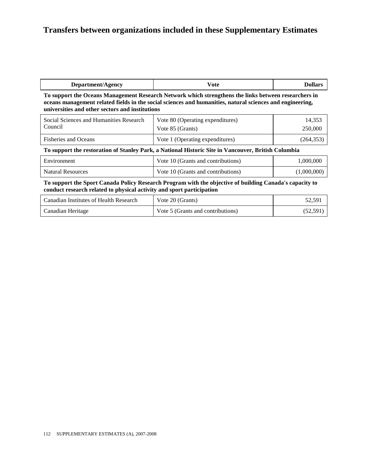### **Transfers between organizations included in these Supplementary Estimates**

| Department/Agency | ∕ ote | <b>Dollars</b> |
|-------------------|-------|----------------|
|-------------------|-------|----------------|

**To support the Oceans Management Research Network which strengthens the links between researchers in oceans management related fields in the social sciences and humanities, natural sciences and engineering, universities and other sectors and institutions** 

| Social Sciences and Humanities Research | Vote 80 (Operating expenditures) | 14.353     |
|-----------------------------------------|----------------------------------|------------|
| Council                                 | Vote 85 (Grants)                 | 250,000    |
| <b>Fisheries and Oceans</b>             | Vote 1 (Operating expenditures)  | (264, 353) |

#### **To support the restoration of Stanley Park, a National Historic Site in Vancouver, British Columbia**

| Environment       | Vote 10 (Grants and contributions) | $000,000$ . |
|-------------------|------------------------------------|-------------|
| Natural Resources | Vote 10 (Grants and contributions) | (1.000.000) |

**To support the Sport Canada Policy Research Program with the objective of building Canada's capacity to conduct research related to physical activity and sport participation** 

| Canadian Institutes of Health Research | Vote 20 (Grants)                  | 52.591    |
|----------------------------------------|-----------------------------------|-----------|
| Canadian Heritage                      | Vote 5 (Grants and contributions) | (52, 591) |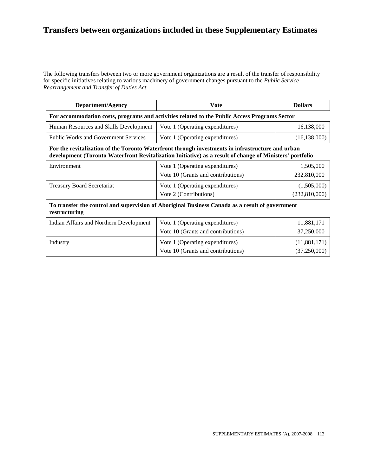## **Transfers between organizations included in these Supplementary Estimates**

The following transfers between two or more government organizations are a result of the transfer of responsibility for specific initiatives relating to various machinery of government changes pursuant to the *Public Service Rearrangement and Transfer of Duties Act*.

| Department/Agency                           | Vote                                                                                          | <b>Dollars</b> |
|---------------------------------------------|-----------------------------------------------------------------------------------------------|----------------|
|                                             | For accommodation costs, programs and activities related to the Public Access Programs Sector |                |
| Human Resources and Skills Development      | Vote 1 (Operating expenditures)                                                               | 16,138,000     |
| <b>Public Works and Government Services</b> | Vote 1 (Operating expenditures)                                                               | (16, 138, 000) |

**For the revitalization of the Toronto Waterfront through investments in infrastructure and urban development (Toronto Waterfront Revitalization Initiative) as a result of change of Ministers' portfolio** 

| Environment                       | Vote 1 (Operating expenditures)<br>Vote 10 (Grants and contributions) | 1,505,000<br>232,810,000     |
|-----------------------------------|-----------------------------------------------------------------------|------------------------------|
| <b>Treasury Board Secretariat</b> | Vote 1 (Operating expenditures)<br>Vote 2 (Contributions)             | (1,505,000)<br>(232,810,000) |

#### **To transfer the control and supervision of Aboriginal Business Canada as a result of government restructuring**

| Indian Affairs and Northern Development | Vote 1 (Operating expenditures)<br>Vote 10 (Grants and contributions) | 11,881,171<br>37,250,000     |
|-----------------------------------------|-----------------------------------------------------------------------|------------------------------|
| Industry                                | Vote 1 (Operating expenditures)<br>Vote 10 (Grants and contributions) | (11,881,171)<br>(37,250,000) |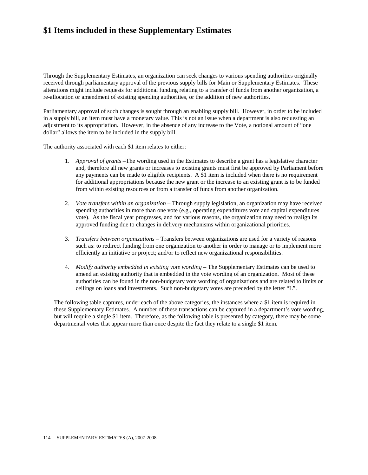### **\$1 Items included in these Supplementary Estimates**

Through the Supplementary Estimates, an organization can seek changes to various spending authorities originally received through parliamentary approval of the previous supply bills for Main or Supplementary Estimates. These alterations might include requests for additional funding relating to a transfer of funds from another organization, a re-allocation or amendment of existing spending authorities, or the addition of new authorities.

Parliamentary approval of such changes is sought through an enabling supply bill. However, in order to be included in a supply bill, an item must have a monetary value. This is not an issue when a department is also requesting an adjustment to its appropriation. However, in the absence of any increase to the Vote, a notional amount of "one dollar" allows the item to be included in the supply bill.

The authority associated with each \$1 item relates to either:

- 1. *Approval of grants –*The wording used in the Estimates to describe a grant has a legislative character and, therefore all new grants or increases to existing grants must first be approved by Parliament before any payments can be made to eligible recipients. A \$1 item is included when there is no requirement for additional appropriations because the new grant or the increase to an existing grant is to be funded from within existing resources or from a transfer of funds from another organization.
- 2. *Vote transfers within an organization* Through supply legislation, an organization may have received spending authorities in more than one vote (e.g., operating expenditures vote and capital expenditures vote). As the fiscal year progresses, and for various reasons, the organization may need to realign its approved funding due to changes in delivery mechanisms within organizational priorities.
- 3. *Transfers between organizations* Transfers between organizations are used for a variety of reasons such as: to redirect funding from one organization to another in order to manage or to implement more efficiently an initiative or project; and/or to reflect new organizational responsibilities.
- 4. *Modify authority embedded in existing vote wording* The Supplementary Estimates can be used to amend an existing authority that is embedded in the vote wording of an organization. Most of these authorities can be found in the non-budgetary vote wording of organizations and are related to limits or ceilings on loans and investments. Such non-budgetary votes are preceded by the letter "L".

The following table captures, under each of the above categories, the instances where a \$1 item is required in these Supplementary Estimates. A number of these transactions can be captured in a department's vote wording, but will require a single \$1 item. Therefore, as the following table is presented by category, there may be some departmental votes that appear more than once despite the fact they relate to a single \$1 item.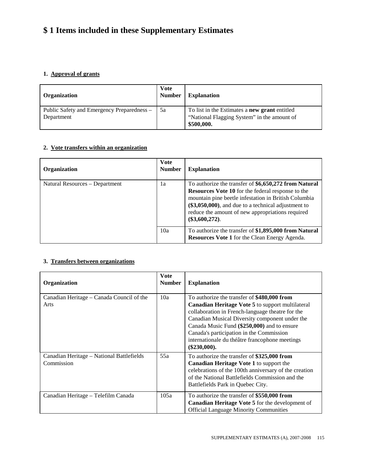# **\$ 1 Items included in these Supplementary Estimates**

### **1. Approval of grants**

| <b>Organization</b>                                      | <b>Vote</b><br><b>Number</b> | <b>Explanation</b>                                                                                                |
|----------------------------------------------------------|------------------------------|-------------------------------------------------------------------------------------------------------------------|
| Public Safety and Emergency Preparedness –<br>Department | 5a                           | To list in the Estimates a <b>new grant</b> entitled<br>"National Flagging System" in the amount of<br>\$500,000. |

### **2. Vote transfers within an organization**

| Organization                   | <b>Vote</b><br><b>Number</b> | <b>Explanation</b>                                                                                                                                                                                                                                                                                    |
|--------------------------------|------------------------------|-------------------------------------------------------------------------------------------------------------------------------------------------------------------------------------------------------------------------------------------------------------------------------------------------------|
| Natural Resources - Department | 1a                           | To authorize the transfer of \$6,650,272 from Natural<br>Resources Vote 10 for the federal response to the<br>mountain pine beetle infestation in British Columbia<br>$(\$3,050,000)$ , and due to a technical adjustment to<br>reduce the amount of new appropriations required<br>$(\$3,600,272)$ . |
|                                | 10a                          | To authorize the transfer of \$1,895,000 from Natural<br>Resources Vote 1 for the Clean Energy Agenda.                                                                                                                                                                                                |

### **3. Transfers between organizations**

| Organization                                            | Vote<br><b>Number</b> | <b>Explanation</b>                                                                                                                                                                                                                                                                                                                                                   |
|---------------------------------------------------------|-----------------------|----------------------------------------------------------------------------------------------------------------------------------------------------------------------------------------------------------------------------------------------------------------------------------------------------------------------------------------------------------------------|
| Canadian Heritage - Canada Council of the<br>Arts       | 10a                   | To authorize the transfer of \$480,000 from<br>Canadian Heritage Vote 5 to support multilateral<br>collaboration in French-language theatre for the<br>Canadian Musical Diversity component under the<br>Canada Music Fund (\$250,000) and to ensure<br>Canada's participation in the Commission<br>internationale du théâtre francophone meetings<br>$(\$230,000).$ |
| Canadian Heritage – National Battlefields<br>Commission | 55a                   | To authorize the transfer of \$325,000 from<br>Canadian Heritage Vote 1 to support the<br>celebrations of the 100th anniversary of the creation<br>of the National Battlefields Commission and the<br>Battlefields Park in Quebec City.                                                                                                                              |
| Canadian Heritage – Telefilm Canada                     | 105a                  | To authorize the transfer of \$550,000 from<br>Canadian Heritage Vote 5 for the development of<br><b>Official Language Minority Communities</b>                                                                                                                                                                                                                      |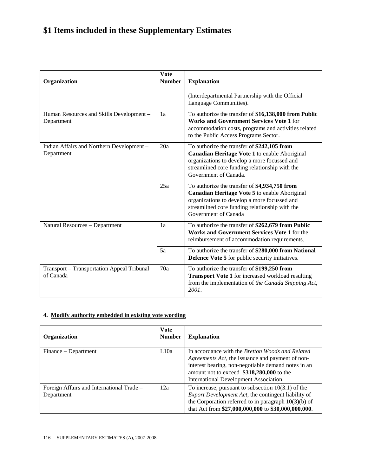# **\$1 Items included in these Supplementary Estimates**

| Organization                                            | <b>V</b> ote<br><b>Number</b> | <b>Explanation</b>                                                                                                                                                                                                       |
|---------------------------------------------------------|-------------------------------|--------------------------------------------------------------------------------------------------------------------------------------------------------------------------------------------------------------------------|
|                                                         |                               | (Interdepartmental Partnership with the Official<br>Language Communities).                                                                                                                                               |
| Human Resources and Skills Development -<br>Department  | 1a                            | To authorize the transfer of \$16,138,000 from Public<br><b>Works and Government Services Vote 1 for</b><br>accommodation costs, programs and activities related<br>to the Public Access Programs Sector.                |
| Indian Affairs and Northern Development -<br>Department | 20a                           | To authorize the transfer of \$242,105 from<br>Canadian Heritage Vote 1 to enable Aboriginal<br>organizations to develop a more focussed and<br>streamlined core funding relationship with the<br>Government of Canada.  |
|                                                         | 25a                           | To authorize the transfer of \$4,934,750 from<br>Canadian Heritage Vote 5 to enable Aboriginal<br>organizations to develop a more focussed and<br>streamlined core funding relationship with the<br>Government of Canada |
| Natural Resources - Department                          | 1a                            | To authorize the transfer of \$262,679 from Public<br>Works and Government Services Vote 1 for the<br>reimbursement of accommodation requirements.                                                                       |
|                                                         | 5a                            | To authorize the transfer of \$280,000 from National<br><b>Defence Vote 5</b> for public security initiatives.                                                                                                           |
| Transport - Transportation Appeal Tribunal<br>of Canada | 70a                           | To authorize the transfer of \$199,250 from<br><b>Transport Vote 1</b> for increased workload resulting<br>from the implementation of the Canada Shipping Act,<br>2001.                                                  |

### **4. Modify authority embedded in existing vote wording**

| Organization                                            | <b>Vote</b><br><b>Number</b> | <b>Explanation</b>                                                                                                                                                                                                                                        |
|---------------------------------------------------------|------------------------------|-----------------------------------------------------------------------------------------------------------------------------------------------------------------------------------------------------------------------------------------------------------|
| Finance – Department                                    | L10a                         | In accordance with the <i>Bretton Woods and Related</i><br>Agreements Act, the issuance and payment of non-<br>interest bearing, non-negotiable demand notes in an<br>amount not to exceed \$318,280,000 to the<br>International Development Association. |
| Foreign Affairs and International Trade -<br>Department | 12a                          | To increase, pursuant to subsection $10(3.1)$ of the<br><i>Export Development Act</i> , the contingent liability of<br>the Corporation referred to in paragraph $10(3)(b)$ of<br>that Act from \$27,000,000,000 to \$30,000,000,000.                      |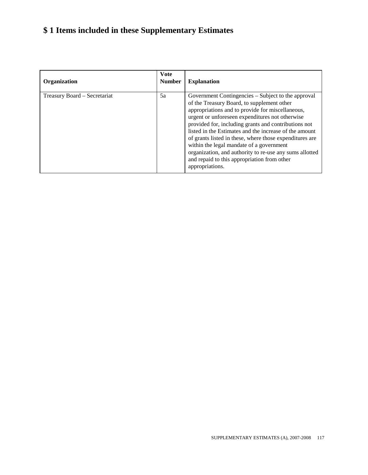# **\$ 1 Items included in these Supplementary Estimates**

| Organization                 | <b>Vote</b><br><b>Number</b> | <b>Explanation</b>                                                                                                                                                                                                                                                                                                                                                                                                                                                                                                                                            |
|------------------------------|------------------------------|---------------------------------------------------------------------------------------------------------------------------------------------------------------------------------------------------------------------------------------------------------------------------------------------------------------------------------------------------------------------------------------------------------------------------------------------------------------------------------------------------------------------------------------------------------------|
| Treasury Board – Secretariat | 5a                           | Government Contingencies – Subject to the approval<br>of the Treasury Board, to supplement other<br>appropriations and to provide for miscellaneous,<br>urgent or unforeseen expenditures not otherwise<br>provided for, including grants and contributions not<br>listed in the Estimates and the increase of the amount<br>of grants listed in these, where those expenditures are<br>within the legal mandate of a government<br>organization, and authority to re-use any sums allotted<br>and repaid to this appropriation from other<br>appropriations. |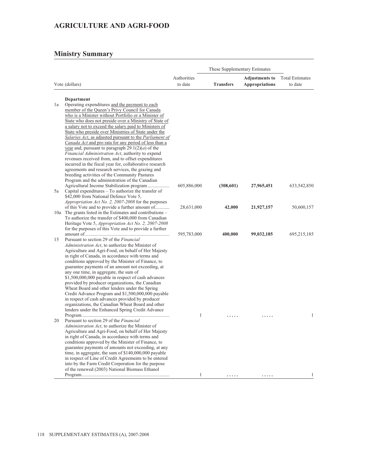### **AGRICULTURE AND AGRI-FOOD**

### **Ministry Summary**

|    |                                                                                                                |             | These Supplementary Estimates |                       |                        |
|----|----------------------------------------------------------------------------------------------------------------|-------------|-------------------------------|-----------------------|------------------------|
|    |                                                                                                                | Authorities |                               | <b>Adjustments to</b> | <b>Total Estimates</b> |
|    | Vote (dollars)                                                                                                 | to date     | <b>Transfers</b>              | <b>Appropriations</b> | to date                |
|    |                                                                                                                |             |                               |                       |                        |
|    | Department                                                                                                     |             |                               |                       |                        |
| 1a | Operating expenditures and the payment to each                                                                 |             |                               |                       |                        |
|    | member of the Queen's Privy Council for Canada                                                                 |             |                               |                       |                        |
|    | who is a Minister without Portfolio or a Minister of                                                           |             |                               |                       |                        |
|    | State who does not preside over a Ministry of State of                                                         |             |                               |                       |                        |
|    | a salary not to exceed the salary paid to Ministers of<br>State who preside over Ministries of State under the |             |                               |                       |                        |
|    | Salaries Act, as adjusted pursuant to the Parliament of                                                        |             |                               |                       |                        |
|    | Canada Act and pro rata for any period of less than a                                                          |             |                               |                       |                        |
|    | year and, pursuant to paragraph $29.1(2)(a)$ of the                                                            |             |                               |                       |                        |
|    | Financial Administration Act, authority to expend                                                              |             |                               |                       |                        |
|    | revenues received from, and to offset expenditures                                                             |             |                               |                       |                        |
|    | incurred in the fiscal year for, collaborative research                                                        |             |                               |                       |                        |
|    | agreements and research services, the grazing and                                                              |             |                               |                       |                        |
|    | breeding activities of the Community Pastures                                                                  |             |                               |                       |                        |
|    | Program and the administration of the Canadian                                                                 |             |                               |                       |                        |
| 5a | Agricultural Income Stabilization program<br>Capital expenditures – To authorize the transfer of               | 605,886,000 | (308,601)                     | 27,965,451            | 633,542,850            |
|    | \$42,000 from National Defence Vote 5,                                                                         |             |                               |                       |                        |
|    | Appropriation Act No. 2, 2007-2008 for the purposes                                                            |             |                               |                       |                        |
|    | of this Vote and to provide a further amount of                                                                | 28,631,000  | 42,000                        | 21,927,157            | 50,600,157             |
|    | 10a The grants listed in the Estimates and contributions –                                                     |             |                               |                       |                        |
|    | To authorize the transfer of \$400,000 from Canadian                                                           |             |                               |                       |                        |
|    | Heritage Vote 5, Appropriation Act No. 2, 2007-2008                                                            |             |                               |                       |                        |
|    | for the purposes of this Vote and to provide a further                                                         |             |                               |                       |                        |
|    |                                                                                                                | 595,783,000 | 400,000                       | 99,032,185            | 695,215,185            |
| 15 | Pursuant to section 29 of the Financial                                                                        |             |                               |                       |                        |
|    | Administration Act, to authorize the Minister of<br>Agriculture and Agri-Food, on behalf of Her Majesty        |             |                               |                       |                        |
|    | in right of Canada, in accordance with terms and                                                               |             |                               |                       |                        |
|    | conditions approved by the Minister of Finance, to                                                             |             |                               |                       |                        |
|    | guarantee payments of an amount not exceeding, at                                                              |             |                               |                       |                        |
|    | any one time, in aggregate, the sum of                                                                         |             |                               |                       |                        |
|    | \$1,500,000,000 payable in respect of cash advances                                                            |             |                               |                       |                        |
|    | provided by producer organizations, the Canadian                                                               |             |                               |                       |                        |
|    | Wheat Board and other lenders under the Spring                                                                 |             |                               |                       |                        |
|    | Credit Advance Program and \$1,500,000,000 payable                                                             |             |                               |                       |                        |
|    | in respect of cash advances provided by producer<br>organizations, the Canadian Wheat Board and other          |             |                               |                       |                        |
|    | lenders under the Enhanced Spring Credit Advance                                                               |             |                               |                       |                        |
|    |                                                                                                                | 1           |                               |                       | 1                      |
| 20 | Pursuant to section 29 of the <i>Financial</i>                                                                 |             |                               |                       |                        |
|    | Administration Act, to authorize the Minister of                                                               |             |                               |                       |                        |
|    | Agriculture and Agri-Food, on behalf of Her Majesty                                                            |             |                               |                       |                        |
|    | in right of Canada, in accordance with terms and                                                               |             |                               |                       |                        |
|    | conditions approved by the Minister of Finance, to                                                             |             |                               |                       |                        |
|    | guarantee payments of amounts not exceeding, at any                                                            |             |                               |                       |                        |
|    | time, in aggregate, the sum of \$140,000,000 payable                                                           |             |                               |                       |                        |
|    | in respect of Line of Credit Agreements to be entered<br>into by the Farm Credit Corporation for the purpose   |             |                               |                       |                        |
|    | of the renewed (2003) National Biomass Ethanol                                                                 |             |                               |                       |                        |
|    |                                                                                                                | 1           | .                             | .                     | 1                      |
|    |                                                                                                                |             |                               |                       |                        |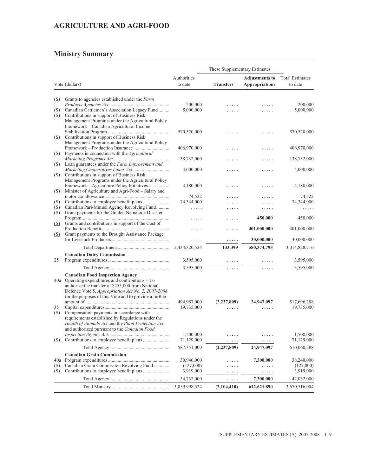### **AGRICULTURE AND AGRI-FOOD**

### **Ministry Summary**

|            |                                                                                                |                         | These Supplementary Estimates |                       |                         |
|------------|------------------------------------------------------------------------------------------------|-------------------------|-------------------------------|-----------------------|-------------------------|
|            |                                                                                                | Authorities             |                               | <b>Adjustments to</b> | <b>Total Estimates</b>  |
|            | Vote (dollars)                                                                                 | to date                 | <b>Transfers</b>              | <b>Appropriations</b> | to date                 |
|            |                                                                                                |                         |                               |                       |                         |
| (S)        | Grants to agencies established under the Farm                                                  | 200,000                 |                               |                       | 200,000                 |
| (S)        | Canadian Cattlemen's Association Legacy Fund                                                   | 5,000,000               | .                             | .                     | 5,000,000               |
| (S)        | Contributions in support of Business Risk                                                      |                         |                               |                       |                         |
|            | Management Programs under the Agricultural Policy                                              |                         |                               |                       |                         |
|            | Framework - Canadian Agricultural Income                                                       |                         |                               |                       |                         |
|            |                                                                                                | 570,520,000             |                               |                       | 570,520,000             |
| (S)        | Contributions in support of Business Risk<br>Management Programs under the Agricultural Policy |                         |                               |                       |                         |
|            |                                                                                                | 406,970,000             | .                             |                       | 406,970,000             |
| (S)        | Payments in connection with the Agricultural                                                   |                         |                               |                       |                         |
|            |                                                                                                | 138,732,000             | .                             | .                     | 138,732,000             |
| (S)        | Loan guarantees under the Farm Improvement and                                                 |                         |                               |                       |                         |
|            |                                                                                                | 4,000,000               | .                             | .                     | 4,000,000               |
| (S)        | Contributions in support of Business Risk<br>Management Programs under the Agricultural Policy |                         |                               |                       |                         |
|            | Framework - Agriculture Policy Initiatives                                                     | 4,180,000               | .                             | .                     | 4,180,000               |
| (S)        | Minister of Agriculture and Agri-Food - Salary and                                             |                         |                               |                       |                         |
|            |                                                                                                | 74,522                  |                               |                       | 74,522                  |
| (S)        |                                                                                                | 74,344,000              |                               |                       | 74,344,000              |
| (S)        | Canadian Pari-Mutuel Agency Revolving Fund                                                     | .                       | .                             | .                     | .                       |
| (S)        | Grant payments for the Golden Nematode Disaster                                                |                         |                               | 450,000               | 450,000                 |
| (S)        | Grants and contributions in support of the Cost of                                             | .                       | .                             |                       |                         |
|            |                                                                                                | .                       | .                             | 401,000,000           | 401,000,000             |
| <u>(S)</u> | Grant payments to the Drought Assistance Package                                               |                         |                               |                       |                         |
|            |                                                                                                |                         | .                             | 30,000,000            | 30,000,000              |
|            |                                                                                                | 2,434,320,524           | 133,399                       | 580,374,793           | 3,014,828,716           |
|            | <b>Canadian Dairy Commission</b>                                                               |                         |                               |                       |                         |
| 25         |                                                                                                | 3,595,000               | .                             |                       | 3,595,000               |
|            |                                                                                                | 3,595,000               | .                             | .                     | 3,595,000               |
|            | <b>Canadian Food Inspection Agency</b>                                                         |                         |                               |                       |                         |
|            | $30a$ Operating expenditures and contributions – To                                            |                         |                               |                       |                         |
|            | authorize the transfer of \$255,000 from National                                              |                         |                               |                       |                         |
|            | Defence Vote 5, Appropriation Act No. 2, 2007-2008                                             |                         |                               |                       |                         |
|            | for the purposes of this Vote and to provide a further                                         | 494,987,000             | (2, 237, 809)                 | 24,947,097            | 517,696,288             |
| 35         |                                                                                                | 19,735,000              | .                             | .                     | 19,735,000              |
| (S)        | Compensation payments in accordance with                                                       |                         |                               |                       |                         |
|            | requirements established by Regulations under the                                              |                         |                               |                       |                         |
|            | Health of Animals Act and the Plant Protection Act,                                            |                         |                               |                       |                         |
|            | and authorized pursuant to the Canadian Food                                                   |                         |                               |                       |                         |
| (S)        |                                                                                                | 1,500,000<br>71,129,000 | .                             |                       | 1,500,000<br>71,129,000 |
|            |                                                                                                |                         | .                             | .                     |                         |
|            |                                                                                                | 587, 351, 000           | (2, 237, 809)                 | 24,947,097            | 610,060,288             |
|            | <b>Canadian Grain Commission</b>                                                               |                         |                               |                       |                         |
| (S)        | Canadian Grain Commission Revolving Fund                                                       | 30,940,000<br>(127,000) |                               | 7,300,000<br>.        | 38,240,000<br>(127,000) |
| (S)        |                                                                                                | 3,919,000               |                               | .                     | 3,919,000               |
|            |                                                                                                | 34,732,000              | .                             | 7,300,000             | 42,032,000              |
|            |                                                                                                | 3,059,998,524           | (2,104,410)                   | 612,621,890           | 3,670,516,004           |
|            |                                                                                                |                         |                               |                       |                         |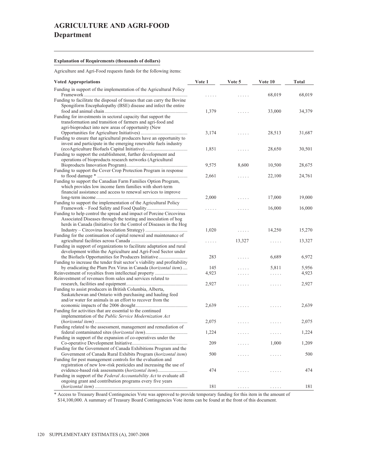## **AGRICULTURE AND AGRI-FOOD Department**

#### **Explanation of Requirements (thousands of dollars)**

Agriculture and Agri-Food requests funds for the following items:

| Funding in support of the implementation of the Agricultural Policy<br>68,019<br>68,019<br>.<br>Funding to facilitate the disposal of tissues that can carry the Bovine<br>Spongiform Encephalopathy (BSE) disease and infect the entire<br>34,379<br>1,379<br>33,000<br>.<br>Funding for investments in sectoral capacity that support the<br>transformation and transition of farmers and agri-food and<br>agri-bioproduct into new areas of opportunity (New<br>3,174<br>28,513<br>31,687<br>.<br>Funding to ensure that agricultural producers have an opportunity to<br>invest and participate in the emerging renewable fuels industry<br>1,851<br>28,650<br>30,501<br>.<br>Funding to support the establishment, further development and<br>operations of bioproducts research networks (Agricultural<br>8,600<br>9,575<br>10,500<br>28,675<br>Funding to support the Cover Crop Protection Program in response<br>2,661<br>22,100<br>24,761<br>.<br>Funding to support the Canadian Farm Families Option Program,<br>which provides low income farm families with short-term<br>financial assistance and access to renewal services to improve<br>19,000<br>2,000<br>17,000<br>.<br>Funding to support the implementation of the Agricultural Policy<br>16,000<br>16,000<br>.<br>.<br>Funding to help control the spread and impact of Porcine Circovirus<br>Associated Diseases through the testing and inoculation of hog<br>herds in Canada (Initiative for the Control of Diseases in the Hog<br>14,250<br>15,270<br>1,020<br>.<br>Funding for the continuation of capital renewal and maintenance of<br>13,327<br>13,327<br>.<br>.<br>Funding in support of organizations to facilitate adaptation and rural<br>development within the Agriculture and Agri-Food Sector under<br>the Biofuels Opportunities for Producers Initiative<br>283<br>6,689<br>6,972<br>.<br>Funding to increase the tender fruit sector's viability and profitability<br>145<br>5,811<br>5,956<br>by eradicating the Plum Pox Virus in Canada ( <i>horizontal item</i> )<br>Reinvestment of royalties from intellectual property<br>4,923<br>4,923<br>.<br>.<br>Reinvestment of revenues from sales and services related to<br>2,927<br>2,927<br>.<br>.<br>Funding to assist producers in British Columbia, Alberta,<br>Saskatchewan and Ontario with purchasing and hauling feed<br>and/or water for animals in an effort to recover from the<br>2,639<br>2,639<br>$\ldots$ .<br>Funding for activities that are essential to the continued<br>implementation of the <i>Public Service Modernization Act</i><br>2,075<br>2,075<br>.<br>$\cdots$<br>Funding related to the assessment, management and remediation of<br>1,224<br>1,224<br>.<br>$\cdots$<br>Funding in support of the expansion of co-operatives under the<br>209<br>1,209<br>1,000<br>.<br>Funding for the Government of Canada Exhibitions Program and the<br>Government of Canada Rural Exhibits Program (horizontal item)<br>500<br>500<br>.<br>Funding for pest management controls for the evaluation and<br>registration of new low-risk pesticides and increasing the use of<br>474<br>474<br>.<br>.<br>Funding in support of the Federal Accountability Act to evaluate all<br>ongoing grant and contribution programs every five years<br>181<br>181<br>.<br>. | <b>Voted Appropriations</b> | Vote 1 | Vote 5 | Vote 10 | <b>Total</b> |
|--------------------------------------------------------------------------------------------------------------------------------------------------------------------------------------------------------------------------------------------------------------------------------------------------------------------------------------------------------------------------------------------------------------------------------------------------------------------------------------------------------------------------------------------------------------------------------------------------------------------------------------------------------------------------------------------------------------------------------------------------------------------------------------------------------------------------------------------------------------------------------------------------------------------------------------------------------------------------------------------------------------------------------------------------------------------------------------------------------------------------------------------------------------------------------------------------------------------------------------------------------------------------------------------------------------------------------------------------------------------------------------------------------------------------------------------------------------------------------------------------------------------------------------------------------------------------------------------------------------------------------------------------------------------------------------------------------------------------------------------------------------------------------------------------------------------------------------------------------------------------------------------------------------------------------------------------------------------------------------------------------------------------------------------------------------------------------------------------------------------------------------------------------------------------------------------------------------------------------------------------------------------------------------------------------------------------------------------------------------------------------------------------------------------------------------------------------------------------------------------------------------------------------------------------------------------------------------------------------------------------------------------------------------------------------------------------------------------------------------------------------------------------------------------------------------------------------------------------------------------------------------------------------------------------------------------------------------------------------------------------------------------------------------------------------------------------------------------------------------------------------------------------------------------------------------------------------------------------------------------------------------------------------------------------------------------------------|-----------------------------|--------|--------|---------|--------------|
|                                                                                                                                                                                                                                                                                                                                                                                                                                                                                                                                                                                                                                                                                                                                                                                                                                                                                                                                                                                                                                                                                                                                                                                                                                                                                                                                                                                                                                                                                                                                                                                                                                                                                                                                                                                                                                                                                                                                                                                                                                                                                                                                                                                                                                                                                                                                                                                                                                                                                                                                                                                                                                                                                                                                                                                                                                                                                                                                                                                                                                                                                                                                                                                                                                                                                                                                |                             |        |        |         |              |
|                                                                                                                                                                                                                                                                                                                                                                                                                                                                                                                                                                                                                                                                                                                                                                                                                                                                                                                                                                                                                                                                                                                                                                                                                                                                                                                                                                                                                                                                                                                                                                                                                                                                                                                                                                                                                                                                                                                                                                                                                                                                                                                                                                                                                                                                                                                                                                                                                                                                                                                                                                                                                                                                                                                                                                                                                                                                                                                                                                                                                                                                                                                                                                                                                                                                                                                                |                             |        |        |         |              |
|                                                                                                                                                                                                                                                                                                                                                                                                                                                                                                                                                                                                                                                                                                                                                                                                                                                                                                                                                                                                                                                                                                                                                                                                                                                                                                                                                                                                                                                                                                                                                                                                                                                                                                                                                                                                                                                                                                                                                                                                                                                                                                                                                                                                                                                                                                                                                                                                                                                                                                                                                                                                                                                                                                                                                                                                                                                                                                                                                                                                                                                                                                                                                                                                                                                                                                                                |                             |        |        |         |              |
|                                                                                                                                                                                                                                                                                                                                                                                                                                                                                                                                                                                                                                                                                                                                                                                                                                                                                                                                                                                                                                                                                                                                                                                                                                                                                                                                                                                                                                                                                                                                                                                                                                                                                                                                                                                                                                                                                                                                                                                                                                                                                                                                                                                                                                                                                                                                                                                                                                                                                                                                                                                                                                                                                                                                                                                                                                                                                                                                                                                                                                                                                                                                                                                                                                                                                                                                |                             |        |        |         |              |
|                                                                                                                                                                                                                                                                                                                                                                                                                                                                                                                                                                                                                                                                                                                                                                                                                                                                                                                                                                                                                                                                                                                                                                                                                                                                                                                                                                                                                                                                                                                                                                                                                                                                                                                                                                                                                                                                                                                                                                                                                                                                                                                                                                                                                                                                                                                                                                                                                                                                                                                                                                                                                                                                                                                                                                                                                                                                                                                                                                                                                                                                                                                                                                                                                                                                                                                                |                             |        |        |         |              |
|                                                                                                                                                                                                                                                                                                                                                                                                                                                                                                                                                                                                                                                                                                                                                                                                                                                                                                                                                                                                                                                                                                                                                                                                                                                                                                                                                                                                                                                                                                                                                                                                                                                                                                                                                                                                                                                                                                                                                                                                                                                                                                                                                                                                                                                                                                                                                                                                                                                                                                                                                                                                                                                                                                                                                                                                                                                                                                                                                                                                                                                                                                                                                                                                                                                                                                                                |                             |        |        |         |              |
|                                                                                                                                                                                                                                                                                                                                                                                                                                                                                                                                                                                                                                                                                                                                                                                                                                                                                                                                                                                                                                                                                                                                                                                                                                                                                                                                                                                                                                                                                                                                                                                                                                                                                                                                                                                                                                                                                                                                                                                                                                                                                                                                                                                                                                                                                                                                                                                                                                                                                                                                                                                                                                                                                                                                                                                                                                                                                                                                                                                                                                                                                                                                                                                                                                                                                                                                |                             |        |        |         |              |
|                                                                                                                                                                                                                                                                                                                                                                                                                                                                                                                                                                                                                                                                                                                                                                                                                                                                                                                                                                                                                                                                                                                                                                                                                                                                                                                                                                                                                                                                                                                                                                                                                                                                                                                                                                                                                                                                                                                                                                                                                                                                                                                                                                                                                                                                                                                                                                                                                                                                                                                                                                                                                                                                                                                                                                                                                                                                                                                                                                                                                                                                                                                                                                                                                                                                                                                                |                             |        |        |         |              |
|                                                                                                                                                                                                                                                                                                                                                                                                                                                                                                                                                                                                                                                                                                                                                                                                                                                                                                                                                                                                                                                                                                                                                                                                                                                                                                                                                                                                                                                                                                                                                                                                                                                                                                                                                                                                                                                                                                                                                                                                                                                                                                                                                                                                                                                                                                                                                                                                                                                                                                                                                                                                                                                                                                                                                                                                                                                                                                                                                                                                                                                                                                                                                                                                                                                                                                                                |                             |        |        |         |              |
|                                                                                                                                                                                                                                                                                                                                                                                                                                                                                                                                                                                                                                                                                                                                                                                                                                                                                                                                                                                                                                                                                                                                                                                                                                                                                                                                                                                                                                                                                                                                                                                                                                                                                                                                                                                                                                                                                                                                                                                                                                                                                                                                                                                                                                                                                                                                                                                                                                                                                                                                                                                                                                                                                                                                                                                                                                                                                                                                                                                                                                                                                                                                                                                                                                                                                                                                |                             |        |        |         |              |
|                                                                                                                                                                                                                                                                                                                                                                                                                                                                                                                                                                                                                                                                                                                                                                                                                                                                                                                                                                                                                                                                                                                                                                                                                                                                                                                                                                                                                                                                                                                                                                                                                                                                                                                                                                                                                                                                                                                                                                                                                                                                                                                                                                                                                                                                                                                                                                                                                                                                                                                                                                                                                                                                                                                                                                                                                                                                                                                                                                                                                                                                                                                                                                                                                                                                                                                                |                             |        |        |         |              |
|                                                                                                                                                                                                                                                                                                                                                                                                                                                                                                                                                                                                                                                                                                                                                                                                                                                                                                                                                                                                                                                                                                                                                                                                                                                                                                                                                                                                                                                                                                                                                                                                                                                                                                                                                                                                                                                                                                                                                                                                                                                                                                                                                                                                                                                                                                                                                                                                                                                                                                                                                                                                                                                                                                                                                                                                                                                                                                                                                                                                                                                                                                                                                                                                                                                                                                                                |                             |        |        |         |              |
|                                                                                                                                                                                                                                                                                                                                                                                                                                                                                                                                                                                                                                                                                                                                                                                                                                                                                                                                                                                                                                                                                                                                                                                                                                                                                                                                                                                                                                                                                                                                                                                                                                                                                                                                                                                                                                                                                                                                                                                                                                                                                                                                                                                                                                                                                                                                                                                                                                                                                                                                                                                                                                                                                                                                                                                                                                                                                                                                                                                                                                                                                                                                                                                                                                                                                                                                |                             |        |        |         |              |
|                                                                                                                                                                                                                                                                                                                                                                                                                                                                                                                                                                                                                                                                                                                                                                                                                                                                                                                                                                                                                                                                                                                                                                                                                                                                                                                                                                                                                                                                                                                                                                                                                                                                                                                                                                                                                                                                                                                                                                                                                                                                                                                                                                                                                                                                                                                                                                                                                                                                                                                                                                                                                                                                                                                                                                                                                                                                                                                                                                                                                                                                                                                                                                                                                                                                                                                                |                             |        |        |         |              |
|                                                                                                                                                                                                                                                                                                                                                                                                                                                                                                                                                                                                                                                                                                                                                                                                                                                                                                                                                                                                                                                                                                                                                                                                                                                                                                                                                                                                                                                                                                                                                                                                                                                                                                                                                                                                                                                                                                                                                                                                                                                                                                                                                                                                                                                                                                                                                                                                                                                                                                                                                                                                                                                                                                                                                                                                                                                                                                                                                                                                                                                                                                                                                                                                                                                                                                                                |                             |        |        |         |              |
|                                                                                                                                                                                                                                                                                                                                                                                                                                                                                                                                                                                                                                                                                                                                                                                                                                                                                                                                                                                                                                                                                                                                                                                                                                                                                                                                                                                                                                                                                                                                                                                                                                                                                                                                                                                                                                                                                                                                                                                                                                                                                                                                                                                                                                                                                                                                                                                                                                                                                                                                                                                                                                                                                                                                                                                                                                                                                                                                                                                                                                                                                                                                                                                                                                                                                                                                |                             |        |        |         |              |
|                                                                                                                                                                                                                                                                                                                                                                                                                                                                                                                                                                                                                                                                                                                                                                                                                                                                                                                                                                                                                                                                                                                                                                                                                                                                                                                                                                                                                                                                                                                                                                                                                                                                                                                                                                                                                                                                                                                                                                                                                                                                                                                                                                                                                                                                                                                                                                                                                                                                                                                                                                                                                                                                                                                                                                                                                                                                                                                                                                                                                                                                                                                                                                                                                                                                                                                                |                             |        |        |         |              |
|                                                                                                                                                                                                                                                                                                                                                                                                                                                                                                                                                                                                                                                                                                                                                                                                                                                                                                                                                                                                                                                                                                                                                                                                                                                                                                                                                                                                                                                                                                                                                                                                                                                                                                                                                                                                                                                                                                                                                                                                                                                                                                                                                                                                                                                                                                                                                                                                                                                                                                                                                                                                                                                                                                                                                                                                                                                                                                                                                                                                                                                                                                                                                                                                                                                                                                                                |                             |        |        |         |              |
|                                                                                                                                                                                                                                                                                                                                                                                                                                                                                                                                                                                                                                                                                                                                                                                                                                                                                                                                                                                                                                                                                                                                                                                                                                                                                                                                                                                                                                                                                                                                                                                                                                                                                                                                                                                                                                                                                                                                                                                                                                                                                                                                                                                                                                                                                                                                                                                                                                                                                                                                                                                                                                                                                                                                                                                                                                                                                                                                                                                                                                                                                                                                                                                                                                                                                                                                |                             |        |        |         |              |
|                                                                                                                                                                                                                                                                                                                                                                                                                                                                                                                                                                                                                                                                                                                                                                                                                                                                                                                                                                                                                                                                                                                                                                                                                                                                                                                                                                                                                                                                                                                                                                                                                                                                                                                                                                                                                                                                                                                                                                                                                                                                                                                                                                                                                                                                                                                                                                                                                                                                                                                                                                                                                                                                                                                                                                                                                                                                                                                                                                                                                                                                                                                                                                                                                                                                                                                                |                             |        |        |         |              |
|                                                                                                                                                                                                                                                                                                                                                                                                                                                                                                                                                                                                                                                                                                                                                                                                                                                                                                                                                                                                                                                                                                                                                                                                                                                                                                                                                                                                                                                                                                                                                                                                                                                                                                                                                                                                                                                                                                                                                                                                                                                                                                                                                                                                                                                                                                                                                                                                                                                                                                                                                                                                                                                                                                                                                                                                                                                                                                                                                                                                                                                                                                                                                                                                                                                                                                                                |                             |        |        |         |              |
|                                                                                                                                                                                                                                                                                                                                                                                                                                                                                                                                                                                                                                                                                                                                                                                                                                                                                                                                                                                                                                                                                                                                                                                                                                                                                                                                                                                                                                                                                                                                                                                                                                                                                                                                                                                                                                                                                                                                                                                                                                                                                                                                                                                                                                                                                                                                                                                                                                                                                                                                                                                                                                                                                                                                                                                                                                                                                                                                                                                                                                                                                                                                                                                                                                                                                                                                |                             |        |        |         |              |
|                                                                                                                                                                                                                                                                                                                                                                                                                                                                                                                                                                                                                                                                                                                                                                                                                                                                                                                                                                                                                                                                                                                                                                                                                                                                                                                                                                                                                                                                                                                                                                                                                                                                                                                                                                                                                                                                                                                                                                                                                                                                                                                                                                                                                                                                                                                                                                                                                                                                                                                                                                                                                                                                                                                                                                                                                                                                                                                                                                                                                                                                                                                                                                                                                                                                                                                                |                             |        |        |         |              |
|                                                                                                                                                                                                                                                                                                                                                                                                                                                                                                                                                                                                                                                                                                                                                                                                                                                                                                                                                                                                                                                                                                                                                                                                                                                                                                                                                                                                                                                                                                                                                                                                                                                                                                                                                                                                                                                                                                                                                                                                                                                                                                                                                                                                                                                                                                                                                                                                                                                                                                                                                                                                                                                                                                                                                                                                                                                                                                                                                                                                                                                                                                                                                                                                                                                                                                                                |                             |        |        |         |              |
|                                                                                                                                                                                                                                                                                                                                                                                                                                                                                                                                                                                                                                                                                                                                                                                                                                                                                                                                                                                                                                                                                                                                                                                                                                                                                                                                                                                                                                                                                                                                                                                                                                                                                                                                                                                                                                                                                                                                                                                                                                                                                                                                                                                                                                                                                                                                                                                                                                                                                                                                                                                                                                                                                                                                                                                                                                                                                                                                                                                                                                                                                                                                                                                                                                                                                                                                |                             |        |        |         |              |
|                                                                                                                                                                                                                                                                                                                                                                                                                                                                                                                                                                                                                                                                                                                                                                                                                                                                                                                                                                                                                                                                                                                                                                                                                                                                                                                                                                                                                                                                                                                                                                                                                                                                                                                                                                                                                                                                                                                                                                                                                                                                                                                                                                                                                                                                                                                                                                                                                                                                                                                                                                                                                                                                                                                                                                                                                                                                                                                                                                                                                                                                                                                                                                                                                                                                                                                                |                             |        |        |         |              |
|                                                                                                                                                                                                                                                                                                                                                                                                                                                                                                                                                                                                                                                                                                                                                                                                                                                                                                                                                                                                                                                                                                                                                                                                                                                                                                                                                                                                                                                                                                                                                                                                                                                                                                                                                                                                                                                                                                                                                                                                                                                                                                                                                                                                                                                                                                                                                                                                                                                                                                                                                                                                                                                                                                                                                                                                                                                                                                                                                                                                                                                                                                                                                                                                                                                                                                                                |                             |        |        |         |              |
|                                                                                                                                                                                                                                                                                                                                                                                                                                                                                                                                                                                                                                                                                                                                                                                                                                                                                                                                                                                                                                                                                                                                                                                                                                                                                                                                                                                                                                                                                                                                                                                                                                                                                                                                                                                                                                                                                                                                                                                                                                                                                                                                                                                                                                                                                                                                                                                                                                                                                                                                                                                                                                                                                                                                                                                                                                                                                                                                                                                                                                                                                                                                                                                                                                                                                                                                |                             |        |        |         |              |
|                                                                                                                                                                                                                                                                                                                                                                                                                                                                                                                                                                                                                                                                                                                                                                                                                                                                                                                                                                                                                                                                                                                                                                                                                                                                                                                                                                                                                                                                                                                                                                                                                                                                                                                                                                                                                                                                                                                                                                                                                                                                                                                                                                                                                                                                                                                                                                                                                                                                                                                                                                                                                                                                                                                                                                                                                                                                                                                                                                                                                                                                                                                                                                                                                                                                                                                                |                             |        |        |         |              |
|                                                                                                                                                                                                                                                                                                                                                                                                                                                                                                                                                                                                                                                                                                                                                                                                                                                                                                                                                                                                                                                                                                                                                                                                                                                                                                                                                                                                                                                                                                                                                                                                                                                                                                                                                                                                                                                                                                                                                                                                                                                                                                                                                                                                                                                                                                                                                                                                                                                                                                                                                                                                                                                                                                                                                                                                                                                                                                                                                                                                                                                                                                                                                                                                                                                                                                                                |                             |        |        |         |              |
|                                                                                                                                                                                                                                                                                                                                                                                                                                                                                                                                                                                                                                                                                                                                                                                                                                                                                                                                                                                                                                                                                                                                                                                                                                                                                                                                                                                                                                                                                                                                                                                                                                                                                                                                                                                                                                                                                                                                                                                                                                                                                                                                                                                                                                                                                                                                                                                                                                                                                                                                                                                                                                                                                                                                                                                                                                                                                                                                                                                                                                                                                                                                                                                                                                                                                                                                |                             |        |        |         |              |
|                                                                                                                                                                                                                                                                                                                                                                                                                                                                                                                                                                                                                                                                                                                                                                                                                                                                                                                                                                                                                                                                                                                                                                                                                                                                                                                                                                                                                                                                                                                                                                                                                                                                                                                                                                                                                                                                                                                                                                                                                                                                                                                                                                                                                                                                                                                                                                                                                                                                                                                                                                                                                                                                                                                                                                                                                                                                                                                                                                                                                                                                                                                                                                                                                                                                                                                                |                             |        |        |         |              |
|                                                                                                                                                                                                                                                                                                                                                                                                                                                                                                                                                                                                                                                                                                                                                                                                                                                                                                                                                                                                                                                                                                                                                                                                                                                                                                                                                                                                                                                                                                                                                                                                                                                                                                                                                                                                                                                                                                                                                                                                                                                                                                                                                                                                                                                                                                                                                                                                                                                                                                                                                                                                                                                                                                                                                                                                                                                                                                                                                                                                                                                                                                                                                                                                                                                                                                                                |                             |        |        |         |              |
|                                                                                                                                                                                                                                                                                                                                                                                                                                                                                                                                                                                                                                                                                                                                                                                                                                                                                                                                                                                                                                                                                                                                                                                                                                                                                                                                                                                                                                                                                                                                                                                                                                                                                                                                                                                                                                                                                                                                                                                                                                                                                                                                                                                                                                                                                                                                                                                                                                                                                                                                                                                                                                                                                                                                                                                                                                                                                                                                                                                                                                                                                                                                                                                                                                                                                                                                |                             |        |        |         |              |
|                                                                                                                                                                                                                                                                                                                                                                                                                                                                                                                                                                                                                                                                                                                                                                                                                                                                                                                                                                                                                                                                                                                                                                                                                                                                                                                                                                                                                                                                                                                                                                                                                                                                                                                                                                                                                                                                                                                                                                                                                                                                                                                                                                                                                                                                                                                                                                                                                                                                                                                                                                                                                                                                                                                                                                                                                                                                                                                                                                                                                                                                                                                                                                                                                                                                                                                                |                             |        |        |         |              |
|                                                                                                                                                                                                                                                                                                                                                                                                                                                                                                                                                                                                                                                                                                                                                                                                                                                                                                                                                                                                                                                                                                                                                                                                                                                                                                                                                                                                                                                                                                                                                                                                                                                                                                                                                                                                                                                                                                                                                                                                                                                                                                                                                                                                                                                                                                                                                                                                                                                                                                                                                                                                                                                                                                                                                                                                                                                                                                                                                                                                                                                                                                                                                                                                                                                                                                                                |                             |        |        |         |              |
|                                                                                                                                                                                                                                                                                                                                                                                                                                                                                                                                                                                                                                                                                                                                                                                                                                                                                                                                                                                                                                                                                                                                                                                                                                                                                                                                                                                                                                                                                                                                                                                                                                                                                                                                                                                                                                                                                                                                                                                                                                                                                                                                                                                                                                                                                                                                                                                                                                                                                                                                                                                                                                                                                                                                                                                                                                                                                                                                                                                                                                                                                                                                                                                                                                                                                                                                |                             |        |        |         |              |
|                                                                                                                                                                                                                                                                                                                                                                                                                                                                                                                                                                                                                                                                                                                                                                                                                                                                                                                                                                                                                                                                                                                                                                                                                                                                                                                                                                                                                                                                                                                                                                                                                                                                                                                                                                                                                                                                                                                                                                                                                                                                                                                                                                                                                                                                                                                                                                                                                                                                                                                                                                                                                                                                                                                                                                                                                                                                                                                                                                                                                                                                                                                                                                                                                                                                                                                                |                             |        |        |         |              |
|                                                                                                                                                                                                                                                                                                                                                                                                                                                                                                                                                                                                                                                                                                                                                                                                                                                                                                                                                                                                                                                                                                                                                                                                                                                                                                                                                                                                                                                                                                                                                                                                                                                                                                                                                                                                                                                                                                                                                                                                                                                                                                                                                                                                                                                                                                                                                                                                                                                                                                                                                                                                                                                                                                                                                                                                                                                                                                                                                                                                                                                                                                                                                                                                                                                                                                                                |                             |        |        |         |              |
|                                                                                                                                                                                                                                                                                                                                                                                                                                                                                                                                                                                                                                                                                                                                                                                                                                                                                                                                                                                                                                                                                                                                                                                                                                                                                                                                                                                                                                                                                                                                                                                                                                                                                                                                                                                                                                                                                                                                                                                                                                                                                                                                                                                                                                                                                                                                                                                                                                                                                                                                                                                                                                                                                                                                                                                                                                                                                                                                                                                                                                                                                                                                                                                                                                                                                                                                |                             |        |        |         |              |
|                                                                                                                                                                                                                                                                                                                                                                                                                                                                                                                                                                                                                                                                                                                                                                                                                                                                                                                                                                                                                                                                                                                                                                                                                                                                                                                                                                                                                                                                                                                                                                                                                                                                                                                                                                                                                                                                                                                                                                                                                                                                                                                                                                                                                                                                                                                                                                                                                                                                                                                                                                                                                                                                                                                                                                                                                                                                                                                                                                                                                                                                                                                                                                                                                                                                                                                                |                             |        |        |         |              |
|                                                                                                                                                                                                                                                                                                                                                                                                                                                                                                                                                                                                                                                                                                                                                                                                                                                                                                                                                                                                                                                                                                                                                                                                                                                                                                                                                                                                                                                                                                                                                                                                                                                                                                                                                                                                                                                                                                                                                                                                                                                                                                                                                                                                                                                                                                                                                                                                                                                                                                                                                                                                                                                                                                                                                                                                                                                                                                                                                                                                                                                                                                                                                                                                                                                                                                                                |                             |        |        |         |              |
|                                                                                                                                                                                                                                                                                                                                                                                                                                                                                                                                                                                                                                                                                                                                                                                                                                                                                                                                                                                                                                                                                                                                                                                                                                                                                                                                                                                                                                                                                                                                                                                                                                                                                                                                                                                                                                                                                                                                                                                                                                                                                                                                                                                                                                                                                                                                                                                                                                                                                                                                                                                                                                                                                                                                                                                                                                                                                                                                                                                                                                                                                                                                                                                                                                                                                                                                |                             |        |        |         |              |
|                                                                                                                                                                                                                                                                                                                                                                                                                                                                                                                                                                                                                                                                                                                                                                                                                                                                                                                                                                                                                                                                                                                                                                                                                                                                                                                                                                                                                                                                                                                                                                                                                                                                                                                                                                                                                                                                                                                                                                                                                                                                                                                                                                                                                                                                                                                                                                                                                                                                                                                                                                                                                                                                                                                                                                                                                                                                                                                                                                                                                                                                                                                                                                                                                                                                                                                                |                             |        |        |         |              |
|                                                                                                                                                                                                                                                                                                                                                                                                                                                                                                                                                                                                                                                                                                                                                                                                                                                                                                                                                                                                                                                                                                                                                                                                                                                                                                                                                                                                                                                                                                                                                                                                                                                                                                                                                                                                                                                                                                                                                                                                                                                                                                                                                                                                                                                                                                                                                                                                                                                                                                                                                                                                                                                                                                                                                                                                                                                                                                                                                                                                                                                                                                                                                                                                                                                                                                                                |                             |        |        |         |              |
|                                                                                                                                                                                                                                                                                                                                                                                                                                                                                                                                                                                                                                                                                                                                                                                                                                                                                                                                                                                                                                                                                                                                                                                                                                                                                                                                                                                                                                                                                                                                                                                                                                                                                                                                                                                                                                                                                                                                                                                                                                                                                                                                                                                                                                                                                                                                                                                                                                                                                                                                                                                                                                                                                                                                                                                                                                                                                                                                                                                                                                                                                                                                                                                                                                                                                                                                |                             |        |        |         |              |
|                                                                                                                                                                                                                                                                                                                                                                                                                                                                                                                                                                                                                                                                                                                                                                                                                                                                                                                                                                                                                                                                                                                                                                                                                                                                                                                                                                                                                                                                                                                                                                                                                                                                                                                                                                                                                                                                                                                                                                                                                                                                                                                                                                                                                                                                                                                                                                                                                                                                                                                                                                                                                                                                                                                                                                                                                                                                                                                                                                                                                                                                                                                                                                                                                                                                                                                                |                             |        |        |         |              |
|                                                                                                                                                                                                                                                                                                                                                                                                                                                                                                                                                                                                                                                                                                                                                                                                                                                                                                                                                                                                                                                                                                                                                                                                                                                                                                                                                                                                                                                                                                                                                                                                                                                                                                                                                                                                                                                                                                                                                                                                                                                                                                                                                                                                                                                                                                                                                                                                                                                                                                                                                                                                                                                                                                                                                                                                                                                                                                                                                                                                                                                                                                                                                                                                                                                                                                                                |                             |        |        |         |              |
|                                                                                                                                                                                                                                                                                                                                                                                                                                                                                                                                                                                                                                                                                                                                                                                                                                                                                                                                                                                                                                                                                                                                                                                                                                                                                                                                                                                                                                                                                                                                                                                                                                                                                                                                                                                                                                                                                                                                                                                                                                                                                                                                                                                                                                                                                                                                                                                                                                                                                                                                                                                                                                                                                                                                                                                                                                                                                                                                                                                                                                                                                                                                                                                                                                                                                                                                |                             |        |        |         |              |
|                                                                                                                                                                                                                                                                                                                                                                                                                                                                                                                                                                                                                                                                                                                                                                                                                                                                                                                                                                                                                                                                                                                                                                                                                                                                                                                                                                                                                                                                                                                                                                                                                                                                                                                                                                                                                                                                                                                                                                                                                                                                                                                                                                                                                                                                                                                                                                                                                                                                                                                                                                                                                                                                                                                                                                                                                                                                                                                                                                                                                                                                                                                                                                                                                                                                                                                                |                             |        |        |         |              |
|                                                                                                                                                                                                                                                                                                                                                                                                                                                                                                                                                                                                                                                                                                                                                                                                                                                                                                                                                                                                                                                                                                                                                                                                                                                                                                                                                                                                                                                                                                                                                                                                                                                                                                                                                                                                                                                                                                                                                                                                                                                                                                                                                                                                                                                                                                                                                                                                                                                                                                                                                                                                                                                                                                                                                                                                                                                                                                                                                                                                                                                                                                                                                                                                                                                                                                                                |                             |        |        |         |              |
|                                                                                                                                                                                                                                                                                                                                                                                                                                                                                                                                                                                                                                                                                                                                                                                                                                                                                                                                                                                                                                                                                                                                                                                                                                                                                                                                                                                                                                                                                                                                                                                                                                                                                                                                                                                                                                                                                                                                                                                                                                                                                                                                                                                                                                                                                                                                                                                                                                                                                                                                                                                                                                                                                                                                                                                                                                                                                                                                                                                                                                                                                                                                                                                                                                                                                                                                |                             |        |        |         |              |
|                                                                                                                                                                                                                                                                                                                                                                                                                                                                                                                                                                                                                                                                                                                                                                                                                                                                                                                                                                                                                                                                                                                                                                                                                                                                                                                                                                                                                                                                                                                                                                                                                                                                                                                                                                                                                                                                                                                                                                                                                                                                                                                                                                                                                                                                                                                                                                                                                                                                                                                                                                                                                                                                                                                                                                                                                                                                                                                                                                                                                                                                                                                                                                                                                                                                                                                                |                             |        |        |         |              |
|                                                                                                                                                                                                                                                                                                                                                                                                                                                                                                                                                                                                                                                                                                                                                                                                                                                                                                                                                                                                                                                                                                                                                                                                                                                                                                                                                                                                                                                                                                                                                                                                                                                                                                                                                                                                                                                                                                                                                                                                                                                                                                                                                                                                                                                                                                                                                                                                                                                                                                                                                                                                                                                                                                                                                                                                                                                                                                                                                                                                                                                                                                                                                                                                                                                                                                                                |                             |        |        |         |              |

\* Access to Treasury Board Contingencies Vote was approved to provide temporary funding for this item in the amount of \$14,100,000. A summary of Treasury Board Contingencies Vote items can be found at the front of this document.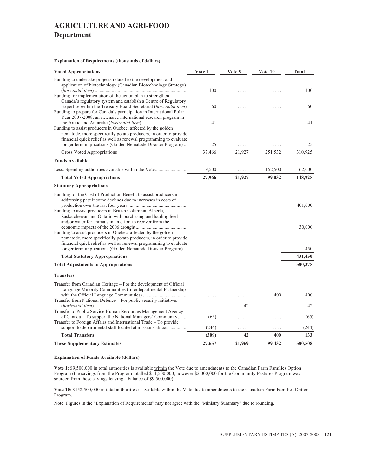### **AGRICULTURE AND AGRI-FOOD Department**

#### **Explanation of Requirements (thousands of dollars)**

| <b>Voted Appropriations</b>                                                                                                                                                                                                                                                                                                                                                                                                                                    | Vote 1 | Vote 5 | Vote 10 | Total             |
|----------------------------------------------------------------------------------------------------------------------------------------------------------------------------------------------------------------------------------------------------------------------------------------------------------------------------------------------------------------------------------------------------------------------------------------------------------------|--------|--------|---------|-------------------|
| Funding to undertake projects related to the development and<br>application of biotechnology (Canadian Biotechnology Strategy)                                                                                                                                                                                                                                                                                                                                 | 100    |        |         | 100               |
| Funding for implementation of the action plan to strengthen<br>Canada's regulatory system and establish a Centre of Regulatory<br>Expertise within the Treasury Board Secretariat (horizontal item)<br>Funding to prepare for Canada's participation in International Polar                                                                                                                                                                                    | 60     |        |         | 60                |
| Year 2007-2008, an extensive international research program in<br>Funding to assist producers in Quebec, affected by the golden<br>nematode, more specifically potato producers, in order to provide                                                                                                                                                                                                                                                           | 41     |        |         | 41                |
| financial quick relief as well as renewal programming to evaluate<br>longer term implications (Golden Nematode Disaster Program)                                                                                                                                                                                                                                                                                                                               | 25     |        |         | 25                |
| Gross Voted Appropriations                                                                                                                                                                                                                                                                                                                                                                                                                                     | 37,466 | 21,927 | 251,532 | 310,925           |
| <b>Funds Available</b>                                                                                                                                                                                                                                                                                                                                                                                                                                         |        |        |         |                   |
|                                                                                                                                                                                                                                                                                                                                                                                                                                                                | 9,500  | .      | 152,500 | 162,000           |
| <b>Total Voted Appropriations</b>                                                                                                                                                                                                                                                                                                                                                                                                                              | 27,966 | 21,927 | 99,032  | 148,925           |
| <b>Statutory Appropriations</b>                                                                                                                                                                                                                                                                                                                                                                                                                                |        |        |         |                   |
| Funding for the Cost of Production Benefit to assist producers in<br>addressing past income declines due to increases in costs of<br>Funding to assist producers in British Columbia, Alberta,<br>Saskatchewan and Ontario with purchasing and hauling feed<br>and/or water for animals in an effort to recover from the<br>Funding to assist producers in Quebec, affected by the golden<br>nematode, more specifically potato producers, in order to provide |        |        |         | 401,000<br>30,000 |
| financial quick relief as well as renewal programming to evaluate<br>longer term implications (Golden Nematode Disaster Program)                                                                                                                                                                                                                                                                                                                               |        |        |         | 450               |
| <b>Total Statutory Appropriations</b>                                                                                                                                                                                                                                                                                                                                                                                                                          |        |        |         | 431,450           |
| <b>Total Adjustments to Appropriations</b>                                                                                                                                                                                                                                                                                                                                                                                                                     |        |        |         | 580,375           |
| <b>Transfers</b>                                                                                                                                                                                                                                                                                                                                                                                                                                               |        |        |         |                   |
| Transfer from Canadian Heritage – For the development of Official<br>Language Minority Communities (Interdepartmental Partnership                                                                                                                                                                                                                                                                                                                              |        |        |         |                   |
| Transfer from National Defence – For public security initiatives                                                                                                                                                                                                                                                                                                                                                                                               |        |        | 400     | 400               |
|                                                                                                                                                                                                                                                                                                                                                                                                                                                                |        | 42     |         | 42                |
| Transfer to Public Service Human Resources Management Agency<br>of Canada – To support the National Managers' Community<br>Transfer to Foreign Affairs and International Trade – To provide                                                                                                                                                                                                                                                                    | (65)   | .      | .       | (65)              |
| support to departmental staff located at missions abroad                                                                                                                                                                                                                                                                                                                                                                                                       | (244)  | .      | .       | (244)             |
| <b>Total Transfers</b>                                                                                                                                                                                                                                                                                                                                                                                                                                         | (309)  | 42     | 400     | 133               |
| <b>These Supplementary Estimates</b>                                                                                                                                                                                                                                                                                                                                                                                                                           | 27,657 | 21,969 | 99,432  | 580,508           |

#### **Explanation of Funds Available (dollars)**

**Vote 1**: \$9,500,000 in total authorities is available within the Vote due to amendments to the Canadian Farm Families Option Program (the savings from the Program totalled \$11,500,000, however \$2,000,000 for the Community Pastures Program was sourced from these savings leaving a balance of \$9,500,000).

**Vote 10**: \$152,500,000 in total authorities is available within the Vote due to amendments to the Canadian Farm Families Option Program.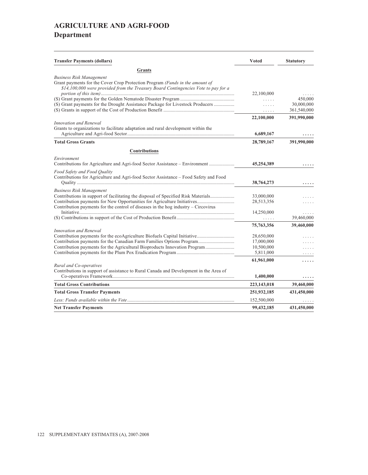# **AGRICULTURE AND AGRI-FOOD Department**

| <b>Transfer Payments (dollars)</b>                                                                                                                                                                                                                                                     | <b>Voted</b>                                        | <b>Statutory</b>                     |
|----------------------------------------------------------------------------------------------------------------------------------------------------------------------------------------------------------------------------------------------------------------------------------------|-----------------------------------------------------|--------------------------------------|
| Grants                                                                                                                                                                                                                                                                                 |                                                     |                                      |
| <b>Business Risk Management</b><br>Grant payments for the Cover Crop Protection Program (Funds in the amount of<br>\$14,100,000 were provided from the Treasury Board Contingencies Vote to pay for a<br>(S) Grant payments for the Drought Assistance Package for Livestock Producers | 22,100,000<br>$\ldots$<br>.<br>.                    | 450,000<br>30,000,000<br>361,540,000 |
| Innovation and Renewal                                                                                                                                                                                                                                                                 | 22,100,000                                          | 391,990,000                          |
| Grants to organizations to facilitate adaptation and rural development within the                                                                                                                                                                                                      | 6,689,167                                           |                                      |
| <b>Total Gross Grants</b>                                                                                                                                                                                                                                                              | 28,789,167                                          | 391,990,000                          |
| <b>Contributions</b>                                                                                                                                                                                                                                                                   |                                                     |                                      |
| Environment<br>Contributions for Agriculture and Agri-food Sector Assistance - Environment                                                                                                                                                                                             | 45,254,389                                          |                                      |
| <b>Food Safety and Food Quality</b><br>Contributions for Agriculture and Agri-food Sector Assistance - Food Safety and Food                                                                                                                                                            | 38,764,273                                          |                                      |
| <b>Business Risk Management</b><br>Contributions in support of facilitating the disposal of Specified Risk Materials<br>Contribution payments for the control of diseases in the hog industry $-$ Circovirus                                                                           | 33,000,000<br>28,513,356<br>14,250,000              |                                      |
|                                                                                                                                                                                                                                                                                        | .                                                   | .<br>39,460,000                      |
| Innovation and Renewal                                                                                                                                                                                                                                                                 | 75,763,356                                          | 39,460,000                           |
| Contribution payments for the Canadian Farm Families Options Program<br>Contribution payments for the Agricultural Bioproducts Innovation Program                                                                                                                                      | 28,650,000<br>17,000,000<br>10,500,000<br>5,811,000 | .                                    |
| Rural and Co-operatives                                                                                                                                                                                                                                                                | 61,961,000                                          | .                                    |
| Contributions in support of assistance to Rural Canada and Development in the Area of                                                                                                                                                                                                  | 1,400,000                                           |                                      |
| <b>Total Gross Contributions</b>                                                                                                                                                                                                                                                       | 223, 143, 018                                       | 39,460,000                           |
| <b>Total Gross Transfer Payments</b>                                                                                                                                                                                                                                                   | 251,932,185                                         | 431,450,000                          |
|                                                                                                                                                                                                                                                                                        | 152,500,000                                         |                                      |
| <b>Net Transfer Payments</b>                                                                                                                                                                                                                                                           | 99,432,185                                          | 431,450,000                          |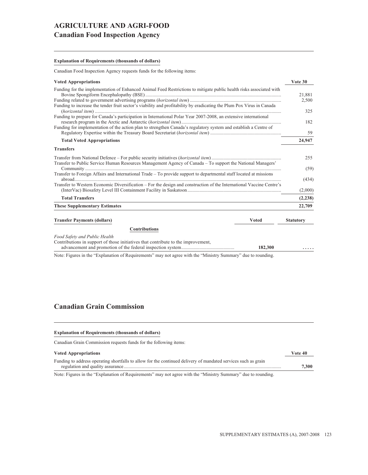### **AGRICULTURE AND AGRI-FOOD Canadian Food Inspection Agency**

#### **Explanation of Requirements (thousands of dollars)**

Canadian Food Inspection Agency requests funds for the following items:

| <b>Voted Appropriations</b>                                                                                                   | Vote 30          |
|-------------------------------------------------------------------------------------------------------------------------------|------------------|
| Funding for the implementation of Enhanced Animal Feed Restrictions to mitigate public health risks associated with           | 21,881           |
| Funding to increase the tender fruit sector's viability and profitability by eradicating the Plum Pox Virus in Canada         | 2,500<br>325     |
| Funding to prepare for Canada's participation in International Polar Year 2007-2008, an extensive international               | 182              |
| Funding for implementation of the action plan to strengthen Canada's regulatory system and establish a Centre of              | 59               |
| <b>Total Voted Appropriations</b>                                                                                             | 24,947           |
| <b>Transfers</b>                                                                                                              |                  |
| Transfer to Public Service Human Resources Management Agency of Canada - To support the National Managers'                    | 255              |
|                                                                                                                               | (59)             |
| Transfer to Foreign Affairs and International Trade – To provide support to departmental staff located at missions            | (434)            |
| Transfer to Western Economic Diversification - For the design and construction of the International Vaccine Centre's          | (2,000)          |
| <b>Total Transfers</b>                                                                                                        | (2, 238)         |
| <b>These Supplementary Estimates</b>                                                                                          | 22,709           |
| <b>Transfer Payments (dollars)</b><br><b>Voted</b>                                                                            | <b>Statutory</b> |
| <b>Contributions</b>                                                                                                          |                  |
| Food Safety and Public Health<br>Contributions in support of those initiatives that contribute to the improvement,<br>182,300 |                  |
| المعالم والمتواطن والمتوارد المتحدث المتحدث والمتحدث والمستنب والمتحدث والمستنب والمستنب والمتحدث والمستنب والمستنب           |                  |

Note: Figures in the "Explanation of Requirements" may not agree with the "Ministry Summary" due to rounding.

### **Canadian Grain Commission**

| <b>Explanation of Requirements (thousands of dollars)</b>                                                      |         |
|----------------------------------------------------------------------------------------------------------------|---------|
| Canadian Grain Commission requests funds for the following items:                                              |         |
| <b>Voted Appropriations</b>                                                                                    | Vote 40 |
| Funding to address operating shortfalls to allow for the continued delivery of mandated services such as grain | 7,300   |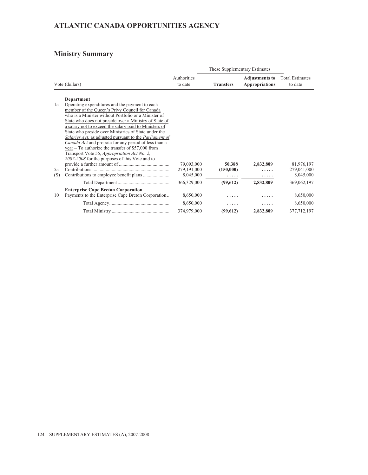### **ATLANTIC CANADA OPPORTUNITIES AGENCY**

### **Ministry Summary**

|                |                                                                                                                                                                                                                                                                                                                                                                                                                                                                                                                                                                                                                 |                           |                     | These Supplementary Estimates                  |                                   |  |
|----------------|-----------------------------------------------------------------------------------------------------------------------------------------------------------------------------------------------------------------------------------------------------------------------------------------------------------------------------------------------------------------------------------------------------------------------------------------------------------------------------------------------------------------------------------------------------------------------------------------------------------------|---------------------------|---------------------|------------------------------------------------|-----------------------------------|--|
| Vote (dollars) |                                                                                                                                                                                                                                                                                                                                                                                                                                                                                                                                                                                                                 | Authorities<br>to date    | <b>Transfers</b>    | <b>Adjustments to</b><br><b>Appropriations</b> | <b>Total Estimates</b><br>to date |  |
|                | Department                                                                                                                                                                                                                                                                                                                                                                                                                                                                                                                                                                                                      |                           |                     |                                                |                                   |  |
| 1a             | Operating expenditures and the payment to each<br>member of the Queen's Privy Council for Canada<br>who is a Minister without Portfolio or a Minister of<br>State who does not preside over a Ministry of State of<br>a salary not to exceed the salary paid to Ministers of<br>State who preside over Ministries of State under the<br>Salaries Act, as adjusted pursuant to the Parliament of<br>Canada Act and pro rata for any period of less than a<br>$year - To authorize the transfer of $57,000 from$<br>Transport Vote 55, Appropriation Act No. 2,<br>2007-2008 for the purposes of this Vote and to |                           |                     |                                                |                                   |  |
| 5a             |                                                                                                                                                                                                                                                                                                                                                                                                                                                                                                                                                                                                                 | 79,093,000<br>279,191,000 | 50,388<br>(150,000) | 2,832,809                                      | 81,976,197<br>279,041,000         |  |
| (S)            |                                                                                                                                                                                                                                                                                                                                                                                                                                                                                                                                                                                                                 | 8,045,000                 | .                   | .                                              | 8,045,000                         |  |
|                |                                                                                                                                                                                                                                                                                                                                                                                                                                                                                                                                                                                                                 | 366,329,000               | (99, 612)           | 2,832,809                                      | 369,062,197                       |  |
|                | <b>Enterprise Cape Breton Corporation</b>                                                                                                                                                                                                                                                                                                                                                                                                                                                                                                                                                                       |                           |                     |                                                |                                   |  |
| 10             | Payments to the Enterprise Cape Breton Corporation                                                                                                                                                                                                                                                                                                                                                                                                                                                                                                                                                              | 8,650,000                 |                     |                                                | 8,650,000                         |  |
|                |                                                                                                                                                                                                                                                                                                                                                                                                                                                                                                                                                                                                                 | 8,650,000                 |                     |                                                | 8,650,000                         |  |
|                |                                                                                                                                                                                                                                                                                                                                                                                                                                                                                                                                                                                                                 | 374,979,000               | (99.612)            | 2,832,809                                      | 377,712,197                       |  |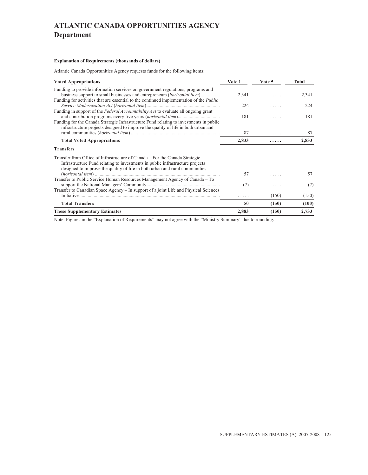# **ATLANTIC CANADA OPPORTUNITIES AGENCY Department**

#### **Explanation of Requirements (thousands of dollars)**

Atlantic Canada Opportunities Agency requests funds for the following items:

| <b>Voted Appropriations</b>                                                                                                                                                                                                                                          | Vote 1    | Vote 5 | Total     |
|----------------------------------------------------------------------------------------------------------------------------------------------------------------------------------------------------------------------------------------------------------------------|-----------|--------|-----------|
| Funding to provide information services on government regulations, programs and<br>business support to small businesses and entrepreneurs <i>(horizontal item)</i><br>Funding for activities that are essential to the continued implementation of the <i>Public</i> | 2,341     |        | 2,341     |
|                                                                                                                                                                                                                                                                      | 224       | .      | 224       |
| Funding in support of the Federal Accountability Act to evaluate all ongoing grant<br>Funding for the Canada Strategic Infrastructure Fund relating to investments in public<br>infrastructure projects designed to improve the quality of life in both urban and    | 181<br>87 | .      | 181<br>87 |
|                                                                                                                                                                                                                                                                      |           |        |           |
| <b>Total Voted Appropriations</b>                                                                                                                                                                                                                                    | 2,833     |        | 2,833     |
| <b>Transfers</b>                                                                                                                                                                                                                                                     |           |        |           |
| Transfer from Office of Infrastructure of Canada – For the Canada Strategic<br>Infrastructure Fund relating to investments in public infrastructure projects<br>designed to improve the quality of life in both urban and rural communities                          |           |        |           |
|                                                                                                                                                                                                                                                                      | 57        |        | 57        |
| Transfer to Public Service Human Resources Management Agency of Canada – To                                                                                                                                                                                          | (7)       | .      | (7)       |
| Transfer to Canadian Space Agency - In support of a joint Life and Physical Sciences                                                                                                                                                                                 |           | (150)  | (150)     |
|                                                                                                                                                                                                                                                                      |           |        |           |
| <b>Total Transfers</b>                                                                                                                                                                                                                                               | 50        | (150)  | (100)     |
| <b>These Supplementary Estimates</b>                                                                                                                                                                                                                                 | 2,883     | (150)  | 2,733     |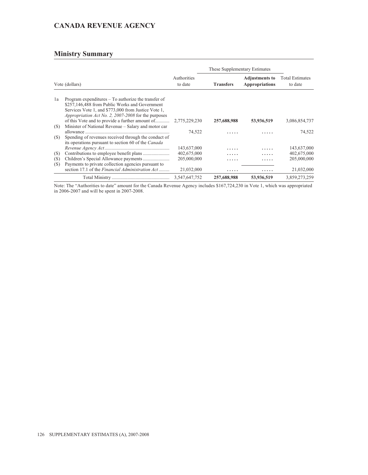### **CANADA REVENUE AGENCY**

### **Ministry Summary**

| Vote (dollars) |                                                                                                                                                                                                                                                                          |                        | These Supplementary Estimates |                                                |                                   |
|----------------|--------------------------------------------------------------------------------------------------------------------------------------------------------------------------------------------------------------------------------------------------------------------------|------------------------|-------------------------------|------------------------------------------------|-----------------------------------|
|                |                                                                                                                                                                                                                                                                          | Authorities<br>to date | <b>Transfers</b>              | <b>Adjustments to</b><br><b>Appropriations</b> | <b>Total Estimates</b><br>to date |
| 1a             | Program expenditures $-$ To authorize the transfer of<br>\$257,146,488 from Public Works and Government<br>Services Vote 1, and \$773,000 from Justice Vote 1,<br>Appropriation Act No. 2, 2007-2008 for the purposes<br>of this Vote and to provide a further amount of | 2,775,229,230          | 257,688,988                   | 53,936,519                                     | 3,086,854,737                     |
| (S)            | Minister of National Revenue – Salary and motor car                                                                                                                                                                                                                      | 74,522                 |                               |                                                | 74,522                            |
| (S)            | Spending of revenues received through the conduct of<br>its operations pursuant to section 60 of the <i>Canada</i>                                                                                                                                                       |                        |                               |                                                |                                   |
|                |                                                                                                                                                                                                                                                                          | 143,637,000            |                               |                                                | 143,637,000                       |
| (S)            |                                                                                                                                                                                                                                                                          | 402,675,000            |                               |                                                | 402,675,000                       |
| (S)<br>(S)     | Payments to private collection agencies pursuant to                                                                                                                                                                                                                      | 205,000,000            | .                             |                                                | 205,000,000                       |
|                | section 17.1 of the <i>Financial Administration Act</i>                                                                                                                                                                                                                  | 21,032,000             | .                             | .                                              | 21,032,000                        |
|                |                                                                                                                                                                                                                                                                          | 3,547,647,752          | 257,688,988                   | 53,936,519                                     | 3,859,273,259                     |

Note: The "Authorities to date" amount for the Canada Revenue Agency includes \$167,724,230 in Vote 1, which was appropriated in 2006-2007 and will be spent in 2007-2008.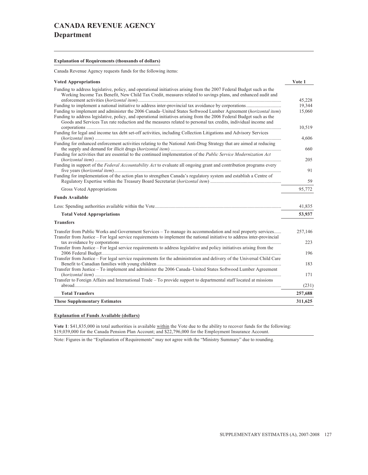#### **Explanation of Requirements (thousands of dollars)**

Canada Revenue Agency requests funds for the following items:

| <b>Voted Appropriations</b>                                                                                                                                                                                                                                                                                                                            | Vote 1           |
|--------------------------------------------------------------------------------------------------------------------------------------------------------------------------------------------------------------------------------------------------------------------------------------------------------------------------------------------------------|------------------|
| Funding to address legislative, policy, and operational initiatives arising from the 2007 Federal Budget such as the<br>Working Income Tax Benefit, New Child Tax Credit, measures related to savings plans, and enhanced audit and                                                                                                                    | 45,228<br>19,344 |
| Funding to implement and administer the 2006 Canada-United States Softwood Lumber Agreement (horizontal item)<br>Funding to address legislative, policy, and operational initiatives arising from the 2006 Federal Budget such as the<br>Goods and Services Tax rate reduction and the measures related to personal tax credits, individual income and | 15,060           |
| Funding for legal and income tax debt set-off activities, including Collection Litigations and Advisory Services                                                                                                                                                                                                                                       | 10,519           |
| Funding for enhanced enforcement activities relating to the National Anti-Drug Strategy that are aimed at reducing                                                                                                                                                                                                                                     | 4,606            |
| Funding for activities that are essential to the continued implementation of the <i>Public Service Modernization Act</i>                                                                                                                                                                                                                               | 660              |
| Funding in support of the Federal Accountability Act to evaluate all ongoing grant and contribution programs every                                                                                                                                                                                                                                     | 205              |
| Funding for implementation of the action plan to strengthen Canada's regulatory system and establish a Centre of                                                                                                                                                                                                                                       | 91               |
|                                                                                                                                                                                                                                                                                                                                                        | 59               |
| Gross Voted Appropriations                                                                                                                                                                                                                                                                                                                             | 95,772           |
| <b>Funds Available</b>                                                                                                                                                                                                                                                                                                                                 |                  |
|                                                                                                                                                                                                                                                                                                                                                        | 41,835           |
| <b>Total Voted Appropriations</b>                                                                                                                                                                                                                                                                                                                      | 53,937           |
| <b>Transfers</b>                                                                                                                                                                                                                                                                                                                                       |                  |
| Transfer from Public Works and Government Services – To manage its accommodation and real property services<br>Transfer from Justice – For legal service requirements to implement the national initiative to address inter-provincial                                                                                                                 | 257,146          |
| Transfer from Justice – For legal service requirements to address legislative and policy initiatives arising from the                                                                                                                                                                                                                                  | 223              |
| Transfer from Justice – For legal service requirements for the administration and delivery of the Universal Child Care                                                                                                                                                                                                                                 | 196              |
| Transfer from Justice – To implement and administer the 2006 Canada–United States Softwood Lumber Agreement                                                                                                                                                                                                                                            | 183              |
| Transfer to Foreign Affairs and International Trade – To provide support to departmental staff located at missions                                                                                                                                                                                                                                     | 171              |
|                                                                                                                                                                                                                                                                                                                                                        | (231)            |
| <b>Total Transfers</b>                                                                                                                                                                                                                                                                                                                                 | 257,688          |
| <b>These Supplementary Estimates</b>                                                                                                                                                                                                                                                                                                                   | 311,625          |

#### **Explanation of Funds Available (dollars)**

**Vote 1**: \$41,835,000 in total authorities is available within the Vote due to the ability to recover funds for the following: \$19,039,000 for the Canada Pension Plan Account; and \$22,796,000 for the Employment Insurance Account.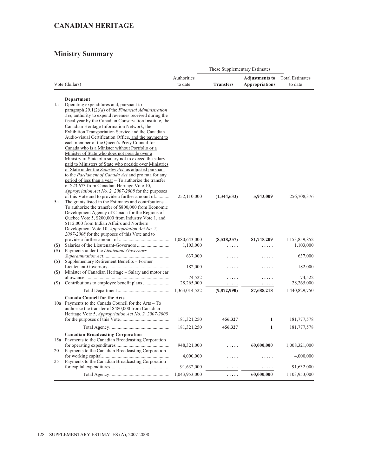### **Ministry Summary**

|     |                                                                                                                 |               | These Supplementary Estimates |                       |                        |
|-----|-----------------------------------------------------------------------------------------------------------------|---------------|-------------------------------|-----------------------|------------------------|
|     |                                                                                                                 | Authorities   |                               | <b>Adjustments to</b> | <b>Total Estimates</b> |
|     | Vote (dollars)                                                                                                  | to date       | <b>Transfers</b>              | <b>Appropriations</b> | to date                |
|     |                                                                                                                 |               |                               |                       |                        |
|     | Department                                                                                                      |               |                               |                       |                        |
| 1a  | Operating expenditures and, pursuant to                                                                         |               |                               |                       |                        |
|     | paragraph $29.1(2)(a)$ of the Financial Administration                                                          |               |                               |                       |                        |
|     | Act, authority to expend revenues received during the                                                           |               |                               |                       |                        |
|     | fiscal year by the Canadian Conservation Institute, the<br>Canadian Heritage Information Network, the           |               |                               |                       |                        |
|     | Exhibition Transportation Service and the Canadian                                                              |               |                               |                       |                        |
|     | Audio-visual Certification Office, and the payment to                                                           |               |                               |                       |                        |
|     | each member of the Queen's Privy Council for                                                                    |               |                               |                       |                        |
|     | Canada who is a Minister without Portfolio or a                                                                 |               |                               |                       |                        |
|     | Minister of State who does not preside over a                                                                   |               |                               |                       |                        |
|     | Ministry of State of a salary not to exceed the salary                                                          |               |                               |                       |                        |
|     | paid to Ministers of State who preside over Ministries<br>of State under the Salaries Act, as adjusted pursuant |               |                               |                       |                        |
|     | to the <i>Parliament of Canada Act</i> and pro rata for any                                                     |               |                               |                       |                        |
|     | period of less than a year – To authorize the transfer                                                          |               |                               |                       |                        |
|     | of \$23,673 from Canadian Heritage Vote 10,                                                                     |               |                               |                       |                        |
|     | Appropriation Act No. 2, 2007-2008 for the purposes                                                             |               |                               |                       |                        |
|     | of this Vote and to provide a further amount of                                                                 | 252,110,000   | (1,344,633)                   | 5,943,009             | 256,708,376            |
| 5a  | The grants listed in the Estimates and contributions –                                                          |               |                               |                       |                        |
|     | To authorize the transfer of \$800,000 from Economic<br>Development Agency of Canada for the Regions of         |               |                               |                       |                        |
|     | Quebec Vote 5, \$200,000 from Industry Vote 1, and                                                              |               |                               |                       |                        |
|     | \$112,000 from Indian Affairs and Northern                                                                      |               |                               |                       |                        |
|     | Development Vote 10, Appropriation Act No. 2,                                                                   |               |                               |                       |                        |
|     | 2007-2008 for the purposes of this Vote and to                                                                  |               |                               |                       |                        |
|     |                                                                                                                 | 1,080,643,000 | (8,528,357)                   | 81,745,209            | 1,153,859,852          |
| (S) |                                                                                                                 | 1,103,000     | .                             |                       | 1,103,000              |
| (S) | Payments under the Lieutenant-Governors                                                                         | 637,000       |                               |                       | 637,000                |
| (S) | Supplementary Retirement Benefits - Former                                                                      |               |                               |                       |                        |
|     |                                                                                                                 | 182,000       |                               |                       | 182,000                |
| (S) | Minister of Canadian Heritage - Salary and motor car                                                            |               |                               |                       |                        |
|     |                                                                                                                 | 74,522        |                               |                       | 74,522                 |
| (S) |                                                                                                                 | 28,265,000    | .                             | .                     | 28,265,000             |
|     |                                                                                                                 | 1,363,014,522 | (9,872,990)                   | 87,688,218            | 1,440,829,750          |
|     | <b>Canada Council for the Arts</b>                                                                              |               |                               |                       |                        |
|     | 10a Payments to the Canada Council for the Arts – To                                                            |               |                               |                       |                        |
|     | authorize the transfer of \$480,000 from Canadian<br>Heritage Vote 5, Appropriation Act No. 2, 2007-2008        |               |                               |                       |                        |
|     |                                                                                                                 | 181, 321, 250 | 456,327                       | 1                     | 181,777,578            |
|     |                                                                                                                 | 181, 321, 250 | 456,327                       | $\mathbf{1}$          | 181,777,578            |
|     | <b>Canadian Broadcasting Corporation</b>                                                                        |               |                               |                       |                        |
|     | 15a Payments to the Canadian Broadcasting Corporation                                                           |               |                               |                       |                        |
|     |                                                                                                                 | 948, 321, 000 |                               | 60,000,000            | 1,008,321,000          |
| 20  | Payments to the Canadian Broadcasting Corporation                                                               |               |                               |                       |                        |
|     |                                                                                                                 | 4,000,000     | .                             | .                     | 4,000,000              |
| 25  | Payments to the Canadian Broadcasting Corporation                                                               |               |                               |                       |                        |
|     |                                                                                                                 | 91,632,000    | .                             | .                     | 91,632,000             |
|     |                                                                                                                 | 1,043,953,000 | .                             | 60,000,000            | 1,103,953,000          |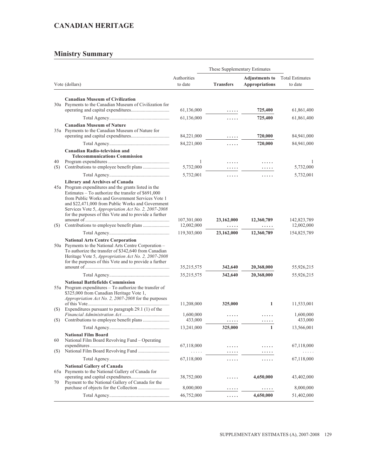### **Ministry Summary**

|     |                                                                                                                                                                                                                                                                                                                                                                                 | These Supplementary Estimates |                  |                                                |                                   |  |
|-----|---------------------------------------------------------------------------------------------------------------------------------------------------------------------------------------------------------------------------------------------------------------------------------------------------------------------------------------------------------------------------------|-------------------------------|------------------|------------------------------------------------|-----------------------------------|--|
|     | Vote (dollars)                                                                                                                                                                                                                                                                                                                                                                  | Authorities<br>to date        | <b>Transfers</b> | <b>Adjustments to</b><br><b>Appropriations</b> | <b>Total Estimates</b><br>to date |  |
|     | <b>Canadian Museum of Civilization</b>                                                                                                                                                                                                                                                                                                                                          |                               |                  |                                                |                                   |  |
|     | 30a Payments to the Canadian Museum of Civilization for                                                                                                                                                                                                                                                                                                                         |                               |                  |                                                |                                   |  |
|     |                                                                                                                                                                                                                                                                                                                                                                                 | 61,136,000                    | .                | 725,400                                        | 61,861,400                        |  |
|     |                                                                                                                                                                                                                                                                                                                                                                                 | 61,136,000                    | .                | 725,400                                        | 61,861,400                        |  |
|     | <b>Canadian Museum of Nature</b><br>35a Payments to the Canadian Museum of Nature for                                                                                                                                                                                                                                                                                           |                               |                  |                                                |                                   |  |
|     |                                                                                                                                                                                                                                                                                                                                                                                 | 84,221,000                    | .                | 720,000                                        | 84,941,000                        |  |
|     |                                                                                                                                                                                                                                                                                                                                                                                 | 84,221,000                    |                  | 720,000                                        | 84,941,000                        |  |
|     | <b>Canadian Radio-television and</b><br><b>Telecommunications Commission</b>                                                                                                                                                                                                                                                                                                    |                               |                  |                                                |                                   |  |
| 40  |                                                                                                                                                                                                                                                                                                                                                                                 | 1                             |                  |                                                | 1                                 |  |
| (S) |                                                                                                                                                                                                                                                                                                                                                                                 | 5,732,000                     | .                | .                                              | 5,732,000                         |  |
|     |                                                                                                                                                                                                                                                                                                                                                                                 | 5,732,001                     | .                | .                                              | 5,732,001                         |  |
|     | <b>Library and Archives of Canada</b><br>45a Program expenditures and the grants listed in the<br>Estimates – To authorize the transfer of $$691,000$<br>from Public Works and Government Services Vote 1<br>and \$22,471,000 from Public Works and Government<br>Services Vote 5, Appropriation Act No. 2, 2007-2008<br>for the purposes of this Vote and to provide a further |                               |                  |                                                |                                   |  |
|     |                                                                                                                                                                                                                                                                                                                                                                                 | 107,301,000                   | 23,162,000       | 12,360,789                                     | 142,823,789                       |  |
| (S) |                                                                                                                                                                                                                                                                                                                                                                                 | 12,002,000                    | .                | .                                              | 12,002,000                        |  |
|     |                                                                                                                                                                                                                                                                                                                                                                                 | 119,303,000                   | 23,162,000       | 12,360,789                                     | 154,825,789                       |  |
|     | <b>National Arts Centre Corporation</b><br>50a Payments to the National Arts Centre Corporation –<br>To authorize the transfer of \$342,640 from Canadian<br>Heritage Vote 5, Appropriation Act No. 2, 2007-2008<br>for the purposes of this Vote and to provide a further                                                                                                      |                               |                  |                                                |                                   |  |
|     |                                                                                                                                                                                                                                                                                                                                                                                 | 35,215,575                    | 342,640          | 20,368,000                                     | 55,926,215                        |  |
|     |                                                                                                                                                                                                                                                                                                                                                                                 | 35,215,575                    | 342,640          | 20,368,000                                     | 55,926,215                        |  |
|     | <b>National Battlefields Commission</b><br>55a Program expenditures – To authorize the transfer of<br>\$325,000 from Canadian Heritage Vote 1,<br>Appropriation Act No. 2, 2007-2008 for the purposes                                                                                                                                                                           |                               |                  |                                                |                                   |  |
| (S) | Expenditures pursuant to paragraph 29.1 (1) of the                                                                                                                                                                                                                                                                                                                              | 11,208,000                    | 325,000          | 1                                              | 11,533,001                        |  |
|     |                                                                                                                                                                                                                                                                                                                                                                                 | 1,600,000                     | .                |                                                | 1,600,000                         |  |
| (S) |                                                                                                                                                                                                                                                                                                                                                                                 | 433,000                       | .                |                                                | 433,000                           |  |
|     |                                                                                                                                                                                                                                                                                                                                                                                 | 13,241,000                    | 325,000          | $\mathbf{1}$                                   | 13,566,001                        |  |
| 60  | <b>National Film Board</b><br>National Film Board Revolving Fund - Operating                                                                                                                                                                                                                                                                                                    | 67,118,000                    |                  |                                                | 67,118,000                        |  |
| (S) |                                                                                                                                                                                                                                                                                                                                                                                 | .                             | .                | .                                              |                                   |  |
|     |                                                                                                                                                                                                                                                                                                                                                                                 | 67,118,000                    | .                | .                                              | 67,118,000                        |  |
|     | <b>National Gallery of Canada</b><br>65a Payments to the National Gallery of Canada for                                                                                                                                                                                                                                                                                         | 38,752,000                    |                  | 4,650,000                                      | 43,402,000                        |  |
| 70  | Payment to the National Gallery of Canada for the                                                                                                                                                                                                                                                                                                                               |                               |                  |                                                |                                   |  |
|     |                                                                                                                                                                                                                                                                                                                                                                                 | 8,000,000                     | .                | .                                              | 8,000,000                         |  |
|     |                                                                                                                                                                                                                                                                                                                                                                                 | 46,752,000                    | .                | 4,650,000                                      | 51,402,000                        |  |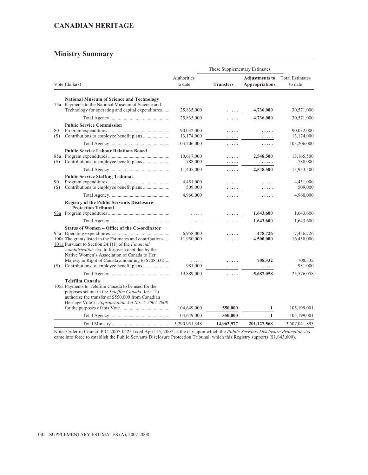### **Ministry Summary**

|           |                                                                                                                                                                                                                                          |                              | These Supplementary Estimates |                                                |                                   |
|-----------|------------------------------------------------------------------------------------------------------------------------------------------------------------------------------------------------------------------------------------------|------------------------------|-------------------------------|------------------------------------------------|-----------------------------------|
|           | Vote (dollars)                                                                                                                                                                                                                           | Authorities<br>to date       | <b>Transfers</b>              | <b>Adjustments to</b><br><b>Appropriations</b> | <b>Total Estimates</b><br>to date |
|           | <b>National Museum of Science and Technology</b><br>75a Payments to the National Museum of Science and                                                                                                                                   |                              |                               |                                                |                                   |
|           | Technology for operating and capital expenditures                                                                                                                                                                                        | 25,835,000                   |                               | 4,736,000                                      | 30,571,000                        |
|           |                                                                                                                                                                                                                                          | 25,835,000                   | .                             | 4,736,000                                      | 30,571,000                        |
| 80<br>(S) | <b>Public Service Commission</b>                                                                                                                                                                                                         | 90,032,000<br>13,174,000     | .                             |                                                | 90,032,000<br>13,174,000          |
|           |                                                                                                                                                                                                                                          | 103,206,000                  | .                             | .                                              | 103,206,000                       |
| (S)       | <b>Public Service Labour Relations Board</b>                                                                                                                                                                                             | 10,617,000<br>788,000        | .<br>.                        | 2,548,500<br>.                                 | 13,165,500<br>788,000             |
|           |                                                                                                                                                                                                                                          | 11,405,000                   | .                             | 2,548,500                                      | 13,953,500                        |
| 90<br>(S) | <b>Public Service Staffing Tribunal</b>                                                                                                                                                                                                  | 4,451,000<br>509,000         | .<br>.                        | .<br>.                                         | 4,451,000<br>509,000              |
|           |                                                                                                                                                                                                                                          | 4,960,000                    | .                             | .                                              | 4,960,000                         |
|           | <b>Registry of the Public Servants Disclosure</b><br><b>Protection Tribunal</b>                                                                                                                                                          |                              |                               |                                                |                                   |
|           |                                                                                                                                                                                                                                          |                              | .                             | 1,643,600                                      | 1,643,600                         |
|           |                                                                                                                                                                                                                                          | .                            | .                             | 1,643,600                                      | 1,643,600                         |
|           | Status of Women – Office of the Co-ordinator<br>100a The grants listed in the Estimates and contributions<br>101a Pursuant to Section 24.1(1) of the Financial<br>Administration Act, to forgive a debt due by the                       | 6,958,000<br>11,950,000      |                               | 478,726<br>4,500,000                           | 7,436,726<br>16,450,000           |
| (S)       | Native Women's Association of Canada to Her<br>Majesty in Right of Canada amounting to \$708,332                                                                                                                                         | .<br>981,000                 |                               | 708,332<br>.                                   | 708,332<br>981,000                |
|           |                                                                                                                                                                                                                                          | 19,889,000                   | .                             | 5,687,058                                      | 25,576,058                        |
|           | Telefilm Canada<br>105a Payments to Telefilm Canada to be used for the<br>purposes set out in the Telefilm Canada $Act - To$<br>authorize the transfer of \$550,000 from Canadian<br>Heritage Vote 5, Appropriation Act No. 2, 2007-2008 |                              | 550,000                       |                                                | 105,199,001                       |
|           |                                                                                                                                                                                                                                          | 104,649,000                  |                               | 1                                              |                                   |
|           |                                                                                                                                                                                                                                          | 104,649,000<br>3,290,951,348 | 550,000<br>14,962,977         | 1<br>201,127,568                               | 105,199,001<br>3,507,041,893      |

Note: Order in Council P.C. 2007-0425 fixed April 15, 2007 as the day upon which the *Public Servants Disclosure Protection Act* came into force to establish the Public Servants Disclosure Protection Tribunal, which this Registry supports (\$1,643,600).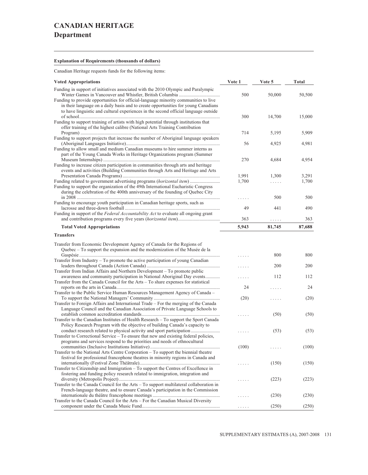### **Department**

#### **Explanation of Requirements (thousands of dollars)**

Canadian Heritage requests funds for the following items:

| <b>Voted Appropriations</b>                                                                                                                                                                                                                                      | Vote 1 | Vote 5 | Total  |
|------------------------------------------------------------------------------------------------------------------------------------------------------------------------------------------------------------------------------------------------------------------|--------|--------|--------|
| Funding in support of initiatives associated with the 2010 Olympic and Paralympic                                                                                                                                                                                | 500    | 50,000 | 50,500 |
| Funding to provide opportunities for official-language minority communities to live<br>in their language on a daily basis and to create opportunities for young Canadians<br>to have linguistic and cultural experiences in the second official language outside | 300    | 14,700 | 15,000 |
| Funding to support training of artists with high potential through institutions that<br>offer training of the highest calibre (National Arts Training Contribution                                                                                               |        |        |        |
| Funding to support projects that increase the number of Aboriginal language speakers                                                                                                                                                                             | 714    | 5,195  | 5,909  |
| Funding to allow small and medium Canadian museums to hire summer interns as<br>part of the Young Canada Works in Heritage Organizations program (Summer                                                                                                         | 56     | 4,925  | 4,981  |
| Funding to increase citizen participation in communities through arts and heritage<br>events and activities (Building Communities through Arts and Heritage and Arts                                                                                             | 270    | 4,684  | 4,954  |
|                                                                                                                                                                                                                                                                  | 1,991  | 1,300  | 3,291  |
| Funding related to government advertising programs ( <i>horizontal item</i> )                                                                                                                                                                                    | 1,700  | .      | 1,700  |
| Funding to support the organization of the 49th International Eucharistic Congress<br>during the celebration of the 400th anniversary of the founding of Quebec City                                                                                             |        | 500    | 500    |
| Funding to encourage youth participation in Canadian heritage sports, such as                                                                                                                                                                                    | .      |        |        |
|                                                                                                                                                                                                                                                                  | 49     | 441    | 490    |
| Funding in support of the Federal Accountability Act to evaluate all ongoing grant                                                                                                                                                                               | 363    | .      | 363    |
| <b>Total Voted Appropriations</b>                                                                                                                                                                                                                                | 5,943  | 81,745 | 87,688 |
| <b>Transfers</b>                                                                                                                                                                                                                                                 |        |        |        |
| Transfer from Economic Development Agency of Canada for the Regions of                                                                                                                                                                                           |        |        |        |
| Quebec - To support the expansion and the modernization of the Musée de la                                                                                                                                                                                       |        |        |        |
|                                                                                                                                                                                                                                                                  | .      | 800    | 800    |
| Transfer from Industry – To promote the active participation of young Canadian                                                                                                                                                                                   | .      | 200    | 200    |
| Transfer from Indian Affairs and Northern Development - To promote public                                                                                                                                                                                        |        |        |        |
| awareness and community participation in National Aboriginal Day events                                                                                                                                                                                          | .      | 112    | 112    |
| Transfer from the Canada Council for the Arts - To share expenses for statistical                                                                                                                                                                                |        |        |        |
|                                                                                                                                                                                                                                                                  | 24     | .      | 24     |
| Transfer to the Public Service Human Resources Management Agency of Canada -                                                                                                                                                                                     |        |        |        |
|                                                                                                                                                                                                                                                                  | (20)   |        | (20)   |
| Transfer to Foreign Affairs and International Trade – For the merging of the Canada<br>Language Council and the Canadian Association of Private Language Schools to                                                                                              |        |        |        |
|                                                                                                                                                                                                                                                                  | .      | (50)   | (50)   |
| Transfer to the Canadian Institutes of Health Research – To support the Sport Canada                                                                                                                                                                             |        |        |        |
| Policy Research Program with the objective of building Canada's capacity to                                                                                                                                                                                      |        |        |        |
| conduct research related to physical activity and sport participation                                                                                                                                                                                            | .      | (53)   | (53)   |
| Transfer to Correctional Service – To ensure that new and existing federal policies,                                                                                                                                                                             |        |        |        |
| programs and services respond to the priorities and needs of ethnocultural                                                                                                                                                                                       |        |        |        |
|                                                                                                                                                                                                                                                                  | (100)  |        | (100)  |
| Transfer to the National Arts Centre Corporation – To support the biennial theatre<br>festival for professional francophone theatres in minority regions in Canada and                                                                                           |        |        |        |
|                                                                                                                                                                                                                                                                  | .      | (150)  | (150)  |
| Transfer to Citizenship and Immigration – To support the Centres of Excellence in                                                                                                                                                                                |        |        |        |
| fostering and funding policy research related to immigration, integration and                                                                                                                                                                                    |        |        |        |
|                                                                                                                                                                                                                                                                  | .      | (223)  | (223)  |
| Transfer to the Canada Council for the Arts – To support multilateral collaboration in                                                                                                                                                                           |        |        |        |
| French-language theatre, and to ensure Canada's participation in the Commission                                                                                                                                                                                  |        |        |        |
|                                                                                                                                                                                                                                                                  | .      | (230)  | (230)  |
| Transfer to the Canada Council for the Arts – For the Canadian Musical Diversity                                                                                                                                                                                 |        |        |        |
|                                                                                                                                                                                                                                                                  | .      | (250)  | (250)  |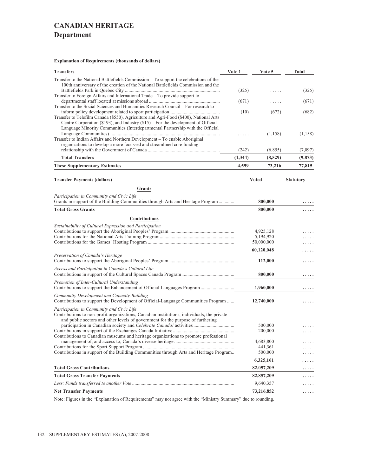### **Department**

#### **Explanation of Requirements (thousands of dollars)**

| <b>Transfers</b>                                                                                                                                                             | Vote 1   | Vote 5                 | <b>Total</b>     |
|------------------------------------------------------------------------------------------------------------------------------------------------------------------------------|----------|------------------------|------------------|
| Transfer to the National Battlefields Commission – To support the celebrations of the                                                                                        |          |                        |                  |
| 100th anniversary of the creation of the National Battlefields Commission and the                                                                                            | (325)    | .                      | (325)            |
| Transfer to Foreign Affairs and International Trade – To provide support to                                                                                                  |          |                        |                  |
| Transfer to the Social Sciences and Humanities Research Council – For research to                                                                                            | (671)    | .                      | (671)            |
|                                                                                                                                                                              | (10)     | (672)                  | (682)            |
| Transfer to Telefilm Canada (\$550), Agriculture and Agri-Food (\$400), National Arts<br>Centre Corporation (\$193), and Industry $(\$15)$ – For the development of Official |          |                        |                  |
| Language Minority Communities (Interdepartmental Partnership with the Official                                                                                               |          |                        |                  |
| Transfer to Indian Affairs and Northern Development – To enable Aboriginal                                                                                                   |          | (1,158)                | (1,158)          |
| organizations to develop a more focussed and streamlined core funding                                                                                                        |          |                        |                  |
|                                                                                                                                                                              | (242)    | (6,855)                | (7,097)          |
| <b>Total Transfers</b>                                                                                                                                                       | (1, 344) | (8,529)                | (9, 873)         |
| <b>These Supplementary Estimates</b>                                                                                                                                         | 4,599    | 73,216                 | 77,815           |
| <b>Transfer Payments (dollars)</b>                                                                                                                                           |          | <b>Voted</b>           | <b>Statutory</b> |
| Grants                                                                                                                                                                       |          |                        |                  |
| Participation in Community and Civic Life                                                                                                                                    |          |                        |                  |
| Grants in support of the Building Communities through Arts and Heritage Program                                                                                              |          | 800,000                |                  |
| <b>Total Gross Grants</b>                                                                                                                                                    |          | 800,000                |                  |
| <b>Contributions</b>                                                                                                                                                         |          |                        |                  |
| Sustainability of Cultural Expression and Participation                                                                                                                      |          |                        |                  |
|                                                                                                                                                                              |          | 4,925,128<br>5,194,920 |                  |
|                                                                                                                                                                              |          | 50,000,000             |                  |
|                                                                                                                                                                              |          | 60,120,048             |                  |
| Preservation of Canada's Heritage                                                                                                                                            |          | 112,000                |                  |
| Access and Participation in Canada's Cultural Life                                                                                                                           |          |                        | .                |
|                                                                                                                                                                              |          | 800,000                | .                |
| Promotion of Inter-Cultural Understanding                                                                                                                                    |          |                        |                  |
| Contributions to support the Enhancement of Official Languages Program                                                                                                       |          | 1,960,000              | .                |
| Community Development and Capacity-Building                                                                                                                                  |          |                        |                  |
| Contributions to support the Development of Official-Language Communities Program                                                                                            |          | 12,740,000             | .                |
| Participation in Community and Civic Life<br>Contributions to non-profit organizations, Canadian institutions, individuals, the private                                      |          |                        |                  |
| and public sectors and other levels of government for the purpose of furthering                                                                                              |          |                        |                  |
|                                                                                                                                                                              |          | 500,000                |                  |
| Contributions to Canadian museums and heritage organizations to promote professional                                                                                         |          | 200,000                |                  |
|                                                                                                                                                                              |          | 4,683,800              |                  |
| Contributions in support of the Building Communities through Arts and Heritage Program                                                                                       |          | 441,361<br>500,000     | .                |
|                                                                                                                                                                              |          | 6,325,161              | .                |
| <b>Total Gross Contributions</b>                                                                                                                                             |          | 82,057,209             | .                |
| <b>Total Gross Transfer Payments</b>                                                                                                                                         |          | 82, 857, 209           | .                |
|                                                                                                                                                                              |          | 9,640,357              | .                |
| <b>Net Transfer Payments</b>                                                                                                                                                 |          | 73,216,852             | .                |
|                                                                                                                                                                              |          |                        |                  |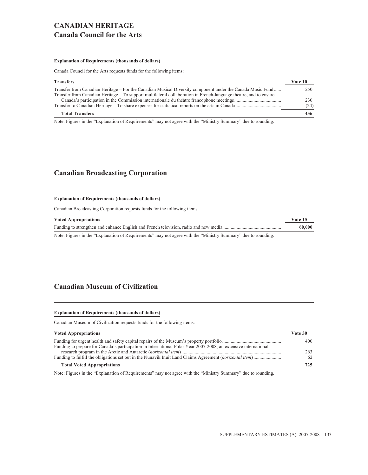## **CANADIAN HERITAGE Canada Council for the Arts**

#### **Explanation of Requirements (thousands of dollars)**

Canada Council for the Arts requests funds for the following items:

| <b>Transfers</b>                                                                                                                                                                                                                | Vote 10 |
|---------------------------------------------------------------------------------------------------------------------------------------------------------------------------------------------------------------------------------|---------|
| Transfer from Canadian Heritage – For the Canadian Musical Diversity component under the Canada Music Fund<br>Transfer from Canadian Heritage – To support multilateral collaboration in French-language theatre, and to ensure | 250.    |
|                                                                                                                                                                                                                                 | 230     |
|                                                                                                                                                                                                                                 | (24)    |
| <b>Total Transfers</b>                                                                                                                                                                                                          | 456     |

Note: Figures in the "Explanation of Requirements" may not agree with the "Ministry Summary" due to rounding.

### **Canadian Broadcasting Corporation**

#### **Explanation of Requirements (thousands of dollars)**

Canadian Broadcasting Corporation requests funds for the following items:

| <b>Voted Appropriations</b>                                                                                   | Vote 15 |
|---------------------------------------------------------------------------------------------------------------|---------|
|                                                                                                               | 60,000  |
| Note: Figures in the "Explanation of Requirements" may not agree with the "Ministry Summary" due to rounding. |         |

### **Canadian Museum of Civilization**

#### **Explanation of Requirements (thousands of dollars)**

Canadian Museum of Civilization requests funds for the following items:

| <b>Voted Appropriations</b>                                                                                     | Vote 30 |
|-----------------------------------------------------------------------------------------------------------------|---------|
|                                                                                                                 | 400     |
| Funding to prepare for Canada's participation in International Polar Year 2007-2008, an extensive international |         |
|                                                                                                                 | 263     |
|                                                                                                                 | 62      |
| <b>Total Voted Appropriations</b>                                                                               | 725     |
|                                                                                                                 |         |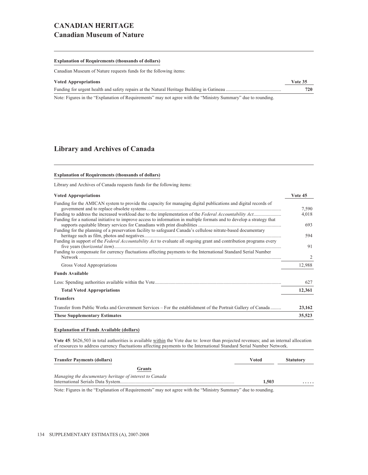### **CANADIAN HERITAGE Canadian Museum of Nature**

#### **Explanation of Requirements (thousands of dollars)**

Canadian Museum of Nature requests funds for the following items:

#### **Voted Appropriations Vote 35**

|                                                                                                               | 720 |
|---------------------------------------------------------------------------------------------------------------|-----|
| Note: Figures in the "Explanation of Requirements" may not agree with the "Ministry Summary" due to rounding. |     |

### **Library and Archives of Canada**

#### **Explanation of Requirements (thousands of dollars)**

Library and Archives of Canada requests funds for the following items:

| <b>Voted Appropriations</b>                                                                                           | Vote 45 |
|-----------------------------------------------------------------------------------------------------------------------|---------|
| Funding for the AMICAN system to provide the capacity for managing digital publications and digital records of        | 7,590   |
|                                                                                                                       | 4,018   |
| Funding for a national initiative to improve access to information in multiple formats and to develop a strategy that | 693     |
| Funding for the planning of a preservation facility to safeguard Canada's cellulose nitrate-based documentary         |         |
|                                                                                                                       | 594     |
| Funding in support of the Federal Accountability Act to evaluate all ongoing grant and contribution programs every    | 91      |
| Funding to compensate for currency fluctuations affecting payments to the International Standard Serial Number        |         |
|                                                                                                                       | 2       |
| Gross Voted Appropriations                                                                                            | 12,988  |
| <b>Funds Available</b>                                                                                                |         |
|                                                                                                                       | 627     |
| <b>Total Voted Appropriations</b>                                                                                     | 12,361  |
| <b>Transfers</b>                                                                                                      |         |
| Transfer from Public Works and Government Services – For the establishment of the Portrait Gallery of Canada          | 23,162  |
| <b>These Supplementary Estimates</b>                                                                                  | 35,523  |

#### **Explanation of Funds Available (dollars)**

**Vote 45**: \$626,503 in total authorities is available within the Vote due to: lower than projected revenues; and an internal allocation of resources to address currency fluctuations affecting payments to the International Standard Serial Number Network.

| <b>Transfer Payments (dollars)</b>                      | Voted | <b>Statutory</b> |
|---------------------------------------------------------|-------|------------------|
| <b>Grants</b>                                           |       |                  |
| Managing the documentary heritage of interest to Canada |       |                  |
|                                                         | 1.503 | .                |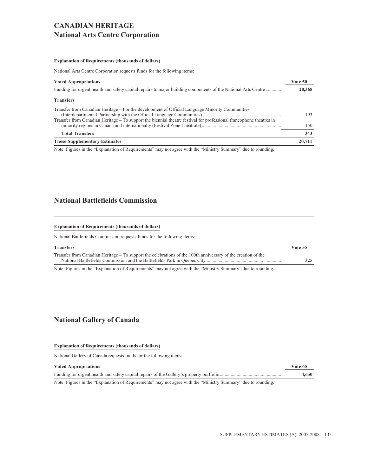### **CANADIAN HERITAGE National Arts Centre Corporation**

#### **Explanation of Requirements (thousands of dollars)**

National Arts Centre Corporation requests funds for the following items:

| <b>Voted Appropriations</b>                                                                                         | Vote 50 |
|---------------------------------------------------------------------------------------------------------------------|---------|
| Funding for urgent health and safety capital repairs to major building components of the National Arts Centre       | 20,368  |
| <b>Transfers</b>                                                                                                    |         |
| Transfer from Canadian Heritage – For the development of Official Language Minority Communities                     | 193     |
| Transfer from Canadian Heritage – To support the biennial theatre festival for professional francophone theatres in | 150     |
| <b>Total Transfers</b>                                                                                              | 343     |
| <b>These Supplementary Estimates</b>                                                                                | 20,711  |

Note: Figures in the "Explanation of Requirements" may not agree with the "Ministry Summary" due to rounding.

### **National Battlefields Commission**

#### **Explanation of Requirements (thousands of dollars)**

National Battlefields Commission requests funds for the following items:

#### **Transfers Vote 55** Transfer from Canadian Heritage – To support the celebrations of the 100th anniversary of the creation of the National Battlefields Commission and the Battlefields Park in Quebec City .............................................................. **325**

Note: Figures in the "Explanation of Requirements" may not agree with the "Ministry Summary" due to rounding.

### **National Gallery of Canada**

#### **Explanation of Requirements (thousands of dollars)**

National Gallery of Canada requests funds for the following items:

#### **Voted Appropriations Vote 65**

| $\mathbf{v}$ oten reppropriations                                                                             | $\cdots$ |
|---------------------------------------------------------------------------------------------------------------|----------|
|                                                                                                               | 4.650    |
| Note: Figures in the "Explanation of Requirements" may not agree with the "Ministry Summary" due to rounding. |          |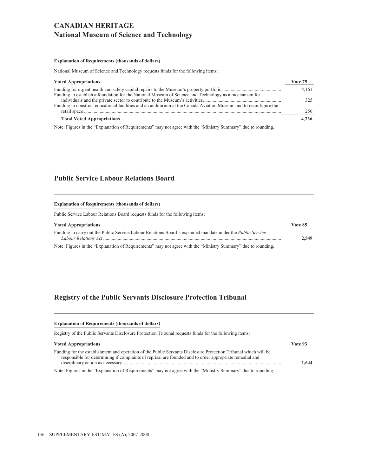### **National Museum of Science and Technology**

#### **Explanation of Requirements (thousands of dollars)**

National Museum of Science and Technology requests funds for the following items:

| <b>Voted Appropriations</b>                                                                                        | <b>Vote 75</b> |
|--------------------------------------------------------------------------------------------------------------------|----------------|
|                                                                                                                    | 4.161          |
| Funding to establish a foundation for the National Museum of Science and Technology as a mechanism for             |                |
|                                                                                                                    | 325            |
| Funding to construct educational facilities and an auditorium at the Canada Aviation Museum and to reconfigure the |                |
|                                                                                                                    | 250            |
| <b>Total Voted Appropriations</b>                                                                                  | 4.736          |

Note: Figures in the "Explanation of Requirements" may not agree with the "Ministry Summary" due to rounding.

### **Public Service Labour Relations Board**

#### **Explanation of Requirements (thousands of dollars)**

Public Service Labour Relations Board requests funds for the following items:

| <b>Voted Appropriations</b>                                                                                       | Vote 85 |
|-------------------------------------------------------------------------------------------------------------------|---------|
| Funding to carry out the Public Service Labour Relations Board's expanded mandate under the <i>Public Service</i> | 2.549   |
|                                                                                                                   |         |

Note: Figures in the "Explanation of Requirements" may not agree with the "Ministry Summary" due to rounding.

### **Registry of the Public Servants Disclosure Protection Tribunal**

#### **Explanation of Requirements (thousands of dollars)**

Registry of the Public Servants Disclosure Protection Tribunal requests funds for the following items:

#### **Voted Appropriations Vote 93**

| Funding for the establishment and operation of the Public Servants Disclosure Protection Tribunal which will be |       |
|-----------------------------------------------------------------------------------------------------------------|-------|
| responsible for determining if complaints of reprisal are founded and to order appropriate remedial and         |       |
|                                                                                                                 | 1.644 |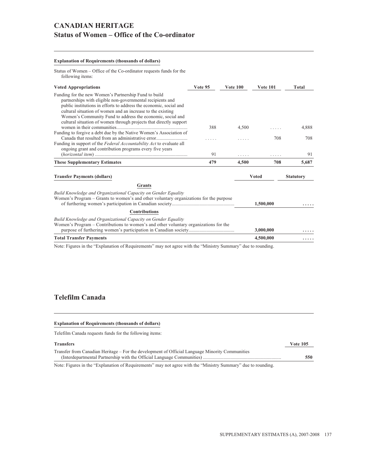### **Status of Women – Office of the Co-ordinator**

#### **Explanation of Requirements (thousands of dollars)**

Status of Women – Office of the Co-ordinator requests funds for the following items:

| <b>Voted Appropriations</b>                                                                                                                                                                                                                                                                                                                                                                  | Vote 95 | <b>Vote 100</b> | <b>Vote 101</b> | Total            |
|----------------------------------------------------------------------------------------------------------------------------------------------------------------------------------------------------------------------------------------------------------------------------------------------------------------------------------------------------------------------------------------------|---------|-----------------|-----------------|------------------|
| Funding for the new Women's Partnership Fund to build<br>partnerships with eligible non-governmental recipients and<br>public institutions in efforts to address the economic, social and<br>cultural situation of women and an increase to the existing<br>Women's Community Fund to address the economic, social and<br>cultural situation of women through projects that directly support |         |                 |                 |                  |
|                                                                                                                                                                                                                                                                                                                                                                                              | 388     | 4,500           |                 | 4,888            |
| Funding to forgive a debt due by the Native Women's Association of<br>Canada that resulted from an administrative error<br>Funding in support of the Federal Accountability Act to evaluate all                                                                                                                                                                                              |         |                 | 708             | 708              |
| ongoing grant and contribution programs every five years                                                                                                                                                                                                                                                                                                                                     | 91      | .               |                 | 91               |
| <b>These Supplementary Estimates</b>                                                                                                                                                                                                                                                                                                                                                         | 479     | 4,500           | 708             | 5,687            |
| <b>Transfer Payments (dollars)</b>                                                                                                                                                                                                                                                                                                                                                           |         |                 | <b>Voted</b>    | <b>Statutory</b> |
| <b>Grants</b>                                                                                                                                                                                                                                                                                                                                                                                |         |                 |                 |                  |
| Build Knowledge and Organizational Capacity on Gender Equality<br>Women's Program – Grants to women's and other voluntary organizations for the purpose                                                                                                                                                                                                                                      |         |                 | 1,500,000       |                  |
| <b>Contributions</b>                                                                                                                                                                                                                                                                                                                                                                         |         |                 |                 |                  |
| Build Knowledge and Organizational Capacity on Gender Equality<br>Women's Program – Contributions to women's and other voluntary organizations for the                                                                                                                                                                                                                                       |         |                 | 3,000,000       |                  |
| <b>Total Transfer Payments</b>                                                                                                                                                                                                                                                                                                                                                               |         |                 | 4,500,000       |                  |
|                                                                                                                                                                                                                                                                                                                                                                                              |         |                 |                 |                  |

Note: Figures in the "Explanation of Requirements" may not agree with the "Ministry Summary" due to rounding.

### **Telefilm Canada**

#### **Explanation of Requirements (thousands of dollars)**

Telefilm Canada requests funds for the following items:

#### **Transfers Vote 105**

| Transfer from Canadian Heritage – For the development of Official Language Minority Communities |     |
|-------------------------------------------------------------------------------------------------|-----|
|                                                                                                 | 550 |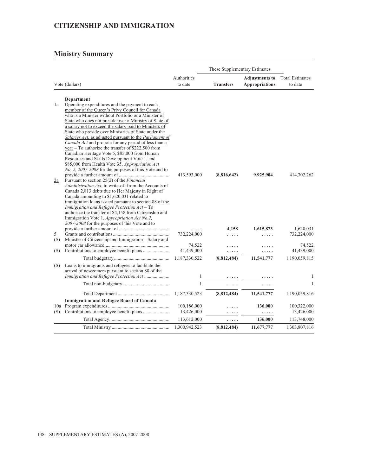### **CITIZENSHIP AND IMMIGRATION**

### **Ministry Summary**

|                |                                                                                                                                                                                                                                                                                                                                                                                                                                                                                                                                                                                                                                                                                                                                                                                                                                                                                                                                                                                                                                                                                                                                                                                                                                           |                           | These Supplementary Estimates |                                                |                                   |
|----------------|-------------------------------------------------------------------------------------------------------------------------------------------------------------------------------------------------------------------------------------------------------------------------------------------------------------------------------------------------------------------------------------------------------------------------------------------------------------------------------------------------------------------------------------------------------------------------------------------------------------------------------------------------------------------------------------------------------------------------------------------------------------------------------------------------------------------------------------------------------------------------------------------------------------------------------------------------------------------------------------------------------------------------------------------------------------------------------------------------------------------------------------------------------------------------------------------------------------------------------------------|---------------------------|-------------------------------|------------------------------------------------|-----------------------------------|
| Vote (dollars) |                                                                                                                                                                                                                                                                                                                                                                                                                                                                                                                                                                                                                                                                                                                                                                                                                                                                                                                                                                                                                                                                                                                                                                                                                                           | Authorities<br>to date    | <b>Transfers</b>              | <b>Adjustments to</b><br><b>Appropriations</b> | <b>Total Estimates</b><br>to date |
| 1a<br>2a       | Department<br>Operating expenditures and the payment to each<br>member of the Queen's Privy Council for Canada<br>who is a Minister without Portfolio or a Minister of<br>State who does not preside over a Ministry of State of<br>a salary not to exceed the salary paid to Ministers of<br>State who preside over Ministries of State under the<br>Salaries Act, as adjusted pursuant to the Parliament of<br><i>Canada Act</i> and pro rata for any period of less than a<br>year $-$ To authorize the transfer of \$222,500 from<br>Canadian Heritage Vote 5, \$85,000 from Human<br>Resources and Skills Development Vote 1, and<br>\$85,000 from Health Vote 35, <i>Appropriation Act</i><br>No. 2, 2007-2008 for the purposes of this Vote and to<br>Pursuant to section 25(2) of the Financial<br>Administration Act, to write-off from the Accounts of<br>Canada 2,813 debts due to Her Majesty in Right of<br>Canada amounting to \$1,620,031 related to<br>immigration loans issued pursuant to section 88 of the<br>Immigration and Refugee Protection $Act - To$<br>authorize the transfer of \$4,158 from Citizenship and<br>Immigration Vote 1, Appropriation Act No.2,<br>2007-2008 for the purposes of this Vote and to | 413,593,000               | (8,816,642)                   | 9,925,904                                      | 414,702,262                       |
| 5<br>(S)       | Minister of Citizenship and Immigration – Salary and                                                                                                                                                                                                                                                                                                                                                                                                                                                                                                                                                                                                                                                                                                                                                                                                                                                                                                                                                                                                                                                                                                                                                                                      | .<br>732,224,000          | 4,158                         | 1,615,873                                      | 1,620,031<br>732,224,000          |
| (S)            |                                                                                                                                                                                                                                                                                                                                                                                                                                                                                                                                                                                                                                                                                                                                                                                                                                                                                                                                                                                                                                                                                                                                                                                                                                           | 74,522<br>41,439,000      |                               | .                                              | 74,522<br>41,439,000              |
|                |                                                                                                                                                                                                                                                                                                                                                                                                                                                                                                                                                                                                                                                                                                                                                                                                                                                                                                                                                                                                                                                                                                                                                                                                                                           | 1,187,330,522             | (8,812,484)                   | 11,541,777                                     | 1,190,059,815                     |
| (S)            | Loans to immigrants and refugees to facilitate the<br>arrival of newcomers pursuant to section 88 of the                                                                                                                                                                                                                                                                                                                                                                                                                                                                                                                                                                                                                                                                                                                                                                                                                                                                                                                                                                                                                                                                                                                                  | 1                         | .                             | .                                              | 1                                 |
|                |                                                                                                                                                                                                                                                                                                                                                                                                                                                                                                                                                                                                                                                                                                                                                                                                                                                                                                                                                                                                                                                                                                                                                                                                                                           | $\mathbf{1}$              | .                             | .                                              | $\mathbf{1}$                      |
|                |                                                                                                                                                                                                                                                                                                                                                                                                                                                                                                                                                                                                                                                                                                                                                                                                                                                                                                                                                                                                                                                                                                                                                                                                                                           | 1,187,330,523             | (8,812,484)                   | 11,541,777                                     | 1,190,059,816                     |
| (S)            | <b>Immigration and Refugee Board of Canada</b>                                                                                                                                                                                                                                                                                                                                                                                                                                                                                                                                                                                                                                                                                                                                                                                                                                                                                                                                                                                                                                                                                                                                                                                            | 100,186,000<br>13,426,000 | .                             | 136,000<br>.                                   | 100,322,000<br>13,426,000         |
|                |                                                                                                                                                                                                                                                                                                                                                                                                                                                                                                                                                                                                                                                                                                                                                                                                                                                                                                                                                                                                                                                                                                                                                                                                                                           | 113,612,000               | .                             | 136,000                                        | 113,748,000                       |
|                |                                                                                                                                                                                                                                                                                                                                                                                                                                                                                                                                                                                                                                                                                                                                                                                                                                                                                                                                                                                                                                                                                                                                                                                                                                           | 1,300,942,523             | (8,812,484)                   | 11,677,777                                     | 1,303,807,816                     |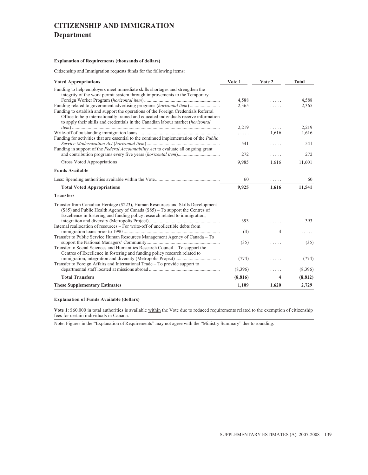## **CITIZENSHIP AND IMMIGRATION Department**

#### **Explanation of Requirements (thousands of dollars)**

Citizenship and Immigration requests funds for the following items:

| <b>Voted Appropriations</b>                                                                                                                                                                                                                                                                                                                                                                                                                                                                        | Vote 1         | Vote 2                  | <b>Total</b>   |
|----------------------------------------------------------------------------------------------------------------------------------------------------------------------------------------------------------------------------------------------------------------------------------------------------------------------------------------------------------------------------------------------------------------------------------------------------------------------------------------------------|----------------|-------------------------|----------------|
| Funding to help employers meet immediate skills shortages and strengthen the<br>integrity of the work permit system through improvements to the Temporary<br>Funding related to government advertising programs (horizontal item)<br>Funding to establish and support the operations of the Foreign Credentials Referral<br>Office to help internationally trained and educated individuals receive information<br>to apply their skills and credentials in the Canadian labour market (horizontal | 4,588<br>2,365 | .                       | 4,588<br>2,365 |
| Funding for activities that are essential to the continued implementation of the <i>Public</i>                                                                                                                                                                                                                                                                                                                                                                                                     | 2,219<br>.     | .<br>1,616              | 2,219<br>1,616 |
| Funding in support of the Federal Accountability Act to evaluate all ongoing grant                                                                                                                                                                                                                                                                                                                                                                                                                 | 541            | .                       | 541            |
|                                                                                                                                                                                                                                                                                                                                                                                                                                                                                                    | 272            | .                       | 272            |
| Gross Voted Appropriations                                                                                                                                                                                                                                                                                                                                                                                                                                                                         | 9,985          | 1,616                   | 11,601         |
| <b>Funds Available</b>                                                                                                                                                                                                                                                                                                                                                                                                                                                                             |                |                         |                |
|                                                                                                                                                                                                                                                                                                                                                                                                                                                                                                    | 60             | .                       | 60             |
| <b>Total Voted Appropriations</b>                                                                                                                                                                                                                                                                                                                                                                                                                                                                  | 9,925          | 1,616                   | 11,541         |
| <b>Transfers</b>                                                                                                                                                                                                                                                                                                                                                                                                                                                                                   |                |                         |                |
| Transfer from Canadian Heritage (\$223), Human Resources and Skills Development<br>$(\$85)$ and Public Health Agency of Canada $(\$85)$ – To support the Centres of<br>Excellence in fostering and funding policy research related to immigration,                                                                                                                                                                                                                                                 | 393            | .                       | 393            |
| Internal reallocation of resources – For write-off of uncollectible debts from                                                                                                                                                                                                                                                                                                                                                                                                                     | (4)            | $\overline{4}$          |                |
| Transfer to Public Service Human Resources Management Agency of Canada - To<br>Transfer to Social Sciences and Humanities Research Council – To support the                                                                                                                                                                                                                                                                                                                                        | (35)           | $\cdots$                | (35)           |
| Centres of Excellence in fostering and funding policy research related to<br>Transfer to Foreign Affairs and International Trade – To provide support to                                                                                                                                                                                                                                                                                                                                           | (774)          | .                       | (774)          |
|                                                                                                                                                                                                                                                                                                                                                                                                                                                                                                    | (8,396)        | .                       | (8,396)        |
| <b>Total Transfers</b>                                                                                                                                                                                                                                                                                                                                                                                                                                                                             | (8, 816)       | $\overline{\mathbf{4}}$ | (8, 812)       |
| <b>These Supplementary Estimates</b>                                                                                                                                                                                                                                                                                                                                                                                                                                                               | 1,109          | 1,620                   | 2,729          |

#### **Explanation of Funds Available (dollars)**

Vote 1: \$60,000 in total authorities is available within the Vote due to reduced requirements related to the exemption of citizenship fees for certain individuals in Canada.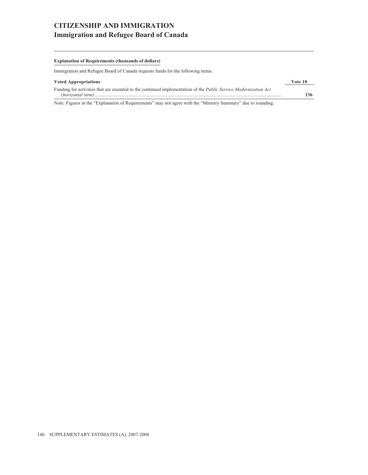# **CITIZENSHIP AND IMMIGRATION Immigration and Refugee Board of Canada**

#### **Explanation of Requirements (thousands of dollars)**

Immigration and Refugee Board of Canada requests funds for the following items:

#### **Voted Appropriations Vote 10**

| Funding for activities that are essential to the continued implementation of the <i>Public Service Modernization Act</i> |     |
|--------------------------------------------------------------------------------------------------------------------------|-----|
|                                                                                                                          | 136 |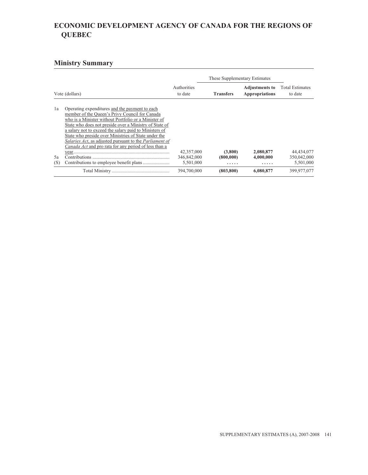### **ECONOMIC DEVELOPMENT AGENCY OF CANADA FOR THE REGIONS OF QUEBEC**

### **Ministry Summary**

|                 |                                                                                                                                                                                                                                                                                                                                                                                                                                                                                           |                                        | These Supplementary Estimates |                                         |                                        |
|-----------------|-------------------------------------------------------------------------------------------------------------------------------------------------------------------------------------------------------------------------------------------------------------------------------------------------------------------------------------------------------------------------------------------------------------------------------------------------------------------------------------------|----------------------------------------|-------------------------------|-----------------------------------------|----------------------------------------|
| Vote (dollars)  |                                                                                                                                                                                                                                                                                                                                                                                                                                                                                           | Authorities<br>to date                 | <b>Transfers</b>              | <b>Adjustments to</b><br>Appropriations | <b>Total Estimates</b><br>to date      |
| 1a<br>5a<br>(S) | Operating expenditures and the payment to each<br>member of the Queen's Privy Council for Canada<br>who is a Minister without Portfolio or a Minister of<br>State who does not preside over a Ministry of State of<br>a salary not to exceed the salary paid to Ministers of<br>State who preside over Ministries of State under the<br><i>Salaries Act</i> , as adjusted pursuant to the <i>Parliament of</i><br>Canada Act and pro rata for any period of less than a<br>Contributions. | 42,357,000<br>346,842,000<br>5.501.000 | (3,800)<br>(800,000)<br>.     | 2,080,877<br>4,000,000<br>.             | 44,434,077<br>350,042,000<br>5,501,000 |
|                 |                                                                                                                                                                                                                                                                                                                                                                                                                                                                                           | 394,700,000                            | (803, 800)                    | 6,080,877                               | 399,977,077                            |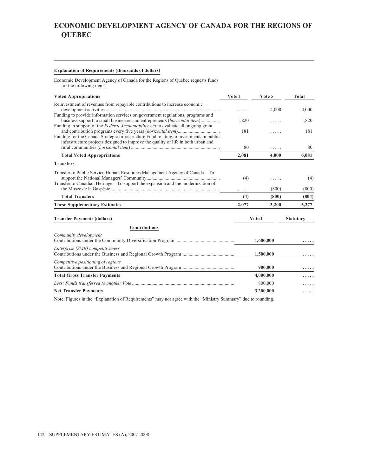### **ECONOMIC DEVELOPMENT AGENCY OF CANADA FOR THE REGIONS OF QUEBEC**

#### **Explanation of Requirements (thousands of dollars)**

Economic Development Agency of Canada for the Regions of Quebec requests funds for the following items:

| <b>Voted Appropriations</b>                                                                                                                                                  | Vote 1 | Vote 5       | Total            |
|------------------------------------------------------------------------------------------------------------------------------------------------------------------------------|--------|--------------|------------------|
| Reinvestment of revenues from repayable contributions to increase economic                                                                                                   | .      | 4,000        | 4,000            |
| Funding to provide information services on government regulations, programs and<br>business support to small businesses and entrepreneurs <i>(horizontal item)</i>           | 1,820  | .            | 1,820            |
| Funding in support of the Federal Accountability Act to evaluate all ongoing grant<br>Funding for the Canada Strategic Infrastructure Fund relating to investments in public | 181    | .            | 181              |
| infrastructure projects designed to improve the quality of life in both urban and                                                                                            | 80     | .            | 80               |
| <b>Total Voted Appropriations</b>                                                                                                                                            | 2,081  | 4.000        | 6,081            |
| <b>Transfers</b>                                                                                                                                                             |        |              |                  |
| Transfer to Public Service Human Resources Management Agency of Canada – To<br>Transfer to Canadian Heritage - To support the expansion and the modernization of             | (4)    |              | (4)              |
|                                                                                                                                                                              | .      | (800)        | (800)            |
| <b>Total Transfers</b>                                                                                                                                                       | (4)    | (800)        | (804)            |
| <b>These Supplementary Estimates</b>                                                                                                                                         | 2,077  | 3,200        | 5,277            |
| <b>Transfer Payments (dollars)</b>                                                                                                                                           |        | <b>Voted</b> | <b>Statutory</b> |
| <b>Contributions</b>                                                                                                                                                         |        |              |                  |
| Community development                                                                                                                                                        |        | 1,600,000    |                  |
| Enterprise (SME) competitiveness                                                                                                                                             |        | 1,500,000    |                  |
| Competitive positioning of regions                                                                                                                                           |        | 900,000      |                  |
| <b>Total Gross Transfer Payments</b>                                                                                                                                         |        | 4,000,000    |                  |
|                                                                                                                                                                              |        | 800,000      |                  |
| <b>Net Transfer Payments</b>                                                                                                                                                 |        | 3,200,000    | .                |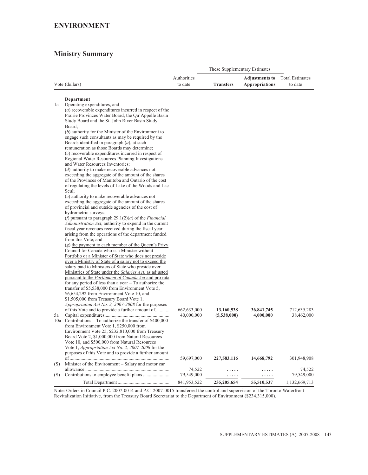### **Ministry Summary**

|     |                                                                                                                                                                                                                                                                                                                                                                                                                                                                                                                                                                                                                                                                                                                                                                                                                                                                                                                                                                                                                                                                                                                                                                                                                                                                                                                                                                                                                                                                                                                                                                                                                                                                                                       |                           | These Supplementary Estimates |                                                |                                   |  |  |
|-----|-------------------------------------------------------------------------------------------------------------------------------------------------------------------------------------------------------------------------------------------------------------------------------------------------------------------------------------------------------------------------------------------------------------------------------------------------------------------------------------------------------------------------------------------------------------------------------------------------------------------------------------------------------------------------------------------------------------------------------------------------------------------------------------------------------------------------------------------------------------------------------------------------------------------------------------------------------------------------------------------------------------------------------------------------------------------------------------------------------------------------------------------------------------------------------------------------------------------------------------------------------------------------------------------------------------------------------------------------------------------------------------------------------------------------------------------------------------------------------------------------------------------------------------------------------------------------------------------------------------------------------------------------------------------------------------------------------|---------------------------|-------------------------------|------------------------------------------------|-----------------------------------|--|--|
|     | Vote (dollars)                                                                                                                                                                                                                                                                                                                                                                                                                                                                                                                                                                                                                                                                                                                                                                                                                                                                                                                                                                                                                                                                                                                                                                                                                                                                                                                                                                                                                                                                                                                                                                                                                                                                                        | Authorities<br>to date    | <b>Transfers</b>              | <b>Adjustments to</b><br><b>Appropriations</b> | <b>Total Estimates</b><br>to date |  |  |
|     | Department                                                                                                                                                                                                                                                                                                                                                                                                                                                                                                                                                                                                                                                                                                                                                                                                                                                                                                                                                                                                                                                                                                                                                                                                                                                                                                                                                                                                                                                                                                                                                                                                                                                                                            |                           |                               |                                                |                                   |  |  |
| 1a  | Operating expenditures, and<br>(a) recoverable expenditures incurred in respect of the<br>Prairie Provinces Water Board, the Qu'Appelle Basin<br>Study Board and the St. John River Basin Study<br>Board:<br>$(b)$ authority for the Minister of the Environment to<br>engage such consultants as may be required by the<br>Boards identified in paragraph $(a)$ , at such<br>remuneration as those Boards may determine;<br>$(c)$ recoverable expenditures incurred in respect of<br>Regional Water Resources Planning Investigations<br>and Water Resources Inventories;<br>$(d)$ authority to make recoverable advances not<br>exceeding the aggregate of the amount of the shares<br>of the Provinces of Manitoba and Ontario of the cost<br>of regulating the levels of Lake of the Woods and Lac<br>Seul;<br>(e) authority to make recoverable advances not<br>exceeding the aggregate of the amount of the shares<br>of provincial and outside agencies of the cost of<br>hydrometric surveys;<br>( <i>f</i> ) pursuant to paragraph 29.1(2)( <i>a</i> ) of the <i>Financial</i><br>Administration Act, authority to expend in the current<br>fiscal year revenues received during the fiscal year<br>arising from the operations of the department funded<br>from this Vote; and<br>$(g)$ the payment to each member of the Queen's Privy<br>Council for Canada who is a Minister without<br>Portfolio or a Minister of State who does not preside<br>over a Ministry of State of a salary not to exceed the<br>salary paid to Ministers of State who preside over<br>Ministries of State under the Salaries Act, as adjusted<br>pursuant to the <i>Parliament of Canada Act</i> and pro rata |                           |                               |                                                |                                   |  |  |
|     | for any period of less than a year $-$ To authorize the<br>transfer of \$5,538,000 from Environment Vote 5,<br>\$6,654,292 from Environment Vote 10, and<br>\$1,505,000 from Treasury Board Vote 1,<br>Appropriation Act No. 2, 2007-2008 for the purposes<br>of this Vote and to provide a further amount of                                                                                                                                                                                                                                                                                                                                                                                                                                                                                                                                                                                                                                                                                                                                                                                                                                                                                                                                                                                                                                                                                                                                                                                                                                                                                                                                                                                         | 662,633,000               | 13,160,538                    | 36,841,745                                     | 712,635,283                       |  |  |
| 5a  | 10a Contributions – To authorize the transfer of \$400,000<br>from Environment Vote 1, \$250,000 from<br>Environment Vote 25, \$232,810,000 from Treasury<br>Board Vote 2, \$1,000,000 from Natural Resources<br>Vote 10, and \$500,000 from Natural Resources<br>Vote 1, <i>Appropriation Act No. 2, 2007-2008</i> for the<br>purposes of this Vote and to provide a further amount                                                                                                                                                                                                                                                                                                                                                                                                                                                                                                                                                                                                                                                                                                                                                                                                                                                                                                                                                                                                                                                                                                                                                                                                                                                                                                                  | 40,000,000                | (5,538,000)                   | 4,000,000                                      | 38,462,000                        |  |  |
|     | Minister of the Environment - Salary and motor car                                                                                                                                                                                                                                                                                                                                                                                                                                                                                                                                                                                                                                                                                                                                                                                                                                                                                                                                                                                                                                                                                                                                                                                                                                                                                                                                                                                                                                                                                                                                                                                                                                                    | 59,697,000                | 227,583,116                   | 14,668,792                                     | 301,948,908                       |  |  |
| (S) |                                                                                                                                                                                                                                                                                                                                                                                                                                                                                                                                                                                                                                                                                                                                                                                                                                                                                                                                                                                                                                                                                                                                                                                                                                                                                                                                                                                                                                                                                                                                                                                                                                                                                                       | 74,522                    |                               |                                                | 74,522                            |  |  |
| (S) |                                                                                                                                                                                                                                                                                                                                                                                                                                                                                                                                                                                                                                                                                                                                                                                                                                                                                                                                                                                                                                                                                                                                                                                                                                                                                                                                                                                                                                                                                                                                                                                                                                                                                                       | 79,549,000<br>841,953,522 | 235, 205, 654                 | 55,510,537                                     | 79,549,000<br>1,132,669,713       |  |  |

Note: Orders in Council P.C. 2007-0014 and P.C. 2007-0015 transferred the control and supervision of the Toronto Waterfront Revitalization Initiative, from the Treasury Board Secretariat to the Department of Environment (\$234,315,000).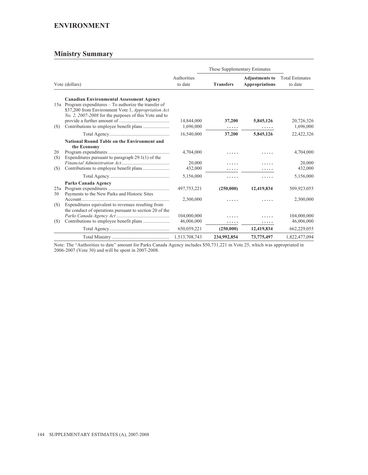### **ENVIRONMENT**

### **Ministry Summary**

|                |                                                                                                                                                                                                                                                                       |                         | These Supplementary Estimates |                                                | <b>Total Estimates</b><br>to date |
|----------------|-----------------------------------------------------------------------------------------------------------------------------------------------------------------------------------------------------------------------------------------------------------------------|-------------------------|-------------------------------|------------------------------------------------|-----------------------------------|
| Vote (dollars) |                                                                                                                                                                                                                                                                       | Authorities<br>to date  | <b>Transfers</b>              | <b>Adjustments to</b><br><b>Appropriations</b> |                                   |
| (S)            | <b>Canadian Environmental Assessment Agency</b><br>15a Program expenditures - To authorize the transfer of<br>\$37,200 from Environment Vote 1, Appropriation Act<br>No. 2, 2007-2008 for the purposes of this Vote and to<br>Contributions to employee benefit plans | 14,844,000<br>1.696.000 | 37,200<br>.                   | 5,845,126<br>.                                 | 20,726,326<br>1,696,000           |
|                |                                                                                                                                                                                                                                                                       | 16,540,000              | 37,200                        | 5,845,126                                      | 22,422,326                        |
|                | <b>National Round Table on the Environment and</b><br>the Economy                                                                                                                                                                                                     |                         |                               |                                                |                                   |
| 20<br>(S)      | Expenditures pursuant to paragraph $29.1(1)$ of the                                                                                                                                                                                                                   | 4,704,000               |                               |                                                | 4,704,000                         |
|                |                                                                                                                                                                                                                                                                       | 20,000                  |                               |                                                | 20,000                            |
| (S)            |                                                                                                                                                                                                                                                                       | 432,000                 |                               |                                                | 432,000                           |
|                |                                                                                                                                                                                                                                                                       | 5,156,000               | .                             | .                                              | 5,156,000                         |
| 25a<br>30      | Parks Canada Agency<br>Payments to the New Parks and Historic Sites                                                                                                                                                                                                   | 497,753,221             | (250,000)                     | 12,419,834                                     | 509,923,055                       |
| (S)            | Expenditures equivalent to revenues resulting from<br>the conduct of operations pursuant to section 20 of the                                                                                                                                                         | 2,300,000               |                               |                                                | 2,300,000                         |
|                |                                                                                                                                                                                                                                                                       | 104,000,000             |                               |                                                | 104,000,000                       |
| (S)            | Contributions to employee benefit plans                                                                                                                                                                                                                               | 46,006,000              | .                             | .                                              | 46,006,000                        |
|                |                                                                                                                                                                                                                                                                       | 650,059,221             | (250,000)                     | 12,419,834                                     | 662,229,055                       |
|                |                                                                                                                                                                                                                                                                       | 1,513,708,743           | 234,992,854                   | 73,775,497                                     | 1,822,477,094                     |

Note: The "Authorities to date" amount for Parks Canada Agency includes \$50,731,221 in Vote 25, which was appropriated in 2006-2007 (Vote 30) and will be spent in 2007-2008.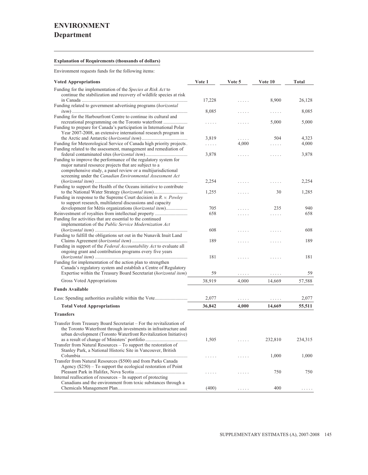### **ENVIRONMENT Department**

#### **Explanation of Requirements (thousands of dollars)**

Environment requests funds for the following items:

| <b>Voted Appropriations</b>                                                                                                              | Vote 1 | Vote 5 | Vote 10    | <b>Total</b> |
|------------------------------------------------------------------------------------------------------------------------------------------|--------|--------|------------|--------------|
| Funding for the implementation of the Species at Risk Act to                                                                             |        |        |            |              |
| continue the stabilization and recovery of wildlife species at risk                                                                      |        |        |            |              |
|                                                                                                                                          | 17,228 |        | 8,900      | 26,128       |
| Funding related to government advertising programs (horizontal                                                                           |        |        |            |              |
|                                                                                                                                          | 8,085  |        | $\ldots$ . | 8,085        |
| Funding for the Harbourfront Centre to continue its cultural and                                                                         |        |        |            |              |
|                                                                                                                                          | .      | .      | 5,000      | 5,000        |
| Funding to prepare for Canada's participation in International Polar                                                                     |        |        |            |              |
| Year 2007-2008, an extensive international research program in                                                                           |        |        |            |              |
|                                                                                                                                          | 3,819  | .      | 504        | 4,323        |
| Funding for Meteorological Service of Canada high priority projects.<br>Funding related to the assessment, management and remediation of | .      | 4,000  | $\ldots$ . | 4,000        |
|                                                                                                                                          | 3,878  |        |            | 3,878        |
| Funding to improve the performance of the regulatory system for                                                                          |        | .      | .          |              |
| major natural resource projects that are subject to a                                                                                    |        |        |            |              |
| comprehensive study, a panel review or a multijurisdictional                                                                             |        |        |            |              |
| screening under the Canadian Environmental Assessment Act                                                                                |        |        |            |              |
|                                                                                                                                          | 2,254  |        |            | 2,254        |
| Funding to support the Health of the Oceans initiative to contribute                                                                     |        |        |            |              |
| to the National Water Strategy (horizontal item)                                                                                         | 1,255  | .      | 30         | 1,285        |
| Funding in response to the Supreme Court decision in $R$ . $v$ . Powley                                                                  |        |        |            |              |
| to support research, multilateral discussions and capacity                                                                               |        |        |            |              |
| development for Métis organizations (horizontal item)                                                                                    | 705    | .      | 235        | 940          |
|                                                                                                                                          | 658    | .      | $\ldots$ . | 658          |
| Funding for activities that are essential to the continued                                                                               |        |        |            |              |
| implementation of the Public Service Modernization Act                                                                                   |        |        |            |              |
|                                                                                                                                          | 608    | .      | $\cdots$   | 608          |
| Funding to fulfill the obligations set out in the Nunavik Inuit Land                                                                     |        |        |            |              |
|                                                                                                                                          | 189    | .      | .          | 189          |
| Funding in support of the Federal Accountability Act to evaluate all                                                                     |        |        |            |              |
| ongoing grant and contribution programs every five years                                                                                 |        |        |            |              |
|                                                                                                                                          | 181    |        | $\cdots$   | 181          |
| Funding for implementation of the action plan to strengthen                                                                              |        |        |            |              |
| Canada's regulatory system and establish a Centre of Regulatory                                                                          |        |        |            |              |
| Expertise within the Treasury Board Secretariat (horizontal item)                                                                        | 59     | .      | .          | 59           |
| Gross Voted Appropriations                                                                                                               | 38,919 | 4,000  | 14,669     | 57,588       |
| <b>Funds Available</b>                                                                                                                   |        |        |            |              |
| Less: Spending authorities available within the Vote                                                                                     | 2,077  | .      | .          | 2,077        |
| <b>Total Voted Appropriations</b>                                                                                                        | 36,842 | 4,000  | 14,669     | 55,511       |
| <b>Transfers</b>                                                                                                                         |        |        |            |              |
|                                                                                                                                          |        |        |            |              |
| Transfer from Treasury Board Secretariat – For the revitalization of                                                                     |        |        |            |              |
| the Toronto Waterfront through investments in infrastructure and                                                                         |        |        |            |              |
| urban development (Toronto Waterfront Revitalization Initiative)                                                                         | 1,505  |        | 232,810    | 234,315      |
| Transfer from Natural Resources - To support the restoration of                                                                          |        |        |            |              |
| Stanley Park, a National Historic Site in Vancouver, British                                                                             |        |        |            |              |
|                                                                                                                                          |        |        | 1,000      | 1,000        |
| Transfer from Natural Resources (\$500) and from Parks Canada                                                                            |        |        |            |              |
| Agency $(\$250)$ – To support the ecological restoration of Point                                                                        |        |        |            |              |
|                                                                                                                                          |        |        | 750        | 750          |
| Internal reallocation of resources – In support of protecting                                                                            |        |        |            |              |
| Canadians and the environment from toxic substances through a                                                                            |        |        |            |              |
|                                                                                                                                          | (400)  |        | 400        |              |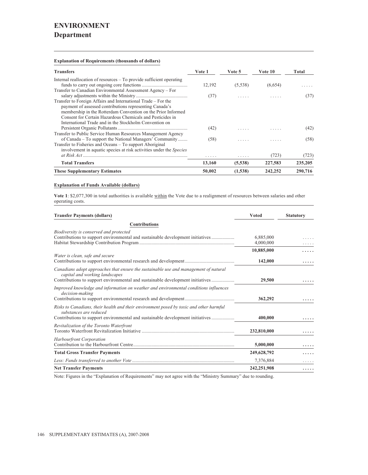# **ENVIRONMENT**

### **Department**

#### **Explanation of Requirements (thousands of dollars)**

| <b>Transfers</b>                                                           | Vote 1 | Vote 5  | Vote 10 | Total   |
|----------------------------------------------------------------------------|--------|---------|---------|---------|
| Internal reallocation of resources – To provide sufficient operating       |        |         |         |         |
|                                                                            | 12.192 | (5,538) | (6,654) |         |
| Transfer to Canadian Environmental Assessment Agency – For                 |        |         |         |         |
|                                                                            | (37)   |         |         | (37)    |
| Transfer to Foreign Affairs and International Trade – For the              |        |         |         |         |
| payment of assessed contributions representing Canada's                    |        |         |         |         |
| membership in the Rotterdam Convention on the Prior Informed               |        |         |         |         |
| Consent for Certain Hazardous Chemicals and Pesticides in                  |        |         |         |         |
| International Trade and in the Stockholm Convention on                     |        |         |         |         |
|                                                                            | (42)   |         |         | (42)    |
| Transfer to Public Service Human Resources Management Agency               |        |         |         |         |
| of Canada – To support the National Managers' Community                    | (58)   |         | .       | (58)    |
| Transfer to Fisheries and Oceans – To support Aboriginal                   |        |         |         |         |
| involvement in aquatic species at risk activities under the <i>Species</i> |        |         |         |         |
|                                                                            | .      |         | (723)   | (723)   |
| <b>Total Transfers</b>                                                     | 13,160 | (5,538) | 227,583 | 235,205 |
| <b>These Supplementary Estimates</b>                                       | 50,002 | (1,538) | 242,252 | 290,716 |

#### **Explanation of Funds Available (dollars)**

Vote 1: \$2,077,300 in total authorities is available within the Vote due to a realignment of resources between salaries and other operating costs.

| <b>Transfer Payments (dollars)</b>                                                                                     | <b>Voted</b> | <b>Statutory</b> |
|------------------------------------------------------------------------------------------------------------------------|--------------|------------------|
| <b>Contributions</b>                                                                                                   |              |                  |
| Biodiversity is conserved and protected                                                                                |              |                  |
| Contributions to support environmental and sustainable development initiatives                                         | 6,885,000    |                  |
|                                                                                                                        | 4,000,000    |                  |
|                                                                                                                        | 10,885,000   |                  |
| Water is clean, safe and secure                                                                                        |              |                  |
|                                                                                                                        | 142,000      |                  |
| Canadians adopt approaches that ensure the sustainable use and management of natural<br>capital and working landscapes |              |                  |
| Contributions to support environmental and sustainable development initiatives                                         | 29,500       |                  |
| Improved knowledge and information on weather and environmental conditions influences<br>decision-making               |              |                  |
|                                                                                                                        | 362,292      |                  |
| Risks to Canadians, their health and their environment posed by toxic and other harmful<br>substances are reduced      |              |                  |
| Contributions to support environmental and sustainable development initiatives                                         | 400,000      |                  |
| Revitalization of the Toronto Waterfront                                                                               |              |                  |
|                                                                                                                        | 232,810,000  | .                |
| <b>Harbourfront Corporation</b>                                                                                        |              |                  |
|                                                                                                                        | 5,000,000    |                  |
| <b>Total Gross Transfer Payments</b>                                                                                   | 249,628,792  |                  |
|                                                                                                                        | 7,376,884    |                  |
| <b>Net Transfer Payments</b>                                                                                           | 242,251,908  | .                |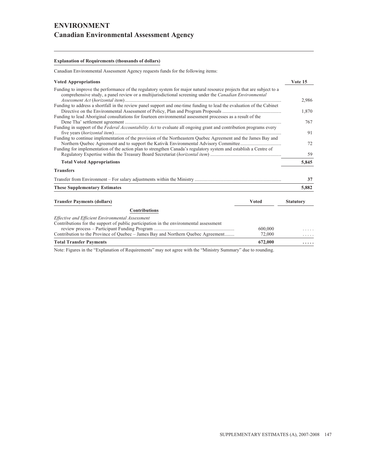### **ENVIRONMENT Canadian Environmental Assessment Agency**

#### **Explanation of Requirements (thousands of dollars)**

Canadian Environmental Assessment Agency requests funds for the following items:

| <b>Voted Appropriations</b>                                                                                                                                                                                                          |                   | Vote 15          |  |                                                                                                                           |
|--------------------------------------------------------------------------------------------------------------------------------------------------------------------------------------------------------------------------------------|-------------------|------------------|--|---------------------------------------------------------------------------------------------------------------------------|
| Funding to improve the performance of the regulatory system for major natural resource projects that are subject to a<br>comprehensive study, a panel review or a multijurisdictional screening under the Canadian Environmental     |                   | 2,986            |  |                                                                                                                           |
| Funding to address a shortfall in the review panel support and one-time funding to lead the evaluation of the Cabinet<br>Funding to lead Aboriginal consultations for fourteen environmental assessment processes as a result of the |                   |                  |  |                                                                                                                           |
|                                                                                                                                                                                                                                      |                   |                  |  | Funding in support of the <i>Federal Accountability Act</i> to evaluate all ongoing grant and contribution programs every |
| Funding to continue implementation of the provision of the Northeastern Quebec Agreement and the James Bay and                                                                                                                       |                   |                  |  |                                                                                                                           |
| Funding for implementation of the action plan to strengthen Canada's regulatory system and establish a Centre of                                                                                                                     |                   |                  |  |                                                                                                                           |
|                                                                                                                                                                                                                                      |                   |                  |  |                                                                                                                           |
| <b>Total Voted Appropriations</b>                                                                                                                                                                                                    |                   | 5,845            |  |                                                                                                                           |
| <b>Transfers</b>                                                                                                                                                                                                                     |                   |                  |  |                                                                                                                           |
|                                                                                                                                                                                                                                      |                   | 37               |  |                                                                                                                           |
| <b>These Supplementary Estimates</b>                                                                                                                                                                                                 |                   | 5,882            |  |                                                                                                                           |
| <b>Transfer Payments (dollars)</b>                                                                                                                                                                                                   | <b>Voted</b>      | <b>Statutory</b> |  |                                                                                                                           |
| <b>Contributions</b>                                                                                                                                                                                                                 |                   |                  |  |                                                                                                                           |
| Effective and Efficient Environmental Assessment                                                                                                                                                                                     |                   |                  |  |                                                                                                                           |
| Contributions for the support of public participation in the environmental assessment                                                                                                                                                |                   |                  |  |                                                                                                                           |
| Contribution to the Province of Quebec - James Bay and Northern Quebec Agreement                                                                                                                                                     | 600,000<br>72,000 |                  |  |                                                                                                                           |
| <b>Total Transfer Payments</b>                                                                                                                                                                                                       | 672,000           | .                |  |                                                                                                                           |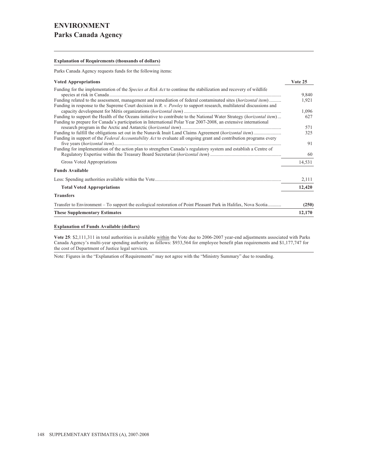#### **Explanation of Requirements (thousands of dollars)**

Parks Canada Agency requests funds for the following items:

| <b>Voted Appropriations</b>                                                                                                                                                                                                            | Vote 25 |
|----------------------------------------------------------------------------------------------------------------------------------------------------------------------------------------------------------------------------------------|---------|
| Funding for the implementation of the <i>Species at Risk Act</i> to continue the stabilization and recovery of wildlife                                                                                                                | 9,840   |
| Funding related to the assessment, management and remediation of federal contaminated sites (horizontal item)<br>Funding in response to the Supreme Court decision in $R. v.$ Powley to support research, multilateral discussions and | 1,921   |
|                                                                                                                                                                                                                                        | 1,096   |
| Funding to support the Health of the Oceans initiative to contribute to the National Water Strategy (horizontal item)                                                                                                                  | 627     |
| Funding to prepare for Canada's participation in International Polar Year 2007-2008, an extensive international                                                                                                                        | 571     |
|                                                                                                                                                                                                                                        | 325     |
| Funding in support of the Federal Accountability Act to evaluate all ongoing grant and contribution programs every                                                                                                                     | 91      |
| Funding for implementation of the action plan to strengthen Canada's regulatory system and establish a Centre of                                                                                                                       | 60      |
| Gross Voted Appropriations                                                                                                                                                                                                             | 14,531  |
| <b>Funds Available</b>                                                                                                                                                                                                                 |         |
|                                                                                                                                                                                                                                        | 2,111   |
| <b>Total Voted Appropriations</b>                                                                                                                                                                                                      | 12,420  |
| <b>Transfers</b>                                                                                                                                                                                                                       |         |
| Transfer to Environment – To support the ecological restoration of Point Pleasant Park in Halifax, Nova Scotia                                                                                                                         | (250)   |
| <b>These Supplementary Estimates</b>                                                                                                                                                                                                   | 12,170  |

#### **Explanation of Funds Available (dollars)**

**Vote 25**: \$2,111,311 in total authorities is available within the Vote due to 2006-2007 year-end adjustments associated with Parks Canada Agency's multi-year spending authority as follows: \$933,564 for employee benefit plan requirements and \$1,177,747 for the cost of Department of Justice legal services.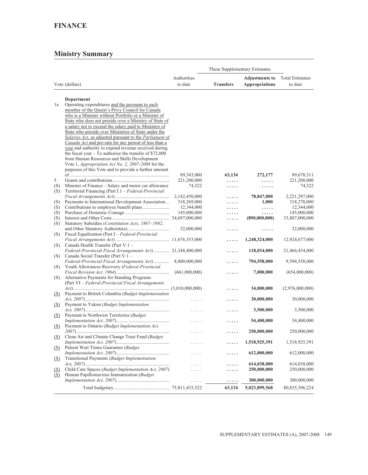# **Ministry Summary**

|            |                                                                                                                | Authorities   | These Supplementary Estimates | <b>Adjustments to</b> | <b>Total Estimates</b> |
|------------|----------------------------------------------------------------------------------------------------------------|---------------|-------------------------------|-----------------------|------------------------|
|            | Vote (dollars)                                                                                                 | to date       | <b>Transfers</b>              | <b>Appropriations</b> | to date                |
|            |                                                                                                                |               |                               |                       |                        |
|            | Department                                                                                                     |               |                               |                       |                        |
| 1a         | Operating expenditures and the payment to each                                                                 |               |                               |                       |                        |
|            | member of the Queen's Privy Council for Canada                                                                 |               |                               |                       |                        |
|            | who is a Minister without Portfolio or a Minister of                                                           |               |                               |                       |                        |
|            | State who does not preside over a Ministry of State of                                                         |               |                               |                       |                        |
|            | a salary not to exceed the salary paid to Ministers of<br>State who preside over Ministries of State under the |               |                               |                       |                        |
|            | Salaries Act, as adjusted pursuant to the Parliament of                                                        |               |                               |                       |                        |
|            | Canada Act and pro rata for any period of less than a                                                          |               |                               |                       |                        |
|            | year and authority to expend revenue received during                                                           |               |                               |                       |                        |
|            | the fiscal year $-$ To authorize the transfer of \$72,000                                                      |               |                               |                       |                        |
|            | from Human Resources and Skills Development                                                                    |               |                               |                       |                        |
|            | Vote 1, Appropriation Act No. 2, 2007-2008 for the                                                             |               |                               |                       |                        |
|            | purposes of this Vote and to provide a further amount                                                          |               |                               |                       |                        |
|            |                                                                                                                | 89, 343, 000  | 63,134                        | 272,177               | 89,678,311             |
| 5          |                                                                                                                | 221,200,000   | .                             |                       | 221,200,000            |
| (S)        | Minister of Finance - Salary and motor car allowance                                                           | 74,522        | .                             | .                     | 74,522                 |
| (S)        | Territorial Financing (Part I.1 - Federal-Provincial                                                           |               |                               |                       |                        |
|            |                                                                                                                | 2,142,450,000 |                               | 78,847,000            | 2,221,297,000          |
| (S)        | Payments to International Development Association                                                              | 318,269,000   |                               | 1,000                 | 318,270,000            |
| (S)        |                                                                                                                | 12,344,000    | .                             | .                     | 12,344,000             |
| (S)        |                                                                                                                | 145,000,000   | .                             | .                     | 145,000,000            |
| (S)        |                                                                                                                |               | .                             | (890,000,000)         | 33,807,000,000         |
| (S)        | Statutory Subsidies (Constitution Acts, 1867-1982,                                                             |               |                               |                       |                        |
|            |                                                                                                                | 32,000,000    | .                             |                       | 32,000,000             |
| (S)        | Fiscal Equalization (Part I - Federal-Provincial                                                               |               |                               |                       |                        |
|            |                                                                                                                |               | .                             | 1,248,324,000         | 12,924,677,000         |
| (S)        | Canada Health Transfer (Part V.1 -                                                                             |               |                               |                       |                        |
|            | Federal-Provincial Fiscal Arrangements Act)  21,348,400,000                                                    |               |                               | 118,034,000           | 21,466,434,000         |
| (S)        | Canada Social Transfer (Part V.1 -<br>Federal-Provincial Fiscal Arrangements Act)                              | 8,800,000,000 |                               | 794,558,000           |                        |
| (S)        | Youth Allowances Recovery (Federal-Provincial                                                                  |               |                               |                       | 9,594,558,000          |
|            |                                                                                                                | (661,000,000) |                               | 7,000,000             | (654,000,000)          |
| (S)        | Alternative Payments for Standing Programs                                                                     |               |                               |                       |                        |
|            | (Part VI – Federal-Provincial Fiscal Arrangements                                                              |               |                               |                       |                        |
|            |                                                                                                                |               |                               | 34,000,000            | (2,976,000,000)        |
|            | (S) Payment to British Columbia (Budget Implementation                                                         |               |                               |                       |                        |
|            |                                                                                                                |               |                               | 30,000,000            | 30,000,000             |
| (S)        | Payment to Yukon (Budget Implementation                                                                        |               |                               |                       |                        |
|            |                                                                                                                |               |                               | 3,500,000             | 3,500,000              |
| (S)        | Payment to Northwest Territories (Budget                                                                       |               |                               |                       |                        |
|            |                                                                                                                | .             |                               | 54,400,000            | 54,400,000             |
| <u>(S)</u> | Payment to Ontario (Budget Implementation Act,                                                                 |               |                               |                       |                        |
|            |                                                                                                                | .             | .                             | 250,000,000           | 250,000,000            |
| <u>(S)</u> | Clean Air and Climate Change Trust Fund (Budget)                                                               |               |                               |                       |                        |
|            |                                                                                                                | .             | .                             | 1,518,925,391         | 1,518,925,391          |
| (S)        | Patient Wait Times Guarantee (Budget                                                                           |               |                               |                       |                        |
|            |                                                                                                                | .             | .                             | 612,000,000           | 612,000,000            |
| <u>(S)</u> | Transitional Payments (Budget Implementation                                                                   |               |                               | 614,038,000           | 614,038,000            |
| <u>(S)</u> | Child Care Spaces ( <i>Budget Implementation Act, 2007</i> )                                                   | .             | .                             | 250,000,000           | 250,000,000            |
| (S)        | Human Papillomavirus Immunization (Budget                                                                      |               |                               |                       |                        |
|            |                                                                                                                | .             | .                             | 300,000,000           | 300,000,000            |
|            |                                                                                                                |               |                               |                       |                        |
|            |                                                                                                                |               | 63,134                        | 5,023,899,568         | 80,835,396,224         |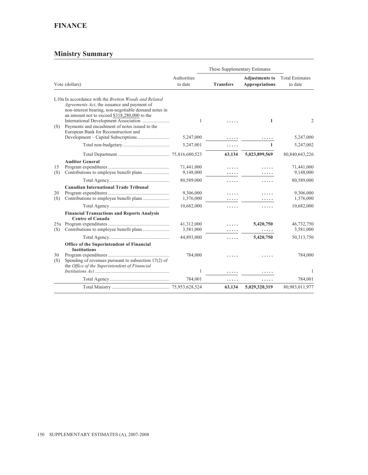## **FINANCE**

# **Ministry Summary**

|           |                                                                                                                                                                                                              |                        |                  | These Supplementary Estimates                  |                                   |
|-----------|--------------------------------------------------------------------------------------------------------------------------------------------------------------------------------------------------------------|------------------------|------------------|------------------------------------------------|-----------------------------------|
|           | Vote (dollars)                                                                                                                                                                                               | Authorities<br>to date | <b>Transfers</b> | <b>Adjustments to</b><br><b>Appropriations</b> | <b>Total Estimates</b><br>to date |
|           | L10a In accordance with the Bretton Woods and Related<br>Agreements Act, the issuance and payment of<br>non-interest bearing, non-negotiable demand notes in<br>an amount not to exceed \$318,280,000 to the |                        |                  |                                                |                                   |
| (S)       | International Development Association<br>Payments and encashment of notes issued to the<br>European Bank for Reconstruction and                                                                              | 1                      |                  | 1                                              | 2                                 |
|           |                                                                                                                                                                                                              | 5,247,000              |                  |                                                | 5,247,000                         |
|           |                                                                                                                                                                                                              | 5,247,001              |                  | 1                                              | 5,247,002                         |
|           |                                                                                                                                                                                                              |                        | 63,134           | 5,023,899,569                                  | 80,840,643,226                    |
|           | <b>Auditor General</b>                                                                                                                                                                                       |                        |                  |                                                |                                   |
| 15        |                                                                                                                                                                                                              | 71,441,000             |                  |                                                | 71,441,000                        |
| (S)       |                                                                                                                                                                                                              | 9,148,000              |                  |                                                | 9,148,000                         |
|           |                                                                                                                                                                                                              | 80,589,000             | .                | .                                              | 80,589,000                        |
|           | <b>Canadian International Trade Tribunal</b>                                                                                                                                                                 |                        |                  |                                                |                                   |
| 20        |                                                                                                                                                                                                              | 9,306,000              |                  |                                                | 9,306,000                         |
| (S)       |                                                                                                                                                                                                              | 1,376,000              |                  |                                                | 1,376,000                         |
|           |                                                                                                                                                                                                              | 10,682,000             | .                | .                                              | 10,682,000                        |
|           | <b>Financial Transactions and Reports Analysis</b><br><b>Centre of Canada</b>                                                                                                                                |                        |                  |                                                |                                   |
|           |                                                                                                                                                                                                              | 41,312,000             |                  | 5,420,750                                      | 46,732,750                        |
| (S)       |                                                                                                                                                                                                              | 3,581,000              | .                | .                                              | 3,581,000                         |
|           |                                                                                                                                                                                                              | 44,893,000             | .                | 5,420,750                                      | 50, 313, 750                      |
|           | Office of the Superintendent of Financial<br><b>Institutions</b>                                                                                                                                             |                        |                  |                                                |                                   |
| 30<br>(S) | Spending of revenues pursuant to subsection $17(2)$ of<br>the Office of the Superintendent of Financial                                                                                                      | 784,000                |                  |                                                | 784,000                           |
|           |                                                                                                                                                                                                              | 1                      |                  |                                                | 1                                 |
|           |                                                                                                                                                                                                              | 784,001                | .                |                                                | 784,001                           |
|           |                                                                                                                                                                                                              |                        | 63,134           | 5,029,320,319                                  | 80,983,011,977                    |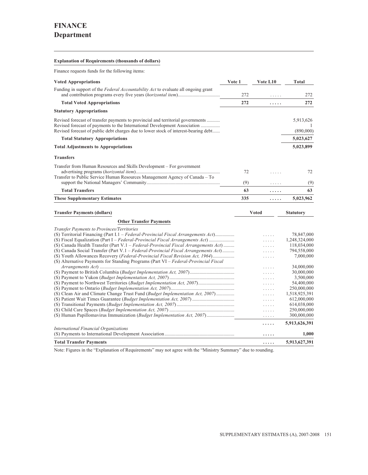## **Explanation of Requirements (thousands of dollars)**

Finance requests funds for the following items:

| <b>Voted Appropriations</b>                                                                                                                                                                                                                                                                                                                                                                                                                                                            | Vote 1    | Vote L10                                            | Total                                                                                                                                                         |
|----------------------------------------------------------------------------------------------------------------------------------------------------------------------------------------------------------------------------------------------------------------------------------------------------------------------------------------------------------------------------------------------------------------------------------------------------------------------------------------|-----------|-----------------------------------------------------|---------------------------------------------------------------------------------------------------------------------------------------------------------------|
| Funding in support of the Federal Accountability Act to evaluate all ongoing grant                                                                                                                                                                                                                                                                                                                                                                                                     | 272       | .                                                   | 272                                                                                                                                                           |
| <b>Total Voted Appropriations</b>                                                                                                                                                                                                                                                                                                                                                                                                                                                      | 272       | .                                                   | 272                                                                                                                                                           |
| <b>Statutory Appropriations</b>                                                                                                                                                                                                                                                                                                                                                                                                                                                        |           |                                                     |                                                                                                                                                               |
| Revised forecast of transfer payments to provincial and territorial governments<br>Revised forecast of payments to the International Development Association<br>Revised forecast of public debt charges due to lower stock of interest-bearing debt                                                                                                                                                                                                                                    |           |                                                     | 5,913,626<br>(890,000)                                                                                                                                        |
| <b>Total Statutory Appropriations</b>                                                                                                                                                                                                                                                                                                                                                                                                                                                  |           |                                                     | 5,023,627                                                                                                                                                     |
| <b>Total Adjustments to Appropriations</b>                                                                                                                                                                                                                                                                                                                                                                                                                                             |           |                                                     | 5,023,899                                                                                                                                                     |
| <b>Transfers</b>                                                                                                                                                                                                                                                                                                                                                                                                                                                                       |           |                                                     |                                                                                                                                                               |
| Transfer from Human Resources and Skills Development – For government<br>Transfer to Public Service Human Resources Management Agency of Canada - To                                                                                                                                                                                                                                                                                                                                   | 72<br>(9) |                                                     | 72<br>(9)                                                                                                                                                     |
| <b>Total Transfers</b>                                                                                                                                                                                                                                                                                                                                                                                                                                                                 | 63        | $\cdots$                                            | 63                                                                                                                                                            |
| <b>These Supplementary Estimates</b>                                                                                                                                                                                                                                                                                                                                                                                                                                                   | 335       | .                                                   | 5,023,962                                                                                                                                                     |
|                                                                                                                                                                                                                                                                                                                                                                                                                                                                                        |           | .                                                   |                                                                                                                                                               |
| <b>Transfer Payments (dollars)</b>                                                                                                                                                                                                                                                                                                                                                                                                                                                     |           | <b>Voted</b>                                        | <b>Statutory</b>                                                                                                                                              |
| <b>Other Transfer Payments</b>                                                                                                                                                                                                                                                                                                                                                                                                                                                         |           |                                                     |                                                                                                                                                               |
| Transfer Payments to Provinces/Territories<br>(S) Territorial Financing (Part I.1 – Federal-Provincial Fiscal Arrangements Act)<br>(S) Canada Health Transfer (Part V.1 – Federal-Provincial Fiscal Arrangements Act)<br>(S) Canada Social Transfer (Part V.1 – Federal-Provincial Fiscal Arrangements $Act$ )<br>(S) Alternative Payments for Standing Programs (Part VI – Federal-Provincial Fiscal<br>(S) Clean Air and Climate Change Trust Fund (Budget Implementation Act, 2007) |           | .<br>.<br>.<br>.<br>.<br>.<br>.<br>.<br>.<br>.<br>. | 78,847,000<br>1,248,324,000<br>118,034,000<br>794,558,000<br>7,000,000<br>34,000,000<br>30,000,000<br>3,500,000<br>54,400,000<br>250,000,000<br>1,518,925,391 |
| (S) Human Papillomavirus Immunization (Budget Implementation Act, 2007)                                                                                                                                                                                                                                                                                                                                                                                                                |           | $\cdots$<br>.<br>.<br>.                             | 612,000,000<br>614,038,000<br>250,000,000<br>300,000,000                                                                                                      |
| International Financial Organizations                                                                                                                                                                                                                                                                                                                                                                                                                                                  |           | .                                                   | 5,913,626,391                                                                                                                                                 |
|                                                                                                                                                                                                                                                                                                                                                                                                                                                                                        |           |                                                     | 1,000                                                                                                                                                         |
| <b>Total Transfer Payments</b>                                                                                                                                                                                                                                                                                                                                                                                                                                                         |           | .                                                   | 5,913,627,391                                                                                                                                                 |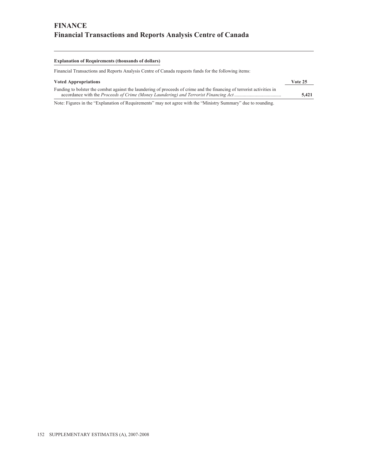#### **Explanation of Requirements (thousands of dollars)**

Financial Transactions and Reports Analysis Centre of Canada requests funds for the following items:

#### **Voted Appropriations Vote 25**

| $\sqrt{2}$                                                                                                             | . <i>. .</i> |
|------------------------------------------------------------------------------------------------------------------------|--------------|
| Funding to bolster the combat against the laundering of proceeds of crime and the financing of terrorist activities in |              |
|                                                                                                                        | 5.421        |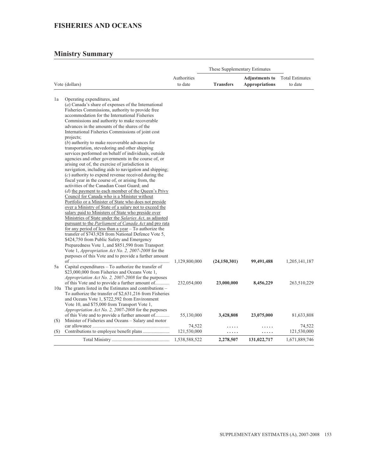# **Ministry Summary**

|     |                                                                                                                       |               | These Supplementary Estimates |                       |                        |  |
|-----|-----------------------------------------------------------------------------------------------------------------------|---------------|-------------------------------|-----------------------|------------------------|--|
|     |                                                                                                                       | Authorities   |                               | <b>Adjustments to</b> | <b>Total Estimates</b> |  |
|     | Vote (dollars)                                                                                                        | to date       | <b>Transfers</b>              | <b>Appropriations</b> | to date                |  |
|     |                                                                                                                       |               |                               |                       |                        |  |
| 1a  | Operating expenditures, and                                                                                           |               |                               |                       |                        |  |
|     | $(a)$ Canada's share of expenses of the International                                                                 |               |                               |                       |                        |  |
|     | Fisheries Commissions, authority to provide free                                                                      |               |                               |                       |                        |  |
|     | accommodation for the International Fisheries                                                                         |               |                               |                       |                        |  |
|     | Commissions and authority to make recoverable                                                                         |               |                               |                       |                        |  |
|     | advances in the amounts of the shares of the                                                                          |               |                               |                       |                        |  |
|     | International Fisheries Commissions of joint cost                                                                     |               |                               |                       |                        |  |
|     | projects;                                                                                                             |               |                               |                       |                        |  |
|     | $(b)$ authority to make recoverable advances for                                                                      |               |                               |                       |                        |  |
|     | transportation, stevedoring and other shipping<br>services performed on behalf of individuals, outside                |               |                               |                       |                        |  |
|     | agencies and other governments in the course of, or                                                                   |               |                               |                       |                        |  |
|     | arising out of, the exercise of jurisdiction in                                                                       |               |                               |                       |                        |  |
|     | navigation, including aids to navigation and shipping;                                                                |               |                               |                       |                        |  |
|     | $(c)$ authority to expend revenue received during the                                                                 |               |                               |                       |                        |  |
|     | fiscal year in the course of, or arising from, the                                                                    |               |                               |                       |                        |  |
|     | activities of the Canadian Coast Guard; and                                                                           |               |                               |                       |                        |  |
|     | (d) the payment to each member of the Queen's Privy                                                                   |               |                               |                       |                        |  |
|     | Council for Canada who is a Minister without                                                                          |               |                               |                       |                        |  |
|     | Portfolio or a Minister of State who does not preside                                                                 |               |                               |                       |                        |  |
|     | over a Ministry of State of a salary not to exceed the                                                                |               |                               |                       |                        |  |
|     | salary paid to Ministers of State who preside over                                                                    |               |                               |                       |                        |  |
|     | Ministries of State under the <i>Salaries Act</i> , as adjusted                                                       |               |                               |                       |                        |  |
|     | pursuant to the Parliament of Canada Act and pro rata                                                                 |               |                               |                       |                        |  |
|     | for any period of less than a year $-$ To authorize the                                                               |               |                               |                       |                        |  |
|     | transfer of \$743,928 from National Defence Vote 5,                                                                   |               |                               |                       |                        |  |
|     | \$424,750 from Public Safety and Emergency                                                                            |               |                               |                       |                        |  |
|     | Preparedness Vote 1, and \$851,590 from Transport                                                                     |               |                               |                       |                        |  |
|     | Vote 1, <i>Appropriation Act No. 2, 2007-2008</i> for the                                                             |               |                               |                       |                        |  |
|     | purposes of this Vote and to provide a further amount                                                                 |               |                               |                       |                        |  |
|     |                                                                                                                       | 1,129,800,000 | (24, 150, 301)                | 99,491,488            | 1,205,141,187          |  |
| 5a  | Capital expenditures $-$ To authorize the transfer of                                                                 |               |                               |                       |                        |  |
|     | \$23,000,000 from Fisheries and Oceans Vote 1,                                                                        |               |                               |                       |                        |  |
|     | <i>Appropriation Act No. 2, 2007-2008</i> for the purposes                                                            |               |                               |                       |                        |  |
|     | of this Vote and to provide a further amount of                                                                       | 232,054,000   | 23,000,000                    | 8,456,229             | 263,510,229            |  |
|     | 10a The grants listed in the Estimates and contributions –<br>To authorize the transfer of \$2,631,216 from Fisheries |               |                               |                       |                        |  |
|     | and Oceans Vote 1, \$722,592 from Environment                                                                         |               |                               |                       |                        |  |
|     | Vote 10, and \$75,000 from Transport Vote 1,                                                                          |               |                               |                       |                        |  |
|     | Appropriation Act No. 2, 2007-2008 for the purposes                                                                   |               |                               |                       |                        |  |
|     | of this Vote and to provide a further amount of                                                                       | 55,130,000    | 3,428,808                     | 23,075,000            | 81,633,808             |  |
| (S) | Minister of Fisheries and Oceans – Salary and motor                                                                   |               |                               |                       |                        |  |
|     |                                                                                                                       | 74,522        | .                             |                       | 74,522                 |  |
| (S) |                                                                                                                       | 121,530,000   | .                             | .                     | 121,530,000            |  |
|     |                                                                                                                       | 1,538,588,522 | 2,278,507                     | 131,022,717           | 1,671,889,746          |  |
|     |                                                                                                                       |               |                               |                       |                        |  |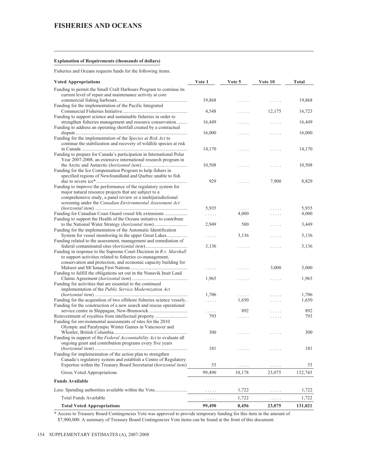#### **Explanation of Requirements (thousands of dollars)**

Fisheries and Oceans requests funds for the following items:

| <b>Voted Appropriations</b>                                                                                                    | Vote 1   | Vote 5             | Vote 10     | Total          |
|--------------------------------------------------------------------------------------------------------------------------------|----------|--------------------|-------------|----------------|
| Funding to permit the Small Craft Harbours Program to continue its                                                             |          |                    |             |                |
| current level of repair and maintenance activity at core                                                                       |          |                    |             |                |
|                                                                                                                                | 19,868   | 1.1.1.1            |             | 19,868         |
| Funding for the implementation of the Pacific Integrated                                                                       | 4,548    |                    | 12,175      | 16,723         |
| Funding to support science and sustainable fisheries in order to                                                               |          | .                  |             |                |
| strengthen fisheries management and resource conservation                                                                      | 16,449   | .                  | .           | 16,449         |
| Funding to address an operating shortfall created by a contractual                                                             |          |                    |             |                |
|                                                                                                                                | 16,000   | .                  | .           | 16,000         |
| Funding for the implementation of the Species at Risk Act to                                                                   |          |                    |             |                |
| continue the stabilization and recovery of wildlife species at risk                                                            |          |                    |             |                |
| Funding to prepare for Canada's participation in International Polar                                                           | 14,170   | .                  | .           | 14,170         |
| Year 2007-2008, an extensive international research program in                                                                 |          |                    |             |                |
|                                                                                                                                | 10,508   | .                  | .           | 10,508         |
| Funding for the Ice Compensation Program to help fishers in                                                                    |          |                    |             |                |
| specified regions of Newfoundland and Quebec unable to fish                                                                    |          |                    |             |                |
|                                                                                                                                | 929      | .                  | 7,900       | 8,829          |
| Funding to improve the performance of the regulatory system for                                                                |          |                    |             |                |
| major natural resource projects that are subject to a                                                                          |          |                    |             |                |
| comprehensive study, a panel review or a multijurisdictional                                                                   |          |                    |             |                |
| screening under the Canadian Environmental Assessment Act                                                                      |          |                    |             |                |
| Funding for Canadian Coast Guard vessel life extensions                                                                        | 5,935    | .<br>4,000         |             | 5,935<br>4,000 |
| Funding to support the Health of the Oceans initiative to contribute                                                           | .        |                    |             |                |
| to the National Water Strategy (horizontal item)                                                                               | 2,949    | 500                | .           | 3,449          |
| Funding for the implementation of the Automatic Identification                                                                 |          |                    |             |                |
| System for vessel monitoring in the upper Great Lakes                                                                          | .        | 3,136              | .           | 3,136          |
| Funding related to the assessment, management and remediation of                                                               |          |                    |             |                |
|                                                                                                                                | 3,136    | .                  | .           | 3,136          |
| Funding in response to the Supreme Court Decision in R.v. Marshall                                                             |          |                    |             |                |
| to support activities related to fisheries co-management,<br>conservation and protection, and economic capacity building for   |          |                    |             |                |
|                                                                                                                                | .        | .                  | 3,000       | 3,000          |
| Funding to fulfill the obligations set out in the Nunavik Inuit Land                                                           |          |                    |             |                |
|                                                                                                                                | 1,965    | .                  | .           | 1,965          |
| Funding for activities that are essential to the continued                                                                     |          |                    |             |                |
| implementation of the Public Service Modernization Act                                                                         |          |                    |             |                |
|                                                                                                                                | 1,706    | 1.1.1.1            | $\cdots$    | 1,706          |
| Funding for the acquisition of two offshore fisheries science vessels                                                          | .        | 1,650              |             | 1,650          |
| Funding for the construction of a new search and rescue operational                                                            |          |                    |             |                |
| Reinvestment of royalties from intellectual property                                                                           | .<br>793 | 892                | $\cdots$    | 892<br>793     |
| Funding for environmental assessments of sites for the 2010                                                                    |          | .                  | .           |                |
| Olympic and Paralympic Winter Games in Vancouver and                                                                           |          |                    |             |                |
|                                                                                                                                | 300      | .                  | .           | 300            |
| Funding in support of the Federal Accountability Act to evaluate all                                                           |          |                    |             |                |
| ongoing grant and contribution programs every five years                                                                       |          |                    |             |                |
|                                                                                                                                | 181      | $\cdots$           | .           | 181            |
| Funding for implementation of the action plan to strengthen<br>Canada's regulatory system and establish a Centre of Regulatory |          |                    |             |                |
| Expertise within the Treasury Board Secretariat (horizontal item)                                                              | 53       |                    |             | 53             |
| Gross Voted Appropriations                                                                                                     | 99,490   | $\cdots$<br>10,178 | .<br>23,075 | 132,743        |
|                                                                                                                                |          |                    |             |                |
| <b>Funds Available</b>                                                                                                         |          |                    |             |                |
|                                                                                                                                |          | 1,722              | .           | 1,722          |
| Total Funds Available                                                                                                          | $\ldots$ | 1,722              | .           | 1,722          |
| <b>Total Voted Appropriations</b>                                                                                              | 99,490   | 8,456              | 23,075      | 131,021        |

\* Access to Treasury Board Contingencies Vote was approved to provide temporary funding for this item in the amount of \$7,900,000. A summary of Treasury Board Contingencies Vote items can be found at the front of this document.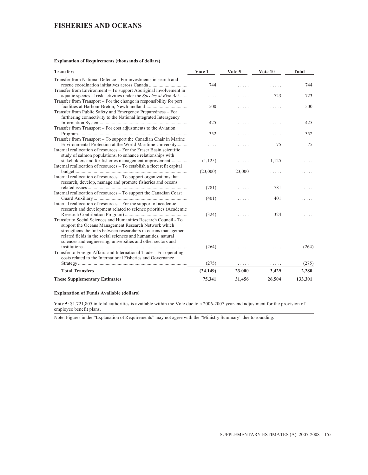#### **Explanation of Requirements (thousands of dollars)**

| <b>Transfers</b>                                                        | Vote 1    | Vote 5 | Vote 10 | <b>Total</b> |
|-------------------------------------------------------------------------|-----------|--------|---------|--------------|
| Transfer from National Defence – For investments in search and          |           |        |         |              |
|                                                                         | 744       | .      |         | 744          |
| Transfer from Environment – To support Aboriginal involvement in        |           |        |         |              |
| aquatic species at risk activities under the Species at Risk Act        | .         | .      | 723     | 723          |
| Transfer from Transport – For the change in responsibility for port     |           |        |         |              |
|                                                                         | 500       | .      | .       | 500          |
| Transfer from Public Safety and Emergency Preparedness - For            |           |        |         |              |
| furthering connectivity to the National Integrated Interagency          |           |        |         |              |
|                                                                         | 425       | .      | .       | 425          |
| Transfer from Transport - For cost adjustments to the Aviation          |           |        |         |              |
|                                                                         | 352       | .      |         | 352          |
| Transfer from Transport - To support the Canadian Chair in Marine       |           |        |         |              |
| Environmental Protection at the World Maritime University               |           | .      | 75      | 75           |
| Internal reallocation of resources – For the Fraser Basin scientific    |           |        |         |              |
| study of salmon populations, to enhance relationships with              |           |        |         |              |
| stakeholders and for fisheries management improvement                   | (1, 125)  | .      | 1,125   |              |
| Internal reallocation of resources – To establish a fleet refit capital |           |        |         |              |
|                                                                         | (23,000)  | 23,000 | .       |              |
| Internal reallocation of resources – To support organizations that      |           |        |         |              |
| research, develop, manage and promote fisheries and oceans              |           |        |         |              |
|                                                                         | (781)     | .      | 781     |              |
| Internal reallocation of resources – To support the Canadian Coast      |           |        |         |              |
|                                                                         | (401)     | .      | 401     |              |
| Internal reallocation of resources – For the support of academic        |           |        |         |              |
| research and development related to science priorities (Academic        |           |        |         |              |
|                                                                         | (324)     |        | 324     |              |
| Transfer to Social Sciences and Humanities Research Council - To        |           |        |         |              |
| support the Oceans Management Research Network which                    |           |        |         |              |
| strengthens the links between researchers in oceans management          |           |        |         |              |
| related fields in the social sciences and humanities, natural           |           |        |         |              |
| sciences and engineering, universities and other sectors and            |           |        |         |              |
|                                                                         | (264)     | .      | .       | (264)        |
| Transfer to Foreign Affairs and International Trade – For operating     |           |        |         |              |
| costs related to the International Fisheries and Governance             |           |        |         |              |
|                                                                         | (275)     | .      | .       | (275)        |
| <b>Total Transfers</b>                                                  | (24, 149) | 23,000 | 3,429   | 2,280        |
| <b>These Supplementary Estimates</b>                                    | 75,341    | 31,456 | 26,504  | 133,301      |

## **Explanation of Funds Available (dollars)**

Vote 5: \$1,721,805 in total authorities is available within the Vote due to a 2006-2007 year-end adjustment for the provision of employee benefit plans.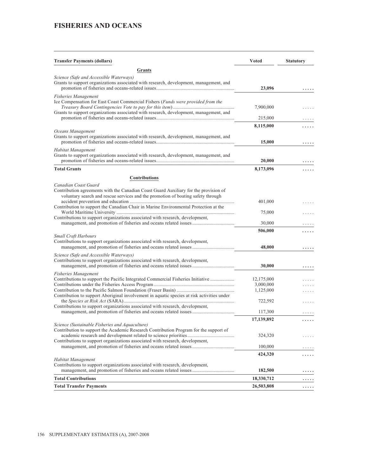| <b>Transfer Payments (dollars)</b>                                                                                                                                                                                                                                                       | <b>Voted</b>                         | <b>Statutory</b> |
|------------------------------------------------------------------------------------------------------------------------------------------------------------------------------------------------------------------------------------------------------------------------------------------|--------------------------------------|------------------|
| <b>Grants</b>                                                                                                                                                                                                                                                                            |                                      |                  |
| Science (Safe and Accessible Waterways)<br>Grants to support organizations associated with research, development, management, and                                                                                                                                                        | 23,096                               |                  |
| <b>Fisheries Management</b><br>Ice Compensation for East Coast Commercial Fishers (Funds were provided from the<br>Grants to support organizations associated with research, development, management, and                                                                                | 7,900,000                            |                  |
|                                                                                                                                                                                                                                                                                          | 215,000                              |                  |
|                                                                                                                                                                                                                                                                                          | 8,115,000                            |                  |
| Oceans Management<br>Grants to support organizations associated with research, development, management, and                                                                                                                                                                              | 15,000                               |                  |
| Habitat Management<br>Grants to support organizations associated with research, development, management, and                                                                                                                                                                             | 20,000                               |                  |
| <b>Total Grants</b>                                                                                                                                                                                                                                                                      | 8,173,096                            |                  |
| <b>Contributions</b>                                                                                                                                                                                                                                                                     |                                      |                  |
| Canadian Coast Guard<br>Contribution agreements with the Canadian Coast Guard Auxiliary for the provision of<br>voluntary search and rescue services and the promotion of boating safety through<br>Contribution to support the Canadian Chair in Marine Environmental Protection at the | 401,000                              |                  |
| Contributions to support organizations associated with research, development,                                                                                                                                                                                                            | 75,000                               |                  |
|                                                                                                                                                                                                                                                                                          | 30,000                               |                  |
| <b>Small Craft Harbours</b><br>Contributions to support organizations associated with research, development,                                                                                                                                                                             | 506,000<br>48,000                    |                  |
| Science (Safe and Accessible Waterways)<br>Contributions to support organizations associated with research, development,                                                                                                                                                                 | 30,000                               |                  |
| <b>Fisheries Management</b><br>Contributions to support the Pacific Integrated Commercial Fisheries Initiative                                                                                                                                                                           | 12,175,000<br>3,000,000<br>1,125,000 |                  |
| Contribution to support Aboriginal involvement in aquatic species at risk activities under<br>Contributions to support organizations associated with research, development,                                                                                                              | 722,592<br>117,300                   |                  |
|                                                                                                                                                                                                                                                                                          | 17,139,892                           |                  |
| Science (Sustainable Fisheries and Aquaculture)<br>Contribution to support the Academic Research Contribution Program for the support of<br>Contributions to support organizations associated with research, development,                                                                | 324,320<br>100,000                   |                  |
|                                                                                                                                                                                                                                                                                          | 424,320                              |                  |
| Habitat Management<br>Contributions to support organizations associated with research, development,                                                                                                                                                                                      | 182,500                              | .                |
| <b>Total Contributions</b>                                                                                                                                                                                                                                                               | 18,330,712                           |                  |
| <b>Total Transfer Payments</b>                                                                                                                                                                                                                                                           | 26,503,808                           | .                |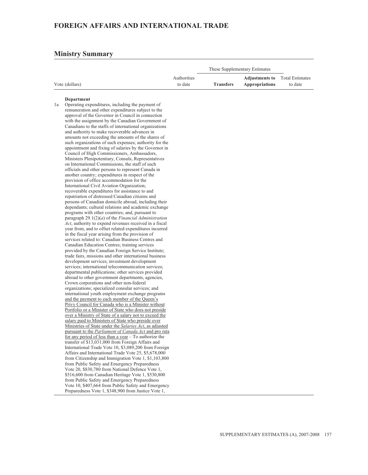#### **Ministry Summary**

|                |                        | These Supplementary Estimates |                                                         |         |
|----------------|------------------------|-------------------------------|---------------------------------------------------------|---------|
| Vote (dollars) | Authorities<br>to date | <b>Transfers</b>              | <b>Adjustments to</b> Total Estimates<br>Appropriations | to date |

#### **Department**

1a Operating expenditures, including the payment of remuneration and other expenditures subject to the approval of the Governor in Council in connection with the assignment by the Canadian Government of Canadians to the staffs of international organizations and authority to make recoverable advances in amounts not exceeding the amounts of the shares of such organizations of such expenses; authority for the appointment and fixing of salaries by the Governor in Council of High Commissioners, Ambassadors, Ministers Plenipotentiary, Consuls, Representatives on International Commissions, the staff of such officials and other persons to represent Canada in another country; expenditures in respect of the provision of office accommodation for the International Civil Aviation Organization; recoverable expenditures for assistance to and repatriation of distressed Canadian citizens and persons of Canadian domicile abroad, including their dependants; cultural relations and academic exchange programs with other countries; and, pursuant to paragraph 29.1(2)(*a*) of the *Financial Administration Act*, authority to expend revenues received in a fiscal year from, and to offset related expenditures incurred in the fiscal year arising from the provision of services related to: Canadian Business Centres and Canadian Education Centres; training services provided by the Canadian Foreign Service Institute; trade fairs, missions and other international business development services; investment development services; international telecommunication services; departmental publications; other services provided abroad to other government departments, agencies, Crown corporations and other non-federal organizations; specialized consular services; and international youth employment exchange programs and the payment to each member of the Queen's Privy Council for Canada who is a Minister without Portfolio or a Minister of State who does not preside over a Ministry of State of a salary not to exceed the salary paid to Ministers of State who preside over Ministries of State under the *Salaries Act*, as adjusted pursuant to the *Parliament of Canada Act* and pro rata for any period of less than a year – To authorize the transfer of \$13,031,000 from Foreign Affairs and International Trade Vote 10, \$3,089,200 from Foreign Affairs and International Trade Vote 25, \$5,678,000 from Citizenship and Immigration Vote 1, \$1,103,800 from Public Safety and Emergency Preparedness Vote 20, \$830,780 from National Defence Vote 1, \$516,600 from Canadian Heritage Vote 1, \$530,800 from Public Safety and Emergency Preparedness Vote 10, \$407,664 from Public Safety and Emergency Preparedness Vote 1, \$348,900 from Justice Vote 1,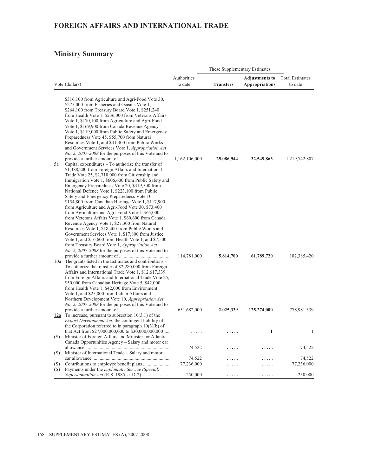## **Ministry Summary**

|     |                                                                                                                                                                                                                                                                                                                                                                                                                                                                                                                                                                                                                                                                                                                                                                                                                                                                                                                                                                                                                                                                                                                                                                                                                                             |                        | These Supplementary Estimates |                                                |                                   |
|-----|---------------------------------------------------------------------------------------------------------------------------------------------------------------------------------------------------------------------------------------------------------------------------------------------------------------------------------------------------------------------------------------------------------------------------------------------------------------------------------------------------------------------------------------------------------------------------------------------------------------------------------------------------------------------------------------------------------------------------------------------------------------------------------------------------------------------------------------------------------------------------------------------------------------------------------------------------------------------------------------------------------------------------------------------------------------------------------------------------------------------------------------------------------------------------------------------------------------------------------------------|------------------------|-------------------------------|------------------------------------------------|-----------------------------------|
|     | Vote (dollars)                                                                                                                                                                                                                                                                                                                                                                                                                                                                                                                                                                                                                                                                                                                                                                                                                                                                                                                                                                                                                                                                                                                                                                                                                              | Authorities<br>to date | <b>Transfers</b>              | <b>Adjustments to</b><br><b>Appropriations</b> | <b>Total Estimates</b><br>to date |
| 5a  | \$316,100 from Agriculture and Agri-Food Vote 30,<br>\$275,000 from Fisheries and Oceans Vote 1,<br>\$264,100 from Treasury Board Vote 1, \$251,240<br>from Health Vote 1, \$236,000 from Veterans Affairs<br>Vote 1, \$170,100 from Agriculture and Agri-Food<br>Vote 1, \$169,900 from Canada Revenue Agency<br>Vote 1, \$119,000 from Public Safety and Emergency<br>Preparedness Vote 45, \$55,700 from Natural<br>Resources Vote 1, and \$31,300 from Public Works<br>and Government Services Vote 1, Appropriation Act<br><i>No. 2, 2007-2008</i> for the purposes of this Vote and to<br>Capital expenditures $-$ To authorize the transfer of<br>\$1,388,200 from Foreign Affairs and International<br>Trade Vote 25, \$2,718,000 from Citizenship and<br>Immigration Vote 1, \$606,600 from Public Safety and<br>Emergency Preparedness Vote 20, \$319,500 from<br>National Defence Vote 1, \$223,100 from Public<br>Safety and Emergency Preparedness Vote 10,<br>\$154,800 from Canadian Heritage Vote 1, \$117,900<br>from Agriculture and Agri-Food Vote 30, \$73,400<br>from Agriculture and Agri-Food Vote 1, \$65,000<br>from Veterans Affairs Vote 1, \$60,600 from Canada<br>Revenue Agency Vote 1, \$27,300 from Natural | 1,162,106,000          | 25,086,944                    | 32,549,863                                     | 1,219,742,807                     |
|     | Resources Vote 1, \$18,400 from Public Works and<br>Government Services Vote 1, \$17,800 from Justice<br>Vote 1, and \$16,600 from Health Vote 1, and \$7,500<br>from Treasury Board Vote 1, Appropriation Act<br>No. 2, 2007-2008 for the purposes of this Vote and to<br>10a The grants listed in the Estimates and contributions –<br>To authorize the transfer of \$2,280,000 from Foreign<br>Affairs and International Trade Vote 1, \$12,617,339<br>from Foreign Affairs and International Trade Vote 25,<br>\$50,000 from Canadian Heritage Vote 5, \$42,000<br>from Health Vote 1, \$42,000 from Environment<br>Vote 1, and \$25,000 from Indian Affairs and<br>Northern Development Vote 10, Appropriation Act                                                                                                                                                                                                                                                                                                                                                                                                                                                                                                                     | 114,781,000            | 5,814,700                     | 61,789,720                                     | 182,385,420                       |
|     | No. 2, 2007-2008 for the purposes of this Vote and to<br>12a To increase, pursuant to subsection $10(3.1)$ of the<br><i>Export Development Act</i> , the contingent liability of                                                                                                                                                                                                                                                                                                                                                                                                                                                                                                                                                                                                                                                                                                                                                                                                                                                                                                                                                                                                                                                            | 651,682,000            | 2,025,339                     | 125,274,000                                    | 778,981,339                       |
| (S) | the Corporation referred to in paragraph $10(3)(b)$ of<br>that Act from \$27,000,000,000 to \$30,000,000,000<br>Minister of Foreign Affairs and Minister for Atlantic                                                                                                                                                                                                                                                                                                                                                                                                                                                                                                                                                                                                                                                                                                                                                                                                                                                                                                                                                                                                                                                                       | $\cdots\cdots\cdots$   |                               |                                                |                                   |
| (S) | Canada Opportunities Agency - Salary and motor car<br>Minister of International Trade - Salary and motor                                                                                                                                                                                                                                                                                                                                                                                                                                                                                                                                                                                                                                                                                                                                                                                                                                                                                                                                                                                                                                                                                                                                    | 74,522                 |                               |                                                | 74,522                            |
| (S) |                                                                                                                                                                                                                                                                                                                                                                                                                                                                                                                                                                                                                                                                                                                                                                                                                                                                                                                                                                                                                                                                                                                                                                                                                                             | 74,522                 |                               |                                                | 74,522                            |
| (S) | Payments under the Diplomatic Service (Special)                                                                                                                                                                                                                                                                                                                                                                                                                                                                                                                                                                                                                                                                                                                                                                                                                                                                                                                                                                                                                                                                                                                                                                                             | 77,236,000             |                               |                                                | 77,236,000                        |
|     |                                                                                                                                                                                                                                                                                                                                                                                                                                                                                                                                                                                                                                                                                                                                                                                                                                                                                                                                                                                                                                                                                                                                                                                                                                             | 250,000                | .                             | .                                              | 250,000                           |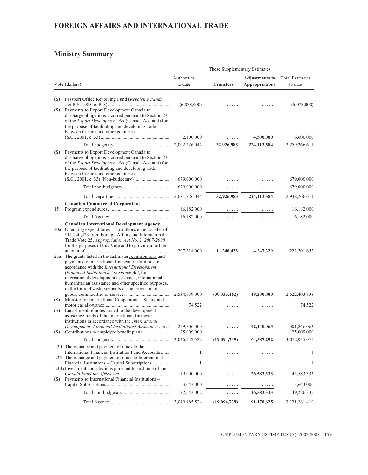## **Ministry Summary**

|     |                                                                                                                                                                                                                                                                                                                                                                                                                                                                                                                                                                                                                          | These Supplementary Estimates |                  |                                                |                                   |  |
|-----|--------------------------------------------------------------------------------------------------------------------------------------------------------------------------------------------------------------------------------------------------------------------------------------------------------------------------------------------------------------------------------------------------------------------------------------------------------------------------------------------------------------------------------------------------------------------------------------------------------------------------|-------------------------------|------------------|------------------------------------------------|-----------------------------------|--|
|     | Vote (dollars)                                                                                                                                                                                                                                                                                                                                                                                                                                                                                                                                                                                                           | Authorities<br>to date        | <b>Transfers</b> | <b>Adjustments to</b><br><b>Appropriations</b> | <b>Total Estimates</b><br>to date |  |
| (S) | Passport Office Revolving Fund (Revolving Funds                                                                                                                                                                                                                                                                                                                                                                                                                                                                                                                                                                          | (6,078,000)                   |                  |                                                | (6,078,000)                       |  |
| (S) | Payments to Export Development Canada to<br>discharge obligations incurred pursuant to Section 23<br>of the Export Development Act (Canada Account) for<br>the purpose of facilitating and developing trade<br>between Canada and other countries                                                                                                                                                                                                                                                                                                                                                                        | 2,100,000                     |                  | 4,500,000                                      | 6,600,000                         |  |
|     |                                                                                                                                                                                                                                                                                                                                                                                                                                                                                                                                                                                                                          | 2,002,226,044                 | 32,926,983       | 224,113,584                                    | 2,259,266,611                     |  |
| (S) | Payments to Export Development Canada to<br>discharge obligations incurred pursuant to Section 23<br>of the Export Development Act (Canada Account) for<br>the purpose of facilitating and developing trade<br>between Canada and other countries                                                                                                                                                                                                                                                                                                                                                                        | 679,000,000                   |                  |                                                | 679,000,000                       |  |
|     |                                                                                                                                                                                                                                                                                                                                                                                                                                                                                                                                                                                                                          | 679,000,000                   |                  |                                                | 679,000,000                       |  |
|     |                                                                                                                                                                                                                                                                                                                                                                                                                                                                                                                                                                                                                          |                               | .                | .                                              |                                   |  |
|     |                                                                                                                                                                                                                                                                                                                                                                                                                                                                                                                                                                                                                          | 2,681,226,044                 | 32,926,983       | 224, 113, 584                                  | 2,938,266,611                     |  |
| 15  | <b>Canadian Commercial Corporation</b>                                                                                                                                                                                                                                                                                                                                                                                                                                                                                                                                                                                   | 16,182,000                    |                  |                                                | 16,182,000                        |  |
|     |                                                                                                                                                                                                                                                                                                                                                                                                                                                                                                                                                                                                                          | 16,182,000                    | .                | .                                              | 16,182,000                        |  |
|     | <b>Canadian International Development Agency</b><br>20a Operating expenditures – To authorize the transfer of<br>\$11,240,423 from Foreign Affairs and International<br>Trade Vote 25, Appropriation Act No. 2, 2007-2008<br>for the purposes of this Vote and to provide a further<br>25a The grants listed in the Estimates, contributions and<br>payments to international financial institutions in<br>accordance with the International Development<br>(Financial Institutions) Assistance Act, for<br>international development assistance, international<br>humanitarian assistance and other specified purposes, | 207,214,000                   | 11,240,423       | 4,247,229                                      | 222,701,652                       |  |
| (S) | in the form of cash payments or the provision of<br>Minister for International Cooperation - Salary and                                                                                                                                                                                                                                                                                                                                                                                                                                                                                                                  | 2,534,539,000                 | (30, 335, 162)   | 18,200,000                                     | 2,522,403,838                     |  |
| (S) | Encashment of notes issued to the development<br>assistance funds of the international financial<br>institutions in accordance with the <i>International</i>                                                                                                                                                                                                                                                                                                                                                                                                                                                             | 74,522                        |                  |                                                | 74,522                            |  |
| (S) | Development (Financial Institutions) Assistance Act<br>Contributions to employee benefit plans                                                                                                                                                                                                                                                                                                                                                                                                                                                                                                                           | 259,706,000<br>25,009,000     | .                | 42,140,063                                     | 301,846,063<br>25,009,000         |  |
|     |                                                                                                                                                                                                                                                                                                                                                                                                                                                                                                                                                                                                                          | 3,026,542,522                 | (19,094,739)     | 64,587,292                                     | 3,072,035,075                     |  |
|     | L30 The issuance and payment of notes to the<br>International Financial Institution Fund Accounts                                                                                                                                                                                                                                                                                                                                                                                                                                                                                                                        | 1                             |                  |                                                | 1                                 |  |
|     | L35 The issuance and payment of notes to International<br>Financial Institutions – Capital Subscriptions<br>L40a Investment contributions pursuant to section 3 of the                                                                                                                                                                                                                                                                                                                                                                                                                                                   | 1                             |                  |                                                | 1                                 |  |
| (S) | Payments to International Financial Institutions -                                                                                                                                                                                                                                                                                                                                                                                                                                                                                                                                                                       | 19,000,000                    |                  | 26,583,333                                     | 45,583,333                        |  |
|     |                                                                                                                                                                                                                                                                                                                                                                                                                                                                                                                                                                                                                          | 3,643,000                     |                  |                                                | 3,643,000                         |  |
|     |                                                                                                                                                                                                                                                                                                                                                                                                                                                                                                                                                                                                                          | 22,643,002                    |                  | 26,583,333                                     | 49,226,335                        |  |
|     |                                                                                                                                                                                                                                                                                                                                                                                                                                                                                                                                                                                                                          | 3,049,185,524                 | (19,094,739)     | 91,170,625                                     | 3, 121, 261, 410                  |  |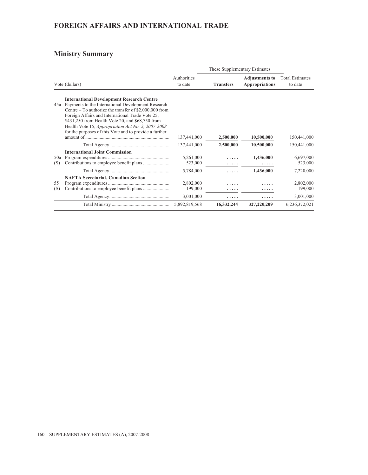## **Ministry Summary**

| Vote (dollars) |                                                                                                                                                                                                                                                                                                                                                                                           |                                   | These Supplementary Estimates |                                                |                                   |  |
|----------------|-------------------------------------------------------------------------------------------------------------------------------------------------------------------------------------------------------------------------------------------------------------------------------------------------------------------------------------------------------------------------------------------|-----------------------------------|-------------------------------|------------------------------------------------|-----------------------------------|--|
|                |                                                                                                                                                                                                                                                                                                                                                                                           | Authorities<br>to date            | <b>Transfers</b>              | <b>Adjustments to</b><br><b>Appropriations</b> | <b>Total Estimates</b><br>to date |  |
| 45a            | <b>International Development Research Centre</b><br>Payments to the International Development Research<br>Centre – To authorize the transfer of $$2,000,000$ from<br>Foreign Affairs and International Trade Vote 25,<br>\$431,250 from Health Vote 20, and \$68,750 from<br>Health Vote 15, Appropriation Act No. 2, 2007-2008<br>for the purposes of this Vote and to provide a further | 137,441,000                       | 2,500,000                     | 10,500,000                                     | 150,441,000                       |  |
|                |                                                                                                                                                                                                                                                                                                                                                                                           | 137,441,000                       | 2,500,000                     | 10,500,000                                     | 150,441,000                       |  |
| 50a<br>(S)     | <b>International Joint Commission</b>                                                                                                                                                                                                                                                                                                                                                     | 5,261,000<br>523,000<br>5,784,000 | .                             | 1,436,000<br>1,436,000                         | 6,697,000<br>523,000<br>7,220,000 |  |
| 55<br>(S)      | <b>NAFTA Secretariat, Canadian Section</b>                                                                                                                                                                                                                                                                                                                                                | 2,802,000<br>199,000<br>3,001,000 | .                             |                                                | 2,802,000<br>199,000<br>3,001,000 |  |
|                |                                                                                                                                                                                                                                                                                                                                                                                           | 5,892,819,568                     | 16,332,244                    | 327,220,209                                    | 6,236,372,021                     |  |

<u> 1989 - Johann Barbara, martxa alemaniar a</u>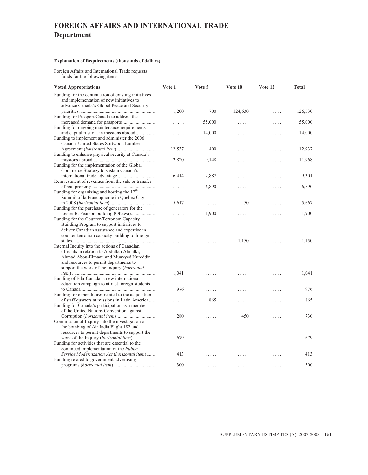## **Explanation of Requirements (thousands of dollars)**

Foreign Affairs and International Trade requests funds for the following items:

| <b>Voted Appropriations</b>                                                                                                                    | Vote 1     | Vote 5 | Vote 10 | Vote 12    | <b>Total</b> |
|------------------------------------------------------------------------------------------------------------------------------------------------|------------|--------|---------|------------|--------------|
| Funding for the continuation of existing initiatives<br>and implementation of new initiatives to<br>advance Canada's Global Peace and Security |            |        |         |            |              |
|                                                                                                                                                | 1,200      | 700    | 124,630 | .          | 126,530      |
| Funding for Passport Canada to address the                                                                                                     | .          | 55,000 | .       |            | 55,000       |
| Funding for ongoing maintenance requirements                                                                                                   |            |        |         |            |              |
| and capital rust out in missions abroad<br>Funding to implement and administer the 2006<br>Canada-United States Softwood Lumber                | .          | 14,000 | .       | .          | 14,000       |
|                                                                                                                                                | 12,537     | 400    | .       | .          | 12,937       |
| Funding to enhance physical security at Canada's                                                                                               |            |        |         |            |              |
|                                                                                                                                                | 2,820      | 9,148  | .       | .          | 11,968       |
| Funding for the implementation of the Global                                                                                                   |            |        |         |            |              |
| Commerce Strategy to sustain Canada's                                                                                                          |            |        |         |            |              |
|                                                                                                                                                | 6,414      | 2,887  | .       | .          | 9,301        |
| Reinvestment of revenues from the sale or transfer                                                                                             |            |        |         |            |              |
|                                                                                                                                                | .          | 6,890  | .       | .          | 6,890        |
| Funding for organizing and hosting the $12th$                                                                                                  |            |        |         |            |              |
| Summit of la Francophonie in Quebec City                                                                                                       |            |        |         |            |              |
|                                                                                                                                                | 5,617      | .      | 50      | .          | 5,667        |
| Funding for the purchase of generators for the                                                                                                 |            |        |         |            |              |
| Funding for the Counter-Terrorism Capacity                                                                                                     | .          | 1,900  | .       | .          | 1,900        |
| Building Program to support initiatives to                                                                                                     |            |        |         |            |              |
| deliver Canadian assistance and expertise in                                                                                                   |            |        |         |            |              |
| counter-terrorism capacity building to foreign                                                                                                 |            |        |         |            |              |
|                                                                                                                                                |            |        | 1,150   | $\cdots$   | 1,150        |
| Internal Inquiry into the actions of Canadian                                                                                                  |            |        |         |            |              |
| officials in relation to Abdullah Almalki,                                                                                                     |            |        |         |            |              |
| Ahmad Abou-Elmaati and Muayyed Nureddin                                                                                                        |            |        |         |            |              |
| and resources to permit departments to                                                                                                         |            |        |         |            |              |
| support the work of the Inquiry (horizontal                                                                                                    |            |        |         |            |              |
|                                                                                                                                                | 1,041      |        |         | .          | 1,041        |
| Funding of Edu-Canada, a new international                                                                                                     |            |        |         |            |              |
| education campaign to attract foreign students                                                                                                 |            |        |         |            |              |
|                                                                                                                                                | 976        | .      |         | $\ldots$ . | 976          |
| Funding for expenditures related to the acquisition                                                                                            |            |        |         |            |              |
| of staff quarters at missions in Latin America                                                                                                 | $\ldots$ . | 865    | .       | .          | 865          |
| Funding for Canada's participation as a member                                                                                                 |            |        |         |            |              |
| of the United Nations Convention against                                                                                                       |            |        |         |            |              |
|                                                                                                                                                | 280        | .      | 450     | .          | 730          |
| Commission of Inquiry into the investigation of                                                                                                |            |        |         |            |              |
| the bombing of Air India Flight 182 and                                                                                                        |            |        |         |            |              |
| resources to permit departments to support the                                                                                                 |            |        |         |            |              |
| work of the Inquiry ( <i>horizontal item</i> )                                                                                                 | 679        | .      |         | $\cdots$   | 679          |
| Funding for activities that are essential to the                                                                                               |            |        |         |            |              |
| continued implementation of the <i>Public</i><br>Service Modernization Act (horizontal item)                                                   | 413        |        |         |            | 413          |
| Funding related to government advertising                                                                                                      |            |        |         | .          |              |
|                                                                                                                                                | 300        | .      | .       |            | 300          |
|                                                                                                                                                |            |        |         | .          |              |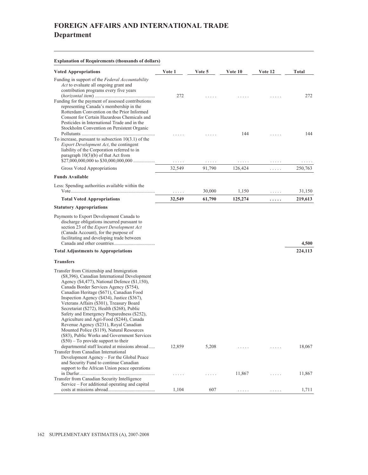**Explanation of Requirements (thousands of dollars)**

| <b>Voted Appropriations</b>                                                                                                                                                                                                                                                                                                                                                                                                                                                                                                                                                                                                                             | Vote 1 | Vote 5 | Vote 10 | Vote 12 | <b>Total</b> |
|---------------------------------------------------------------------------------------------------------------------------------------------------------------------------------------------------------------------------------------------------------------------------------------------------------------------------------------------------------------------------------------------------------------------------------------------------------------------------------------------------------------------------------------------------------------------------------------------------------------------------------------------------------|--------|--------|---------|---------|--------------|
| Funding in support of the Federal Accountability<br><i>Act</i> to evaluate all ongoing grant and<br>contribution programs every five years                                                                                                                                                                                                                                                                                                                                                                                                                                                                                                              | 272    |        |         |         | 272          |
| Funding for the payment of assessed contributions<br>representing Canada's membership in the<br>Rotterdam Convention on the Prior Informed<br>Consent for Certain Hazardous Chemicals and<br>Pesticides in International Trade and in the<br>Stockholm Convention on Persistent Organic                                                                                                                                                                                                                                                                                                                                                                 |        |        | 144     |         | 144          |
| To increase, pursuant to subsection $10(3.1)$ of the<br><i>Export Development Act</i> , the contingent<br>liability of the Corporation referred to in<br>paragraph $10(3)(b)$ of that Act from                                                                                                                                                                                                                                                                                                                                                                                                                                                          |        |        |         |         |              |
| Gross Voted Appropriations                                                                                                                                                                                                                                                                                                                                                                                                                                                                                                                                                                                                                              | 32,549 | 91,790 | 126,424 | .       | 250,763      |
| <b>Funds Available</b>                                                                                                                                                                                                                                                                                                                                                                                                                                                                                                                                                                                                                                  |        |        |         |         |              |
| Less: Spending authorities available within the                                                                                                                                                                                                                                                                                                                                                                                                                                                                                                                                                                                                         | .      | 30,000 | 1,150   | .       | 31,150       |
| <b>Total Voted Appropriations</b>                                                                                                                                                                                                                                                                                                                                                                                                                                                                                                                                                                                                                       | 32,549 | 61,790 | 125,274 | .       | 219,613      |
| <b>Statutory Appropriations</b>                                                                                                                                                                                                                                                                                                                                                                                                                                                                                                                                                                                                                         |        |        |         |         |              |
| Payments to Export Development Canada to<br>discharge obligations incurred pursuant to<br>section 23 of the Export Development Act<br>(Canada Account), for the purpose of<br>facilitating and developing trade between                                                                                                                                                                                                                                                                                                                                                                                                                                 |        |        |         |         | 4,500        |
| <b>Total Adjustments to Appropriations</b>                                                                                                                                                                                                                                                                                                                                                                                                                                                                                                                                                                                                              |        |        |         |         | 224,113      |
| <b>Transfers</b>                                                                                                                                                                                                                                                                                                                                                                                                                                                                                                                                                                                                                                        |        |        |         |         |              |
| Transfer from Citizenship and Immigration<br>(\$8,396), Canadian International Development<br>Agency (\$4,477), National Defence (\$1,150),<br>Canada Border Services Agency (\$754),<br>Canadian Heritage (\$671), Canadian Food<br>Inspection Agency (\$434), Justice (\$367),<br>Veterans Affairs (\$301), Treasury Board<br>Secretariat (\$272), Health (\$268), Public<br>Safety and Emergency Preparedness (\$252),<br>Agriculture and Agri-Food (\$244), Canada<br>Revenue Agency (\$231), Royal Canadian<br>Mounted Police (\$119), Natural Resources<br>(\$83), Public Works and Government Services<br>$(\$50) - To provide support to their$ |        |        |         |         |              |
| departmental staff located at missions abroad<br>Transfer from Canadian International<br>Development Agency – For the Global Peace<br>and Security Fund to continue Canadian<br>support to the African Union peace operations                                                                                                                                                                                                                                                                                                                                                                                                                           | 12,859 | 5,208  |         |         | 18,067       |
| Transfer from Canadian Security Intelligence<br>Service – For additional operating and capital                                                                                                                                                                                                                                                                                                                                                                                                                                                                                                                                                          | .      | .      | 11,867  | .       | 11,867       |
|                                                                                                                                                                                                                                                                                                                                                                                                                                                                                                                                                                                                                                                         | 1,104  | 607    | .       | .       | 1,711        |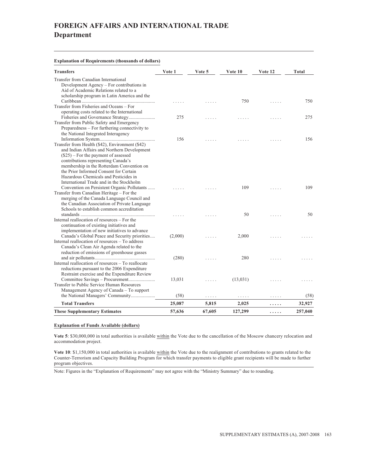**Explanation of Requirements (thousands of dollars)**

| <b>Transfers</b>                                                                                                                                                                                                                                                                                                                                                                                           | Vote 1  | Vote 5                                     | Vote 10   | Vote 12 | Total      |
|------------------------------------------------------------------------------------------------------------------------------------------------------------------------------------------------------------------------------------------------------------------------------------------------------------------------------------------------------------------------------------------------------------|---------|--------------------------------------------|-----------|---------|------------|
| Transfer from Canadian International<br>Development Agency – For contributions in<br>Aid of Academic Relations related to a<br>scholarship program in Latin America and the                                                                                                                                                                                                                                |         |                                            | 750       | .       | 750        |
| Transfer from Fisheries and Oceans – For<br>operating costs related to the International                                                                                                                                                                                                                                                                                                                   |         |                                            |           |         |            |
| Transfer from Public Safety and Emergency<br>Preparedness – For furthering connectivity to<br>the National Integrated Interagency                                                                                                                                                                                                                                                                          | 275     |                                            |           |         | 275        |
| Transfer from Health (\$42), Environment (\$42)<br>and Indian Affairs and Northern Development<br>$(\$25)$ – For the payment of assessed<br>contributions representing Canada's<br>membership in the Rotterdam Convention on<br>the Prior Informed Consent for Certain<br>Hazardous Chemicals and Pesticides in<br>International Trade and in the Stockholm<br>Convention on Persistent Organic Pollutants | 156     |                                            | 109       |         | 156<br>109 |
| Transfer from Canadian Heritage – For the<br>merging of the Canada Language Council and<br>the Canadian Association of Private Language<br>Schools to establish common accreditation                                                                                                                                                                                                                       |         |                                            |           |         |            |
| Internal reallocation of resources – For the<br>continuation of existing initiatives and<br>implementation of new initiatives to advance                                                                                                                                                                                                                                                                   |         |                                            | 50        | .       | 50         |
| Canada's Global Peace and Security priorities<br>Internal reallocation of resources - To address<br>Canada's Clean Air Agenda related to the<br>reduction of emissions of greenhouse gasses                                                                                                                                                                                                                | (2,000) |                                            | 2,000     |         |            |
| Internal reallocation of resources – To reallocate<br>reductions pursuant to the 2006 Expenditure<br>Restraint exercise and the Expenditure Review                                                                                                                                                                                                                                                         | (280)   | .                                          | 280       |         |            |
| Transfer to Public Service Human Resources<br>Management Agency of Canada – To support                                                                                                                                                                                                                                                                                                                     | 13,031  | $\mathbb{Z}^2$ . The set of $\mathbb{Z}^2$ | (13, 031) |         |            |
| the National Managers' Community                                                                                                                                                                                                                                                                                                                                                                           | (58)    | .                                          | .         | .       | (58)       |
| <b>Total Transfers</b>                                                                                                                                                                                                                                                                                                                                                                                     | 25,087  | 5,815                                      | 2,025     | .       | 32,927     |
| <b>These Supplementary Estimates</b>                                                                                                                                                                                                                                                                                                                                                                       | 57,636  | 67,605                                     | 127,299   | .       | 257,040    |

#### **Explanation of Funds Available (dollars)**

**Vote 5**: \$30,000,000 in total authorities is available within the Vote due to the cancellation of the Moscow chancery relocation and accommodation project.

**Vote 10**: \$1,150,000 in total authorities is available within the Vote due to the realignment of contributions to grants related to the Counter-Terrorism and Capacity Building Program for which transfer payments to eligible grant recipients will be made to further program objectives.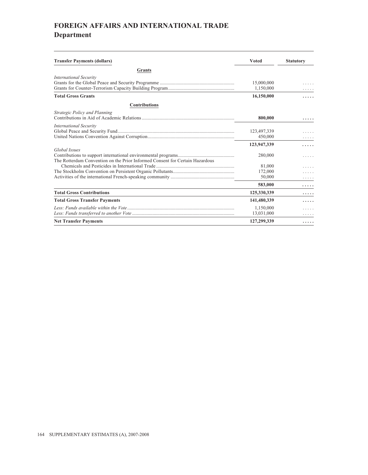| <b>Transfer Payments (dollars)</b>                                                                   | <b>Voted</b>            | <b>Statutory</b> |
|------------------------------------------------------------------------------------------------------|-------------------------|------------------|
| <b>Grants</b>                                                                                        |                         |                  |
| <b>International Security</b>                                                                        | 15,000,000<br>1,150,000 |                  |
| <b>Total Gross Grants</b>                                                                            | 16,150,000              |                  |
| <b>Contributions</b>                                                                                 |                         |                  |
| Strategic Policy and Planning                                                                        | 800,000                 |                  |
| <b>International Security</b>                                                                        | 123,497,339<br>450,000  |                  |
|                                                                                                      | 123,947,339             |                  |
| <b>Global Issues</b><br>The Rotterdam Convention on the Prior Informed Consent for Certain Hazardous | 280,000                 |                  |
|                                                                                                      | 81,000                  |                  |
|                                                                                                      | 172,000<br>50,000       |                  |
|                                                                                                      | 583,000                 |                  |
| <b>Total Gross Contributions</b>                                                                     | 125,330,339             | .                |
| <b>Total Gross Transfer Payments</b>                                                                 | 141,480,339             |                  |
|                                                                                                      | 1,150,000<br>13,031,000 | .                |
| <b>Net Transfer Payments</b>                                                                         | 127,299,339             | .                |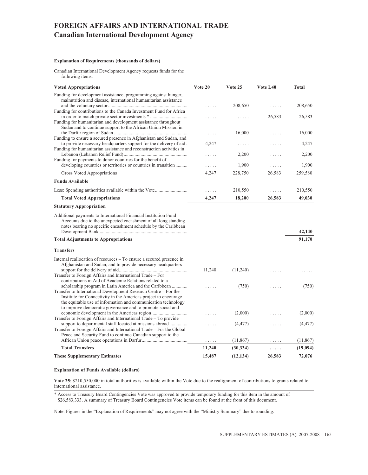# **FOREIGN AFFAIRS AND INTERNATIONAL TRADE Canadian International Development Agency**

#### **Explanation of Requirements (thousands of dollars)**

Canadian International Development Agency requests funds for the following items:

| <b>Voted Appropriations</b>                                                                                                                                                                                                                                                                                                 | Vote 20 | Vote 25   | Vote L40 | <b>Total</b> |
|-----------------------------------------------------------------------------------------------------------------------------------------------------------------------------------------------------------------------------------------------------------------------------------------------------------------------------|---------|-----------|----------|--------------|
| Funding for development assistance, programming against hunger,<br>malnutrition and disease, international humanitarian assistance                                                                                                                                                                                          | .       | 208,650   | .        | 208,650      |
| Funding for contributions to the Canada Investment Fund for Africa                                                                                                                                                                                                                                                          |         |           |          |              |
| in order to match private sector investments *                                                                                                                                                                                                                                                                              |         |           | 26,583   | 26,583       |
| Funding for humanitarian and development assistance throughout<br>Sudan and to continue support to the African Union Mission in                                                                                                                                                                                             |         |           |          |              |
|                                                                                                                                                                                                                                                                                                                             | .       | 16,000    | .        | 16,000       |
| Funding to ensure a secured presence in Afghanistan and Sudan, and                                                                                                                                                                                                                                                          |         |           |          |              |
| to provide necessary headquarters support for the delivery of aid.                                                                                                                                                                                                                                                          | 4,247   |           |          | 4,247        |
| Funding for humanitarian assistance and reconstruction activities in                                                                                                                                                                                                                                                        | 1.1.1.1 | 2,200     | .        | 2,200        |
| Funding for payments to donor countries for the benefit of                                                                                                                                                                                                                                                                  |         |           |          |              |
| developing countries or territories or countries in transition                                                                                                                                                                                                                                                              | .       | 1,900     | .        | 1,900        |
| Gross Voted Appropriations                                                                                                                                                                                                                                                                                                  | 4,247   | 228,750   | 26,583   | 259,580      |
| <b>Funds Available</b>                                                                                                                                                                                                                                                                                                      |         |           |          |              |
|                                                                                                                                                                                                                                                                                                                             |         | 210,550   | .        | 210,550      |
| <b>Total Voted Appropriations</b>                                                                                                                                                                                                                                                                                           | 4,247   | 18,200    | 26,583   | 49,030       |
| <b>Statutory Appropriation</b>                                                                                                                                                                                                                                                                                              |         |           |          |              |
| Additional payments to International Financial Institution Fund<br>Accounts due to the unexpected encashment of all long standing<br>notes bearing no specific encashment schedule by the Caribbean                                                                                                                         |         |           |          | 42,140       |
| <b>Total Adjustments to Appropriations</b>                                                                                                                                                                                                                                                                                  |         |           |          | 91,170       |
| <b>Transfers</b>                                                                                                                                                                                                                                                                                                            |         |           |          |              |
| Internal reallocation of resources – To ensure a secured presence in<br>Afghanistan and Sudan, and to provide necessary headquarters<br>Transfer to Foreign Affairs and International Trade – For<br>contributions in Aid of Academic Relations related to a                                                                | 11,240  | (11,240)  |          |              |
| scholarship program in Latin America and the Caribbean<br>Transfer to International Development Research Centre – For the<br>Institute for Connectivity in the Americas project to encourage<br>the equitable use of information and communication technology<br>to improve democratic governance and to promote social and |         | (750)     |          | (750)        |
|                                                                                                                                                                                                                                                                                                                             |         | (2,000)   |          | (2,000)      |
| Transfer to Foreign Affairs and International Trade – To provide<br>support to departmental staff located at missions abroad<br>Transfer to Foreign Affairs and International Trade – For the Global<br>Peace and Security Fund to continue Canadian support to the                                                         | .       | (4, 477)  |          | (4, 477)     |
|                                                                                                                                                                                                                                                                                                                             | .       | (11, 867) | .        | (11, 867)    |
| <b>Total Transfers</b>                                                                                                                                                                                                                                                                                                      | 11,240  | (30, 334) | .        | (19,094)     |
| <b>These Supplementary Estimates</b>                                                                                                                                                                                                                                                                                        | 15,487  | (12, 134) | 26,583   | 72,076       |

#### **Explanation of Funds Available (dollars)**

**Vote 25**: \$210,550,000 in total authorities is available within the Vote due to the realignment of contributions to grants related to international assistance.

\* Access to Treasury Board Contingencies Vote was approved to provide temporary funding for this item in the amount of \$26,583,333. A summary of Treasury Board Contingencies Vote items can be found at the front of this document.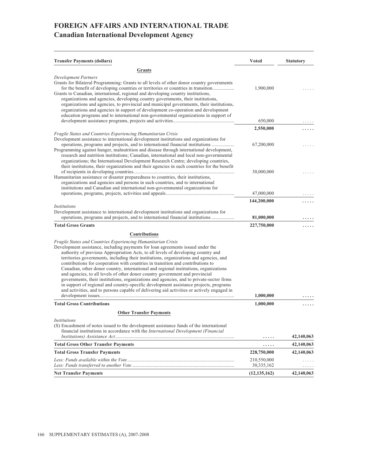# **FOREIGN AFFAIRS AND INTERNATIONAL TRADE Canadian International Development Agency**

| <b>Transfer Payments (dollars)</b>                                                                                                                                                                                                                                                                                                                                                                                                                                                                                                                                                                                                                                                                                                                                                                                                                                             | Voted                       | <b>Statutory</b>     |
|--------------------------------------------------------------------------------------------------------------------------------------------------------------------------------------------------------------------------------------------------------------------------------------------------------------------------------------------------------------------------------------------------------------------------------------------------------------------------------------------------------------------------------------------------------------------------------------------------------------------------------------------------------------------------------------------------------------------------------------------------------------------------------------------------------------------------------------------------------------------------------|-----------------------------|----------------------|
| <b>Grants</b>                                                                                                                                                                                                                                                                                                                                                                                                                                                                                                                                                                                                                                                                                                                                                                                                                                                                  |                             |                      |
| <b>Development Partners</b><br>Grants for Bilateral Programming: Grants to all levels of other donor country governments<br>for the benefit of developing countries or territories or countries in transition<br>Grants to Canadian, international, regional and developing country institutions,<br>organizations and agencies, developing country governments, their institutions,<br>organizations and agencies, to provincial and municipal governments, their institutions,<br>organizations and agencies in support of development co-operation and development<br>education programs and to international non-governmental organizations in support of                                                                                                                                                                                                                  | 1,900,000                   |                      |
|                                                                                                                                                                                                                                                                                                                                                                                                                                                                                                                                                                                                                                                                                                                                                                                                                                                                                | 650,000                     |                      |
|                                                                                                                                                                                                                                                                                                                                                                                                                                                                                                                                                                                                                                                                                                                                                                                                                                                                                | 2,550,000                   |                      |
| Fragile States and Countries Experiencing Humanitarian Crisis<br>Development assistance to international development institutions and organizations for<br>operations, programs and projects, and to international financial institutions<br>Programming against hunger, malnutrition and disease through international development,<br>research and nutrition institutions; Canadian, international and local non-governmental                                                                                                                                                                                                                                                                                                                                                                                                                                                | 67,200,000                  |                      |
| organizations; the International Development Research Centre; developing countries,<br>their institutions, their organizations and their agencies in such countries for the benefit<br>Humanitarian assistance or disaster preparedness to countries, their institutions,<br>organizations and agencies and persons in such countries, and to international                                                                                                                                                                                                                                                                                                                                                                                                                                                                                                                    | 30,000,000                  |                      |
| institutions and Canadian and international non-governmental organizations for                                                                                                                                                                                                                                                                                                                                                                                                                                                                                                                                                                                                                                                                                                                                                                                                 | 47,000,000                  |                      |
|                                                                                                                                                                                                                                                                                                                                                                                                                                                                                                                                                                                                                                                                                                                                                                                                                                                                                | 144,200,000                 |                      |
| <b>Institutions</b><br>Development assistance to international development institutions and organizations for<br>operations, programs and projects, and to international financial institutions                                                                                                                                                                                                                                                                                                                                                                                                                                                                                                                                                                                                                                                                                | 81,000,000                  |                      |
| <b>Total Gross Grants</b>                                                                                                                                                                                                                                                                                                                                                                                                                                                                                                                                                                                                                                                                                                                                                                                                                                                      | 227,750,000                 |                      |
| <b>Contributions</b>                                                                                                                                                                                                                                                                                                                                                                                                                                                                                                                                                                                                                                                                                                                                                                                                                                                           |                             |                      |
| Fragile States and Countries Experiencing Humanitarian Crisis<br>Development assistance, including payments for loan agreements issued under the<br>authority of previous Appropriation Acts, to all levels of developing country and<br>territories governments, including their institutions, organizations and agencies, and<br>contributions for cooperation with countries in transition and contributions to<br>Canadian, other donor country, international and regional institutions, organizations<br>and agencies, to all levels of other donor country government and provincial<br>governments, their institutions, organizations and agencies, and to private-sector firms<br>in support of regional and country-specific development assistance projects, programs<br>and activities, and to persons capable of delivering aid activities or actively engaged in | 1,000,000                   |                      |
| <b>Total Gross Contributions</b>                                                                                                                                                                                                                                                                                                                                                                                                                                                                                                                                                                                                                                                                                                                                                                                                                                               | 1,000,000                   |                      |
| <b>Other Transfer Payments</b>                                                                                                                                                                                                                                                                                                                                                                                                                                                                                                                                                                                                                                                                                                                                                                                                                                                 |                             |                      |
| Institutions<br>(S) Encashment of notes issued to the development assistance funds of the international<br>financial institutions in accordance with the International Development (Financial                                                                                                                                                                                                                                                                                                                                                                                                                                                                                                                                                                                                                                                                                  | .                           | 42,140,063           |
| <b>Total Gross Other Transfer Payments</b>                                                                                                                                                                                                                                                                                                                                                                                                                                                                                                                                                                                                                                                                                                                                                                                                                                     | .                           | 42,140,063           |
| <b>Total Gross Transfer Payments</b>                                                                                                                                                                                                                                                                                                                                                                                                                                                                                                                                                                                                                                                                                                                                                                                                                                           | 228,750,000                 | 42,140,063           |
|                                                                                                                                                                                                                                                                                                                                                                                                                                                                                                                                                                                                                                                                                                                                                                                                                                                                                | 210,550,000<br>30, 335, 162 | $\cdots\cdots\cdots$ |

**Net Transfer Payments (12,135,162) 42,140,063**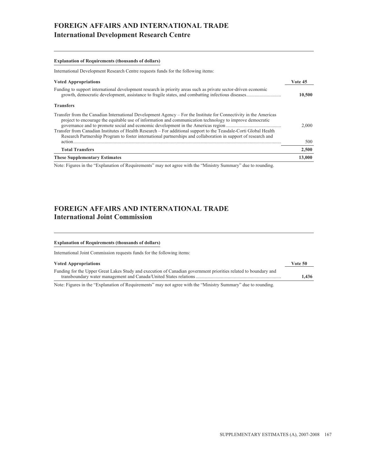# **FOREIGN AFFAIRS AND INTERNATIONAL TRADE International Development Research Centre**

#### **Explanation of Requirements (thousands of dollars)**

International Development Research Centre requests funds for the following items:

| <b>Voted Appropriations</b>                                                                                                                                                                                                                                                                                                                                                                                                                                         | Vote 45 |
|---------------------------------------------------------------------------------------------------------------------------------------------------------------------------------------------------------------------------------------------------------------------------------------------------------------------------------------------------------------------------------------------------------------------------------------------------------------------|---------|
| Funding to support international development research in priority areas such as private sector-driven economic                                                                                                                                                                                                                                                                                                                                                      | 10,500  |
| <b>Transfers</b>                                                                                                                                                                                                                                                                                                                                                                                                                                                    |         |
| Transfer from the Canadian International Development Agency – For the Institute for Connectivity in the Americas<br>project to encourage the equitable use of information and communication technology to improve democratic<br>Transfer from Canadian Institutes of Health Research – For additional support to the Teasdale-Corti Global Health<br>Research Partnership Program to foster international partnerships and collaboration in support of research and | 2.000   |
| action.                                                                                                                                                                                                                                                                                                                                                                                                                                                             | 500     |
| <b>Total Transfers</b>                                                                                                                                                                                                                                                                                                                                                                                                                                              | 2,500   |
| <b>These Supplementary Estimates</b>                                                                                                                                                                                                                                                                                                                                                                                                                                | 13.000  |

Note: Figures in the "Explanation of Requirements" may not agree with the "Ministry Summary" due to rounding.

## **FOREIGN AFFAIRS AND INTERNATIONAL TRADE International Joint Commission**

| <b>Explanation of Requirements (thousands of dollars)</b> |  |
|-----------------------------------------------------------|--|
|                                                           |  |

International Joint Commission requests funds for the following items:

| <b>Voted Appropriations</b>                                                                                     | Vote 50 |
|-----------------------------------------------------------------------------------------------------------------|---------|
| Funding for the Upper Great Lakes Study and execution of Canadian government priorities related to boundary and |         |
|                                                                                                                 | 1.436   |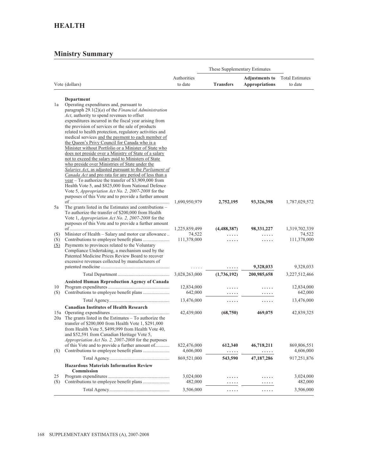# **Ministry Summary**

|            |                                                                                                                                                                                                                                                                                                                                                                                                   |                          |                  | These Supplementary Estimates                  |                                   |  |  |  |
|------------|---------------------------------------------------------------------------------------------------------------------------------------------------------------------------------------------------------------------------------------------------------------------------------------------------------------------------------------------------------------------------------------------------|--------------------------|------------------|------------------------------------------------|-----------------------------------|--|--|--|
|            | Vote (dollars)                                                                                                                                                                                                                                                                                                                                                                                    | Authorities<br>to date   | <b>Transfers</b> | <b>Adjustments to</b><br><b>Appropriations</b> | <b>Total Estimates</b><br>to date |  |  |  |
|            | Department                                                                                                                                                                                                                                                                                                                                                                                        |                          |                  |                                                |                                   |  |  |  |
| 1a         | Operating expenditures and, pursuant to<br>paragraph $29.1(2)(a)$ of the <i>Financial Administration</i><br>Act, authority to spend revenues to offset<br>expenditures incurred in the fiscal year arising from<br>the provision of services or the sale of products<br>related to health protection, regulatory activities and                                                                   |                          |                  |                                                |                                   |  |  |  |
|            | medical services and the payment to each member of<br>the Queen's Privy Council for Canada who is a<br>Minister without Portfolio or a Minister of State who<br>does not preside over a Ministry of State of a salary<br>not to exceed the salary paid to Ministers of State                                                                                                                      |                          |                  |                                                |                                   |  |  |  |
|            | who preside over Ministries of State under the<br>Salaries Act, as adjusted pursuant to the Parliament of<br>Canada Act and pro rata for any period of less than a<br>year $-$ To authorize the transfer of \$3,909,000 from<br>Health Vote 5, and \$825,000 from National Defence<br>Vote 5, Appropriation Act No. 2, 2007-2008 for the<br>purposes of this Vote and to provide a further amount |                          |                  |                                                |                                   |  |  |  |
| 5a         | The grants listed in the Estimates and contributions –<br>To authorize the transfer of \$200,000 from Health<br>Vote 1, Appropriation Act No. 2, 2007-2008 for the<br>purposes of this Vote and to provide a further amount                                                                                                                                                                       | 1,690,950,979            | 2,752,195        | 93,326,398                                     | 1,787,029,572                     |  |  |  |
| (S)        | Minister of Health - Salary and motor car allowance                                                                                                                                                                                                                                                                                                                                               | 1,225,859,499<br>74,522  | (4,488,387)<br>. | 98, 331, 227                                   | 1,319,702,339<br>74,522           |  |  |  |
| (S)<br>(S) | Payments to provinces related to the Voluntary<br>Compliance Undertaking, a mechanism used by the<br>Patented Medicine Prices Review Board to recover<br>excessive revenues collected by manufacturers of                                                                                                                                                                                         | 111,378,000              | .                | .                                              | 111,378,000                       |  |  |  |
|            |                                                                                                                                                                                                                                                                                                                                                                                                   |                          |                  | 9,328,033                                      | 9,328,033                         |  |  |  |
|            |                                                                                                                                                                                                                                                                                                                                                                                                   | 3,028,263,000            | (1,736,192)      | 200,985,658                                    | 3,227,512,466                     |  |  |  |
| 10<br>(S)  | <b>Assisted Human Reproduction Agency of Canada</b>                                                                                                                                                                                                                                                                                                                                               | 12,834,000<br>642,000    | .                |                                                | 12,834,000<br>642,000             |  |  |  |
|            |                                                                                                                                                                                                                                                                                                                                                                                                   | 13,476,000               | .                | .                                              | 13,476,000                        |  |  |  |
|            | <b>Canadian Institutes of Health Research</b><br>$20a$ The grants listed in the Estimates – To authorize the<br>transfer of \$200,000 from Health Vote 1, \$291,000<br>from Health Vote 5, \$499,999 from Health Vote 40,<br>and \$52,591 from Canadian Heritage Vote 5,                                                                                                                          | 42,439,000               | (68,750)         | 469,075                                        | 42,839,325                        |  |  |  |
| (S)        | Appropriation Act No. 2, 2007-2008 for the purposes<br>of this Vote and to provide a further amount of                                                                                                                                                                                                                                                                                            | 822,476,000<br>4,606,000 | 612,340<br>.     | 46,718,211<br>.                                | 869,806,551<br>4,606,000          |  |  |  |
|            |                                                                                                                                                                                                                                                                                                                                                                                                   | 869,521,000              | 543,590          | 47, 187, 286                                   | 917,251,876                       |  |  |  |
|            | <b>Hazardous Materials Information Review</b>                                                                                                                                                                                                                                                                                                                                                     |                          |                  |                                                |                                   |  |  |  |
| 25         | <b>Commission</b>                                                                                                                                                                                                                                                                                                                                                                                 |                          |                  |                                                |                                   |  |  |  |
| (S)        |                                                                                                                                                                                                                                                                                                                                                                                                   | 3,024,000<br>482,000     | .<br>.           | .<br>.                                         | 3,024,000<br>482,000              |  |  |  |
|            |                                                                                                                                                                                                                                                                                                                                                                                                   | 3,506,000                | .                | .                                              | 3,506,000                         |  |  |  |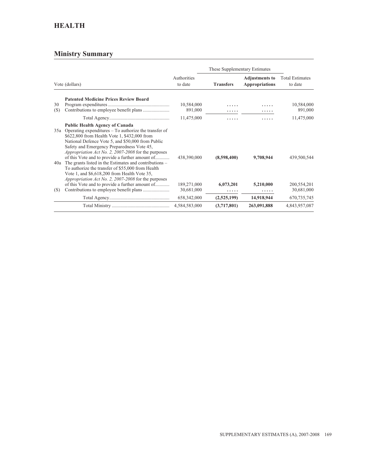# **HEALTH**

# **Ministry Summary**

|                |                                                                                                                                                                                                                                                                                                                                                                                                                                                                                                                                                                                                   |                        | These Supplementary Estimates |                                                |                                   |
|----------------|---------------------------------------------------------------------------------------------------------------------------------------------------------------------------------------------------------------------------------------------------------------------------------------------------------------------------------------------------------------------------------------------------------------------------------------------------------------------------------------------------------------------------------------------------------------------------------------------------|------------------------|-------------------------------|------------------------------------------------|-----------------------------------|
| Vote (dollars) |                                                                                                                                                                                                                                                                                                                                                                                                                                                                                                                                                                                                   | Authorities<br>to date | <b>Transfers</b>              | <b>Adjustments to</b><br><b>Appropriations</b> | <b>Total Estimates</b><br>to date |
| 30<br>(S)      | <b>Patented Medicine Prices Review Board</b>                                                                                                                                                                                                                                                                                                                                                                                                                                                                                                                                                      | 10,584,000<br>891,000  | .                             |                                                | 10,584,000<br>891,000             |
|                |                                                                                                                                                                                                                                                                                                                                                                                                                                                                                                                                                                                                   | 11,475,000             | .                             | .                                              | 11,475,000                        |
| 35a<br>40a     | <b>Public Health Agency of Canada</b><br>Operating expenditures $-$ To authorize the transfer of<br>\$622,800 from Health Vote 1, \$432,000 from<br>National Defence Vote 5, and \$50,000 from Public<br>Safety and Emergency Preparedness Vote 45,<br><i>Appropriation Act No. 2, 2007-2008</i> for the purposes<br>of this Vote and to provide a further amount of<br>The grants listed in the Estimates and contributions –<br>To authorize the transfer of \$55,000 from Health<br>Vote 1, and \$6,618,200 from Health Vote 35,<br><i>Appropriation Act No. 2, 2007-2008</i> for the purposes | 438,390,000            | (8,598,400)                   | 9,708,944                                      | 439,500,544                       |
|                | of this Vote and to provide a further amount of                                                                                                                                                                                                                                                                                                                                                                                                                                                                                                                                                   | 189,271,000            | 6,073,201                     | 5,210,000                                      | 200,554,201                       |
| (S)            |                                                                                                                                                                                                                                                                                                                                                                                                                                                                                                                                                                                                   | 30,681,000             | .                             |                                                | 30,681,000                        |
|                |                                                                                                                                                                                                                                                                                                                                                                                                                                                                                                                                                                                                   | 658, 342, 000          | (2,525,199)                   | 14,918,944                                     | 670, 735, 745                     |
|                |                                                                                                                                                                                                                                                                                                                                                                                                                                                                                                                                                                                                   | 4,584,583,000          | (3,717,801)                   | 263,091,888                                    | 4,843,957,087                     |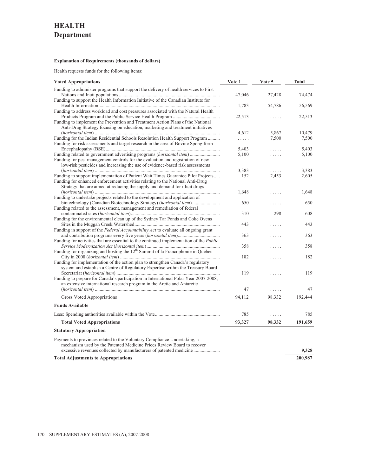## **Explanation of Requirements (thousands of dollars)**

Health requests funds for the following items:

| <b>Voted Appropriations</b>                                                                    | Vote 1   | Vote 5 | <b>Total</b> |
|------------------------------------------------------------------------------------------------|----------|--------|--------------|
| Funding to administer programs that support the delivery of health services to First           |          |        |              |
|                                                                                                | 47,046   | 27,428 | 74,474       |
| Funding to support the Health Information Initiative of the Canadian Institute for             |          |        |              |
|                                                                                                | 1,783    | 54,786 | 56,569       |
| Funding to address workload and cost pressures associated with the Natural Health              |          |        |              |
|                                                                                                | 22,513   | .      | 22,513       |
| Funding to implement the Prevention and Treatment Action Plans of the National                 |          |        |              |
| Anti-Drug Strategy focusing on education, marketing and treatment initiatives                  |          |        |              |
|                                                                                                | 4,612    | 5.867  | 10,479       |
| Funding for the Indian Residential Schools Resolution Health Support Program                   | $\ldots$ | 7,500  | 7,500        |
| Funding for risk assessments and target research in the area of Bovine Spongiform              |          |        |              |
|                                                                                                | 5,403    | .      | 5,403        |
|                                                                                                | 5,100    | .      | 5,100        |
| Funding for pest management controls for the evaluation and registration of new                |          |        |              |
| low-risk pesticides and increasing the use of evidence-based risk assessments                  |          |        |              |
|                                                                                                | 3,383    | .      | 3,383        |
| Funding to support implementation of Patient Wait Times Guarantee Pilot Projects               | 152      | 2,453  | 2,605        |
| Funding for enhanced enforcement activities relating to the National Anti-Drug                 |          |        |              |
| Strategy that are aimed at reducing the supply and demand for illicit drugs                    |          |        |              |
|                                                                                                | 1,648    | .      | 1,648        |
| Funding to undertake projects related to the development and application of                    |          |        |              |
|                                                                                                | 650      | .      | 650          |
| Funding related to the assessment, management and remediation of federal                       |          |        |              |
|                                                                                                | 310      | 298    | 608          |
| Funding for the environmental clean up of the Sydney Tar Ponds and Coke Ovens                  |          |        |              |
|                                                                                                | 443      | .      | 443          |
| Funding in support of the Federal Accountability Act to evaluate all ongoing grant             |          |        |              |
|                                                                                                | 363      | .      | 363          |
| Funding for activities that are essential to the continued implementation of the <i>Public</i> |          |        |              |
|                                                                                                | 358      | .      | 358          |
| Funding for organizing and hosting the 12 <sup>th</sup> Summit of la Francophonie in Quebec    |          |        |              |
|                                                                                                | 182      | .      | 182          |
| Funding for implementation of the action plan to strengthen Canada's regulatory                |          |        |              |
| system and establish a Centre of Regulatory Expertise within the Treasury Board                |          |        |              |
|                                                                                                | 119      | .      | 119          |
| Funding to prepare for Canada's participation in International Polar Year 2007-2008,           |          |        |              |
| an extensive international research program in the Arctic and Antarctic                        |          |        |              |
|                                                                                                | 47       | .      | 47           |
| Gross Voted Appropriations                                                                     | 94,112   | 98,332 | 192,444      |
| <b>Funds Available</b>                                                                         |          |        |              |
|                                                                                                | 785      | .      | 785          |
| <b>Total Voted Appropriations</b>                                                              | 93,327   | 98,332 | 191,659      |
| <b>Statutory Appropriation</b>                                                                 |          |        |              |
| Payments to provinces related to the Voluntary Compliance Undertaking, a                       |          |        |              |
| mechanism used by the Patented Medicine Prices Review Board to recover                         |          |        |              |
| excessive revenues collected by manufacturers of patented medicine                             |          |        | 9.328        |
| <b>Total Adjustments to Appropriations</b>                                                     |          |        | 200,987      |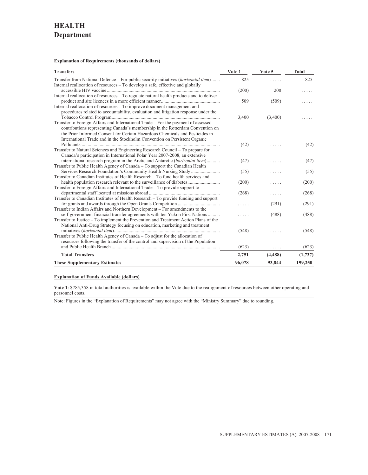#### **Explanation of Requirements (thousands of dollars)**

| <b>Transfers</b>                                                                            | Vote 1 | Vote 5   | Total   |
|---------------------------------------------------------------------------------------------|--------|----------|---------|
| Transfer from National Defence – For public security initiatives ( <i>horizontal item</i> ) | 825    | .        | 825     |
| Internal reallocation of resources – To develop a safe, effective and globally              | (200)  | 200      |         |
| Internal reallocation of resources – To regulate natural health products and to deliver     |        |          |         |
|                                                                                             | 509    | (509)    |         |
| Internal reallocation of resources – To improve document management and                     |        |          |         |
| procedures related to accountability, evaluation and litigation response under the          |        |          |         |
|                                                                                             | 3,400  | (3,400)  |         |
| Transfer to Foreign Affairs and International Trade - For the payment of assessed           |        |          |         |
| contributions representing Canada's membership in the Rotterdam Convention on               |        |          |         |
| the Prior Informed Consent for Certain Hazardous Chemicals and Pesticides in                |        |          |         |
| International Trade and in the Stockholm Convention on Persistent Organic                   |        |          |         |
|                                                                                             | (42)   |          | (42)    |
| Transfer to Natural Sciences and Engineering Research Council - To prepare for              |        |          |         |
| Canada's participation in International Polar Year 2007-2008, an extensive                  |        |          |         |
| international research program in the Arctic and Antarctic ( <i>horizontal item</i> )       | (47)   |          | (47)    |
| Transfer to Public Health Agency of Canada - To support the Canadian Health                 | (55)   |          | (55)    |
| Transfer to Canadian Institutes of Health Research – To fund health services and            |        |          |         |
| health population research relevant to the surveillance of diabetes                         | (200)  | .        | (200)   |
| Transfer to Foreign Affairs and International Trade – To provide support to                 |        |          |         |
|                                                                                             | (268)  |          | (268)   |
| Transfer to Canadian Institutes of Health Research – To provide funding and support         |        |          |         |
|                                                                                             |        | (291)    | (291)   |
| Transfer to Indian Affairs and Northern Development – For amendments to the                 |        |          |         |
| self-government financial transfer agreements with ten Yukon First Nations                  |        | (488)    | (488)   |
| Transfer to Justice – To implement the Prevention and Treatment Action Plans of the         |        |          |         |
| National Anti-Drug Strategy focusing on education, marketing and treatment                  |        |          |         |
|                                                                                             | (548)  |          | (548)   |
| Transfer to Public Health Agency of Canada – To adjust for the allocation of                |        |          |         |
| resources following the transfer of the control and supervision of the Population           |        |          |         |
|                                                                                             | (623)  | .        | (623)   |
| <b>Total Transfers</b>                                                                      | 2,751  | (4, 488) | (1,737) |
| <b>These Supplementary Estimates</b>                                                        | 96,078 | 93,844   | 199,250 |

#### **Explanation of Funds Available (dollars)**

**Vote 1**: \$785,358 in total authorities is available within the Vote due to the realignment of resources between other operating and personnel costs.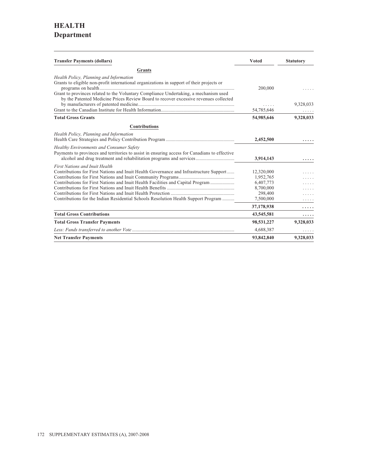# **HEALTH Department**

| <b>Transfer Payments (dollars)</b>                                                                                                                                           | <b>Voted</b>           | <b>Statutory</b> |
|------------------------------------------------------------------------------------------------------------------------------------------------------------------------------|------------------------|------------------|
| <b>Grants</b>                                                                                                                                                                |                        |                  |
| Health Policy, Planning and Information<br>Grants to eligible non-profit international organizations in support of their projects or                                         | 200,000                |                  |
| Grant to provinces related to the Voluntary Compliance Undertaking, a mechanism used<br>by the Patented Medicine Prices Review Board to recover excessive revenues collected |                        | 9,328,033        |
|                                                                                                                                                                              | 54,785,646             |                  |
| <b>Total Gross Grants</b>                                                                                                                                                    | 54,985,646             | 9,328,033        |
| <b>Contributions</b>                                                                                                                                                         |                        |                  |
| Health Policy, Planning and Information                                                                                                                                      | 2,452,500              |                  |
| Healthy Environments and Consumer Safety<br>Payments to provinces and territories to assist in ensuring access for Canadians to effective                                    | 3,914,143              |                  |
| <b>First Nations and Inuit Health</b><br>Contributions for First Nations and Inuit Health Governance and Infrastructure Support                                              | 12,320,000             |                  |
| Contributions for First Nations and Inuit Health Facilities and Capital Program                                                                                              | 1,952,765<br>6,407,773 |                  |
|                                                                                                                                                                              | 8,700,000<br>298,400   |                  |
| Contributions for the Indian Residential Schools Resolution Health Support Program                                                                                           | 7,500,000              | .                |
|                                                                                                                                                                              | 37,178,938             |                  |
| <b>Total Gross Contributions</b>                                                                                                                                             | 43,545,581             | .                |
| <b>Total Gross Transfer Payments</b>                                                                                                                                         | 98,531,227             | 9,328,033        |
|                                                                                                                                                                              | 4,688,387              | .                |
| <b>Net Transfer Payments</b>                                                                                                                                                 | 93,842,840             | 9,328,033        |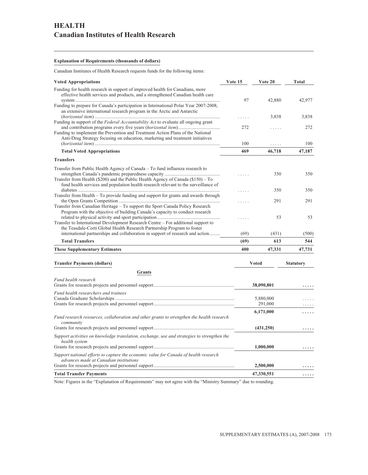## **Explanation of Requirements (thousands of dollars)**

Canadian Institutes of Health Research requests funds for the following items:

| <b>Voted Appropriations</b>                                                                                                                                                                                                                             | Vote 15 | Vote 20              | <b>Total</b>     |
|---------------------------------------------------------------------------------------------------------------------------------------------------------------------------------------------------------------------------------------------------------|---------|----------------------|------------------|
| Funding for health research in support of improved health for Canadians, more<br>effective health services and products, and a strengthened Canadian health care                                                                                        | 97      | 42,880               | 42,977           |
| Funding to prepare for Canada's participation in International Polar Year 2007-2008,<br>an extensive international research program in the Arctic and Antarctic                                                                                         |         |                      |                  |
| Funding in support of the Federal Accountability Act to evaluate all ongoing grant                                                                                                                                                                      |         | 3,838                | 3,838            |
| Funding to implement the Prevention and Treatment Action Plans of the National<br>Anti-Drug Strategy focusing on education, marketing and treatment initiatives                                                                                         | 272     | .                    | 272              |
|                                                                                                                                                                                                                                                         | 100     | .                    | 100              |
| <b>Total Voted Appropriations</b>                                                                                                                                                                                                                       | 469     | 46,718               | 47,187           |
| <b>Transfers</b>                                                                                                                                                                                                                                        |         |                      |                  |
| Transfer from Public Health Agency of Canada – To fund influenza research to<br>Transfer from Health (\$200) and the Public Health Agency of Canada (\$150) – To<br>fund health services and population health research relevant to the surveillance of |         | 350                  | 350              |
|                                                                                                                                                                                                                                                         | .       | 350                  | 350              |
| Transfer from Health – To provide funding and support for grants and awards through<br>Transfer from Canadian Heritage - To support the Sport Canada Policy Research                                                                                    |         | 291                  | 291              |
| Program with the objective of building Canada's capacity to conduct research<br>Transfer to International Development Research Centre - For additional support to                                                                                       |         | 53                   | 53               |
| the Teasdale-Corti Global Health Research Partnership Program to foster<br>international partnerships and collaboration in support of research and action                                                                                               | (69)    | (431)                | (500)            |
| <b>Total Transfers</b>                                                                                                                                                                                                                                  | (69)    | 613                  | 544              |
| <b>These Supplementary Estimates</b>                                                                                                                                                                                                                    | 400     | 47,331               | 47,731           |
| <b>Transfer Payments (dollars)</b>                                                                                                                                                                                                                      |         | <b>Voted</b>         | <b>Statutory</b> |
| <b>Grants</b>                                                                                                                                                                                                                                           |         |                      |                  |
| Fund health research                                                                                                                                                                                                                                    |         | 38,090,801           | .                |
| Fund health researchers and trainees                                                                                                                                                                                                                    |         | 5,880,000<br>291,000 |                  |
| Fund research resources, collaboration and other grants to strengthen the health research                                                                                                                                                               |         | 6,171,000            |                  |
| community                                                                                                                                                                                                                                               |         | (431,250)            | .                |
| Support activities on knowledge translation, exchange, use and strategies to strengthen the<br>health system                                                                                                                                            |         |                      |                  |
|                                                                                                                                                                                                                                                         |         | 1,000,000            |                  |
| Support national efforts to capture the economic value for Canada of health research<br>advances made at Canadian institutions                                                                                                                          |         |                      |                  |
|                                                                                                                                                                                                                                                         |         | 2,500,000            |                  |
| <b>Total Transfer Payments</b>                                                                                                                                                                                                                          |         | 47,330,551           | .                |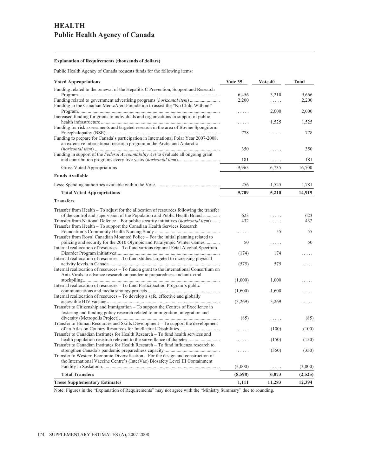# **HEALTH Public Health Agency of Canada**

## **Explanation of Requirements (thousands of dollars)**

Public Health Agency of Canada requests funds for the following items:

| <b>Voted Appropriations</b>                                                                                                                                        | Vote 35 | Vote 40 | <b>Total</b> |
|--------------------------------------------------------------------------------------------------------------------------------------------------------------------|---------|---------|--------------|
| Funding related to the renewal of the Hepatitis C Prevention, Support and Research                                                                                 |         |         |              |
|                                                                                                                                                                    | 6,456   | 3,210   | 9,666        |
| Funding related to government advertising programs ( <i>horizontal item</i> )                                                                                      | 2,200   | .       | 2,200        |
| Funding to the Canadian MedicAlert Foundation to assist the "No Child Without"                                                                                     |         |         |              |
|                                                                                                                                                                    | .       | 2,000   | 2,000        |
| Increased funding for grants to individuals and organizations in support of public                                                                                 |         |         |              |
|                                                                                                                                                                    | .       | 1,525   | 1,525        |
| Funding for risk assessments and targeted research in the area of Bovine Spongiform                                                                                | 778     |         | 778          |
| Funding to prepare for Canada's participation in International Polar Year 2007-2008,                                                                               |         | .       |              |
| an extensive international research program in the Arctic and Antarctic                                                                                            |         |         |              |
|                                                                                                                                                                    | 350     | .       | 350          |
| Funding in support of the Federal Accountability Act to evaluate all ongoing grant                                                                                 |         |         |              |
|                                                                                                                                                                    | 181     | .       | 181          |
| Gross Voted Appropriations                                                                                                                                         | 9,965   | 6,735   | 16,700       |
|                                                                                                                                                                    |         |         |              |
| <b>Funds Available</b>                                                                                                                                             |         |         |              |
|                                                                                                                                                                    | 256     | 1,525   | 1,781        |
| <b>Total Voted Appropriations</b>                                                                                                                                  | 9,709   | 5,210   | 14,919       |
|                                                                                                                                                                    |         |         |              |
| <b>Transfers</b>                                                                                                                                                   |         |         |              |
| Transfer from Health $-$ To adjust for the allocation of resources following the transfer                                                                          |         |         |              |
| of the control and supervision of the Population and Public Health Branch                                                                                          | 623     |         | 623          |
| Transfer from National Defence - For public security initiatives (horizontal item)                                                                                 | 432     | .       | 432          |
| Transfer from Health – To support the Canadian Health Services Research                                                                                            |         |         |              |
|                                                                                                                                                                    | .       | 55      | 55           |
| Transfer from Royal Canadian Mounted Police – For the initial planning related to<br>policing and security for the 2010 Olympic and Paralympic Winter Games        | 50      |         | 50           |
| Internal reallocation of resources – To fund various regional Fetal Alcohol Spectrum                                                                               |         | .       |              |
|                                                                                                                                                                    | (174)   | 174     |              |
| Internal reallocation of resources $-$ To fund studies targeted to increasing physical                                                                             |         |         |              |
|                                                                                                                                                                    | (575)   | 575     |              |
| Internal reallocation of resources – To fund a grant to the International Consortium on                                                                            |         |         |              |
| Anti-Virals to advance research on pandemic preparedness and anti-viral                                                                                            |         |         |              |
|                                                                                                                                                                    | (1,000) | 1,000   |              |
| Internal reallocation of resources – To fund Participaction Program's public                                                                                       |         |         |              |
|                                                                                                                                                                    | (1,600) | 1,600   |              |
| Internal reallocation of resources – To develop a safe, effective and globally                                                                                     |         |         |              |
|                                                                                                                                                                    | (3,269) | 3,269   |              |
| Transfer to Citizenship and Immigration – To support the Centres of Excellence in<br>fostering and funding policy research related to immigration, integration and |         |         |              |
|                                                                                                                                                                    | (85)    | .       | (85)         |
| Transfer to Human Resources and Skills Development – To support the development                                                                                    |         |         |              |
|                                                                                                                                                                    |         | (100)   | (100)        |
| Transfer to Canadian Institutes for Health Research – To fund health services and                                                                                  |         |         |              |
| health population research relevant to the surveillance of diabetes                                                                                                |         | (150)   | (150)        |
| Transfer to Canadian Institutes for Health Research – To fund influenza research to                                                                                |         |         |              |
|                                                                                                                                                                    | .       | (350)   | (350)        |
| Transfer to Western Economic Diversification – For the design and construction of                                                                                  |         |         |              |
| the International Vaccine Centre's (InterVac) Biosafety Level III Containment                                                                                      |         |         |              |
|                                                                                                                                                                    | (3,000) | .       | (3,000)      |
| <b>Total Transfers</b>                                                                                                                                             | (8,598) | 6,073   | (2,525)      |
| <b>These Supplementary Estimates</b>                                                                                                                               | 1,111   | 11,283  | 12,394       |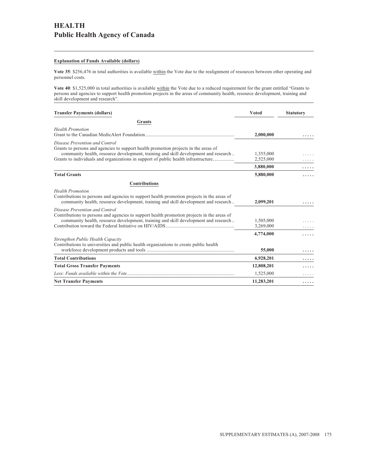## **HEALTH Public Health Agency of Canada**

#### **Explanation of Funds Available (dollars)**

**Vote 35**: \$256,476 in total authorities is available within the Vote due to the realignment of resources between other operating and personnel costs.

**Vote 40**: \$1,525,000 in total authorities is available within the Vote due to a reduced requirement for the grant entitled "Grants to persons and agencies to support health promotion projects in the areas of community health, resource development, training and skill development and research".

| <b>Transfer Payments (dollars)</b>                                                                                                                                                                           | <b>Voted</b>           | <b>Statutory</b> |
|--------------------------------------------------------------------------------------------------------------------------------------------------------------------------------------------------------------|------------------------|------------------|
| <b>Grants</b>                                                                                                                                                                                                |                        |                  |
| <b>Health Promotion</b>                                                                                                                                                                                      | 2,000,000              |                  |
| Disease Prevention and Control<br>Grants to persons and agencies to support health promotion projects in the areas of<br>community health, resource development, training and skill development and research | 1,355,000              |                  |
| Grants to individuals and organizations in support of public health infrastructure                                                                                                                           | 2,525,000              |                  |
|                                                                                                                                                                                                              | 3,880,000              |                  |
| <b>Total Grants</b>                                                                                                                                                                                          | 5,880,000              |                  |
| <b>Contributions</b>                                                                                                                                                                                         |                        |                  |
| <b>Health Promotion</b>                                                                                                                                                                                      |                        |                  |
| Contributions to persons and agencies to support health promotion projects in the areas of<br>community health, resource development, training and skill development and research                            | 2,099,201              |                  |
| Disease Prevention and Control                                                                                                                                                                               |                        |                  |
| Contributions to persons and agencies to support health promotion projects in the areas of                                                                                                                   |                        |                  |
| community health, resource development, training and skill development and research                                                                                                                          | 1,505,000<br>3,269,000 |                  |
|                                                                                                                                                                                                              | 4,774,000              |                  |
| Strengthen Public Health Capacity                                                                                                                                                                            |                        |                  |
| Contributions to universities and public health organizations to create public health                                                                                                                        | 55,000                 |                  |
| <b>Total Contributions</b>                                                                                                                                                                                   | 6,928,201              |                  |
| <b>Total Gross Transfer Payments</b>                                                                                                                                                                         | 12,808,201             |                  |
|                                                                                                                                                                                                              | 1,525,000              |                  |
| <b>Net Transfer Payments</b>                                                                                                                                                                                 | 11,283,201             | .                |
|                                                                                                                                                                                                              |                        |                  |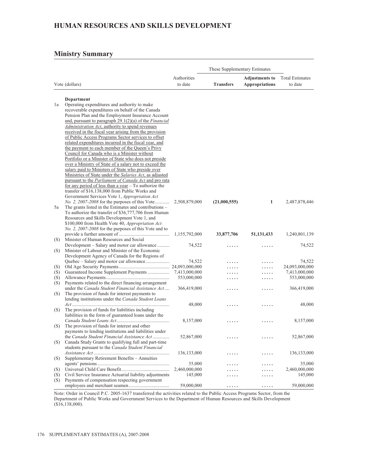## **HUMAN RESOURCES AND SKILLS DEVELOPMENT**

## **Ministry Summary**

|     |                                                                                                                    |               | These Supplementary Estimates |                       |                        |
|-----|--------------------------------------------------------------------------------------------------------------------|---------------|-------------------------------|-----------------------|------------------------|
|     |                                                                                                                    | Authorities   |                               | <b>Adjustments to</b> | <b>Total Estimates</b> |
|     | Vote (dollars)                                                                                                     | to date       | <b>Transfers</b>              | <b>Appropriations</b> | to date                |
|     |                                                                                                                    |               |                               |                       |                        |
|     | Department                                                                                                         |               |                               |                       |                        |
| 1a  | Operating expenditures and authority to make                                                                       |               |                               |                       |                        |
|     | recoverable expenditures on behalf of the Canada                                                                   |               |                               |                       |                        |
|     | Pension Plan and the Employment Insurance Account                                                                  |               |                               |                       |                        |
|     | and, pursuant to paragraph $29.1(2)(a)$ of the <i>Financial</i><br>Administration Act, authority to spend revenues |               |                               |                       |                        |
|     | received in the fiscal year arising from the provision<br>of Public Access Programs Sector services to offset      |               |                               |                       |                        |
|     | related expenditures incurred in the fiscal year, and<br>the payment to each member of the Queen's Privy           |               |                               |                       |                        |
|     | Council for Canada who is a Minister without                                                                       |               |                               |                       |                        |
|     | Portfolio or a Minister of State who does not preside                                                              |               |                               |                       |                        |
|     | over a Ministry of State of a salary not to exceed the                                                             |               |                               |                       |                        |
|     | salary paid to Ministers of State who preside over                                                                 |               |                               |                       |                        |
|     | Ministries of State under the Salaries Act, as adjusted<br>pursuant to the Parliament of Canada Act and pro rata   |               |                               |                       |                        |
|     | for any period of less than a year $-$ To authorize the                                                            |               |                               |                       |                        |
|     | transfer of \$16,138,000 from Public Works and                                                                     |               |                               |                       |                        |
|     | Government Services Vote 1, Appropriation Act                                                                      |               |                               |                       |                        |
|     | No. 2, 2007-2008 for the purposes of this Vote                                                                     | 2,508,879,000 | (21,000,555)                  | $\mathbf{1}$          | 2,487,878,446          |
| 5a  | The grants listed in the Estimates and contributions –                                                             |               |                               |                       |                        |
|     | To authorize the transfer of \$36,777,706 from Human                                                               |               |                               |                       |                        |
|     | Resources and Skills Development Vote 1, and                                                                       |               |                               |                       |                        |
|     | \$100,000 from Health Vote 40, Appropriation Act                                                                   |               |                               |                       |                        |
|     | No. 2, 2007-2008 for the purposes of this Vote and to                                                              | 1,155,792,000 | 33,877,706                    | 51, 131, 433          | 1,240,801,139          |
| (S) | Minister of Human Resources and Social                                                                             |               |                               |                       |                        |
|     | Development – Salary and motor car allowance                                                                       | 74,522        |                               |                       | 74,522                 |
| (S) | Minister of Labour and Minister of the Economic                                                                    |               |                               |                       |                        |
|     | Development Agency of Canada for the Regions of                                                                    |               |                               |                       |                        |
|     |                                                                                                                    | 74,522        |                               |                       | 74,522                 |
| (S) |                                                                                                                    |               |                               |                       | 24,093,000,000         |
| (S) | Guaranteed Income Supplement Payments                                                                              | 7,413,000,000 |                               |                       | 7,413,000,000          |
| (S) |                                                                                                                    | 553,000,000   |                               |                       | 553,000,000            |
| (S) | Payments related to the direct financing arrangement                                                               |               |                               |                       |                        |
|     | under the Canada Student Financial Assistance Act                                                                  | 366,419,000   |                               |                       | 366,419,000            |
| (S) | The provision of funds for interest payments to                                                                    |               |                               |                       |                        |
|     | lending institutions under the Canada Student Loans                                                                |               |                               |                       |                        |
|     |                                                                                                                    | 48,000        |                               |                       | 48,000                 |
| (S) | The provision of funds for liabilities including<br>liabilities in the form of guaranteed loans under the          |               |                               |                       |                        |
|     |                                                                                                                    | 8,157,000     |                               |                       | 8,157,000              |
| (S) | The provision of funds for interest and other                                                                      |               |                               |                       |                        |
|     | payments to lending institutions and liabilities under                                                             |               |                               |                       |                        |
|     | the Canada Student Financial Assistance Act                                                                        | 52,867,000    | .                             | .                     | 52,867,000             |
| (S) | Canada Study Grants to qualifying full and part-time                                                               |               |                               |                       |                        |
|     | students pursuant to the Canada Student Financial                                                                  |               |                               |                       |                        |
|     |                                                                                                                    | 136, 133, 000 | .                             | .                     | 136, 133, 000          |
| (S) | Supplementary Retirement Benefits - Annuities                                                                      |               |                               |                       |                        |
|     |                                                                                                                    | 35,000        |                               |                       | 35,000                 |
| (S) |                                                                                                                    | 2,460,000,000 |                               |                       | 2,460,000,000          |
| (S) | Civil Service Insurance Actuarial liability adjustments                                                            | 145,000       |                               | .                     | 145,000                |
| (S) | Payments of compensation respecting government                                                                     |               |                               |                       |                        |
|     |                                                                                                                    | 59,000,000    | .                             | .                     | 59,000,000             |

Note: Order in Council P.C. 2005-1637 transferred the activities related to the Public Access Programs Sector, from the Department of Public Works and Government Services to the Department of Human Resources and Skills Development  $(\overline{$}16,138,000)$ .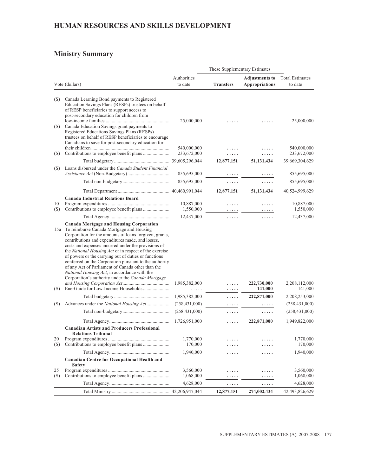## **HUMAN RESOURCES AND SKILLS DEVELOPMENT**

## **Ministry Summary**

|           |                                                                                                                                                                                                                                                                                                                                                                                                                                                                                                                                                                 |                            | These Supplementary Estimates |                                                |                                   |
|-----------|-----------------------------------------------------------------------------------------------------------------------------------------------------------------------------------------------------------------------------------------------------------------------------------------------------------------------------------------------------------------------------------------------------------------------------------------------------------------------------------------------------------------------------------------------------------------|----------------------------|-------------------------------|------------------------------------------------|-----------------------------------|
|           | Vote (dollars)                                                                                                                                                                                                                                                                                                                                                                                                                                                                                                                                                  | Authorities<br>to date     | <b>Transfers</b>              | <b>Adjustments to</b><br><b>Appropriations</b> | <b>Total Estimates</b><br>to date |
| (S)       | Canada Learning Bond payments to Registered<br>Education Savings Plans (RESPs) trustees on behalf<br>of RESP beneficiaries to support access to<br>post-secondary education for children from                                                                                                                                                                                                                                                                                                                                                                   |                            |                               |                                                |                                   |
| (S)       | Canada Education Savings grant payments to<br>Registered Educations Savings Plans (RESPs)<br>trustees on behalf of RESP beneficiaries to encourage<br>Canadians to save for post-secondary education for                                                                                                                                                                                                                                                                                                                                                        | 25,000,000                 |                               |                                                | 25,000,000                        |
| (S)       |                                                                                                                                                                                                                                                                                                                                                                                                                                                                                                                                                                 | 540,000,000<br>233,672,000 | .                             | .                                              | 540,000,000<br>233,672,000        |
|           |                                                                                                                                                                                                                                                                                                                                                                                                                                                                                                                                                                 |                            | 12,877,151                    | 51, 131, 434                                   | 39,669,304,629                    |
| (S)       | Loans disbursed under the Canada Student Financial                                                                                                                                                                                                                                                                                                                                                                                                                                                                                                              | 855,695,000                |                               |                                                | 855,695,000                       |
|           |                                                                                                                                                                                                                                                                                                                                                                                                                                                                                                                                                                 | 855,695,000                | .                             | .                                              | 855,695,000                       |
|           |                                                                                                                                                                                                                                                                                                                                                                                                                                                                                                                                                                 |                            | 12,877,151                    | 51, 131, 434                                   | 40,524,999,629                    |
|           | <b>Canada Industrial Relations Board</b>                                                                                                                                                                                                                                                                                                                                                                                                                                                                                                                        |                            |                               |                                                |                                   |
| 10        |                                                                                                                                                                                                                                                                                                                                                                                                                                                                                                                                                                 | 10,887,000                 |                               |                                                | 10,887,000                        |
| (S)       |                                                                                                                                                                                                                                                                                                                                                                                                                                                                                                                                                                 | 1,550,000                  |                               |                                                | 1,550,000                         |
|           | <b>Canada Mortgage and Housing Corporation</b>                                                                                                                                                                                                                                                                                                                                                                                                                                                                                                                  | 12,437,000                 | .                             |                                                | 12,437,000                        |
|           | 15a To reimburse Canada Mortgage and Housing<br>Corporation for the amounts of loans forgiven, grants,<br>contributions and expenditures made, and losses,<br>costs and expenses incurred under the provisions of<br>the National Housing Act or in respect of the exercise<br>of powers or the carrying out of duties or functions<br>conferred on the Corporation pursuant to the authority<br>of any Act of Parliament of Canada other than the<br><i>National Housing Act</i> , in accordance with the<br>Corporation's authority under the Canada Mortgage | 1,985,382,000              |                               | 222,730,000                                    | 2,208,112,000                     |
| (S)       |                                                                                                                                                                                                                                                                                                                                                                                                                                                                                                                                                                 |                            |                               | 141,000                                        | 141,000                           |
|           |                                                                                                                                                                                                                                                                                                                                                                                                                                                                                                                                                                 | 1,985,382,000              | .                             | 222,871,000                                    | 2,208,253,000                     |
| (S)       | Advances under the National Housing Act                                                                                                                                                                                                                                                                                                                                                                                                                                                                                                                         | (258, 431, 000)            | .                             |                                                | (258, 431, 000)                   |
|           |                                                                                                                                                                                                                                                                                                                                                                                                                                                                                                                                                                 | (258, 431, 000)            | .                             | .                                              | (258, 431, 000)                   |
|           |                                                                                                                                                                                                                                                                                                                                                                                                                                                                                                                                                                 | 1,726,951,000              |                               | 222,871,000                                    | 1,949,822,000                     |
|           | <b>Canadian Artists and Producers Professional</b>                                                                                                                                                                                                                                                                                                                                                                                                                                                                                                              |                            |                               |                                                |                                   |
| 20        | <b>Relations Tribunal</b>                                                                                                                                                                                                                                                                                                                                                                                                                                                                                                                                       | 1,770,000                  |                               |                                                | 1,770,000                         |
| (S)       |                                                                                                                                                                                                                                                                                                                                                                                                                                                                                                                                                                 | 170,000                    |                               | .                                              | 170,000                           |
|           |                                                                                                                                                                                                                                                                                                                                                                                                                                                                                                                                                                 | 1,940,000                  | .                             | .                                              | 1,940,000                         |
|           | <b>Canadian Centre for Occupational Health and</b><br><b>Safety</b>                                                                                                                                                                                                                                                                                                                                                                                                                                                                                             |                            |                               |                                                |                                   |
| 25<br>(S) |                                                                                                                                                                                                                                                                                                                                                                                                                                                                                                                                                                 | 3,560,000<br>1,068,000     |                               |                                                | 3,560,000<br>1,068,000            |
|           |                                                                                                                                                                                                                                                                                                                                                                                                                                                                                                                                                                 | 4,628,000                  | .                             | .                                              | 4,628,000                         |
|           |                                                                                                                                                                                                                                                                                                                                                                                                                                                                                                                                                                 |                            | 12,877,151                    | 274,002,434                                    | 42,493,826,629                    |

<u> 1980 - Johann Barbara, martxa alemaniar amerikan basar da a</u>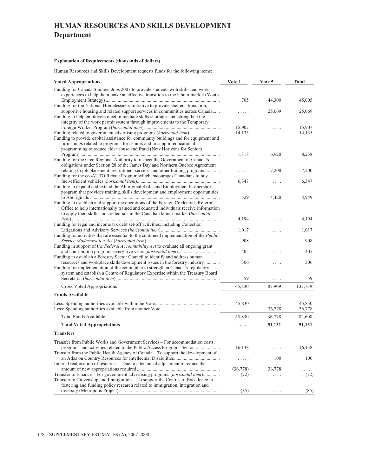# **HUMAN RESOURCES AND SKILLS DEVELOPMENT Department**

## **Explanation of Requirements (thousands of dollars)**

Human Resources and Skills Development requests funds for the following items:

| <b>Voted Appropriations</b>                                                                                                                                                                                                                       | Vote 1   | Vote 5             | <b>Total</b> |
|---------------------------------------------------------------------------------------------------------------------------------------------------------------------------------------------------------------------------------------------------|----------|--------------------|--------------|
| Funding for Canada Summer Jobs 2007 to provide students with skills and work<br>experiences to help them make an effective transition to the labour market (Youth                                                                                 |          |                    |              |
|                                                                                                                                                                                                                                                   | 705      | 44,300             | 45,005       |
| Funding for the National Homelessness Initiative to provide shelters, transition,<br>supportive housing and related support services in communities across Canada<br>Funding to help employers meet immediate skills shortages and strengthen the | .        | 25,069             | 25,069       |
| integrity of the work permit system through improvements to the Temporary                                                                                                                                                                         | 15,907   |                    | 15,907       |
| Funding related to government advertising programs (horizontal item)                                                                                                                                                                              | 14,135   | .                  | 14,135       |
| Funding to provide capital assistance for community buildings and for equipment and<br>furnishings related to programs for seniors and to support educational<br>programming to reduce elder abuse and fraud (New Horizons for Seniors            |          |                    |              |
|                                                                                                                                                                                                                                                   | 1,318    | 6,920              | 8,238        |
| Funding for the Cree Regional Authority to respect the Government of Canada's                                                                                                                                                                     |          |                    |              |
| obligations under Section 28 of the James Bay and Northern Quebec Agreement                                                                                                                                                                       |          |                    |              |
| relating to job placement, recruitment services and other training programs<br>Funding for the ecoAUTO Rebate Program which encourages Canadians to buy                                                                                           | .        | 7,200              | 7,200        |
|                                                                                                                                                                                                                                                   | 6,347    | .                  | 6,347        |
| Funding to expand and extend the Aboriginal Skills and Employment Partnership<br>program that provides training, skills development and employment opportunities                                                                                  | 529      | 4,420              | 4,949        |
| Funding to establish and support the operations of the Foreign Credentials Referral<br>Office to help internationally trained and educated individuals receive information                                                                        |          |                    |              |
| to apply their skills and credentials in the Canadian labour market (horizontal                                                                                                                                                                   |          |                    |              |
|                                                                                                                                                                                                                                                   | 4,194    | .                  | 4,194        |
| Funding for legal and income tax debt set-off activities, including Collection                                                                                                                                                                    | 1,017    | .                  | 1,017        |
| Funding for activities that are essential to the continued implementation of the <i>Public</i><br>Funding in support of the Federal Accountability Act to evaluate all ongoing grant                                                              | 908      | .                  | 908          |
| Funding to establish a Forestry Sector Council to identify and address human                                                                                                                                                                      | 405      | .                  | 405          |
| resources and workplace skills development issues in the forestry industry<br>Funding for implementation of the action plan to strengthen Canada's regulatory                                                                                     | 306      | .                  | 306          |
| system and establish a Centre of Regulatory Expertise within the Treasury Board                                                                                                                                                                   | 59       | .                  | 59           |
| Gross Voted Appropriations                                                                                                                                                                                                                        | 45,830   | 87,909             | 133,739      |
| <b>Funds Available</b>                                                                                                                                                                                                                            |          |                    |              |
|                                                                                                                                                                                                                                                   | 45,830   |                    | 45,830       |
|                                                                                                                                                                                                                                                   | $\ldots$ | $\ldots$<br>36,778 | 36,778       |
| Total Funds Available                                                                                                                                                                                                                             | 45,830   | 36,778             | 82,608       |
| <b>Total Voted Appropriations</b>                                                                                                                                                                                                                 | .        | 51,131             | 51,131       |
| <b>Transfers</b>                                                                                                                                                                                                                                  |          |                    |              |
| Transfer from Public Works and Government Services – For accommodation costs.                                                                                                                                                                     |          |                    |              |
| programs and activities related to the Public Access Programs Sector<br>Transfer from the Public Health Agency of Canada – To support the development of                                                                                          | 16,138   |                    | 16,138       |
| Internal reallocation of resources – Due to a technical adjustment to reduce the                                                                                                                                                                  | .        | 100                | 100          |
|                                                                                                                                                                                                                                                   | (36,778) | 36,778             |              |
| Transfer to Finance – For government advertising programs (horizontal item)<br>Transfer to Citizenship and Immigration – To support the Centres of Excellence in<br>fostering and funding policy research related to immigration, integration and | (72)     | .                  | (72)         |
|                                                                                                                                                                                                                                                   | (85)     |                    | (85)         |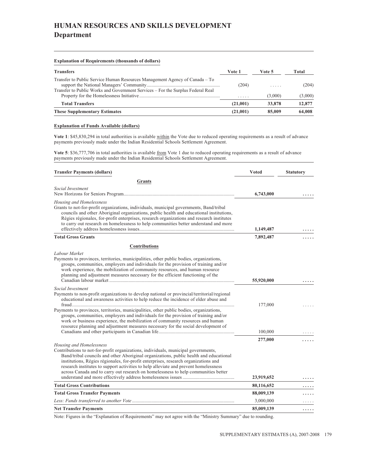# **HUMAN RESOURCES AND SKILLS DEVELOPMENT Department**

#### **Explanation of Requirements (thousands of dollars)**

| <b>Transfers</b>                                                                                                                                               | Vote 1   | Vote 5  | Total   |
|----------------------------------------------------------------------------------------------------------------------------------------------------------------|----------|---------|---------|
| Transfer to Public Service Human Resources Management Agency of Canada – To<br>Transfer to Public Works and Government Services – For the Surplus Federal Real | (204)    | .       | (204)   |
|                                                                                                                                                                | .        | (3,000) | (3,000) |
| <b>Total Transfers</b>                                                                                                                                         | (21.001) | 33,878  | 12,877  |
| <b>These Supplementary Estimates</b>                                                                                                                           | (21,001) | 85,009  | 64,008  |

#### **Explanation of Funds Available (dollars)**

**Vote 1**: \$45,830,294 in total authorities is available within the Vote due to reduced operating requirements as a result of advance payments previously made under the Indian Residential Schools Settlement Agreement.

**Vote 5**: \$36,777,706 in total authorities is available from Vote 1 due to reduced operating requirements as a result of advance payments previously made under the Indian Residential Schools Settlement Agreement.

| <b>Transfer Payments (dollars)</b>                                                                                                                                                                                                                                                                                                                                                                                                                                            | <b>Voted</b> | <b>Statutory</b> |
|-------------------------------------------------------------------------------------------------------------------------------------------------------------------------------------------------------------------------------------------------------------------------------------------------------------------------------------------------------------------------------------------------------------------------------------------------------------------------------|--------------|------------------|
| Grants                                                                                                                                                                                                                                                                                                                                                                                                                                                                        |              |                  |
| Social Investment                                                                                                                                                                                                                                                                                                                                                                                                                                                             | 6,743,000    |                  |
| Housing and Homelessness<br>Grants to not-for-profit organizations, individuals, municipal governments, Band/tribal<br>councils and other Aboriginal organizations, public health and educational institutions,<br>Régies régionales, for-profit enterprises, research organizations and research institutes<br>to carry out research on homelessness to help communities better understand and more                                                                          | 1,149,487    |                  |
| <b>Total Gross Grants</b>                                                                                                                                                                                                                                                                                                                                                                                                                                                     | 7,892,487    |                  |
| <b>Contributions</b>                                                                                                                                                                                                                                                                                                                                                                                                                                                          |              |                  |
| Labour Market<br>Payments to provinces, territories, municipalities, other public bodies, organizations,<br>groups, communities, employers and individuals for the provision of training and/or<br>work experience, the mobilization of community resources, and human resource<br>planning and adjustment measures necessary for the efficient functioning of the                                                                                                            | 55,920,000   |                  |
| Social Investment                                                                                                                                                                                                                                                                                                                                                                                                                                                             |              |                  |
| Payments to non-profit organizations to develop national or provincial/territorial/regional<br>educational and awareness activities to help reduce the incidence of elder abuse and                                                                                                                                                                                                                                                                                           | 177,000      |                  |
| Payments to provinces, territories, municipalities, other public bodies, organizations,<br>groups, communities, employers and individuals for the provision of training and/or<br>work or business experience, the mobilization of community resources and human<br>resource planning and adjustment measures necessary for the social development of                                                                                                                         | 100,000      |                  |
|                                                                                                                                                                                                                                                                                                                                                                                                                                                                               | 277,000      |                  |
| Housing and Homelessness<br>Contributions to not-for-profit organizations, individuals, municipal governments,<br>Band/tribal councils and other Aboriginal organizations, public health and educational<br>institutions, Régies régionales, for-profit enterprises, research organizations and<br>research institutes to support activities to help alleviate and prevent homelessness<br>across Canada and to carry out research on homelessness to help communities better | 23,919,652   |                  |
| <b>Total Gross Contributions</b>                                                                                                                                                                                                                                                                                                                                                                                                                                              | 80,116,652   |                  |
| <b>Total Gross Transfer Payments</b>                                                                                                                                                                                                                                                                                                                                                                                                                                          | 88,009,139   |                  |
|                                                                                                                                                                                                                                                                                                                                                                                                                                                                               | 3,000,000    | .                |
| <b>Net Transfer Payments</b>                                                                                                                                                                                                                                                                                                                                                                                                                                                  | 85,009,139   |                  |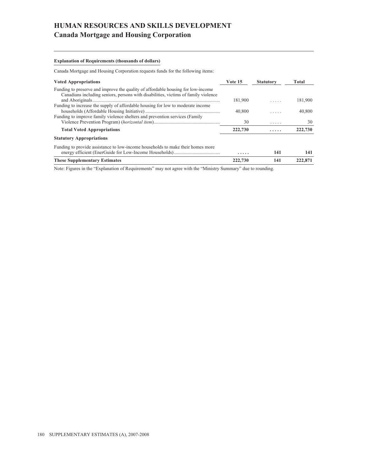# **HUMAN RESOURCES AND SKILLS DEVELOPMENT Canada Mortgage and Housing Corporation**

## **Explanation of Requirements (thousands of dollars)**

Canada Mortgage and Housing Corporation requests funds for the following items:

| <b>Voted Appropriations</b>                                                                                                                                            | Vote 15 | <b>Statutory</b> | Total   |
|------------------------------------------------------------------------------------------------------------------------------------------------------------------------|---------|------------------|---------|
| Funding to preserve and improve the quality of affordable housing for low-income<br>Canadians including seniors, persons with disabilities, victims of family violence |         |                  |         |
|                                                                                                                                                                        | 181,900 | .                | 181,900 |
| Funding to increase the supply of affordable housing for low to moderate income                                                                                        | 40,800  | .                | 40,800  |
| Funding to improve family violence shelters and prevention services (Family                                                                                            | 30      | .                | 30      |
| <b>Total Voted Appropriations</b>                                                                                                                                      | 222,730 | .                | 222,730 |
| <b>Statutory Appropriations</b>                                                                                                                                        |         |                  |         |
| Funding to provide assistance to low-income households to make their homes more                                                                                        |         | 141              | 141     |
| <b>These Supplementary Estimates</b>                                                                                                                                   | 222,730 | 141              | 222,871 |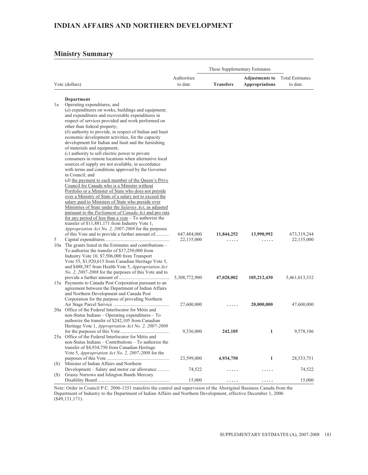## **INDIAN AFFAIRS AND NORTHERN DEVELOPMENT**

## **Ministry Summary**

|     |                                                                                                            | These Supplementary Estimates |                  |                       |                        |
|-----|------------------------------------------------------------------------------------------------------------|-------------------------------|------------------|-----------------------|------------------------|
|     |                                                                                                            | Authorities                   |                  | <b>Adjustments to</b> | <b>Total Estimates</b> |
|     | Vote (dollars)                                                                                             | to date                       | <b>Transfers</b> | <b>Appropriations</b> | to date                |
|     |                                                                                                            |                               |                  |                       |                        |
|     | Department                                                                                                 |                               |                  |                       |                        |
| 1a  | Operating expenditures, and                                                                                |                               |                  |                       |                        |
|     | $\overrightarrow{a}$ ) expenditures on works, buildings and equipment;                                     |                               |                  |                       |                        |
|     | and expenditures and recoverable expenditures in                                                           |                               |                  |                       |                        |
|     | respect of services provided and work performed on                                                         |                               |                  |                       |                        |
|     | other than federal property;<br>$(b)$ authority to provide, in respect of Indian and Inuit                 |                               |                  |                       |                        |
|     | economic development activities, for the capacity                                                          |                               |                  |                       |                        |
|     | development for Indian and Inuit and the furnishing                                                        |                               |                  |                       |                        |
|     | of materials and equipment;                                                                                |                               |                  |                       |                        |
|     | $(c)$ authority to sell electric power to private                                                          |                               |                  |                       |                        |
|     | consumers in remote locations when alternative local                                                       |                               |                  |                       |                        |
|     | sources of supply are not available, in accordance                                                         |                               |                  |                       |                        |
|     | with terms and conditions approved by the Governor                                                         |                               |                  |                       |                        |
|     | in Council; and                                                                                            |                               |                  |                       |                        |
|     | (d) the payment to each member of the Queen's Privy<br>Council for Canada who is a Minister without        |                               |                  |                       |                        |
|     | Portfolio or a Minister of State who does not preside                                                      |                               |                  |                       |                        |
|     | over a Ministry of State of a salary not to exceed the                                                     |                               |                  |                       |                        |
|     | salary paid to Ministers of State who preside over                                                         |                               |                  |                       |                        |
|     | Ministries of State under the Salaries Act, as adjusted                                                    |                               |                  |                       |                        |
|     | pursuant to the Parliament of Canada Act and pro rata                                                      |                               |                  |                       |                        |
|     | for any period of less than a year $-$ To authorize the                                                    |                               |                  |                       |                        |
|     | transfer of \$11,881,171 from Industry Vote 1,                                                             |                               |                  |                       |                        |
|     | Appropriation Act No. 2, 2007-2008 for the purposes<br>of this Vote and to provide a further amount of     | 647,484,000                   | 11,844,252       | 13,990,992            | 673,319,244            |
| 5   |                                                                                                            | 22,135,000                    | .                |                       | 22,135,000             |
|     | 10a The grants listed in the Estimates and contributions –                                                 |                               |                  |                       |                        |
|     | To authorize the transfer of \$37,250,000 from                                                             |                               |                  |                       |                        |
|     | Industry Vote 10, \$7,506,000 from Transport                                                               |                               |                  |                       |                        |
|     | Vote 55, \$1,920,615 from Canadian Heritage Vote 5,                                                        |                               |                  |                       |                        |
|     | and \$488,387 from Health Vote 5, Appropriation Act                                                        |                               |                  |                       |                        |
|     | No. 2, 2007-2008 for the purposes of this Vote and to                                                      |                               |                  |                       |                        |
|     | 15a Payments to Canada Post Corporation pursuant to an                                                     | 5,308,772,900                 | 47,028,002       | 105,212,430           | 5,461,013,332          |
|     | agreement between the Department of Indian Affairs                                                         |                               |                  |                       |                        |
|     | and Northern Development and Canada Post                                                                   |                               |                  |                       |                        |
|     | Corporation for the purpose of providing Northern                                                          |                               |                  |                       |                        |
|     |                                                                                                            | 27,600,000                    |                  | 20,000,000            | 47,600,000             |
|     | 20a Office of the Federal Interlocutor for Métis and                                                       |                               |                  |                       |                        |
|     | $non-Status$ Indians $- Operating$ expenditures $-To$<br>authorize the transfer of \$242,105 from Canadian |                               |                  |                       |                        |
|     | Heritage Vote 1, Appropriation Act No. 2, 2007-2008                                                        |                               |                  |                       |                        |
|     |                                                                                                            | 9,336,000                     | 242,105          | 1                     | 9,578,106              |
|     | 25a Office of the Federal Interlocutor for Métis and                                                       |                               |                  |                       |                        |
|     | non-Status Indians – Contributions – To authorize the                                                      |                               |                  |                       |                        |
|     | transfer of \$4,934,750 from Canadian Heritage                                                             |                               |                  |                       |                        |
|     | Vote 5, Appropriation Act No. 2, 2007-2008 for the                                                         |                               |                  |                       |                        |
|     | Minister of Indian Affairs and Northern                                                                    | 23,599,000                    | 4,934,750        | 1                     | 28, 533, 751           |
| (S) | Development – Salary and motor car allowance                                                               | 74,522                        |                  |                       | 74,522                 |
| (S) | Grassy Narrows and Islington Bands Mercury                                                                 |                               |                  |                       |                        |
|     |                                                                                                            | 15,000                        |                  | .                     | 15,000                 |

Note: Order in Council P.C. 2006-1351 transfers the control and supervision of the Aboriginal Business Canada from the Department of Industry to the Department of Indian Affairs and Northern Development, effective December 1, 2006 (\$49,131,171).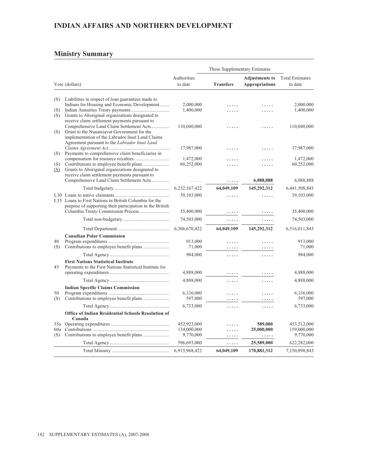## **INDIAN AFFAIRS AND NORTHERN DEVELOPMENT**

## **Ministry Summary**

|                   |                                                                                                                                                                                                                                               | These Supplementary Estimates |                  |                                                |                                   |
|-------------------|-----------------------------------------------------------------------------------------------------------------------------------------------------------------------------------------------------------------------------------------------|-------------------------------|------------------|------------------------------------------------|-----------------------------------|
| Vote (dollars)    |                                                                                                                                                                                                                                               | Authorities<br>to date        | <b>Transfers</b> | <b>Adjustments to</b><br><b>Appropriations</b> | <b>Total Estimates</b><br>to date |
|                   |                                                                                                                                                                                                                                               |                               |                  |                                                |                                   |
| (S)<br>(S)<br>(S) | Liabilities in respect of loan guarantees made to<br>Indians for Housing and Economic Development<br>Grants to Aboriginal organizations designated to                                                                                         | 2,000,000<br>1,400,000        |                  | $\cdots$                                       | 2,000,000<br>1,400,000            |
| (S)               | receive claim settlement payments pursuant to<br>Comprehensive Land Claim Settlement Acts<br>Grant to the Nunatsiavut Government for the<br>implementation of the Labrador Inuit Land Claims<br>Agreement pursuant to the Labrador Inuit Land | 110,040,000                   | .                | .                                              | 110,040,000                       |
| (S)               | Payments to comprehensive claim beneficiaries in                                                                                                                                                                                              | 17,987,000                    | .                | .                                              | 17,987,000                        |
| (S)<br>(S)        | Grants to Aboriginal organizations designated to<br>receive claim settlement payments pursuant to                                                                                                                                             | 1,472,000<br>60,252,000       |                  |                                                | 1,472,000<br>60,252,000           |
|                   | Comprehensive Land Claim Settlement Acts                                                                                                                                                                                                      |                               | .                | 6,088,888                                      | 6,088,888                         |
|                   |                                                                                                                                                                                                                                               | 6,232,167,422                 | 64,049,109       | 145,292,312                                    | 6,441,508,843                     |
|                   | L35 Loans to First Nations in British Columbia for the<br>purpose of supporting their participation in the British                                                                                                                            | 39,103,000                    | .                | .                                              | 39,103,000                        |
|                   |                                                                                                                                                                                                                                               | 35,400,000                    | .                |                                                | 35,400,000                        |
|                   |                                                                                                                                                                                                                                               | 74,503,000                    | .                | .                                              | 74,503,000                        |
|                   |                                                                                                                                                                                                                                               | 6,306,670,422                 | 64,049,109       | 145,292,312                                    | 6,516,011,843                     |
| 40<br>(S)         | <b>Canadian Polar Commission</b>                                                                                                                                                                                                              | 913,000<br>71,000             | .<br>.           | .                                              | 913,000<br>71,000                 |
|                   |                                                                                                                                                                                                                                               | 984,000                       | .                | .                                              | 984,000                           |
| 45                | <b>First Nations Statistical Institute</b><br>Payments to the First Nations Statistical Institute for                                                                                                                                         | 4,888,000                     | .                | .                                              | 4,888,000                         |
|                   |                                                                                                                                                                                                                                               | 4,888,000                     | .                | .                                              | 4,888,000                         |
| 50<br>(S)         | <b>Indian Specific Claims Commission</b>                                                                                                                                                                                                      | 6,136,000<br>597,000          | .<br>.           | .<br>.                                         | 6,136,000<br>597,000              |
|                   |                                                                                                                                                                                                                                               | 6,733,000                     | .                | .                                              | 6,733,000                         |
|                   | <b>Office of Indian Residential Schools Resolution of</b><br>Canada                                                                                                                                                                           |                               |                  |                                                |                                   |
| 60a               |                                                                                                                                                                                                                                               | 452,923,000<br>134,000,000    | .<br>.           | 589,000<br>25,000,000                          | 453,512,000<br>159,000,000        |
| (S)               |                                                                                                                                                                                                                                               | 9,770,000                     | .                | .                                              | 9,770,000                         |
|                   |                                                                                                                                                                                                                                               | 596,693,000                   | .                | 25,589,000                                     | 622,282,000                       |
|                   |                                                                                                                                                                                                                                               | 6,915,968,422                 | 64,049,109       | 170,881,312                                    | 7,150,898,843                     |

<u> 1989 - Johann Barbara, martxa alemaniar a</u>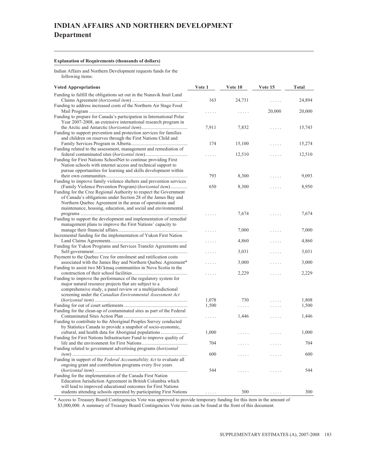# **INDIAN AFFAIRS AND NORTHERN DEVELOPMENT Department**

#### **Explanation of Requirements (thousands of dollars)**

Indian Affairs and Northern Development requests funds for the following items:

| <b>Voted Appropriations</b>                                                                                                          | Vote 1         | Vote 10 | Vote 15                            | <b>Total</b>   |
|--------------------------------------------------------------------------------------------------------------------------------------|----------------|---------|------------------------------------|----------------|
| Funding to fulfill the obligations set out in the Nunavik Inuit Land                                                                 |                |         |                                    |                |
|                                                                                                                                      | 163            | 24,731  | .                                  | 24,894         |
| Funding to address increased costs of the Northern Air Stage Food                                                                    |                |         |                                    |                |
|                                                                                                                                      | .              | .       | 20,000                             | 20,000         |
| Funding to prepare for Canada's participation in International Polar                                                                 |                |         |                                    |                |
| Year 2007-2008, an extensive international research program in                                                                       |                |         |                                    | 15,743         |
| Funding to support prevention and protection services for families                                                                   | 7,911          | 7,832   | $\sim$ $\sim$ $\sim$ $\sim$ $\sim$ |                |
| and children on reserves through the First Nations Child and                                                                         |                |         |                                    |                |
|                                                                                                                                      | 174            | 15,100  | .                                  | 15,274         |
| Funding related to the assessment, management and remediation of                                                                     |                |         |                                    |                |
|                                                                                                                                      | .              | 12,510  | .                                  | 12,510         |
| Funding for First Nations SchoolNet to continue providing First                                                                      |                |         |                                    |                |
| Nation schools with internet access and technical support to                                                                         |                |         |                                    |                |
| pursue opportunities for learning and skills development within                                                                      |                |         |                                    |                |
|                                                                                                                                      | 793            | 8,300   | .                                  | 9,093          |
| Funding to improve family violence shelters and prevention services                                                                  | 650            |         |                                    |                |
| (Family Violence Prevention Program) ( <i>horizontal item</i> )<br>Funding for the Cree Regional Authority to respect the Government |                | 8,300   | .                                  | 8,950          |
| of Canada's obligations under Section 28 of the James Bay and                                                                        |                |         |                                    |                |
| Northern Quebec Agreement in the areas of operations and                                                                             |                |         |                                    |                |
| maintenance, housing, education, and social and environmental                                                                        |                |         |                                    |                |
|                                                                                                                                      | .              | 7,674   | .                                  | 7,674          |
| Funding to support the development and implementation of remedial                                                                    |                |         |                                    |                |
| management plans to improve the First Nations' capacity to                                                                           |                |         |                                    |                |
|                                                                                                                                      |                | 7,000   |                                    | 7,000          |
| Incremental funding for the implementation of Yukon First Nation                                                                     |                |         |                                    |                |
|                                                                                                                                      | .              | 4,860   | .                                  | 4,860          |
| Funding for Yukon Programs and Services Transfer Agreements and                                                                      | .              | 3,031   | .                                  | 3,031          |
| Payment to the Quebec Cree for enrolment and ratification costs                                                                      |                |         |                                    |                |
| associated with the James Bay and Northern Quebec Agreement*                                                                         |                | 3,000   |                                    | 3,000          |
| Funding to assist two Mi'kmaq communities in Nova Scotia in the                                                                      |                |         |                                    |                |
|                                                                                                                                      | .              | 2,229   | .                                  | 2,229          |
| Funding to improve the performance of the regulatory system for                                                                      |                |         |                                    |                |
| major natural resource projects that are subject to a                                                                                |                |         |                                    |                |
| comprehensive study, a panel review or a multijurisdictional                                                                         |                |         |                                    |                |
| screening under the Canadian Environmental Assessment Act                                                                            |                |         |                                    |                |
|                                                                                                                                      | 1,078<br>1,500 | 730     |                                    | 1,808<br>1,500 |
| Funding for the clean-up of contaminated sites as part of the Federal                                                                |                | .       | .                                  |                |
|                                                                                                                                      | .              | 1,446   | .                                  | 1,446          |
| Funding to contribute to the Aboriginal Peoples Survey conducted                                                                     |                |         |                                    |                |
| by Statistics Canada to provide a snapshot of socio-economic,                                                                        |                |         |                                    |                |
| cultural, and health data for Aboriginal populations                                                                                 | 1,000          | .       | .                                  | 1,000          |
| Funding for First Nations Infrastructure Fund to improve quality of                                                                  |                |         |                                    |                |
|                                                                                                                                      | 704            |         | .                                  | 704            |
| Funding related to government advertising programs (horizontal                                                                       |                |         |                                    |                |
|                                                                                                                                      | 600            |         |                                    | 600            |
| Funding in support of the Federal Accountability Act to evaluate all<br>ongoing grant and contribution programs every five years     |                |         |                                    |                |
|                                                                                                                                      | 544            |         |                                    | 544            |
| Funding for the implementation of the Canada First Nation                                                                            |                |         |                                    |                |
| Education Jurisdiction Agreement in British Columbia which                                                                           |                |         |                                    |                |
| will lead to improved educational outcomes for First Nations                                                                         |                |         |                                    |                |
| students attending schools operated by participating First Nations                                                                   | .              | 300     | .                                  | 300            |

\* Access to Treasury Board Contingencies Vote was approved to provide temporary funding for this item in the amount of \$3,000,000. A summary of Treasury Board Contingencies Vote items can be found at the front of this document.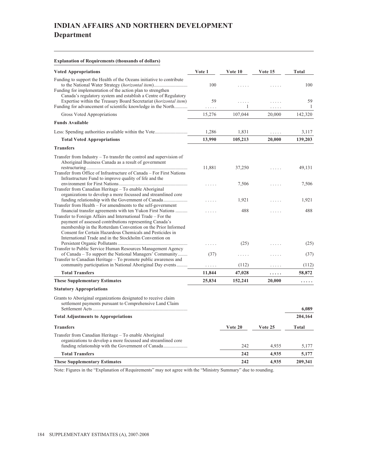# **INDIAN AFFAIRS AND NORTHERN DEVELOPMENT Department**

### **Explanation of Requirements (thousands of dollars)**

| <b>Voted Appropriations</b>                                                                                                                                                                                                                                                                                     | Vote 1  | Vote 10 | Vote 15 | Total    |
|-----------------------------------------------------------------------------------------------------------------------------------------------------------------------------------------------------------------------------------------------------------------------------------------------------------------|---------|---------|---------|----------|
| Funding to support the Health of the Oceans initiative to contribute<br>to the National Water Strategy (horizontal item)<br>Funding for implementation of the action plan to strengthen                                                                                                                         | 100     |         |         | 100      |
| Canada's regulatory system and establish a Centre of Regulatory<br>Expertise within the Treasury Board Secretariat (horizontal item)<br>Funding for advancement of scientific knowledge in the North                                                                                                            | 59<br>. | .<br>1  |         | 59<br>-1 |
| Gross Voted Appropriations                                                                                                                                                                                                                                                                                      | 15,276  | 107,044 | 20,000  | 142,320  |
| <b>Funds Available</b>                                                                                                                                                                                                                                                                                          |         |         |         |          |
|                                                                                                                                                                                                                                                                                                                 | 1,286   | 1,831   | .       | 3,117    |
| <b>Total Voted Appropriations</b>                                                                                                                                                                                                                                                                               | 13,990  | 105,213 | 20,000  | 139,203  |
| <b>Transfers</b>                                                                                                                                                                                                                                                                                                |         |         |         |          |
| Transfer from Industry $-$ To transfer the control and supervision of<br>Aboriginal Business Canada as a result of government                                                                                                                                                                                   |         |         |         | 49,131   |
| Transfer from Office of Infrastructure of Canada – For First Nations<br>Infrastructure Fund to improve quality of life and the                                                                                                                                                                                  | 11,881  | 37,250  |         |          |
| Transfer from Canadian Heritage - To enable Aboriginal                                                                                                                                                                                                                                                          | .       | 7,506   | .       | 7,506    |
| organizations to develop a more focussed and streamlined core<br>Transfer from Health – For amendments to the self-government                                                                                                                                                                                   |         | 1,921   |         | 1,921    |
| financial transfer agreements with ten Yukon First Nations                                                                                                                                                                                                                                                      |         | 488     | .       | 488      |
| Transfer to Foreign Affairs and International Trade – For the<br>payment of assessed contributions representing Canada's<br>membership in the Rotterdam Convention on the Prior Informed<br>Consent for Certain Hazardous Chemicals and Pesticides in<br>International Trade and in the Stockholm Convention on |         |         |         |          |
| Transfer to Public Service Human Resources Management Agency                                                                                                                                                                                                                                                    |         | (25)    |         | (25)     |
| of Canada – To support the National Managers' Community<br>Transfer to Canadian Heritage - To promote public awareness and                                                                                                                                                                                      | (37)    | .       | .       | (37)     |
| community participation in National Aboriginal Day events                                                                                                                                                                                                                                                       | .       | (112)   | .       | (112)    |
| <b>Total Transfers</b>                                                                                                                                                                                                                                                                                          | 11,844  | 47,028  | .       | 58,872   |
| <b>These Supplementary Estimates</b>                                                                                                                                                                                                                                                                            | 25,834  | 152,241 | 20,000  | .        |
| <b>Statutory Appropriations</b>                                                                                                                                                                                                                                                                                 |         |         |         |          |
| Grants to Aboriginal organizations designated to receive claim<br>settlement payments pursuant to Comprehensive Land Claim                                                                                                                                                                                      |         |         |         | 6,089    |
| <b>Total Adjustments to Appropriations</b>                                                                                                                                                                                                                                                                      |         |         |         | 204,164  |
|                                                                                                                                                                                                                                                                                                                 |         |         |         |          |
| <b>Transfers</b>                                                                                                                                                                                                                                                                                                |         | Vote 20 | Vote 25 | Total    |
| Transfer from Canadian Heritage - To enable Aboriginal<br>organizations to develop a more focussed and streamlined core                                                                                                                                                                                         |         | 242     | 4,935   | 5,177    |
| <b>Total Transfers</b>                                                                                                                                                                                                                                                                                          |         | 242     | 4,935   | 5,177    |
| <b>These Supplementary Estimates</b>                                                                                                                                                                                                                                                                            |         | 242     | 4,935   | 209,341  |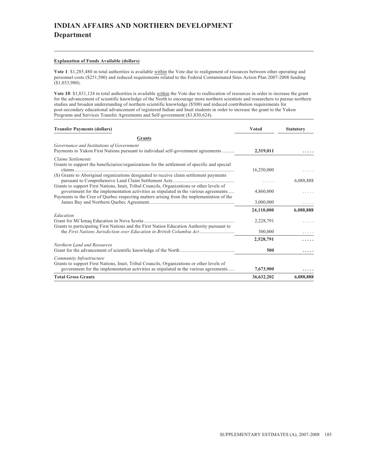# **INDIAN AFFAIRS AND NORTHERN DEVELOPMENT Department**

#### **Explanation of Funds Available (dollars)**

**Vote 1**: \$1,285,480 in total authorities is available within the Vote due to realignment of resources between other operating and personnel costs (\$251,500) and reduced requirements related to the Federal Contaminated Sites Action Plan 2007-2008 funding  $($ \$1,033,980).

**Vote 10**: \$1,831,124 in total authorities is available within the Vote due to reallocation of resources in order to increase the grant for the advancement of scientific knowledge of the North to encourage more northern scientists and researchers to pursue northern for the advancement of scientific knowledge of the North to encourage more northern scientis studies and broaden understanding of northern scientific knowledge (\$500) and reduced contribution requirements for post-secondary educational advancement of registered Indian and Inuit students in order to increase the grant to the Yukon Programs and Services Transfer Agreements and Self-government (\$1,830,624).

| <b>Transfer Payments (dollars)</b>                                                                                                                                                                            | <b>Voted</b>           | <b>Statutory</b> |
|---------------------------------------------------------------------------------------------------------------------------------------------------------------------------------------------------------------|------------------------|------------------|
| <b>Grants</b>                                                                                                                                                                                                 |                        |                  |
| Governance and Institutions of Government<br>Payments to Yukon First Nations pursuant to individual self-government agreements                                                                                | 2,319,011              |                  |
| <b>Claims Settlements</b><br>Grants to support the beneficiaries/organizations for the settlement of specific and special                                                                                     | 16,250,000             |                  |
| (S) Grants to Aboriginal organizations designated to receive claim settlement payments<br>Grants to support First Nations, Inuit, Tribal Councils, Organizations or other levels of                           |                        | 6,088,888        |
| government for the implementation activities as stipulated in the various agreements<br>Payments to the Cree of Quebec respecting matters arising from the implementation of the                              | 4,860,000<br>3,000,000 |                  |
|                                                                                                                                                                                                               | 24,110,000             | 6,088,888        |
| Education<br>Grants to participating First Nations and the First Nation Education Authority pursuant to                                                                                                       | 2,228,791              |                  |
| the First Nations Jurisdiction over Education in British Columbia Act                                                                                                                                         | 300,000                |                  |
|                                                                                                                                                                                                               | 2,528,791              |                  |
| Northern Land and Resources                                                                                                                                                                                   | 500                    |                  |
| Community Infrastructure<br>Grants to support First Nations, Inuit, Tribal Councils, Organizations or other levels of<br>government for the implementation activities as stipulated in the various agreements | 7,673,900              |                  |
| <b>Total Gross Grants</b>                                                                                                                                                                                     | 36,632,202             | 6,088,888        |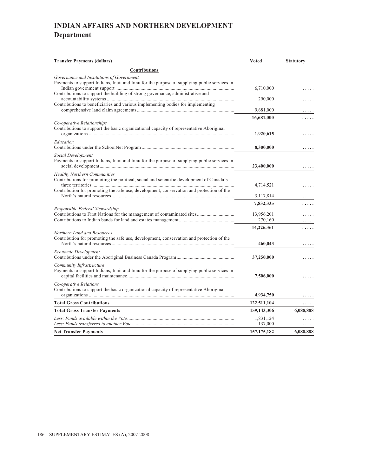# **INDIAN AFFAIRS AND NORTHERN DEVELOPMENT Department**

| <b>Transfer Payments (dollars)</b>                                                                                                                                                                                          | <b>Voted</b>            | <b>Statutory</b> |
|-----------------------------------------------------------------------------------------------------------------------------------------------------------------------------------------------------------------------------|-------------------------|------------------|
| <b>Contributions</b>                                                                                                                                                                                                        |                         |                  |
| Governance and Institutions of Government<br>Payments to support Indians, Inuit and Innu for the purpose of supplying public services in<br>Contributions to support the building of strong governance, administrative and  | 6,710,000               |                  |
|                                                                                                                                                                                                                             | 290,000                 |                  |
| Contributions to beneficiaries and various implementing bodies for implementing                                                                                                                                             | 9,681,000               |                  |
|                                                                                                                                                                                                                             | 16,681,000              |                  |
| Co-operative Relationships<br>Contributions to support the basic organizational capacity of representative Aboriginal                                                                                                       | 1,920,615               |                  |
| Education                                                                                                                                                                                                                   | 8,300,000               |                  |
| Social Development<br>Payments to support Indians, Inuit and Innu for the purpose of supplying public services in                                                                                                           | 23,400,000              | .                |
| <b>Healthy Northern Communities</b><br>Contributions for promoting the political, social and scientific development of Canada's<br>Contribution for promoting the safe use, development, conservation and protection of the | 4,714,521               |                  |
|                                                                                                                                                                                                                             | 3,117,814               |                  |
| Responsible Federal Stewardship                                                                                                                                                                                             | 7,832,335<br>13,956,201 | .                |
|                                                                                                                                                                                                                             | 270,160                 | .                |
| Northern Land and Resources<br>Contribution for promoting the safe use, development, conservation and protection of the                                                                                                     | 14,226,361<br>460,043   |                  |
| Economic Development                                                                                                                                                                                                        | 37,250,000              | .                |
| Community Infrastructure<br>Payments to support Indians, Inuit and Innu for the purpose of supplying public services in                                                                                                     | 7,506,000               | .                |
| Co-operative Relations<br>Contributions to support the basic organizational capacity of representative Aboriginal                                                                                                           | 4,934,750               |                  |
| <b>Total Gross Contributions</b>                                                                                                                                                                                            | 122,511,104             | .                |
| <b>Total Gross Transfer Payments</b>                                                                                                                                                                                        | 159, 143, 306           | 6,088,888        |
|                                                                                                                                                                                                                             | 1,831,124<br>137,000    |                  |
| <b>Net Transfer Payments</b>                                                                                                                                                                                                | 157, 175, 182           | 6,088,888        |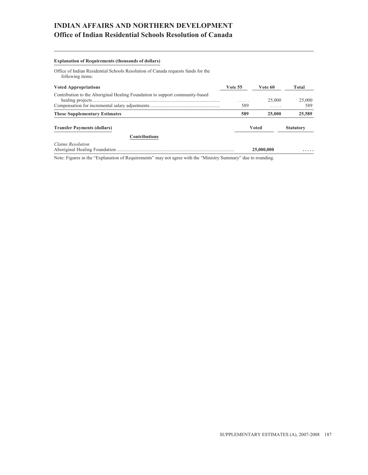# **INDIAN AFFAIRS AND NORTHERN DEVELOPMENT Office of Indian Residential Schools Resolution of Canada**

#### **Explanation of Requirements (thousands of dollars)**

Office of Indian Residential Schools Resolution of Canada requests funds for the following items:

| <b>Vote 55</b> | Vote 60 | Total                      |
|----------------|---------|----------------------------|
| .              | 25,000  | 25,000                     |
|                | .       | 589                        |
| 589            | 25,000  | 25,589                     |
|                |         | <b>Statutory</b>           |
|                |         |                            |
|                |         | .                          |
|                | 589     | <b>Voted</b><br>25,000,000 |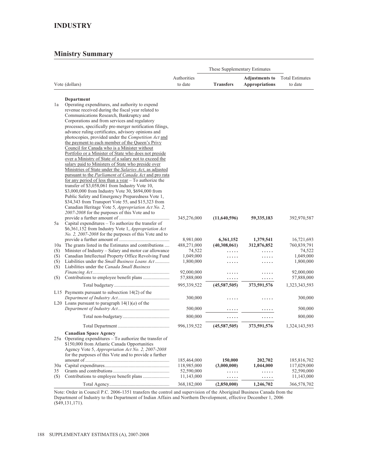### **Ministry Summary**

|            |                                                                                                                  |                       | These Supplementary Estimates |                       |                        |
|------------|------------------------------------------------------------------------------------------------------------------|-----------------------|-------------------------------|-----------------------|------------------------|
|            |                                                                                                                  | Authorities           |                               | <b>Adjustments to</b> | <b>Total Estimates</b> |
|            | Vote (dollars)                                                                                                   | to date               | <b>Transfers</b>              | <b>Appropriations</b> | to date                |
|            |                                                                                                                  |                       |                               |                       |                        |
| 1a         | Department<br>Operating expenditures, and authority to expend                                                    |                       |                               |                       |                        |
|            | revenue received during the fiscal year related to                                                               |                       |                               |                       |                        |
|            | Communications Research, Bankruptcy and                                                                          |                       |                               |                       |                        |
|            | Corporations and from services and regulatory                                                                    |                       |                               |                       |                        |
|            | processes, specifically pre-merger notification filings,                                                         |                       |                               |                       |                        |
|            | advance ruling certificates, advisory opinions and<br>photocopies, provided under the <i>Competition Act</i> and |                       |                               |                       |                        |
|            | the payment to each member of the Queen's Privy                                                                  |                       |                               |                       |                        |
|            | Council for Canada who is a Minister without                                                                     |                       |                               |                       |                        |
|            | Portfolio or a Minister of State who does not preside                                                            |                       |                               |                       |                        |
|            | over a Ministry of State of a salary not to exceed the                                                           |                       |                               |                       |                        |
|            | salary paid to Ministers of State who preside over                                                               |                       |                               |                       |                        |
|            | Ministries of State under the Salaries Act, as adjusted<br>pursuant to the Parliament of Canada Act and pro rata |                       |                               |                       |                        |
|            | for any period of less than a year $-$ To authorize the                                                          |                       |                               |                       |                        |
|            | transfer of \$3,058,061 from Industry Vote 10,                                                                   |                       |                               |                       |                        |
|            | \$3,000,000 from Industry Vote 30, \$694,000 from                                                                |                       |                               |                       |                        |
|            | Public Safety and Emergency Preparedness Vote 1,                                                                 |                       |                               |                       |                        |
|            | \$34,343 from Transport Vote 55, and \$15,323 from                                                               |                       |                               |                       |                        |
|            | Canadian Heritage Vote 5, Appropriation Act No. 2,                                                               |                       |                               |                       |                        |
|            | 2007-2008 for the purposes of this Vote and to                                                                   | 345,276,000           | (11,640,596)                  | 59,335,183            | 392,970,587            |
| 5a         | Capital expenditures $-$ To authorize the transfer of                                                            |                       |                               |                       |                        |
|            | \$6,361,152 from Industry Vote 1, Appropriation Act                                                              |                       |                               |                       |                        |
|            | No. 2, 2007-2008 for the purposes of this Vote and to                                                            |                       |                               |                       |                        |
|            |                                                                                                                  | 8,981,000             | 6,361,152                     | 1,379,541             | 16,721,693             |
| 10a<br>(S) | The grants listed in the Estimates and contributions<br>Minister of Industry - Salary and motor car allowance    | 488,271,000<br>74,522 | (40,308,061)                  | 312,876,852           | 760,839,791<br>74,522  |
| (S)        | Canadian Intellectual Property Office Revolving Fund                                                             | 1,049,000             |                               |                       | 1,049,000              |
| (S)        | Liabilities under the <i>Small Business Loans Act</i>                                                            | 1,800,000             |                               |                       | 1,800,000              |
| (S)        | Liabilities under the Canada Small Business                                                                      |                       |                               |                       |                        |
|            |                                                                                                                  | 92,000,000            |                               |                       | 92,000,000             |
| (S)        |                                                                                                                  | 57,888,000            | .                             | .                     | 57,888,000             |
|            |                                                                                                                  | 995,339,522           | (45,587,505)                  | 373,591,576           | 1,323,343,593          |
|            | L15 Payments pursuant to subsection $14(2)$ of the                                                               |                       |                               |                       |                        |
|            |                                                                                                                  | 300,000               |                               |                       | 300,000                |
|            | L20 Loans pursuant to paragraph $14(1)(a)$ of the                                                                |                       |                               |                       |                        |
|            |                                                                                                                  | 500,000               | .                             | .                     | 500,000                |
|            |                                                                                                                  | 800,000               | .                             | .                     | 800,000                |
|            |                                                                                                                  | 996,139,522           | (45,587,505)                  | 373,591,576           | 1,324,143,593          |
|            | <b>Canadian Space Agency</b>                                                                                     |                       |                               |                       |                        |
|            | 25a Operating expenditures – To authorize the transfer of                                                        |                       |                               |                       |                        |
|            | \$150,000 from Atlantic Canada Opportunities<br>Agency Vote 5, Appropriation Act No. 2, 2007-2008                |                       |                               |                       |                        |
|            | for the purposes of this Vote and to provide a further                                                           |                       |                               |                       |                        |
|            |                                                                                                                  | 185,464,000           | 150,000                       | 202,702               | 185,816,702            |
|            |                                                                                                                  | 118,985,000           | (3,000,000)                   | 1,044,000             | 117,029,000            |
| 35         |                                                                                                                  | 52,590,000            | .                             | .                     | 52,590,000             |
| (S)        | Contributions to employee benefit plans                                                                          | 11,143,000            | .                             | .                     | 11,143,000             |
|            |                                                                                                                  | 368,182,000           | (2,850,000)                   | 1,246,702             | 366,578,702            |

Note: Order in Council P.C. 2006-1351 transfers the control and supervision of the Aboriginal Business Canada from the Department of Industry to the Department of Indian Affairs and Northern Development, effective December 1, 2006  $(*49,131,171).$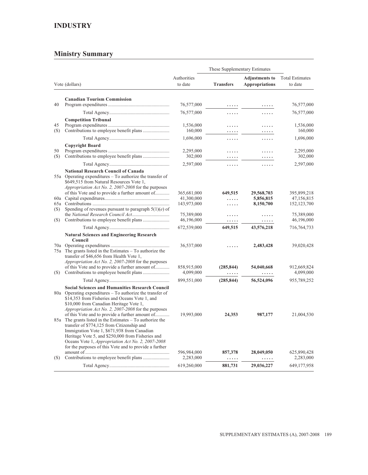### **INDUSTRY**

|     |                                                                                                                                                                                                                                                                                                                                                                               |                          | These Supplementary Estimates |                                                |                                   |
|-----|-------------------------------------------------------------------------------------------------------------------------------------------------------------------------------------------------------------------------------------------------------------------------------------------------------------------------------------------------------------------------------|--------------------------|-------------------------------|------------------------------------------------|-----------------------------------|
|     | Vote (dollars)                                                                                                                                                                                                                                                                                                                                                                | Authorities<br>to date   | <b>Transfers</b>              | <b>Adjustments to</b><br><b>Appropriations</b> | <b>Total Estimates</b><br>to date |
|     |                                                                                                                                                                                                                                                                                                                                                                               |                          |                               |                                                |                                   |
| 40  | <b>Canadian Tourism Commission</b>                                                                                                                                                                                                                                                                                                                                            | 76,577,000               | .                             | .                                              | 76,577,000                        |
|     |                                                                                                                                                                                                                                                                                                                                                                               | 76,577,000               | .                             | .                                              | 76,577,000                        |
|     | <b>Competition Tribunal</b>                                                                                                                                                                                                                                                                                                                                                   |                          |                               |                                                |                                   |
| 45  |                                                                                                                                                                                                                                                                                                                                                                               | 1,536,000                | .                             | .                                              | 1,536,000                         |
| (S) |                                                                                                                                                                                                                                                                                                                                                                               | 160,000                  | .                             | .                                              | 160,000                           |
|     |                                                                                                                                                                                                                                                                                                                                                                               | 1,696,000                | .                             | .                                              | 1,696,000                         |
|     | <b>Copyright Board</b>                                                                                                                                                                                                                                                                                                                                                        |                          |                               |                                                |                                   |
| 50  |                                                                                                                                                                                                                                                                                                                                                                               | 2,295,000                | .                             | .                                              | 2,295,000                         |
| (S) |                                                                                                                                                                                                                                                                                                                                                                               | 302,000                  | .                             | .                                              | 302,000                           |
|     |                                                                                                                                                                                                                                                                                                                                                                               | 2,597,000                | .                             | .                                              | 2,597,000                         |
|     | <b>National Research Council of Canada</b><br>55a Operating expenditures – To authorize the transfer of<br>\$649,515 from Natural Resources Vote 1,<br><i>Appropriation Act No. 2, 2007-2008</i> for the purposes                                                                                                                                                             |                          |                               |                                                |                                   |
|     | of this Vote and to provide a further amount of                                                                                                                                                                                                                                                                                                                               | 365,681,000              | 649,515                       | 29,568,703                                     | 395,899,218                       |
|     |                                                                                                                                                                                                                                                                                                                                                                               | 41,300,000               | .                             | 5,856,815                                      | 47,156,815                        |
|     |                                                                                                                                                                                                                                                                                                                                                                               | 143,973,000              | .                             | 8,150,700                                      | 152, 123, 700                     |
| (S) | Spending of revenues pursuant to paragraph $5(1)(e)$ of                                                                                                                                                                                                                                                                                                                       | 75,389,000               | .                             | .                                              | 75,389,000                        |
| (S) |                                                                                                                                                                                                                                                                                                                                                                               | 46,196,000               | .                             | .                                              | 46,196,000                        |
|     |                                                                                                                                                                                                                                                                                                                                                                               | 672,539,000              | 649,515                       | 43,576,218                                     | 716,764,733                       |
|     | <b>Natural Sciences and Engineering Research</b><br>Council                                                                                                                                                                                                                                                                                                                   |                          |                               |                                                |                                   |
|     | 75a The grants listed in the Estimates $-$ To authorize the<br>transfer of \$46,656 from Health Vote 1,<br>Appropriation Act No. 2, 2007-2008 for the purposes                                                                                                                                                                                                                | 36,537,000               |                               | 2,483,428                                      | 39,020,428                        |
|     | of this Vote and to provide a further amount of                                                                                                                                                                                                                                                                                                                               | 858,915,000<br>4,099,000 | (285, 844)<br>.               | 54,040,668<br>.                                | 912,669,824<br>4,099,000          |
|     |                                                                                                                                                                                                                                                                                                                                                                               | 899,551,000              | (285, 844)                    | 56,524,096                                     | 955,789,252                       |
|     | <b>Social Sciences and Humanities Research Council</b>                                                                                                                                                                                                                                                                                                                        |                          |                               |                                                |                                   |
|     | 80a Operating expenditures – To authorize the transfer of<br>\$14,353 from Fisheries and Oceans Vote 1, and<br>\$10,000 from Canadian Heritage Vote 1,<br>Appropriation Act No. 2, 2007-2008 for the purposes                                                                                                                                                                 |                          |                               |                                                |                                   |
|     | of this Vote and to provide a further amount of<br>85a The grants listed in the Estimates – To authorize the<br>transfer of \$774,125 from Citizenship and<br>Immigration Vote 1, \$671,938 from Canadian<br>Heritage Vote 5, and \$250,000 from Fisheries and<br>Oceans Vote 1, Appropriation Act No. 2, 2007-2008<br>for the purposes of this Vote and to provide a further | 19,993,000               | 24,353                        | 987,177                                        | 21,004,530                        |
|     |                                                                                                                                                                                                                                                                                                                                                                               | 596,984,000              | 857,378                       | 28,049,050                                     | 625,890,428                       |
| (S) |                                                                                                                                                                                                                                                                                                                                                                               | 2,283,000                | .                             | .                                              | 2,283,000                         |
|     |                                                                                                                                                                                                                                                                                                                                                                               | 619,260,000              | 881,731                       | 29,036,227                                     | 649,177,958                       |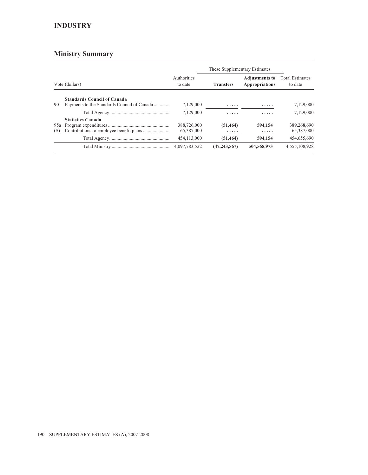### **INDUSTRY**

|     |                                             |                        | These Supplementary Estimates |                                         |                                   |
|-----|---------------------------------------------|------------------------|-------------------------------|-----------------------------------------|-----------------------------------|
|     | Vote (dollars)                              | Authorities<br>to date | <b>Transfers</b>              | <b>Adjustments to</b><br>Appropriations | <b>Total Estimates</b><br>to date |
|     | <b>Standards Council of Canada</b>          |                        |                               |                                         |                                   |
| 90  | Payments to the Standards Council of Canada | 7,129,000              | .                             | .                                       | 7,129,000                         |
|     |                                             | 7,129,000              | .                             | .                                       | 7,129,000                         |
|     | <b>Statistics Canada</b>                    |                        |                               |                                         |                                   |
| 95a |                                             | 388,726,000            | (51, 464)                     | 594,154                                 | 389,268,690                       |
| (S) |                                             | 65,387,000             | .                             | .                                       | 65,387,000                        |
|     |                                             | 454,113,000            | (51, 464)                     | 594,154                                 | 454,655,690                       |
|     |                                             | 4,097,783,522          | (47, 243, 567)                | 504,568,973                             | 4,555,108,928                     |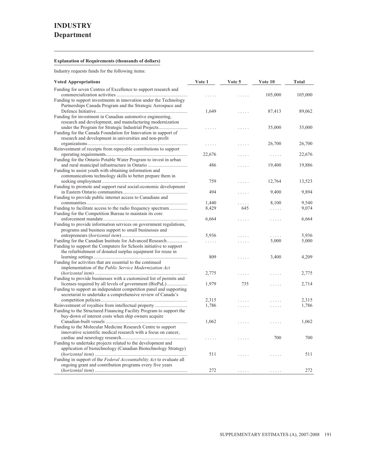### **Explanation of Requirements (thousands of dollars)**

Industry requests funds for the following items:

| <b>Voted Appropriations</b>                                          | Vote 1 | Vote 5   | Vote 10              | <b>Total</b>   |
|----------------------------------------------------------------------|--------|----------|----------------------|----------------|
| Funding for seven Centres of Excellence to support research and      |        |          |                      |                |
|                                                                      |        | .        | 105,000              | 105,000        |
| Funding to support investments in innovation under the Technology    |        |          |                      |                |
| Partnerships Canada Program and the Strategic Aerospace and          |        |          |                      |                |
|                                                                      | 1,649  | .        | 87,413               | 89,062         |
| Funding for investment in Canadian automotive engineering,           |        |          |                      |                |
| research and development, and manufacturing modernization            |        |          |                      |                |
| under the Program for Strategic Industrial Projects                  | .      | .        | 35,000               | 35,000         |
| Funding for the Canada Foundation for Innovation in support of       |        |          |                      |                |
| research and development in universities and non-profit              |        |          |                      |                |
|                                                                      | .      | .        | 26,700               | 26,700         |
| Reinvestment of receipts from repayable contributions to support     |        |          |                      |                |
|                                                                      | 22,676 | .        | $\cdots$             | 22,676         |
| Funding for the Ontario Potable Water Program to invest in urban     |        |          |                      |                |
|                                                                      | 486    | .        | 19,400               | 19,886         |
| Funding to assist youth with obtaining information and               |        |          |                      |                |
| communications technology skills to better prepare them in           |        |          |                      |                |
|                                                                      | 759    | .        | 12,764               | 13,523         |
| Funding to promote and support rural social-economic development     |        |          |                      |                |
|                                                                      | 494    | .        | 9,400                | 9,894          |
| Funding to provide public internet access to Canadians and           |        |          |                      |                |
|                                                                      | 1,440  | .<br>645 | 8,100                | 9,540          |
|                                                                      | 8,429  |          | .                    | 9,074          |
| Funding for the Competition Bureau to maintain its core              |        |          |                      |                |
|                                                                      | 6,664  | .        | .                    | 6,664          |
| Funding to provide information services on government regulations,   |        |          |                      |                |
| programs and business support to small businesses and                |        |          |                      |                |
|                                                                      | 5,936  | .        | .                    | 5,936<br>5,000 |
| Funding for the Canadian Institute for Advanced Research             | .      | .        | 5,000                |                |
| Funding to support the Computers for Schools initiative to support   |        |          |                      |                |
| the refurbishment of donated surplus equipment for reuse in          | 809    |          | 3,400                | 4,209          |
| Funding for activities that are essential to the continued           |        | .        |                      |                |
| implementation of the Public Service Modernization Act               |        |          |                      |                |
|                                                                      | 2,775  |          |                      | 2,775          |
| Funding to provide businesses with a customized list of permits and  |        | .        | .                    |                |
|                                                                      | 1,979  | 735      | .                    | 2,714          |
| Funding to support an independent competition panel and supporting   |        |          |                      |                |
| secretariat to undertake a comprehensive review of Canada's          |        |          |                      |                |
|                                                                      | 2,315  | 1.1.1.1  | .                    | 2,315          |
| Reinvestment of royalties from intellectual property                 | 1,786  | .        | .                    | 1,786          |
| Funding to the Structured Financing Facility Program to support the  |        |          |                      |                |
| buy-down of interest costs when ship owners acquire                  |        |          |                      |                |
|                                                                      | 1,062  | .        | $\sim$ $\sim$ $\sim$ | 1,062          |
| Funding to the Molecular Medicine Research Centre to support         |        |          |                      |                |
| innovative scientific medical research with a focus on cancer,       |        |          |                      |                |
|                                                                      | .      | .        | 700                  | 700            |
| Funding to undertake projects related to the development and         |        |          |                      |                |
| application of biotechnology (Canadian Biotechnology Strategy)       |        |          |                      |                |
|                                                                      | 511    | .        | .                    | 511            |
| Funding in support of the Federal Accountability Act to evaluate all |        |          |                      |                |
| ongoing grant and contribution programs every five years             |        |          |                      |                |
|                                                                      | 272    | .        | .                    | 272            |
|                                                                      |        |          |                      |                |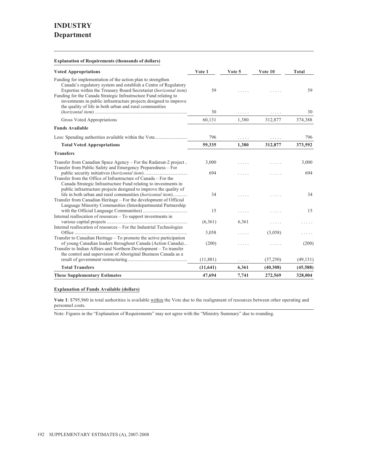# **INDUSTRY Department**

#### **Explanation of Requirements (thousands of dollars)**

| <b>Voted Appropriations</b>                                                                                                                                                                                                                                                                                                                                                                             | Vote 1    | Vote 5 | Vote 10  | <b>Total</b> |
|---------------------------------------------------------------------------------------------------------------------------------------------------------------------------------------------------------------------------------------------------------------------------------------------------------------------------------------------------------------------------------------------------------|-----------|--------|----------|--------------|
| Funding for implementation of the action plan to strengthen<br>Canada's regulatory system and establish a Centre of Regulatory<br>Expertise within the Treasury Board Secretariat (horizontal item)<br>Funding for the Canada Strategic Infrastructure Fund relating to<br>investments in public infrastructure projects designed to improve<br>the quality of life in both urban and rural communities | 59        |        |          | 59           |
|                                                                                                                                                                                                                                                                                                                                                                                                         | 30        | .      | .        | 30           |
| Gross Voted Appropriations                                                                                                                                                                                                                                                                                                                                                                              | 60,131    | 1,380  | 312,877  | 374,388      |
| <b>Funds Available</b>                                                                                                                                                                                                                                                                                                                                                                                  |           |        |          |              |
|                                                                                                                                                                                                                                                                                                                                                                                                         | 796       | .      | .        | 796          |
| <b>Total Voted Appropriations</b>                                                                                                                                                                                                                                                                                                                                                                       | 59,335    | 1,380  | 312,877  | 373,592      |
| <b>Transfers</b>                                                                                                                                                                                                                                                                                                                                                                                        |           |        |          |              |
| Transfer from Canadian Space Agency – For the Radarsat-2 project<br>Transfer from Public Safety and Emergency Preparedness – For                                                                                                                                                                                                                                                                        | 3,000     |        |          | 3,000        |
| Transfer from the Office of Infrastructure of Canada – For the<br>Canada Strategic Infrastructure Fund relating to investments in<br>public infrastructure projects designed to improve the quality of                                                                                                                                                                                                  | 694       |        |          | 694          |
| life in both urban and rural communities (horizontal item)<br>Transfer from Canadian Heritage – For the development of Official<br>Language Minority Communities (Interdepartmental Partnership                                                                                                                                                                                                         | 34        |        |          | 34           |
| Internal reallocation of resources – To support investments in                                                                                                                                                                                                                                                                                                                                          | 15        | .      |          | 15           |
| Internal reallocation of resources – For the Industrial Technologies                                                                                                                                                                                                                                                                                                                                    | (6,361)   | 6,361  | .        |              |
|                                                                                                                                                                                                                                                                                                                                                                                                         | 3,058     | .      | (3,058)  |              |
| Transfer to Canadian Heritage – To promote the active participation<br>of young Canadian leaders throughout Canada (Action Canada)<br>Transfer to Indian Affairs and Northern Development - To transfer<br>the control and supervision of Aboriginal Business Canada as a                                                                                                                               | (200)     |        |          | (200)        |
|                                                                                                                                                                                                                                                                                                                                                                                                         | (11,881)  | .      | (37,250) | (49, 131)    |
| <b>Total Transfers</b>                                                                                                                                                                                                                                                                                                                                                                                  | (11, 641) | 6,361  | (40,308) | (45,588)     |
| <b>These Supplementary Estimates</b>                                                                                                                                                                                                                                                                                                                                                                    | 47,694    | 7,741  | 272,569  | 328,004      |

#### **Explanation of Funds Available (dollars)**

Vote 1: \$795,960 in total authorities is available within the Vote due to the realignment of resources between other operating and personnel costs.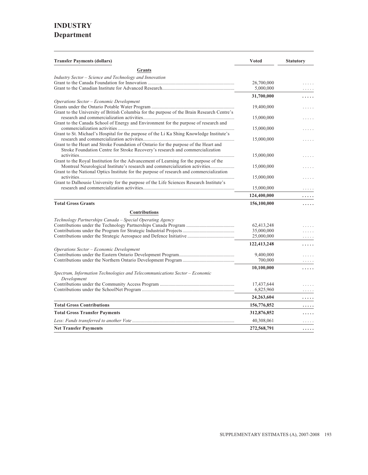# **INDUSTRY Department**

| <b>Transfer Payments (dollars)</b>                                                         | <b>Voted</b> | <b>Statutory</b> |
|--------------------------------------------------------------------------------------------|--------------|------------------|
| Grants                                                                                     |              |                  |
| Industry Sector - Science and Technology and Innovation                                    |              |                  |
|                                                                                            | 26,700,000   |                  |
|                                                                                            | 5,000,000    |                  |
|                                                                                            | 31,700,000   |                  |
| Operations Sector – Economic Development                                                   |              |                  |
|                                                                                            | 19,400,000   |                  |
| Grant to the University of British Columbia for the purpose of the Brain Research Centre's |              |                  |
|                                                                                            | 15,000,000   |                  |
| Grant to the Canada School of Energy and Environment for the purpose of research and       |              |                  |
|                                                                                            | 15,000,000   |                  |
| Grant to St. Michael's Hospital for the purpose of the Li Ka Shing Knowledge Institute's   |              |                  |
|                                                                                            | 15,000,000   |                  |
| Grant to the Heart and Stroke Foundation of Ontario for the purpose of the Heart and       |              |                  |
| Stroke Foundation Centre for Stroke Recovery's research and commercialization              |              |                  |
|                                                                                            | 15,000,000   |                  |
| Grant to the Royal Institution for the Advancement of Learning for the purpose of the      |              |                  |
| Montreal Neurological Institute's research and commercialization activities                | 15,000,000   |                  |
| Grant to the National Optics Institute for the purpose of research and commercialization   | 15,000,000   |                  |
| Grant to Dalhousie University for the purpose of the Life Sciences Research Institute's    |              |                  |
|                                                                                            | 15,000,000   | .                |
|                                                                                            |              |                  |
|                                                                                            | 124,400,000  | .                |
| <b>Total Gross Grants</b>                                                                  | 156,100,000  |                  |
| <b>Contributions</b>                                                                       |              |                  |
| Technology Partnerships Canada - Special Operating Agency                                  |              |                  |
|                                                                                            | 62,413,248   |                  |
|                                                                                            | 35,000,000   |                  |
|                                                                                            | 25,000,000   | .                |
|                                                                                            | 122,413,248  |                  |
| Operations Sector - Economic Development                                                   |              |                  |
|                                                                                            | 9,400,000    |                  |
|                                                                                            | 700,000      | .                |
|                                                                                            | 10,100,000   | .                |
| Spectrum, Information Technologies and Telecommunications Sector – Economic                |              |                  |
| Development                                                                                |              |                  |
|                                                                                            | 17,437,644   |                  |
|                                                                                            | 6,825,960    |                  |
|                                                                                            | 24,263,604   | .                |
| <b>Total Gross Contributions</b>                                                           | 156,776,852  | .                |
| <b>Total Gross Transfer Payments</b>                                                       | 312,876,852  |                  |
|                                                                                            | 40,308,061   | .                |
| <b>Net Transfer Payments</b>                                                               | 272,568,791  |                  |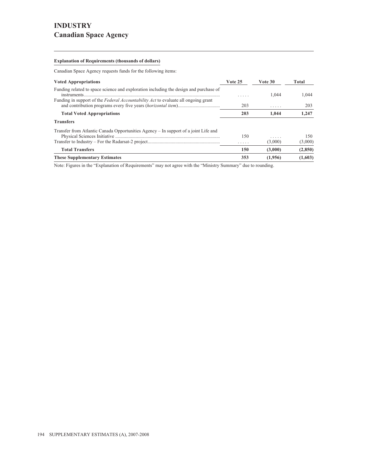# **INDUSTRY Canadian Space Agency**

### **Explanation of Requirements (thousands of dollars)**

Canadian Space Agency requests funds for the following items:

| <b>Voted Appropriations</b>                                                                                                                                                        | Vote 25  | Vote 30      | Total          |
|------------------------------------------------------------------------------------------------------------------------------------------------------------------------------------|----------|--------------|----------------|
| Funding related to space science and exploration including the design and purchase of<br>Funding in support of the <i>Federal Accountability Act</i> to evaluate all ongoing grant | .        | 1.044        | 1.044          |
|                                                                                                                                                                                    | 203      | .            | 203            |
| <b>Total Voted Appropriations</b>                                                                                                                                                  | 203      | 1.044        | 1,247          |
| <b>Transfers</b>                                                                                                                                                                   |          |              |                |
| Transfer from Atlantic Canada Opportunities Agency – In support of a joint Life and                                                                                                | 150<br>. | .<br>(3,000) | 150<br>(3,000) |
| <b>Total Transfers</b>                                                                                                                                                             | 150      | (3,000)      | (2,850)        |
| <b>These Supplementary Estimates</b>                                                                                                                                               | 353      | (1.956)      | (1,603)        |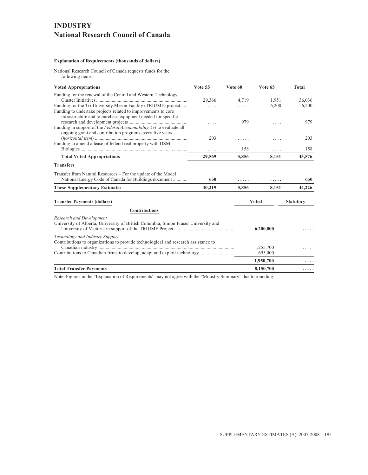# **INDUSTRY National Research Council of Canada**

### **Explanation of Requirements (thousands of dollars)**

National Research Council of Canada requests funds for the following items:

| <b>Voted Appropriations</b>                                                                                                                                                                           | Vote 55     | Vote 60    | Vote 65              | <b>Total</b>     |
|-------------------------------------------------------------------------------------------------------------------------------------------------------------------------------------------------------|-------------|------------|----------------------|------------------|
| Funding for the renewal of the Central and Western Technology<br>Funding for the Tri-University Meson Facility (TRIUMF) project                                                                       | 29,366<br>. | 4.719<br>. | 1,951<br>6,200       | 36,036<br>6,200  |
| Funding to undertake projects related to improvements to core<br>infrastructure and to purchase equipment needed for specific<br>Funding in support of the Federal Accountability Act to evaluate all |             | 979        | $\cdots$             | 979              |
| ongoing grant and contribution programs every five years                                                                                                                                              | 203         | .          | .                    | 203              |
| Funding to amend a lease of federal real property with DSM                                                                                                                                            | .           | 158        | .                    | 158              |
| <b>Total Voted Appropriations</b>                                                                                                                                                                     | 29,569      | 5,856      | 8,151                | 43,576           |
| <b>Transfers</b>                                                                                                                                                                                      |             |            |                      |                  |
| Transfer from Natural Resources – For the update of the Model<br>National Energy Code of Canada for Buildings document                                                                                | 650         | .          | .                    | 650              |
| <b>These Supplementary Estimates</b>                                                                                                                                                                  | 30,219      | 5,856      | 8,151                | 44,226           |
| <b>Transfer Payments (dollars)</b>                                                                                                                                                                    |             |            | <b>Voted</b>         | <b>Statutory</b> |
| <b>Contributions</b>                                                                                                                                                                                  |             |            |                      |                  |
| Research and Development<br>University of Alberta, University of British Columbia, Simon Fraser University and                                                                                        |             |            | 6,200,000            |                  |
| Technology and Industry Support<br>Contributions to organizations to provide technological and research assistance to                                                                                 |             |            |                      |                  |
| Contributions to Canadian firms to develop, adapt and exploit technology                                                                                                                              |             |            | 1,255,700<br>695,000 |                  |
|                                                                                                                                                                                                       |             |            | 1,950,700            |                  |
| <b>Total Transfer Payments</b>                                                                                                                                                                        |             |            | 8,150,700            |                  |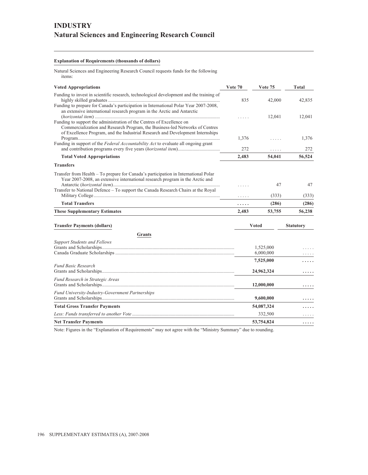# **INDUSTRY Natural Sciences and Engineering Research Council**

#### **Explanation of Requirements (thousands of dollars)**

Natural Sciences and Engineering Research Council requests funds for the following items:

| <b>Voted Appropriations</b>                                                                                                                                                                                                                               | Vote 70 | Vote 75                | Total            |
|-----------------------------------------------------------------------------------------------------------------------------------------------------------------------------------------------------------------------------------------------------------|---------|------------------------|------------------|
| Funding to invest in scientific research, technological development and the training of                                                                                                                                                                   | 835     | 42,000                 | 42,835           |
| Funding to prepare for Canada's participation in International Polar Year 2007-2008,<br>an extensive international research program in the Arctic and Antarctic<br>Funding to support the administration of the Centres of Excellence on                  | .       | 12,041                 | 12,041           |
| Commercialization and Research Program, the Business-led Networks of Centres<br>of Excellence Program, and the Industrial Research and Development Internships                                                                                            | 1,376   | .                      | 1,376            |
| Funding in support of the Federal Accountability Act to evaluate all ongoing grant                                                                                                                                                                        | 272     | .                      | 272              |
| <b>Total Voted Appropriations</b>                                                                                                                                                                                                                         | 2,483   | 54,041                 | 56,524           |
| <b>Transfers</b>                                                                                                                                                                                                                                          |         |                        |                  |
| Transfer from Health – To prepare for Canada's participation in International Polar<br>Year 2007-2008, an extensive international research program in the Arctic and<br>Transfer to National Defence – To support the Canada Research Chairs at the Royal | .       | 47                     | 47               |
|                                                                                                                                                                                                                                                           | .       | (333)                  | (333)            |
| <b>Total Transfers</b>                                                                                                                                                                                                                                    | .       | (286)                  | (286)            |
| <b>These Supplementary Estimates</b>                                                                                                                                                                                                                      | 2,483   | 53,755                 | 56,238           |
| <b>Transfer Payments (dollars)</b>                                                                                                                                                                                                                        |         | <b>Voted</b>           | <b>Statutory</b> |
| Grants                                                                                                                                                                                                                                                    |         |                        |                  |
| <b>Support Students and Fellows</b>                                                                                                                                                                                                                       |         | 1,525,000<br>6,000,000 |                  |
|                                                                                                                                                                                                                                                           |         | 7,525,000              |                  |
| <b>Fund Basic Research</b>                                                                                                                                                                                                                                |         | 24,962,324             | .                |
| Fund Research in Strategic Areas                                                                                                                                                                                                                          |         | 12,000,000             | .                |
| Fund University-Industry-Government Partnerships                                                                                                                                                                                                          |         | 9,600,000              | .                |
| <b>Total Gross Transfer Payments</b>                                                                                                                                                                                                                      |         | 54,087,324             |                  |
|                                                                                                                                                                                                                                                           |         | 332,500                | .                |
| <b>Net Transfer Payments</b>                                                                                                                                                                                                                              |         | 53,754,824             | $\cdots\cdots$   |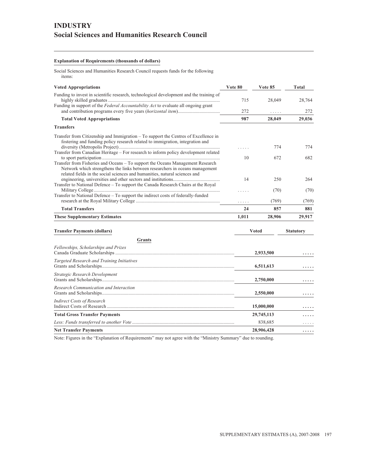#### **Explanation of Requirements (thousands of dollars)**

Social Sciences and Humanities Research Council requests funds for the following items:

| <b>Voted Appropriations</b>                                                                                                                                                                                                                  | Vote 80 | Vote 85      | Total            |
|----------------------------------------------------------------------------------------------------------------------------------------------------------------------------------------------------------------------------------------------|---------|--------------|------------------|
| Funding to invest in scientific research, technological development and the training of<br>Funding in support of the Federal Accountability Act to evaluate all ongoing grant                                                                | 715     | 28,049       | 28,764           |
|                                                                                                                                                                                                                                              | 272     | .            | 272              |
| <b>Total Voted Appropriations</b>                                                                                                                                                                                                            | 987     | 28,049       | 29,036           |
| <b>Transfers</b>                                                                                                                                                                                                                             |         |              |                  |
| Transfer from Citizenship and Immigration – To support the Centres of Excellence in<br>fostering and funding policy research related to immigration, integration and                                                                         | .       | 774          | 774              |
| Transfer from Canadian Heritage – For research to inform policy development related                                                                                                                                                          |         |              |                  |
| Transfer from Fisheries and Oceans - To support the Oceans Management Research<br>Network which strengthens the links between researchers in oceans management<br>related fields in the social sciences and humanities, natural sciences and | 10      | 672          | 682              |
|                                                                                                                                                                                                                                              | 14      | 250          | 264              |
| Transfer to National Defence – To support the Canada Research Chairs at the Royal                                                                                                                                                            | .       | (70)         | (70)             |
| Transfer to National Defence – To support the indirect costs of federally-funded                                                                                                                                                             | .       | (769)        | (769)            |
| <b>Total Transfers</b>                                                                                                                                                                                                                       | 24      | 857          | 881              |
| <b>These Supplementary Estimates</b>                                                                                                                                                                                                         | 1,011   | 28,906       | 29,917           |
|                                                                                                                                                                                                                                              |         |              |                  |
| <b>Transfer Payments (dollars)</b>                                                                                                                                                                                                           |         | <b>Voted</b> | <b>Statutory</b> |
| Grants                                                                                                                                                                                                                                       |         |              |                  |
| Fellowships, Scholarships and Prizes                                                                                                                                                                                                         |         | 2,933,500    |                  |
| Targeted Research and Training Initiatives                                                                                                                                                                                                   |         | 6,511,613    | .                |
| Strategic Research Development                                                                                                                                                                                                               |         | 2,750,000    | .                |
| Research Communication and Interaction                                                                                                                                                                                                       |         | 2,550,000    | .                |
| <b>Indirect Costs of Research</b>                                                                                                                                                                                                            |         | 15,000,000   |                  |
| <b>Total Gross Transfer Payments</b>                                                                                                                                                                                                         |         | 29,745,113   |                  |
|                                                                                                                                                                                                                                              |         | 838,685      | .                |
| <b>Net Transfer Payments</b>                                                                                                                                                                                                                 |         | 28,906,428   | .                |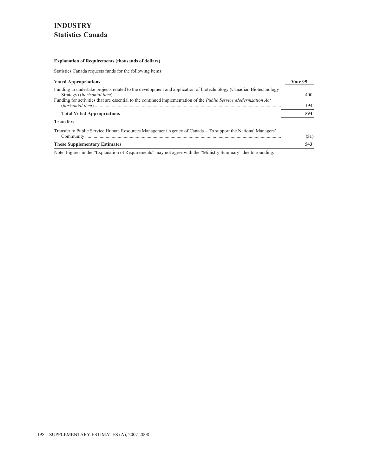### **Explanation of Requirements (thousands of dollars)**

Statistics Canada requests funds for the following items:

| <b>Voted Appropriations</b>                                                                                              | Vote 95 |
|--------------------------------------------------------------------------------------------------------------------------|---------|
| Funding to undertake projects related to the development and application of biotechnology (Canadian Biotechnology        | 400     |
| Funding for activities that are essential to the continued implementation of the <i>Public Service Modernization Act</i> |         |
|                                                                                                                          | 194     |
| <b>Total Voted Appropriations</b>                                                                                        | 594     |
| <b>Transfers</b>                                                                                                         |         |
| Transfer to Public Service Human Resources Management Agency of Canada – To support the National Managers'               |         |
|                                                                                                                          | (51)    |
| <b>These Supplementary Estimates</b>                                                                                     | 543     |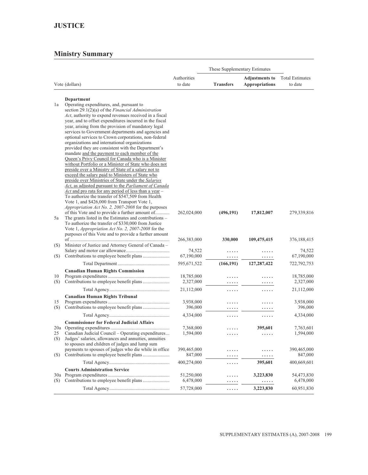|           |                                                                                                                                                                                                                                                                                                                                                                                                                                                                                                                                                                                                                                                                                                                                                                                                  |                         | These Supplementary Estimates |                       |                         |
|-----------|--------------------------------------------------------------------------------------------------------------------------------------------------------------------------------------------------------------------------------------------------------------------------------------------------------------------------------------------------------------------------------------------------------------------------------------------------------------------------------------------------------------------------------------------------------------------------------------------------------------------------------------------------------------------------------------------------------------------------------------------------------------------------------------------------|-------------------------|-------------------------------|-----------------------|-------------------------|
|           |                                                                                                                                                                                                                                                                                                                                                                                                                                                                                                                                                                                                                                                                                                                                                                                                  | Authorities             |                               | <b>Adjustments to</b> | <b>Total Estimates</b>  |
|           | Vote (dollars)                                                                                                                                                                                                                                                                                                                                                                                                                                                                                                                                                                                                                                                                                                                                                                                   | to date                 | <b>Transfers</b>              | <b>Appropriations</b> | to date                 |
|           |                                                                                                                                                                                                                                                                                                                                                                                                                                                                                                                                                                                                                                                                                                                                                                                                  |                         |                               |                       |                         |
| 1a        | Department<br>Operating expenditures, and, pursuant to<br>section 29.1(2)(a) of the <i>Financial Administration</i><br>Act, authority to expend revenues received in a fiscal<br>year, and to offset expenditures incurred in the fiscal<br>year, arising from the provision of mandatory legal<br>services to Government departments and agencies and<br>optional services to Crown corporations, non-federal<br>organizations and international organizations<br>provided they are consistent with the Department's<br>mandate and the payment to each member of the<br>Queen's Privy Council for Canada who is a Minister<br>without Portfolio or a Minister of State who does not<br>preside over a Ministry of State of a salary not to<br>exceed the salary paid to Ministers of State who |                         |                               |                       |                         |
|           | preside over Ministries of State under the Salaries<br>Act, as adjusted pursuant to the Parliament of Canada<br>Act and pro rata for any period of less than a year $-$<br>To authorize the transfer of \$547,509 from Health<br>Vote 1, and \$426,000 from Transport Vote 1,<br>Appropriation Act No. 2, 2007-2008 for the purposes<br>of this Vote and to provide a further amount of                                                                                                                                                                                                                                                                                                                                                                                                          | 262,024,000             | (496, 191)                    | 17,812,007            | 279,339,816             |
| 5a        | The grants listed in the Estimates and contributions –<br>To authorize the transfer of \$330,000 from Justice<br>Vote 1, Appropriation Act No. 2, 2007-2008 for the<br>purposes of this Vote and to provide a further amount                                                                                                                                                                                                                                                                                                                                                                                                                                                                                                                                                                     |                         |                               |                       |                         |
| (S)       | Minister of Justice and Attorney General of Canada –                                                                                                                                                                                                                                                                                                                                                                                                                                                                                                                                                                                                                                                                                                                                             | 266, 383, 000           | 330,000                       | 109,475,415           | 376,188,415             |
| (S)       |                                                                                                                                                                                                                                                                                                                                                                                                                                                                                                                                                                                                                                                                                                                                                                                                  | 74,522<br>67,190,000    |                               |                       | 74,522<br>67,190,000    |
|           |                                                                                                                                                                                                                                                                                                                                                                                                                                                                                                                                                                                                                                                                                                                                                                                                  | 595,671,522             | .<br>(166, 191)               | .<br>127, 287, 422    | 722,792,753             |
|           | <b>Canadian Human Rights Commission</b>                                                                                                                                                                                                                                                                                                                                                                                                                                                                                                                                                                                                                                                                                                                                                          |                         |                               |                       |                         |
| 10<br>(S) | Contributions to employee benefit plans                                                                                                                                                                                                                                                                                                                                                                                                                                                                                                                                                                                                                                                                                                                                                          | 18,785,000<br>2,327,000 | .                             | .                     | 18,785,000<br>2,327,000 |
|           |                                                                                                                                                                                                                                                                                                                                                                                                                                                                                                                                                                                                                                                                                                                                                                                                  | 21,112,000              | .                             | .                     | 21,112,000              |
|           | <b>Canadian Human Rights Tribunal</b>                                                                                                                                                                                                                                                                                                                                                                                                                                                                                                                                                                                                                                                                                                                                                            |                         |                               |                       |                         |
| 15<br>(S) |                                                                                                                                                                                                                                                                                                                                                                                                                                                                                                                                                                                                                                                                                                                                                                                                  | 3,938,000<br>396,000    | .<br>.                        | .<br>.                | 3,938,000<br>396,000    |
|           |                                                                                                                                                                                                                                                                                                                                                                                                                                                                                                                                                                                                                                                                                                                                                                                                  | 4,334,000               | .                             | .                     | 4,334,000               |
|           | <b>Commissioner for Federal Judicial Affairs</b>                                                                                                                                                                                                                                                                                                                                                                                                                                                                                                                                                                                                                                                                                                                                                 |                         |                               |                       |                         |
| 25<br>(S) | Canadian Judicial Council - Operating expenditures<br>Judges' salaries, allowances and annuities, annuities<br>to spouses and children of judges and lump sum                                                                                                                                                                                                                                                                                                                                                                                                                                                                                                                                                                                                                                    | 7,368,000<br>1,594,000  | .                             | 395,601               | 7,763,601<br>1,594,000  |
| (S)       | payments to spouses of judges who die while in office                                                                                                                                                                                                                                                                                                                                                                                                                                                                                                                                                                                                                                                                                                                                            | 390,465,000<br>847,000  | .                             |                       | 390,465,000<br>847,000  |
|           |                                                                                                                                                                                                                                                                                                                                                                                                                                                                                                                                                                                                                                                                                                                                                                                                  | 400,274,000             | .                             | 395,601               | 400,669,601             |
|           | <b>Courts Administration Service</b>                                                                                                                                                                                                                                                                                                                                                                                                                                                                                                                                                                                                                                                                                                                                                             |                         |                               |                       |                         |
| (S)       | Contributions to employee benefit plans                                                                                                                                                                                                                                                                                                                                                                                                                                                                                                                                                                                                                                                                                                                                                          | 51,250,000<br>6,478,000 | .<br>.                        | 3,223,830<br>.        | 54,473,830<br>6,478,000 |
|           |                                                                                                                                                                                                                                                                                                                                                                                                                                                                                                                                                                                                                                                                                                                                                                                                  | 57,728,000              | .                             | 3,223,830             | 60,951,830              |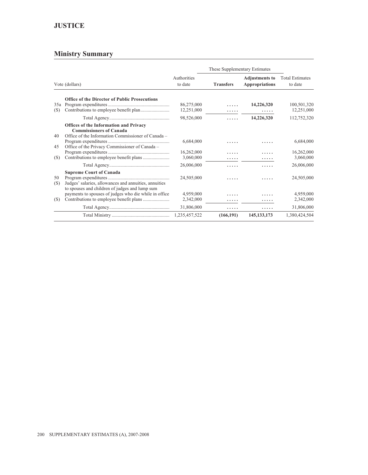### **JUSTICE**

|           |                                                                                                                                           |                        | These Supplementary Estimates |                                                |                                   |  |
|-----------|-------------------------------------------------------------------------------------------------------------------------------------------|------------------------|-------------------------------|------------------------------------------------|-----------------------------------|--|
|           | Vote (dollars)                                                                                                                            | Authorities<br>to date | <b>Transfers</b>              | <b>Adjustments to</b><br><b>Appropriations</b> | <b>Total Estimates</b><br>to date |  |
|           | <b>Office of the Director of Public Prosecutions</b>                                                                                      |                        |                               |                                                |                                   |  |
| 35a       |                                                                                                                                           | 86,275,000             |                               | 14,226,320                                     | 100,501,320                       |  |
| (S)       |                                                                                                                                           | 12,251,000             | .                             |                                                | 12,251,000                        |  |
|           |                                                                                                                                           | 98,526,000             | .                             | 14,226,320                                     | 112,752,320                       |  |
| 40        | <b>Offices of the Information and Privacy</b><br><b>Commissioners of Canada</b><br>Office of the Information Commissioner of Canada –     |                        |                               |                                                |                                   |  |
| 45        | Office of the Privacy Commissioner of Canada -                                                                                            | 6,684,000              |                               |                                                | 6,684,000                         |  |
|           |                                                                                                                                           | 16,262,000             |                               |                                                | 16,262,000                        |  |
| (S)       | Contributions to employee benefit plans                                                                                                   | 3,060,000              | .                             |                                                | 3,060,000                         |  |
|           |                                                                                                                                           | 26,006,000             |                               |                                                | 26,006,000                        |  |
| 50<br>(S) | <b>Supreme Court of Canada</b><br>Judges' salaries, allowances and annuities, annuities<br>to spouses and children of judges and lump sum | 24,505,000             |                               |                                                | 24,505,000                        |  |
|           | payments to spouses of judges who die while in office                                                                                     | 4,959,000              |                               |                                                | 4,959,000                         |  |
| (S)       | Contributions to employee benefit plans                                                                                                   | 2,342,000              |                               |                                                | 2,342,000                         |  |
|           |                                                                                                                                           | 31,806,000             | .                             |                                                | 31,806,000                        |  |
|           |                                                                                                                                           | 1,235,457,522          | (166, 191)                    | 145, 133, 173                                  | 1,380,424,504                     |  |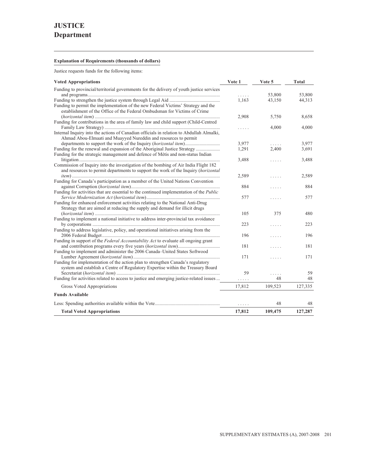### **Explanation of Requirements (thousands of dollars)**

Justice requests funds for the following items:

| <b>Voted Appropriations</b>                                                                    | Vote 1 | Vote 5               | Total   |
|------------------------------------------------------------------------------------------------|--------|----------------------|---------|
| Funding to provincial/territorial governments for the delivery of youth justice services       |        |                      |         |
|                                                                                                | .      | 53,800               | 53,800  |
|                                                                                                | 1,163  | 43,150               | 44,313  |
| Funding to permit the implementation of the new Federal Victims' Strategy and the              |        |                      |         |
| establishment of the Office of the Federal Ombudsman for Victims of Crime                      |        |                      |         |
|                                                                                                | 2,908  | 5,750                | 8,658   |
| Funding for contributions in the area of family law and child support (Child-Centred           |        |                      |         |
|                                                                                                | .      | 4,000                | 4,000   |
| Internal Inquiry into the actions of Canadian officials in relation to Abdullah Almalki,       |        |                      |         |
| Ahmad Abou-Elmaati and Muayyed Nureddin and resources to permit                                |        |                      |         |
|                                                                                                | 3,977  | .                    | 3,977   |
| Funding for the renewal and expansion of the Aboriginal Justice Strategy                       | 1,291  | 2,400                | 3,691   |
| Funding for the strategic management and defence of Métis and non-status Indian                |        |                      |         |
|                                                                                                | 3,488  | .                    | 3,488   |
| Commission of Inquiry into the investigation of the bombing of Air India Flight 182            |        |                      |         |
| and resources to permit departments to support the work of the Inquiry (horizontal             |        |                      |         |
|                                                                                                | 2,589  | $\sim$ $\sim$ $\sim$ | 2,589   |
| Funding for Canada's participation as a member of the United Nations Convention                |        |                      |         |
|                                                                                                | 884    | .                    | 884     |
| Funding for activities that are essential to the continued implementation of the <i>Public</i> |        |                      |         |
|                                                                                                | 577    | .                    | 577     |
| Funding for enhanced enforcement activities relating to the National Anti-Drug                 |        |                      |         |
| Strategy that are aimed at reducing the supply and demand for illicit drugs                    |        |                      |         |
|                                                                                                | 105    | 375                  | 480     |
| Funding to implement a national initiative to address inter-provincial tax avoidance           |        |                      |         |
|                                                                                                | 223    | .                    | 223     |
| Funding to address legislative, policy, and operational initiatives arising from the           |        |                      |         |
|                                                                                                | 196    | .                    | 196     |
| Funding in support of the Federal Accountability Act to evaluate all ongoing grant             |        |                      |         |
|                                                                                                | 181    | $\sim$ $\sim$ $\sim$ | 181     |
| Funding to implement and administer the 2006 Canada–United States Softwood                     |        |                      |         |
|                                                                                                | 171    | .                    | 171     |
| Funding for implementation of the action plan to strengthen Canada's regulatory                |        |                      |         |
| system and establish a Centre of Regulatory Expertise within the Treasury Board                |        |                      |         |
|                                                                                                | 59     | .                    | 59      |
| Funding for activities related to access to justice and emerging justice-related issues        | .      | 48                   | 48      |
| Gross Voted Appropriations                                                                     | 17,812 | 109,523              | 127,335 |
| <b>Funds Available</b>                                                                         |        |                      |         |
|                                                                                                | .      | 48                   | 48      |
| <b>Total Voted Appropriations</b>                                                              | 17,812 | 109,475              | 127,287 |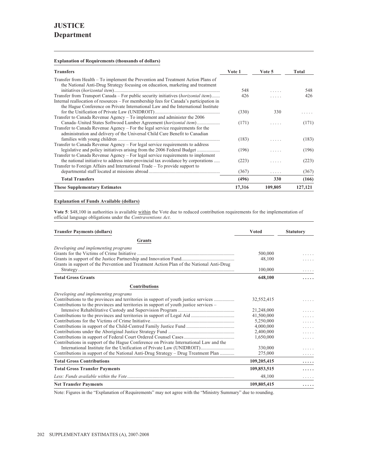#### **Explanation of Requirements (thousands of dollars)**

| <b>Transfers</b>                                                                       | Vote 1 | Vote 5  | Total   |
|----------------------------------------------------------------------------------------|--------|---------|---------|
| Transfer from Health – To implement the Prevention and Treatment Action Plans of       |        |         |         |
| the National Anti-Drug Strategy focusing on education, marketing and treatment         |        |         |         |
|                                                                                        | 548    | .       | 548     |
| Transfer from Transport Canada - For public security initiatives (horizontal item)     | 426    | .       | 426     |
| Internal reallocation of resources – For membership fees for Canada's participation in |        |         |         |
| the Hague Conference on Private International Law and the International Institute      |        |         |         |
|                                                                                        | (330)  | 330     |         |
| Transfer to Canada Revenue Agency - To implement and administer the 2006               |        |         |         |
| Canada–United States Softwood Lumber Agreement (horizontal item)                       | (171)  | .       | (171)   |
| Transfer to Canada Revenue Agency – For the legal service requirements for the         |        |         |         |
| administration and delivery of the Universal Child Care Benefit to Canadian            |        |         |         |
|                                                                                        | (183)  | .       | (183)   |
| Transfer to Canada Revenue Agency – For legal service requirements to address          |        |         |         |
| legislative and policy initiatives arising from the 2006 Federal Budget                | (196)  | .       | (196)   |
| Transfer to Canada Revenue Agency – For legal service requirements to implement        |        |         |         |
| the national initiative to address inter-provincial tax avoidance by corporations      | (223)  | .       | (223)   |
| Transfer to Foreign Affairs and International Trade – To provide support to            |        |         |         |
|                                                                                        | (367)  |         | (367)   |
|                                                                                        |        |         |         |
| <b>Total Transfers</b>                                                                 | (496)  | 330     | (166)   |
| <b>These Supplementary Estimates</b>                                                   | 17,316 | 109,805 | 127,121 |

#### **Explanation of Funds Available (dollars)**

**Vote 5**: \$48,100 in authorities is available within the Vote due to reduced contribution requirements for the implementation of official language obligations under the *Contraventions Act*.

| <b>Transfer Payments (dollars)</b>                                                      | <b>Voted</b> | <b>Statutory</b> |
|-----------------------------------------------------------------------------------------|--------------|------------------|
| <b>Grants</b>                                                                           |              |                  |
| Developing and implementing programs                                                    |              |                  |
|                                                                                         | 500,000      |                  |
|                                                                                         | 48,100       |                  |
| Grants in support of the Prevention and Treatment Action Plan of the National Anti-Drug |              |                  |
|                                                                                         | 100,000      |                  |
| <b>Total Gross Grants</b>                                                               | 648,100      |                  |
| <b>Contributions</b>                                                                    |              |                  |
| Developing and implementing programs                                                    |              |                  |
| Contributions to the provinces and territories in support of youth justice services     | 32,552,415   |                  |
| Contributions to the provinces and territories in support of youth justice services –   |              |                  |
|                                                                                         | 21,248,000   |                  |
|                                                                                         | 41,500,000   |                  |
|                                                                                         | 5,250,000    |                  |
|                                                                                         | 4,000,000    |                  |
|                                                                                         | 2,400,000    |                  |
|                                                                                         | 1.650.000    | $\ldots$         |
| Contributions in support of the Hague Conference on Private International Law and the   |              |                  |
| International Institute for the Unification of Private Law (UNIDROIT)                   | 330,000      |                  |
| Contributions in support of the National Anti-Drug Strategy – Drug Treatment Plan       | 275,000      |                  |
| <b>Total Gross Contributions</b>                                                        | 109,205,415  |                  |
| <b>Total Gross Transfer Payments</b>                                                    | 109,853,515  |                  |
|                                                                                         | 48,100       |                  |
| <b>Net Transfer Payments</b>                                                            | 109,805,415  |                  |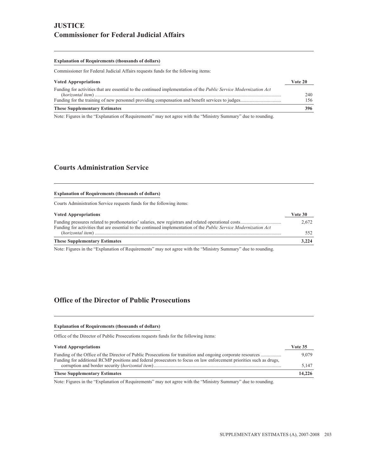## **JUSTICE Commissioner for Federal Judicial Affairs**

#### **Explanation of Requirements (thousands of dollars)**

Commissioner for Federal Judicial Affairs requests funds for the following items:

| <b>Voted Appropriations</b>                                                                                              | Vote 20 |
|--------------------------------------------------------------------------------------------------------------------------|---------|
| Funding for activities that are essential to the continued implementation of the <i>Public Service Modernization Act</i> | 240     |
|                                                                                                                          | 156     |
| <b>These Supplementary Estimates</b>                                                                                     | 396     |
|                                                                                                                          |         |

Note: Figures in the "Explanation of Requirements" may not agree with the "Ministry Summary" due to rounding.

### **Courts Administration Service**

#### **Explanation of Requirements (thousands of dollars)**

Courts Administration Service requests funds for the following items:

| <b>Voted Appropriations</b>                                                                                              | Vote 30 |
|--------------------------------------------------------------------------------------------------------------------------|---------|
| Funding for activities that are essential to the continued implementation of the <i>Public Service Modernization Act</i> | 2.672   |
|                                                                                                                          | 552     |
| <b>These Supplementary Estimates</b>                                                                                     | 3.224   |

Note: Figures in the "Explanation of Requirements" may not agree with the "Ministry Summary" due to rounding.

### **Office of the Director of Public Prosecutions**

#### **Explanation of Requirements (thousands of dollars)**

Office of the Director of Public Prosecutions requests funds for the following items:

| <b>Voted Appropriations</b>                                                                                         | Vote 35 |
|---------------------------------------------------------------------------------------------------------------------|---------|
| Funding for additional RCMP positions and federal prosecutors to focus on law enforcement priorities such as drugs, | 9.079   |
|                                                                                                                     | 5.147   |
| <b>These Supplementary Estimates</b>                                                                                | 14.226  |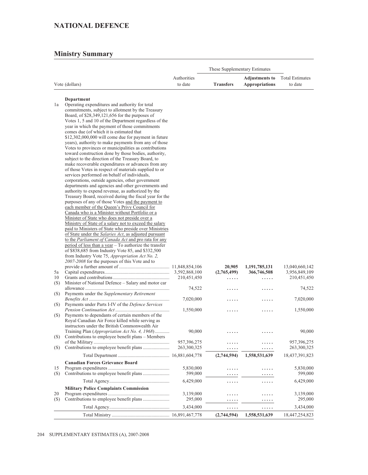# **NATIONAL DEFENCE**

|     |                                                                                                                  | These Supplementary Estimates |                       |                                                |                                   |  |
|-----|------------------------------------------------------------------------------------------------------------------|-------------------------------|-----------------------|------------------------------------------------|-----------------------------------|--|
|     | Vote (dollars)                                                                                                   | Authorities<br>to date        | <b>Transfers</b>      | <b>Adjustments to</b><br><b>Appropriations</b> | <b>Total Estimates</b><br>to date |  |
|     | Department                                                                                                       |                               |                       |                                                |                                   |  |
| 1a  | Operating expenditures and authority for total                                                                   |                               |                       |                                                |                                   |  |
|     | commitments, subject to allotment by the Treasury                                                                |                               |                       |                                                |                                   |  |
|     | Board, of \$28,349,121,656 for the purposes of                                                                   |                               |                       |                                                |                                   |  |
|     | Votes 1, 5 and 10 of the Department regardless of the                                                            |                               |                       |                                                |                                   |  |
|     | year in which the payment of those commitments                                                                   |                               |                       |                                                |                                   |  |
|     | comes due (of which it is estimated that<br>\$12,302,000,000 will come due for payment in future                 |                               |                       |                                                |                                   |  |
|     | years), authority to make payments from any of those                                                             |                               |                       |                                                |                                   |  |
|     | Votes to provinces or municipalities as contributions                                                            |                               |                       |                                                |                                   |  |
|     | toward construction done by those bodies, authority,                                                             |                               |                       |                                                |                                   |  |
|     | subject to the direction of the Treasury Board, to                                                               |                               |                       |                                                |                                   |  |
|     | make recoverable expenditures or advances from any                                                               |                               |                       |                                                |                                   |  |
|     | of those Votes in respect of materials supplied to or                                                            |                               |                       |                                                |                                   |  |
|     | services performed on behalf of individuals,                                                                     |                               |                       |                                                |                                   |  |
|     | corporations, outside agencies, other government<br>departments and agencies and other governments and           |                               |                       |                                                |                                   |  |
|     | authority to expend revenue, as authorized by the                                                                |                               |                       |                                                |                                   |  |
|     | Treasury Board, received during the fiscal year for the                                                          |                               |                       |                                                |                                   |  |
|     | purposes of any of those Votes and the payment to                                                                |                               |                       |                                                |                                   |  |
|     | each member of the Queen's Privy Council for                                                                     |                               |                       |                                                |                                   |  |
|     | Canada who is a Minister without Portfolio or a                                                                  |                               |                       |                                                |                                   |  |
|     | Minister of State who does not preside over a                                                                    |                               |                       |                                                |                                   |  |
|     | Ministry of State of a salary not to exceed the salary<br>paid to Ministers of State who preside over Ministries |                               |                       |                                                |                                   |  |
|     | of State under the Salaries Act, as adjusted pursuant                                                            |                               |                       |                                                |                                   |  |
|     | to the <i>Parliament of Canada Act</i> and pro rata for any                                                      |                               |                       |                                                |                                   |  |
|     | period of less than a year $-$ To authorize the transfer                                                         |                               |                       |                                                |                                   |  |
|     | of \$838,685 from Industry Vote 85, and \$332,500                                                                |                               |                       |                                                |                                   |  |
|     | from Industry Vote 75, Appropriation Act No. 2,                                                                  |                               |                       |                                                |                                   |  |
|     | 2007-2008 for the purposes of this Vote and to                                                                   |                               |                       |                                                |                                   |  |
| 5a  |                                                                                                                  | 3,592,868,100                 | 20,905<br>(2,765,499) | 1,191,785,131<br>366,746,508                   | 13,040,660,142<br>3,956,849,109   |  |
| 10  |                                                                                                                  | 210,451,450                   | .                     | .                                              | 210,451,450                       |  |
| (S) | Minister of National Defence - Salary and motor car                                                              |                               |                       |                                                |                                   |  |
|     |                                                                                                                  | 74,522                        |                       | .                                              | 74,522                            |  |
| (S) | Payments under the Supplementary Retirement                                                                      |                               |                       |                                                |                                   |  |
|     |                                                                                                                  | 7,020,000                     |                       |                                                | 7,020,000                         |  |
| (S) | Payments under Parts I-IV of the Defence Services                                                                |                               |                       |                                                |                                   |  |
| (S) | Payments to dependants of certain members of the                                                                 | 1,550,000                     |                       | .                                              | 1,550,000                         |  |
|     | Royal Canadian Air Force killed while serving as                                                                 |                               |                       |                                                |                                   |  |
|     | instructors under the British Commonwealth Air                                                                   |                               |                       |                                                |                                   |  |
|     | Training Plan ( <i>Appropriation Act No. 4, 1968</i> )                                                           | 90,000                        | .                     | .                                              | 90,000                            |  |
| (S) | Contributions to employee benefit plans – Members                                                                |                               |                       |                                                |                                   |  |
|     |                                                                                                                  | 957,396,275                   | .                     | .                                              | 957,396,275                       |  |
| (S) |                                                                                                                  | 263,300,325                   | .                     | .                                              | 263,300,325                       |  |
|     |                                                                                                                  |                               | (2,744,594)           | 1,558,531,639                                  | 18,437,391,823                    |  |
|     | <b>Canadian Forces Grievance Board</b>                                                                           |                               |                       |                                                |                                   |  |
| 15  |                                                                                                                  | 5,830,000                     | .                     |                                                | 5,830,000                         |  |
| (S) |                                                                                                                  | 599,000                       | .                     | .                                              | 599,000                           |  |
|     |                                                                                                                  | 6,429,000                     | .                     | .                                              | 6,429,000                         |  |
|     | <b>Military Police Complaints Commission</b>                                                                     |                               |                       |                                                |                                   |  |
| 20  |                                                                                                                  | 3,139,000                     |                       |                                                | 3,139,000                         |  |
| (S) |                                                                                                                  | 295,000                       |                       | .                                              | 295,000                           |  |
|     |                                                                                                                  | 3,434,000                     | .                     | .                                              | 3,434,000                         |  |
|     |                                                                                                                  |                               | (2,744,594)           | 1,558,531,639                                  | 18,447,254,823                    |  |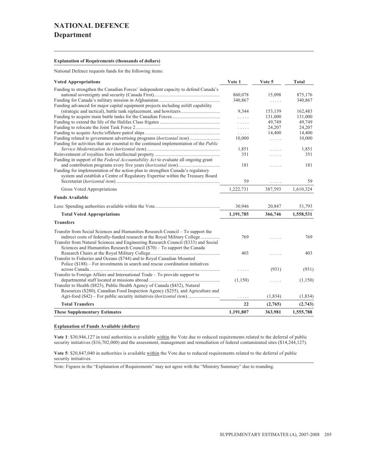## **NATIONAL DEFENCE**

### **Department**

#### **Explanation of Requirements (thousands of dollars)**

National Defence requests funds for the following items:

| <b>Voted Appropriations</b>                                                                                                                                                                                                                       | Vote 1                                 | Vote 5   | <b>Total</b> |
|---------------------------------------------------------------------------------------------------------------------------------------------------------------------------------------------------------------------------------------------------|----------------------------------------|----------|--------------|
| Funding to strengthen the Canadian Forces' independent capacity to defend Canada's                                                                                                                                                                |                                        |          |              |
|                                                                                                                                                                                                                                                   | 860,078                                | 15,098   | 875,176      |
|                                                                                                                                                                                                                                                   | 340,867                                | .        | 340,867      |
| Funding advanced for major capital equipment projects including airlift capability                                                                                                                                                                |                                        |          |              |
| (strategic and tactical), battle tank replacement, and howitzers                                                                                                                                                                                  | 9,344                                  | 153,139  | 162,483      |
|                                                                                                                                                                                                                                                   | .                                      | 131,000  | 131,000      |
|                                                                                                                                                                                                                                                   | $\ldots$                               | 49,749   | 49,749       |
|                                                                                                                                                                                                                                                   | .                                      | 24,207   | 24,207       |
|                                                                                                                                                                                                                                                   | .                                      | 14,400   | 14,400       |
| Funding related to government advertising programs ( <i>horizontal item</i> )                                                                                                                                                                     | 10,000                                 | $\ldots$ | 10,000       |
| Funding for activities that are essential to the continued implementation of the <i>Public</i>                                                                                                                                                    |                                        |          |              |
|                                                                                                                                                                                                                                                   | 1,851                                  | .        | 1,851        |
|                                                                                                                                                                                                                                                   | 351                                    | .        | 351          |
| Funding in support of the Federal Accountability Act to evaluate all ongoing grant                                                                                                                                                                |                                        |          |              |
|                                                                                                                                                                                                                                                   | 181                                    | .        | 181          |
| Funding for implementation of the action plan to strengthen Canada's regulatory                                                                                                                                                                   |                                        |          |              |
| system and establish a Centre of Regulatory Expertise within the Treasury Board                                                                                                                                                                   |                                        |          |              |
|                                                                                                                                                                                                                                                   | 59                                     | .        | 59           |
| Gross Voted Appropriations                                                                                                                                                                                                                        | 1,222,731                              | 387,593  | 1,610,324    |
| <b>Funds Available</b>                                                                                                                                                                                                                            |                                        |          |              |
|                                                                                                                                                                                                                                                   | 30,946                                 | 20,847   | 51,793       |
| <b>Total Voted Appropriations</b>                                                                                                                                                                                                                 | 1,191,785                              | 366,746  | 1,558,531    |
| <b>Transfers</b>                                                                                                                                                                                                                                  |                                        |          |              |
| Transfer from Social Sciences and Humanities Research Council – To support the<br>indirect costs of federally-funded research at the Royal Military College<br>Transfer from Natural Sciences and Engineering Research Council (\$333) and Social | 769                                    | .        | 769          |
| Sciences and Humanities Research Council $(\$70)$ – To support the Canada                                                                                                                                                                         | 403                                    |          | 403          |
| Transfer to Fisheries and Oceans (\$744) and to Royal Canadian Mounted<br>Police $(\$188)$ – For investments in search and rescue coordination initiatives                                                                                        |                                        |          |              |
|                                                                                                                                                                                                                                                   |                                        | (931)    | (931)        |
| Transfer to Foreign Affairs and International Trade – To provide support to                                                                                                                                                                       |                                        |          |              |
|                                                                                                                                                                                                                                                   | (1,150)                                | .        | (1,150)      |
| Transfer to Health (\$825), Public Health Agency of Canada (\$432), Natural                                                                                                                                                                       |                                        |          |              |
| Resources (\$280), Canadian Food Inspection Agency (\$255), and Agriculture and                                                                                                                                                                   |                                        |          |              |
|                                                                                                                                                                                                                                                   | $\mathbb{Z}^n$ . In the $\mathbb{Z}^n$ | (1, 834) | (1,834)      |
| <b>Total Transfers</b>                                                                                                                                                                                                                            | 22                                     | (2,765)  | (2,743)      |
| <b>These Supplementary Estimates</b>                                                                                                                                                                                                              | 1,191,807                              | 363,981  | 1,555,788    |

### **Explanation of Funds Available (dollars)**

**Vote 1**: \$30,946,127 in total authorities is available within the Vote due to reduced requirements related to the deferral of public security initiatives (\$16,702,000) and the assessment, management and remediation of federal contaminated sites (\$14,244,127).

**Vote 5**: \$20,847,040 in authorities is available within the Vote due to reduced requirements related to the deferral of public security initiatives.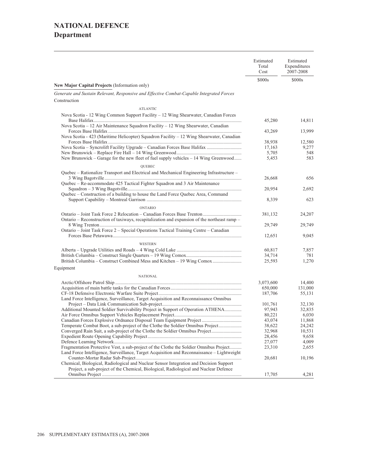# **NATIONAL DEFENCE Department**

|                                                                                                                                                      | Estimated<br>Total<br>Cost | Estimated<br>Expenditures<br>2007-2008 |
|------------------------------------------------------------------------------------------------------------------------------------------------------|----------------------------|----------------------------------------|
|                                                                                                                                                      | \$000s                     | \$000s                                 |
| New Major Capital Projects (Information only)                                                                                                        |                            |                                        |
| Generate and Sustain Relevant, Responsive and Effective Combat-Capable Integrated Forces                                                             |                            |                                        |
| Construction                                                                                                                                         |                            |                                        |
| <b>ATLANTIC</b>                                                                                                                                      |                            |                                        |
| Nova Scotia - 12 Wing Common Support Facility - 12 Wing Shearwater, Canadian Forces                                                                  |                            |                                        |
|                                                                                                                                                      | 45,280                     | 14,811                                 |
| Nova Scotia - 12 Air Maintenance Squadron Facility - 12 Wing Shearwater, Canadian                                                                    |                            |                                        |
|                                                                                                                                                      | 43,269                     | 13,999                                 |
| Nova Scotia - 423 (Maritime Helicopter) Squadron Facility $-12$ Wing Shearwater, Canadian                                                            |                            |                                        |
| Nova Scotia - Syncrolift Facility Upgrade - Canadian Forces Base Halifax                                                                             | 38,938<br>17,163           | 12,580<br>9,277                        |
|                                                                                                                                                      | 5,705                      | 548                                    |
| New Brunswick – Garage for the new fleet of fuel supply vehicles $-14$ Wing Greenwood                                                                | 5,453                      | 583                                    |
|                                                                                                                                                      |                            |                                        |
| QUEBEC                                                                                                                                               |                            |                                        |
| Quebec – Rationalize Transport and Electrical and Mechanical Engineering Infrastructure –                                                            | 26,668                     | 656                                    |
| Quebec - Re-accommodate 425 Tactical Fighter Squadron and 3 Air Maintenance                                                                          |                            |                                        |
|                                                                                                                                                      | 20,954                     | 2,692                                  |
| Quebec – Construction of a building to house the Land Force Quebec Area, Command                                                                     |                            |                                        |
|                                                                                                                                                      | 8,339                      | 623                                    |
| <b>ONTARIO</b>                                                                                                                                       |                            |                                        |
|                                                                                                                                                      | 381,132                    | 24,207                                 |
| Ontario – Reconstruction of taxiways, recapitalization and expansion of the northeast ramp –                                                         |                            |                                        |
|                                                                                                                                                      | 29,749                     | 29,749                                 |
| Ontario – Joint Task Force 2 – Special Operations Tactical Training Centre – Canadian                                                                |                            |                                        |
|                                                                                                                                                      | 12,651                     | 9,045                                  |
| <b>WESTERN</b>                                                                                                                                       |                            |                                        |
|                                                                                                                                                      | 60,817                     | 7,857                                  |
|                                                                                                                                                      | 34,714                     | 781                                    |
| British Columbia – Construct Combined Mess and Kitchen – 19 Wing Comox                                                                               | 25,593                     | 1,270                                  |
| Equipment                                                                                                                                            |                            |                                        |
| <b>NATIONAL</b>                                                                                                                                      |                            |                                        |
|                                                                                                                                                      | 3,073,600                  | 14,400                                 |
|                                                                                                                                                      | 650,000                    | 131,000                                |
|                                                                                                                                                      | 187,706                    | 55,131                                 |
| Land Force Intelligence, Surveillance, Target Acquisition and Reconnaissance Omnibus                                                                 |                            |                                        |
|                                                                                                                                                      | 101,761                    | 32,130                                 |
| Additional Mounted Soldier Survivability Project in Support of Operation ATHENA                                                                      | 97,943                     | 32,835                                 |
|                                                                                                                                                      | 80,221                     | 6,030                                  |
| Canadian Forces Explosive Ordnance Disposal Team Equipment Project<br>Temperate Combat Boot, a sub-project of the Clothe the Soldier Omnibus Project | 43,074<br>38,622           | 11,868<br>24,242                       |
| Converged Rain Suit, a sub-project of the Clothe the Soldier Omnibus Project                                                                         | 32,968                     | 10,531                                 |
|                                                                                                                                                      | 28,456                     | 9,658                                  |
|                                                                                                                                                      | 27,077                     | 4,009                                  |
| Fragmentation Protective Vest, a sub-project of the Clothe the Soldier Omnibus Project                                                               | 23,310                     | 2,655                                  |
| Land Force Intelligence, Surveillance, Target Acquisition and Reconnaissance - Lightweight                                                           |                            |                                        |
|                                                                                                                                                      | 20,681                     | 10,196                                 |
| Chemical, Biological, Radiological and Nuclear Sensor Integration and Decision Support                                                               |                            |                                        |
| Project, a sub-project of the Chemical, Biological, Radiological and Nuclear Defence                                                                 |                            |                                        |
|                                                                                                                                                      | 17,705                     | 4,281                                  |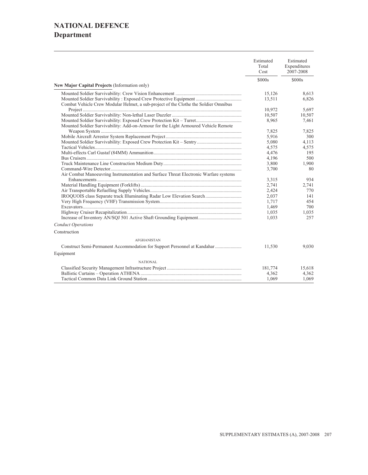# **NATIONAL DEFENCE Department**

|                                                                                      | Estimated<br>Total<br>Cost | Estimated<br>Expenditures<br>2007-2008 |
|--------------------------------------------------------------------------------------|----------------------------|----------------------------------------|
|                                                                                      | \$000s                     | \$000s                                 |
| New Major Capital Projects (Information only)                                        |                            |                                        |
|                                                                                      | 15,126                     | 8,613                                  |
|                                                                                      | 13,511                     | 6,826                                  |
| Combat Vehicle Crew Modular Helmet, a sub-project of the Clothe the Soldier Omnibus  |                            |                                        |
|                                                                                      | 10.972                     | 5.697                                  |
|                                                                                      | 10,507                     | 10,507                                 |
|                                                                                      | 8,965                      | 7,461                                  |
| Mounted Soldier Survivability: Add-on-Armour for the Light Armoured Vehicle Remote   |                            |                                        |
|                                                                                      | 7.825                      | 7.825                                  |
|                                                                                      | 5,916                      | 300                                    |
|                                                                                      | 5,080                      | 4,113                                  |
|                                                                                      | 4,575                      | 4,575                                  |
|                                                                                      | 4,476                      | 195                                    |
|                                                                                      | 4.196                      | 500                                    |
|                                                                                      | 3,800                      | 1,900                                  |
|                                                                                      | 3,700                      | 80                                     |
| Air Combat Manoeuvring Instrumentation and Surface Threat Electronic Warfare systems |                            |                                        |
|                                                                                      | 3,315                      | 934                                    |
|                                                                                      | 2,741                      | 2.741                                  |
|                                                                                      | 2,424                      | 770                                    |
| IROQUOIS class Separate track Illuminating Radar Low Elevation Search                | 2,037                      | 141                                    |
|                                                                                      | 1,717                      | 454                                    |
|                                                                                      | 1,469                      | 700                                    |
|                                                                                      | 1.035                      | 1.035                                  |
|                                                                                      | 1,033                      | 257                                    |
| <b>Conduct Operations</b>                                                            |                            |                                        |
| Construction                                                                         |                            |                                        |
| <b>AFGHANISTAN</b>                                                                   |                            |                                        |
| Construct Semi-Permanent Accommodation for Support Personnel at Kandahar             | 11,530                     | 9,030                                  |
| Equipment                                                                            |                            |                                        |
| <b>NATIONAL</b>                                                                      |                            |                                        |
|                                                                                      | 181,774                    | 15,618                                 |
|                                                                                      | 4,362                      | 4,362                                  |
|                                                                                      | 1,069                      | 1,069                                  |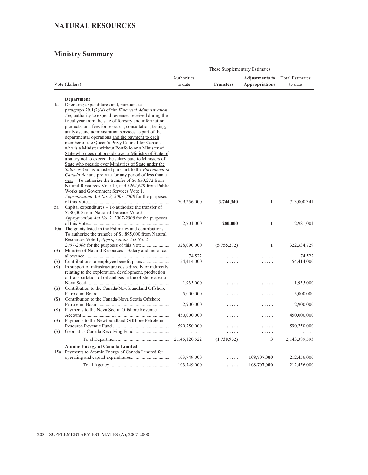### **NATURAL RESOURCES**

|            |                                                                                                                                                                                                                                                                                                                                                                                                                                                                                                                                                                                                                                                                                                                                            |               | These Supplementary Estimates |                       |                        |
|------------|--------------------------------------------------------------------------------------------------------------------------------------------------------------------------------------------------------------------------------------------------------------------------------------------------------------------------------------------------------------------------------------------------------------------------------------------------------------------------------------------------------------------------------------------------------------------------------------------------------------------------------------------------------------------------------------------------------------------------------------------|---------------|-------------------------------|-----------------------|------------------------|
|            |                                                                                                                                                                                                                                                                                                                                                                                                                                                                                                                                                                                                                                                                                                                                            | Authorities   |                               | <b>Adjustments to</b> | <b>Total Estimates</b> |
|            | Vote (dollars)                                                                                                                                                                                                                                                                                                                                                                                                                                                                                                                                                                                                                                                                                                                             | to date       | <b>Transfers</b>              | <b>Appropriations</b> | to date                |
|            |                                                                                                                                                                                                                                                                                                                                                                                                                                                                                                                                                                                                                                                                                                                                            |               |                               |                       |                        |
|            | Department                                                                                                                                                                                                                                                                                                                                                                                                                                                                                                                                                                                                                                                                                                                                 |               |                               |                       |                        |
| 1a         | Operating expenditures and, pursuant to<br>paragraph $29.1(2)(a)$ of the Financial Administration<br>Act, authority to expend revenues received during the<br>fiscal year from the sale of forestry and information<br>products, and fees for research, consultation, testing,<br>analysis, and administration services as part of the<br>departmental operations and the payment to each<br>member of the Queen's Privy Council for Canada<br>who is a Minister without Portfolio or a Minister of<br>State who does not preside over a Ministry of State of<br>a salary not to exceed the salary paid to Ministers of<br>State who preside over Ministries of State under the<br>Salaries Act, as adjusted pursuant to the Parliament of |               |                               |                       |                        |
|            | Canada Act and pro rata for any period of less than a<br>year $-$ To authorize the transfer of \$6,650,272 from                                                                                                                                                                                                                                                                                                                                                                                                                                                                                                                                                                                                                            |               |                               |                       |                        |
|            | Natural Resources Vote 10, and \$262,679 from Public                                                                                                                                                                                                                                                                                                                                                                                                                                                                                                                                                                                                                                                                                       |               |                               |                       |                        |
|            | Works and Government Services Vote 1,<br><i>Appropriation Act No. 2, 2007-2008</i> for the purposes                                                                                                                                                                                                                                                                                                                                                                                                                                                                                                                                                                                                                                        | 709,256,000   | 3,744,340                     | 1                     | 713,000,341            |
| 5a         | Capital expenditures $-$ To authorize the transfer of<br>\$280,000 from National Defence Vote 5,                                                                                                                                                                                                                                                                                                                                                                                                                                                                                                                                                                                                                                           |               |                               |                       |                        |
|            | Appropriation Act No. 2, 2007-2008 for the purposes                                                                                                                                                                                                                                                                                                                                                                                                                                                                                                                                                                                                                                                                                        | 2,701,000     | 280,000                       | 1                     | 2,981,001              |
|            | 10a The grants listed in the Estimates and contributions –<br>To authorize the transfer of \$1,895,000 from Natural                                                                                                                                                                                                                                                                                                                                                                                                                                                                                                                                                                                                                        |               |                               |                       |                        |
|            | Resources Vote 1, Appropriation Act No. 2,                                                                                                                                                                                                                                                                                                                                                                                                                                                                                                                                                                                                                                                                                                 | 328,090,000   | (5,755,272)                   | 1                     | 322,334,729            |
| (S)        | Minister of Natural Resources - Salary and motor car                                                                                                                                                                                                                                                                                                                                                                                                                                                                                                                                                                                                                                                                                       |               |                               |                       |                        |
|            |                                                                                                                                                                                                                                                                                                                                                                                                                                                                                                                                                                                                                                                                                                                                            | 74,522        |                               |                       | 74,522                 |
| (S)<br>(S) | In support of infrastructure costs directly or indirectly<br>relating to the exploration, development, production<br>or transportation of oil and gas in the offshore area of                                                                                                                                                                                                                                                                                                                                                                                                                                                                                                                                                              | 54,414,000    |                               |                       | 54,414,000             |
|            |                                                                                                                                                                                                                                                                                                                                                                                                                                                                                                                                                                                                                                                                                                                                            | 1,935,000     |                               |                       | 1,935,000              |
| (S)        | Contribution to the Canada/Newfoundland Offshore                                                                                                                                                                                                                                                                                                                                                                                                                                                                                                                                                                                                                                                                                           | 5,000,000     |                               | .                     | 5,000,000              |
| (S)        | Contribution to the Canada/Nova Scotia Offshore                                                                                                                                                                                                                                                                                                                                                                                                                                                                                                                                                                                                                                                                                            |               |                               |                       |                        |
|            |                                                                                                                                                                                                                                                                                                                                                                                                                                                                                                                                                                                                                                                                                                                                            | 2,900,000     | .                             | .                     | 2,900,000              |
| (S)        | Payments to the Nova Scotia Offshore Revenue                                                                                                                                                                                                                                                                                                                                                                                                                                                                                                                                                                                                                                                                                               | 450,000,000   | .                             | .                     | 450,000,000            |
| (S)<br>(S) | Payments to the Newfoundland Offshore Petroleum                                                                                                                                                                                                                                                                                                                                                                                                                                                                                                                                                                                                                                                                                            | 590,750,000   | .                             | .                     | 590,750,000            |
|            |                                                                                                                                                                                                                                                                                                                                                                                                                                                                                                                                                                                                                                                                                                                                            | 2,145,120,522 | (1,730,932)                   | 3                     | 2,143,389,593          |
|            | <b>Atomic Energy of Canada Limited</b>                                                                                                                                                                                                                                                                                                                                                                                                                                                                                                                                                                                                                                                                                                     |               |                               |                       |                        |
|            | 15a Payments to Atomic Energy of Canada Limited for                                                                                                                                                                                                                                                                                                                                                                                                                                                                                                                                                                                                                                                                                        | 103,749,000   |                               | 108,707,000           | 212,456,000            |
|            |                                                                                                                                                                                                                                                                                                                                                                                                                                                                                                                                                                                                                                                                                                                                            | 103,749,000   | .                             | 108,707,000           | 212,456,000            |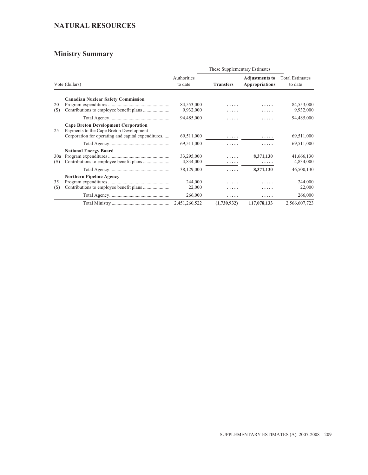## **NATURAL RESOURCES**

|                |                                                                                                                                             |                         | These Supplementary Estimates |                                         |                                   |
|----------------|---------------------------------------------------------------------------------------------------------------------------------------------|-------------------------|-------------------------------|-----------------------------------------|-----------------------------------|
| Vote (dollars) |                                                                                                                                             | Authorities<br>to date  | <b>Transfers</b>              | <b>Adjustments to</b><br>Appropriations | <b>Total Estimates</b><br>to date |
|                | <b>Canadian Nuclear Safety Commission</b>                                                                                                   |                         |                               |                                         |                                   |
| 20             |                                                                                                                                             | 84,553,000              |                               |                                         | 84,553,000                        |
| (S)            |                                                                                                                                             | 9,932,000               |                               |                                         | 9,932,000                         |
|                |                                                                                                                                             | 94,485,000              |                               |                                         | 94,485,000                        |
| 25             | <b>Cape Breton Development Corporation</b><br>Payments to the Cape Breton Development<br>Corporation for operating and capital expenditures | 69,511,000              |                               |                                         | 69,511,000                        |
|                |                                                                                                                                             | 69,511,000              |                               |                                         | 69,511,000                        |
| 30a<br>(S)     | <b>National Energy Board</b>                                                                                                                | 33,295,000<br>4,834,000 |                               | 8,371,130<br>.                          | 41,666,130<br>4,834,000           |
|                |                                                                                                                                             | 38,129,000              |                               | 8,371,130                               | 46,500,130                        |
| 35<br>(S)      | <b>Northern Pipeline Agency</b>                                                                                                             | 244,000<br>22,000       |                               |                                         | 244,000<br>22,000                 |
|                |                                                                                                                                             | 266,000                 |                               |                                         | 266,000                           |
|                |                                                                                                                                             | 2,451,260,522           | (1,730,932)                   | 117,078,133                             | 2,566,607,723                     |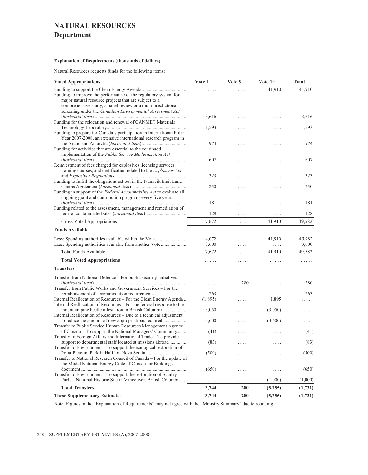# **NATURAL RESOURCES**

# **Department**

### **Explanation of Requirements (thousands of dollars)**

Natural Resources requests funds for the following items:

| <b>Voted Appropriations</b>                                                                                                                                                              | Vote 1         | Vote 5                                     | Vote 10                | <b>Total</b>    |
|------------------------------------------------------------------------------------------------------------------------------------------------------------------------------------------|----------------|--------------------------------------------|------------------------|-----------------|
| Funding to improve the performance of the regulatory system for<br>major natural resource projects that are subject to a<br>comprehensive study, a panel review or a multijurisdictional |                |                                            | 41,910                 | 41,910          |
| screening under the Canadian Environmental Assessment Act                                                                                                                                | 3,616          | .                                          | $\cdots$               | 3,616           |
| Funding for the relocation and renewal of CANMET Materials<br>Funding to prepare for Canada's participation in International Polar                                                       | 1,593          | .                                          |                        | 1,593           |
| Year 2007-2008, an extensive international research program in<br>Funding for activities that are essential to the continued                                                             | 974            | .                                          | .                      | 974             |
| implementation of the <i>Public Service Modernization Act</i>                                                                                                                            | 607            | .                                          | $\cdots$               | 607             |
| Reinvestment of fees charged for explosives licensing services,<br>training courses, and certification related to the Explosives Act                                                     | 323            |                                            |                        | 323             |
| Funding to fulfill the obligations set out in the Nunavik Inuit Land                                                                                                                     | 250            | .                                          | $\cdots$<br>$\ldots$ . | 250             |
| Funding in support of the Federal Accountability Act to evaluate all<br>ongoing grant and contribution programs every five years                                                         |                |                                            |                        |                 |
| Funding related to the assessment, management and remediation of                                                                                                                         | 181<br>128     | .<br>.                                     | .<br>.                 | 181<br>128      |
| Gross Voted Appropriations                                                                                                                                                               | 7,672          | $\mathbb{Z}^2$ . The set of $\mathbb{Z}^2$ | 41,910                 | 49,582          |
| <b>Funds Available</b>                                                                                                                                                                   |                |                                            |                        |                 |
|                                                                                                                                                                                          | 4,072<br>3,600 | .<br>.                                     | 41,910<br>$\ldots$     | 45,982<br>3,600 |
| Total Funds Available                                                                                                                                                                    | 7,672          | .                                          | 41,910                 | 49,582          |
| <b>Total Voted Appropriations</b>                                                                                                                                                        | .              | .                                          | .                      | .               |
| <b>Transfers</b>                                                                                                                                                                         |                |                                            |                        |                 |
| Transfer from National Defence - For public security initiatives                                                                                                                         |                | 280                                        | .                      | 280             |
| Transfer from Public Works and Government Services – For the                                                                                                                             | 263            |                                            |                        | 263             |
| Internal Reallocation of Resources – For the Clean Energy Agenda<br>Internal Reallocation of Resources - For the federal response to the                                                 | (1,895)        | .<br>.                                     | .<br>1,895             | .               |
| Internal Reallocation of Resources – Due to a technical adjustment                                                                                                                       | 3,050          | .                                          | (3,050)                | $\cdots$        |
| Transfer to Public Service Human Resources Management Agency<br>of Canada – To support the National Managers' Community                                                                  | 3,600<br>(41)  | .<br>.                                     | (3,600)<br>.           | .<br>(41)       |
| Transfer to Foreign Affairs and International Trade - To provide<br>support to departmental staff located at missions abroad                                                             | (83)           | .                                          | .                      | (83)            |
| Transfer to Environment - To support the ecological restoration of<br>Transfer to National Research Council of Canada - For the update of                                                | (500)          |                                            |                        | (500)           |
| the Model National Energy Code of Canada for Buildings<br>Transfer to Environment – To support the restoration of Stanley                                                                | (650)          | .                                          |                        | (650)           |
| Park, a National Historic Site in Vancouver, British Columbia                                                                                                                            | .              | 1.1.1.1                                    | (1,000)                | (1,000)         |
| <b>Total Transfers</b>                                                                                                                                                                   | 3,744          | 280                                        | (5,755)                | (1,731)         |
| <b>These Supplementary Estimates</b>                                                                                                                                                     | 3,744          | 280                                        | (5,755)                | (1,731)         |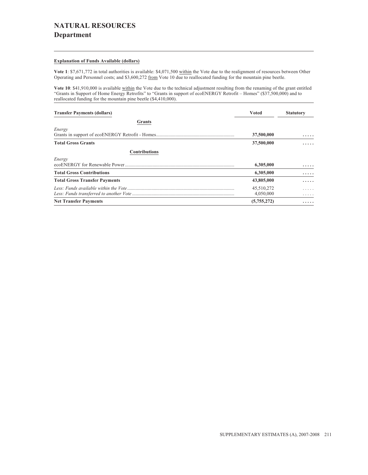# **NATURAL RESOURCES Department**

#### **Explanation of Funds Available (dollars)**

**Vote 1**: \$7,671,772 in total authorities is available: \$4,071,500 within the Vote due to the realignment of resources between Other Operating and Personnel costs; and \$3,600,272 from Vote 10 due to reallocated funding for the mountain pine beetle.

**Vote 10**: \$41,910,000 is available within the Vote due to the technical adjustment resulting from the renaming of the grant entitled "Grants in Support of Home Energy Retrofits" to "Grants in support of ecoENERGY Retrofit – Homes" (\$37,500,000) and to reallocated funding for the mountain pine beetle (\$4,410,000).

| <b>Transfer Payments (dollars)</b>   | <b>Voted</b>            | <b>Statutory</b> |
|--------------------------------------|-------------------------|------------------|
| <b>Grants</b>                        |                         |                  |
| Energy                               | 37,500,000              |                  |
| <b>Total Gross Grants</b>            | 37,500,000              |                  |
| <b>Contributions</b>                 |                         |                  |
| Energy                               | 6,305,000               |                  |
| <b>Total Gross Contributions</b>     | 6,305,000               | .                |
| <b>Total Gross Transfer Payments</b> | 43,805,000              | .                |
|                                      | 45,510,272<br>4,050,000 | .<br>.           |
| <b>Net Transfer Payments</b>         | (5,755,272)             | .                |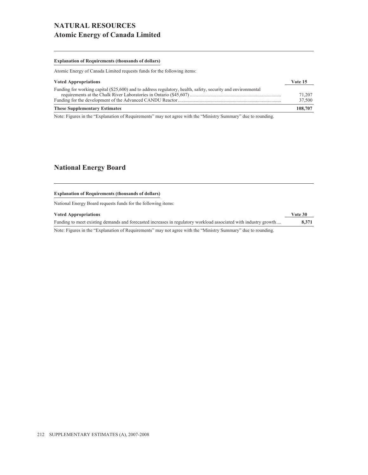# **NATURAL RESOURCES Atomic Energy of Canada Limited**

#### **Explanation of Requirements (thousands of dollars)**

Atomic Energy of Canada Limited requests funds for the following items:

| <b>Voted Appropriations</b>                                                                                  | Vote 15 |
|--------------------------------------------------------------------------------------------------------------|---------|
| Funding for working capital (\$25,600) and to address regulatory, health, safety, security and environmental |         |
|                                                                                                              | 71.207  |
|                                                                                                              | 37,500  |
| <b>These Supplementary Estimates</b>                                                                         | 108.707 |

Note: Figures in the "Explanation of Requirements" may not agree with the "Ministry Summary" due to rounding.

### **National Energy Board**

#### **Explanation of Requirements (thousands of dollars)**

National Energy Board requests funds for the following items:

**Voted Appropriations Vote 30** Funding to meet existing demands and forecasted increases in regulatory workload associated with industry growth.... **8,371** Note: Figures in the "Explanation of Requirements" may not agree with the "Ministry Summary" due to rounding.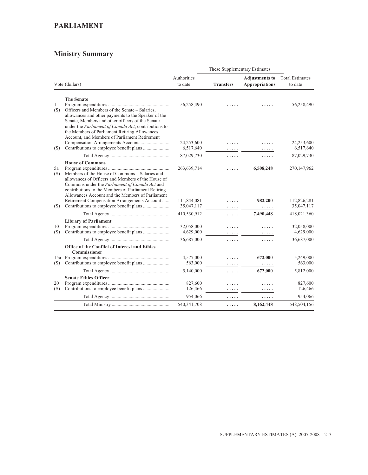## **PARLIAMENT**

|                     |                                                                                                                                                                                                                                                                   |                           | These Supplementary Estimates |                                                |                                   |
|---------------------|-------------------------------------------------------------------------------------------------------------------------------------------------------------------------------------------------------------------------------------------------------------------|---------------------------|-------------------------------|------------------------------------------------|-----------------------------------|
|                     | Vote (dollars)                                                                                                                                                                                                                                                    | Authorities<br>to date    | <b>Transfers</b>              | <b>Adjustments to</b><br><b>Appropriations</b> | <b>Total Estimates</b><br>to date |
| $\mathbf{1}$<br>(S) | <b>The Senate</b><br>Officers and Members of the Senate - Salaries,                                                                                                                                                                                               | 56,258,490                |                               |                                                | 56,258,490                        |
|                     | allowances and other payments to the Speaker of the<br>Senate, Members and other officers of the Senate<br>under the Parliament of Canada Act; contributions to<br>the Members of Parliament Retiring Allowances<br>Account, and Members of Parliament Retirement |                           |                               |                                                |                                   |
|                     |                                                                                                                                                                                                                                                                   | 24,253,600                |                               |                                                | 24,253,600                        |
| (S)                 |                                                                                                                                                                                                                                                                   | 6,517,640                 |                               |                                                | 6,517,640                         |
|                     |                                                                                                                                                                                                                                                                   | 87,029,730                | .                             | .                                              | 87,029,730                        |
|                     | <b>House of Commons</b>                                                                                                                                                                                                                                           |                           |                               |                                                |                                   |
| 5a<br>(S)           | Members of the House of Commons – Salaries and<br>allowances of Officers and Members of the House of<br>Commons under the Parliament of Canada Act and<br>contributions to the Members of Parliament Retiring<br>Allowances Account and the Members of Parliament | 263, 639, 714             | .                             | 6,508,248                                      | 270,147,962                       |
| (S)                 | Retirement Compensation Arrangements Account                                                                                                                                                                                                                      | 111,844,081<br>35,047,117 | .                             | 982,200<br>.                                   | 112,826,281<br>35,047,117         |
|                     |                                                                                                                                                                                                                                                                   |                           |                               |                                                |                                   |
|                     |                                                                                                                                                                                                                                                                   | 410,530,912               | .                             | 7,490,448                                      | 418,021,360                       |
| 10                  | <b>Library of Parliament</b>                                                                                                                                                                                                                                      | 32,058,000                |                               |                                                | 32,058,000                        |
| (S)                 |                                                                                                                                                                                                                                                                   | 4,629,000                 | .                             | .                                              | 4,629,000                         |
|                     |                                                                                                                                                                                                                                                                   | 36,687,000                | .                             | .                                              | 36,687,000                        |
|                     | Office of the Conflict of Interest and Ethics<br>Commissioner                                                                                                                                                                                                     |                           |                               |                                                |                                   |
|                     |                                                                                                                                                                                                                                                                   | 4,577,000                 |                               | 672,000                                        | 5,249,000                         |
| (S)                 |                                                                                                                                                                                                                                                                   | 563,000                   | .                             | .                                              | 563,000                           |
|                     |                                                                                                                                                                                                                                                                   | 5,140,000                 | .                             | 672,000                                        | 5,812,000                         |
|                     | <b>Senate Ethics Officer</b>                                                                                                                                                                                                                                      |                           |                               |                                                |                                   |
| 20                  |                                                                                                                                                                                                                                                                   | 827,600                   |                               |                                                | 827,600                           |
| (S)                 |                                                                                                                                                                                                                                                                   | 126,466                   | .                             | .                                              | 126,466                           |
|                     |                                                                                                                                                                                                                                                                   | 954,066                   | .                             | .                                              | 954,066                           |
|                     |                                                                                                                                                                                                                                                                   | 540, 341, 708             | .                             | 8,162,448                                      | 548,504,156                       |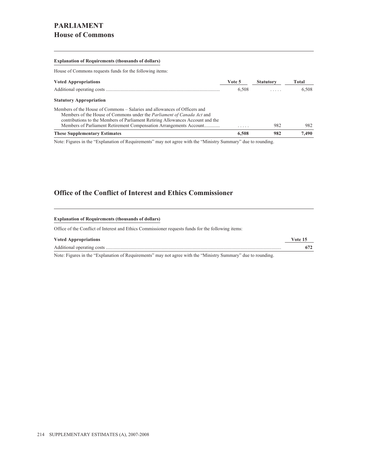# **PARLIAMENT House of Commons**

#### **Explanation of Requirements (thousands of dollars)**

House of Commons requests funds for the following items:

| <b>Voted Appropriations</b>                                                                                                                                                                                                                                                                                        | Vote 5 | <b>Statutory</b> | Total |
|--------------------------------------------------------------------------------------------------------------------------------------------------------------------------------------------------------------------------------------------------------------------------------------------------------------------|--------|------------------|-------|
|                                                                                                                                                                                                                                                                                                                    | 6.508  | .                | 6.508 |
| <b>Statutory Appropriation</b>                                                                                                                                                                                                                                                                                     |        |                  |       |
| Members of the House of Commons – Salaries and allowances of Officers and<br>Members of the House of Commons under the <i>Parliament of Canada Act</i> and<br>contributions to the Members of Parliament Retiring Allowances Account and the<br>Members of Parliament Retirement Compensation Arrangements Account | .      | 982              | 982   |
| <b>These Supplementary Estimates</b>                                                                                                                                                                                                                                                                               | 6.508  | 982              | 7.490 |

Note: Figures in the "Explanation of Requirements" may not agree with the "Ministry Summary" due to rounding.

### **Office of the Conflict of Interest and Ethics Commissioner**

#### **Explanation of Requirements (thousands of dollars)**

Office of the Conflict of Interest and Ethics Commissioner requests funds for the following items:

| <b>Voted Appropriations</b>                                                                                   | Vote 15 |
|---------------------------------------------------------------------------------------------------------------|---------|
|                                                                                                               | 672     |
| Note: Figures in the "Explanation of Requirements" may not agree with the "Ministry Summary" due to rounding. |         |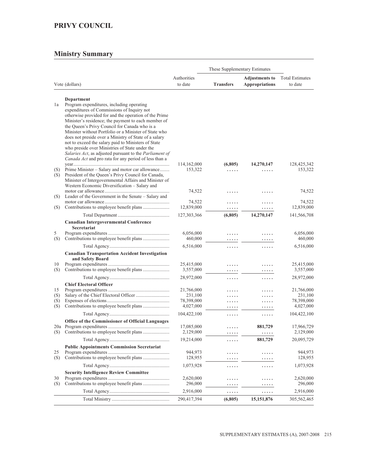# **PRIVY COUNCIL**

|            |                                                                                                                                                                                                                                                                                                                                                                                                                                                                                                                                                              |                          | These Supplementary Estimates |                       |                         |
|------------|--------------------------------------------------------------------------------------------------------------------------------------------------------------------------------------------------------------------------------------------------------------------------------------------------------------------------------------------------------------------------------------------------------------------------------------------------------------------------------------------------------------------------------------------------------------|--------------------------|-------------------------------|-----------------------|-------------------------|
|            |                                                                                                                                                                                                                                                                                                                                                                                                                                                                                                                                                              | Authorities              |                               | <b>Adjustments to</b> | <b>Total Estimates</b>  |
|            | Vote (dollars)                                                                                                                                                                                                                                                                                                                                                                                                                                                                                                                                               | to date                  | <b>Transfers</b>              | <b>Appropriations</b> | to date                 |
| 1a         | Department<br>Program expenditures, including operating<br>expenditures of Commissions of Inquiry not<br>otherwise provided for and the operation of the Prime<br>Minister's residence; the payment to each member of<br>the Queen's Privy Council for Canada who is a<br>Minister without Portfolio or a Minister of State who<br>does not preside over a Ministry of State of a salary<br>not to exceed the salary paid to Ministers of State<br>who preside over Ministries of State under the<br>Salaries Act, as adjusted pursuant to the Parliament of |                          |                               |                       |                         |
|            | Canada Act and pro rata for any period of less than a                                                                                                                                                                                                                                                                                                                                                                                                                                                                                                        |                          |                               |                       |                         |
| (S)<br>(S) | Prime Minister – Salary and motor car allowance<br>President of the Queen's Privy Council for Canada,<br>Minister of Intergovernmental Affairs and Minister of<br>Western Economic Diversification - Salary and                                                                                                                                                                                                                                                                                                                                              | 114, 162, 000<br>153,322 | (6,805)<br>.                  | 14,270,147            | 128,425,342<br>153,322  |
| (S)        | Leader of the Government in the Senate - Salary and                                                                                                                                                                                                                                                                                                                                                                                                                                                                                                          | 74,522                   | .                             | .                     | 74,522                  |
| (S)        |                                                                                                                                                                                                                                                                                                                                                                                                                                                                                                                                                              | 74,522<br>12,839,000     | .                             | .                     | 74,522<br>12,839,000    |
|            |                                                                                                                                                                                                                                                                                                                                                                                                                                                                                                                                                              | 127, 303, 366            | (6,805)                       | 14,270,147            | 141,566,708             |
|            | <b>Canadian Intergovernmental Conference</b><br>Secretariat                                                                                                                                                                                                                                                                                                                                                                                                                                                                                                  |                          |                               |                       |                         |
| 5          |                                                                                                                                                                                                                                                                                                                                                                                                                                                                                                                                                              | 6,056,000                |                               |                       | 6,056,000               |
| (S)        |                                                                                                                                                                                                                                                                                                                                                                                                                                                                                                                                                              | 460,000                  | .                             | .                     | 460,000                 |
|            |                                                                                                                                                                                                                                                                                                                                                                                                                                                                                                                                                              | 6,516,000                | .                             | .                     | 6,516,000               |
|            | <b>Canadian Transportation Accident Investigation</b><br>and Safety Board                                                                                                                                                                                                                                                                                                                                                                                                                                                                                    |                          |                               |                       |                         |
| 10         |                                                                                                                                                                                                                                                                                                                                                                                                                                                                                                                                                              | 25,415,000               | .                             | .                     | 25,415,000              |
| (S)        |                                                                                                                                                                                                                                                                                                                                                                                                                                                                                                                                                              | 3,557,000                | .                             | .                     | 3,557,000               |
|            |                                                                                                                                                                                                                                                                                                                                                                                                                                                                                                                                                              | 28,972,000               | .                             | .                     | 28,972,000              |
| 15<br>(S)  | <b>Chief Electoral Officer</b>                                                                                                                                                                                                                                                                                                                                                                                                                                                                                                                               | 21,766,000<br>231,100    |                               |                       | 21,766,000<br>231,100   |
| (S)        |                                                                                                                                                                                                                                                                                                                                                                                                                                                                                                                                                              | 78,398,000               | .                             | .                     | 78,398,000              |
| (S)        |                                                                                                                                                                                                                                                                                                                                                                                                                                                                                                                                                              | 4,027,000                | .                             | .                     | 4,027,000               |
|            |                                                                                                                                                                                                                                                                                                                                                                                                                                                                                                                                                              | 104,422,100              | .                             | .                     | 104,422,100             |
|            | Office of the Commissioner of Official Languages                                                                                                                                                                                                                                                                                                                                                                                                                                                                                                             |                          |                               |                       |                         |
|            |                                                                                                                                                                                                                                                                                                                                                                                                                                                                                                                                                              | 17,085,000<br>2,129,000  | .                             | 881,729               | 17,966,729<br>2,129,000 |
|            |                                                                                                                                                                                                                                                                                                                                                                                                                                                                                                                                                              | 19,214,000               | .                             | .<br>881,729          | 20,095,729              |
|            | <b>Public Appointments Commission Secretariat</b>                                                                                                                                                                                                                                                                                                                                                                                                                                                                                                            |                          | .                             |                       |                         |
| 25<br>(S)  |                                                                                                                                                                                                                                                                                                                                                                                                                                                                                                                                                              | 944,973<br>128,955       | .<br>.                        | .<br>.                | 944,973<br>128,955      |
|            |                                                                                                                                                                                                                                                                                                                                                                                                                                                                                                                                                              | 1,073,928                | .                             | .                     | 1,073,928               |
|            | <b>Security Intelligence Review Committee</b>                                                                                                                                                                                                                                                                                                                                                                                                                                                                                                                |                          |                               |                       |                         |
| 30         |                                                                                                                                                                                                                                                                                                                                                                                                                                                                                                                                                              | 2,620,000                | .                             | .                     | 2,620,000               |
| (S)        |                                                                                                                                                                                                                                                                                                                                                                                                                                                                                                                                                              | 296,000                  | .                             |                       | 296,000                 |
|            |                                                                                                                                                                                                                                                                                                                                                                                                                                                                                                                                                              | 2,916,000                | .                             | .                     | 2,916,000               |
|            |                                                                                                                                                                                                                                                                                                                                                                                                                                                                                                                                                              | 290,417,394              | (6,805)                       | 15, 151, 876          | 305,562,465             |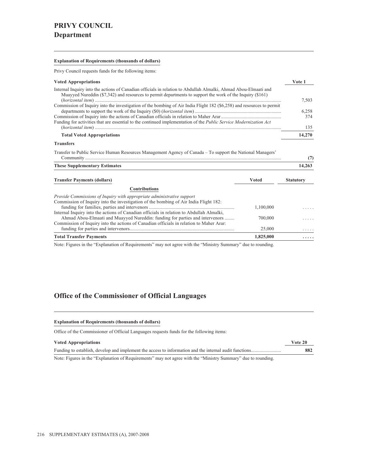#### **Explanation of Requirements (thousands of dollars)**

Privy Council requests funds for the following items:

| <b>Voted Appropriations</b>                                                                                              | Vote 1 |
|--------------------------------------------------------------------------------------------------------------------------|--------|
| Internal Inquiry into the actions of Canadian officials in relation to Abdullah Almalki, Ahmad Abou-Elmaati and          |        |
| Muayyed Nureddin (\$7,342) and resources to permit departments to support the work of the Inquiry (\$161)                | 7.503  |
| Commission of Inquiry into the investigation of the bombing of Air India Flight 182 (\$6,258) and resources to permit    |        |
|                                                                                                                          | 6.258  |
|                                                                                                                          | 374    |
| Funding for activities that are essential to the continued implementation of the <i>Public Service Modernization Act</i> |        |
|                                                                                                                          | 135    |
| <b>Total Voted Appropriations</b>                                                                                        |        |

#### **Transfers**

Transfer to Public Service Human Resources Management Agency of Canada – To support the National Managers'

| Community                                                                                                                                                                                                                                                           |           | (7)              |
|---------------------------------------------------------------------------------------------------------------------------------------------------------------------------------------------------------------------------------------------------------------------|-----------|------------------|
| <b>These Supplementary Estimates</b>                                                                                                                                                                                                                                |           | 14,263           |
| <b>Transfer Payments (dollars)</b>                                                                                                                                                                                                                                  | Voted     | <b>Statutory</b> |
| <b>Contributions</b>                                                                                                                                                                                                                                                |           |                  |
| Provide Commissions of Inquiry with appropriate administrative support                                                                                                                                                                                              |           |                  |
| Commission of Inquiry into the investigation of the bombing of Air India Flight 182:                                                                                                                                                                                | 1.100.000 |                  |
| Internal Inquiry into the actions of Canadian officials in relation to Abdullah Almalki,<br>Ahmad Abou-Elmaati and Muayyed Nureddin: funding for parties and intervenors<br>Commission of Inquiry into the actions of Canadian officials in relation to Maher Arar: | 700,000   |                  |
|                                                                                                                                                                                                                                                                     | 25,000    | .                |
| <b>Total Transfer Payments</b>                                                                                                                                                                                                                                      | 1,825,000 | .                |
|                                                                                                                                                                                                                                                                     |           |                  |

Note: Figures in the "Explanation of Requirements" may not agree with the "Ministry Summary" due to rounding.

### **Office of the Commissioner of Official Languages**

#### **Explanation of Requirements (thousands of dollars)**

Office of the Commissioner of Official Languages requests funds for the following items:

| <b>Voted Appropriations</b> | Vote 20 |
|-----------------------------|---------|
|                             | 882     |
|                             |         |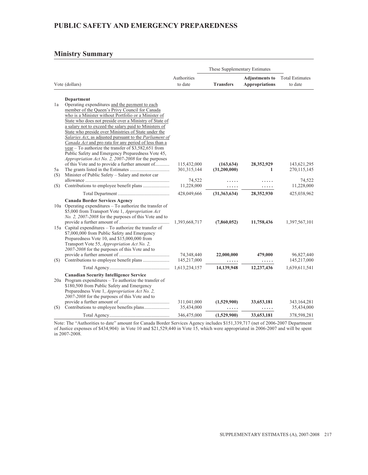## **PUBLIC SAFETY AND EMERGENCY PREPAREDNESS**

### **Ministry Summary**

|           |                                                                                                                                                                                                                                                                                                                                                                                                                                                                                                                                                                                                                                                    | These Supplementary Estimates |                            |                                                |                                   |
|-----------|----------------------------------------------------------------------------------------------------------------------------------------------------------------------------------------------------------------------------------------------------------------------------------------------------------------------------------------------------------------------------------------------------------------------------------------------------------------------------------------------------------------------------------------------------------------------------------------------------------------------------------------------------|-------------------------------|----------------------------|------------------------------------------------|-----------------------------------|
|           | Vote (dollars)                                                                                                                                                                                                                                                                                                                                                                                                                                                                                                                                                                                                                                     | Authorities<br>to date        | <b>Transfers</b>           | <b>Adjustments to</b><br><b>Appropriations</b> | <b>Total Estimates</b><br>to date |
| 1a        | <b>Department</b><br>Operating expenditures and the payment to each<br>member of the Queen's Privy Council for Canada<br>who is a Minister without Portfolio or a Minister of<br>State who does not preside over a Ministry of State of<br>a salary not to exceed the salary paid to Ministers of<br>State who preside over Ministries of State under the<br>Salaries Act, as adjusted pursuant to the Parliament of<br>Canada Act and pro rata for any period of less than a<br>year – To authorize the transfer of $$3,582,651$ from<br>Public Safety and Emergency Preparedness Vote 45,<br>Appropriation Act No. 2, 2007-2008 for the purposes |                               |                            |                                                |                                   |
| 5a<br>(S) | of this Vote and to provide a further amount of<br>Minister of Public Safety – Salary and motor car                                                                                                                                                                                                                                                                                                                                                                                                                                                                                                                                                | 115,432,000<br>301,315,144    | (163, 634)<br>(31,200,000) | 28,352,929<br>1                                | 143,621,295<br>270,115,145        |
| (S)       |                                                                                                                                                                                                                                                                                                                                                                                                                                                                                                                                                                                                                                                    | 74,522<br>11,228,000          | .                          | .                                              | 74,522<br>11,228,000              |
|           |                                                                                                                                                                                                                                                                                                                                                                                                                                                                                                                                                                                                                                                    | 428,049,666                   | (31,363,634)               | 28,352,930                                     | 425,038,962                       |
|           | <b>Canada Border Services Agency</b><br>10a Operating expenditures – To authorize the transfer of<br>\$5,000 from Transport Vote 1, Appropriation Act<br>No. 2, 2007-2008 for the purposes of this Vote and to<br>15a Capital expenditures – To authorize the transfer of<br>\$7,000,000 from Public Safety and Emergency<br>Preparedness Vote 10, and \$15,000,000 from<br>Transport Vote 55, Appropriation Act No. 2,<br>2007-2008 for the purposes of this Vote and to                                                                                                                                                                          | 1,393,668,717<br>74,348,440   | (7,860,052)<br>22,000,000  | 11,758,436<br>479,000                          | 1,397,567,101<br>96,827,440       |
| (S)       |                                                                                                                                                                                                                                                                                                                                                                                                                                                                                                                                                                                                                                                    | 145,217,000                   | .                          |                                                | 145,217,000                       |
|           |                                                                                                                                                                                                                                                                                                                                                                                                                                                                                                                                                                                                                                                    | 1,613,234,157                 | 14,139,948                 | 12,237,436                                     | 1,639,611,541                     |
|           | <b>Canadian Security Intelligence Service</b><br>20a Program expenditures – To authorize the transfer of<br>\$180,500 from Public Safety and Emergency<br>Preparedness Vote 1, Appropriation Act No. 2,<br>2007-2008 for the purposes of this Vote and to                                                                                                                                                                                                                                                                                                                                                                                          | 311,041,000<br>35,434,000     | (1,529,900)                | 33,653,181                                     | 343, 164, 281                     |
| (S)       |                                                                                                                                                                                                                                                                                                                                                                                                                                                                                                                                                                                                                                                    | 346,475,000                   | (1,529,900)                | 33,653,181                                     | 35,434,000<br>378,598,281         |

Note: The "Authorities to date" amount for Canada Border Services Agency includes \$151,339,717 (net of 2006-2007 Department of Justice expenses of \$434,904) in Vote 10 and \$21,529,440 in Vote 15, which were appropriated in 2006-2007 and will be spent in 2007-2008.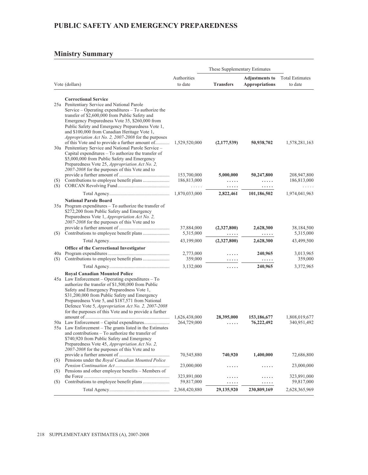### **PUBLIC SAFETY AND EMERGENCY PREPAREDNESS**

|            |                                                                                                                                                                                                                                                                                                                                                                                                                                                                                                                                   | These Supplementary Estimates |                  |                                                |                                   |
|------------|-----------------------------------------------------------------------------------------------------------------------------------------------------------------------------------------------------------------------------------------------------------------------------------------------------------------------------------------------------------------------------------------------------------------------------------------------------------------------------------------------------------------------------------|-------------------------------|------------------|------------------------------------------------|-----------------------------------|
|            | Vote (dollars)                                                                                                                                                                                                                                                                                                                                                                                                                                                                                                                    | Authorities<br>to date        | <b>Transfers</b> | <b>Adjustments to</b><br><b>Appropriations</b> | <b>Total Estimates</b><br>to date |
|            | <b>Correctional Service</b><br>25a Penitentiary Service and National Parole<br>Service $-$ Operating expenditures $-$ To authorize the<br>transfer of \$2,600,000 from Public Safety and                                                                                                                                                                                                                                                                                                                                          |                               |                  |                                                |                                   |
|            | Emergency Preparedness Vote 35, \$260,000 from<br>Public Safety and Emergency Preparedness Vote 1,<br>and \$100,000 from Canadian Heritage Vote 1,<br>Appropriation Act No. 2, 2007-2008 for the purposes<br>of this Vote and to provide a further amount of<br>30a Penitentiary Service and National Parole Service -<br>Capital expenditures – To authorize the transfer of<br>\$5,000,000 from Public Safety and Emergency<br>Preparedness Vote 25, Appropriation Act No. 2,<br>2007-2008 for the purposes of this Vote and to | 1,529,520,000                 | (2,177,539)      | 50,938,702                                     | 1,578,281,163                     |
|            |                                                                                                                                                                                                                                                                                                                                                                                                                                                                                                                                   | 153,700,000<br>186,813,000    | 5,000,000<br>.   | 50,247,800<br>.                                | 208,947,800<br>186,813,000        |
|            |                                                                                                                                                                                                                                                                                                                                                                                                                                                                                                                                   | .                             | .                | .                                              | .                                 |
|            |                                                                                                                                                                                                                                                                                                                                                                                                                                                                                                                                   | 1,870,033,000                 | 2,822,461        | 101,186,502                                    | 1,974,041,963                     |
|            | <b>National Parole Board</b><br>35a Program expenditures – To authorize the transfer of<br>\$272,200 from Public Safety and Emergency<br>Preparedness Vote 1, Appropriation Act No. 2,<br>2007-2008 for the purposes of this Vote and to                                                                                                                                                                                                                                                                                          |                               |                  |                                                |                                   |
| (S)        |                                                                                                                                                                                                                                                                                                                                                                                                                                                                                                                                   | 37,884,000<br>5,315,000       | (2,327,800)<br>. | 2,628,300<br>.                                 | 38,184,500<br>5,315,000           |
|            |                                                                                                                                                                                                                                                                                                                                                                                                                                                                                                                                   | 43,199,000                    | (2,327,800)      | 2,628,300                                      | 43,499,500                        |
| (S)        | Office of the Correctional Investigator                                                                                                                                                                                                                                                                                                                                                                                                                                                                                           | 2,773,000<br>359,000          | .                | 240,965<br>.                                   | 3,013,965<br>359,000              |
|            |                                                                                                                                                                                                                                                                                                                                                                                                                                                                                                                                   | 3,132,000                     | .                | 240,965                                        | 3,372,965                         |
|            | <b>Royal Canadian Mounted Police</b><br>45a Law Enforcement – Operating expenditures – To<br>authorize the transfer of \$1,500,000 from Public<br>Safety and Emergency Preparedness Vote 1,<br>\$31,200,000 from Public Safety and Emergency<br>Preparedness Vote 5, and \$187,571 from National<br>Defence Vote 5, Appropriation Act No. 2, 2007-2008<br>for the purposes of this Vote and to provide a further                                                                                                                  | 1,626,438,000                 | 28,395,000       | 153,186,677                                    | 1,808,019,677                     |
|            | 55a Law Enforcement – The grants listed in the Estimates<br>and contributions – To authorize the transfer of<br>\$740,920 from Public Safety and Emergency<br>Preparedness Vote 45, Appropriation Act No. 2,<br>2007-2008 for the purposes of this Vote and to                                                                                                                                                                                                                                                                    | 264,729,000                   | .                | 76,222,492                                     | 340,951,492                       |
| (S)        |                                                                                                                                                                                                                                                                                                                                                                                                                                                                                                                                   | 70,545,880                    | 740,920          | 1,400,000                                      | 72,686,800                        |
|            | Pensions under the Royal Canadian Mounted Police                                                                                                                                                                                                                                                                                                                                                                                                                                                                                  | 23,000,000                    | .                | .                                              | 23,000,000                        |
| (S)<br>(S) | Pensions and other employee benefits – Members of                                                                                                                                                                                                                                                                                                                                                                                                                                                                                 | 323,891,000<br>59,817,000     | .                | .                                              | 323,891,000<br>59,817,000         |
|            |                                                                                                                                                                                                                                                                                                                                                                                                                                                                                                                                   | 2,368,420,880                 | .<br>29,135,920  | .<br>230,809,169                               | 2,628,365,969                     |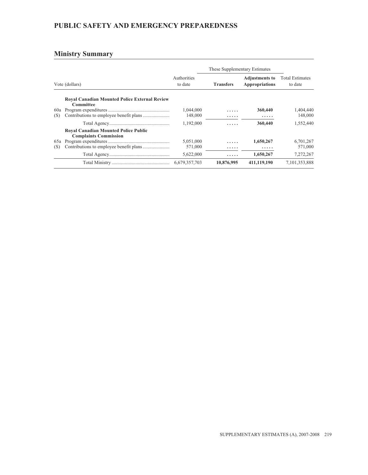# **PUBLIC SAFETY AND EMERGENCY PREPAREDNESS**

|     |                                                                             |                        | These Supplementary Estimates |                                         |                                   |
|-----|-----------------------------------------------------------------------------|------------------------|-------------------------------|-----------------------------------------|-----------------------------------|
|     | Vote (dollars)                                                              | Authorities<br>to date | <b>Transfers</b>              | <b>Adjustments to</b><br>Appropriations | <b>Total Estimates</b><br>to date |
|     | Royal Canadian Mounted Police External Review<br>Committee                  |                        |                               |                                         |                                   |
| 60a |                                                                             | 1,044,000              | .                             | 360,440                                 | 1,404,440                         |
| (S) |                                                                             | 148,000                | .                             | .                                       | 148,000                           |
|     |                                                                             | 1,192,000              | .                             | 360,440                                 | 1,552,440                         |
|     | <b>Royal Canadian Mounted Police Public</b><br><b>Complaints Commission</b> |                        |                               |                                         |                                   |
| 65a |                                                                             | 5,051,000              | .                             | 1,650,267                               | 6,701,267                         |
| (S) |                                                                             | 571,000                | .                             |                                         | 571,000                           |
|     |                                                                             | 5,622,000              | .                             | 1,650,267                               | 7,272,267                         |
|     |                                                                             | 6,679,357,703          | 10,876,995                    | 411,119,190                             | 7,101,353,888                     |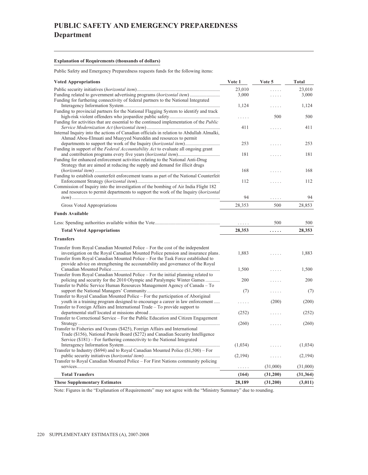# **PUBLIC SAFETY AND EMERGENCY PREPAREDNESS Department**

#### **Explanation of Requirements (thousands of dollars)**

Public Safety and Emergency Preparedness requests funds for the following items:

| <b>Voted Appropriations</b>                                                                                                                                                                                                                                                                                                           | Vote 1                                            | Vote 5   | <b>Total</b> |
|---------------------------------------------------------------------------------------------------------------------------------------------------------------------------------------------------------------------------------------------------------------------------------------------------------------------------------------|---------------------------------------------------|----------|--------------|
|                                                                                                                                                                                                                                                                                                                                       | 23,010                                            | .        | 23,010       |
| Funding for furthering connectivity of federal partners to the National Integrated                                                                                                                                                                                                                                                    | 3,000                                             | .        | 3,000        |
| Funding to provincial partners for the National Flagging System to identify and track                                                                                                                                                                                                                                                 | 1,124                                             | .        | 1,124        |
| Funding for activities that are essential to the continued implementation of the <i>Public</i>                                                                                                                                                                                                                                        |                                                   | 500      | 500          |
| Internal Inquiry into the actions of Canadian officials in relation to Abdullah Almalki,<br>Ahmad Abou-Elmaati and Muayyed Nureddin and resources to permit                                                                                                                                                                           | 411                                               | .        | 411          |
| Funding in support of the Federal Accountability Act to evaluate all ongoing grant                                                                                                                                                                                                                                                    | 253                                               | .        | 253          |
| Funding for enhanced enforcement activities relating to the National Anti-Drug<br>Strategy that are aimed at reducing the supply and demand for illicit drugs                                                                                                                                                                         | 181                                               | .        | 181          |
|                                                                                                                                                                                                                                                                                                                                       | 168                                               | .        | 168          |
| Funding to establish counterfeit enforcement teams as part of the National Counterfeit<br>Commission of Inquiry into the investigation of the bombing of Air India Flight 182                                                                                                                                                         | 112                                               | .        | 112          |
| and resources to permit departments to support the work of the Inquiry ( <i>horizontal</i>                                                                                                                                                                                                                                            | 94                                                | .        | 94           |
| Gross Voted Appropriations                                                                                                                                                                                                                                                                                                            | 28,353                                            | 500      | 28,853       |
| <b>Funds Available</b>                                                                                                                                                                                                                                                                                                                |                                                   |          |              |
|                                                                                                                                                                                                                                                                                                                                       | .                                                 | 500      | 500          |
| <b>Total Voted Appropriations</b>                                                                                                                                                                                                                                                                                                     | 28,353                                            | .        | 28,353       |
| <b>Transfers</b>                                                                                                                                                                                                                                                                                                                      |                                                   |          |              |
| Transfer from Royal Canadian Mounted Police – For the cost of the independent<br>investigation on the Royal Canadian Mounted Police pension and insurance plans.<br>Transfer from Royal Canadian Mounted Police – For the Task Force established to<br>provide advice on strengthening the accountability and governance of the Royal | 1,883                                             | .        | 1,883        |
| Transfer from Royal Canadian Mounted Police – For the initial planning related to                                                                                                                                                                                                                                                     | 1,500                                             | $\cdots$ | 1,500        |
| policing and security for the 2010 Olympic and Paralympic Winter Games<br>Transfer to Public Service Human Resources Management Agency of Canada – To                                                                                                                                                                                 | 200                                               | .        | 200          |
| Transfer to Royal Canadian Mounted Police – For the participation of Aboriginal                                                                                                                                                                                                                                                       | (7)                                               | .        | (7)          |
| youth in a training program designed to encourage a career in law enforcement<br>Transfer to Foreign Affairs and International Trade – To provide support to                                                                                                                                                                          |                                                   | (200)    | (200)        |
| Transfer to Correctional Service – For the Public Education and Citizen Engagement                                                                                                                                                                                                                                                    | (252)                                             | .        | (252)        |
| Transfer to Fisheries and Oceans (\$425), Foreign Affairs and International                                                                                                                                                                                                                                                           | (260)                                             | .        | (260)        |
| Trade (\$156), National Parole Board (\$272) and Canadian Security Intelligence<br>Service $(\$181)$ – For furthering connectivity to the National Integrated                                                                                                                                                                         | (1,034)                                           |          | (1,034)      |
| Transfer to Industry (\$694) and to Royal Canadian Mounted Police $(\$1,500)$ – For                                                                                                                                                                                                                                                   |                                                   |          |              |
| Transfer to Royal Canadian Mounted Police – For First Nations community policing                                                                                                                                                                                                                                                      | (2,194)                                           | .        | (2,194)      |
|                                                                                                                                                                                                                                                                                                                                       | $\epsilon$ , $\epsilon$ , $\epsilon$ , $\epsilon$ | (31,000) | (31,000)     |
| <b>Total Transfers</b>                                                                                                                                                                                                                                                                                                                | (164)                                             | (31,200) | (31, 364)    |
| <b>These Supplementary Estimates</b>                                                                                                                                                                                                                                                                                                  | 28,189                                            | (31,200) | (3,011)      |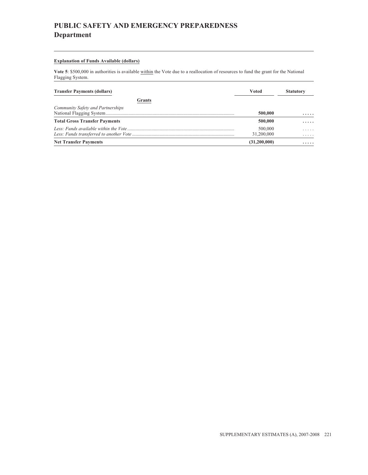# **PUBLIC SAFETY AND EMERGENCY PREPAREDNESS Department**

#### **Explanation of Funds Available (dollars)**

**Vote 5**: \$500,000 in authorities is available within the Vote due to a reallocation of resources to fund the grant for the National Flagging System.

| <b>Transfer Payments (dollars)</b>       | Voted        | <b>Statutory</b> |
|------------------------------------------|--------------|------------------|
| <b>Grants</b>                            |              |                  |
| <b>Community Safety and Partnerships</b> |              |                  |
|                                          | 500,000      | .                |
| <b>Total Gross Transfer Payments</b>     | 500,000      | .                |
|                                          | 500,000      | .                |
|                                          | 31,200,000   | .                |
| <b>Net Transfer Payments</b>             | (31,200,000) | .                |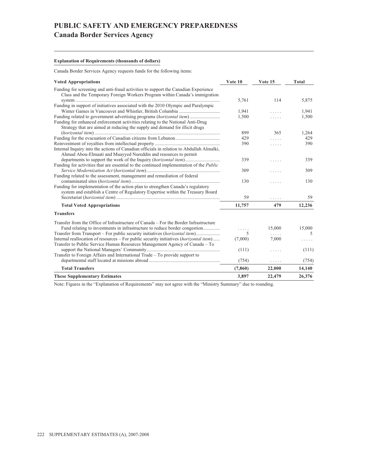# **PUBLIC SAFETY AND EMERGENCY PREPAREDNESS**

## **Canada Border Services Agency**

#### **Explanation of Requirements (thousands of dollars)**

Canada Border Services Agency requests funds for the following items:

| <b>Voted Appropriations</b>                                                                                                                                       | Vote 10  | Vote 15 | Total  |
|-------------------------------------------------------------------------------------------------------------------------------------------------------------------|----------|---------|--------|
| Funding for screening and anti-fraud activities to support the Canadian Experience<br>Class and the Temporary Foreign Workers Program within Canada's immigration |          |         |        |
|                                                                                                                                                                   | 5,761    | 114     | 5,875  |
| Funding in support of initiatives associated with the 2010 Olympic and Paralympic                                                                                 |          |         |        |
|                                                                                                                                                                   | 1,941    | .       | 1,941  |
| Funding related to government advertising programs ( <i>horizontal item</i> )<br>Funding for enhanced enforcement activities relating to the National Anti-Drug   | 1,500    | .       | 1,500  |
| Strategy that are aimed at reducing the supply and demand for illicit drugs                                                                                       |          |         |        |
|                                                                                                                                                                   | 899      | 365     | 1,264  |
|                                                                                                                                                                   | 429      | .       | 429    |
|                                                                                                                                                                   | 390      | .       | 390    |
| Internal Inquiry into the actions of Canadian officials in relation to Abdullah Almalki,<br>Ahmad Abou-Elmaati and Muayyed Nureddin and resources to permit       |          |         |        |
| departments to support the work of the Inquiry (horizontal item)                                                                                                  | 339      | .       | 339    |
| Funding for activities that are essential to the continued implementation of the <i>Public</i>                                                                    |          |         |        |
|                                                                                                                                                                   | 309      | .       | 309    |
| Funding related to the assessment, management and remediation of federal                                                                                          |          |         |        |
|                                                                                                                                                                   | 130      | .       | 130    |
| Funding for implementation of the action plan to strengthen Canada's regulatory                                                                                   |          |         |        |
| system and establish a Centre of Regulatory Expertise within the Treasury Board                                                                                   |          |         |        |
|                                                                                                                                                                   | 59       | .       | 59     |
| <b>Total Voted Appropriations</b>                                                                                                                                 | 11,757   | 479     | 12,236 |
| <b>Transfers</b>                                                                                                                                                  |          |         |        |
| Transfer from the Office of Infrastructure of Canada – For the Border Infrastructure                                                                              |          |         |        |
| Fund relating to investments in infrastructure to reduce border congestion                                                                                        | .        | 15,000  | 15,000 |
| Transfer from Transport – For public security initiatives (horizontal item)                                                                                       | 5        | 1.1.1.1 | 5      |
| Internal reallocation of resources – For public security initiatives (horizontal item)                                                                            | (7,000)  | 7,000   | .      |
| Transfer to Public Service Human Resources Management Agency of Canada – To                                                                                       |          |         |        |
|                                                                                                                                                                   | (111)    | .       | (111)  |
| Transfer to Foreign Affairs and International Trade – To provide support to                                                                                       |          |         |        |
|                                                                                                                                                                   | (754)    | .       | (754)  |
| <b>Total Transfers</b>                                                                                                                                            | (7, 860) | 22,000  | 14,140 |
| <b>These Supplementary Estimates</b>                                                                                                                              | 3,897    | 22,479  | 26,376 |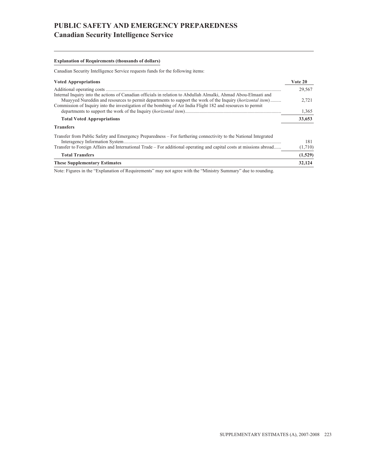## **PUBLIC SAFETY AND EMERGENCY PREPAREDNESS Canadian Security Intelligence Service**

#### **Explanation of Requirements (thousands of dollars)**

Canadian Security Intelligence Service requests funds for the following items:

| <b>Voted Appropriations</b>                                                                                                                                                                                                                                                                                                                 | Vote 20        |
|---------------------------------------------------------------------------------------------------------------------------------------------------------------------------------------------------------------------------------------------------------------------------------------------------------------------------------------------|----------------|
|                                                                                                                                                                                                                                                                                                                                             | 29,567         |
| Internal Inquiry into the actions of Canadian officials in relation to Abdullah Almalki, Ahmad Abou-Elmaati and<br>Muayyed Nureddin and resources to permit departments to support the work of the Inquiry (horizontal item)<br>Commission of Inquiry into the investigation of the bombing of Air India Flight 182 and resources to permit | 2.721<br>1,365 |
| <b>Total Voted Appropriations</b>                                                                                                                                                                                                                                                                                                           | 33,653         |
| <b>Transfers</b>                                                                                                                                                                                                                                                                                                                            |                |
| Transfer from Public Safety and Emergency Preparedness – For furthering connectivity to the National Integrated<br>Transfer to Foreign Affairs and International Trade – For additional operating and capital costs at missions abroad                                                                                                      | 181<br>(1,710) |
| <b>Total Transfers</b>                                                                                                                                                                                                                                                                                                                      | (1,529)        |
| <b>These Supplementary Estimates</b>                                                                                                                                                                                                                                                                                                        | 32,124         |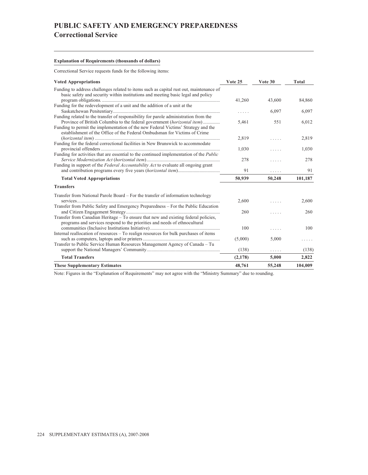# **PUBLIC SAFETY AND EMERGENCY PREPAREDNESS Correctional Service**

#### **Explanation of Requirements (thousands of dollars)**

Correctional Service requests funds for the following items:

| <b>Voted Appropriations</b>                                                                                                                                                 | Vote 25 | Vote 30 | <b>Total</b> |
|-----------------------------------------------------------------------------------------------------------------------------------------------------------------------------|---------|---------|--------------|
| Funding to address challenges related to items such as capital rust out, maintenance of<br>basic safety and security within institutions and meeting basic legal and policy | 41,260  | 43,600  | 84,860       |
| Funding for the redevelopment of a unit and the addition of a unit at the                                                                                                   |         |         |              |
| Funding related to the transfer of responsibility for parole administration from the                                                                                        | .       | 6,097   | 6,097        |
| Province of British Columbia to the federal government ( <i>horizontal item</i> )<br>Funding to permit the implementation of the new Federal Victims' Strategy and the      | 5.461   | 551     | 6,012        |
| establishment of the Office of the Federal Ombudsman for Victims of Crime                                                                                                   | 2,819   | .       | 2,819        |
| Funding for the federal correctional facilities in New Brunswick to accommodate                                                                                             |         |         |              |
| Funding for activities that are essential to the continued implementation of the <i>Public</i>                                                                              | 1,030   | .       | 1,030        |
| Funding in support of the Federal Accountability Act to evaluate all ongoing grant                                                                                          | 278     | .       | 278          |
|                                                                                                                                                                             | 91      | .       | 91           |
| <b>Total Voted Appropriations</b>                                                                                                                                           | 50,939  | 50,248  | 101,187      |
| <b>Transfers</b>                                                                                                                                                            |         |         |              |
| Transfer from National Parole Board – For the transfer of information technology                                                                                            |         |         |              |
| Transfer from Public Safety and Emergency Preparedness – For the Public Education                                                                                           | 2,600   |         | 2,600        |
|                                                                                                                                                                             | 260     | .       | 260          |
| Transfer from Canadian Heritage – To ensure that new and existing federal policies,<br>programs and services respond to the priorities and needs of ethnocultural           |         |         |              |
|                                                                                                                                                                             | 100     | .       | 100          |
| Internal reallocation of resources – To realign resources for bulk purchases of items                                                                                       | (5,000) | 5,000   | .            |
| Transfer to Public Service Human Resources Management Agency of Canada – Tu                                                                                                 | (138)   | .       | (138)        |
| <b>Total Transfers</b>                                                                                                                                                      | (2,178) | 5,000   | 2,822        |
| <b>These Supplementary Estimates</b>                                                                                                                                        | 48,761  | 55,248  | 104,009      |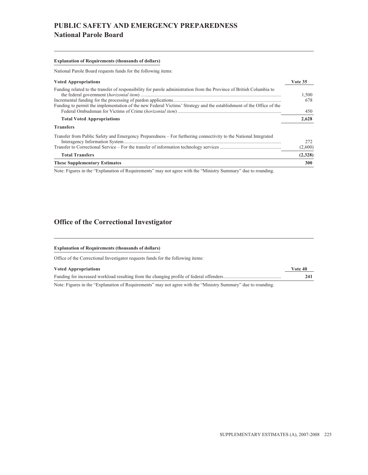# **PUBLIC SAFETY AND EMERGENCY PREPAREDNESS National Parole Board**

#### **Explanation of Requirements (thousands of dollars)**

National Parole Board requests funds for the following items:

| <b>Voted Appropriations</b>                                                                                                                                                                                                                  | Vote 35             |
|----------------------------------------------------------------------------------------------------------------------------------------------------------------------------------------------------------------------------------------------|---------------------|
| Funding related to the transfer of responsibility for parole administration from the Province of British Columbia to<br>Funding to permit the implementation of the new Federal Victims' Strategy and the establishment of the Office of the | 1.500<br>678<br>450 |
| <b>Total Voted Appropriations</b>                                                                                                                                                                                                            | 2,628               |
| <b>Transfers</b>                                                                                                                                                                                                                             |                     |
| Transfer from Public Safety and Emergency Preparedness – For furthering connectivity to the National Integrated                                                                                                                              | 272<br>(2,600)      |
| <b>Total Transfers</b>                                                                                                                                                                                                                       | (2,328)             |
| <b>These Supplementary Estimates</b>                                                                                                                                                                                                         | 300                 |

Note: Figures in the "Explanation of Requirements" may not agree with the "Ministry Summary" due to rounding.

## **Office of the Correctional Investigator**

| <b>Explanation of Requirements (thousands of dollars)</b>                                                     |         |
|---------------------------------------------------------------------------------------------------------------|---------|
| Office of the Correctional Investigator requests funds for the following items:                               |         |
| <b>Voted Appropriations</b>                                                                                   | Vote 40 |
|                                                                                                               | 241     |
| Note: Figures in the "Explanation of Requirements" may not agree with the "Ministry Summary" due to rounding. |         |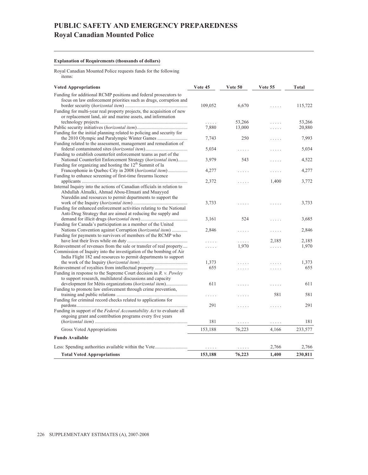# **PUBLIC SAFETY AND EMERGENCY PREPAREDNESS Royal Canadian Mounted Police**

#### **Explanation of Requirements (thousands of dollars)**

Royal Canadian Mounted Police requests funds for the following items:

| <b>Voted Appropriations</b>                                                                                                                                                                                  | Vote 45      | Vote 50          | Vote 55              | <b>Total</b>     |
|--------------------------------------------------------------------------------------------------------------------------------------------------------------------------------------------------------------|--------------|------------------|----------------------|------------------|
| Funding for additional RCMP positions and federal prosecutors to<br>focus on law enforcement priorities such as drugs, corruption and                                                                        | 109,052      | 6,670            | .                    | 115,722          |
| Funding for multi-year real property projects, the acquisition of new<br>or replacement land, air and marine assets, and information                                                                         |              |                  |                      |                  |
| Funding for the initial planning related to policing and security for                                                                                                                                        | .<br>7,880   | 53,266<br>13,000 | $\cdots$<br>$\cdots$ | 53,266<br>20,880 |
| Funding related to the assessment, management and remediation of                                                                                                                                             | 7,743        | 250              | .                    | 7,993            |
| Funding to establish counterfeit enforcement teams as part of the                                                                                                                                            | 5,034        | .                | .                    | 5,034            |
| National Counterfeit Enforcement Strategy (horizontal item)<br>Funding for organizing and hosting the 12 <sup>th</sup> Summit of la                                                                          | 3,979        | 543              | .                    | 4,522            |
| Francophonie in Quebec City in 2008 (horizontal item)<br>Funding to enhance screening of first-time firearms licence                                                                                         | 4,277        | .                | .                    | 4,277            |
| Internal Inquiry into the actions of Canadian officials in relation to<br>Abdullah Almalki, Ahmad Abou-Elmaati and Muayyed<br>Nureddin and resources to permit departments to support the                    | 2,372        | .                | 1,400                | 3,772            |
| Funding for enhanced enforcement activities relating to the National<br>Anti-Drug Strategy that are aimed at reducing the supply and                                                                         | 3,733        | .                | .                    | 3,733            |
| Funding for Canada's participation as a member of the United                                                                                                                                                 | 3,161        | 524              | .                    | 3,685            |
| Nations Convention against Corruption (horizontal item)<br>Funding for payments to survivors of members of the RCMP who                                                                                      | 2,846        | .                | .                    | 2,846            |
| Reinvestment of revenues from the sale or transfer of real property<br>Commission of Inquiry into the investigation of the bombing of Air<br>India Flight 182 and resources to permit departments to support | .<br>.       | .<br>1,970       | 2,185<br>.           | 2,185<br>1,970   |
| Funding in response to the Supreme Court decision in $R$ . $\nu$ . Powley                                                                                                                                    | 1,373<br>655 | .<br>.           | .<br>.               | 1,373<br>655     |
| to support research, multilateral discussions and capacity<br>development for Métis organizations (horizontal item)<br>Funding to promote law enforcement through crime prevention,                          | 611          | .                | .                    | 611              |
| Funding for criminal record checks related to applications for                                                                                                                                               | 291          | .<br>.           | 581<br>$\cdots$      | 581<br>291       |
| Funding in support of the Federal Accountability Act to evaluate all<br>ongoing grant and contribution programs every five years                                                                             |              |                  |                      |                  |
|                                                                                                                                                                                                              | 181          | .                | .                    | 181              |
| Gross Voted Appropriations                                                                                                                                                                                   | 153,188      | 76,223           | 4,166                | 233,577          |
| <b>Funds Available</b>                                                                                                                                                                                       |              |                  |                      |                  |
|                                                                                                                                                                                                              |              | .                | 2,766                | 2,766            |
| <b>Total Voted Appropriations</b>                                                                                                                                                                            | 153,188      | 76,223           | 1,400                | 230,811          |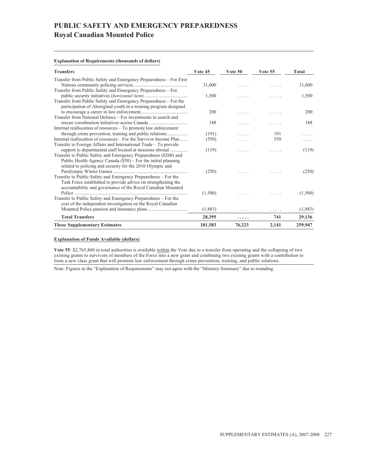# **PUBLIC SAFETY AND EMERGENCY PREPAREDNESS Royal Canadian Mounted Police**

#### **Explanation of Requirements (thousands of dollars)**

| <b>Transfers</b>                                                   | Vote 45 | Vote 50 | Vote 55 | Total   |
|--------------------------------------------------------------------|---------|---------|---------|---------|
| Transfer from Public Safety and Emergency Preparedness – For First |         |         |         |         |
|                                                                    | 31,000  |         |         | 31,000  |
| Transfer from Public Safety and Emergency Preparedness – For       |         |         |         |         |
|                                                                    | 1,500   | .       | .       | 1,500   |
| Transfer from Public Safety and Emergency Preparedness – For the   |         |         |         |         |
| participation of Aboriginal youth in a training program designed   |         |         |         |         |
|                                                                    | 200     |         |         | 200     |
| Transfer from National Defence – For investments in search and     |         |         |         |         |
|                                                                    | 188     | .       | .       | 188     |
| Internal reallocation of resources – To promote law enforcement    |         |         |         |         |
|                                                                    | (191)   |         | 191     |         |
| Internal reallocation of resources – For the Survivor Income Plan  | (550)   |         | 550     |         |
| Transfer to Foreign Affairs and International Trade – To provide   |         |         |         |         |
| support to departmental staff located at missions abroad           | (119)   |         |         | (119)   |
| Transfer to Public Safety and Emergency Preparedness (\$200) and   |         |         |         |         |
| Public Health Agency Canada (\$50) – For the initial planning      |         |         |         |         |
| related to policing and security for the 2010 Olympic and          |         |         |         |         |
|                                                                    | (250)   |         |         | (250)   |
| Transfer to Public Safety and Emergency Preparedness – For the     |         |         |         |         |
| Task Force established to provide advice on strengthening the      |         |         |         |         |
| accountability and governance of the Royal Canadian Mounted        |         |         |         |         |
|                                                                    | (1,500) |         |         | (1,500) |
| Transfer to Public Safety and Emergency Preparedness – For the     |         |         |         |         |
| cost of the independent investigation on the Royal Canadian        |         |         |         |         |
|                                                                    | (1,883) | .       | .       | (1,883) |
| <b>Total Transfers</b>                                             | 28,395  | .       | 741     | 29,136  |
| <b>These Supplementary Estimates</b>                               | 181,583 | 76,223  | 2,141   | 259,947 |

#### **Explanation of Funds Available (dollars)**

**Vote 55**: \$2,765,800 in total authorities is available within the Vote due to a transfer from operating and the collapsing of two existing grants to survivors of members of the Force into a new grant and combining two existing grants with a contribution to form a new class grant that will promote law enforcement through crime prevention, training, and public relations.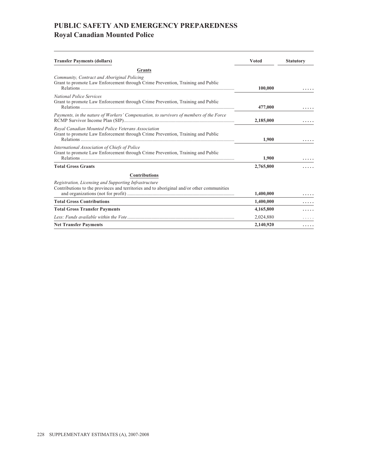# **PUBLIC SAFETY AND EMERGENCY PREPAREDNESS Royal Canadian Mounted Police**

| <b>Transfer Payments (dollars)</b>                                                                                                                 | <b>Voted</b> | <b>Statutory</b> |
|----------------------------------------------------------------------------------------------------------------------------------------------------|--------------|------------------|
| Grants                                                                                                                                             |              |                  |
| Community, Contract and Aboriginal Policing<br>Grant to promote Law Enforcement through Crime Prevention, Training and Public                      | 100,000      |                  |
| <b>National Police Services</b><br>Grant to promote Law Enforcement through Crime Prevention, Training and Public                                  | 477,000      |                  |
| Payments, in the nature of Workers' Compensation, to survivors of members of the Force                                                             | 2,185,000    |                  |
| Royal Canadian Mounted Police Veterans Association<br>Grant to promote Law Enforcement through Crime Prevention, Training and Public               | 1.900        |                  |
| International Association of Chiefs of Police<br>Grant to promote Law Enforcement through Crime Prevention, Training and Public                    | 1,900        |                  |
| <b>Total Gross Grants</b>                                                                                                                          | 2,765,800    |                  |
| <b>Contributions</b>                                                                                                                               |              |                  |
| Registration, Licensing and Supporting Infrastructure<br>Contributions to the provinces and territories and to aboriginal and/or other communities | 1,400,000    |                  |
| <b>Total Gross Contributions</b>                                                                                                                   | 1,400,000    |                  |
| <b>Total Gross Transfer Payments</b>                                                                                                               | 4,165,800    |                  |
|                                                                                                                                                    | 2,024,880    |                  |
| <b>Net Transfer Payments</b>                                                                                                                       | 2,140,920    |                  |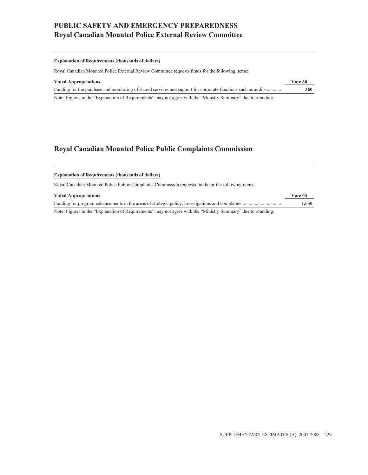# **PUBLIC SAFETY AND EMERGENCY PREPAREDNESS Royal Canadian Mounted Police External Review Committee**

#### **Explanation of Requirements (thousands of dollars)**

Royal Canadian Mounted Police External Review Committee requests funds for the following items:

| <b>Voted Appropriations</b>                                                                                   | Vote 60 |
|---------------------------------------------------------------------------------------------------------------|---------|
| Funding for the purchase and monitoring of shared services and support for corporate functions such as audits | 360     |
| Note: Figures in the "Explanation of Requirements" may not agree with the "Ministry Summary" due to rounding. |         |

## **Royal Canadian Mounted Police Public Complaints Commission**

| <b>Explanation of Requirements (thousands of dollars)</b>                                                     |         |
|---------------------------------------------------------------------------------------------------------------|---------|
| Royal Canadian Mounted Police Public Complaints Commission requests funds for the following items:            |         |
| <b>Voted Appropriations</b>                                                                                   | Vote 65 |
|                                                                                                               | 1.650   |
| Note: Figures in the "Explanation of Requirements" may not agree with the "Ministry Summary" due to rounding. |         |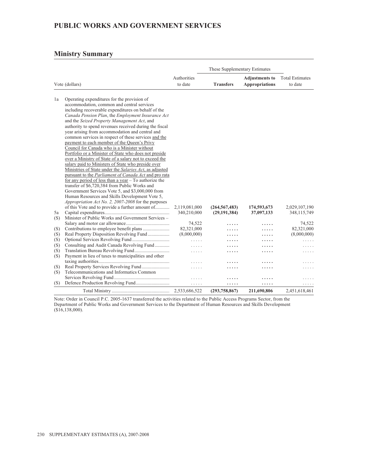## **PUBLIC WORKS AND GOVERNMENT SERVICES**

## **Ministry Summary**

|     |                                                                                                                         |                                | These Supplementary Estimates |                       |                        |
|-----|-------------------------------------------------------------------------------------------------------------------------|--------------------------------|-------------------------------|-----------------------|------------------------|
|     |                                                                                                                         | Authorities                    |                               | <b>Adjustments to</b> | <b>Total Estimates</b> |
|     | Vote (dollars)                                                                                                          | to date                        | <b>Transfers</b>              | <b>Appropriations</b> | to date                |
| 1a  | Operating expenditures for the provision of                                                                             |                                |                               |                       |                        |
|     | accommodation, common and central services                                                                              |                                |                               |                       |                        |
|     | including recoverable expenditures on behalf of the                                                                     |                                |                               |                       |                        |
|     | Canada Pension Plan, the Employment Insurance Act                                                                       |                                |                               |                       |                        |
|     | and the Seized Property Management Act, and                                                                             |                                |                               |                       |                        |
|     | authority to spend revenues received during the fiscal                                                                  |                                |                               |                       |                        |
|     | year arising from accommodation and central and                                                                         |                                |                               |                       |                        |
|     | common services in respect of these services and the                                                                    |                                |                               |                       |                        |
|     | payment to each member of the Queen's Privy                                                                             |                                |                               |                       |                        |
|     | Council for Canada who is a Minister without                                                                            |                                |                               |                       |                        |
|     | Portfolio or a Minister of State who does not preside                                                                   |                                |                               |                       |                        |
|     | over a Ministry of State of a salary not to exceed the                                                                  |                                |                               |                       |                        |
|     | salary paid to Ministers of State who preside over                                                                      |                                |                               |                       |                        |
|     | Ministries of State under the Salaries Act, as adjusted                                                                 |                                |                               |                       |                        |
|     | pursuant to the <i>Parliament of Canada Act</i> and pro rata<br>for any period of less than a year $-$ To authorize the |                                |                               |                       |                        |
|     | transfer of \$6,720,384 from Public Works and                                                                           |                                |                               |                       |                        |
|     | Government Services Vote 5, and \$3,000,000 from                                                                        |                                |                               |                       |                        |
|     | Human Resources and Skills Development Vote 5,                                                                          |                                |                               |                       |                        |
|     | Appropriation Act No. 2, 2007-2008 for the purposes                                                                     |                                |                               |                       |                        |
|     | of this Vote and to provide a further amount of                                                                         | 2,119,081,000                  | (264, 567, 483)               | 174,593,673           | 2,029,107,190          |
| 5a  |                                                                                                                         | 340,210,000                    | (29, 191, 384)                | 37,097,133            | 348,115,749            |
| (S) | Minister of Public Works and Government Services -                                                                      |                                |                               |                       |                        |
|     |                                                                                                                         | 74,522                         |                               |                       | 74,522                 |
| (S) |                                                                                                                         | 82,321,000                     |                               |                       | 82,321,000             |
| (S) | Real Property Disposition Revolving Fund                                                                                | (8,000,000)                    |                               |                       | (8,000,000)            |
| (S) |                                                                                                                         | 1.1.1.1                        |                               |                       | .                      |
| (S) | Consulting and Audit Canada Revolving Fund                                                                              | 1.1.1.1                        |                               |                       | .                      |
| (S) |                                                                                                                         | .                              |                               | .                     | .                      |
| (S) | Payment in lieu of taxes to municipalities and other                                                                    |                                |                               |                       |                        |
|     |                                                                                                                         | .                              |                               |                       |                        |
| (S) |                                                                                                                         | 1.1.1.1                        |                               |                       |                        |
| (S) | Telecommunications and Informatics Common                                                                               |                                |                               |                       |                        |
|     |                                                                                                                         | 1.1.1.1                        |                               |                       |                        |
| (S) |                                                                                                                         | $\alpha$ , $\alpha$ , $\alpha$ | .                             | .                     | .                      |
|     |                                                                                                                         |                                | (293,758,867)                 | 211,690,806           | 2,451,618,461          |

Note: Order in Council P.C. 2005-1637 transferred the activities related to the Public Access Programs Sector, from the Department of Public Works and Government Services to the Department of Human Resources and Skills Development (\$16,138,000).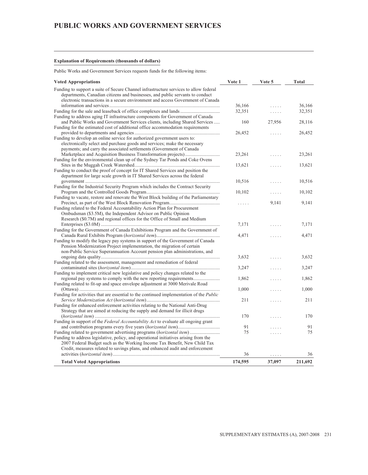## **PUBLIC WORKS AND GOVERNMENT SERVICES**

#### **Explanation of Requirements (thousands of dollars)**

Public Works and Government Services requests funds for the following items:

| <b>Voted Appropriations</b>                                                                                                                                       | Vote 1  | Vote 5               | Total            |
|-------------------------------------------------------------------------------------------------------------------------------------------------------------------|---------|----------------------|------------------|
| Funding to support a suite of Secure Channel infrastructure services to allow federal                                                                             |         |                      |                  |
| departments, Canadian citizens and businesses, and public servants to conduct                                                                                     |         |                      |                  |
| electronic transactions in a secure environment and access Government of Canada                                                                                   |         |                      |                  |
|                                                                                                                                                                   | 36,166  |                      | 36,166<br>32,351 |
| Funding to address aging IT infrastructure components for Government of Canada                                                                                    | 32,351  |                      |                  |
| and Public Works and Government Services clients, including Shared Services                                                                                       | 160     | 27,956               | 28,116           |
| Funding for the estimated cost of additional office accommodation requirements                                                                                    |         |                      |                  |
|                                                                                                                                                                   | 26,452  |                      | 26,452           |
| Funding to develop an online service for authorized government users to:                                                                                          |         |                      |                  |
| electronically select and purchase goods and services; make the necessary                                                                                         |         |                      |                  |
| payments; and carry the associated settlements (Government of Canada)                                                                                             |         |                      |                  |
|                                                                                                                                                                   | 23,261  |                      | 23,261           |
| Funding for the environmental clean up of the Sydney Tar Ponds and Coke Ovens                                                                                     |         |                      |                  |
|                                                                                                                                                                   | 13,621  |                      | 13,621           |
| Funding to conduct the proof of concept for IT Shared Services and position the                                                                                   |         |                      |                  |
| department for large scale growth in IT Shared Services across the federal                                                                                        |         |                      |                  |
|                                                                                                                                                                   | 10,516  |                      | 10,516           |
| Funding for the Industrial Security Program which includes the Contract Security                                                                                  |         |                      |                  |
|                                                                                                                                                                   | 10,102  | .                    | 10,102           |
| Funding to vacate, restore and renovate the West Block building of the Parliamentary                                                                              |         |                      |                  |
|                                                                                                                                                                   |         | 9,141                | 9,141            |
| Funding related to the Federal Accountability Action Plan for Procurement                                                                                         |         |                      |                  |
| Ombudsman (\$3.5M), the Independent Advisor on Public Opinion                                                                                                     |         |                      |                  |
| Research (\$0.7M) and regional offices for the Office of Small and Medium                                                                                         | 7,171   |                      | 7,171            |
| Funding for the Government of Canada Exhibitions Program and the Government of                                                                                    |         | .                    |                  |
|                                                                                                                                                                   | 4,471   |                      | 4,471            |
| Funding to modify the legacy pay systems in support of the Government of Canada                                                                                   |         |                      |                  |
| Pension Modernization Project implementation, the migration of certain                                                                                            |         |                      |                  |
| non-Public Service Superannuation Account pension plan administrations, and                                                                                       |         |                      |                  |
|                                                                                                                                                                   | 3,632   | 1.1.1                | 3,632            |
| Funding related to the assessment, management and remediation of federal                                                                                          |         |                      |                  |
|                                                                                                                                                                   | 3,247   | $\sim$ $\sim$ $\sim$ | 3,247            |
| Funding to implement critical new legislative and policy changes related to the                                                                                   |         |                      |                  |
|                                                                                                                                                                   | 1,862   | .                    | 1,862            |
| Funding related to fit-up and space envelope adjustment at 3000 Merivale Road                                                                                     |         |                      |                  |
|                                                                                                                                                                   | 1,000   | $\sim$ $\sim$        | 1,000            |
| Funding for activities that are essential to the continued implementation of the <i>Public</i>                                                                    |         |                      |                  |
|                                                                                                                                                                   | 211     | .                    | 211              |
| Funding for enhanced enforcement activities relating to the National Anti-Drug                                                                                    |         |                      |                  |
| Strategy that are aimed at reducing the supply and demand for illicit drugs                                                                                       |         |                      |                  |
|                                                                                                                                                                   | 170     | .                    | 170              |
| Funding in support of the Federal Accountability Act to evaluate all ongoing grant                                                                                |         |                      |                  |
|                                                                                                                                                                   | 91      |                      | 91               |
| Funding related to government advertising programs ( <i>horizontal item</i> )                                                                                     | 75      | .                    | 75               |
| Funding to address legislative, policy, and operational initiatives arising from the<br>2007 Federal Budget such as the Working Income Tax Benefit, New Child Tax |         |                      |                  |
| Credit, measures related to savings plans, and enhanced audit and enforcement                                                                                     |         |                      |                  |
|                                                                                                                                                                   | 36      |                      | 36               |
|                                                                                                                                                                   |         |                      |                  |
| <b>Total Voted Appropriations</b>                                                                                                                                 | 174,595 | 37,097               | 211,692          |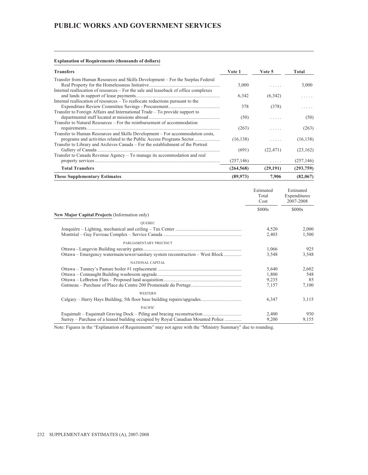## **PUBLIC WORKS AND GOVERNMENT SERVICES**

#### **Explanation of Requirements (thousands of dollars)**

| <b>Transfers</b>                                                                                                                                                      | Vote 1     | Vote 5    | Total      |
|-----------------------------------------------------------------------------------------------------------------------------------------------------------------------|------------|-----------|------------|
| Transfer from Human Resources and Skills Development – For the Surplus Federal<br>Internal reallocation of resources – For the sale and leaseback of office complexes | 3,000      | .         | 3,000      |
| Internal reallocation of resources – To reallocate reductions pursuant to the                                                                                         | 6,342      | (6,342)   |            |
| Transfer to Foreign Affairs and International Trade – To provide support to                                                                                           | 378        | (378)     |            |
|                                                                                                                                                                       | (50)       |           | (50)       |
| Transfer to Natural Resources – For the reimbursement of accommodation                                                                                                | (263)      | .         | (263)      |
| Transfer to Human Resources and Skills Development – For accommodation costs,<br>Transfer to Library and Archives Canada – For the establishment of the Portrait      | (16, 138)  |           | (16, 138)  |
|                                                                                                                                                                       | (691)      | (22, 471) | (23, 162)  |
| Transfer to Canada Revenue Agency - To manage its accommodation and real                                                                                              | (257, 146) | 1.1.1.1   | (257, 146) |
| <b>Total Transfers</b>                                                                                                                                                | (264, 568) | (29, 191) | (293,759)  |
| <b>These Supplementary Estimates</b>                                                                                                                                  | (89, 973)  | 7.906     | (82,067)   |

|                                                                                  | Estimated<br>Total<br>Cost | Estimated<br>Expenditures<br>2007-2008 |  |
|----------------------------------------------------------------------------------|----------------------------|----------------------------------------|--|
|                                                                                  | \$000s                     | \$000s                                 |  |
| <b>New Major Capital Projects (Information only)</b>                             |                            |                                        |  |
| <b>OUEBEC</b>                                                                    |                            |                                        |  |
|                                                                                  | 4,520                      | 2,000                                  |  |
|                                                                                  | 2,403                      | 1,500                                  |  |
| PARLIAMENTARY PRECINCT                                                           |                            |                                        |  |
|                                                                                  | 1,066                      | 925                                    |  |
| Ottawa – Emergency watermain/sewer/sanitary system reconstruction – West Block   | 3,548                      | 3,548                                  |  |
| NATIONAL CAPITAL                                                                 |                            |                                        |  |
|                                                                                  | 5,640                      | 2,602                                  |  |
|                                                                                  | 1,800                      | 548                                    |  |
|                                                                                  | 9,235                      | 85                                     |  |
|                                                                                  | 7,157                      | 7,100                                  |  |
| <b>WESTERN</b>                                                                   |                            |                                        |  |
|                                                                                  | 6,347                      | 3,115                                  |  |
| <b>PACIFIC</b>                                                                   |                            |                                        |  |
| Esquimalt – Esquimalt Graving Dock – Piling and bracing reconstruction           | 2,400                      | 930                                    |  |
| Surrey – Purchase of a leased building occupied by Royal Canadian Mounted Police | 9,200                      | 9,155                                  |  |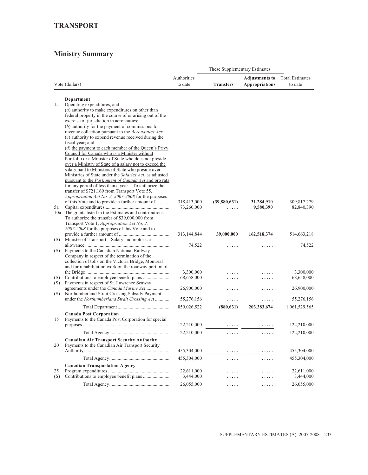## **Ministry Summary**

|     | Vote (dollars)                                                                                                | Authorities<br>to date | <b>Transfers</b> | <b>Adjustments to</b><br><b>Appropriations</b> | <b>Total Estimates</b><br>to date |
|-----|---------------------------------------------------------------------------------------------------------------|------------------------|------------------|------------------------------------------------|-----------------------------------|
|     |                                                                                                               |                        |                  |                                                |                                   |
|     | Department                                                                                                    |                        |                  |                                                |                                   |
| 1a  | Operating expenditures, and                                                                                   |                        |                  |                                                |                                   |
|     | $(a)$ authority to make expenditures on other than<br>federal property in the course of or arising out of the |                        |                  |                                                |                                   |
|     | exercise of jurisdiction in aeronautics;                                                                      |                        |                  |                                                |                                   |
|     | $(b)$ authority for the payment of commissions for                                                            |                        |                  |                                                |                                   |
|     | revenue collection pursuant to the Aeronautics Act;                                                           |                        |                  |                                                |                                   |
|     | $(c)$ authority to expend revenue received during the                                                         |                        |                  |                                                |                                   |
|     | fiscal year; and                                                                                              |                        |                  |                                                |                                   |
|     | (d) the payment to each member of the Queen's Privy<br>Council for Canada who is a Minister without           |                        |                  |                                                |                                   |
|     | Portfolio or a Minister of State who does not preside                                                         |                        |                  |                                                |                                   |
|     | over a Ministry of State of a salary not to exceed the                                                        |                        |                  |                                                |                                   |
|     | salary paid to Ministers of State who preside over                                                            |                        |                  |                                                |                                   |
|     | Ministries of State under the Salaries Act, as adjusted                                                       |                        |                  |                                                |                                   |
|     | pursuant to the Parliament of Canada Act and pro rata                                                         |                        |                  |                                                |                                   |
|     | for any period of less than a year $-$ To authorize the<br>transfer of \$721,169 from Transport Vote 55,      |                        |                  |                                                |                                   |
|     | Appropriation Act No. 2, 2007-2008 for the purposes                                                           |                        |                  |                                                |                                   |
|     | of this Vote and to provide a further amount of                                                               | 318,413,000            | (39,880,631)     | 31,284,910                                     | 309,817,279                       |
| 5a  |                                                                                                               | 73,260,000             | .                | 9,580,390                                      | 82,840,390                        |
|     | 10a The grants listed in the Estimates and contributions –                                                    |                        |                  |                                                |                                   |
|     | To authorize the transfer of \$39,000,000 from                                                                |                        |                  |                                                |                                   |
|     | Transport Vote 1, Appropriation Act No. 2,<br>2007-2008 for the purposes of this Vote and to                  |                        |                  |                                                |                                   |
|     |                                                                                                               | 313,144,844            | 39,000,000       | 162,518,374                                    | 514,663,218                       |
| (S) | Minister of Transport - Salary and motor car                                                                  |                        |                  |                                                |                                   |
|     |                                                                                                               | 74,522                 |                  |                                                | 74,522                            |
| (S) | Payments to the Canadian National Railway                                                                     |                        |                  |                                                |                                   |
|     | Company in respect of the termination of the<br>collection of tolls on the Victoria Bridge, Montreal          |                        |                  |                                                |                                   |
|     | and for rehabilitation work on the roadway portion of                                                         |                        |                  |                                                |                                   |
|     |                                                                                                               | 3,300,000              |                  |                                                | 3,300,000                         |
| (S) |                                                                                                               | 68,658,000             |                  |                                                | 68,658,000                        |
| (S) | Payments in respect of St. Lawrence Seaway                                                                    |                        |                  |                                                |                                   |
|     | agreements under the Canada Marine Act<br>Northumberland Strait Crossing Subsidy Payment                      | 26,900,000             | .                |                                                | 26,900,000                        |
| (S) | under the Northumberland Strait Crossing Act                                                                  | 55,276,156             | .                | .                                              | 55,276,156                        |
|     |                                                                                                               | 859,026,522            | (880, 631)       | 203,383,674                                    | 1,061,529,565                     |
|     | <b>Canada Post Corporation</b>                                                                                |                        |                  |                                                |                                   |
| 15  | Payments to the Canada Post Corporation for special                                                           |                        |                  |                                                |                                   |
|     |                                                                                                               | 122,210,000            |                  |                                                | 122,210,000                       |
|     |                                                                                                               | 122,210,000            | .                |                                                | 122,210,000                       |
|     | <b>Canadian Air Transport Security Authority</b>                                                              |                        |                  |                                                |                                   |
| 20  | Payments to the Canadian Air Transport Security                                                               |                        |                  |                                                |                                   |
|     |                                                                                                               | 455,304,000            | .                | .                                              | 455,304,000                       |
|     |                                                                                                               | 455,304,000            | .                | .                                              | 455,304,000                       |
|     | <b>Canadian Transportation Agency</b>                                                                         |                        |                  |                                                |                                   |
| 25  |                                                                                                               | 22,611,000             | .                | .                                              | 22,611,000                        |
| (S) |                                                                                                               | 3,444,000              | .                | .                                              | 3,444,000                         |
|     |                                                                                                               | 26,055,000             | .                | .                                              | 26,055,000                        |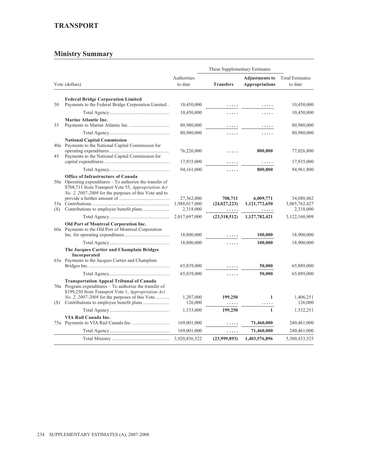## **Ministry Summary**

|           | Vote (dollars)                                                                                                                                                                                                  | Authorities<br>to date                   | <b>Transfers</b>               | <b>Adjustments to</b><br><b>Appropriations</b> | <b>Total Estimates</b><br>to date        |
|-----------|-----------------------------------------------------------------------------------------------------------------------------------------------------------------------------------------------------------------|------------------------------------------|--------------------------------|------------------------------------------------|------------------------------------------|
| 30        | <b>Federal Bridge Corporation Limited</b><br>Payments to the Federal Bridge Corporation Limited                                                                                                                 |                                          |                                |                                                |                                          |
|           |                                                                                                                                                                                                                 | 10,450,000                               | .                              | .                                              | 10,450,000                               |
|           | Marine Atlantic Inc.                                                                                                                                                                                            | 10,450,000                               | .                              | .                                              | 10,450,000                               |
| 35        |                                                                                                                                                                                                                 | 80,980,000                               | .                              |                                                | 80,980,000                               |
|           |                                                                                                                                                                                                                 | 80,980,000                               | .                              | .                                              | 80,980,000                               |
| 40a<br>45 | <b>National Capital Commission</b><br>Payments to the National Capital Commission for<br>Payments to the National Capital Commission for                                                                        | 76,226,000                               | .                              | 800,800                                        | 77,026,800                               |
|           |                                                                                                                                                                                                                 | 17,935,000                               | .                              |                                                | 17,935,000                               |
|           |                                                                                                                                                                                                                 | 94,161,000                               | .                              | 800,800                                        | 94,961,800                               |
| (S)       | Office of Infrastructure of Canada<br>50a Operating expenditures - To authorize the transfer of<br>\$708,711 from Transport Vote 55, Appropriation Act<br>No. 2, 2007-2008 for the purposes of this Vote and to | 27,362,000<br>1,988,017,000<br>2,318,000 | 708,711<br>(24, 027, 223)<br>. | 6,009,771<br>1,121,772,650<br>.                | 34,080,482<br>3,085,762,427<br>2,318,000 |
|           |                                                                                                                                                                                                                 | 2,017,697,000                            | (23,318,512)                   | 1,127,782,421                                  | 3,122,160,909                            |
|           | Old Port of Montreal Corporation Inc.<br>60a Payments to the Old Port of Montreal Corporation                                                                                                                   | 18,800,000                               |                                | 100,000                                        | 18,900,000                               |
|           |                                                                                                                                                                                                                 | 18,800,000                               | .                              | 100,000                                        | 18,900,000                               |
|           | The Jacques Cartier and Champlain Bridges<br>Incorporated<br>65a Payments to the Jacques Cartier and Champlain                                                                                                  | 65,839,000<br>65,839,000                 | .<br>.                         | 50,000<br>50,000                               | 65,889,000<br>65,889,000                 |
|           | <b>Transportation Appeal Tribunal of Canada</b><br>$70a$ Program expenditures – To authorize the transfer of<br>\$199,250 from Transport Vote 1, Appropriation Act                                              |                                          |                                |                                                |                                          |
| (S)       | <i>No. 2, 2007-2008</i> for the purposes of this Vote                                                                                                                                                           | 1,207,000<br>126,000                     | 199,250<br>.                   | $\mathbf{1}$                                   | 1,406,251<br>126,000                     |
|           |                                                                                                                                                                                                                 | 1,333,000                                | 199,250                        | $\mathbf{1}$                                   | 1,532,251                                |
|           | VIA Rail Canada Inc.                                                                                                                                                                                            |                                          |                                |                                                |                                          |
|           |                                                                                                                                                                                                                 | 169,001,000                              | .                              | 71,460,000                                     | 240,461,000                              |
|           |                                                                                                                                                                                                                 | 169,001,000                              | .                              | 71,460,000                                     | 240,461,000                              |
|           |                                                                                                                                                                                                                 | 3,920,856,522                            | (23,999,893)                   | 1,403,576,896                                  | 5,300,433,525                            |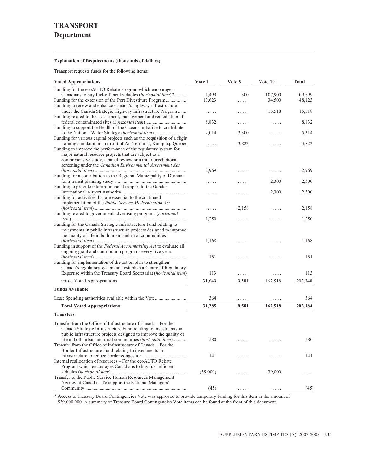#### **Explanation of Requirements (thousands of dollars)**

Transport requests funds for the following items:

| <b>Voted Appropriations</b>                                                                                                          | Vote 1   | Vote 5 | Vote 10                 | Total   |
|--------------------------------------------------------------------------------------------------------------------------------------|----------|--------|-------------------------|---------|
| Funding for the ecoAUTO Rebate Program which encourages                                                                              |          |        |                         |         |
| Canadians to buy fuel-efficient vehicles ( <i>horizontal item</i> )*                                                                 | 1,499    | 300    | 107,900                 | 109,699 |
| Funding for the extension of the Port Divestiture Program                                                                            | 13,623   | .      | 34,500                  | 48,123  |
| Funding to renew and enhance Canada's highway infrastructure<br>under the Canada Strategic Highway Infrastructure Program            | .        | .      | 15,518                  | 15,518  |
| Funding related to the assessment, management and remediation of                                                                     |          |        |                         |         |
|                                                                                                                                      | 8,832    |        |                         | 8,832   |
| Funding to support the Health of the Oceans initiative to contribute                                                                 |          |        |                         |         |
| to the National Water Strategy (horizontal item)                                                                                     | 2,014    | 3,300  | $\cdot$ $\cdot$ $\cdot$ | 5,314   |
| Funding for various capital projects such as the acquisition of a flight                                                             |          |        |                         |         |
| training simulator and retrofit of Air Terminal, Kuujjuaq, Quebec<br>Funding to improve the performance of the regulatory system for | .        | 3,823  | $\cdots$                | 3,823   |
| major natural resource projects that are subject to a                                                                                |          |        |                         |         |
| comprehensive study, a panel review or a multijurisdictional                                                                         |          |        |                         |         |
| screening under the Canadian Environmental Assessment Act                                                                            |          |        |                         |         |
|                                                                                                                                      | 2,969    |        | $\cdots$                | 2,969   |
| Funding for a contribution to the Regional Municipality of Durham                                                                    |          |        |                         |         |
|                                                                                                                                      | .        | .      | 2,300                   | 2,300   |
| Funding to provide interim financial support to the Gander                                                                           |          |        |                         |         |
|                                                                                                                                      | .        | .      | 2,300                   | 2,300   |
| Funding for activities that are essential to the continued                                                                           |          |        |                         |         |
| implementation of the Public Service Modernization Act                                                                               |          |        |                         |         |
|                                                                                                                                      | .        | 2,158  | $\sim$ $\sim$ $\sim$    | 2,158   |
| Funding related to government advertising programs (horizontal                                                                       |          |        |                         | 1,250   |
| Funding for the Canada Strategic Infrastructure Fund relating to                                                                     | 1,250    | .      | $\cdots$                |         |
| investments in public infrastructure projects designed to improve                                                                    |          |        |                         |         |
| the quality of life in both urban and rural communities                                                                              |          |        |                         |         |
|                                                                                                                                      | 1,168    |        | $\cdots$                | 1,168   |
| Funding in support of the Federal Accountability Act to evaluate all                                                                 |          |        |                         |         |
| ongoing grant and contribution programs every five years                                                                             |          |        |                         |         |
|                                                                                                                                      | 181      | .      | .                       | 181     |
| Funding for implementation of the action plan to strengthen                                                                          |          |        |                         |         |
| Canada's regulatory system and establish a Centre of Regulatory                                                                      |          |        |                         |         |
| Expertise within the Treasury Board Secretariat (horizontal item)                                                                    | 113      | .      | .                       | 113     |
| Gross Voted Appropriations                                                                                                           | 31,649   | 9,581  | 162,518                 | 203,748 |
| <b>Funds Available</b>                                                                                                               |          |        |                         |         |
| Less: Spending authorities available within the Vote                                                                                 | 364      | .      | .                       | 364     |
| <b>Total Voted Appropriations</b>                                                                                                    | 31,285   | 9,581  | 162,518                 | 203,384 |
| <b>Transfers</b>                                                                                                                     |          |        |                         |         |
| Transfer from the Office of Infrastructure of Canada - For the                                                                       |          |        |                         |         |
| Canada Strategic Infrastructure Fund relating to investments in                                                                      |          |        |                         |         |
| public infrastructure projects designed to improve the quality of                                                                    |          |        |                         |         |
| life in both urban and rural communities <i>(horizontal item)</i>                                                                    | 580      |        |                         | 580     |
| Transfer from the Office of Infrastructure of Canada – For the                                                                       |          |        |                         |         |
| Border Infrastructure Fund relating to investments in                                                                                |          |        |                         |         |
|                                                                                                                                      | 141      | .      | $\cdots$                | 141     |
| Internal reallocation of resources – For the ecoAUTO Rebate                                                                          |          |        |                         |         |
| Program which encourages Canadians to buy fuel-efficient                                                                             |          |        |                         |         |
|                                                                                                                                      | (39,000) | .      | 39,000                  |         |
| Transfer to the Public Service Human Resources Management<br>Agency of Canada – To support the National Managers'                    |          |        |                         |         |
|                                                                                                                                      | (45)     |        |                         | (45)    |
|                                                                                                                                      |          | .      |                         |         |

\* Access to Treasury Board Contingencies Vote was approved to provide temporary funding for this item in the amount of

\$39,000,000. A summary of Treasury Board Contingencies Vote items can be found at the front of this document.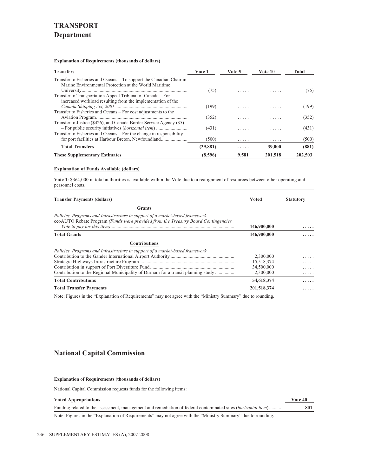# **TRANSPORT Department**

#### **Explanation of Requirements (thousands of dollars)**

| <b>Transfers</b>                                                    | Vote 1    | Vote 5 | Vote 10 | Total   |
|---------------------------------------------------------------------|-----------|--------|---------|---------|
| Transfer to Fisheries and Oceans – To support the Canadian Chair in |           |        |         |         |
| Marine Environmental Protection at the World Maritime               |           |        |         |         |
|                                                                     | (75)      | .      | .       | (75)    |
| Transfer to Transportation Appeal Tribunal of Canada – For          |           |        |         |         |
| increased workload resulting from the implementation of the         |           |        |         |         |
|                                                                     | (199)     |        | .       | (199)   |
| Transfer to Fisheries and Oceans – For cost adjustments to the      |           |        |         |         |
|                                                                     | (352)     | .      | .       | (352)   |
| Transfer to Justice (\$426), and Canada Border Service Agency (\$5) |           |        |         |         |
|                                                                     | (431)     |        | .       | (431)   |
| Transfer to Fisheries and Oceans – For the change in responsibility |           |        |         |         |
| for port facilities at Harbour Breton, Newfoundland                 | (500)     | .      | .       | (500)   |
| <b>Total Transfers</b>                                              | (39, 881) | .      | 39,000  | (881)   |
| <b>These Supplementary Estimates</b>                                | (8,596)   | 9.581  | 201,518 | 202,503 |

#### **Explanation of Funds Available (dollars)**

Vote 1: \$364,000 in total authorities is available within the Vote due to a realignment of resources between other operating and personnel costs.

| <b>Transfer Payments (dollars)</b>                                                                                                                                | <b>Voted</b> | <b>Statutory</b>     |
|-------------------------------------------------------------------------------------------------------------------------------------------------------------------|--------------|----------------------|
| Grants                                                                                                                                                            |              |                      |
| Policies, Programs and Infrastructure in support of a market-based framework<br>ecoAUTO Rebate Program (Funds were provided from the Treasury Board Contingencies | 146,900,000  | .                    |
| <b>Total Grants</b>                                                                                                                                               | 146,900,000  | .                    |
| <b>Contributions</b>                                                                                                                                              |              |                      |
| Policies, Programs and Infrastructure in support of a market-based framework                                                                                      |              |                      |
|                                                                                                                                                                   | 2,300,000    |                      |
|                                                                                                                                                                   | 15,518,374   | .                    |
|                                                                                                                                                                   | 34,500,000   | .                    |
| Contribution to the Regional Municipality of Durham for a transit planning study                                                                                  | 2,300,000    | $\cdots\cdots\cdots$ |
| <b>Total Contributions</b>                                                                                                                                        | 54,618,374   | .                    |
| <b>Total Transfer Payments</b>                                                                                                                                    | 201,518,374  | .                    |

Note: Figures in the "Explanation of Requirements" may not agree with the "Ministry Summary" due to rounding.

## **National Capital Commission**

#### **Explanation of Requirements (thousands of dollars)**

National Capital Commission requests funds for the following items:

| <b>Voted Appropriations</b>                                                                                   | Vote 40 |
|---------------------------------------------------------------------------------------------------------------|---------|
| Funding related to the assessment, management and remediation of federal contaminated sites (horizontal item) | 801     |
| Note: Figures in the "Explanation of Requirements" may not agree with the "Ministry Summary" due to rounding. |         |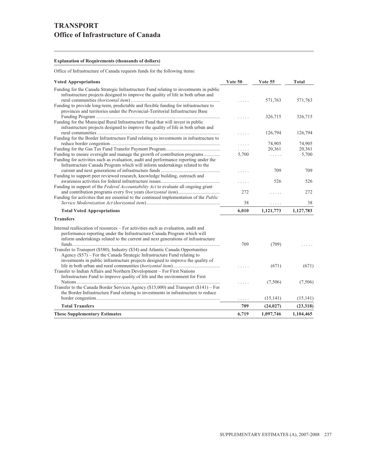# **TRANSPORT Office of Infrastructure of Canada**

#### **Explanation of Requirements (thousands of dollars)**

Office of Infrastructure of Canada requests funds for the following items:

| <b>Voted Appropriations</b>                                                                                                                                                                                                                        | Vote 50 | Vote 55   | <b>Total</b> |
|----------------------------------------------------------------------------------------------------------------------------------------------------------------------------------------------------------------------------------------------------|---------|-----------|--------------|
| Funding for the Canada Strategic Infrastructure Fund relating to investments in public<br>infrastructure projects designed to improve the quality of life in both urban and                                                                        |         | 571,763   | 571,763      |
| Funding to provide long-term, predictable and flexible funding for infrastructure to                                                                                                                                                               |         |           |              |
| provinces and territories under the Provincial-Territorial Infrastructure Base                                                                                                                                                                     | .       | 326,715   | 326,715      |
| Funding for the Municipal Rural Infrastructure Fund that will invest in public                                                                                                                                                                     |         |           |              |
| infrastructure projects designed to improve the quality of life in both urban and                                                                                                                                                                  | .       | 126,794   | 126,794      |
| Funding for the Border Infrastructure Fund relating to investments in infrastructure to                                                                                                                                                            |         |           |              |
|                                                                                                                                                                                                                                                    | .       | 74,905    | 74,905       |
|                                                                                                                                                                                                                                                    | .       | 20,361    | 20,361       |
| Funding to ensure oversight and manage the growth of contribution programs<br>Funding for activities such as evaluation, audit and performance reporting under the                                                                                 | 5,700   | .         | 5,700        |
| Infrastructure Canada Program which will inform undertakings related to the                                                                                                                                                                        |         |           |              |
|                                                                                                                                                                                                                                                    | .       | 709       | 709          |
| Funding to support peer reviewed research, knowledge building, outreach and                                                                                                                                                                        |         |           |              |
|                                                                                                                                                                                                                                                    | .       | 526       | 526          |
| Funding in support of the Federal Accountability Act to evaluate all ongoing grant                                                                                                                                                                 |         |           |              |
|                                                                                                                                                                                                                                                    | 272     | .         | 272          |
| Funding for activities that are essential to the continued implementation of the Public                                                                                                                                                            | 38      | $\cdots$  | 38           |
| <b>Total Voted Appropriations</b>                                                                                                                                                                                                                  | 6,010   | 1,121,773 | 1,127,783    |
| <b>Transfers</b>                                                                                                                                                                                                                                   |         |           |              |
| Internal reallocation of resources – For activities such as evaluation, audit and<br>performance reporting under the Infrastructure Canada Program which will<br>inform undertakings related to the current and next generations of infrastructure | 709     | (709)     |              |
| Transfer to Transport (\$580), Industry (\$34) and Atlantic Canada Opportunities<br>Agency $(\$57)$ – For the Canada Strategic Infrastructure Fund relating to<br>investments in public infrastructure projects designed to improve the quality of |         |           |              |
|                                                                                                                                                                                                                                                    |         | (671)     | (671)        |
| Transfer to Indian Affairs and Northern Development - For First Nations<br>Infrastructure Fund to improve quality of life and the environment for First                                                                                            |         | (7,506)   | (7,506)      |
| Transfer to the Canada Border Services Agency (\$15,000) and Transport (\$141) – For<br>the Border Infrastructure Fund relating to investments in infrastructure to reduce                                                                         | .       |           |              |
|                                                                                                                                                                                                                                                    | .       | (15, 141) | (15, 141)    |
| <b>Total Transfers</b>                                                                                                                                                                                                                             | 709     | (24, 027) | (23,318)     |
| <b>These Supplementary Estimates</b>                                                                                                                                                                                                               | 6,719   | 1,097,746 | 1,104,465    |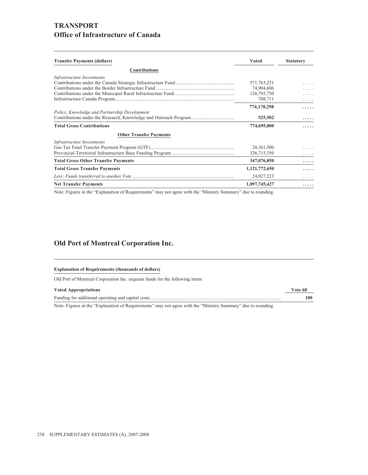## **TRANSPORT Office of Infrastructure of Canada**

| <b>Transfer Payments (dollars)</b>            | <b>Voted</b>  | <b>Statutory</b> |
|-----------------------------------------------|---------------|------------------|
| <b>Contributions</b>                          |               |                  |
| Infrastructure Investments                    |               |                  |
|                                               | 571,763,231   |                  |
|                                               | 74,904,606    |                  |
|                                               | 126,793,750   |                  |
|                                               | 708,711       | .                |
|                                               | 774,170,298   |                  |
| Policy, Knowledge and Partnership Development |               |                  |
|                                               | 525,502       |                  |
| <b>Total Gross Contributions</b>              | 774,695,800   |                  |
| <b>Other Transfer Payments</b>                |               |                  |
| Infrastructure Investments                    |               |                  |
|                                               | 20,361,500    |                  |
|                                               | 326,715,350   |                  |
| <b>Total Gross Other Transfer Payments</b>    | 347,076,850   |                  |
| <b>Total Gross Transfer Payments</b>          | 1,121,772,650 |                  |
|                                               | 24,027,223    |                  |
| <b>Net Transfer Payments</b>                  | 1,097,745,427 | .                |
|                                               |               |                  |

Note: Figures in the "Explanation of Requirements" may not agree with the "Ministry Summary" due to rounding.

## **Old Port of Montreal Corporation Inc.**

#### **Explanation of Requirements (thousands of dollars)**

Old Port of Montreal Corporation Inc. requests funds for the following items:

| <b>Voted Appropriations</b> | Vote 60 |
|-----------------------------|---------|
|                             | 100     |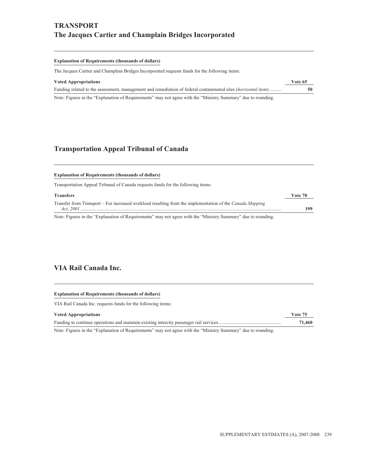# **TRANSPORT The Jacques Cartier and Champlain Bridges Incorporated**

#### **Explanation of Requirements (thousands of dollars)**

The Jacques Cartier and Champlain Bridges Incorporated requests funds for the following items:

#### **Voted Appropriations Vote 65**

| v otcu zvppropriations                                                                                        | , vu v |
|---------------------------------------------------------------------------------------------------------------|--------|
| Funding related to the assessment, management and remediation of federal contaminated sites (horizontal item) | 50     |
| Note: Figures in the "Evolution of Requirements" may not garee with the "Ministry Summary" due to rounding    |        |

Note: Figures in the "Explanation of Requirements" may not agree with the "Ministry Summary" due to rounding.

## **Transportation Appeal Tribunal of Canada**

| <b>Explanation of Requirements (thousands of dollars)</b>                                                        |         |
|------------------------------------------------------------------------------------------------------------------|---------|
| Transportation Appeal Tribunal of Canada requests funds for the following items:                                 |         |
| <b>Transfers</b>                                                                                                 | Vote 70 |
| Transfer from Transport – For increased workload resulting from the implementation of the <i>Canada Shipping</i> | 199     |
| Note: Figures in the "Explanation of Requirements" may not agree with the "Ministry Summary" due to rounding.    |         |

## **VIA Rail Canada Inc.**

#### **Explanation of Requirements (thousands of dollars)**

VIA Rail Canada Inc. requests funds for the following items:

| <b>Voted Appropriations</b> | Vote 75 |
|-----------------------------|---------|
|                             | 71,460  |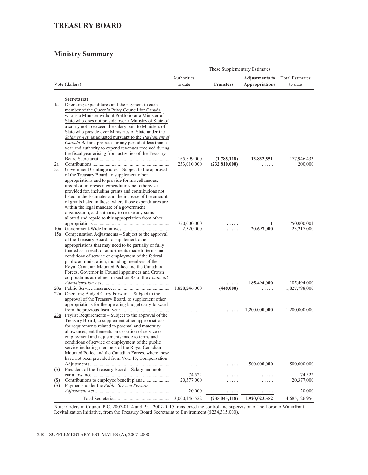## **Ministry Summary**

|          |                                                                                                                                                                                                                                                                                                                                                                                                                                                                                                                                                                                                                              |                                                            | These Supplementary Estimates |                       |                              |
|----------|------------------------------------------------------------------------------------------------------------------------------------------------------------------------------------------------------------------------------------------------------------------------------------------------------------------------------------------------------------------------------------------------------------------------------------------------------------------------------------------------------------------------------------------------------------------------------------------------------------------------------|------------------------------------------------------------|-------------------------------|-----------------------|------------------------------|
|          |                                                                                                                                                                                                                                                                                                                                                                                                                                                                                                                                                                                                                              | Authorities                                                |                               | <b>Adjustments to</b> | <b>Total Estimates</b>       |
|          | Vote (dollars)                                                                                                                                                                                                                                                                                                                                                                                                                                                                                                                                                                                                               | to date                                                    | <b>Transfers</b>              | <b>Appropriations</b> | to date                      |
| 1a       | Secretariat<br>Operating expenditures and the payment to each<br>member of the Queen's Privy Council for Canada<br>who is a Minister without Portfolio or a Minister of<br>State who does not preside over a Ministry of State of<br>a salary not to exceed the salary paid to Ministers of<br>State who preside over Ministries of State under the                                                                                                                                                                                                                                                                          |                                                            |                               |                       |                              |
| 2a<br>5a | Salaries Act, as adjusted pursuant to the Parliament of<br>Canada Act and pro rata for any period of less than a<br>year and authority to expend revenues received during<br>the fiscal year arising from activities of the Treasury<br>Government Contingencies - Subject to the approval<br>of the Treasury Board, to supplement other<br>appropriations and to provide for miscellaneous,<br>urgent or unforeseen expenditures not otherwise<br>provided for, including grants and contributions not<br>listed in the Estimates and the increase of the amount<br>of grants listed in these, where those expenditures are | 165,899,000<br>233,010,000                                 | (1,785,118)<br>(232,810,000)  | 13,832,551<br>.       | 177,946,433<br>200,000       |
|          | within the legal mandate of a government<br>organization, and authority to re-use any sums<br>allotted and repaid to this appropriation from other<br>$15a$ Compensation Adjustments – Subject to the approval<br>of the Treasury Board, to supplement other<br>appropriations that may need to be partially or fully                                                                                                                                                                                                                                                                                                        | 750,000,000<br>2,520,000                                   | .                             | 1<br>20,697,000       | 750,000,001<br>23,217,000    |
| 22a      | funded as a result of adjustments made to terms and<br>conditions of service or employment of the federal<br>public administration, including members of the<br>Royal Canadian Mounted Police and the Canadian<br>Forces, Governor in Council appointees and Crown<br>corporations as defined in section 83 of the Financial<br>Operating Budget Carry Forward - Subject to the<br>approval of the Treasury Board, to supplement other<br>appropriations for the operating budget carry forward                                                                                                                              | $\alpha$ , $\alpha$ , $\alpha$ , $\alpha$<br>1,828,246,000 | .<br>(448,000)                | 185,494,000<br>.      | 185,494,000<br>1,827,798,000 |
|          | $23a$ Paylist Requirements – Subject to the approval of the<br>Treasury Board, to supplement other appropriations<br>for requirements related to parental and maternity<br>allowances, entitlements on cessation of service or<br>employment and adjustments made to terms and<br>conditions of service or employment of the public<br>service including members of the Royal Canadian<br>Mounted Police and the Canadian Forces, where these<br>have not been provided from Vote 15, Compensation                                                                                                                           |                                                            | .                             | 1,200,000,000         | 1,200,000,000                |
| (S)      | President of the Treasury Board - Salary and motor                                                                                                                                                                                                                                                                                                                                                                                                                                                                                                                                                                           | .                                                          |                               | 500,000,000           | 500,000,000                  |
| (S)      |                                                                                                                                                                                                                                                                                                                                                                                                                                                                                                                                                                                                                              | 74,522<br>20,377,000                                       | .                             | .                     | 74,522<br>20,377,000         |
| (S)      | Payments under the Public Service Pension                                                                                                                                                                                                                                                                                                                                                                                                                                                                                                                                                                                    | 20,000                                                     | .                             |                       | 20,000                       |
|          |                                                                                                                                                                                                                                                                                                                                                                                                                                                                                                                                                                                                                              | 3,000,146,522                                              | (235, 043, 118)               | 1,920,023,552         | 4,685,126,956                |

Note: Orders in Council P.C. 2007-0114 and P.C. 2007-0115 transferred the control and supervision of the Toronto Waterfront Revitalization Initiative, from the Treasury Board Secretariat to Environment (\$234,315,000).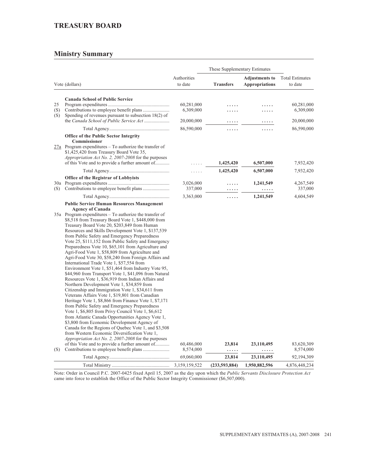#### **TREASURY BOARD**

## **Ministry Summary**

|     |                                                                                                            |               | These Supplementary Estimates |                       |                        |
|-----|------------------------------------------------------------------------------------------------------------|---------------|-------------------------------|-----------------------|------------------------|
|     |                                                                                                            | Authorities   |                               | <b>Adjustments to</b> | <b>Total Estimates</b> |
|     | Vote (dollars)                                                                                             | to date       | <b>Transfers</b>              | <b>Appropriations</b> | to date                |
|     |                                                                                                            |               |                               |                       |                        |
|     | <b>Canada School of Public Service</b>                                                                     |               |                               |                       |                        |
| 25  |                                                                                                            | 60,281,000    |                               |                       | 60,281,000             |
| (S) |                                                                                                            | 6,309,000     | .                             |                       | 6,309,000              |
| (S) | Spending of revenues pursuant to subsection $18(2)$ of                                                     |               |                               |                       |                        |
|     | the Canada School of Public Service Act                                                                    | 20,000,000    | .                             | .                     | 20,000,000             |
|     |                                                                                                            | 86,590,000    | .                             | .                     | 86,590,000             |
|     | <b>Office of the Public Sector Integrity</b>                                                               |               |                               |                       |                        |
|     | Commissioner                                                                                               |               |                               |                       |                        |
| 27a | Program expenditures $-$ To authorize the transfer of                                                      |               |                               |                       |                        |
|     | \$1,425,420 from Treasury Board Vote 35,                                                                   |               |                               |                       |                        |
|     | Appropriation Act No. 2, 2007-2008 for the purposes<br>of this Vote and to provide a further amount of     |               | 1,425,420                     | 6,507,000             |                        |
|     |                                                                                                            |               |                               |                       | 7,932,420              |
|     |                                                                                                            | $\ldots$ .    | 1,425,420                     | 6,507,000             | 7,932,420              |
|     | <b>Office of the Registrar of Lobbyists</b>                                                                |               |                               |                       |                        |
|     |                                                                                                            | 3,026,000     |                               | 1,241,549             | 4,267,549              |
| (S) |                                                                                                            | 337,000       |                               |                       | 337,000                |
|     |                                                                                                            | 3,363,000     | .                             | 1,241,549             | 4,604,549              |
|     | <b>Public Service Human Resources Management</b>                                                           |               |                               |                       |                        |
|     | <b>Agency of Canada</b>                                                                                    |               |                               |                       |                        |
|     | 35a Program expenditures – To authorize the transfer of                                                    |               |                               |                       |                        |
|     | \$8,518 from Treasury Board Vote 1, \$448,000 from                                                         |               |                               |                       |                        |
|     | Treasury Board Vote 20, \$203,849 from Human                                                               |               |                               |                       |                        |
|     | Resources and Skills Development Vote 1, \$137,539                                                         |               |                               |                       |                        |
|     | from Public Safety and Emergency Preparedness                                                              |               |                               |                       |                        |
|     | Vote 25, \$111,152 from Public Safety and Emergency<br>Preparedness Vote 10, \$65,101 from Agriculture and |               |                               |                       |                        |
|     | Agri-Food Vote 1, \$58,809 from Agriculture and                                                            |               |                               |                       |                        |
|     | Agri-Food Vote 30, \$58,240 from Foreign Affairs and                                                       |               |                               |                       |                        |
|     | International Trade Vote 1, \$57,554 from                                                                  |               |                               |                       |                        |
|     | Environment Vote 1, \$51,464 from Industry Vote 95,                                                        |               |                               |                       |                        |
|     | \$44,960 from Transport Vote 1, \$41,096 from Natural                                                      |               |                               |                       |                        |
|     | Resources Vote 1, \$36,919 from Indian Affairs and                                                         |               |                               |                       |                        |
|     | Northern Development Vote 1, \$34,859 from                                                                 |               |                               |                       |                        |
|     | Citizenship and Immigration Vote 1, \$34,611 from                                                          |               |                               |                       |                        |
|     | Veterans Affairs Vote 1, \$19,801 from Canadian                                                            |               |                               |                       |                        |
|     | Heritage Vote 1, \$8,866 from Finance Vote 1, \$7,171<br>from Public Safety and Emergency Preparedness     |               |                               |                       |                        |
|     | Vote 1, \$6,805 from Privy Council Vote 1, \$6,612                                                         |               |                               |                       |                        |
|     | from Atlantic Canada Opportunities Agency Vote 1,                                                          |               |                               |                       |                        |
|     | \$3,800 from Economic Development Agency of                                                                |               |                               |                       |                        |
|     | Canada for the Regions of Quebec Vote 1, and \$3,508                                                       |               |                               |                       |                        |
|     | from Western Economic Diversification Vote 1,                                                              |               |                               |                       |                        |
|     | Appropriation Act No. 2, 2007-2008 for the purposes                                                        |               |                               |                       |                        |
|     | of this Vote and to provide a further amount of                                                            | 60,486,000    | 23,814                        | 23,110,495            | 83,620,309             |
| (S) |                                                                                                            | 8,574,000     | .                             | .                     | 8,574,000              |
|     |                                                                                                            | 69,060,000    | 23,814                        | 23,110,495            | 92,194,309             |
|     |                                                                                                            | 3,159,159,522 | (233,593,884)                 | 1,950,882,596         | 4,876,448,234          |

Note: Order in Council P.C. 2007-0425 fixed April 15, 2007 as the day upon which the *Public Servants Disclosure Protection Act* came into force to establish the Office of the Public Sector Integrity Commissioner (\$6,507,000).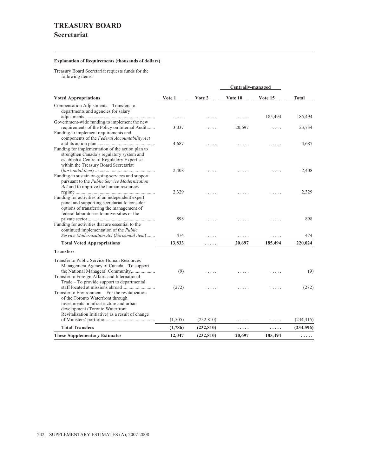## **TREASURY BOARD Secretariat**

## **Explanation of Requirements (thousands of dollars)**

Treasury Board Secretariat requests funds for the following items:

|                                                                                                                                                                                                                           |         |            | <b>Centrally-managed</b> |         |              |
|---------------------------------------------------------------------------------------------------------------------------------------------------------------------------------------------------------------------------|---------|------------|--------------------------|---------|--------------|
| <b>Voted Appropriations</b>                                                                                                                                                                                               | Vote 1  | Vote 2     | Vote 10                  | Vote 15 | <b>Total</b> |
| Compensation Adjustments – Transfers to<br>departments and agencies for salary                                                                                                                                            | .       |            | .                        | 185,494 | 185,494      |
| Government-wide funding to implement the new<br>requirements of the Policy on Internal Audit<br>Funding to implement requirements and                                                                                     | 3,037   |            | 20,697                   | .       | 23,734       |
| components of the Federal Accountability Act<br>Funding for implementation of the action plan to<br>strengthen Canada's regulatory system and<br>establish a Centre of Regulatory Expertise                               | 4,687   | .          | .                        |         | 4,687        |
| within the Treasury Board Secretariat<br>Funding to sustain on-going services and support<br>pursuant to the Public Service Modernization                                                                                 | 2,408   | .          | .                        |         | 2,408        |
| Act and to improve the human resources<br>Funding for activities of an independent expert<br>panel and supporting secretariat to consider<br>options of transferring the management of                                    | 2,329   |            |                          |         | 2,329        |
| federal laboratories to universities or the<br>Funding for activities that are essential to the<br>continued implementation of the <i>Public</i>                                                                          | 898     |            |                          |         | 898          |
| Service Modernization Act (horizontal item)                                                                                                                                                                               | 474     | .          | .                        | .       | 474          |
| <b>Total Voted Appropriations</b>                                                                                                                                                                                         | 13,833  | .          | 20,697                   | 185,494 | 220,024      |
| <b>Transfers</b>                                                                                                                                                                                                          |         |            |                          |         |              |
| Transfer to Public Service Human Resources<br>Management Agency of Canada - To support<br>the National Managers' Community<br>Transfer to Foreign Affairs and International<br>Trade – To provide support to departmental | (9)     | .          |                          |         | (9)          |
| Transfer to Environment – For the revitalization<br>of the Toronto Waterfront through<br>investments in infrastructure and urban<br>development (Toronto Waterfront                                                       | (272)   |            |                          |         | (272)        |
| Revitalization Initiative) as a result of change                                                                                                                                                                          | (1,505) | (232, 810) |                          | .       | (234,315)    |
| <b>Total Transfers</b>                                                                                                                                                                                                    | (1,786) | (232, 810) | .                        | .       | (234,596)    |
| <b>These Supplementary Estimates</b>                                                                                                                                                                                      | 12,047  | (232, 810) | 20,697                   | 185,494 | .            |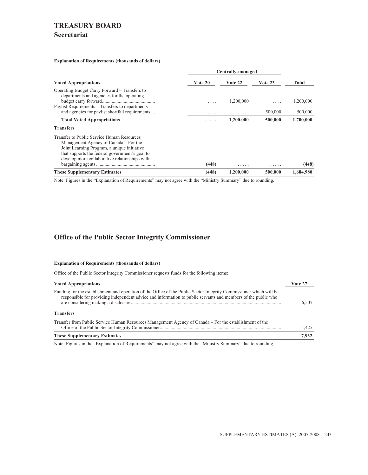# **TREASURY BOARD**

## **Secretariat**

#### **Explanation of Requirements (thousands of dollars)**

|                                                                                                                                                                                                                                                                                                                                            | Centrally-managed |                |              |                      |
|--------------------------------------------------------------------------------------------------------------------------------------------------------------------------------------------------------------------------------------------------------------------------------------------------------------------------------------------|-------------------|----------------|--------------|----------------------|
| <b>Voted Appropriations</b>                                                                                                                                                                                                                                                                                                                | Vote 20           | Vote 22        | Vote 23      | Total                |
| Operating Budget Carry Forward – Transfers to<br>departments and agencies for the operating<br>Paylist Requirements – Transfers to departments<br>and agencies for paylist shortfall requirements                                                                                                                                          | .<br>.            | 1,200,000<br>. | .<br>500,000 | 1,200,000<br>500,000 |
| <b>Total Voted Appropriations</b>                                                                                                                                                                                                                                                                                                          | .                 | 1,200,000      | 500,000      | 1,700,000            |
| <b>Transfers</b>                                                                                                                                                                                                                                                                                                                           |                   |                |              |                      |
| Transfer to Public Service Human Resources<br>Management Agency of Canada – For the<br>Joint Learning Program, a unique initiative<br>that supports the federal government's goal to<br>develop more collaborative relationships with<br>$bargaining agents \dots \dots \dots \dots \dots \dots \dots \dots \dots \dots \dots \dots \dots$ | (448)             | .              | .            | (448)                |
| <b>These Supplementary Estimates</b>                                                                                                                                                                                                                                                                                                       | (448)             | 1,200,000      | 500,000      | 1,684,980            |

Note: Figures in the "Explanation of Requirements" may not agree with the "Ministry Summary" due to rounding.

## **Office of the Public Sector Integrity Commissioner**

#### **Explanation of Requirements (thousands of dollars)**

Office of the Public Sector Integrity Commissioner requests funds for the following items:

| <b>Voted Appropriations</b>                                                                                                                                                                                                          | <b>Vote 27</b> |
|--------------------------------------------------------------------------------------------------------------------------------------------------------------------------------------------------------------------------------------|----------------|
| Funding for the establishment and operation of the Office of the Public Sector Integrity Commissioner which will be<br>responsible for providing independent advice and information to public servants and members of the public who | 6.507          |
| <b>Transfers</b>                                                                                                                                                                                                                     |                |
| Transfer from Public Service Human Resources Management Agency of Canada – For the establishment of the                                                                                                                              | 1.425          |
| <b>These Supplementary Estimates</b>                                                                                                                                                                                                 | 7.932          |
|                                                                                                                                                                                                                                      |                |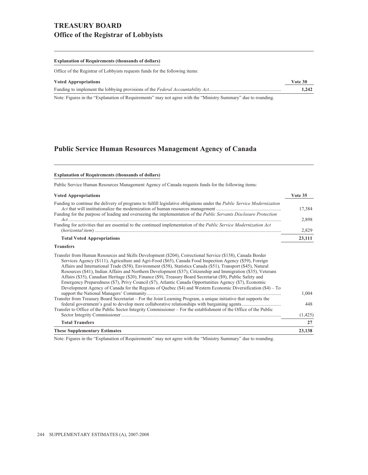## **TREASURY BOARD Office of the Registrar of Lobbyists**

#### **Explanation of Requirements (thousands of dollars)**

Office of the Registrar of Lobbyists requests funds for the following items:

| <b>Voted Appropriations</b>                                                                                  | Vote 30 |
|--------------------------------------------------------------------------------------------------------------|---------|
|                                                                                                              | 1.242   |
| Note: Figures in the "Explanation of Requirements" may not agree with the "Ministry Summary" due to rounding |         |

#### Note: Figures in the "Explanation of Requirements" may not agree with the "Ministry Summary" due to rounding.

## **Public Service Human Resources Management Agency of Canada**

#### **Explanation of Requirements (thousands of dollars)**

Public Service Human Resources Management Agency of Canada requests funds for the following items:

| <b>Voted Appropriations</b>                                                                                                                                                                                                                                                                                                                                                                                                                                                                                                                                                                                                                                                                                                                                                                           | Vote 35  |
|-------------------------------------------------------------------------------------------------------------------------------------------------------------------------------------------------------------------------------------------------------------------------------------------------------------------------------------------------------------------------------------------------------------------------------------------------------------------------------------------------------------------------------------------------------------------------------------------------------------------------------------------------------------------------------------------------------------------------------------------------------------------------------------------------------|----------|
| Funding to continue the delivery of programs to fulfill legislative obligations under the <i>Public Service Modernization</i><br>Funding for the purpose of leading and overseeing the implementation of the Public Servants Disclosure Protection                                                                                                                                                                                                                                                                                                                                                                                                                                                                                                                                                    | 17,384   |
|                                                                                                                                                                                                                                                                                                                                                                                                                                                                                                                                                                                                                                                                                                                                                                                                       | 2,898    |
| Funding for activities that are essential to the continued implementation of the Public Service Modernization Act                                                                                                                                                                                                                                                                                                                                                                                                                                                                                                                                                                                                                                                                                     | 2,829    |
| <b>Total Voted Appropriations</b>                                                                                                                                                                                                                                                                                                                                                                                                                                                                                                                                                                                                                                                                                                                                                                     | 23,111   |
| <b>Transfers</b>                                                                                                                                                                                                                                                                                                                                                                                                                                                                                                                                                                                                                                                                                                                                                                                      |          |
| Transfer from Human Resources and Skills Development (\$204), Correctional Service (\$138), Canada Border<br>Services Agency (\$111), Agriculture and Agri-Food (\$65), Canada Food Inspection Agency (\$59), Foreign<br>Affairs and International Trade (\$58), Environment (\$58), Statistics Canada (\$51), Transport (\$45), Natural<br>Resources (\$41), Indian Affairs and Northern Development (\$37), Citizenship and Immigration (\$35), Veterans<br>Affairs (\$35), Canadian Heritage (\$20), Finance (\$9), Treasury Board Secretariat (\$9), Public Safety and<br>Emergency Preparedness (\$7), Privy Council (\$7), Atlantic Canada Opportunities Agency (\$7), Economic<br>Development Agency of Canada for the Regions of Quebec (\$4) and Western Economic Diversification (\$4) – To | 1,004    |
| Transfer from Treasury Board Secretariat - For the Joint Learning Program, a unique initiative that supports the                                                                                                                                                                                                                                                                                                                                                                                                                                                                                                                                                                                                                                                                                      | 448      |
| Transfer to Office of the Public Sector Integrity Commissioner – For the establishment of the Office of the Public                                                                                                                                                                                                                                                                                                                                                                                                                                                                                                                                                                                                                                                                                    |          |
|                                                                                                                                                                                                                                                                                                                                                                                                                                                                                                                                                                                                                                                                                                                                                                                                       | (1, 425) |
| <b>Total Transfers</b>                                                                                                                                                                                                                                                                                                                                                                                                                                                                                                                                                                                                                                                                                                                                                                                | 27       |
| <b>These Supplementary Estimates</b>                                                                                                                                                                                                                                                                                                                                                                                                                                                                                                                                                                                                                                                                                                                                                                  | 23,138   |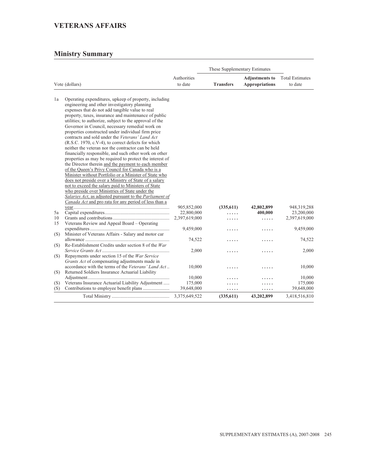# **VETERANS AFFAIRS**

## **Ministry Summary**

|                |                                                                                                                                                                                                                                                                                                                                                                                                                                                                                                                                                                                                                                                                                                                                                                                                                                                                                                                                                                                                                                                                                                                                    |                             | These Supplementary Estimates |                                                |                                   |  |
|----------------|------------------------------------------------------------------------------------------------------------------------------------------------------------------------------------------------------------------------------------------------------------------------------------------------------------------------------------------------------------------------------------------------------------------------------------------------------------------------------------------------------------------------------------------------------------------------------------------------------------------------------------------------------------------------------------------------------------------------------------------------------------------------------------------------------------------------------------------------------------------------------------------------------------------------------------------------------------------------------------------------------------------------------------------------------------------------------------------------------------------------------------|-----------------------------|-------------------------------|------------------------------------------------|-----------------------------------|--|
| Vote (dollars) |                                                                                                                                                                                                                                                                                                                                                                                                                                                                                                                                                                                                                                                                                                                                                                                                                                                                                                                                                                                                                                                                                                                                    | Authorities<br>to date      | <b>Transfers</b>              | <b>Adjustments to</b><br><b>Appropriations</b> | <b>Total Estimates</b><br>to date |  |
| 1a             | Operating expenditures, upkeep of property, including<br>engineering and other investigatory planning<br>expenses that do not add tangible value to real<br>property, taxes, insurance and maintenance of public<br>utilities; to authorize, subject to the approval of the<br>Governor in Council, necessary remedial work on<br>properties constructed under individual firm price<br>contracts and sold under the Veterans' Land Act<br>(R.S.C. 1970, c.V-4), to correct defects for which<br>neither the veteran nor the contractor can be held<br>financially responsible, and such other work on other<br>properties as may be required to protect the interest of<br>the Director therein and the payment to each member<br>of the Queen's Privy Council for Canada who is a<br>Minister without Portfolio or a Minister of State who<br>does not preside over a Ministry of State of a salary<br>not to exceed the salary paid to Ministers of State<br>who preside over Ministries of State under the<br>Salaries Act, as adjusted pursuant to the Parliament of<br>Canada Act and pro rata for any period of less than a |                             |                               |                                                |                                   |  |
|                |                                                                                                                                                                                                                                                                                                                                                                                                                                                                                                                                                                                                                                                                                                                                                                                                                                                                                                                                                                                                                                                                                                                                    | 905,852,000                 | (335,611)                     | 42,802,899                                     | 948,319,288                       |  |
| 5a<br>10       |                                                                                                                                                                                                                                                                                                                                                                                                                                                                                                                                                                                                                                                                                                                                                                                                                                                                                                                                                                                                                                                                                                                                    | 22,800,000<br>2,397,619,000 | .                             | 400,000<br>.                                   | 23,200,000<br>2,397,619,000       |  |
| 15             | Veterans Review and Appeal Board - Operating                                                                                                                                                                                                                                                                                                                                                                                                                                                                                                                                                                                                                                                                                                                                                                                                                                                                                                                                                                                                                                                                                       |                             |                               |                                                |                                   |  |
|                |                                                                                                                                                                                                                                                                                                                                                                                                                                                                                                                                                                                                                                                                                                                                                                                                                                                                                                                                                                                                                                                                                                                                    | 9,459,000                   |                               |                                                | 9,459,000                         |  |
| (S)            | Minister of Veterans Affairs - Salary and motor car                                                                                                                                                                                                                                                                                                                                                                                                                                                                                                                                                                                                                                                                                                                                                                                                                                                                                                                                                                                                                                                                                |                             |                               |                                                |                                   |  |
|                |                                                                                                                                                                                                                                                                                                                                                                                                                                                                                                                                                                                                                                                                                                                                                                                                                                                                                                                                                                                                                                                                                                                                    | 74,522                      |                               |                                                | 74,522                            |  |
| (S)            | Re-Establishment Credits under section 8 of the War                                                                                                                                                                                                                                                                                                                                                                                                                                                                                                                                                                                                                                                                                                                                                                                                                                                                                                                                                                                                                                                                                |                             |                               |                                                |                                   |  |
|                |                                                                                                                                                                                                                                                                                                                                                                                                                                                                                                                                                                                                                                                                                                                                                                                                                                                                                                                                                                                                                                                                                                                                    | 2,000                       |                               |                                                | 2,000                             |  |
| (S)            | Repayments under section 15 of the War Service                                                                                                                                                                                                                                                                                                                                                                                                                                                                                                                                                                                                                                                                                                                                                                                                                                                                                                                                                                                                                                                                                     |                             |                               |                                                |                                   |  |
|                | Grants Act of compensating adjustments made in                                                                                                                                                                                                                                                                                                                                                                                                                                                                                                                                                                                                                                                                                                                                                                                                                                                                                                                                                                                                                                                                                     |                             |                               |                                                |                                   |  |
| (S)            | accordance with the terms of the Veterans' Land Act<br>Returned Soldiers Insurance Actuarial Liability                                                                                                                                                                                                                                                                                                                                                                                                                                                                                                                                                                                                                                                                                                                                                                                                                                                                                                                                                                                                                             | 10,000                      | .                             | .                                              | 10,000                            |  |
|                |                                                                                                                                                                                                                                                                                                                                                                                                                                                                                                                                                                                                                                                                                                                                                                                                                                                                                                                                                                                                                                                                                                                                    | 10,000                      |                               |                                                | 10,000                            |  |
| (S)            | Veterans Insurance Actuarial Liability Adjustment                                                                                                                                                                                                                                                                                                                                                                                                                                                                                                                                                                                                                                                                                                                                                                                                                                                                                                                                                                                                                                                                                  | 175,000                     |                               |                                                | 175,000                           |  |
| (S)            |                                                                                                                                                                                                                                                                                                                                                                                                                                                                                                                                                                                                                                                                                                                                                                                                                                                                                                                                                                                                                                                                                                                                    | 39,648,000                  | .                             | .                                              | 39,648,000                        |  |
|                |                                                                                                                                                                                                                                                                                                                                                                                                                                                                                                                                                                                                                                                                                                                                                                                                                                                                                                                                                                                                                                                                                                                                    |                             |                               |                                                |                                   |  |
|                |                                                                                                                                                                                                                                                                                                                                                                                                                                                                                                                                                                                                                                                                                                                                                                                                                                                                                                                                                                                                                                                                                                                                    | 3,375,649,522               | (335, 611)                    | 43,202,899                                     | 3,418,516,810                     |  |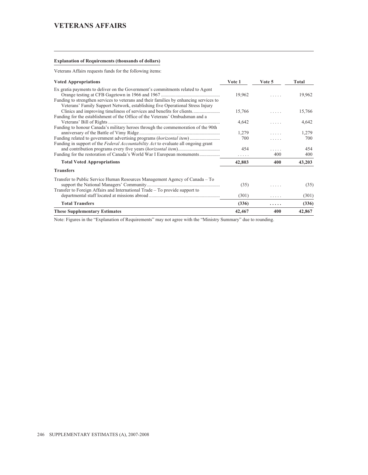## **VETERANS AFFAIRS**

#### **Explanation of Requirements (thousands of dollars)**

Veterans Affairs requests funds for the following items:

| <b>Voted Appropriations</b>                                                                                                                                              | Vote 1 | Vote 5 | Total  |
|--------------------------------------------------------------------------------------------------------------------------------------------------------------------------|--------|--------|--------|
| Ex gratia payments to deliver on the Government's commitments related to Agent<br>Funding to strengthen services to veterans and their families by enhancing services to | 19,962 |        | 19,962 |
| Veterans' Family Support Network, establishing five Operational Stress Injury<br>Funding for the establishment of the Office of the Veterans' Ombudsman and a            | 15,766 | .      | 15,766 |
| Funding to honour Canada's military heroes through the commemoration of the 90th                                                                                         | 4,642  | .      | 4,642  |
|                                                                                                                                                                          | 1,279  | .      | 1,279  |
| Funding related to government advertising programs (horizontal item)                                                                                                     | 700    | .      | 700    |
| Funding in support of the Federal Accountability Act to evaluate all ongoing grant                                                                                       | 454    | .      | 454    |
|                                                                                                                                                                          | .      | 400    | 400    |
| <b>Total Voted Appropriations</b>                                                                                                                                        | 42,803 | 400    | 43,203 |
| <b>Transfers</b>                                                                                                                                                         |        |        |        |
| Transfer to Public Service Human Resources Management Agency of Canada – To<br>Transfer to Foreign Affairs and International Trade $-$ To provide support to             | (35)   | .      | (35)   |
|                                                                                                                                                                          | (301)  | .      | (301)  |
| <b>Total Transfers</b>                                                                                                                                                   | (336)  | .      | (336)  |
| <b>These Supplementary Estimates</b>                                                                                                                                     | 42,467 | 400    | 42,867 |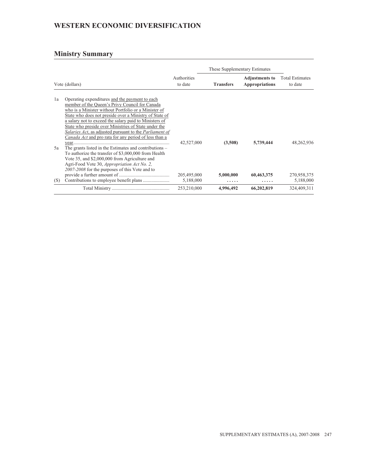## **WESTERN ECONOMIC DIVERSIFICATION**

## **Ministry Summary**

|                |                                                                                                                                                                                                                                                                                                                                                                                                                                                                                                                                                                                                                                                                                                                                             | These Supplementary Estimates |                  |                                                |                                   |
|----------------|---------------------------------------------------------------------------------------------------------------------------------------------------------------------------------------------------------------------------------------------------------------------------------------------------------------------------------------------------------------------------------------------------------------------------------------------------------------------------------------------------------------------------------------------------------------------------------------------------------------------------------------------------------------------------------------------------------------------------------------------|-------------------------------|------------------|------------------------------------------------|-----------------------------------|
| Vote (dollars) |                                                                                                                                                                                                                                                                                                                                                                                                                                                                                                                                                                                                                                                                                                                                             | Authorities<br>to date        | <b>Transfers</b> | <b>Adjustments to</b><br><b>Appropriations</b> | <b>Total Estimates</b><br>to date |
| 1a<br>5a       | Operating expenditures and the payment to each<br>member of the Queen's Privy Council for Canada<br>who is a Minister without Portfolio or a Minister of<br>State who does not preside over a Ministry of State of<br>a salary not to exceed the salary paid to Ministers of<br>State who preside over Ministries of State under the<br>Salaries Act, as adjusted pursuant to the Parliament of<br><i>Canada Act</i> and pro rata for any period of less than a<br>The grants listed in the Estimates and contributions –<br>To authorize the transfer of \$3,000,000 from Health<br>Vote 35, and \$2,000,000 from Agriculture and<br>Agri-Food Vote 30, <i>Appropriation Act No. 2</i> ,<br>2007-2008 for the purposes of this Vote and to | 42,527,000                    | (3,508)          | 5,739,444                                      | 48,262,936                        |
| (S)            |                                                                                                                                                                                                                                                                                                                                                                                                                                                                                                                                                                                                                                                                                                                                             | 205,495,000<br>5,188,000      | 5,000,000<br>.   | 60,463,375<br>.                                | 270,958,375<br>5,188,000          |
|                |                                                                                                                                                                                                                                                                                                                                                                                                                                                                                                                                                                                                                                                                                                                                             | 253,210,000                   | 4,996,492        | 66,202,819                                     | 324,409,311                       |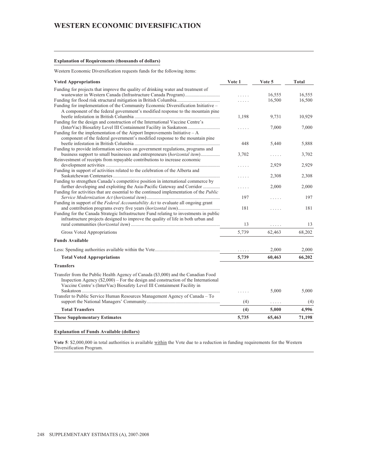## **WESTERN ECONOMIC DIVERSIFICATION**

#### **Explanation of Requirements (thousands of dollars)**

Western Economic Diversification requests funds for the following items:

| <b>Voted Appropriations</b>                                                                                                                                                                                                                                       | Vote 1 | Vote 5                         | Total            |
|-------------------------------------------------------------------------------------------------------------------------------------------------------------------------------------------------------------------------------------------------------------------|--------|--------------------------------|------------------|
| Funding for projects that improve the quality of drinking water and treatment of<br>Funding for implementation of the Community Economic Diversification Initiative –                                                                                             | .      | 16.555<br>16,500               | 16.555<br>16,500 |
| A component of the federal government's modified response to the mountain pine                                                                                                                                                                                    | 1,198  | 9,731                          | 10,929           |
| Funding for the design and construction of the International Vaccine Centre's<br>Funding for the implementation of the Airport Improvements Initiative $-A$                                                                                                       | .      | 7,000                          | 7,000            |
| component of the federal government's modified response to the mountain pine<br>Funding to provide information services on government regulations, programs and                                                                                                   | 448    | 5,440                          | 5,888            |
| business support to small businesses and entrepreneurs <i>(horizontal item)</i><br>Reinvestment of receipts from repayable contributions to increase economic                                                                                                     | 3,702  | .                              | 3,702            |
|                                                                                                                                                                                                                                                                   |        | 2,929                          | 2,929            |
| Funding in support of activities related to the celebration of the Alberta and                                                                                                                                                                                    | .      | 2,308                          | 2,308            |
| Funding to strengthen Canada's competitive position in international commerce by<br>further developing and exploiting the Asia-Pacific Gateway and Corridor                                                                                                       | .      | 2,000                          | 2,000            |
| Funding for activities that are essential to the continued implementation of the <i>Public</i>                                                                                                                                                                    | 197    | .                              | 197              |
| Funding in support of the Federal Accountability Act to evaluate all ongoing grant<br>Funding for the Canada Strategic Infrastructure Fund relating to investments in public<br>infrastructure projects designed to improve the quality of life in both urban and | 181    | .                              | 181              |
|                                                                                                                                                                                                                                                                   | 13     | $\cdots$                       | 13               |
| Gross Voted Appropriations                                                                                                                                                                                                                                        | 5,739  | 62,463                         | 68,202           |
| <b>Funds Available</b>                                                                                                                                                                                                                                            |        |                                |                  |
|                                                                                                                                                                                                                                                                   | .      | 2,000                          | 2,000            |
| <b>Total Voted Appropriations</b>                                                                                                                                                                                                                                 | 5,739  | 60,463                         | 66,202           |
| <b>Transfers</b>                                                                                                                                                                                                                                                  |        |                                |                  |
| Transfer from the Public Health Agency of Canada (\$3,000) and the Canadian Food<br>Inspection Agency $(\$2,000)$ – For the design and construction of the International<br>Vaccine Centre's (InterVac) Biosafety Level III Containment Facility in               |        |                                |                  |
| Transfer to Public Service Human Resources Management Agency of Canada – To                                                                                                                                                                                       |        | 5,000                          | 5,000            |
|                                                                                                                                                                                                                                                                   | (4)    | $\alpha$ , $\alpha$ , $\alpha$ | (4)              |
| <b>Total Transfers</b>                                                                                                                                                                                                                                            | (4)    | 5,000                          | 4,996            |
| <b>These Supplementary Estimates</b>                                                                                                                                                                                                                              | 5,735  | 65,463                         | 71,198           |

#### **Explanation of Funds Available (dollars)**

Vote 5: \$2,000,000 in total authorities is available within the Vote due to a reduction in funding requirements for the Western Diversification Program.